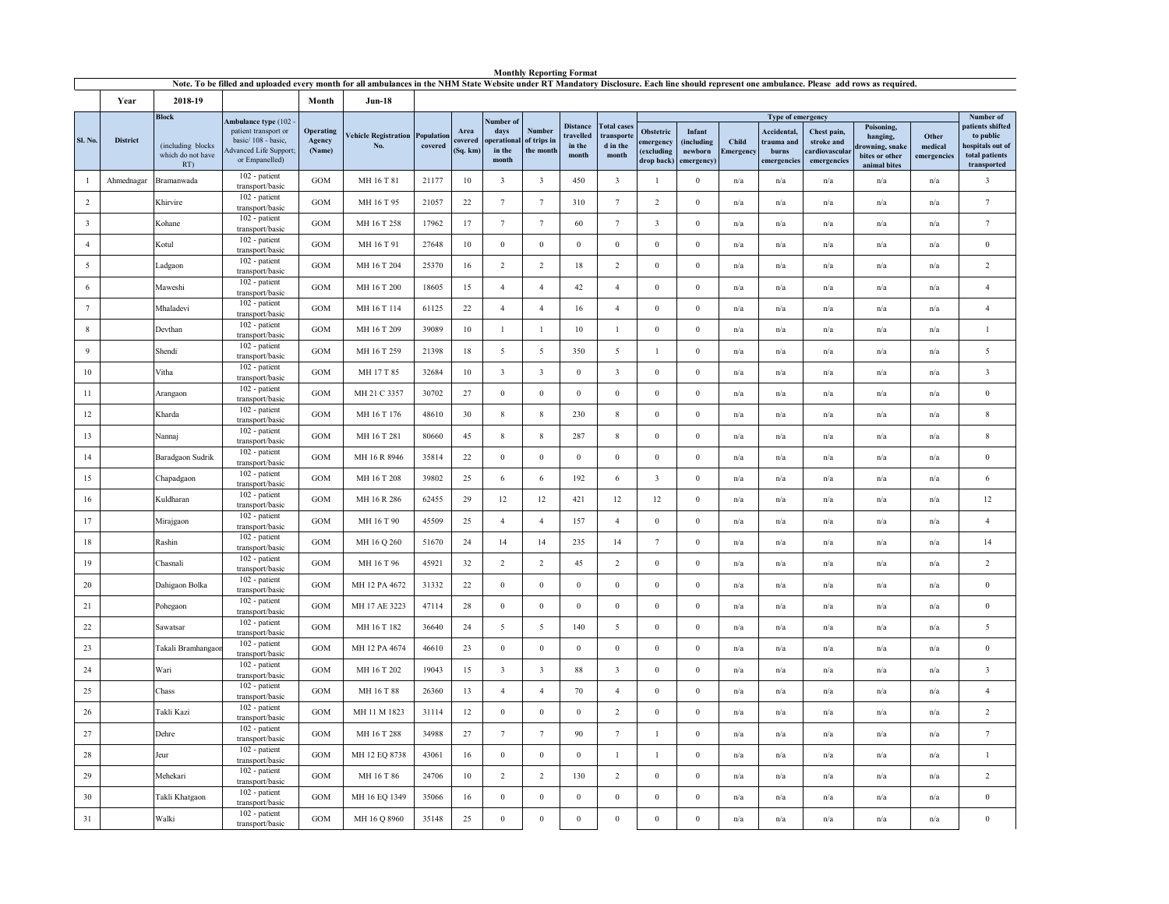|                         |                 |                                                               | Note. To be filled and uploaded every month for all ambulances in the NHM State Website under RT Mandatory Disclosure. Each line should represent one ambulance. Please add rows as required. |                               |                                               |         |                             |                                                     |                                           |                                                 |                                                       |                                      |                                                          |                    |                                                                        |                                                            |                                                                            |                                 |                                                                                                 |
|-------------------------|-----------------|---------------------------------------------------------------|-----------------------------------------------------------------------------------------------------------------------------------------------------------------------------------------------|-------------------------------|-----------------------------------------------|---------|-----------------------------|-----------------------------------------------------|-------------------------------------------|-------------------------------------------------|-------------------------------------------------------|--------------------------------------|----------------------------------------------------------|--------------------|------------------------------------------------------------------------|------------------------------------------------------------|----------------------------------------------------------------------------|---------------------------------|-------------------------------------------------------------------------------------------------|
|                         | Year            | 2018-19                                                       |                                                                                                                                                                                               | Month                         | $Jun-18$                                      |         |                             |                                                     |                                           |                                                 |                                                       |                                      |                                                          |                    |                                                                        |                                                            |                                                                            |                                 |                                                                                                 |
| Sl. No.                 | <b>District</b> | <b>Block</b><br>(including blocks<br>which do not have<br>RT) | Ambulance type (102<br>patient transport or<br>basic/108 - basic,<br>dvanced Life Support;<br>or Empanelled)                                                                                  | Operating<br>Agency<br>(Name) | <b>Vehicle Registration Population</b><br>No. | covered | Area<br>covered<br>(Sq. km) | Number of<br>days<br>operational<br>in the<br>month | <b>Number</b><br>of trips in<br>the month | <b>Distance</b><br>travelled<br>in the<br>month | <b>Total cases</b><br>transporte<br>d in the<br>month | Obstetric<br>emergency<br>(excluding | Infant<br>(including<br>newborn<br>drop back) emergency) | Child<br>Emergency | Type of emergency<br>Accidental,<br>trauma and<br>burns<br>emergencies | Chest pain,<br>stroke and<br>cardiovascular<br>emergencies | Poisoning,<br>hanging,<br>rowning, snake<br>bites or other<br>animal bites | Other<br>medical<br>emergencies | Number of<br>patients shifted<br>to public<br>hospitals out of<br>total patients<br>transported |
|                         | Ahmednagar      | Bramanwada                                                    | 102 - patient<br>transport/basic                                                                                                                                                              | GOM                           | MH 16 T 81                                    | 21177   | 10                          | $\overline{\mathbf{3}}$                             | $\overline{\mathbf{3}}$                   | 450                                             | $\overline{\mathbf{3}}$                               | $\mathbf{1}$                         | $\Omega$                                                 | n/a                | n/a                                                                    | n/a                                                        | n/a                                                                        | n/a                             | $\overline{\mathbf{3}}$                                                                         |
| $\overline{2}$          |                 | Khirvire                                                      | 102 - patient<br>transport/basic                                                                                                                                                              | GOM                           | MH 16 T 95                                    | 21057   | $22\,$                      | $\tau$                                              | $7\phantom{.0}$                           | 310                                             | $7\phantom{.0}$                                       | $\overline{2}$                       | $\bf{0}$                                                 | n/a                | n/a                                                                    | n/a                                                        | n/a                                                                        | n/a                             | $7\phantom{.0}$                                                                                 |
| $\overline{\mathbf{3}}$ |                 | Kohane                                                        | 102 - patient<br>transport/basic                                                                                                                                                              | GOM                           | MH 16 T 258                                   | 17962   | 17                          | $\tau$                                              | $7\phantom{.0}$                           | 60                                              | $7\phantom{.0}$                                       | $\overline{\mathbf{3}}$              | $\mathbf{0}$                                             | n/a                | n/a                                                                    | n/a                                                        | n/a                                                                        | n/a                             | $7\phantom{.0}$                                                                                 |
| $\overline{4}$          |                 | Kotul                                                         | 102 - patient<br>transport/basic                                                                                                                                                              | GOM                           | MH 16 T 91                                    | 27648   | 10                          | $\bf{0}$                                            | $\mathbf{0}$                              | $\boldsymbol{0}$                                | $\boldsymbol{0}$                                      | $\,0\,$                              | $\overline{0}$                                           | n/a                | n/a                                                                    | n/a                                                        | n/a                                                                        | n/a                             | $\,0\,$                                                                                         |
| 5                       |                 | Ladgaon                                                       | 102 - patient<br>transport/basic                                                                                                                                                              | GOM                           | MH 16 T 204                                   | 25370   | 16                          | $\overline{2}$                                      | $\overline{2}$                            | 18                                              | $\overline{2}$                                        | $\boldsymbol{0}$                     | $\mathbf{0}$                                             | n/a                | n/a                                                                    | n/a                                                        | n/a                                                                        | n/a                             | 2                                                                                               |
| 6                       |                 | Maweshi                                                       | 102 - patient<br>transport/basic                                                                                                                                                              | GOM                           | MH 16 T 200                                   | 18605   | 15                          | $\overline{4}$                                      | $\overline{4}$                            | 42                                              | $\overline{4}$                                        | $\,0\,$                              | $\boldsymbol{0}$                                         | n/a                | n/a                                                                    | n/a                                                        | n/a                                                                        | n/a                             | $\overline{4}$                                                                                  |
| $\tau$                  |                 | Mhaladevi                                                     | 102 - patient<br>transport/basic                                                                                                                                                              | GOM                           | MH 16 T 114                                   | 61125   | 22                          | $\overline{4}$                                      | $\overline{4}$                            | 16                                              | $\overline{4}$                                        | $\mathbf{0}$                         | $\mathbf{0}$                                             | n/a                | n/a                                                                    | n/a                                                        | n/a                                                                        | n/a                             | $\overline{4}$                                                                                  |
| 8                       |                 | Devthan                                                       | 102 - patient<br>transport/basic                                                                                                                                                              | <b>GOM</b>                    | MH 16 T 209                                   | 39089   | 10                          | $\mathbf{1}$                                        | 1                                         | 10                                              | 1                                                     | $\mathbf{0}$                         | $\overline{0}$                                           | n/a                | n/a                                                                    | n/a                                                        | n/a                                                                        | n/a                             | $\,1\,$                                                                                         |
| 9                       |                 | Shendi                                                        | 102 - patient<br>transport/basic                                                                                                                                                              | <b>GOM</b>                    | MH 16 T 259                                   | 21398   | 18                          | 5                                                   | 5                                         | 350                                             | 5                                                     | $\mathbf{1}$                         | $\bf{0}$                                                 | n/a                | n/a                                                                    | n/a                                                        | n/a                                                                        | n/a                             | $\overline{5}$                                                                                  |
| 10                      |                 | Vitha                                                         | 102 - patient<br>transport/basic                                                                                                                                                              | <b>GOM</b>                    | MH 17 T 85                                    | 32684   | 10                          | $\overline{\mathbf{3}}$                             | $\mathbf{3}$                              | $\bf{0}$                                        | $\mathbf{3}$                                          | $\boldsymbol{0}$                     | $\mathbf{0}$                                             | n/a                | n/a                                                                    | n/a                                                        | n/a                                                                        | n/a                             | $\overline{\mathbf{3}}$                                                                         |
| 11                      |                 | Arangaon                                                      | 102 - patient<br>transport/basic                                                                                                                                                              | <b>GOM</b>                    | MH 21 C 3357                                  | 30702   | 27                          | $\mathbf{0}$                                        | $\boldsymbol{0}$                          | $\mathbf{0}$                                    | $\boldsymbol{0}$                                      | $\mathbf{0}$                         | $\mathbf{0}$                                             | n/a                | n/a                                                                    | n/a                                                        | n/a                                                                        | n/a                             | $\,0\,$                                                                                         |
| 12                      |                 | Kharda                                                        | 102 - patient<br>transport/basic                                                                                                                                                              | GOM                           | MH 16 T 176                                   | 48610   | $30\,$                      | $\,$ 8 $\,$                                         | 8                                         | 230                                             | $\,$ 8 $\,$                                           | $\overline{0}$                       | $\overline{0}$                                           | n/a                | n/a                                                                    | n/a                                                        | n/a                                                                        | n/a                             | $\,$ 8 $\,$                                                                                     |
| 13                      |                 | Nannaj                                                        | 102 - patient<br>transport/basic                                                                                                                                                              | <b>GOM</b>                    | MH 16 T 281                                   | 80660   | 45                          | $8\,$                                               | $\,$ 8 $\,$                               | 287                                             | $\,$ 8 $\,$                                           | $\mathbf{0}$                         | $\mathbf{0}$                                             | n/a                | n/a                                                                    | n/a                                                        | n/a                                                                        | n/a                             | $\,$ 8 $\,$                                                                                     |
| 14                      |                 | Baradgaon Sudrik                                              | 102 - patient<br>transport/basic                                                                                                                                                              | <b>GOM</b>                    | MH 16 R 8946                                  | 35814   | 22                          | $\bf{0}$                                            | $\mathbf{0}$                              | $\bf{0}$                                        | $\mathbf{0}$                                          | $\bf{0}$                             | $\overline{0}$                                           | n/a                | n/a                                                                    | n/a                                                        | n/a                                                                        | $\mathrm{n}/\mathrm{a}$         | $\mathbf{0}$                                                                                    |
| 15                      |                 | Chapadgaon                                                    | 102 - patient<br>transport/basic                                                                                                                                                              | GOM                           | MH 16 T 208                                   | 39802   | 25                          | 6                                                   | 6                                         | 192                                             | 6                                                     | $\overline{\mathbf{3}}$              | $\mathbf{0}$                                             | n/a                | n/a                                                                    | n/a                                                        | n/a                                                                        | n/a                             | 6                                                                                               |
| 16                      |                 | Kuldharan                                                     | 102 - patient<br>transport/basic                                                                                                                                                              | <b>GOM</b>                    | MH 16 R 286                                   | 62455   | 29                          | 12                                                  | 12                                        | 421                                             | 12                                                    | 12                                   | $\overline{0}$                                           | n/a                | n/a                                                                    | n/a                                                        | n/a                                                                        | n/a                             | 12                                                                                              |
| 17                      |                 | Mirajgaon                                                     | 102 - patient<br>transport/basic                                                                                                                                                              | GOM                           | MH 16 T 90                                    | 45509   | 25                          | $\overline{4}$                                      | $\overline{4}$                            | 157                                             | $\overline{4}$                                        | $\boldsymbol{0}$                     | $\mathbf{0}$                                             | n/a                | n/a                                                                    | n/a                                                        | n/a                                                                        | n/a                             | $\overline{4}$                                                                                  |
| 18                      |                 | Rashin                                                        | 102 - patient<br>transport/basic                                                                                                                                                              | <b>GOM</b>                    | MH 16 Q 260                                   | 51670   | 24                          | 14                                                  | 14                                        | 235                                             | 14                                                    | $\overline{7}$                       | $\overline{0}$                                           | n/a                | n/a                                                                    | n/a                                                        | n/a                                                                        | n/a                             | 14                                                                                              |
| 19                      |                 | Chasnali                                                      | 102 - patient<br>transport/basic                                                                                                                                                              | <b>GOM</b>                    | MH 16 T 96                                    | 45921   | 32                          | $\overline{2}$                                      | $\overline{c}$                            | 45                                              | $\overline{2}$                                        | $\boldsymbol{0}$                     | $\mathbf{0}$                                             | n/a                | n/a                                                                    | n/a                                                        | n/a                                                                        | n/a                             | $\overline{2}$                                                                                  |
| 20                      |                 | Dahigaon Bolka                                                | 102 - patient<br>transport/basic                                                                                                                                                              | <b>GOM</b>                    | MH 12 PA 4672                                 | 31332   | 22                          | $\mathbf{0}$                                        | $\mathbf{0}$                              | $\mathbf{0}$                                    | $\mathbf{0}$                                          | $\overline{0}$                       | $\overline{0}$                                           | n/a                | n/a                                                                    | n/a                                                        | n/a                                                                        | n/a                             | $\mathbf{0}$                                                                                    |
| 21                      |                 | Pohegaon                                                      | 102 - patient<br>transport/basic                                                                                                                                                              | GOM                           | MH 17 AE 3223                                 | 47114   | 28                          | $\overline{0}$                                      | $\boldsymbol{0}$                          | $\mathbf{0}$                                    | $\boldsymbol{0}$                                      | $\,0\,$                              | $\mathbf{0}$                                             | n/a                | $\mathrm{n}/\mathrm{a}$                                                | $\mathrm{n}/\mathrm{a}$                                    | $\mathrm{n}/\mathrm{a}$                                                    | n/a                             | $\,0\,$                                                                                         |
| 22                      |                 | Sawatsar                                                      | 102 - patient<br>transport/basic                                                                                                                                                              | <b>GOM</b>                    | MH 16 T 182                                   | 36640   | 24                          | 5                                                   | 5                                         | 140                                             | 5                                                     | $\bf{0}$                             | $\overline{0}$                                           | n/a                | n/a                                                                    | n/a                                                        | n/a                                                                        | n/a                             | 5                                                                                               |
| 23                      |                 | Takali Bramhangao                                             | 102 - patient<br>transport/basic                                                                                                                                                              | GOM                           | MH 12 PA 4674                                 | 46610   | 23                          | $\boldsymbol{0}$                                    | $\boldsymbol{0}$                          | $\mathbf{0}$                                    | $\boldsymbol{0}$                                      | $\,0\,$                              | $\mathbf{0}$                                             | n/a                | $\mathrm{n}/\mathrm{a}$                                                | $\mathrm{n}/\mathrm{a}$                                    | n/a                                                                        | n/a                             | $\,0\,$                                                                                         |
| 24                      |                 | Wari                                                          | 102 - patient<br>transport/basic                                                                                                                                                              | GOM                           | MH 16 T 202                                   | 19043   | 15                          | $\overline{3}$                                      | $\overline{\mathbf{3}}$                   | 88                                              | $\overline{\mathbf{3}}$                               | $\bf{0}$                             | $\mathbf{0}$                                             | n/a                | n/a                                                                    | n/a                                                        | n/a                                                                        | n/a                             | $\overline{\mathbf{3}}$                                                                         |
| 25                      |                 | Chass                                                         | 102 - patient<br>transport/basic                                                                                                                                                              | <b>GOM</b>                    | MH 16 T 88                                    | 26360   | 13                          | $\overline{4}$                                      | $\overline{4}$                            | 70                                              | $\overline{4}$                                        | $\boldsymbol{0}$                     | $\mathbf{0}$                                             | n/a                | n/a                                                                    | n/a                                                        | $\mathrm{n}/\mathrm{a}$                                                    | n/a                             | $\overline{4}$                                                                                  |
| 26                      |                 | Takli Kazi                                                    | 102 - patient<br>transport/basic                                                                                                                                                              | <b>GOM</b>                    | MH 11 M 1823                                  | 31114   | 12                          | $\mathbf{0}$                                        | $\mathbf{0}$                              | $\mathbf{0}$                                    | 2                                                     | $\mathbf{0}$                         | $\overline{0}$                                           | n/a                | n/a                                                                    | n/a                                                        | n/a                                                                        | n/a                             | 2                                                                                               |
| $27\,$                  |                 | Dehre                                                         | 102 - patient<br>transport/basic                                                                                                                                                              | GOM                           | MH 16 T 288                                   | 34988   | 27                          | $\tau$                                              | $7\phantom{.0}$                           | 90                                              | $7\phantom{.0}$                                       | $\mathbf{1}$                         | $\mathbf{0}$                                             | n/a                | n/a                                                                    | n/a                                                        | n/a                                                                        | n/a                             | $7\phantom{.0}$                                                                                 |
| 28                      |                 | Jeur                                                          | 102 - patient<br>transport/basic                                                                                                                                                              | <b>GOM</b>                    | MH 12 EQ 8738                                 | 43061   | 16                          | $\mathbf{0}$                                        | $\bf{0}$                                  | $\bf{0}$                                        | 1                                                     | $\mathbf{1}$                         | $\overline{0}$                                           | n/a                | n/a                                                                    | n/a                                                        | n/a                                                                        | n/a                             | $\mathbf{1}$                                                                                    |
| 29                      |                 | Mehekari                                                      | 102 - patient<br>transport/basic                                                                                                                                                              | GOM                           | MH 16 T 86                                    | 24706   | 10                          | $\overline{2}$                                      | $\overline{c}$                            | 130                                             | $\overline{2}$                                        | $\bf{0}$                             | $\mathbf{0}$                                             | n/a                | n/a                                                                    | $\mathrm{n}/\mathrm{a}$                                    | n/a                                                                        | n/a                             | $\overline{2}$                                                                                  |
| 30                      |                 | Takli Khatgaon                                                | 102 - patient<br>transport/basic                                                                                                                                                              | <b>GOM</b>                    | MH 16 EQ 1349                                 | 35066   | 16                          | $\mathbf{0}$                                        | $\mathbf{0}$                              | $\Omega$                                        | $\mathbf{0}$                                          | $\mathbf{0}$                         | $\overline{0}$                                           | n/a                | n/a                                                                    | n/a                                                        | n/a                                                                        | n/a                             | $\bf{0}$                                                                                        |
| 31                      |                 | Walki                                                         | 102 - patient<br>transport/basic                                                                                                                                                              | GOM                           | MH 16 Q 8960                                  | 35148   | 25                          | $\mathbf{0}$                                        | $\mathbf{0}$                              | $\boldsymbol{0}$                                | $\mathbf{0}$                                          | $\boldsymbol{0}$                     | $\mathbf{0}$                                             | n/a                | n/a                                                                    | n/a                                                        | n/a                                                                        | n/a                             | $\boldsymbol{0}$                                                                                |

**Monthly Reporting Format**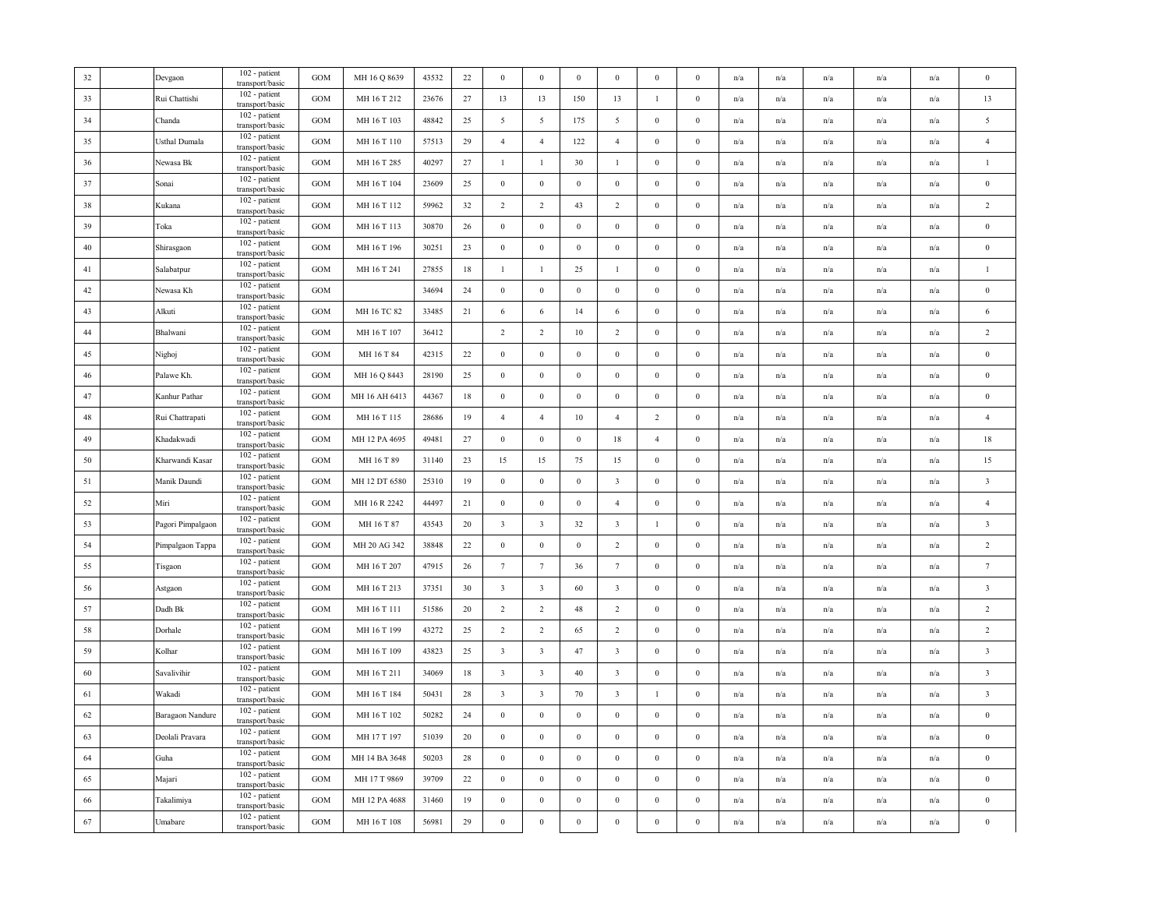| $32\,$ | Devgaon           | 102 - patient<br>transport/basic   | <b>GOM</b>        | MH 16 Q 8639  | 43532 | 22 | $\bf{0}$                | $\boldsymbol{0}$        | $\bf{0}$         | $\bf{0}$                | $\bf{0}$         | $\mathbf{0}$     | n/a                     | n/a                     | n/a                     | n/a                     | n/a | $\theta$                |
|--------|-------------------|------------------------------------|-------------------|---------------|-------|----|-------------------------|-------------------------|------------------|-------------------------|------------------|------------------|-------------------------|-------------------------|-------------------------|-------------------------|-----|-------------------------|
| 33     | Rui Chattishi     | 102 - patient<br>transport/basic   | GOM               | MH 16 T 212   | 23676 | 27 | 13                      | 13                      | 150              | 13                      | $\mathbf{1}$     | $\boldsymbol{0}$ | n/a                     | n/a                     | n/a                     | n/a                     | n/a | 13                      |
| 34     | Chanda            | 102 - patient<br>transport/basic   | <b>GOM</b>        | MH 16 T 103   | 48842 | 25 | 5                       | $\overline{5}$          | 175              | 5                       | $\mathbf{0}$     | $\boldsymbol{0}$ | n/a                     | $\mathrm{n}/\mathrm{a}$ | $\mathrm{n}/\mathrm{a}$ | n/a                     | n/a | $\overline{5}$          |
| 35     | Usthal Dumala     | 102 - patient<br>transport/basic   | GOM               | MH 16 T 110   | 57513 | 29 | $\overline{4}$          | $\overline{4}$          | 122              | $\overline{4}$          | $\bf{0}$         | $\bf{0}$         | n/a                     | n/a                     | n/a                     | n/a                     | n/a | $\overline{4}$          |
| 36     | Newasa Bk         | 102 - patient<br>transport/basic   | GOM               | MH 16 T 285   | 40297 | 27 | $\mathbf{1}$            | $\mathbf{1}$            | 30               | $\mathbf{1}$            | $\bf{0}$         | $\boldsymbol{0}$ | n/a                     | n/a                     | n/a                     | n/a                     | n/a | $\mathbf{1}$            |
| 37     | Sonai             | 102 - patient<br>transport/basic   | <b>GOM</b>        | MH 16 T 104   | 23609 | 25 | $\boldsymbol{0}$        | $\boldsymbol{0}$        | $\boldsymbol{0}$ | $\,0\,$                 | $\bf{0}$         | $\boldsymbol{0}$ | n/a                     | n/a                     | n/a                     | n/a                     | n/a | $\boldsymbol{0}$        |
| 38     | Kukana            | 102 - patient<br>transport/basic   | GOM               | MH 16 T 112   | 59962 | 32 | $\overline{2}$          | $\overline{2}$          | 43               | $\overline{2}$          | $\bf{0}$         | $\mathbf{0}$     | n/a                     | n/a                     | n/a                     | n/a                     | n/a | $\overline{2}$          |
| 39     | Toka              | 102 - patient<br>transport/basic   | GOM               | MH 16 T 113   | 30870 | 26 | $\boldsymbol{0}$        | $\boldsymbol{0}$        | $\boldsymbol{0}$ | $\,0\,$                 | $\boldsymbol{0}$ | $\boldsymbol{0}$ | n/a                     | n/a                     | n/a                     | n/a                     | n/a | $\boldsymbol{0}$        |
| $40\,$ | Shirasgaon        | $102$ - patient<br>transport/basic | GOM               | MH 16 T 196   | 30251 | 23 | $\,0\,$                 | $\boldsymbol{0}$        | $\boldsymbol{0}$ | $\,0\,$                 | $\boldsymbol{0}$ | $\boldsymbol{0}$ | n/a                     | n/a                     | n/a                     | n/a                     | n/a | $\,0\,$                 |
| 41     | Salabatpur        | 102 - patient<br>transport/basic   | GOM               | MH 16 T 241   | 27855 | 18 | $\mathbf{1}$            | $\mathbf{1}$            | 25               | $\mathbf{1}$            | $\bf{0}$         | $\boldsymbol{0}$ | n/a                     | n/a                     | n/a                     | n/a                     | n/a | $\mathbf{1}$            |
| 42     | Newasa Kh         | 102 - patient<br>transport/basic   | <b>GOM</b>        |               | 34694 | 24 | $\boldsymbol{0}$        | $\bf{0}$                | $\boldsymbol{0}$ | $\bf{0}$                | $\bf{0}$         | $\mathbf{0}$     | n/a                     | n/a                     | n/a                     | n/a                     | n/a | $\bf{0}$                |
| 43     | Alkuti            | 102 - patient<br>transport/basic   | $_{\mathrm{GOM}}$ | MH 16 TC 82   | 33485 | 21 | 6                       | 6                       | 14               | 6                       | $\boldsymbol{0}$ | $\boldsymbol{0}$ | n/a                     | n/a                     | n/a                     | n/a                     | n/a | 6                       |
| 44     | Bhalwani          | 102 - patient<br>transport/basic   | GOM               | MH 16 T 107   | 36412 |    | $\overline{2}$          | $\overline{2}$          | 10               | $\overline{2}$          | $\mathbf{0}$     | $\mathbf{0}$     | $\mathrm{n}/\mathrm{a}$ | n/a                     | $\mathrm{n}/\mathrm{a}$ | $\mathrm{n}/\mathrm{a}$ | n/a | $\overline{2}$          |
| 45     | Nighoj            | 102 - patient<br>transport/basic   | GOM               | MH 16 T 84    | 42315 | 22 | $\boldsymbol{0}$        | $\mathbf{0}$            | $\mathbf{0}$     | $\mathbf{0}$            | $\mathbf{0}$     | $\theta$         | n/a                     | n/a                     | n/a                     | n/a                     | n/a | $\bf{0}$                |
| 46     | Palawe Kh.        | 102 - patient<br>transport/basic   | GOM               | MH 16 Q 8443  | 28190 | 25 | $\boldsymbol{0}$        | $\boldsymbol{0}$        | $\boldsymbol{0}$ | $\,0\,$                 | $\bf{0}$         | $\boldsymbol{0}$ | n/a                     | n/a                     | n/a                     | n/a                     | n/a | $\boldsymbol{0}$        |
| 47     | Kanhur Pathar     | 102 - patient<br>transport/basic   | GOM               | MH 16 AH 6413 | 44367 | 18 | $\boldsymbol{0}$        | $\,0\,$                 | $\boldsymbol{0}$ | $\,0\,$                 | $\bf{0}$         | $\boldsymbol{0}$ | n/a                     | n/a                     | n/a                     | n/a                     | n/a | $\boldsymbol{0}$        |
| 48     | Rui Chattrapati   | 102 - patient<br>transport/basic   | GOM               | MH 16 T 115   | 28686 | 19 | $\overline{4}$          | $\overline{4}$          | 10               | $\overline{4}$          | $\overline{c}$   | $\boldsymbol{0}$ | n/a                     | n/a                     | n/a                     | n/a                     | n/a | $\overline{4}$          |
| 49     | Khadakwadi        | 102 - patient<br>transport/basic   | GOM               | MH 12 PA 4695 | 49481 | 27 | $\boldsymbol{0}$        | $\mathbf{0}$            | $\,0\,$          | 18                      | $\overline{4}$   | $\boldsymbol{0}$ | n/a                     | n/a                     | n/a                     | $\mathrm{n}/\mathrm{a}$ | n/a | 18                      |
| 50     | Kharwandi Kasar   | 102 - patient<br>transport/basic   | <b>GOM</b>        | MH 16 T 89    | 31140 | 23 | 15                      | 15                      | 75               | 15                      | $\boldsymbol{0}$ | $\boldsymbol{0}$ | n/a                     | n/a                     | n/a                     | n/a                     | n/a | 15                      |
| 51     | Manik Daundi      | 102 - patient<br>transport/basic   | GOM               | MH 12 DT 6580 | 25310 | 19 | $\boldsymbol{0}$        | $\bf{0}$                | $\boldsymbol{0}$ | $\overline{\mathbf{3}}$ | $\bf{0}$         | $\boldsymbol{0}$ | n/a                     | n/a                     | n/a                     | n/a                     | n/a | $\overline{\mathbf{3}}$ |
| 52     | Miri              | 102 - patient<br>transport/basic   | <b>GOM</b>        | MH 16 R 2242  | 44497 | 21 | $\boldsymbol{0}$        | $\boldsymbol{0}$        | $\boldsymbol{0}$ | $\overline{4}$          | $\bf{0}$         | $\boldsymbol{0}$ | n/a                     | $\mathrm{n}/\mathrm{a}$ | $\mathrm{n}/\mathrm{a}$ | $\mathrm{n}/\mathrm{a}$ | n/a | $\overline{4}$          |
| 53     | Pagori Pimpalgaon | 102 - patient<br>transport/basic   | $_{\mathrm{GOM}}$ | MH 16 T 87    | 43543 | 20 | $\mathbf{3}$            | $\overline{\mathbf{3}}$ | 32               | $\mathbf{3}$            | $\mathbf{1}$     | $\boldsymbol{0}$ | n/a                     | n/a                     | n/a                     | n/a                     | n/a | $\overline{\mathbf{3}}$ |
| 54     | Pimpalgaon Tappa  | 102 - patient<br>transport/basic   | GOM               | MH 20 AG 342  | 38848 | 22 | $\boldsymbol{0}$        | $\boldsymbol{0}$        | $\boldsymbol{0}$ | $\overline{2}$          | $\mathbf{0}$     | $\boldsymbol{0}$ | n/a                     | $\mathrm{n}/\mathrm{a}$ | $\mathrm{n}/\mathrm{a}$ | $\mathrm{n}/\mathrm{a}$ | n/a | $\overline{2}$          |
| 55     | Tisgaon           | 102 - patient<br>transport/basic   | GOM               | MH 16 T 207   | 47915 | 26 | $7\phantom{.0}$         | $7\phantom{.0}$         | 36               | $7\phantom{.0}$         | $\bf{0}$         | $\bf{0}$         | n/a                     | n/a                     | n/a                     | n/a                     | n/a | $7\phantom{.0}$         |
| 56     | Astgaon           | 102 - patient<br>transport/basic   | GOM               | MH 16 T 213   | 37351 | 30 | $\overline{\mathbf{3}}$ | $\overline{\mathbf{3}}$ | 60               | $\mathbf{3}$            | $\bf{0}$         | $\boldsymbol{0}$ | n/a                     | n/a                     | n/a                     | n/a                     | n/a | $\overline{\mathbf{3}}$ |
| 57     | Dadh Bk           | 102 - patient<br>transport/basic   | GOM               | MH 16 T 111   | 51586 | 20 | $\overline{2}$          | $\overline{2}$          | 48               | $\overline{2}$          | $\bf{0}$         | $\boldsymbol{0}$ | n/a                     | n/a                     | n/a                     | n/a                     | n/a | $\overline{2}$          |
| 58     | Dorhale           | 102 - patient<br>transport/basic   | GOM               | MH 16 T 199   | 43272 | 25 | $\overline{2}$          | $\overline{2}$          | 65               | $\overline{2}$          | $\bf{0}$         | $\mathbf{0}$     | n/a                     | n/a                     | n/a                     | n/a                     | n/a | $\overline{2}$          |
| 59     | Kolhar            | 102 - patient<br>transport/basic   | GOM               | MH 16 T 109   | 43823 | 25 | $\mathbf{3}$            | $\overline{\mathbf{3}}$ | 47               | $\overline{\mathbf{3}}$ | $\mathbf{0}$     | $\boldsymbol{0}$ | n/a                     | n/a                     | n/a                     | n/a                     | n/a | $\overline{\mathbf{3}}$ |
| 60     | Savalivihir       | 102 - patient<br>transport/basic   | GOM               | MH 16 T 211   | 34069 | 18 | $\mathbf{3}$            | $\overline{\mathbf{3}}$ | $40\,$           | $\overline{\mathbf{3}}$ | $\mathbf{0}$     | $\boldsymbol{0}$ | n/a                     | n/a                     | n/a                     | n/a                     | n/a | $\overline{\mathbf{3}}$ |
| 61     | Wakadi            | 102 - patient<br>transport/basic   | GOM               | MH 16 T 184   | 50431 | 28 | $\overline{\mathbf{3}}$ | $\overline{3}$          | 70               | $\overline{\mathbf{3}}$ | $\mathbf{1}$     | $\boldsymbol{0}$ | n/a                     | n/a                     | n/a                     | n/a                     | n/a | $\overline{\mathbf{3}}$ |
| 62     | Baragaon Nandure  | 102 - patient<br>transport/basic   | <b>GOM</b>        | MH 16 T 102   | 50282 | 24 | $\boldsymbol{0}$        | $\boldsymbol{0}$        | $\boldsymbol{0}$ | $\overline{0}$          | $\bf{0}$         | $\mathbf{0}$     | n/a                     | n/a                     | n/a                     | n/a                     | n/a | $\boldsymbol{0}$        |
| 63     | Deolali Pravara   | 102 - patient<br>transport/basic   | GOM               | MH 17 T 197   | 51039 | 20 | $\boldsymbol{0}$        | $\boldsymbol{0}$        | $\,0\,$          | $\boldsymbol{0}$        | $\bf{0}$         | $\boldsymbol{0}$ | n/a                     | n/a                     | n/a                     | n/a                     | n/a | $\boldsymbol{0}$        |
| 64     | Guha              | 102 - patient<br>transport/basic   | <b>GOM</b>        | MH 14 BA 3648 | 50203 | 28 | $\boldsymbol{0}$        | $\boldsymbol{0}$        | $\boldsymbol{0}$ | $\mathbf{0}$            | $\mathbf{0}$     | $\mathbf{0}$     | n/a                     | $\mathrm{n}/\mathrm{a}$ | $\mathrm{n}/\mathrm{a}$ | $\mathrm{n}/\mathrm{a}$ | n/a | $\bf{0}$                |
| 65     | Majari            | 102 - patient<br>transport/basic   | GOM               | MH 17 T 9869  | 39709 | 22 | $\boldsymbol{0}$        | $\boldsymbol{0}$        | $\boldsymbol{0}$ | $\mathbf{0}$            | $\mathbf{0}$     | $\theta$         | n/a                     | n/a                     | n/a                     | n/a                     | n/a | $\bf{0}$                |
| 66     | Takalimiya        | 102 - patient<br>transport/basic   | GOM               | MH 12 PA 4688 | 31460 | 19 | $\boldsymbol{0}$        | $\boldsymbol{0}$        | $\boldsymbol{0}$ | $\,0\,$                 | $\boldsymbol{0}$ | $\boldsymbol{0}$ | n/a                     | n/a                     | n/a                     | n/a                     | n/a | $\boldsymbol{0}$        |
| 67     | Umabare           | 102 - patient<br>transport/basic   | GOM               | MH 16 T 108   | 56981 | 29 | $\boldsymbol{0}$        | $\,0\,$                 | $\boldsymbol{0}$ | $\,0\,$                 | $\boldsymbol{0}$ | $\boldsymbol{0}$ | n/a                     | n/a                     | n/a                     | n/a                     | n/a | $\theta$                |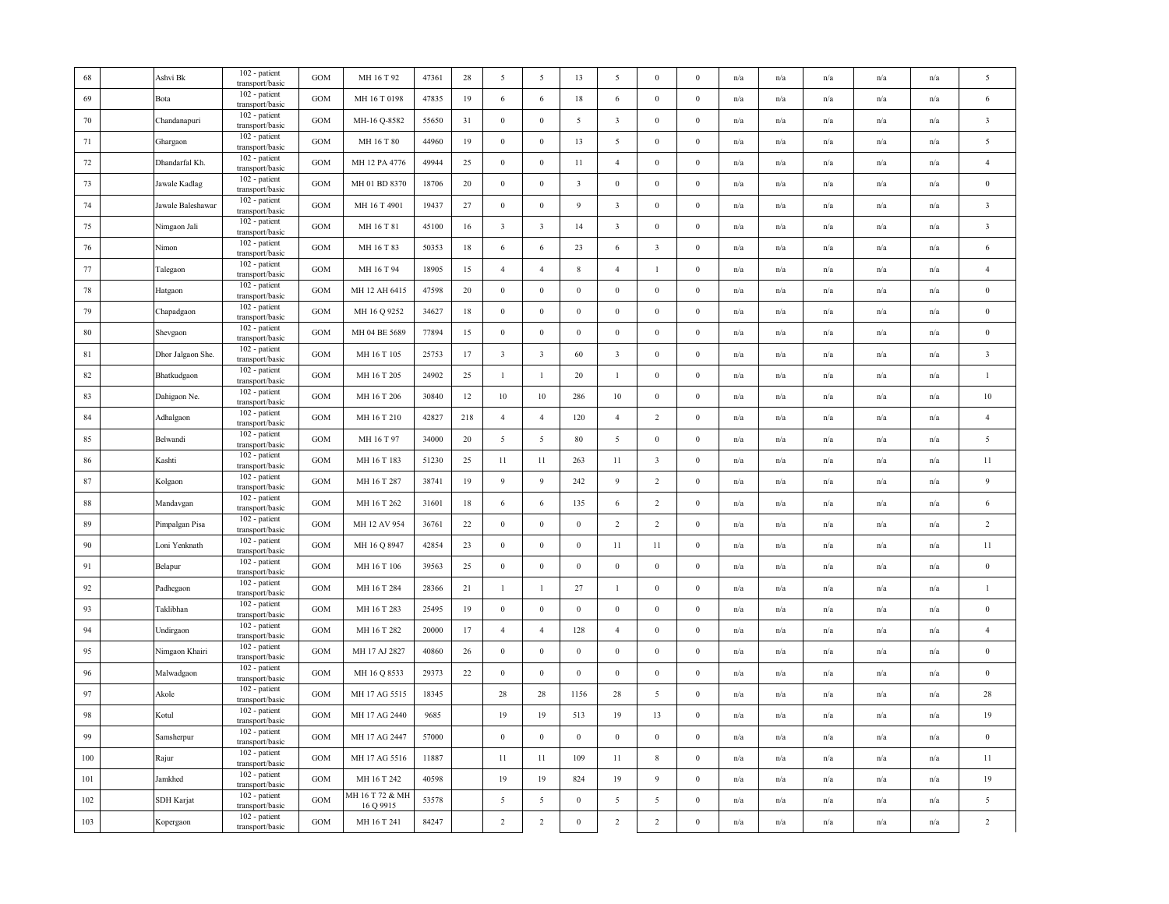| 68     | Ashvi Bk          | 102 - patient<br>transport/basic   | <b>GOM</b>   | MH 16 T 92                   | 47361 | 28  | 5                       | 5                       | 13               | $\overline{5}$          | $\bf{0}$                | $\Omega$         | n/a | n/a                     | n/a | n/a                     | n/a                     | 5                       |
|--------|-------------------|------------------------------------|--------------|------------------------------|-------|-----|-------------------------|-------------------------|------------------|-------------------------|-------------------------|------------------|-----|-------------------------|-----|-------------------------|-------------------------|-------------------------|
| 69     | Bota              | 102 - patient<br>transport/basic   | <b>GOM</b>   | MH 16 T 0198                 | 47835 | 19  | 6                       | 6                       | 18               | 6                       | $\bf{0}$                | $\bf{0}$         | n/a | n/a                     | n/a | n/a                     | n/a                     | $\sqrt{6}$              |
| $70\,$ | Chandanapuri      | 102 - patient<br>transport/basic   | <b>GOM</b>   | MH-16 Q-8582                 | 55650 | 31  | $\boldsymbol{0}$        | $\boldsymbol{0}$        | 5                | $\overline{\mathbf{3}}$ | $\bf{0}$                | $\bf{0}$         | n/a | n/a                     | n/a | $\mathrm{n}/\mathrm{a}$ | n/a                     | $\overline{\mathbf{3}}$ |
| 71     | Ghargaon          | 102 - patient<br>transport/basic   | GOM          | MH 16 T 80                   | 44960 | 19  | $\bf{0}$                | $\boldsymbol{0}$        | 13               | 5                       | $\bf{0}$                | $\bf{0}$         | n/a | n/a                     | n/a | n/a                     | n/a                     | 5                       |
| 72     | Dhandarfal Kh.    | 102 - patient<br>transport/basic   | <b>GOM</b>   | MH 12 PA 4776                | 49944 | 25  | $\boldsymbol{0}$        | $\mathbf{0}$            | 11               | $\overline{4}$          | $\bf{0}$                | $\bf{0}$         | n/a | n/a                     | n/a | n/a                     | n/a                     | $\sqrt{4}$              |
| 73     | Jawale Kadlag     | 102 - patient<br>transport/basic   | <b>GOM</b>   | MH 01 BD 8370                | 18706 | 20  | $\boldsymbol{0}$        | $\boldsymbol{0}$        | $\overline{3}$   | $\,0\,$                 | $\bf{0}$                | $\boldsymbol{0}$ | n/a | n/a                     | n/a | n/a                     | n/a                     | $\,0\,$                 |
| 74     | Jawale Baleshawar | 102 - patient<br>transport/basic   | <b>GOM</b>   | MH 16 T 4901                 | 19437 | 27  | $\boldsymbol{0}$        | $\boldsymbol{0}$        | 9                | $\overline{\mathbf{3}}$ | $\bf{0}$                | $\bf{0}$         | n/a | n/a                     | n/a | n/a                     | n/a                     | $\overline{\mathbf{3}}$ |
| 75     | Nimgaon Jali      | 102 - patient<br>transport/basic   | <b>GOM</b>   | MH 16 T 81                   | 45100 | 16  | $\mathbf{3}$            | $\overline{\mathbf{3}}$ | 14               | $\overline{\mathbf{3}}$ | $\boldsymbol{0}$        | $\mathbf{0}$     | n/a | n/a                     | n/a | n/a                     | n/a                     | $\overline{\mathbf{3}}$ |
| 76     | Nimon             | 102 - patient<br>transport/basic   | GOM          | MH 16 T 83                   | 50353 | 18  | 6                       | $\sqrt{6}$              | 23               | 6                       | $\overline{\mathbf{3}}$ | $\boldsymbol{0}$ | n/a | n/a                     | n/a | n/a                     | n/a                     | $\sqrt{6}$              |
| 77     | Talegaon          | 102 - patient<br>transport/basic   | GOM          | MH 16 T 94                   | 18905 | 15  | $\overline{4}$          | $\overline{4}$          | $\,$ 8 $\,$      | $\overline{4}$          | 1                       | $\boldsymbol{0}$ | n/a | n/a                     | n/a | n/a                     | n/a                     | $\overline{4}$          |
| 78     | Hatgaon           | $102$ - patient<br>transport/basic | <b>GOM</b>   | MH 12 AH 6415                | 47598 | 20  | $\bf{0}$                | $\bf{0}$                | $\mathbf{0}$     | $\bf{0}$                | $\bf{0}$                | $\mathbf{0}$     | n/a | n/a                     | n/a | n/a                     | n/a                     | $\bf{0}$                |
| 79     | Chapadgaon        | 102 - patient<br>transport/basic   | <b>GOM</b>   | MH 16 Q 9252                 | 34627 | 18  | $\boldsymbol{0}$        | $\boldsymbol{0}$        | $\boldsymbol{0}$ | $\boldsymbol{0}$        | $\boldsymbol{0}$        | $\mathbf{0}$     | n/a | n/a                     | n/a | n/a                     | n/a                     | $\,0\,$                 |
| 80     | Shevgaon          | 102 - patient<br>transport/basic   | <b>GOM</b>   | MH 04 BE 5689                | 77894 | 15  | $\boldsymbol{0}$        | $\boldsymbol{0}$        | $\mathbf{0}$     | $\bf{0}$                | $\bf{0}$                | $\bf{0}$         | n/a | $\mathrm{n}/\mathrm{a}$ | n/a | n/a                     | $\mathrm{n}/\mathrm{a}$ | $\bf{0}$                |
| 81     | Dhor Jalgaon She. | 102 - patient<br>transport/basic   | <b>GOM</b>   | MH 16 T 105                  | 25753 | 17  | $\overline{\mathbf{3}}$ | $\overline{\mathbf{3}}$ | 60               | $\overline{\mathbf{3}}$ | $\mathbf{0}$            | $\boldsymbol{0}$ | n/a | n/a                     | n/a | n/a                     | n/a                     | $\overline{\mathbf{3}}$ |
| 82     | Bhatkudgaon       | 102 - patient<br>transport/basic   | <b>GOM</b>   | MH 16 T 205                  | 24902 | 25  | $1\,$                   | $\mathbf{1}$            | $20\,$           | $\mathbf{1}$            | $\boldsymbol{0}$        | $\boldsymbol{0}$ | n/a | n/a                     | n/a | n/a                     | n/a                     | $\mathbf{1}$            |
| 83     | Dahigaon Ne.      | 102 - patient<br>transport/basic   | <b>GOM</b>   | MH 16 T 206                  | 30840 | 12  | $10\,$                  | 10                      | 286              | 10                      | $\boldsymbol{0}$        | $\boldsymbol{0}$ | n/a | n/a                     | n/a | n/a                     | n/a                     | 10                      |
| 84     | Adhalgaon         | 102 - patient<br>transport/basic   | <b>GOM</b>   | MH 16 T 210                  | 42827 | 218 | $\overline{4}$          | $\overline{4}$          | 120              | $\overline{4}$          | 2                       | $\bf{0}$         | n/a | n/a                     | n/a | n/a                     | n/a                     | $\overline{4}$          |
| 85     | Belwandi          | 102 - patient<br>transport/basic   | <b>GOM</b>   | MH 16 T 97                   | 34000 | 20  | $\sqrt{5}$              | $5\overline{)}$         | 80               | $\overline{5}$          | $\bf{0}$                | $\bf{0}$         | n/a | n/a                     | n/a | n/a                     | n/a                     | $\overline{5}$          |
| 86     | Kashti            | 102 - patient<br>transport/basic   | <b>GOM</b>   | MH 16 T 183                  | 51230 | 25  | 11                      | 11                      | 263              | 11                      | $\overline{\mathbf{3}}$ | $\bf{0}$         | n/a | n/a                     | n/a | n/a                     | n/a                     | 11                      |
| 87     | Kolgaon           | 102 - patient<br>transport/basic   | <b>GOM</b>   | MH 16 T 287                  | 38741 | 19  | 9                       | $\overline{9}$          | 242              | 9                       | $\overline{2}$          | $\boldsymbol{0}$ | n/a | n/a                     | n/a | n/a                     | n/a                     | 9                       |
| 88     | Mandavgan         | 102 - patient<br>transport/basic   | <b>GOM</b>   | MH 16 T 262                  | 31601 | 18  | 6                       | 6                       | 135              | 6                       | $\overline{2}$          | $\boldsymbol{0}$ | n/a | $\mathrm{n}/\mathrm{a}$ | n/a | $\mathbf{n}/\mathbf{a}$ | $\mathrm{n}/\mathrm{a}$ | $\sqrt{6}$              |
| 89     | Pimpalgan Pisa    | 102 - patient<br>transport/basic   | $_{\rm GOM}$ | MH 12 AV 954                 | 36761 | 22  | $\,0\,$                 | $\boldsymbol{0}$        | $\boldsymbol{0}$ | $\overline{2}$          | $\overline{2}$          | $\boldsymbol{0}$ | n/a | n/a                     | n/a | n/a                     | n/a                     | $\overline{2}$          |
| 90     | Loni Yenknath     | 102 - patient<br>transport/basic   | <b>GOM</b>   | MH 16 Q 8947                 | 42854 | 23  | $\boldsymbol{0}$        | $\boldsymbol{0}$        | $\boldsymbol{0}$ | 11                      | 11                      | $\boldsymbol{0}$ | n/a | n/a                     | n/a | n/a                     | n/a                     | 11                      |
| 91     | Belapur           | 102 - patient<br>transport/basic   | <b>GOM</b>   | MH 16 T 106                  | 39563 | 25  | $\bf{0}$                | $\boldsymbol{0}$        | $\bf{0}$         | $\bf{0}$                | $\bf{0}$                | $\mathbf{0}$     | n/a | n/a                     | n/a | n/a                     | n/a                     | $\boldsymbol{0}$        |
| 92     | Padhegaon         | 102 - patient<br>transport/basic   | <b>GOM</b>   | MH 16 T 284                  | 28366 | 21  | $\mathbf{1}$            | $\mathbf{1}$            | 27               | -1                      | $\bf{0}$                | $\mathbf{0}$     | n/a | n/a                     | n/a | n/a                     | n/a                     | $\mathbf{1}$            |
| 93     | Taklibhan         | 102 - patient<br>transport/basic   | <b>GOM</b>   | MH 16 T 283                  | 25495 | 19  | $\boldsymbol{0}$        | $\boldsymbol{0}$        | $\boldsymbol{0}$ | $\mathbf{0}$            | $\bf{0}$                | $\mathbf{0}$     | n/a | $\mathrm{n}/\mathrm{a}$ | n/a | n/a                     | $\mathrm{n}/\mathrm{a}$ | $\bf{0}$                |
| 94     | Undirgaon         | 102 - patient<br>transport/basic   | GOM          | MH 16 T 282                  | 20000 | 17  | $\overline{4}$          | $\overline{4}$          | 128              | $\overline{4}$          | $\mathbf{0}$            | $\boldsymbol{0}$ | n/a | n/a                     | n/a | n/a                     | n/a                     | $\overline{4}$          |
| 95     | Nimgaon Khairi    | 102 - patient<br>transport/basic   | <b>GOM</b>   | MH 17 AJ 2827                | 40860 | 26  | $\boldsymbol{0}$        | $\boldsymbol{0}$        | $\bf{0}$         | $\,$ 0 $\,$             | $\bf{0}$                | $\bf{0}$         | n/a | n/a                     | n/a | n/a                     | n/a                     | $\boldsymbol{0}$        |
| 96     | Malwadgaon        | 102 - patient<br>transport/basic   | <b>GOM</b>   | MH 16 Q 8533                 | 29373 | 22  | $\boldsymbol{0}$        | $\boldsymbol{0}$        | $\boldsymbol{0}$ | $\overline{0}$          | $\boldsymbol{0}$        | $\boldsymbol{0}$ | n/a | n/a                     | n/a | n/a                     | n/a                     | $\,0\,$                 |
| 97     | Akole             | 102 - patient<br>transport/basic   | <b>GOM</b>   | MH 17 AG 5515                | 18345 |     | 28                      | 28                      | 1156             | 28                      | 5                       | $\bf{0}$         | n/a | n/a                     | n/a | n/a                     | n/a                     | 28                      |
| 98     | Kotul             | 102 - patient<br>transport/basic   | <b>GOM</b>   | MH 17 AG 2440                | 9685  |     | 19                      | 19                      | 513              | 19                      | 13                      | $\mathbf{0}$     | n/a | n/a                     | n/a | n/a                     | n/a                     | 19                      |
| 99     | Samsherpur        | 102 - patient<br>transport/basic   | <b>GOM</b>   | MH 17 AG 2447                | 57000 |     | $\boldsymbol{0}$        | $\mathbf{0}$            | $\mathbf{0}$     | $\,0\,$                 | $\boldsymbol{0}$        | $\bf{0}$         | n/a | n/a                     | n/a | n/a                     | n/a                     | $\bf{0}$                |
| 100    | Rajur             | 102 - patient<br>transport/basic   | <b>GOM</b>   | MH 17 AG 5516                | 11887 |     | 11                      | 11                      | 109              | 11                      | $\,$ 8 $\,$             | $\boldsymbol{0}$ | n/a | n/a                     | n/a | n/a                     | n/a                     | 11                      |
| 101    | Jamkhed           | 102 - patient<br>transport/basic   | <b>GOM</b>   | MH 16 T 242                  | 40598 |     | 19                      | 19                      | 824              | 19                      | $\boldsymbol{9}$        | $\mathbf{0}$     | n/a | n/a                     | n/a | n/a                     | n/a                     | 19                      |
| 102    | SDH Karjat        | 102 - patient<br>transport/basic   | $_{\rm GOM}$ | MH 16 T 72 & MH<br>16 Q 9915 | 53578 |     | 5                       | $\overline{5}$          | $\boldsymbol{0}$ | $\overline{5}$          | $\sqrt{5}$              | $\boldsymbol{0}$ | n/a | n/a                     | n/a | n/a                     | n/a                     | $\sqrt{5}$              |
| 103    | Kopergaon         | 102 - patient<br>transport/basic   | <b>GOM</b>   | MH 16 T 241                  | 84247 |     | $\overline{2}$          | $\overline{c}$          | $\boldsymbol{0}$ | $\overline{2}$          | $\sqrt{2}$              | $\bf{0}$         | n/a | $\mathrm{n}/\mathrm{a}$ | n/a | n/a                     | $\mathrm{n}/\mathrm{a}$ | $\overline{2}$          |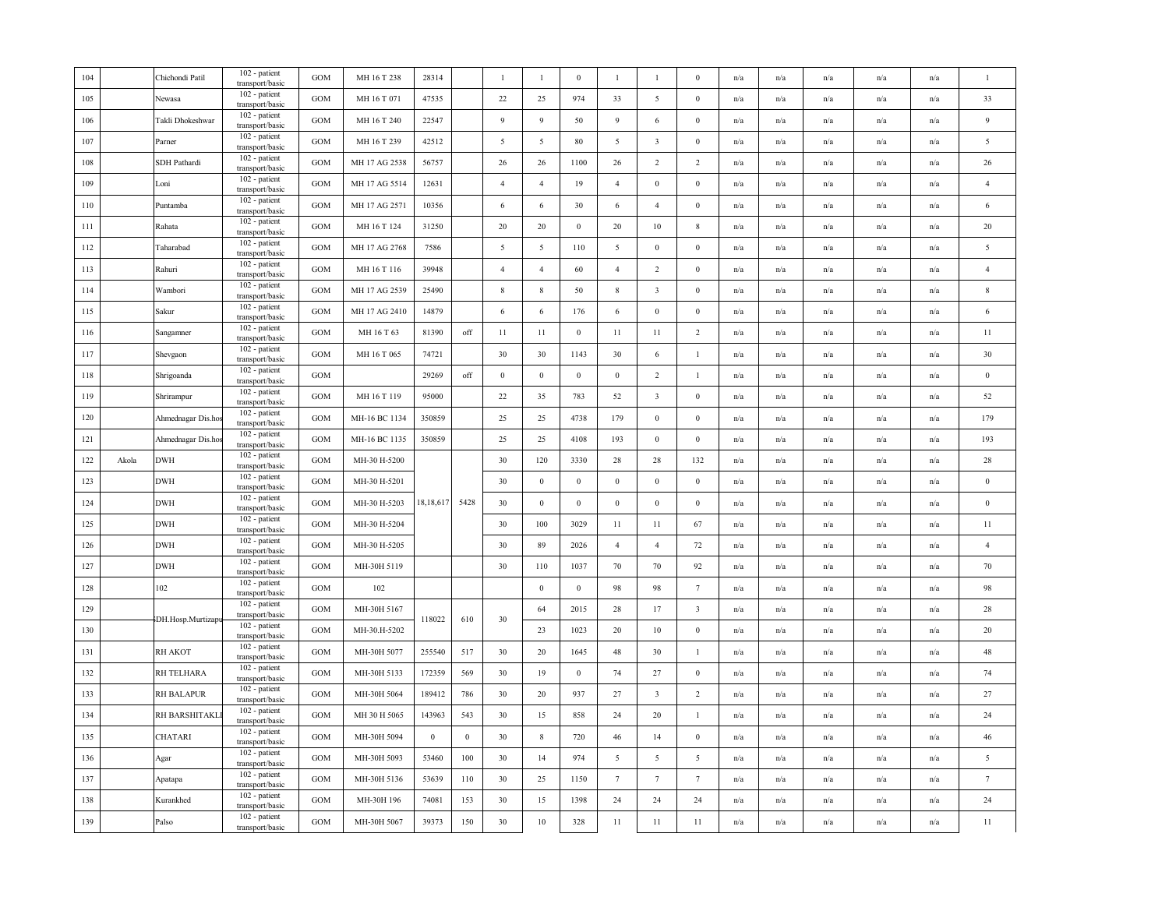| 104 |       | Chichondi Patil   | 102 - patient<br>transport/basic                    | <b>GOM</b>   | MH 16 T 238   | 28314     |          | $\mathbf{1}$   | $\mathbf{1}$     | $\mathbf{0}$     | $\overline{1}$  | $\overline{1}$          | $\mathbf{0}$            | n/a | n/a                     | n/a | n/a                     | n/a                     | $\mathbf{1}$     |
|-----|-------|-------------------|-----------------------------------------------------|--------------|---------------|-----------|----------|----------------|------------------|------------------|-----------------|-------------------------|-------------------------|-----|-------------------------|-----|-------------------------|-------------------------|------------------|
| 105 |       | Newasa            | 102 - patient<br>transport/basic                    | <b>GOM</b>   | MH 16 T 071   | 47535     |          | 22             | 25               | 974              | 33              | 5                       | $\bf{0}$                | n/a | n/a                     | n/a | n/a                     | n/a                     | 33               |
| 106 |       | Takli Dhokeshwar  | 102 - patient<br>transport/basic                    | <b>GOM</b>   | MH 16 T 240   | 22547     |          | 9              | 9                | 50               | $\overline{9}$  | $\sqrt{6}$              | $\boldsymbol{0}$        | n/a | n/a                     | n/a | n/a                     | n/a                     | $\overline{9}$   |
| 107 |       | Parner            | 102 - patient<br>transport/basic                    | <b>GOM</b>   | MH 16 T 239   | 42512     |          | 5              | 5                | 80               | 5               | $\overline{\mathbf{3}}$ | $\boldsymbol{0}$        | n/a | $\mathrm{n}/\mathrm{a}$ | n/a | $\mathrm{n}/\mathrm{a}$ | n/a                     | $\sqrt{5}$       |
| 108 |       | SDH Pathardi      | 102 - patient<br>transport/basic                    | <b>GOM</b>   | MH 17 AG 2538 | 56757     |          | 26             | 26               | 1100             | 26              | 2                       | 2                       | n/a | n/a                     | n/a | n/a                     | n/a                     | 26               |
| 109 |       | Loni              | 102 - patient<br>transport/basic                    | <b>GOM</b>   | MH 17 AG 5514 | 12631     |          | $\overline{4}$ | $\overline{4}$   | 19               | $\overline{4}$  | $\bf{0}$                | $\mathbf{0}$            | n/a | n/a                     | n/a | n/a                     | n/a                     | $\sqrt{4}$       |
| 110 |       | Puntamba          | 102 - patient<br>transport/basic                    | <b>GOM</b>   | MH 17 AG 2571 | 10356     |          | 6              | 6                | 30               | 6               | $\overline{4}$          | $\bf{0}$                | n/a | n/a                     | n/a | n/a                     | n/a                     | $\sqrt{6}$       |
| 111 |       | Rahata            | 102 - patient<br>transport/basic                    | <b>GOM</b>   | MH 16 T 124   | 31250     |          | 20             | 20               | $\boldsymbol{0}$ | 20              | 10                      | 8                       | n/a | n/a                     | n/a | n/a                     | n/a                     | 20               |
| 112 |       | Taharabad         | 102 - patient<br>transport/basic                    | <b>GOM</b>   | MH 17 AG 2768 | 7586      |          | $\sqrt{5}$     | $\overline{5}$   | 110              | 5               | $\boldsymbol{0}$        | $\mathbf{0}$            | n/a | n/a                     | n/a | $\mathrm{n}/\mathrm{a}$ | $\mathrm{n}/\mathrm{a}$ | $\sqrt{5}$       |
| 113 |       | Rahuri            | 102 - patient<br>transport/basic                    | <b>GOM</b>   | MH 16 T 116   | 39948     |          | $\overline{4}$ | $\overline{4}$   | 60               | $\overline{4}$  | 2                       | $\bf{0}$                | n/a | n/a                     | n/a | n/a                     | n/a                     | $\overline{4}$   |
| 114 |       | Wambori           | 102 - patient<br>transport/basic                    | GOM          | MH 17 AG 2539 | 25490     |          | 8              | 8                | 50               | 8               | $\overline{\mathbf{3}}$ | $\Omega$                | n/a | n/a                     | n/a | n/a                     | n/a                     | $\,$ 8 $\,$      |
| 115 |       | Sakur             | 102 - patient<br>transport/basic                    | <b>GOM</b>   | MH 17 AG 2410 | 14879     |          | 6              | 6                | 176              | 6               | $\bf{0}$                | $\bf{0}$                | n/a | n/a                     | n/a | n/a                     | n/a                     | 6                |
| 116 |       | Sangamner         | 102 - patient<br>transport/basic                    | <b>GOM</b>   | MH 16 T 63    | 81390     | off      | 11             | 11               | $\boldsymbol{0}$ | $11\,$          | 11                      | $\overline{c}$          | n/a | n/a                     | n/a | n/a                     | n/a                     | 11               |
| 117 |       | Shevgaon          | 102 - patient<br>transport/basic                    | <b>GOM</b>   | MH 16 T 065   | 74721     |          | 30             | 30               | 1143             | 30              | 6                       | $\mathbf{1}$            | n/a | n/a                     | n/a | n/a                     | $\mathrm{n}/\mathrm{a}$ | 30               |
| 118 |       | Shrigoanda        | 102 - patient<br>transport/basic                    | <b>GOM</b>   |               | 29269     | off      | $\bf{0}$       | $\boldsymbol{0}$ | $\bf{0}$         | $\bf{0}$        | 2                       | $\overline{1}$          | n/a | n/a                     | n/a | n/a                     | n/a                     | $\bf{0}$         |
| 119 |       | Shrirampur        | 102 - patient<br>transport/basic                    | <b>GOM</b>   | MH 16 T 119   | 95000     |          | 22             | 35               | 783              | 52              | $\overline{\mathbf{3}}$ | $\boldsymbol{0}$        | n/a | n/a                     | n/a | n/a                     | n/a                     | $52\,$           |
| 120 |       | Ahmednagar Dis.ho | 102 - patient<br>transport/basic                    | <b>GOM</b>   | MH-16 BC 1134 | 350859    |          | 25             | 25               | 4738             | 179             | $\boldsymbol{0}$        | $\bf{0}$                | n/a | n/a                     | n/a | n/a                     | n/a                     | 179              |
| 121 |       | Ahmednagar Dis.ho | 102 - patient<br>transport/basic                    | GOM          | MH-16 BC 1135 | 350859    |          | 25             | 25               | 4108             | 193             | $\bf{0}$                | $\bf{0}$                | n/a | n/a                     | n/a | $\mathrm{n}/\mathrm{a}$ | n/a                     | 193              |
| 122 | Akola | <b>DWH</b>        | 102 - patient<br>transport/basic                    | GOM          | MH-30 H-5200  |           |          | 30             | 120              | 3330             | 28              | 28                      | 132                     | n/a | n/a                     | n/a | $\mathrm{n}/\mathrm{a}$ | n/a                     | 28               |
| 123 |       | <b>DWH</b>        | 102 - patient<br>transport/basic                    | <b>GOM</b>   | MH-30 H-5201  |           |          | 30             | $\mathbf{0}$     | $\bf{0}$         | $\mathbf{0}$    | $\bf{0}$                | $\bf{0}$                | n/a | n/a                     | n/a | n/a                     | n/a                     | $\boldsymbol{0}$ |
| 124 |       | DWH               | 102 - patient<br>transport/basic                    | <b>GOM</b>   | MH-30 H-5203  | 18,18,617 | 5428     | 30             | $\mathbf{0}$     | $\mathbf{0}$     | $\overline{0}$  | $\bf{0}$                | $\boldsymbol{0}$        | n/a | n/a                     | n/a | n/a                     | n/a                     | $\boldsymbol{0}$ |
| 125 |       | <b>DWH</b>        | 102 - patient<br>transport/basic                    | <b>GOM</b>   | MH-30 H-5204  |           |          | 30             | 100              | 3029             | 11              | 11                      | 67                      | n/a | $\mathrm{n}/\mathrm{a}$ | n/a | n/a                     | $\mathrm{n}/\mathrm{a}$ | 11               |
| 126 |       | <b>DWH</b>        | 102 - patient<br>transport/basic                    | $_{\rm GOM}$ | MH-30 H-5205  |           |          | 30             | 89               | 2026             | $\overline{4}$  | $\overline{4}$          | $72\,$                  | n/a | n/a                     | n/a | n/a                     | n/a                     | $\overline{4}$   |
| 127 |       | <b>DWH</b>        | 102 - patient<br>transport/basic                    | GOM          | MH-30H 5119   |           |          | 30             | 110              | 1037             | 70              | $70\,$                  | 92                      | n/a | $\mathrm{n}/\mathrm{a}$ | n/a | n/a                     | $\mathrm{n}/\mathrm{a}$ | 70               |
| 128 |       | 102               | 102 - patient<br>transport/basic                    | <b>GOM</b>   | 102           |           |          |                |                  |                  |                 |                         |                         |     |                         |     |                         | n/a                     | 98               |
| 129 |       |                   |                                                     |              |               |           |          |                | $\mathbf{0}$     | $\mathbf{0}$     | 98              | 98                      | $7\phantom{.0}$         | n/a | n/a                     | n/a | n/a                     |                         |                  |
|     |       |                   | 102 - patient                                       | GOM          | MH-30H 5167   |           |          |                | 64               | 2015             | $28\,$          | 17                      | $\overline{\mathbf{3}}$ | n/a | n/a                     | n/a | n/a                     | n/a                     | 28               |
| 130 |       | DH.Hosp.Murtizapu | transport/basic<br>102 - patient<br>transport/basic | <b>GOM</b>   | MH-30.H-5202  | 118022    | 610      | 30             | 23               | 1023             | 20              | 10                      | $\bf{0}$                | n/a | n/a                     | n/a | n/a                     | n/a                     | 20               |
| 131 |       | <b>RH AKOT</b>    | 102 - patient<br>transport/basic                    | <b>GOM</b>   | MH-30H 5077   | 255540    | 517      | 30             | 20               | 1645             | 48              | 30                      | $\mathbf{1}$            | n/a | n/a                     | n/a | n/a                     | n/a                     | 48               |
| 132 |       | RH TELHARA        | 102 - patient                                       | GOM          | MH-30H 5133   | 172359    | 569      | 30             | 19               | $\boldsymbol{0}$ | 74              | 27                      | $\boldsymbol{0}$        | n/a | n/a                     | n/a | n/a                     | n/a                     | 74               |
| 133 |       | <b>RH BALAPUR</b> | transport/basic<br>102 - patient                    | <b>GOM</b>   | MH-30H 5064   | 189412    | 786      | 30             | 20               | 937              | 27              | $\overline{\mathbf{3}}$ | 2                       | n/a | n/a                     | n/a | n/a                     | n/a                     | 27               |
| 134 |       | RH BARSHITAKL     | transport/basic<br>102 - patient                    | <b>GOM</b>   | MH 30 H 5065  | 143963    | 543      | 30             | 15               | 858              | 24              | 20                      | 1                       | n/a | n/a                     | n/a | n/a                     | n/a                     | 24               |
| 135 |       | CHATARI           | transport/basic<br>102 - patient                    | <b>GOM</b>   | MH-30H 5094   | $\bf{0}$  | $\bf{0}$ | 30             | $\,$ 8 $\,$      | 720              | 46              | 14                      | $\bf{0}$                | n/a | n/a                     | n/a | n/a                     | $\mathrm{n}/\mathrm{a}$ | 46               |
| 136 |       | Agar              | transport/basic<br>102 - patient<br>transport/basic | GOM          | MH-30H 5093   | 53460     | 100      | 30             | 14               | 974              | $\overline{5}$  | $\overline{5}$          | 5                       | n/a | n/a                     | n/a | n/a                     | $\mathrm{n}/\mathrm{a}$ | $\sqrt{5}$       |
| 137 |       | Apatapa           | 102 - patient<br>transport/basic                    | <b>GOM</b>   | MH-30H 5136   | 53639     | 110      | 30             | 25               | 1150             | $7\phantom{.0}$ | $7\phantom{.0}$         | $7\phantom{.0}$         | n/a | $\mathrm{n}/\mathrm{a}$ | n/a | $\mathrm{n}/\mathrm{a}$ | $\mathrm{n}/\mathrm{a}$ | $7\phantom{.0}$  |
| 138 |       | Kurankhed         | 102 - patient<br>transport/basic                    | <b>GOM</b>   | MH-30H 196    | 74081     | 153      | 30             | 15               | 1398             | 24              | 24                      | 24                      | n/a | n/a                     | n/a | n/a                     | n/a                     | 24               |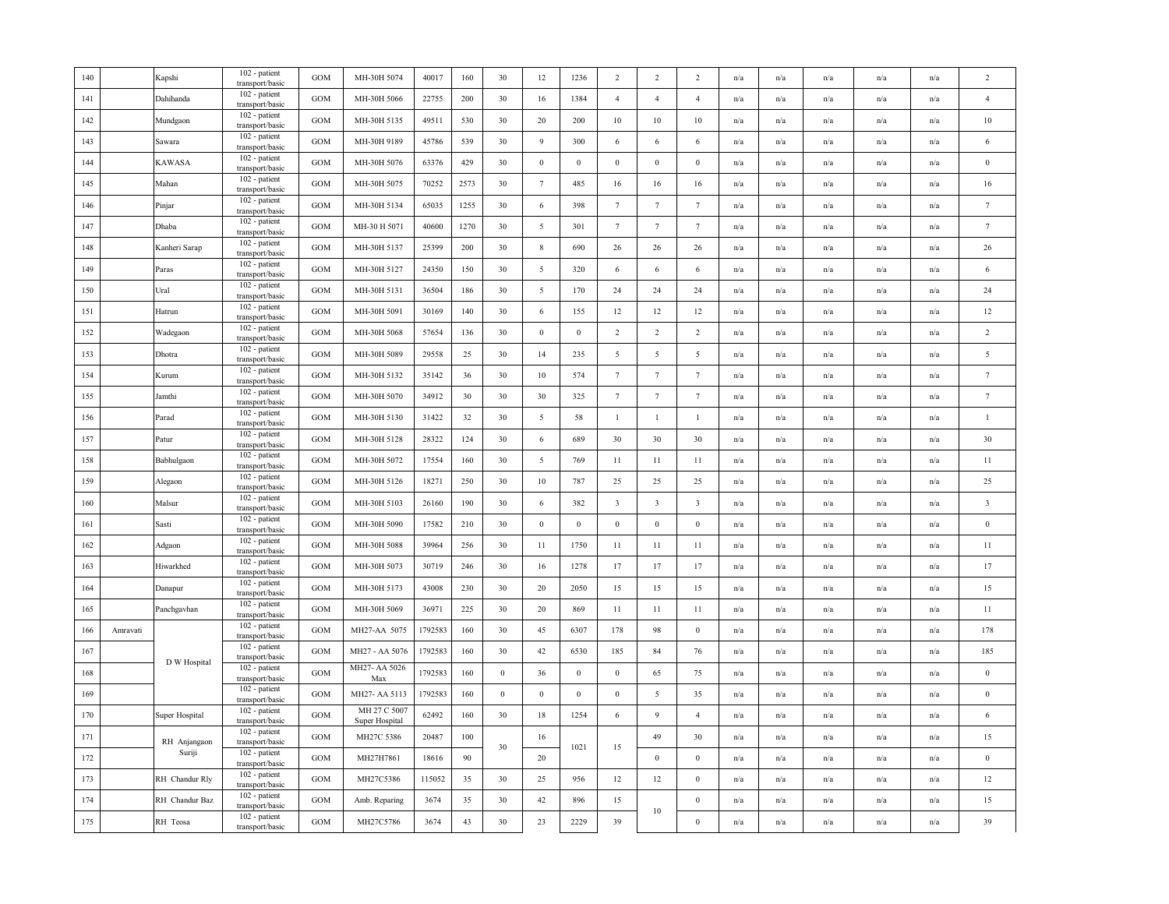| 140 |          | Kapshi         | 102 - patient<br>transport/basic   | <b>GOM</b> | MH-30H 5074                    | 40017   | 160  | 30               | 12              | 1236             | 2                       | 2                       | 2                       | n/a                     | n/a                     | n/a                     | n/a                     | n/a | 2                       |
|-----|----------|----------------|------------------------------------|------------|--------------------------------|---------|------|------------------|-----------------|------------------|-------------------------|-------------------------|-------------------------|-------------------------|-------------------------|-------------------------|-------------------------|-----|-------------------------|
| 141 |          | Dahihanda      | 102 - patient<br>transport/basic   | GOM        | MH-30H 5066                    | 22755   | 200  | 30               | 16              | 1384             | $\overline{4}$          | $\overline{4}$          | $\overline{4}$          | n/a                     | n/a                     | n/a                     | $\mathrm{n}/\mathrm{a}$ | n/a | $\overline{4}$          |
| 142 |          | Mundgaon       | 102 - patient<br>transport/basic   | GOM        | MH-30H 5135                    | 49511   | 530  | 30               | 20              | 200              | 10                      | 10                      | 10                      | $\mathrm{n}/\mathrm{a}$ | $\mathrm{n}/\mathrm{a}$ | $\mathrm{n}/\mathrm{a}$ | n/a                     | n/a | 10                      |
| 143 |          | Sawara         | 102 - patient<br>transport/basic   | GOM        | MH-30H 9189                    | 45786   | 539  | 30               | 9               | 300              | 6                       | 6                       | 6                       | n/a                     | n/a                     | n/a                     | n/a                     | n/a | 6                       |
| 144 |          | KAWASA         | 102 - patient<br>transport/basic   | GOM        | MH-30H 5076                    | 63376   | 429  | 30               | $\bf{0}$        | $\bf{0}$         | $\bf{0}$                | $\boldsymbol{0}$        | $\boldsymbol{0}$        | n/a                     | n/a                     | n/a                     | n/a                     | n/a | $\boldsymbol{0}$        |
| 145 |          | Mahan          | 102 - patient<br>transport/basic   | GOM        | MH-30H 5075                    | 70252   | 2573 | 30               | $7\phantom{.0}$ | 485              | 16                      | 16                      | 16                      | n/a                     | n/a                     | n/a                     | n/a                     | n/a | 16                      |
| 146 |          | Pinjar         | 102 - patient<br>transport/basic   | GOM        | MH-30H 5134                    | 65035   | 1255 | 30               | 6               | 398              | $7\phantom{.0}$         | $7\phantom{.0}$         | $7\phantom{.0}$         | n/a                     | n/a                     | n/a                     | n/a                     | n/a | $7\phantom{.0}$         |
| 147 |          | Dhaba          | 102 - patient<br>transport/basic   | GOM        | MH-30 H 5071                   | 40600   | 1270 | 30               | 5               | 301              | $7\phantom{.0}$         | $7\phantom{.0}$         | $7\phantom{.0}$         | n/a                     | n/a                     | $\mathrm{n}/\mathrm{a}$ | n/a                     | n/a | $7\phantom{.0}$         |
| 148 |          | Kanheri Sarap  | 102 - patient<br>transport/basic   | GOM        | MH-30H 5137                    | 25399   | 200  | 30               | $\,$ 8 $\,$     | 690              | 26                      | 26                      | 26                      | n/a                     | n/a                     | n/a                     | n/a                     | n/a | 26                      |
| 149 |          | Paras          | 102 - patient<br>transport/basic   | GOM        | MH-30H 5127                    | 24350   | 150  | 30               | 5               | 320              | 6                       | 6                       | 6                       | n/a                     | n/a                     | n/a                     | n/a                     | n/a | 6                       |
| 150 |          | Ural           | 102 - patient<br>transport/basic   | GOM        | MH-30H 5131                    | 36504   | 186  | 30               | 5               | 170              | 24                      | 24                      | 24                      | n/a                     | n/a                     | n/a                     | n/a                     | n/a | 24                      |
| 151 |          | Hatrun         | 102 - patient<br>transport/basic   | GOM        | MH-30H 5091                    | 30169   | 140  | 30               | 6               | 155              | 12                      | $12\,$                  | $12\,$                  | n/a                     | n/a                     | n/a                     | n/a                     | n/a | 12                      |
| 152 |          | Wadegaon       | 102 - patient<br>transport/basic   | <b>GOM</b> | MH-30H 5068                    | 57654   | 136  | 30               | $\mathbf{0}$    | $\mathbf{0}$     | $\overline{2}$          | $\overline{2}$          | 2                       | n/a                     | $\mathrm{n}/\mathrm{a}$ | $\mathrm{n}/\mathrm{a}$ | $\mathrm{n}/\mathrm{a}$ | n/a | $\overline{2}$          |
| 153 |          | Dhotra         | 102 - patient<br>transport/basic   | GOM        | MH-30H 5089                    | 29558   | 25   | 30               | 14              | 235              | 5                       | 5                       | 5                       | n/a                     | n/a                     | n/a                     | n/a                     | n/a | 5                       |
| 154 |          | Kurum          | 102 - patient<br>transport/basic   | GOM        | MH-30H 5132                    | 35142   | 36   | 30               | 10              | 574              | $7\phantom{.0}$         | $7\phantom{.0}$         | $\tau$                  | n/a                     | n/a                     | n/a                     | n/a                     | n/a | $7\phantom{.0}$         |
| 155 |          | Jamthi         | 102 - patient<br>transport/basic   | GOM        | MH-30H 5070                    | 34912   | 30   | 30               | 30              | 325              | $7\phantom{.0}$         | $7\phantom{.0}$         | $\tau$                  | n/a                     | n/a                     | n/a                     | n/a                     | n/a | $7\phantom{.0}$         |
| 156 |          | Parad          | 102 - patient<br>transport/basic   | GOM        | MH-30H 5130                    | 31422   | 32   | 30               | 5               | 58               | $\mathbf{1}$            | 1                       | $\mathbf{1}$            | $\mathrm{n}/\mathrm{a}$ | $\mathrm{n}/\mathrm{a}$ | $\mathrm{n}/\mathrm{a}$ | n/a                     | n/a | $\mathbf{1}$            |
| 157 |          | Patur          | 102 - patient<br>transport/basic   | GOM        | MH-30H 5128                    | 28322   | 124  | 30               | 6               | 689              | 30                      | 30                      | 30                      | n/a                     | n/a                     | $\mathrm{n}/\mathrm{a}$ | $\mathrm{n}/\mathrm{a}$ | n/a | 30                      |
| 158 |          | Babhulgaon     | 102 - patient<br>transport/basic   | GOM        | MH-30H 5072                    | 17554   | 160  | 30               | $\overline{5}$  | 769              | 11                      | 11                      | 11                      | n/a                     | n/a                     | n/a                     | n/a                     | n/a | 11                      |
| 159 |          | Alegaon        | 102 - patient<br>transport/basic   | GOM        | MH-30H 5126                    | 18271   | 250  | 30               | 10              | 787              | 25                      | 25                      | 25                      | n/a                     | n/a                     | n/a                     | n/a                     | n/a | 25                      |
| 160 |          | Malsur         | $102$ - patient<br>transport/basic | GOM        | MH-30H 5103                    | 26160   | 190  | 30               | 6               | 382              | $\overline{\mathbf{3}}$ | $\overline{\mathbf{3}}$ | $\overline{\mathbf{3}}$ | n/a                     | n/a                     | n/a                     | n/a                     | n/a | $\overline{\mathbf{3}}$ |
| 161 |          | Sasti          | 102 - patient<br>transport/basic   | GOM        | MH-30H 5090                    | 17582   | 210  | 30               | $\,0\,$         | $\,0\,$          | $\boldsymbol{0}$        | $\boldsymbol{0}$        | $\boldsymbol{0}$        | n/a                     | n/a                     | n/a                     | n/a                     | n/a | $\bf{0}$                |
| 162 |          | Adgaon         | 102 - patient<br>transport/basic   | GOM        | MH-30H 5088                    | 39964   | 256  | 30               | 11              | 1750             | 11                      | 11                      | 11                      | n/a                     | $\mathrm{n}/\mathrm{a}$ | $\mathrm{n}/\mathrm{a}$ | $\mathrm{n}/\mathrm{a}$ | n/a | 11                      |
| 163 |          | Hiwarkhed      | 102 - patient<br>transport/basic   | GOM        | MH-30H 5073                    | 30719   | 246  | 30               | 16              | 1278             | 17                      | 17                      | 17                      | n/a                     | n/a                     | n/a                     | n/a                     | n/a | 17                      |
| 164 |          | Danapur        | 102 - patient<br>transport/basic   | GOM        | MH-30H 5173                    | 43008   | 230  | 30               | 20              | 2050             | 15                      | 15                      | 15                      | n/a                     | n/a                     | n/a                     | n/a                     | n/a | 15                      |
| 165 |          | Panchgavhan    | 102 - patient<br>transport/basic   | GOM        | MH-30H 5069                    | 36971   | 225  | 30               | 20              | 869              | 11                      | 11                      | 11                      | n/a                     | n/a                     | n/a                     | n/a                     | n/a | 11                      |
| 166 | Amravati |                | 102 - patient<br>transport/basic   | <b>GOM</b> | MH27-AA 5075                   | 1792583 | 160  | 30               | 45              | 6307             | 178                     | 98                      | $\mathbf{0}$            | n/a                     | n/a                     | n/a                     | n/a                     | n/a | 178                     |
| 167 |          | D W Hospital   | 102 - patient<br>transport/basic   | GOM        | MH27 - AA 5076                 | 1792583 | 160  | 30               | 42              | 6530             | 185                     | 84                      | 76                      | n/a                     | n/a                     | n/a                     | n/a                     | n/a | 185                     |
| 168 |          |                | 102 - patient<br>transport/basic   | GOM        | MH27- AA 5026<br>Max           | 1792583 | 160  | $\boldsymbol{0}$ | 36              | $\boldsymbol{0}$ | $\boldsymbol{0}$        | 65                      | 75                      | n/a                     | n/a                     | n/a                     | n/a                     | n/a | $\bf{0}$                |
| 169 |          |                | 102 - patient<br>transport/basic   | GOM        | MH27- AA 5113                  | 1792583 | 160  | $\bf{0}$         | $\bf{0}$        | $\bf{0}$         | $\bf{0}$                | 5                       | 35                      | n/a                     | n/a                     | n/a                     | n/a                     | n/a | $\bf{0}$                |
| 170 |          | Super Hospital | 102 - patient<br>transport/basic   | <b>GOM</b> | MH 27 C 5007<br>Super Hospital | 62492   | 160  | 30               | 18              | 1254             | 6                       | 9                       | $\overline{4}$          | n/a                     | n/a                     | n/a                     | n/a                     | n/a | 6                       |
| 171 |          | RH Anjangaon   | 102 - patient<br>transport/basic   | GOM        | MH27C 5386                     | 20487   | 100  | 30               | 16              | 1021             | 15                      | 49                      | 30                      | n/a                     | n/a                     | $\mathrm{n}/\mathrm{a}$ | n/a                     | n/a | 15                      |
| 172 |          | Suriji         | 102 - patient<br>transport/basic   | <b>GOM</b> | MH27H7861                      | 18616   | 90   |                  | 20              |                  |                         | $\mathbf{0}$            | $\mathbf{0}$            | n/a                     | $\mathrm{n}/\mathrm{a}$ | $\mathrm{n}/\mathrm{a}$ | $\mathrm{n}/\mathrm{a}$ | n/a | $\bf{0}$                |
| 173 |          | RH Chandur Rly | 102 - patient<br>transport/basic   | GOM        | MH27C5386                      | 115052  | 35   | 30               | 25              | 956              | 12                      | 12                      | $\boldsymbol{0}$        | n/a                     | n/a                     | n/a                     | n/a                     | n/a | 12                      |
| 174 |          | RH Chandur Baz | 102 - patient<br>transport/basic   | GOM        | Amb. Reparing                  | 3674    | 35   | 30               | 42              | 896              | 15                      | $10\,$                  | $\boldsymbol{0}$        | n/a                     | n/a                     | n/a                     | n/a                     | n/a | 15                      |
| 175 |          | RH Teosa       | 102 - patient<br>transport/basic   | GOM        | MH27C5786                      | 3674    | 43   | 30               | 23              | 2229             | 39                      |                         | $\boldsymbol{0}$        | n/a                     | n/a                     | n/a                     | n/a                     | n/a | 39                      |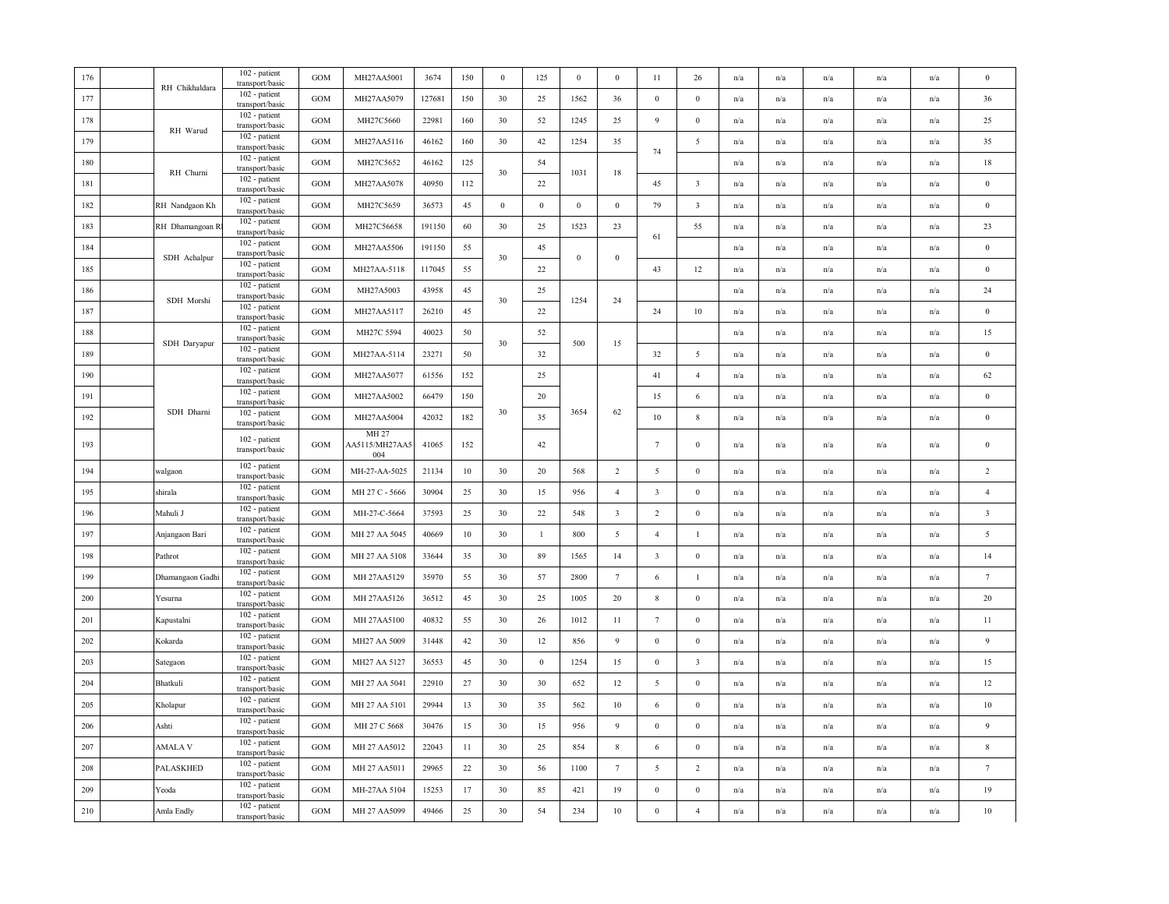| 176 | RH Chikhaldara   | 102 - patient<br>transport/basic | <b>GOM</b>   | MH27AA5001                     | 3674   | 150 | $\bf{0}$ | 125              | $\bf{0}$         | $\mathbf{0}$            | 11                      | 26                      | n/a | n/a                     | n/a | n/a                     | n/a                     | $\bf{0}$                |
|-----|------------------|----------------------------------|--------------|--------------------------------|--------|-----|----------|------------------|------------------|-------------------------|-------------------------|-------------------------|-----|-------------------------|-----|-------------------------|-------------------------|-------------------------|
| 177 |                  | 102 - patient<br>transport/basic | GOM          | MH27AA5079                     | 127681 | 150 | 30       | 25               | 1562             | 36                      | $\mathbf{0}$            | $\boldsymbol{0}$        | n/a | n/a                     | n/a | n/a                     | n/a                     | 36                      |
| 178 | RH Warud         | 102 - patient<br>transport/basic | GOM          | MH27C5660                      | 22981  | 160 | 30       | 52               | 1245             | $25\,$                  | 9                       | $\boldsymbol{0}$        | n/a | n/a                     | n/a | $\mathrm{n}/\mathrm{a}$ | n/a                     | 25                      |
| 179 |                  | 102 - patient<br>transport/basic | GOM          | MH27AA5116                     | 46162  | 160 | 30       | 42               | 1254             | 35                      |                         | $\sqrt{5}$              | n/a | n/a                     | n/a | n/a                     | n/a                     | 35                      |
| 180 |                  | 102 - patient<br>transport/basic | <b>GOM</b>   | MH27C5652                      | 46162  | 125 |          | 54               |                  |                         | 74                      |                         | n/a | n/a                     | n/a | n/a                     | n/a                     | 18                      |
| 181 | RH Churni        | 102 - patient<br>transport/basic | <b>GOM</b>   | MH27AA5078                     | 40950  | 112 | 30       | 22               | 1031             | 18                      | 45                      | $\overline{\mathbf{3}}$ | n/a | n/a                     | n/a | n/a                     | n/a                     | $\bf{0}$                |
| 182 | RH Nandgaon Kh   | 102 - patient<br>transport/basic | <b>GOM</b>   | MH27C5659                      | 36573  | 45  | $\,0\,$  | $\boldsymbol{0}$ | $\boldsymbol{0}$ | $\,0\,$                 | 79                      | $\overline{\mathbf{3}}$ | n/a | n/a                     | n/a | n/a                     | n/a                     | $\boldsymbol{0}$        |
| 183 | RH Dhamangoan R  | 102 - patient<br>transport/basic | <b>GOM</b>   | MH27C56658                     | 191150 | 60  | 30       | 25               | 1523             | 23                      |                         | 55                      | n/a | n/a                     | n/a | n/a                     | n/a                     | 23                      |
| 184 |                  | 102 - patient<br>transport/basic | $_{\rm GOM}$ | MH27AA5506                     | 191150 | 55  |          | 45               |                  |                         | 61                      |                         | n/a | n/a                     | n/a | n/a                     | $\mathrm{n}/\mathrm{a}$ | $\boldsymbol{0}$        |
| 185 | SDH Achalpur     | 102 - patient<br>transport/basic | <b>GOM</b>   | MH27AA-5118                    | 117045 | 55  | 30       | 22               | $\boldsymbol{0}$ | $\bf{0}$                | 43                      | 12                      | n/a | $\mathrm{n}/\mathrm{a}$ | n/a | n/a                     | n/a                     | $\bf{0}$                |
| 186 |                  | 102 - patient<br>transport/basic | GOM          | MH27A5003                      | 43958  | 45  |          | 25               |                  |                         |                         |                         | n/a | n/a                     | n/a | n/a                     | n/a                     | 24                      |
| 187 | SDH Morshi       | 102 - patient<br>transport/basic | <b>GOM</b>   | MH27AA5117                     | 26210  | 45  | 30       | 22               | 1254             | 24                      | 24                      | $10\,$                  | n/a | n/a                     | n/a | n/a                     | n/a                     | $\boldsymbol{0}$        |
| 188 |                  | 102 - patient<br>transport/basic | GOM          | MH27C 5594                     | 40023  | 50  |          | 52               |                  |                         |                         |                         | n/a | n/a                     | n/a | n/a                     | n/a                     | 15                      |
| 189 | SDH Daryapur     | 102 - patient<br>transport/basic | GOM          | MH27AA-5114                    | 23271  | 50  | 30       | 32               | 500              | 15                      | 32                      | 5                       | n/a | $\mathrm{n}/\mathrm{a}$ | n/a | $\mathbf{n}/\mathbf{a}$ | n/a                     | $\boldsymbol{0}$        |
| 190 |                  | 102 - patient<br>transport/basic | <b>GOM</b>   | MH27AA5077                     | 61556  | 152 |          | 25               |                  |                         | 41                      | $\overline{4}$          | n/a | $\mathrm{n}/\mathrm{a}$ | n/a | n/a                     | $\mathrm{n}/\mathrm{a}$ | 62                      |
| 191 |                  | 102 - patient<br>transport/basic | GOM          | MH27AA5002                     | 66479  | 150 |          | 20               |                  |                         | 15                      | 6                       | n/a | n/a                     | n/a | n/a                     | $\mathrm{n}/\mathrm{a}$ | $\boldsymbol{0}$        |
| 192 | SDH Dharni       | 102 - patient<br>transport/basic | GOM          | MH27AA5004                     | 42032  | 182 | 30       | 35               | 3654             | 62                      | $10\,$                  | $\,$ 8 $\,$             | n/a | n/a                     | n/a | n/a                     | n/a                     | $\boldsymbol{0}$        |
| 193 |                  | 102 - patient<br>transport/basic | <b>GOM</b>   | MH 27<br>AA5115/MH27AA5<br>004 | 41065  | 152 |          | 42               |                  |                         | $\tau$                  | $\bf{0}$                | n/a | n/a                     | n/a | n/a                     | n/a                     | $\bf{0}$                |
| 194 | walgaon          | 102 - patient<br>transport/basic | <b>GOM</b>   | MH-27-AA-5025                  | 21134  | 10  | 30       | 20               | 568              | $\overline{2}$          | 5                       | $\mathbf{0}$            | n/a | n/a                     | n/a | n/a                     | n/a                     | $\overline{2}$          |
| 195 | shirala          | 102 - patient<br>transport/basic | <b>GOM</b>   | MH 27 C - 5666                 | 30904  | 25  | 30       | 15               | 956              | $\overline{4}$          | $\overline{\mathbf{3}}$ | $\bf{0}$                | n/a | n/a                     | n/a | n/a                     | n/a                     | $\overline{4}$          |
| 196 | Mahuli J         | 102 - patient<br>transport/basic | GOM          | MH-27-C-5664                   | 37593  | 25  | 30       | $22\,$           | 548              | $\overline{\mathbf{3}}$ | $\overline{2}$          | $\boldsymbol{0}$        | n/a | n/a                     | n/a | n/a                     | n/a                     | $\overline{\mathbf{3}}$ |
| 197 | Anjangaon Bari   | 102 - patient<br>transport/basic | <b>GOM</b>   | MH 27 AA 5045                  | 40669  | 10  | 30       | $\mathbf{1}$     | 800              | $\overline{5}$          | $\overline{4}$          | $\mathbf{1}$            | n/a | $\mathrm{n}/\mathrm{a}$ | n/a | $\mathrm{n}/\mathrm{a}$ | n/a                     | $\sqrt{5}$              |
| 198 | Pathrot          | 102 - patient<br>transport/basic | <b>GOM</b>   | MH 27 AA 5108                  | 33644  | 35  | 30       | 89               | 1565             | 14                      | $\overline{\mathbf{3}}$ | $\bf{0}$                | n/a | n/a                     | n/a | $\mathrm{n}/\mathrm{a}$ | n/a                     | 14                      |
| 199 | Dhamangaon Gadhi | 102 - patient<br>transport/basic | <b>GOM</b>   | MH 27AA5129                    | 35970  | 55  | 30       | 57               | 2800             | $7\phantom{.0}$         | $\,6\,$                 | $\mathbf{1}$            | n/a | n/a                     | n/a | n/a                     | n/a                     | $7\phantom{.0}$         |
| 200 | Yesurna          | 102 - patient<br>transport/basic | <b>GOM</b>   | MH 27AA5126                    | 36512  | 45  | 30       | 25               | 1005             | 20                      | 8                       | $\bf{0}$                | n/a | n/a                     | n/a | n/a                     | n/a                     | 20                      |
| 201 | Kapustalni       | 102 - patient<br>transport/basic | <b>GOM</b>   | MH 27AA5100                    | 40832  | 55  | 30       | 26               | 1012             | 11                      | $7\phantom{.0}$         | $\mathbf{0}$            | n/a | $\mathrm{n}/\mathrm{a}$ | n/a | $\mathrm{n}/\mathrm{a}$ | $\mathrm{n}/\mathrm{a}$ | 11                      |
| 202 | Kokarda          | 102 - patient<br>transport/basic | <b>GOM</b>   | MH27 AA 5009                   | 31448  | 42  | 30       | 12               | 856              | $\overline{9}$          | $\boldsymbol{0}$        | $\boldsymbol{0}$        | n/a | $\mathrm{n}/\mathrm{a}$ | n/a | n/a                     | $\mathrm{n}/\mathrm{a}$ | $\overline{9}$          |
| 203 | Sategaon         | 102 - patient<br>transport/basic | <b>GOM</b>   | MH27 AA 5127                   | 36553  | 45  | 30       | $\boldsymbol{0}$ | 1254             | 15                      | $\bf{0}$                | $\overline{\mathbf{3}}$ | n/a | n/a                     | n/a | n/a                     | n/a                     | 15                      |
| 204 | Bhatkuli         | 102 - patient<br>transport/basic | $_{\rm GOM}$ | MH 27 AA 5041                  | 22910  | 27  | 30       | 30               | 652              | 12                      | 5                       | $\mathbf{0}$            | n/a | n/a                     | n/a | n/a                     | n/a                     | $12\,$                  |
| 205 | Kholapur         | 102 - patient<br>transport/basic | <b>GOM</b>   | MH 27 AA 5101                  | 29944  | 13  | 30       | 35               | 562              | 10                      | 6                       | $\mathbf{0}$            | n/a | n/a                     | n/a | n/a                     | n/a                     | 10                      |
| 206 | Ashti            | 102 - patient<br>transport/basic | <b>GOM</b>   | MH 27 C 5668                   | 30476  | 15  | 30       | 15               | 956              | 9                       | $\mathbf{0}$            | $\mathbf{0}$            | n/a | n/a                     | n/a | n/a                     | n/a                     | $\overline{9}$          |
| 207 | AMALA V          | 102 - patient<br>transport/basic | <b>GOM</b>   | MH 27 AA5012                   | 22043  | 11  | 30       | 25               | 854              | $\,$ 8 $\,$             | 6                       | $\boldsymbol{0}$        | n/a | $\mathrm{n}/\mathrm{a}$ | n/a | $\mathrm{n}/\mathrm{a}$ | n/a                     | $\,$ 8 $\,$             |
| 208 | PALASKHED        | 102 - patient<br>transport/basic | <b>GOM</b>   | MH 27 AA5011                   | 29965  | 22  | 30       | 56               | 1100             | $7\phantom{.0}$         | 5                       | 2                       | n/a | n/a                     | n/a | n/a                     | n/a                     | $7\phantom{.0}$         |
| 209 | Yeoda            | 102 - patient<br>transport/basic | <b>GOM</b>   | MH-27AA 5104                   | 15253  | 17  | 30       | 85               | 421              | 19                      | $\boldsymbol{0}$        | $\mathbf{0}$            | n/a | n/a                     | n/a | n/a                     | n/a                     | 19                      |
| 210 | Amla Endly       | 102 - patient<br>transport/basic | <b>GOM</b>   | MH 27 AA5099                   | 49466  | 25  | 30       | 54               | 234              | $10\,$                  | $\mathbf{0}$            | $\overline{4}$          | n/a | n/a                     | n/a | n/a                     | n/a                     | $10\,$                  |
|     |                  |                                  |              |                                |        |     |          |                  |                  |                         |                         |                         |     |                         |     |                         |                         |                         |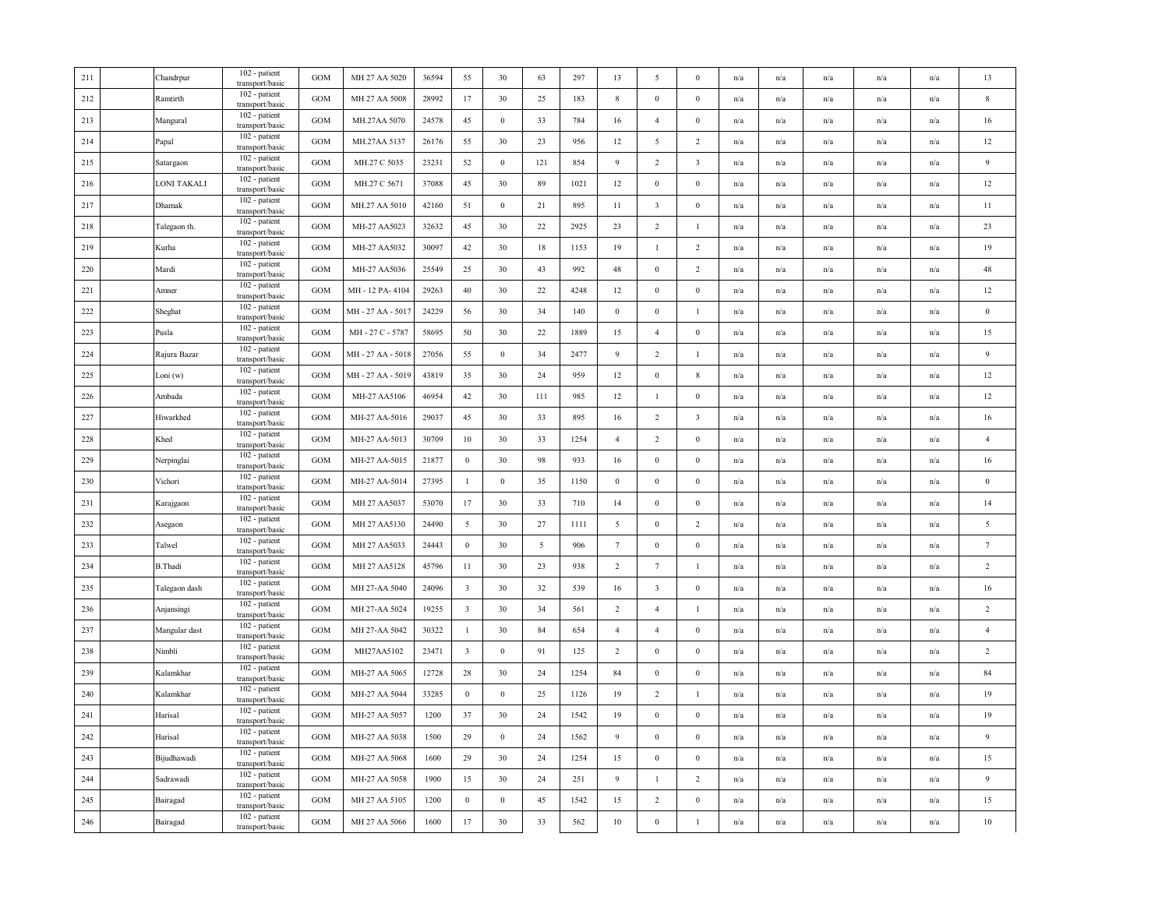| 211 | Chandrpur     | 102 - patient<br>transport/basic | <b>GOM</b>   | MH 27 AA 5020     | 36594 | 55                      | 30               | 63             | 297  | 13              | 5                       | $\mathbf{0}$            | n/a                     | n/a                     | n/a                     | n/a                     | n/a | 13              |
|-----|---------------|----------------------------------|--------------|-------------------|-------|-------------------------|------------------|----------------|------|-----------------|-------------------------|-------------------------|-------------------------|-------------------------|-------------------------|-------------------------|-----|-----------------|
| 212 | Ramtirth      | 102 - patient<br>transport/basic | GOM          | MH 27 AA 5008     | 28992 | 17                      | 30               | 25             | 183  | $\,$ 8 $\,$     | $\mathbf{0}$            | $\boldsymbol{0}$        | n/a                     | n/a                     | n/a                     | $\mathrm{n}/\mathrm{a}$ | n/a | $\,$ 8          |
| 213 | Mangural      | 102 - patient<br>transport/basic | <b>GOM</b>   | MH.27AA 5070      | 24578 | 45                      | $\bf{0}$         | 33             | 784  | 16              | $\overline{4}$          | $\boldsymbol{0}$        | $\mathrm{n}/\mathrm{a}$ | n/a                     | $\mathrm{n}/\mathrm{a}$ | n/a                     | n/a | 16              |
| 214 | Papal         | 102 - patient<br>transport/basic | GOM          | MH.27AA 5137      | 26176 | 55                      | 30               | 23             | 956  | 12              | 5                       | $\overline{2}$          | n/a                     | n/a                     | n/a                     | n/a                     | n/a | 12              |
| 215 | Satargaon     | 102 - patient<br>transport/basic | GOM          | MH.27 C 5035      | 23231 | 52                      | $\bf{0}$         | 121            | 854  | 9               | $\overline{2}$          | $\overline{\mathbf{3}}$ | n/a                     | n/a                     | n/a                     | n/a                     | n/a | $\overline{9}$  |
| 216 | LONI TAKALI   | 102 - patient<br>transport/basic | <b>GOM</b>   | MH.27 C 5671      | 37088 | 45                      | 30               | 89             | 1021 | 12              | $\boldsymbol{0}$        | $\boldsymbol{0}$        | n/a                     | n/a                     | n/a                     | n/a                     | n/a | 12              |
| 217 | Dhamak        | 102 - patient<br>transport/basic | GOM          | MH.27 AA 5010     | 42160 | 51                      | $\boldsymbol{0}$ | 21             | 895  | 11              | $\overline{\mathbf{3}}$ | $\mathbf{0}$            | n/a                     | n/a                     | n/a                     | n/a                     | n/a | 11              |
| 218 | Talegaon th.  | 102 - patient<br>transport/basic | GOM          | MH-27 AA5023      | 32632 | 45                      | 30               | 22             | 2925 | 23              | $\sqrt{2}$              | $\mathbf{1}$            | n/a                     | n/a                     | $\mathrm{n}/\mathrm{a}$ | n/a                     | n/a | 23              |
| 219 | Kurha         | 102 - patient<br>transport/basic | GOM          | MH-27 AA5032      | 30097 | 42                      | 30               | 18             | 1153 | 19              | $\mathbf{1}$            | $\sqrt{2}$              | n/a                     | n/a                     | n/a                     | n/a                     | n/a | 19              |
| 220 | Mardi         | 102 - patient<br>transport/basic | GOM          | MH-27 AA5036      | 25549 | 25                      | 30               | 43             | 992  | 48              | $\boldsymbol{0}$        | $\overline{c}$          | n/a                     | n/a                     | n/a                     | n/a                     | n/a | 48              |
| 221 | Amner         | 102 - patient<br>transport/basic | <b>GOM</b>   | MH - 12 PA-4104   | 29263 | 40                      | 30               | 22             | 4248 | 12              | $\boldsymbol{0}$        | $\mathbf{0}$            | n/a                     | n/a                     | n/a                     | n/a                     | n/a | 12              |
| 222 | Sheghat       | 102 - patient<br>transport/basic | $_{\rm GOM}$ | MH-27 AA-5017     | 24229 | 56                      | 30               | 34             | 140  | $\bf{0}$        | $\boldsymbol{0}$        | -1                      | n/a                     | n/a                     | n/a                     | n/a                     | n/a | $\bf{0}$        |
| 223 | Pusla         | 102 - patient<br>transport/basic | <b>GOM</b>   | MH-27 C-5787      | 58695 | 50                      | 30               | 22             | 1889 | 15              | $\overline{4}$          | $\mathbf{0}$            | $\mathrm{n}/\mathrm{a}$ | $\mathrm{n}/\mathrm{a}$ | $\mathrm{n}/\mathrm{a}$ | $\mathrm{n}/\mathrm{a}$ | n/a | 15              |
| 224 | Rajura Bazar  | 102 - patient<br>transport/basic | GOM          | MH-27 AA-5018     | 27056 | 55                      | $\boldsymbol{0}$ | 34             | 2477 | 9               | $\overline{2}$          |                         | n/a                     | n/a                     | n/a                     | n/a                     | n/a | 9               |
| 225 | Loni (w)      | 102 - patient<br>transport/basic | GOM          | MH - 27 AA - 5019 | 43819 | 35                      | 30               | 24             | 959  | 12              | $\boldsymbol{0}$        | 8                       | n/a                     | n/a                     | n/a                     | n/a                     | n/a | 12              |
| 226 | Ambada        | 102 - patient<br>transport/basic | <b>GOM</b>   | MH-27 AA5106      | 46954 | 42                      | 30               | 111            | 985  | 12              | $\mathbf{1}$            | $\boldsymbol{0}$        | n/a                     | n/a                     | n/a                     | n/a                     | n/a | 12              |
| 227 | Hiwarkhed     | 102 - patient<br>transport/basic | <b>GOM</b>   | MH-27 AA-5016     | 29037 | 45                      | 30               | 33             | 895  | 16              | $\overline{c}$          | $\overline{\mathbf{3}}$ | $\mathrm{n}/\mathrm{a}$ | $\mathrm{n}/\mathrm{a}$ | $\mathrm{n}/\mathrm{a}$ | n/a                     | n/a | 16              |
| 228 | Khed          | 102 - patient<br>transport/basic | GOM          | MH-27 AA-5013     | 30709 | 10                      | 30               | 33             | 1254 | $\overline{4}$  | $\overline{2}$          | $\boldsymbol{0}$        | n/a                     | n/a                     | $\mathrm{n}/\mathrm{a}$ | $\mathrm{n}/\mathrm{a}$ | n/a | $\overline{4}$  |
| 229 | Nerpinglai    | 102 - patient<br>transport/basic | GOM          | MH-27 AA-5015     | 21877 | $\boldsymbol{0}$        | 30               | 98             | 933  | 16              | $\boldsymbol{0}$        | $\boldsymbol{0}$        | n/a                     | n/a                     | n/a                     | n/a                     | n/a | 16              |
| 230 | Vichori       | 102 - patient<br>transport/basic | GOM          | MH-27 AA-5014     | 27395 | $\mathbf{1}$            | $\boldsymbol{0}$ | 35             | 1150 | $\bf{0}$        | $\boldsymbol{0}$        | $\boldsymbol{0}$        | n/a                     | n/a                     | n/a                     | n/a                     | n/a | $\bf{0}$        |
| 231 | Karajgaon     | 102 - patient<br>transport/basic | GOM          | MH 27 AA5037      | 53070 | 17                      | 30               | 33             | 710  | 14              | $\boldsymbol{0}$        | $\boldsymbol{0}$        | n/a                     | n/a                     | n/a                     | n/a                     | n/a | 14              |
| 232 | Asegaon       | 102 - patient<br>transport/basic | GOM          | MH 27 AA5130      | 24490 | 5                       | 30               | 27             | 1111 | 5               | $\boldsymbol{0}$        | $\overline{c}$          | n/a                     | n/a                     | n/a                     | n/a                     | n/a | $\overline{5}$  |
| 233 | Talwel        | 102 - patient<br>transport/basic | GOM          | MH 27 AA5033      | 24443 | $\bf{0}$                | 30               | $\overline{5}$ | 906  | $7\phantom{.0}$ | $\boldsymbol{0}$        | $\boldsymbol{0}$        | n/a                     | $\mathrm{n}/\mathrm{a}$ | $\mathrm{n}/\mathrm{a}$ | $\mathrm{n}/\mathrm{a}$ | n/a | $7\phantom{.0}$ |
| 234 | B.Thadi       | 102 - patient<br>transport/basic | GOM          | MH 27 AA5128      | 45796 | 11                      | 30               | 23             | 938  | 2               | 7                       | -1                      | n/a                     | n/a                     | n/a                     | n/a                     | n/a | 2               |
| 235 | Talegaon dash | 102 - patient<br>transport/basic | GOM          | MH 27-AA 5040     | 24096 | $\overline{\mathbf{3}}$ | 30               | 32             | 539  | 16              | $\overline{\mathbf{3}}$ | $\boldsymbol{0}$        | n/a                     | n/a                     | n/a                     | n/a                     | n/a | 16              |
| 236 | Anjansingi    | 102 - patient<br>transport/basic | <b>GOM</b>   | MH 27-AA 5024     | 19255 | $\overline{\mathbf{3}}$ | 30               | 34             | 561  | $\overline{2}$  | $\overline{4}$          | $\mathbf{1}$            | n/a                     | n/a                     | n/a                     | n/a                     | n/a | 2               |
| 237 | Mangular dast | 102 - patient<br>transport/basic | <b>GOM</b>   | MH 27-AA 5042     | 30322 | $\mathbf{1}$            | 30               | 84             | 654  | $\overline{4}$  | $\overline{4}$          | $\mathbf{0}$            | n/a                     | n/a                     | n/a                     | n/a                     | n/a | $\overline{4}$  |
| 238 | Nimbli        | 102 - patient<br>transport/basic | GOM          | MH27AA5102        | 23471 | $\overline{\mathbf{3}}$ | $\boldsymbol{0}$ | 91             | 125  | 2               | $\mathbf{0}$            | $\boldsymbol{0}$        | n/a                     | n/a                     | n/a                     | n/a                     | n/a | 2               |
| 239 | Kalamkhar     | 102 - patient<br>transport/basic | GOM          | MH-27 AA 5065     | 12728 | 28                      | 30               | 24             | 1254 | 84              | $\boldsymbol{0}$        | $\boldsymbol{0}$        | n/a                     | n/a                     | n/a                     | n/a                     | n/a | 84              |
| 240 | Kalamkhar     | 102 - patient<br>transport/basic | <b>GOM</b>   | MH-27 AA 5044     | 33285 | $\boldsymbol{0}$        | $\bf{0}$         | 25             | 1126 | 19              | $\overline{c}$          | -1                      | n/a                     | n/a                     | n/a                     | n/a                     | n/a | 19              |
| 241 | Harisal       | 102 - patient<br>transport/basic | <b>GOM</b>   | MH-27 AA 5057     | 1200  | 37                      | 30               | 24             | 1542 | 19              | $\boldsymbol{0}$        | $\mathbf{0}$            | n/a                     | n/a                     | n/a                     | n/a                     | n/a | 19              |
| 242 | Harisal       | 102 - patient<br>transport/basic | <b>GOM</b>   | MH-27 AA 5038     | 1500  | 29                      | $\bf{0}$         | 24             | 1562 | 9               | $\boldsymbol{0}$        | $\boldsymbol{0}$        | n/a                     | n/a                     | $\mathrm{n}/\mathrm{a}$ | n/a                     | n/a | $\overline{9}$  |
| 243 | Bijudhawadi   | 102 - patient<br>transport/basic | <b>GOM</b>   | MH-27 AA 5068     | 1600  | 29                      | 30               | 24             | 1254 | 15              | $\boldsymbol{0}$        | $\mathbf{0}$            | $\mathrm{n}/\mathrm{a}$ | $\mathrm{n}/\mathrm{a}$ | $\mathrm{n}/\mathrm{a}$ | $\mathrm{n}/\mathrm{a}$ | n/a | 15              |
| 244 | Sadrawadi     | 102 - patient<br>transport/basic | GOM          | MH-27 AA 5058     | 1900  | 15                      | 30               | 24             | 251  | 9               | -1                      | $\overline{2}$          | n/a                     | n/a                     | n/a                     | n/a                     | n/a | 9               |
| 245 | Bairagad      | 102 - patient<br>transport/basic | GOM          | MH 27 AA 5105     | 1200  | $\boldsymbol{0}$        | $\boldsymbol{0}$ | 45             | 1542 | 15              | $\overline{2}$          | $\boldsymbol{0}$        | n/a                     | n/a                     | n/a                     | n/a                     | n/a | 15              |
| 246 | Bairagad      | 102 - patient<br>transport/basic | GOM          | MH 27 AA 5066     | 1600  | 17                      | 30               | 33             | 562  | $10\,$          | $\boldsymbol{0}$        | $\mathbf{1}$            | n/a                     | n/a                     | n/a                     | n/a                     | n/a | $10\,$          |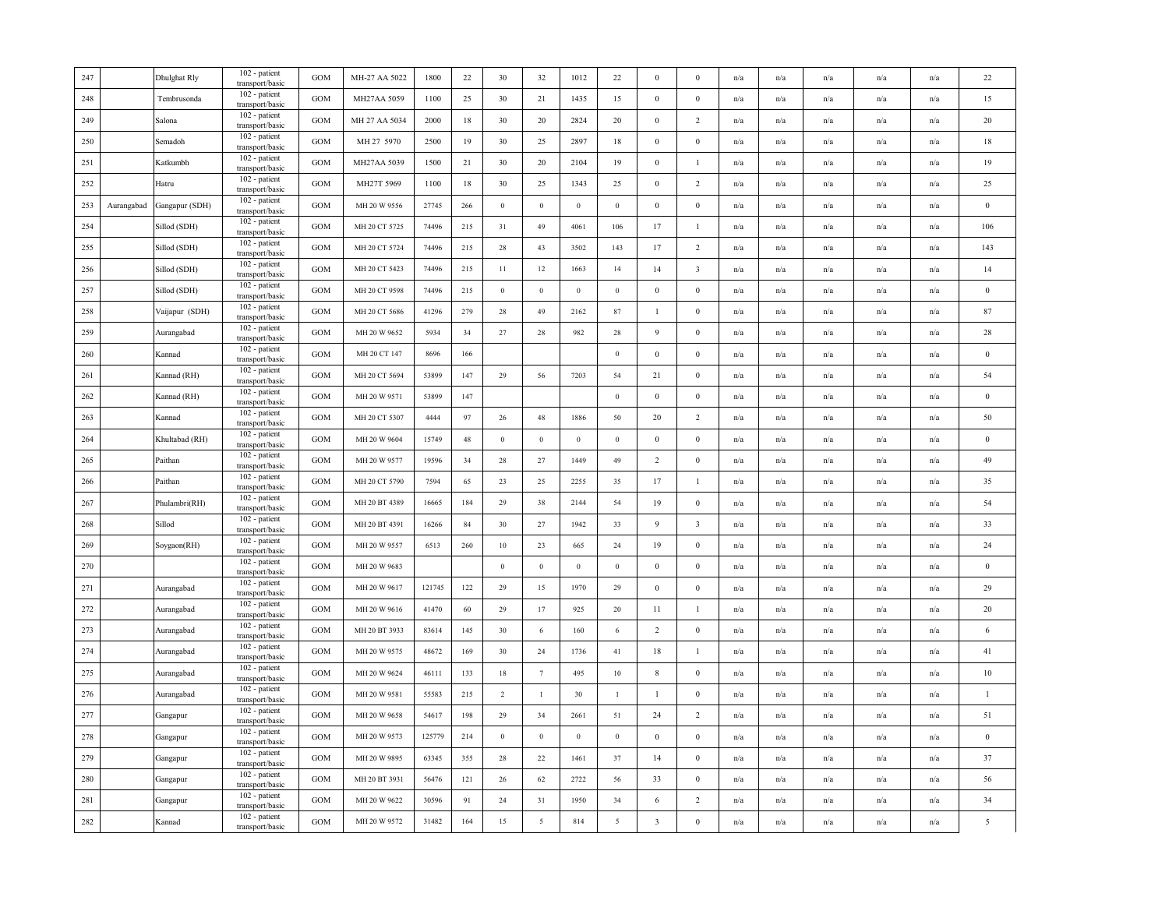| 247 |            | Dhulghat Rly   | 102 - patient<br>transport/basic | <b>GOM</b> | MH-27 AA 5022 | 1800   | 22  | 30             | 32              | 1012         | 22               | $\mathbf{0}$            | $\mathbf{0}$            | n/a                     | n/a                     | n/a                     | n/a                     | n/a | $22\,$         |
|-----|------------|----------------|----------------------------------|------------|---------------|--------|-----|----------------|-----------------|--------------|------------------|-------------------------|-------------------------|-------------------------|-------------------------|-------------------------|-------------------------|-----|----------------|
| 248 |            | Tembrusonda    | 102 - patient<br>transport/basic | GOM        | MH27AA 5059   | 1100   | 25  | 30             | 21              | 1435         | 15               | $\mathbf{0}$            | $\boldsymbol{0}$        | n/a                     | n/a                     | n/a                     | n/a                     | n/a | 15             |
| 249 |            | Salona         | 102 - patient<br>transport/basic | <b>GOM</b> | MH 27 AA 5034 | 2000   | 18  | 30             | 20              | 2824         | 20               | $\boldsymbol{0}$        | $\overline{2}$          | $\mathrm{n}/\mathrm{a}$ | $\mathrm{n}/\mathrm{a}$ | $\mathrm{n}/\mathrm{a}$ | $\mathrm{n}/\mathrm{a}$ | n/a | 20             |
| 250 |            | Semadoh        | 102 - patient<br>transport/basic | <b>GOM</b> | MH 27 5970    | 2500   | 19  | 30             | 25              | 2897         | 18               | $\bf{0}$                | $\mathbf{0}$            | n/a                     | n/a                     | n/a                     | n/a                     | n/a | 18             |
| 251 |            | Katkumbh       | 102 - patient<br>transport/basic | GOM        | MH27AA 5039   | 1500   | 21  | 30             | 20              | 2104         | 19               | $\boldsymbol{0}$        | -1                      | n/a                     | n/a                     | n/a                     | n/a                     | n/a | 19             |
| 252 |            | Hatru          | 102 - patient<br>transport/basic | GOM        | MH27T 5969    | 1100   | 18  | 30             | 25              | 1343         | 25               | $\boldsymbol{0}$        | $\overline{c}$          | n/a                     | n/a                     | n/a                     | n/a                     | n/a | 25             |
| 253 | Aurangabad | Gangapur (SDH) | 102 - patient<br>transport/basic | <b>GOM</b> | MH 20 W 9556  | 27745  | 266 | $\bf 0$        | $\,0\,$         | $\,0\,$      | $\boldsymbol{0}$ | $\mathbf{0}$            | $\boldsymbol{0}$        | n/a                     | n/a                     | $\mathrm{n}/\mathrm{a}$ | $\mathrm{n}/\mathrm{a}$ | n/a | $\bf{0}$       |
| 254 |            | Sillod (SDH)   | 102 - patient<br>transport/basic | GOM        | MH 20 CT 5725 | 74496  | 215 | 31             | 49              | 4061         | 106              | 17                      | $\mathbf{1}$            | n/a                     | n/a                     | n/a                     | $\mathbf{n}/\mathbf{a}$ | n/a | 106            |
| 255 |            | Sillod (SDH)   | 102 - patient<br>transport/basic | GOM        | MH 20 CT 5724 | 74496  | 215 | 28             | 43              | 3502         | 143              | 17                      | $\overline{2}$          | n/a                     | n/a                     | n/a                     | n/a                     | n/a | 143            |
| 256 |            | Sillod (SDH)   | 102 - patient<br>transport/basic | GOM        | MH 20 CT 5423 | 74496  | 215 | $11\,$         | 12              | 1663         | 14               | 14                      | $\overline{\mathbf{3}}$ | n/a                     | n/a                     | $\mathrm{n}/\mathrm{a}$ | n/a                     | n/a | 14             |
| 257 |            | Sillod (SDH)   | 102 - patient<br>transport/basic | GOM        | MH 20 CT 9598 | 74496  | 215 | $\,0\,$        | $\mathbf{0}$    | $\,0\,$      | $\,0\,$          | $\bf{0}$                | $\mathbf{0}$            | n/a                     | n/a                     | n/a                     | n/a                     | n/a | $\bf{0}$       |
| 258 |            | Vaijapur (SDH) | 102 - patient<br>transport/basic | <b>GOM</b> | MH 20 CT 5686 | 41296  | 279 | 28             | 49              | 2162         | 87               | $\overline{1}$          | $\mathbf{0}$            | n/a                     | n/a                     | n/a                     | n/a                     | n/a | 87             |
| 259 |            | Aurangabad     | 102 - patient<br>transport/basic | GOM        | MH 20 W 9652  | 5934   | 34  | 27             | $28\,$          | 982          | 28               | 9                       | $\mathbf{0}$            | n/a                     | n/a                     | n/a                     | n/a                     | n/a | $28\,$         |
| 260 |            | Kannad         | 102 - patient<br>transport/basic | <b>GOM</b> | MH 20 CT 147  | 8696   | 166 |                |                 |              | $\,0\,$          | $\mathbf{0}$            | $\mathbf{0}$            | n/a                     | $\mathrm{n}/\mathrm{a}$ | $\mathrm{n}/\mathrm{a}$ | n/a                     | n/a | $\bf{0}$       |
| 261 |            | Kannad (RH)    | 102 - patient<br>transport/basic | GOM        | MH 20 CT 5694 | 53899  | 147 | 29             | 56              | 7203         | 54               | 21                      | $\boldsymbol{0}$        | n/a                     | n/a                     | n/a                     | n/a                     | n/a | 54             |
| 262 |            | Kannad (RH)    | 102 - patient<br>transport/basic | <b>GOM</b> | MH 20 W 9571  | 53899  | 147 |                |                 |              | $\,$ 0 $\,$      | $\mathbf{0}$            | $\mathbf{0}$            | n/a                     | n/a                     | n/a                     | n/a                     | n/a | $\bf{0}$       |
| 263 |            | Kannad         | 102 - patient<br>transport/basic | GOM        | MH 20 CT 5307 | 4444   | 97  | 26             | $48\,$          | 1886         | 50               | 20                      | $\overline{c}$          | n/a                     | n/a                     | n/a                     | n/a                     | n/a | 50             |
| 264 |            | Khultabad (RH) | 102 - patient<br>transport/basic | <b>GOM</b> | MH 20 W 9604  | 15749  | 48  | $\bf{0}$       | $\,0\,$         | $\,0\,$      | $\,0\,$          | $\mathbf{0}$            | $\boldsymbol{0}$        | n/a                     | n/a                     | n/a                     | $\mathrm{n}/\mathrm{a}$ | n/a | $\bf{0}$       |
| 265 |            | Paithan        | 102 - patient<br>transport/basic | GOM        | MH 20 W 9577  | 19596  | 34  | 28             | $27\,$          | 1449         | 49               | $\overline{2}$          | $\boldsymbol{0}$        | n/a                     | n/a                     | n/a                     | $\mathrm{n}/\mathrm{a}$ | n/a | 49             |
| 266 |            | Paithan        | 102 - patient<br>transport/basic | <b>GOM</b> | MH 20 CT 5790 | 7594   | 65  | 23             | 25              | 2255         | 35               | 17                      | $\mathbf{1}$            | n/a                     | n/a                     | n/a                     | n/a                     | n/a | 35             |
| 267 |            | Phulambri(RH)  | 102 - patient<br>transport/basic | GOM        | MH 20 BT 4389 | 16665  | 184 | 29             | 38              | 2144         | 54               | 19                      | $\boldsymbol{0}$        | n/a                     | n/a                     | n/a                     | n/a                     | n/a | 54             |
| 268 |            | Sillod         | 102 - patient<br>transport/basic | <b>GOM</b> | MH 20 BT 4391 | 16266  | 84  | 30             | 27              | 1942         | 33               | 9                       | $\overline{\mathbf{3}}$ | n/a                     | n/a                     | n/a                     | n/a                     | n/a | 33             |
| 269 |            | Soygaon(RH)    | 102 - patient<br>transport/basic | GOM        | MH 20 W 9557  | 6513   | 260 | $10\,$         | 23              | 665          | 24               | 19                      | $\boldsymbol{0}$        | n/a                     | n/a                     | $\mathrm{n}/\mathrm{a}$ | $\mathrm{n}/\mathrm{a}$ | n/a | 24             |
| 270 |            |                | 102 - patient<br>transport/basic | <b>GOM</b> | MH 20 W 9683  |        |     | $\bf{0}$       | $\mathbf{0}$    | $\,0\,$      | $\bf{0}$         | $\mathbf{0}$            | $\mathbf{0}$            | n/a                     | n/a                     | n/a                     | n/a                     | n/a | $\bf{0}$       |
| 271 |            | Aurangabad     | 102 - patient<br>transport/basic | <b>GOM</b> | MH 20 W 9617  | 121745 | 122 | 29             | 15              | 1970         | 29               | $\mathbf{0}$            | $\mathbf{0}$            | n/a                     | n/a                     | n/a                     | n/a                     | n/a | 29             |
| 272 |            | Aurangabad     | 102 - patient<br>transport/basic | GOM        | MH 20 W 9616  | 41470  | 60  | 29             | 17              | 925          | 20               | 11                      | $\mathbf{1}$            | n/a                     | n/a                     | n/a                     | n/a                     | n/a | 20             |
| 273 |            | Aurangabad     | 102 - patient<br>transport/basic | <b>GOM</b> | MH 20 BT 3933 | 83614  | 145 | 30             | $\sqrt{6}$      | 160          | 6                | $\overline{c}$          | $\boldsymbol{0}$        | n/a                     | n/a                     | n/a                     | n/a                     | n/a | 6              |
| 274 |            | Aurangabad     | 102 - patient<br>transport/basic | <b>GOM</b> | MH 20 W 9575  | 48672  | 169 | 30             | 24              | 1736         | 41               | 18                      | $\mathbf{1}$            | n/a                     | n/a                     | n/a                     | n/a                     | n/a | 41             |
| 275 |            | Aurangabad     | 102 - patient<br>transport/basic | GOM        | MH 20 W 9624  | 46111  | 133 | 18             | $7\phantom{.0}$ | 495          | $10\,$           | 8                       | $\mathbf{0}$            | n/a                     | n/a                     | n/a                     | n/a                     | n/a | $10\,$         |
| 276 |            | Aurangabad     | 102 - patient<br>transport/basic | <b>GOM</b> | MH 20 W 9581  | 55583  | 215 | $\overline{2}$ | $\mathbf{1}$    | 30           | $\mathbf{1}$     | 1                       | $\boldsymbol{0}$        | n/a                     | n/a                     | n/a                     | n/a                     | n/a | $\mathbf{1}$   |
| 277 |            | Gangapur       | 102 - patient<br>transport/basic | <b>GOM</b> | MH 20 W 9658  | 54617  | 198 | 29             | 34              | 2661         | 51               | 24                      | 2                       | $\mathrm{n}/\mathrm{a}$ | $\mathrm{n}/\mathrm{a}$ | $\mathrm{n}/\mathrm{a}$ | n/a                     | n/a | 51             |
| 278 |            | Gangapur       | 102 - patient<br>transport/basic | GOM        | MH 20 W 9573  | 125779 | 214 | $\bf{0}$       | $\bf{0}$        | $\mathbf{0}$ | $\bf{0}$         | $\bf{0}$                | $\bf{0}$                | n/a                     | n/a                     | n/a                     | n/a                     | n/a | $\bf{0}$       |
| 279 |            | Gangapur       | 102 - patient<br>transport/basic | <b>GOM</b> | MH 20 W 9895  | 63345  | 355 | 28             | $22\,$          | 1461         | 37               | 14                      | $\boldsymbol{0}$        | n/a                     | n/a                     | n/a                     | n/a                     | n/a | 37             |
| 280 |            | Gangapur       | 102 - patient<br>transport/basic | GOM        | MH 20 BT 3931 | 56476  | 121 | 26             | 62              | 2722         | 56               | 33                      | $\mathbf{0}$            | n/a                     | n/a                     | n/a                     | n/a                     | n/a | 56             |
| 281 |            | Gangapur       | 102 - patient<br>transport/basic | GOM        | MH 20 W 9622  | 30596  | 91  | 24             | 31              | 1950         | 34               | 6                       | $\overline{2}$          | n/a                     | n/a                     | n/a                     | n/a                     | n/a | 34             |
| 282 |            | Kannad         | 102 - patient<br>transport/basic | <b>GOM</b> | MH 20 W 9572  | 31482  | 164 | 15             | $\overline{5}$  | 814          | $\sqrt{5}$       | $\overline{\mathbf{3}}$ | $\boldsymbol{0}$        | n/a                     | n/a                     | n/a                     | n/a                     | n/a | $\overline{5}$ |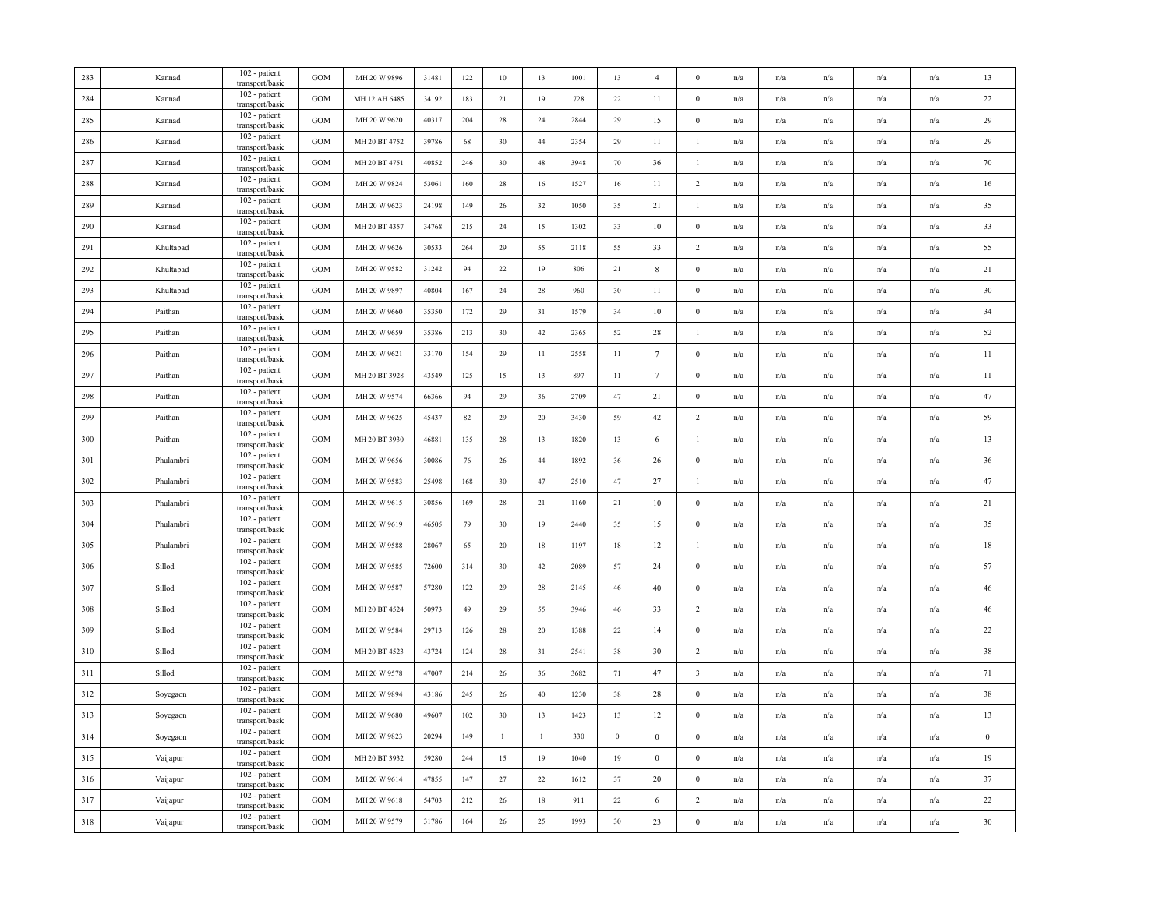| 283 | Kannad    | 102 - patient<br>transport/basic        | <b>GOM</b> | MH 20 W 9896  | 31481 | 122 | $10\,$       | 13           | 1001 | 13           | $\overline{4}$   | $\mathbf{0}$            | n/a | n/a                     | n/a                     | n/a                     | n/a | 13               |
|-----|-----------|-----------------------------------------|------------|---------------|-------|-----|--------------|--------------|------|--------------|------------------|-------------------------|-----|-------------------------|-------------------------|-------------------------|-----|------------------|
| 284 | Kannad    | 102 - patient<br>transport/basic        | <b>GOM</b> | MH 12 AH 6485 | 34192 | 183 | 21           | 19           | 728  | 22           | 11               | $\mathbf{0}$            | n/a | n/a                     | n/a                     | n/a                     | n/a | $22\,$           |
| 285 | Kannad    | 102 - patient<br>transport/basic        | <b>GOM</b> | MH 20 W 9620  | 40317 | 204 | 28           | $24\,$       | 2844 | 29           | 15               | $\boldsymbol{0}$        | n/a | n/a                     | n/a                     | n/a                     | n/a | 29               |
| 286 | Kannad    | 102 - patient<br>transport/basic        | GOM        | MH 20 BT 4752 | 39786 | 68  | 30           | $44$         | 2354 | 29           | 11               | $\mathbf{1}$            | n/a | n/a                     | $\mathrm{n}/\mathrm{a}$ | n/a                     | n/a | 29               |
| 287 | Kannad    | 102 - patient<br>transport/basic        | <b>GOM</b> | MH 20 BT 4751 | 40852 | 246 | 30           | 48           | 3948 | 70           | 36               | $\mathbf{1}$            | n/a | n/a                     | n/a                     | n/a                     | n/a | 70               |
| 288 | Kannad    | 102 - patient<br>transport/basic        | GOM        | MH 20 W 9824  | 53061 | 160 | 28           | 16           | 1527 | 16           | 11               | $\overline{c}$          | n/a | n/a                     | n/a                     | n/a                     | n/a | 16               |
| 289 | Kannad    | 102 - patient<br>transport/basic        | <b>GOM</b> | MH 20 W 9623  | 24198 | 149 | 26           | 32           | 1050 | 35           | 21               | $\mathbf{1}$            | n/a | n/a                     | n/a                     | n/a                     | n/a | 35               |
| 290 | Kannad    | 102 - patient<br>transport/basic        | <b>GOM</b> | MH 20 BT 4357 | 34768 | 215 | 24           | 15           | 1302 | 33           | 10               | $\boldsymbol{0}$        | n/a | n/a                     | n/a                     | $\mathbf{n}/\mathbf{a}$ | n/a | 33               |
| 291 | Khultabad | 102 - patient<br>transport/basic        | GOM        | MH 20 W 9626  | 30533 | 264 | 29           | 55           | 2118 | 55           | 33               | $\overline{c}$          | n/a | n/a                     | $\mathrm{n}/\mathrm{a}$ | $\mathrm{n}/\mathrm{a}$ | n/a | 55               |
| 292 | Khultabad | 102 - patient<br>transport/basic        | <b>GOM</b> | MH 20 W 9582  | 31242 | 94  | $22\,$       | 19           | 806  | 21           | 8                | $\mathbf{0}$            | n/a | n/a                     | n/a                     | n/a                     | n/a | 21               |
| 293 | Khultabad | 102 - patient<br>transport/basic        | GOM        | MH 20 W 9897  | 40804 | 167 | 24           | $28\,$       | 960  | 30           | 11               | $\boldsymbol{0}$        | n/a | n/a                     | n/a                     | n/a                     | n/a | 30               |
| 294 | Paithan   | 102 - patient<br>transport/basic        | <b>GOM</b> | MH 20 W 9660  | 35350 | 172 | 29           | 31           | 1579 | 34           | 10               | $\mathbf{0}$            | n/a | n/a                     | n/a                     | n/a                     | n/a | 34               |
| 295 | Paithan   | 102 - patient<br>transport/basic        | GOM        | MH 20 W 9659  | 35386 | 213 | 30           | $42\,$       | 2365 | 52           | $28\,$           | $\mathbf{1}$            | n/a | n/a                     | n/a                     | n/a                     | n/a | 52               |
| 296 | Paithan   | 102 - patient<br>transport/basic        | <b>GOM</b> | MH 20 W 9621  | 33170 | 154 | 29           | 11           | 2558 | 11           | $7\phantom{.0}$  | $\boldsymbol{0}$        | n/a | $\mathrm{n}/\mathrm{a}$ | $\mathrm{n}/\mathrm{a}$ | $\mathrm{n}/\mathrm{a}$ | n/a | 11               |
| 297 | Paithan   | 102 - patient<br>transport/basic        | <b>GOM</b> | MH 20 BT 3928 | 43549 | 125 | 15           | 13           | 897  | 11           | $7\phantom{.0}$  | $\mathbf{0}$            | n/a | n/a                     | n/a                     | $\mathbf{n}/\mathbf{a}$ | n/a | 11               |
| 298 | Paithan   | 102 - patient<br>transport/basic        | <b>GOM</b> | MH 20 W 9574  | 66366 | 94  | 29           | 36           | 2709 | 47           | 21               | $\boldsymbol{0}$        | n/a | n/a                     | n/a                     | n/a                     | n/a | 47               |
| 299 | Paithan   | 102 - patient<br>transport/basic        | <b>GOM</b> | MH 20 W 9625  | 45437 | 82  | 29           | $20\,$       | 3430 | 59           | 42               | $\overline{c}$          | n/a | n/a                     | n/a                     | n/a                     | n/a | 59               |
| 300 | Paithan   | 102 - patient<br>transport/basic        | <b>GOM</b> | MH 20 BT 3930 | 46881 | 135 | 28           | 13           | 1820 | 13           | 6                | $\mathbf{1}$            | n/a | n/a                     | n/a                     | n/a                     | n/a | 13               |
| 301 | Phulambri | $102$ - patient<br>transport/basic      | GOM        | MH 20 W 9656  | 30086 | 76  | 26           | 44           | 1892 | 36           | 26               | $\boldsymbol{0}$        | n/a | n/a                     | $\mathrm{n}/\mathrm{a}$ | n/a                     | n/a | 36               |
| 302 | Phulambri | 102 - patient<br>transport/basic        | <b>GOM</b> | MH 20 W 9583  | 25498 | 168 | 30           | $47\,$       | 2510 | 47           | 27               | $\mathbf{1}$            | n/a | n/a                     | n/a                     | n/a                     | n/a | 47               |
| 303 | Phulambri | 102 - patient<br>transport/basic        | GOM        | MH 20 W 9615  | 30856 | 169 | 28           | 21           | 1160 | 21           | 10               | $\boldsymbol{0}$        | n/a | n/a                     | n/a                     | n/a                     | n/a | 21               |
| 304 | Phulambri | $102$ - patient $\,$<br>transport/basic | GOM        | MH 20 W 9619  | 46505 | 79  | 30           | 19           | 2440 | 35           | 15               | $\boldsymbol{0}$        | n/a | n/a                     | n/a                     | n/a                     | n/a | 35               |
| 305 | Phulambri | 102 - patient<br>transport/basic        | GOM        | MH 20 W 9588  | 28067 | 65  | $20\,$       | $18\,$       | 1197 | $18\,$       | $12\,$           | $\mathbf{1}$            | n/a | n/a                     | n/a                     | n/a                     | n/a | 18               |
| 306 | Sillod    | 102 - patient<br>transport/basic        | GOM        | MH 20 W 9585  | 72600 | 314 | 30           | 42           | 2089 | 57           | 24               | $\boldsymbol{0}$        | n/a | $\mathrm{n}/\mathrm{a}$ | $\mathrm{n}/\mathrm{a}$ | $\mathrm{n}/\mathrm{a}$ | n/a | 57               |
| 307 | Sillod    | 102 - patient<br>transport/basic        | <b>GOM</b> | MH 20 W 9587  | 57280 | 122 | 29           | 28           | 2145 | 46           | 40               | $\mathbf{0}$            | n/a | n/a                     | n/a                     | n/a                     | n/a | 46               |
| 308 | Sillod    | 102 - patient<br>transport/basic        | GOM        | MH 20 BT 4524 | 50973 | 49  | 29           | 55           | 3946 | 46           | 33               | $\overline{c}$          | n/a | n/a                     | n/a                     | n/a                     | n/a | $46\,$           |
| 309 | Sillod    | 102 - patient<br>transport/basic        | <b>GOM</b> | MH 20 W 9584  | 29713 | 126 | 28           | $20\,$       | 1388 | 22           | 14               | $\bf{0}$                | n/a | n/a                     | n/a                     | n/a                     | n/a | 22               |
| 310 | Sillod    | 102 - patient<br>transport/basic        | <b>GOM</b> | MH 20 BT 4523 | 43724 | 124 | 28           | 31           | 2541 | 38           | 30               | $\overline{2}$          | n/a | n/a                     | n/a                     | n/a                     | n/a | 38               |
| 311 | Sillod    | 102 - patient<br>transport/basic        | GOM        | MH 20 W 9578  | 47007 | 214 | 26           | 36           | 3682 | 71           | 47               | $\overline{\mathbf{3}}$ | n/a | n/a                     | n/a                     | n/a                     | n/a | 71               |
| 312 | Soyegaon  | 102 - patient<br>transport/basic        | <b>GOM</b> | MH 20 W 9894  | 43186 | 245 | 26           | $40\,$       | 1230 | 38           | 28               | $\mathbf{0}$            | n/a | n/a                     | n/a                     | n/a                     | n/a | 38               |
| 313 | Soyegaon  | 102 - patient<br>transport/basic        | GOM        | MH 20 W 9680  | 49607 | 102 | 30           | 13           | 1423 | 13           | 12               | $\boldsymbol{0}$        | n/a | n/a                     | n/a                     | n/a                     | n/a | 13               |
| 314 | Soyegaon  | 102 - patient<br>transport/basic        | <b>GOM</b> | MH 20 W 9823  | 20294 | 149 | $\mathbf{1}$ | $\mathbf{1}$ | 330  | $\mathbf{0}$ | $\boldsymbol{0}$ | $\mathbf{0}$            | n/a | n/a                     | n/a                     | n/a                     | n/a | $\boldsymbol{0}$ |
| 315 | Vaijapur  | 102 - patient<br>transport/basic        | GOM        | MH 20 BT 3932 | 59280 | 244 | 15           | 19           | 1040 | 19           | $\boldsymbol{0}$ | $\mathbf{0}$            | n/a | n/a                     | n/a                     | n/a                     | n/a | 19               |
| 316 | Vaijapur  | 102 - patient<br>transport/basic        | GOM        | MH 20 W 9614  | 47855 | 147 | 27           | 22           | 1612 | 37           | 20               | $\mathbf{0}$            | n/a | n/a                     | $\mathrm{n}/\mathrm{a}$ | $\mathrm{n}/\mathrm{a}$ | n/a | 37               |
| 317 | Vaijapur  | 102 - patient<br>transport/basic        | <b>GOM</b> | MH 20 W 9618  | 54703 | 212 | 26           | 18           | 911  | 22           | 6                | 2                       | n/a | n/a                     | n/a                     | $\mathrm{n}/\mathrm{a}$ | n/a | 22               |
| 318 | Vaijapur  | 102 - patient<br>transport/basic        | GOM        | MH 20 W 9579  | 31786 | 164 | $26\,$       | $25\,$       | 1993 | 30           | 23               | $\boldsymbol{0}$        | n/a | n/a                     | n/a                     | n/a                     | n/a | 30               |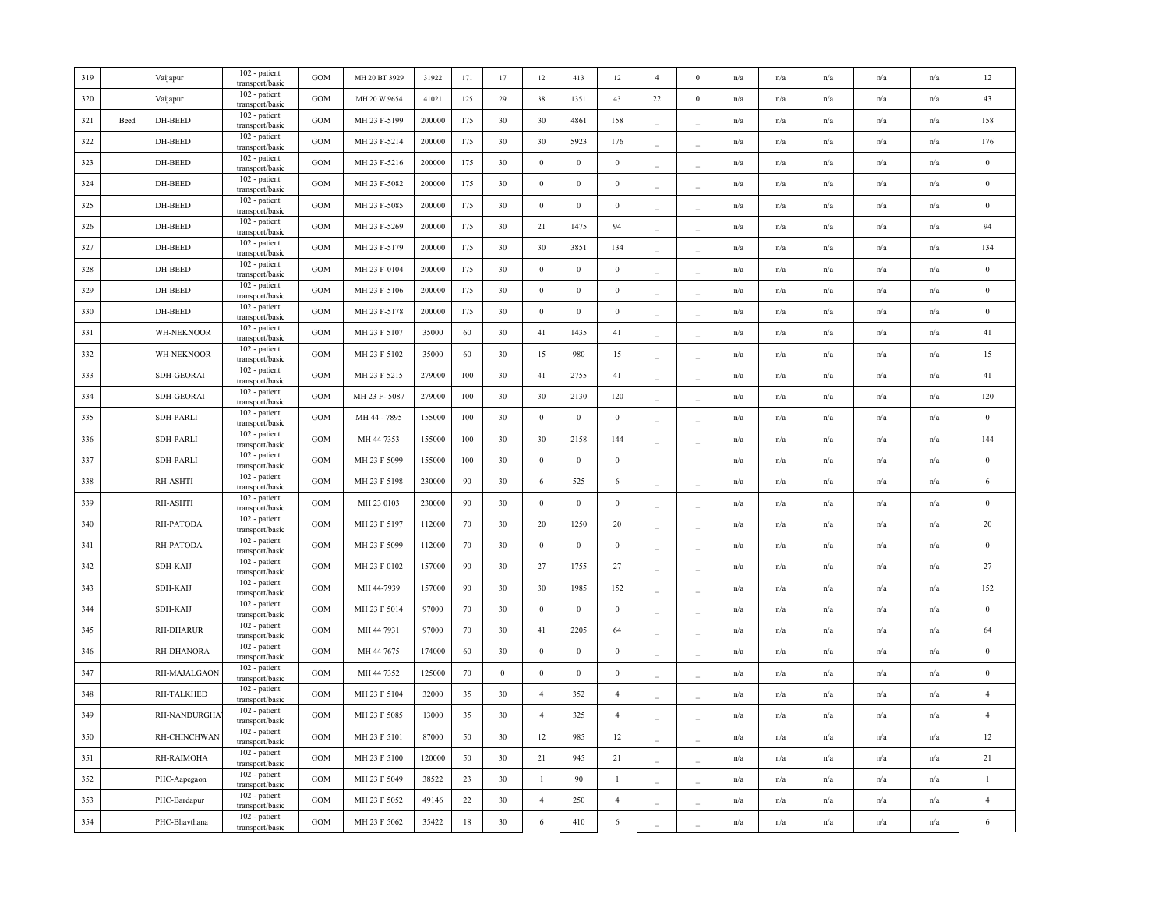| 319 |      | Vaijapur      | 102 - patient<br>transport/basic | <b>GOM</b>   | MH 20 BT 3929 | 31922  | 171    | $17\,$   | $12 \,$          | 413              | $12\,$           | $\overline{4}$           | $\Omega$ | n/a | n/a                     | n/a | n/a                     | n/a                     | 12               |
|-----|------|---------------|----------------------------------|--------------|---------------|--------|--------|----------|------------------|------------------|------------------|--------------------------|----------|-----|-------------------------|-----|-------------------------|-------------------------|------------------|
| 320 |      | Vaijapur      | 102 - patient<br>transport/basic | <b>GOM</b>   | MH 20 W 9654  | 41021  | 125    | 29       | 38               | 1351             | 43               | 22                       | $\bf{0}$ | n/a | n/a                     | n/a | n/a                     | n/a                     | 43               |
| 321 | Beed | DH-BEED       | 102 - patient<br>transport/basic | GOM          | MH 23 F-5199  | 200000 | 175    | 30       | 30               | 4861             | 158              |                          |          | n/a | n/a                     | n/a | n/a                     | n/a                     | 158              |
| 322 |      | DH-BEED       | 102 - patient<br>transport/basic | <b>GOM</b>   | MH 23 F-5214  | 200000 | 175    | 30       | 30               | 5923             | 176              | $\overline{a}$           | ÷.       | n/a | $\mathrm{n}/\mathrm{a}$ | n/a | $\mathrm{n}/\mathrm{a}$ | n/a                     | 176              |
| 323 |      | DH-BEED       | 102 - patient<br>transport/basic | GOM          | MH 23 F-5216  | 200000 | 175    | 30       | $\mathbf{0}$     | $\mathbf{0}$     | $\overline{0}$   | $\sim$                   |          | n/a | n/a                     | n/a | n/a                     | n/a                     | $\bf{0}$         |
| 324 |      | DH-BEED       | 102 - patient<br>transport/basic | <b>GOM</b>   | MH 23 F-5082  | 200000 | 175    | 30       | $\boldsymbol{0}$ | $\bf{0}$         | $\mathbf{0}$     |                          |          | n/a | n/a                     | n/a | n/a                     | n/a                     | $\boldsymbol{0}$ |
| 325 |      | DH-BEED       | 102 - patient<br>transport/basic | <b>GOM</b>   | MH 23 F-5085  | 200000 | 175    | 30       | $\bf{0}$         | $\mathbf{0}$     | $\overline{0}$   |                          |          | n/a | n/a                     | n/a | n/a                     | n/a                     | $\mathbf{0}$     |
| 326 |      | DH-BEED       | 102 - patient<br>transport/basic | <b>GOM</b>   | MH 23 F-5269  | 200000 | 175    | 30       | 21               | 1475             | 94               |                          |          | n/a | n/a                     | n/a | n/a                     | n/a                     | 94               |
| 327 |      | DH-BEED       | 102 - patient<br>transport/basic | <b>GOM</b>   | MH 23 F-5179  | 200000 | 175    | 30       | 30               | 3851             | 134              |                          |          | n/a | n/a                     | n/a | n/a                     | n/a                     | 134              |
| 328 |      | DH-BEED       | 102 - patient<br>transport/basic | <b>GOM</b>   | MH 23 F-0104  | 200000 | 175    | 30       | $\boldsymbol{0}$ | $\boldsymbol{0}$ | $\boldsymbol{0}$ |                          |          | n/a | $\mathrm{n}/\mathrm{a}$ | n/a | n/a                     | $\mathrm{n}/\mathrm{a}$ | $\bf{0}$         |
| 329 |      | DH-BEED       | 102 - patient<br>transport/basic | GOM          | MH 23 F-5106  | 200000 | 175    | 30       | $\mathbf{0}$     | $\boldsymbol{0}$ | $\mathbf{0}$     |                          |          | n/a | n/a                     | n/a | n/a                     | n/a                     | $\bf{0}$         |
| 330 |      | DH-BEED       | 102 - patient<br>transport/basic | <b>GOM</b>   | MH 23 F-5178  | 200000 | 175    | 30       | $\mathbf{0}$     | $\mathbf{0}$     | $\overline{0}$   |                          |          | n/a | n/a                     | n/a | n/a                     | n/a                     | $\bf{0}$         |
| 331 |      | WH-NEKNOOR    | 102 - patient<br>transport/basic | <b>GOM</b>   | MH 23 F 5107  | 35000  | 60     | 30       | 41               | 1435             | 41               |                          |          | n/a | n/a                     | n/a | n/a                     | n/a                     | 41               |
| 332 |      | WH-NEKNOOR    | 102 - patient<br>transport/basic | <b>GOM</b>   | MH 23 F 5102  | 35000  | 60     | 30       | 15               | 980              | 15               | $\sim$                   |          | n/a | $\mathrm{n}/\mathrm{a}$ | n/a | n/a                     | n/a                     | 15               |
| 333 |      | SDH-GEORAI    | 102 - patient<br>transport/basic | GOM          | MH 23 F 5215  | 279000 | 100    | 30       | 41               | 2755             | 41               | $\overline{\phantom{a}}$ |          | n/a | n/a                     | n/a | n/a                     | n/a                     | 41               |
| 334 |      | SDH-GEORAI    | 102 - patient<br>transport/basic | GOM          | MH 23 F-5087  | 279000 | 100    | 30       | 30               | 2130             | 120              | $\overline{\phantom{a}}$ |          | n/a | n/a                     | n/a | n/a                     | n/a                     | 120              |
| 335 |      | SDH-PARLI     | 102 - patient<br>transport/basic | <b>GOM</b>   | MH 44 - 7895  | 155000 | 100    | 30       | $\mathbf{0}$     | $\boldsymbol{0}$ | $\overline{0}$   | $\overline{\phantom{a}}$ |          | n/a | n/a                     | n/a | n/a                     | n/a                     | $\bf{0}$         |
| 336 |      | SDH-PARLI     | 102 - patient<br>transport/basic | <b>GOM</b>   | MH 44 7353    | 155000 | 100    | 30       | 30               | 2158             | 144              | $\sim$                   |          | n/a | n/a                     | n/a | n/a                     | n/a                     | 144              |
| 337 |      | SDH-PARLI     | 102 - patient<br>transport/basic | <b>GOM</b>   | MH 23 F 5099  | 155000 | 100    | 30       | $\boldsymbol{0}$ | $\,0\,$          | $\,0\,$          |                          |          | n/a | n/a                     | n/a | n/a                     | n/a                     | $\boldsymbol{0}$ |
| 338 |      | RH-ASHTI      | 102 - patient<br>transport/basic | <b>GOM</b>   | MH 23 F 5198  | 230000 | 90     | 30       | 6                | 525              | 6                |                          |          | n/a | n/a                     | n/a | n/a                     | $\mathrm{n}/\mathrm{a}$ | 6                |
| 339 |      | RH-ASHTI      | 102 - patient<br>transport/basic | <b>GOM</b>   | MH 23 0103    | 230000 | 90     | 30       | $\boldsymbol{0}$ | $\boldsymbol{0}$ | $\mathbf{0}$     |                          |          | n/a | n/a                     | n/a | n/a                     | n/a                     | $\bf{0}$         |
| 340 |      | RH-PATODA     | 102 - patient<br>transport/basic | <b>GOM</b>   | MH 23 F 5197  | 112000 | 70     | 30       | 20               | 1250             | 20               |                          |          | n/a | $\mathrm{n}/\mathrm{a}$ | n/a | n/a                     | $\mathrm{n}/\mathrm{a}$ | 20               |
| 341 |      | RH-PATODA     | 102 - patient<br>transport/basic | <b>GOM</b>   | MH 23 F 5099  | 112000 | 70     | 30       | $\boldsymbol{0}$ | $\boldsymbol{0}$ | $\mathbf{0}$     |                          |          | n/a | n/a                     | n/a | n/a                     | n/a                     | $\boldsymbol{0}$ |
| 342 |      | SDH-KAIJ      | 102 - patient<br>transport/basic | <b>GOM</b>   | MH 23 F 0102  | 157000 | 90     | 30       | 27               | 1755             | 27               |                          |          | n/a | n/a                     | n/a | n/a                     | n/a                     | $27\,$           |
| 343 |      | SDH-KAIJ      | 102 - patient<br>transport/basic | <b>GOM</b>   | MH 44-7939    | 157000 | 90     | 30       | 30               | 1985             | 152              |                          |          | n/a | n/a                     | n/a | n/a                     | n/a                     | 152              |
| 344 |      | SDH-KAIJ      | 102 - patient<br>transport/basic | <b>GOM</b>   | MH 23 F 5014  | 97000  | 70     | 30       | $\boldsymbol{0}$ | $\mathbf{0}$     | $\mathbf{0}$     |                          |          | n/a | n/a                     | n/a | n/a                     | $\mathrm{n}/\mathrm{a}$ | $\bf{0}$         |
| 345 |      | RH-DHARUR     | 102 - patient<br>transport/basic | <b>GOM</b>   | MH 44 7931    | 97000  | 70     | 30       | 41               | 2205             | 64               | $\overline{\phantom{a}}$ |          | n/a | $\mathrm{n}/\mathrm{a}$ | n/a | n/a                     | n/a                     | 64               |
| 346 |      | RH-DHANORA    | 102 - patient<br>transport/basic | <b>GOM</b>   | MH 44 7675    | 174000 | 60     | 30       | $\boldsymbol{0}$ | $\boldsymbol{0}$ | $\mathbf{0}$     | $\overline{\phantom{a}}$ | $\equiv$ | n/a | n/a                     | n/a | n/a                     | n/a                     | $\bf{0}$         |
| 347 |      | RH-MAJALGAON  | 102 - patient<br>transport/basic | <b>GOM</b>   | MH 44 7352    | 125000 | 70     | $\bf{0}$ | $\boldsymbol{0}$ | $\boldsymbol{0}$ | $\mathbf{0}$     | $\overline{\phantom{a}}$ | $\sim$   | n/a | n/a                     | n/a | n/a                     | n/a                     | $\boldsymbol{0}$ |
| 348 |      | RH-TALKHED    | 102 - patient<br>transport/basic | <b>GOM</b>   | MH 23 F 5104  | 32000  | 35     | 30       | $\overline{4}$   | 352              | $\overline{4}$   | $\overline{\phantom{a}}$ | $\sim$   | n/a | n/a                     | n/a | n/a                     | n/a                     | $\overline{4}$   |
| 349 |      | RH-NANDURGHA  | 102 - patient<br>transport/basic | <b>GOM</b>   | MH 23 F 5085  | 13000  | 35     | 30       | $\overline{4}$   | 325              | $\overline{4}$   |                          |          | n/a | n/a                     | n/a | n/a                     | n/a                     | $\overline{4}$   |
| 350 |      | RH-CHINCHWAN  | 102 - patient<br>transport/basic | <b>GOM</b>   | MH 23 F 5101  | 87000  | 50     | 30       | 12               | 985              | 12               | $\overline{\phantom{a}}$ |          | n/a | n/a                     | n/a | $\mathrm{n}/\mathrm{a}$ | n/a                     | 12               |
| 351 |      | RH-RAIMOHA    | 102 - patient<br>transport/basic | <b>GOM</b>   | MH 23 F 5100  | 120000 | 50     | 30       | 21               | 945              | 21               |                          |          | n/a | $\mathrm{n}/\mathrm{a}$ | n/a | n/a                     | $\mathrm{n}/\mathrm{a}$ | 21               |
| 352 |      | PHC-Aapegaon  | 102 - patient<br>transport/basic | <b>GOM</b>   | MH 23 F 5049  | 38522  | 23     | 30       | $\mathbf{1}$     | 90               | $\mathbf{1}$     |                          |          | n/a | n/a                     | n/a | n/a                     | n/a                     | $\overline{1}$   |
| 353 |      | PHC-Bardapur  | 102 - patient<br>transport/basic | $_{\rm GOM}$ | MH 23 F 5052  | 49146  | $22\,$ | 30       | $\overline{4}$   | 250              | $\overline{4}$   |                          |          | n/a | n/a                     | n/a | n/a                     | n/a                     | $\overline{4}$   |
| 354 |      | PHC-Bhavthana | 102 - patient<br>transport/basic | GOM          | MH 23 F 5062  | 35422  | 18     | 30       | $\,6\,$          | 410              | $\sqrt{6}$       |                          |          | n/a | n/a                     | n/a | n/a                     | $\mathrm{n}/\mathrm{a}$ | $\,$ 6 $\,$      |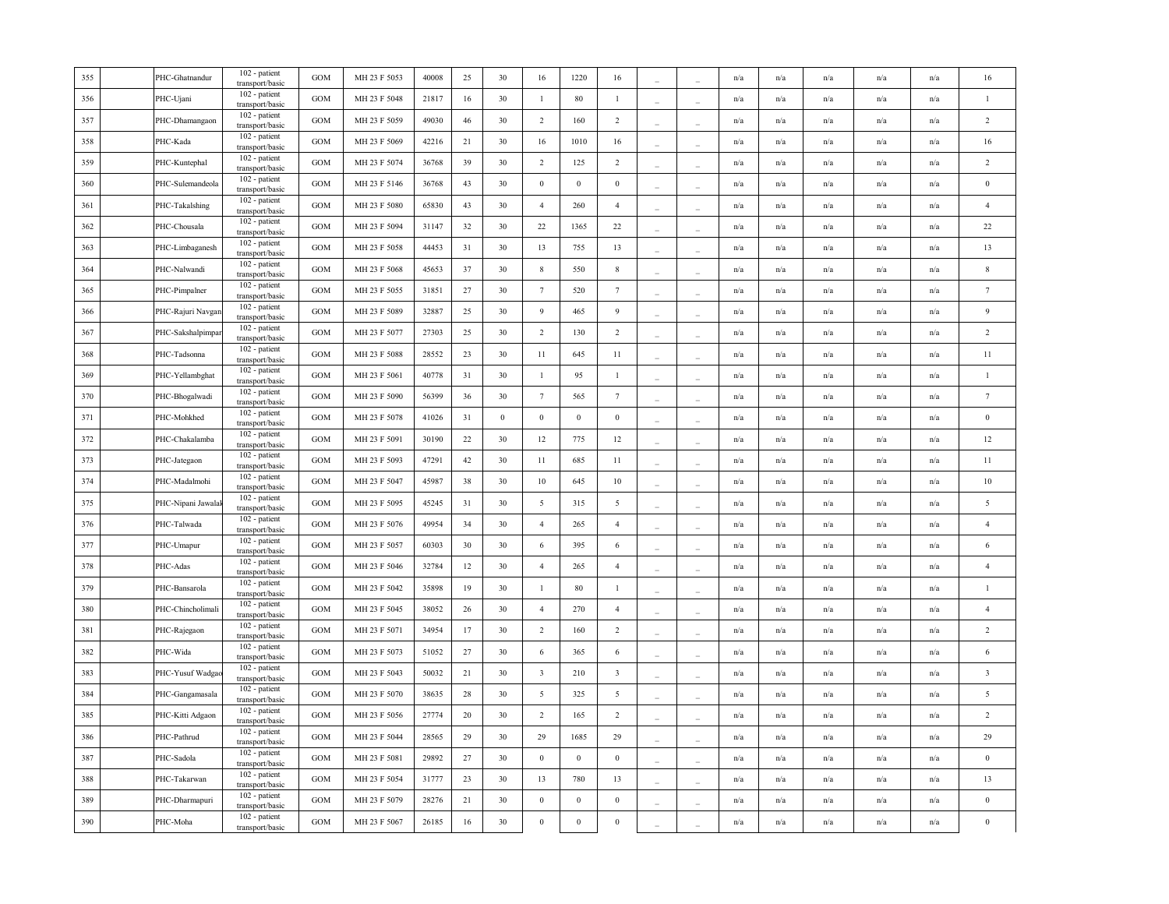| 355 | PHC-Ghatnandur     | 102 - patient<br>transport/basic | <b>GOM</b> | MH 23 F 5053 | 40008 | 25 | 30       | 16                      | 1220             | 16                      |                          |                          | n/a                     | n/a                     | n/a | n/a                     | n/a                     | 16                      |
|-----|--------------------|----------------------------------|------------|--------------|-------|----|----------|-------------------------|------------------|-------------------------|--------------------------|--------------------------|-------------------------|-------------------------|-----|-------------------------|-------------------------|-------------------------|
| 356 | PHC-Ujani          | 102 - patient<br>transport/basic | <b>GOM</b> | MH 23 F 5048 | 21817 | 16 | 30       | $\mathbf{1}$            | $80\,$           | $\mathbf{1}$            |                          | $\sim$                   | n/a                     | n/a                     | n/a | n/a                     | n/a                     | $\mathbf{1}$            |
| 357 | PHC-Dhamangaon     | 102 - patient<br>transport/basic | <b>GOM</b> | MH 23 F 5059 | 49030 | 46 | 30       | $\overline{2}$          | 160              | $\overline{2}$          |                          | $\overline{\phantom{a}}$ | n/a                     | $\mathrm{n}/\mathrm{a}$ | n/a | $\mathrm{n}/\mathrm{a}$ | n/a                     | $\sqrt{2}$              |
| 358 | PHC-Kada           | 102 - patient<br>transport/basic | GOM        | MH 23 F 5069 | 42216 | 21 | 30       | 16                      | 1010             | 16                      |                          |                          | n/a                     | n/a                     | n/a | n/a                     | n/a                     | 16                      |
| 359 | PHC-Kuntephal      | 102 - patient<br>transport/basic | GOM        | MH 23 F 5074 | 36768 | 39 | 30       | $\overline{2}$          | 125              | $\overline{2}$          |                          |                          | n/a                     | n/a                     | n/a | n/a                     | n/a                     | $\overline{2}$          |
| 360 | PHC-Sulemandeola   | 102 - patient<br>transport/basic | <b>GOM</b> | MH 23 F 5146 | 36768 | 43 | 30       | $\,0\,$                 | $\boldsymbol{0}$ | $\boldsymbol{0}$        |                          |                          | n/a                     | n/a                     | n/a | n/a                     | n/a                     | $\,0\,$                 |
| 361 | PHC-Takalshing     | 102 - patient<br>transport/basic | GOM        | MH 23 F 5080 | 65830 | 43 | 30       | $\overline{4}$          | 260              | $\overline{4}$          | ÷                        |                          | n/a                     | n/a                     | n/a | n/a                     | n/a                     | $\overline{4}$          |
| 362 | PHC-Chousala       | 102 - patient<br>transport/basic | GOM        | MH 23 F 5094 | 31147 | 32 | 30       | 22                      | 1365             | 22                      |                          |                          | n/a                     | n/a                     | n/a | n/a                     | n/a                     | 22                      |
| 363 | PHC-Limbaganesh    | 102 - patient<br>transport/basic | GOM        | MH 23 F 5058 | 44453 | 31 | 30       | 13                      | 755              | 13                      |                          |                          | n/a                     | n/a                     | n/a | n/a                     | n/a                     | 13                      |
| 364 | PHC-Nalwandi       | 102 - patient<br>transport/basic | GOM        | MH 23 F 5068 | 45653 | 37 | 30       | $\,$ 8 $\,$             | 550              | 8                       |                          |                          | n/a                     | n/a                     | n/a | n/a                     | n/a                     | $\,$ 8 $\,$             |
| 365 | PHC-Pimpalner      | 102 - patient<br>transport/basic | <b>GOM</b> | MH 23 F 5055 | 31851 | 27 | 30       | $7\phantom{.0}$         | 520              | $7\phantom{.0}$         |                          |                          | n/a                     | n/a                     | n/a | n/a                     | n/a                     | $\tau$                  |
| 366 | PHC-Rajuri Navgan  | 102 - patient<br>transport/basic | GOM        | MH 23 F 5089 | 32887 | 25 | 30       | $\overline{9}$          | 465              | 9                       |                          |                          | n/a                     | n/a                     | n/a | n/a                     | n/a                     | 9                       |
| 367 | PHC-Sakshalpimpar  | 102 - patient<br>transport/basic | <b>GOM</b> | MH 23 F 5077 | 27303 | 25 | 30       | $\overline{2}$          | 130              | 2                       |                          |                          | n/a                     | $\mathrm{n}/\mathrm{a}$ | n/a | $\mathbf{n}/\mathbf{a}$ | $\mathrm{n}/\mathrm{a}$ | $\overline{2}$          |
| 368 | PHC-Tadsonna       | 102 - patient<br>transport/basic | GOM        | MH 23 F 5088 | 28552 | 23 | 30       | 11                      | 645              | 11                      | $\overline{\phantom{a}}$ |                          | n/a                     | n/a                     | n/a | n/a                     | n/a                     | 11                      |
| 369 | PHC-Yellambghat    | 102 - patient<br>transport/basic | GOM        | MH 23 F 5061 | 40778 | 31 | 30       | $\mathbf{1}$            | 95               | $\mathbf{1}$            |                          |                          | n/a                     | n/a                     | n/a | n/a                     | n/a                     | $\overline{1}$          |
| 370 | PHC-Bhogalwadi     | 102 - patient<br>transport/basic | GOM        | MH 23 F 5090 | 56399 | 36 | 30       | $7\phantom{.0}$         | 565              | $7\phantom{.0}$         |                          |                          | n/a                     | n/a                     | n/a | n/a                     | n/a                     | $\tau$                  |
| 371 | PHC-Mohkhed        | 102 - patient<br>transport/basic | GOM        | MH 23 F 5078 | 41026 | 31 | $\bf{0}$ | $\,0\,$                 | $\mathbf{0}$     | $\bf{0}$                | ÷.                       | ÷,                       | n/a                     | $\mathrm{n}/\mathrm{a}$ | n/a | $\mathbf{n}/\mathbf{a}$ | n/a                     | $\boldsymbol{0}$        |
| 372 | PHC-Chakalamba     | 102 - patient<br>transport/basic | GOM        | MH 23 F 5091 | 30190 | 22 | 30       | 12                      | 775              | 12                      |                          |                          | n/a                     | n/a                     | n/a | n/a                     | n/a                     | $12\,$                  |
| 373 | PHC-Jategaon       | 102 - patient<br>transport/basic | <b>GOM</b> | MH 23 F 5093 | 47291 | 42 | 30       | 11                      | 685              | 11                      |                          |                          | n/a                     | n/a                     | n/a | n/a                     | n/a                     | 11                      |
| 374 | PHC-Madalmohi      | 102 - patient<br>transport/basic | GOM        | MH 23 F 5047 | 45987 | 38 | 30       | 10                      | 645              | 10                      |                          |                          | n/a                     | n/a                     | n/a | n/a                     | n/a                     | 10                      |
| 375 | PHC-Nipani Jawalal | 102 - patient<br>transport/basic | GOM        | MH 23 F 5095 | 45245 | 31 | 30       | 5                       | 315              | 5                       |                          |                          | $\mathrm{n}/\mathrm{a}$ | n/a                     | n/a | n/a                     | n/a                     | $\overline{5}$          |
| 376 | PHC-Talwada        | 102 - patient<br>transport/basic | GOM        | MH 23 F 5076 | 49954 | 34 | 30       | $\overline{4}$          | 265              | $\overline{4}$          |                          |                          | n/a                     | n/a                     | n/a | n/a                     | n/a                     | $\overline{4}$          |
| 377 | PHC-Umapur         | 102 - patient<br>transport/basic | GOM        | MH 23 F 5057 | 60303 | 30 | 30       | 6                       | 395              | 6                       |                          |                          | n/a                     | $\mathrm{n}/\mathrm{a}$ | n/a | $\mathrm{n}/\mathrm{a}$ | $\mathrm{n}/\mathrm{a}$ | 6                       |
| 378 | PHC-Adas           | 102 - patient<br>transport/basic | GOM        | MH 23 F 5046 | 32784 | 12 | 30       | $\overline{4}$          | 265              | $\overline{4}$          |                          |                          | n/a                     | n/a                     | n/a | n/a                     | n/a                     | $\overline{4}$          |
| 379 | PHC-Bansarola      | 102 - patient<br>transport/basic | GOM        | MH 23 F 5042 | 35898 | 19 | 30       | $\mathbf{1}$            | $80\,$           | $\overline{1}$          |                          |                          | n/a                     | n/a                     | n/a | n/a                     | n/a                     | $\mathbf{1}$            |
| 380 | PHC-Chincholimali  | 102 - patient<br>transport/basic | <b>GOM</b> | MH 23 F 5045 | 38052 | 26 | 30       | $\overline{4}$          | 270              | $\overline{4}$          |                          |                          | n/a                     | n/a                     | n/a | n/a                     | n/a                     | $\overline{4}$          |
| 381 | PHC-Rajegaon       | 102 - patient<br>transport/basic | GOM        | MH 23 F 5071 | 34954 | 17 | 30       | $\overline{2}$          | 160              | $\overline{2}$          | $\overline{\phantom{a}}$ |                          | n/a                     | n/a                     | n/a | n/a                     | n/a                     | $\sqrt{2}$              |
| 382 | PHC-Wida           | 102 - patient<br>transport/basic | GOM        | MH 23 F 5073 | 51052 | 27 | 30       | 6                       | 365              | 6                       | $\sim$                   | $\sim$                   | n/a                     | n/a                     | n/a | n/a                     | n/a                     | $\sqrt{6}$              |
| 383 | PHC-Yusuf Wadga    | 102 - patient<br>transport/basic | GOM        | MH 23 F 5043 | 50032 | 21 | 30       | $\overline{\mathbf{3}}$ | 210              | $\overline{\mathbf{3}}$ |                          | $\overline{\phantom{a}}$ | n/a                     | n/a                     | n/a | n/a                     | n/a                     | $\overline{\mathbf{3}}$ |
| 384 | PHC-Gangamasala    | 102 - patient<br>transport/basic | GOM        | MH 23 F 5070 | 38635 | 28 | 30       | 5                       | 325              | 5                       |                          | $\sim$                   | n/a                     | n/a                     | n/a | n/a                     | n/a                     | 5                       |
| 385 | PHC-Kitti Adgaon   | 102 - patient<br>transport/basic | <b>GOM</b> | MH 23 F 5056 | 27774 | 20 | 30       | 2                       | 165              | $\overline{2}$          |                          |                          | n/a                     | n/a                     | n/a | n/a                     | n/a                     | $\overline{c}$          |
| 386 | PHC-Pathrud        | 102 - patient<br>transport/basic | <b>GOM</b> | MH 23 F 5044 | 28565 | 29 | 30       | 29                      | 1685             | 29                      |                          |                          | n/a                     | n/a                     | n/a | n/a                     | n/a                     | 29                      |
| 387 | PHC-Sadola         | 102 - patient<br>transport/basic | <b>GOM</b> | MH 23 F 5081 | 29892 | 27 | 30       | $\mathbf{0}$            | $\boldsymbol{0}$ | $\mathbf{0}$            |                          |                          | n/a                     | $\mathrm{n}/\mathrm{a}$ | n/a | $\mathrm{n}/\mathrm{a}$ | n/a                     | $\bf{0}$                |
| 388 | PHC-Takarwan       | 102 - patient<br>transport/basic | GOM        | MH 23 F 5054 | 31777 | 23 | 30       | 13                      | 780              | 13                      |                          |                          | n/a                     | n/a                     | n/a | n/a                     | n/a                     | 13                      |
| 389 | PHC-Dharmapuri     | 102 - patient<br>transport/basic | GOM        | MH 23 F 5079 | 28276 | 21 | 30       | $\,0\,$                 | $\boldsymbol{0}$ | $\,0\,$                 |                          |                          | n/a                     | n/a                     | n/a | n/a                     | n/a                     | $\,0\,$                 |
| 390 | PHC-Moha           | 102 - patient<br>transport/basic | GOM        | MH 23 F 5067 | 26185 | 16 | 30       | $\boldsymbol{0}$        | $\boldsymbol{0}$ | $\,0\,$                 |                          |                          | n/a                     | n/a                     | n/a | n/a                     | n/a                     | $\bf{0}$                |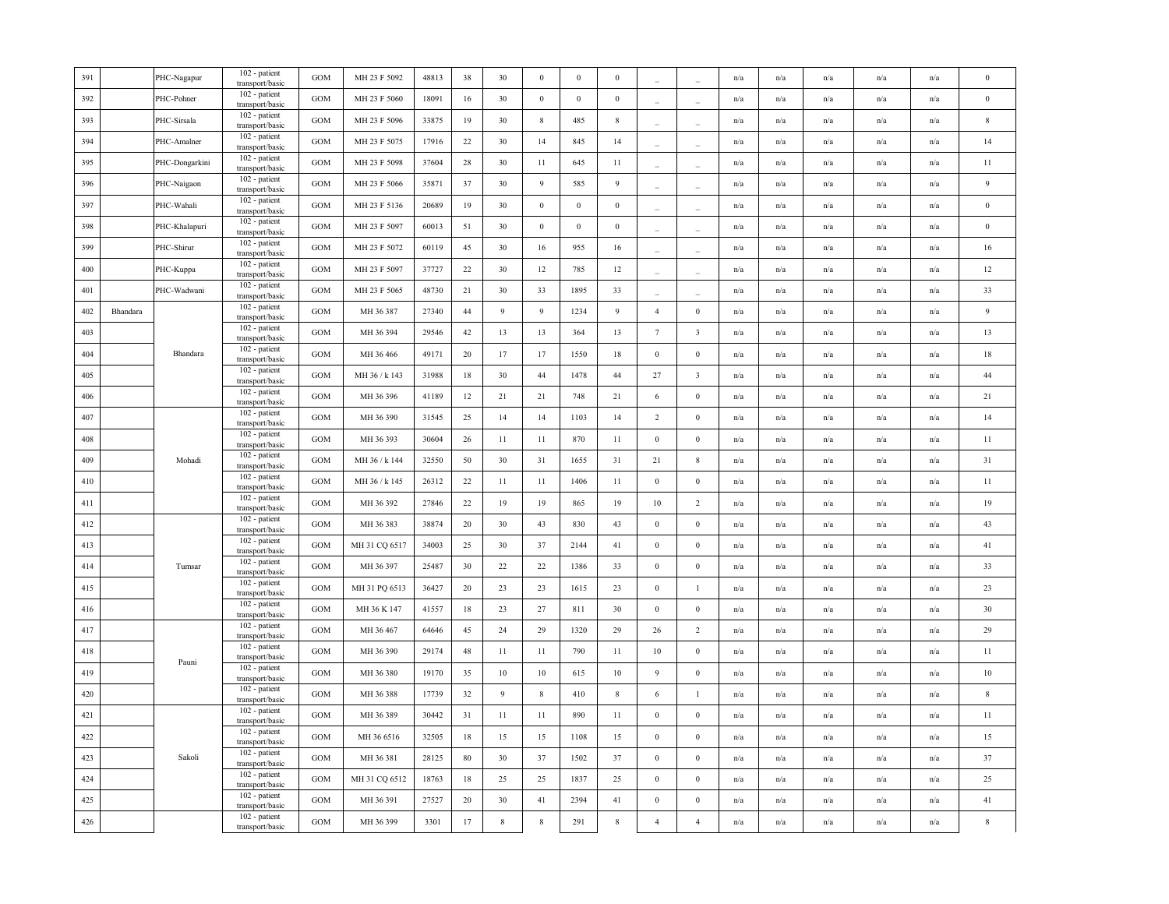| 391 |          | PHC-Nagapur    | 102 - patient<br>transport/basic        | <b>GOM</b> | MH 23 F 5092  | 48813 | 38     | 30          | $\bf{0}$        | $\mathbf{0}$     | $\boldsymbol{0}$ |                  |                          | n/a                     | n/a                     | n/a                     | n/a                     | n/a                     | $\bf{0}$         |
|-----|----------|----------------|-----------------------------------------|------------|---------------|-------|--------|-------------|-----------------|------------------|------------------|------------------|--------------------------|-------------------------|-------------------------|-------------------------|-------------------------|-------------------------|------------------|
| 392 |          | PHC-Pohner     | 102 - patient<br>transport/basic        | <b>GOM</b> | MH 23 F 5060  | 18091 | 16     | 30          | $\,0\,$         | $\boldsymbol{0}$ | $\boldsymbol{0}$ |                  | $\sim$                   | n/a                     | n/a                     | n/a                     | n/a                     | n/a                     | $\,0\,$          |
| 393 |          | PHC-Sirsala    | 102 - patient<br>transport/basic        | GOM        | MH 23 F 5096  | 33875 | 19     | 30          | $\,$ 8 $\,$     | 485              | $8\phantom{.0}$  | $\overline{a}$   | $\overline{\phantom{a}}$ | n/a                     | $\mathrm{n}/\mathrm{a}$ | n/a                     | $\mathrm{n}/\mathrm{a}$ | n/a                     | $\,$ 8 $\,$      |
| 394 |          | PHC-Amalner    | 102 - patient<br>transport/basic        | GOM        | MH 23 F 5075  | 17916 | 22     | 30          | 14              | 845              | 14               |                  |                          | n/a                     | n/a                     | n/a                     | n/a                     | n/a                     | 14               |
| 395 |          | PHC-Dongarkini | 102 - patient<br>transport/basic        | GOM        | MH 23 F 5098  | 37604 | 28     | 30          | 11              | 645              | 11               |                  |                          | n/a                     | n/a                     | n/a                     | n/a                     | n/a                     | 11               |
| 396 |          | PHC-Naigaon    | 102 - patient<br>transport/basic        | <b>GOM</b> | MH 23 F 5066  | 35871 | 37     | 30          | 9               | 585              | 9                |                  |                          | n/a                     | n/a                     | n/a                     | n/a                     | n/a                     | $\boldsymbol{9}$ |
| 397 |          | PHC-Wahali     | 102 - patient<br>transport/basic        | GOM        | MH 23 F 5136  | 20689 | 19     | 30          | $\bf{0}$        | $\boldsymbol{0}$ | $\bf{0}$         | ÷                |                          | n/a                     | n/a                     | n/a                     | n/a                     | n/a                     | $\,0\,$          |
| 398 |          | PHC-Khalapuri  | 102 - patient<br>transport/basic        | GOM        | MH 23 F 5097  | 60013 | 51     | 30          | $\mathbf{0}$    | $\boldsymbol{0}$ | $\boldsymbol{0}$ |                  |                          | n/a                     | n/a                     | n/a                     | n/a                     | n/a                     | $\,0\,$          |
| 399 |          | PHC-Shirur     | 102 - patient<br>transport/basic        | GOM        | MH 23 F 5072  | 60119 | 45     | 30          | 16              | 955              | 16               |                  |                          | n/a                     | n/a                     | n/a                     | n/a                     | n/a                     | 16               |
| 400 |          | PHC-Kuppa      | 102 - patient<br>transport/basic        | GOM        | MH 23 F 5097  | 37727 | 22     | 30          | 12              | 785              | 12               |                  |                          | n/a                     | n/a                     | n/a                     | n/a                     | n/a                     | 12               |
| 401 |          | PHC-Wadwani    | 102 - patient<br>transport/basic        | <b>GOM</b> | MH 23 F 5065  | 48730 | 21     | 30          | 33              | 1895             | 33               |                  |                          | n/a                     | n/a                     | n/a                     | n/a                     | n/a                     | 33               |
| 402 | Bhandara |                | 102 - patient<br>transport/basic        | GOM        | MH 36 387     | 27340 | 44     | 9           | 9               | 1234             | 9                | $\overline{4}$   | $\boldsymbol{0}$         | n/a                     | n/a                     | n/a                     | n/a                     | n/a                     | 9                |
| 403 |          |                | 102 - patient<br>transport/basic        | <b>GOM</b> | MH 36 394     | 29546 | 42     | 13          | 13              | 364              | 13               | $7\phantom{.0}$  | $\mathbf{3}$             | $\mathrm{n}/\mathrm{a}$ | $\mathrm{n}/\mathrm{a}$ | n/a                     | $\mathrm{n}/\mathrm{a}$ | n/a                     | 13               |
| 404 |          | Bhandara       | 102 - patient<br>transport/basic        | GOM        | MH 36 466     | 49171 | 20     | 17          | 17              | 1550             | 18               | $\boldsymbol{0}$ | $\mathbf{0}$             | n/a                     | n/a                     | n/a                     | n/a                     | n/a                     | 18               |
| 405 |          |                | 102 - patient<br>transport/basic        | GOM        | MH 36 / k 143 | 31988 | $18\,$ | 30          | 44              | 1478             | 44               | $27\,$           | $\mathbf{3}$             | n/a                     | n/a                     | n/a                     | n/a                     | n/a                     | 44               |
| 406 |          |                | 102 - patient<br>transport/basic        | GOM        | MH 36 396     | 41189 | 12     | 21          | 21              | 748              | 21               | 6                | $\boldsymbol{0}$         | n/a                     | n/a                     | n/a                     | n/a                     | n/a                     | 21               |
| 407 |          |                | 102 - patient<br>transport/basic        | GOM        | MH 36 390     | 31545 | 25     | 14          | 14              | 1103             | 14               | $\overline{2}$   | $\bf{0}$                 | n/a                     | $\mathrm{n}/\mathrm{a}$ | $\mathrm{n}/\mathrm{a}$ | $\mathrm{n}/\mathrm{a}$ | n/a                     | 14               |
| 408 |          |                | 102 - patient<br>transport/basic        | GOM        | MH 36 393     | 30604 | 26     | 11          | 11              | 870              | 11               | $\boldsymbol{0}$ | $\bf{0}$                 | n/a                     | n/a                     | n/a                     | n/a                     | $\mathbf{n}/\mathbf{a}$ | 11               |
| 409 |          | Mohadi         | 102 - patient<br>transport/basic        | <b>GOM</b> | MH 36 / k 144 | 32550 | 50     | 30          | 31              | 1655             | 31               | 21               | 8                        | n/a                     | n/a                     | n/a                     | n/a                     | n/a                     | 31               |
| 410 |          |                | 102 - patient<br>transport/basic        | GOM        | MH 36 / k 145 | 26312 | 22     | 11          | 11              | 1406             | 11               | $\bf{0}$         | $\boldsymbol{0}$         | n/a                     | n/a                     | n/a                     | n/a                     | n/a                     | 11               |
| 411 |          |                | $102$ - patient $\,$<br>transport/basic | GOM        | MH 36 392     | 27846 | 22     | 19          | 19              | 865              | 19               | 10               | $\overline{c}$           | $\mathrm{n}/\mathrm{a}$ | n/a                     | n/a                     | $\mathrm{n}/\mathrm{a}$ | $\mathbf{n}/\mathbf{a}$ | 19               |
| 412 |          |                | 102 - patient<br>transport/basic        | GOM        | MH 36 383     | 38874 | 20     | 30          | 43              | 830              | 43               | $\boldsymbol{0}$ | $\boldsymbol{0}$         | n/a                     | n/a                     | n/a                     | n/a                     | n/a                     | 43               |
| 413 |          |                | 102 - patient<br>transport/basic        | GOM        | MH 31 CQ 6517 | 34003 | 25     | 30          | 37              | 2144             | 41               | $\boldsymbol{0}$ | $\mathbf{0}$             | n/a                     | $\mathrm{n}/\mathrm{a}$ | n/a                     | $\mathrm{n}/\mathrm{a}$ | $\mathbf{n}/\mathbf{a}$ | 41               |
| 414 |          | Tumsar         | 102 - patient<br>transport/basic        | GOM        | MH 36 397     | 25487 | 30     | 22          | 22              | 1386             | 33               | $\bf{0}$         | $\bf{0}$                 | n/a                     | n/a                     | n/a                     | n/a                     | n/a                     | 33               |
| 415 |          |                | 102 - patient<br>transport/basic        | GOM        | MH 31 PQ 6513 | 36427 | 20     | 23          | 23              | 1615             | 23               | $\boldsymbol{0}$ | $\mathbf{1}$             | n/a                     | n/a                     | n/a                     | n/a                     | n/a                     | 23               |
| 416 |          |                | 102 - patient<br>transport/basic        | <b>GOM</b> | MH 36 K 147   | 41557 | 18     | 23          | 27              | 811              | 30               | $\boldsymbol{0}$ | $\boldsymbol{0}$         | n/a                     | n/a                     | n/a                     | n/a                     | n/a                     | 30               |
| 417 |          |                | 102 - patient<br>transport/basic        | GOM        | MH 36 467     | 64646 | 45     | 24          | 29              | 1320             | 29               | 26               | $\overline{c}$           | n/a                     | n/a                     | n/a                     | n/a                     | n/a                     | 29               |
| 418 |          | Pauni          | 102 - patient<br>transport/basic        | GOM        | MH 36 390     | 29174 | 48     | 11          | 11              | 790              | 11               | 10               | $\boldsymbol{0}$         | n/a                     | n/a                     | n/a                     | n/a                     | n/a                     | 11               |
| 419 |          |                | 102 - patient<br>transport/basic        | GOM        | MH 36 380     | 19170 | 35     | $10\,$      | $10\,$          | 615              | $10\,$           | $\overline{9}$   | $\boldsymbol{0}$         | n/a                     | n/a                     | n/a                     | n/a                     | n/a                     | $10\,$           |
| 420 |          |                | 102 - patient<br>transport/basic        | GOM        | MH 36 388     | 17739 | 32     | 9           | $8\phantom{.0}$ | 410              | $8\phantom{.0}$  | 6                | $\mathbf{1}$             | n/a                     | n/a                     | n/a                     | n/a                     | n/a                     | $\,$ 8 $\,$      |
| 421 |          |                | 102 - patient<br>transport/basic        | <b>GOM</b> | MH 36 389     | 30442 | 31     | 11          | 11              | 890              | 11               | $\bf{0}$         | $\bf{0}$                 | n/a                     | n/a                     | n/a                     | n/a                     | n/a                     | 11               |
| 422 |          |                | 102 - patient<br>transport/basic        | GOM        | MH 36 6516    | 32505 | 18     | 15          | 15              | 1108             | 15               | $\bf{0}$         | $\boldsymbol{0}$         | n/a                     | n/a                     | $\mathrm{n}/\mathrm{a}$ | n/a                     | n/a                     | 15               |
| 423 |          | Sakoli         | 102 - patient<br>transport/basic        | GOM        | MH 36 381     | 28125 | 80     | 30          | 37              | 1502             | 37               | $\bf{0}$         | $\bf{0}$                 | $\mathrm{n}/\mathrm{a}$ | $\mathrm{n}/\mathrm{a}$ | n/a                     | $\mathrm{n}/\mathrm{a}$ | $\mathbf{n}/\mathbf{a}$ | 37               |
| 424 |          |                | 102 - patient<br>transport/basic        | GOM        | MH 31 CQ 6512 | 18763 | 18     | 25          | 25              | 1837             | 25               | $\mathbf{0}$     | $\mathbf{0}$             | n/a                     | n/a                     | n/a                     | n/a                     | n/a                     | 25               |
| 425 |          |                | 102 - patient<br>transport/basic        | GOM        | MH 36 391     | 27527 | 20     | 30          | $41\,$          | 2394             | $41\,$           | $\boldsymbol{0}$ | $\boldsymbol{0}$         | n/a                     | n/a                     | n/a                     | n/a                     | n/a                     | 41               |
| 426 |          |                | 102 - patient<br>transport/basic        | GOM        | MH 36 399     | 3301  | 17     | $\,$ 8 $\,$ | $\,$ 8 $\,$     | 291              | $\,$ 8 $\,$      | $\overline{4}$   | $\overline{4}$           | n/a                     | n/a                     | n/a                     | n/a                     | n/a                     | $\,$ 8 $\,$      |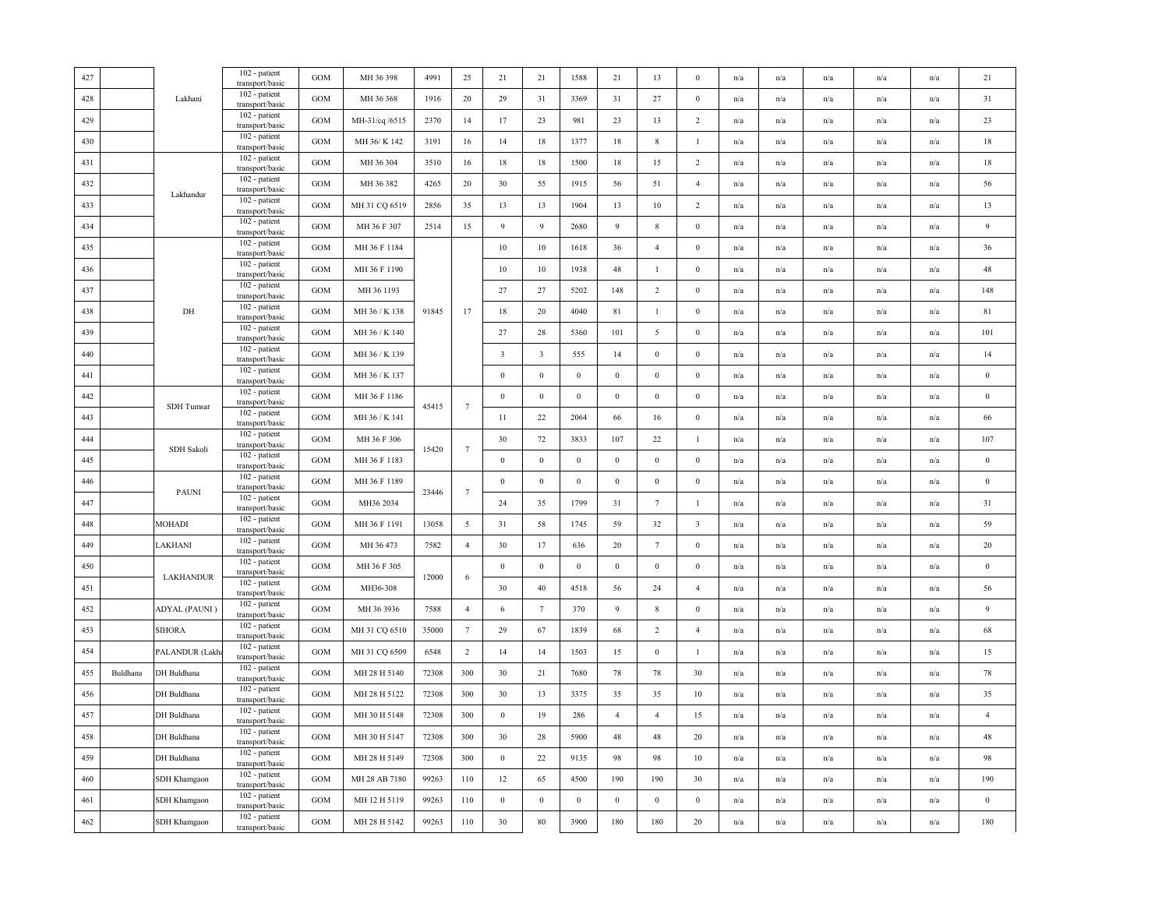| 427 |          |                | 102 - patient<br>transport/basic                    | GOM               | MH 36 398      | 4991  | 25              | 21                      | 21               | 1588             | 21               | 13               | $\mathbf{0}$     | n/a                     | n/a                     | n/a                     | n/a                     | n/a                     | 21               |
|-----|----------|----------------|-----------------------------------------------------|-------------------|----------------|-------|-----------------|-------------------------|------------------|------------------|------------------|------------------|------------------|-------------------------|-------------------------|-------------------------|-------------------------|-------------------------|------------------|
| 428 |          | Lakhani        | 102 - patient<br>transport/basic                    | <b>GOM</b>        | MH 36 368      | 1916  | 20              | 29                      | 31               | 3369             | 31               | 27               | $\mathbf{0}$     | n/a                     | n/a                     | n/a                     | n/a                     | n/a                     | 31               |
| 429 |          |                | 102 - patient<br>transport/basic                    | GOM               | MH-31/cq /6515 | 2370  | 14              | 17                      | 23               | 981              | 23               | 13               | $\overline{c}$   | n/a                     | n/a                     | $\mathrm{n}/\mathrm{a}$ | n/a                     | n/a                     | $23\,$           |
| 430 |          |                | 102 - patient<br>transport/basic                    | GOM               | MH 36/ K 142   | 3191  | 16              | 14                      | 18               | 1377             | 18               | 8                | $\mathbf{1}$     | n/a                     | $\mathrm{n}/\mathrm{a}$ | $\mathrm{n}/\mathrm{a}$ | $\mathrm{n}/\mathrm{a}$ | n/a                     | $18\,$           |
| 431 |          |                | 102 - patient<br>transport/basic                    | GOM               | MH 36 304      | 3510  | 16              | 18                      | 18               | 1500             | 18               | 15               | $\sqrt{2}$       | n/a                     | n/a                     | $\mathrm{n}/\mathrm{a}$ | n/a                     | n/a                     | $18\,$           |
| 432 |          |                | 102 - patient<br>transport/basic                    | GOM               | MH 36 382      | 4265  | 20              | 30                      | 55               | 1915             | 56               | 51               | $\overline{4}$   | n/a                     | n/a                     | n/a                     | n/a                     | n/a                     | 56               |
| 433 |          | Lakhandur      | 102 - patient<br>transport/basic                    | GOM               | MH 31 CQ 6519  | 2856  | 35              | 13                      | 13               | 1904             | 13               | 10               | 2                | n/a                     | n/a                     | n/a                     | n/a                     | n/a                     | 13               |
| 434 |          |                | 102 - patient<br>transport/basic                    | GOM               | MH 36 F 307    | 2514  | 15              | 9                       | 9                | 2680             | 9                | 8                | $\mathbf{0}$     | n/a                     | n/a                     | n/a                     | n/a                     | n/a                     | $\overline{9}$   |
| 435 |          |                | 102 - patient<br>transport/basic                    | $_{\mathrm{GOM}}$ | MH 36 F 1184   |       |                 | $10\,$                  | $10\,$           | 1618             | 36               | $\overline{4}$   | $\boldsymbol{0}$ | n/a                     | n/a                     | n/a                     | n/a                     | n/a                     | 36               |
| 436 |          |                | 102 - patient<br>transport/basic                    | GOM               | MH 36 F 1190   |       |                 | $10\,$                  | 10               | 1938             | 48               | $\mathbf{1}$     | $\mathbf{0}$     | $\mathrm{n}/\mathrm{a}$ | n/a                     | $\mathrm{n}/\mathrm{a}$ | n/a                     | n/a                     | 48               |
| 437 |          |                | 102 - patient                                       | $_{\rm GOM}$      | MH 36 1193     |       |                 | 27                      | 27               | 5202             | 148              | $\overline{2}$   | $\mathbf{0}$     | n/a                     | n/a                     | n/a                     | n/a                     | n/a                     | 148              |
| 438 |          | DH             | transport/basic<br>102 - patient                    | <b>GOM</b>        | MH 36 / K 138  | 91845 | 17              | $18\,$                  | 20               | 4040             | $81\,$           | $\mathbf{1}$     | $\boldsymbol{0}$ | n/a                     | n/a                     | $\mathrm{n}/\mathrm{a}$ | n/a                     | $\mathbf{n}/\mathbf{a}$ | $8\sqrt{1}$      |
| 439 |          |                | transport/basic<br>102 - patient<br>transport/basic | GOM               | MH 36 / K 140  |       |                 | 27                      | 28               | 5360             | 101              | 5                | $\mathbf{0}$     | n/a                     | n/a                     | n/a                     | n/a                     | n/a                     | 101              |
| 440 |          |                | 102 - patient<br>transport/basic                    | <b>GOM</b>        | MH 36 / K 139  |       |                 | $\overline{\mathbf{3}}$ | $\overline{3}$   | 555              | 14               | $\bf{0}$         | $\mathbf{0}$     | n/a                     | n/a                     | n/a                     | n/a                     | n/a                     | 14               |
| 441 |          |                | 102 - patient<br>transport/basic                    | GOM               | MH 36 / K 137  |       |                 | $\boldsymbol{0}$        | $\boldsymbol{0}$ | $\boldsymbol{0}$ | $\boldsymbol{0}$ | $\boldsymbol{0}$ | $\boldsymbol{0}$ | n/a                     | n/a                     | n/a                     | n/a                     | n/a                     | $\,0\,$          |
| 442 |          |                | 102 - patient<br>transport/basic                    | GOM               | MH 36 F 1186   |       |                 | $\boldsymbol{0}$        | $\boldsymbol{0}$ | $\boldsymbol{0}$ | $\boldsymbol{0}$ | $\boldsymbol{0}$ | $\boldsymbol{0}$ | n/a                     | n/a                     | $\mathrm{n}/\mathrm{a}$ | n/a                     | n/a                     | $\,0\,$          |
| 443 |          | SDH Tumsar     | 102 - patient<br>transport/basic                    | GOM               | MH 36 / K 141  | 45415 | $7\phantom{.0}$ | $11\,$                  | 22               | 2064             | 66               | 16               | $\mathbf{0}$     | n/a                     | $\mathrm{n}/\mathrm{a}$ | $\mathrm{n}/\mathrm{a}$ | $\mathrm{n}/\mathrm{a}$ | n/a                     | 66               |
| 444 |          |                | 102 - patient<br>transport/basic                    | $_{\rm GOM}$      | MH 36 F 306    |       |                 | 30                      | 72               | 3833             | 107              | 22               | $\mathbf{1}$     | n/a                     | n/a                     | $\mathrm{n}/\mathrm{a}$ | n/a                     | $\mathrm{n}/\mathrm{a}$ | 107              |
| 445 |          | SDH Sakoli     | 102 - patient                                       | GOM               | MH 36 F 1183   | 15420 | $7\phantom{.0}$ | $\mathbf{0}$            | $\mathbf{0}$     | $\boldsymbol{0}$ | $\boldsymbol{0}$ | $\boldsymbol{0}$ | $\boldsymbol{0}$ | n/a                     | n/a                     | n/a                     | n/a                     | n/a                     | $\boldsymbol{0}$ |
| 446 |          |                | transport/basic<br>102 - patient                    | <b>GOM</b>        | MH 36 F 1189   |       |                 | $\bf{0}$                | $\mathbf{0}$     | $\bf{0}$         | $\mathbf{0}$     | $\bf{0}$         | $\mathbf{0}$     | n/a                     | n/a                     | n/a                     | n/a                     | n/a                     | $\bf{0}$         |
| 447 |          | PAUNI          | transport/basic<br>$102$ - patient                  | <b>GOM</b>        | MH36 2034      | 23446 | $7\phantom{.0}$ | 24                      | 35               | 1799             | 31               | $7\phantom{.0}$  | $\mathbf{1}$     | n/a                     | n/a                     | $\mathrm{n}/\mathrm{a}$ | $\mathrm{n}/\mathrm{a}$ | n/a                     | 31               |
| 448 |          | MOHADI         | transport/basic<br>102 - patient                    | $_{\rm GOM}$      | MH 36 F 1191   | 13058 | $5\overline{ }$ | $3\,$ l                 | 58               | 1745             | 59               | 32               | $\sqrt{3}$       | n/a                     | n/a                     | n/a                     | n/a                     | n/a                     | 59               |
| 449 |          | LAKHANI        | transport/basic<br>102 - patient                    | GOM               | MH 36 473      | 7582  | $\overline{4}$  | 30                      | 17               | 636              | 20               | $7\phantom{.0}$  | $\mathbf{0}$     | $\mathrm{n}/\mathrm{a}$ | $\mathrm{n}/\mathrm{a}$ | $\mathrm{n}/\mathrm{a}$ | $\mathrm{n}/\mathrm{a}$ | n/a                     | 20               |
| 450 |          |                | transport/basic<br>102 - patient                    | GOM               | MH 36 F 305    |       |                 | $\bf{0}$                | $\bf{0}$         | $\bf{0}$         | $\mathbf{0}$     | $\bf{0}$         | $\mathbf{0}$     | n/a                     | n/a                     | n/a                     | n/a                     | n/a                     | $\bf{0}$         |
| 451 |          | LAKHANDUR      | transport/basic<br>102 - patient                    | <b>GOM</b>        | MH36-308       | 12000 | 6               | 30                      | 40               | 4518             | 56               | 24               | $\overline{4}$   | n/a                     | n/a                     | n/a                     | n/a                     | n/a                     | 56               |
| 452 |          | ADYAL (PAUNI)  | transport/basic<br>102 - patient                    | GOM               | MH 36 3936     | 7588  | $\overline{4}$  | 6                       | $7\phantom{.0}$  | 370              | $\overline{9}$   | 8                | $\boldsymbol{0}$ | n/a                     | n/a                     | n/a                     | n/a                     | n/a                     | $\overline{9}$   |
| 453 |          | <b>SIHORA</b>  | transport/basic<br>102 - patient                    | <b>GOM</b>        | MH 31 CQ 6510  | 35000 | $\tau$          | 29                      | 67               | 1839             | 68               | $\overline{2}$   | $\overline{4}$   | n/a                     | n/a                     | n/a                     | n/a                     | n/a                     | 68               |
| 454 |          | PALANDUR (Lakh | transport/basic<br>102 - patient                    | GOM               | MH 31 CQ 6509  | 6548  | $\overline{2}$  | 14                      | 14               | 1503             | 15               | $\boldsymbol{0}$ | $\mathbf{1}$     | n/a                     | n/a                     | n/a                     | n/a                     | n/a                     | 15               |
| 455 | Buldhana | DH Buldhana    | transport/basic<br>102 - patient                    | GOM               | MH 28 H 5140   | 72308 | 300             | 30                      | 21               | 7680             | 78               | 78               | 30               | n/a                     | n/a                     | n/a                     | n/a                     | n/a                     | $78\,$           |
| 456 |          | DH Buldhana    | transport/basic<br>102 - patient                    | GOM               | MH 28 H 5122   | 72308 | 300             | 30                      | 13               | 3375             | 35               | 35               | 10               | n/a                     | n/a                     | n/a                     | n/a                     | n/a                     | 35               |
| 457 |          | DH Buldhana    | transport/basic<br>102 - patient                    | GOM               | MH 30 H 5148   | 72308 | 300             | $\boldsymbol{0}$        | 19               | 286              | $\overline{4}$   | $\overline{4}$   | 15               | n/a                     | n/a                     | $\mathrm{n}/\mathrm{a}$ | n/a                     | n/a                     | $\overline{4}$   |
| 458 |          | DH Buldhana    | transport/basic<br>102 - patient                    | GOM               | MH 30 H 5147   | 72308 | 300             | 30                      | 28               | 5900             | $48\,$           | 48               | 20               | n/a                     | n/a                     | $\mathrm{n}/\mathrm{a}$ | n/a                     | n/a                     | $48\,$           |
| 459 |          | DH Buldhana    | transport/basic<br>102 - patient                    | <b>GOM</b>        | MH 28 H 5149   | 72308 | 300             | $\mathbf{0}$            | 22               | 9135             | 98               | 98               | 10               | n/a                     | n/a                     | n/a                     | n/a                     | n/a                     | 98               |
| 460 |          | SDH Khamgaon   | transport/basic<br>$102$ - patient                  | GOM               | MH 28 AB 7180  | 99263 | 110             | 12                      | 65               | 4500             | 190              | 190              | 30               | n/a                     | n/a                     | n/a                     | n/a                     | n/a                     | 190              |
| 461 |          | SDH Khamgaon   | transport/basic<br>102 - patient                    | GOM               | MH 12 H 5119   | 99263 | 110             | $\boldsymbol{0}$        | $\boldsymbol{0}$ | $\boldsymbol{0}$ | $\boldsymbol{0}$ | $\boldsymbol{0}$ | $\boldsymbol{0}$ | n/a                     | n/a                     | n/a                     | n/a                     | n/a                     | $\,0\,$          |
| 462 |          | SDH Khamgaon   | transport/basic<br>102 - patient                    | <b>GOM</b>        | MH 28 H 5142   | 99263 | 110             | 30                      | $80\,$           | 3900             | 180              | 180              | 20               | n/a                     | $\mathbf{n}/\mathbf{a}$ | $\mathrm{n}/\mathrm{a}$ | $\mathrm{n}/\mathrm{a}$ | $\mathrm{n}/\mathrm{a}$ | 180              |
|     |          |                | transport/basic                                     |                   |                |       |                 |                         |                  |                  |                  |                  |                  |                         |                         |                         |                         |                         |                  |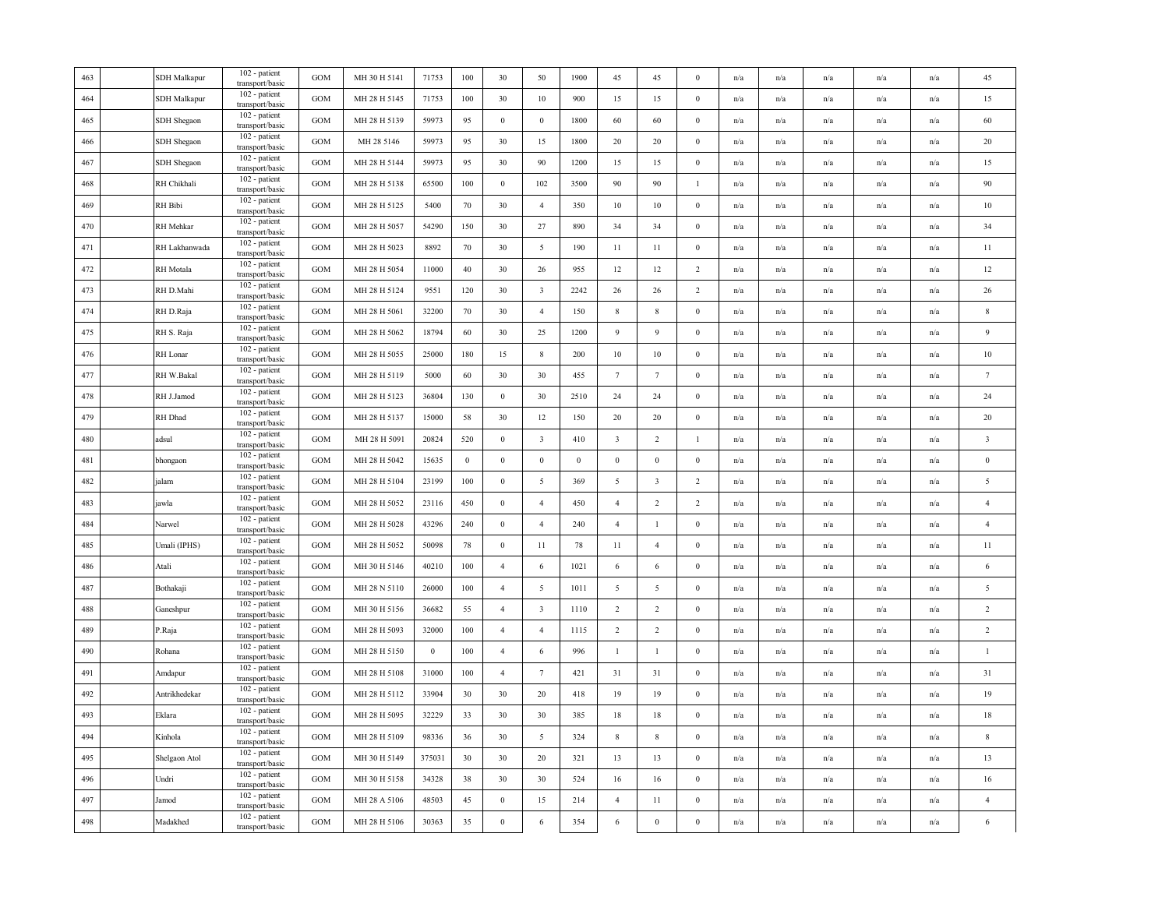| 463 | <b>SDH</b> Malkapur | 102 - patient<br>transport/basic | <b>GOM</b>        | MH 30 H 5141 | 71753            | 100          | 30               | 50                      | 1900         | 45                      | 45                      | $\mathbf{0}$     | n/a | n/a                     | n/a                     | n/a                     | n/a | 45                      |
|-----|---------------------|----------------------------------|-------------------|--------------|------------------|--------------|------------------|-------------------------|--------------|-------------------------|-------------------------|------------------|-----|-------------------------|-------------------------|-------------------------|-----|-------------------------|
| 464 | <b>SDH</b> Malkapur | 102 - patient<br>transport/basic | GOM               | MH 28 H 5145 | 71753            | 100          | 30               | 10                      | 900          | 15                      | 15                      | $\boldsymbol{0}$ | n/a | n/a                     | n/a                     | n/a                     | n/a | 15                      |
| 465 | SDH Shegaon         | 102 - patient<br>transport/basic | <b>GOM</b>        | MH 28 H 5139 | 59973            | 95           | $\boldsymbol{0}$ | $\mathbf{0}$            | 1800         | 60                      | 60                      | $\boldsymbol{0}$ | n/a | $\mathrm{n}/\mathrm{a}$ | $\mathrm{n}/\mathrm{a}$ | $\mathrm{n}/\mathrm{a}$ | n/a | 60                      |
| 466 | SDH Shegaon         | 102 - patient<br>transport/basic | GOM               | MH 28 5146   | 59973            | 95           | 30               | 15                      | 1800         | 20                      | 20                      | $\overline{0}$   | n/a | n/a                     | n/a                     | n/a                     | n/a | 20                      |
| 467 | SDH Shegaon         | 102 - patient<br>transport/basic | GOM               | MH 28 H 5144 | 59973            | 95           | 30               | 90                      | 1200         | 15                      | 15                      | $\boldsymbol{0}$ | n/a | n/a                     | n/a                     | n/a                     | n/a | 15                      |
| 468 | RH Chikhali         | 102 - patient<br>transport/basic | GOM               | MH 28 H 5138 | 65500            | 100          | $\boldsymbol{0}$ | 102                     | 3500         | 90                      | 90                      | $\mathbf{1}$     | n/a | n/a                     | n/a                     | n/a                     | n/a | $90\,$                  |
| 469 | RH Bibi             | 102 - patient<br>transport/basic | GOM               | MH 28 H 5125 | 5400             | 70           | 30               | $\overline{4}$          | 350          | 10                      | 10                      | $\mathbf{0}$     | n/a | n/a                     | n/a                     | n/a                     | n/a | 10                      |
| 470 | RH Mehkar           | 102 - patient<br>transport/basic | GOM               | MH 28 H 5057 | 54290            | 150          | 30               | 27                      | 890          | 34                      | 34                      | $\boldsymbol{0}$ | n/a | n/a                     | $\mathrm{n}/\mathrm{a}$ | n/a                     | n/a | 34                      |
| 471 | RH Lakhanwada       | 102 - patient<br>transport/basic | GOM               | MH 28 H 5023 | 8892             | 70           | 30               | 5                       | 190          | 11                      | 11                      | $\boldsymbol{0}$ | n/a | n/a                     | n/a                     | n/a                     | n/a | $11\,$                  |
| 472 | RH Motala           | 102 - patient<br>transport/basic | GOM               | MH 28 H 5054 | 11000            | 40           | 30               | 26                      | 955          | 12                      | 12                      | $\overline{c}$   | n/a | n/a                     | n/a                     | n/a                     | n/a | 12                      |
| 473 | RH D.Mahi           | 102 - patient<br>transport/basic | <b>GOM</b>        | MH 28 H 5124 | 9551             | 120          | 30               | $\overline{3}$          | 2242         | 26                      | 26                      | 2                | n/a | n/a                     | n/a                     | n/a                     | n/a | 26                      |
| 474 | RH D.Raja           | 102 - patient<br>transport/basic | GOM               | MH 28 H 5061 | 32200            | 70           | 30               | $\overline{4}$          | 150          | $\,$ 8 $\,$             | $\,$ 8 $\,$             | $\boldsymbol{0}$ | n/a | n/a                     | n/a                     | n/a                     | n/a | $\,$ 8                  |
| 475 | RH S. Raja          | 102 - patient<br>transport/basic | <b>GOM</b>        | MH 28 H 5062 | 18794            | 60           | 30               | 25                      | 1200         | $\overline{9}$          | $\overline{9}$          | $\boldsymbol{0}$ | n/a | n/a                     | $\mathrm{n}/\mathrm{a}$ | $\mathrm{n}/\mathrm{a}$ | n/a | 9                       |
| 476 | RH Lonar            | 102 - patient<br>transport/basic | GOM               | MH 28 H 5055 | 25000            | 180          | 15               | $\,$ 8 $\,$             | 200          | 10                      | 10                      | $\boldsymbol{0}$ | n/a | n/a                     | n/a                     | n/a                     | n/a | 10                      |
| 477 | RH W.Bakal          | 102 - patient<br>transport/basic | GOM               | MH 28 H 5119 | 5000             | 60           | 30               | 30                      | 455          | $7\phantom{.0}$         | $7\phantom{.0}$         | $\boldsymbol{0}$ | n/a | n/a                     | n/a                     | n/a                     | n/a | $7\phantom{.0}$         |
| 478 | RH J.Jamod          | 102 - patient<br>transport/basic | GOM               | MH 28 H 5123 | 36804            | 130          | $\boldsymbol{0}$ | 30                      | 2510         | 24                      | 24                      | $\boldsymbol{0}$ | n/a | n/a                     | n/a                     | n/a                     | n/a | 24                      |
| 479 | RH Dhad             | 102 - patient<br>transport/basic | GOM               | MH 28 H 5137 | 15000            | 58           | 30               | 12                      | 150          | 20                      | 20                      | $\mathbf{0}$     | n/a | n/a                     | n/a                     | n/a                     | n/a | 20                      |
| 480 | adsul               | 102 - patient<br>transport/basic | $_{\mathrm{GOM}}$ | MH 28 H 5091 | 20824            | 520          | $\boldsymbol{0}$ | $\overline{\mathbf{3}}$ | 410          | $\overline{\mathbf{3}}$ | $\overline{2}$          | $\mathbf{I}$     | n/a | $\mathrm{n}/\mathrm{a}$ | n/a                     | $\mathrm{n}/\mathrm{a}$ | n/a | $\overline{\mathbf{3}}$ |
| 481 | bhongaon            | 102 - patient<br>transport/basic | GOM               | MH 28 H 5042 | 15635            | $\mathbf{0}$ | $\,0\,$          | $\mathbf{0}$            | $\mathbf{0}$ | $\,0\,$                 | $\mathbf{0}$            | $\boldsymbol{0}$ | n/a | n/a                     | n/a                     | n/a                     | n/a | $\bf{0}$                |
| 482 | jalam               | 102 - patient<br>transport/basic | GOM               | MH 28 H 5104 | 23199            | 100          | $\boldsymbol{0}$ | 5                       | 369          | 5                       | $\overline{\mathbf{3}}$ | $\overline{c}$   | n/a | n/a                     | n/a                     | n/a                     | n/a | 5                       |
| 483 | jawla               | 102 - patient<br>transport/basic | GOM               | MH 28 H 5052 | 23116            | 450          | $\boldsymbol{0}$ | $\overline{4}$          | 450          | $\overline{4}$          | $\overline{2}$          | $\overline{2}$   | n/a | $\mathrm{n}/\mathrm{a}$ | $\mathrm{n}/\mathrm{a}$ | $\mathrm{n}/\mathrm{a}$ | n/a | $\overline{4}$          |
| 484 | Narwel              | 102 - patient<br>transport/basic | $_{\mathrm{GOM}}$ | MH 28 H 5028 | 43296            | 240          | $\boldsymbol{0}$ | $\overline{4}$          | 240          | $\overline{4}$          | $\mathbf{1}$            | $\boldsymbol{0}$ | n/a | n/a                     | $\mathrm{n}/\mathrm{a}$ | n/a                     | n/a | $\overline{4}$          |
| 485 | Umali (IPHS)        | 102 - patient<br>transport/basic | GOM               | MH 28 H 5052 | 50098            | 78           | $\boldsymbol{0}$ | $11\,$                  | 78           | 11                      | $\overline{4}$          | $\boldsymbol{0}$ | n/a | n/a                     | $\mathrm{n}/\mathrm{a}$ | $\mathrm{n}/\mathrm{a}$ | n/a | $11\,$                  |
| 486 | Atali               | 102 - patient<br>transport/basic | GOM               | MH 30 H 5146 | 40210            | 100          | $\overline{4}$   | 6                       | 1021         | 6                       | 6                       | $\boldsymbol{0}$ | n/a | n/a                     | n/a                     | n/a                     | n/a | 6                       |
| 487 | Bothakaji           | 102 - patient<br>transport/basic | GOM               | MH 28 N 5110 | 26000            | 100          | $\overline{4}$   | $5\overline{)}$         | 1011         | $\overline{5}$          | 5                       | $\boldsymbol{0}$ | n/a | n/a                     | n/a                     | n/a                     | n/a | 5                       |
| 488 | Ganeshpur           | 102 - patient<br>transport/basic | GOM               | MH 30 H 5156 | 36682            | 55           | $\overline{4}$   | $\overline{\mathbf{3}}$ | 1110         | $\overline{2}$          | $\overline{2}$          | $\boldsymbol{0}$ | n/a | n/a                     | n/a                     | n/a                     | n/a | $\overline{2}$          |
| 489 | P.Raja              | 102 - patient<br>transport/basic | GOM               | MH 28 H 5093 | 32000            | 100          | $\overline{4}$   | $\overline{4}$          | 1115         | $\overline{2}$          | $\overline{2}$          | $\boldsymbol{0}$ | n/a | n/a                     | n/a                     | n/a                     | n/a | $\overline{2}$          |
| 490 | Rohana              | 102 - patient<br>transport/basic | GOM               | MH 28 H 5150 | $\boldsymbol{0}$ | 100          | $\overline{4}$   | 6                       | 996          | $\mathbf{1}$            | $\mathbf{1}$            | $\boldsymbol{0}$ | n/a | n/a                     | $\mathrm{n}/\mathrm{a}$ | n/a                     | n/a | $\mathbf{1}$            |
| 491 | Amdapur             | 102 - patient<br>transport/basic | GOM               | MH 28 H 5108 | 31000            | 100          | $\overline{4}$   | $7\phantom{.0}$         | 421          | 31                      | 31                      | $\boldsymbol{0}$ | n/a | n/a                     | n/a                     | n/a                     | n/a | 31                      |
| 492 | Antrikhedekar       | 102 - patient<br>transport/basic | GOM               | MH 28 H 5112 | 33904            | 30           | 30               | 20                      | 418          | 19                      | 19                      | $\mathbf{0}$     | n/a | n/a                     | n/a                     | n/a                     | n/a | 19                      |
| 493 | Eklara              | 102 - patient<br>transport/basic | <b>GOM</b>        | MH 28 H 5095 | 32229            | 33           | 30               | 30                      | 385          | 18                      | 18                      | $\mathbf{0}$     | n/a | n/a                     | $\mathrm{n}/\mathrm{a}$ | n/a                     | n/a | 18                      |
| 494 | Kinhola             | 102 - patient<br>transport/basic | $_{\mathrm{GOM}}$ | MH 28 H 5109 | 98336            | 36           | 30               | $5\overline{)}$         | 324          | $\,$ 8 $\,$             | $\,$ 8 $\,$             | $\boldsymbol{0}$ | n/a | n/a                     | $\mathrm{n}/\mathrm{a}$ | n/a                     | n/a | $\,$ 8                  |
| 495 | Shelgaon Atol       | 102 - patient<br>transport/basic | <b>GOM</b>        | MH 30 H 5149 | 375031           | 30           | 30               | 20                      | 321          | 13                      | 13                      | $\boldsymbol{0}$ | n/a | $\mathrm{n}/\mathrm{a}$ | $\mathbf{n}/\mathbf{a}$ | $\mathrm{n}/\mathrm{a}$ | n/a | 13                      |
| 496 | Undri               | 102 - patient<br>transport/basic | GOM               | MH 30 H 5158 | 34328            | 38           | 30               | 30                      | 524          | 16                      | 16                      | $\theta$         | n/a | n/a                     | n/a                     | n/a                     | n/a | 16                      |
| 497 | Jamod               | 102 - patient<br>transport/basic | GOM               | MH 28 A 5106 | 48503            | 45           | $\boldsymbol{0}$ | $15\,$                  | 214          | $\overline{4}$          | 11                      | $\boldsymbol{0}$ | n/a | n/a                     | n/a                     | n/a                     | n/a | $\overline{4}$          |
| 498 | Madakhed            | 102 - patient<br>transport/basic | GOM               | MH 28 H 5106 | 30363            | 35           | $\boldsymbol{0}$ | $\,6\,$                 | 354          | $\sqrt{6}$              | $\boldsymbol{0}$        | $\boldsymbol{0}$ | n/a | n/a                     | n/a                     | n/a                     | n/a | 6                       |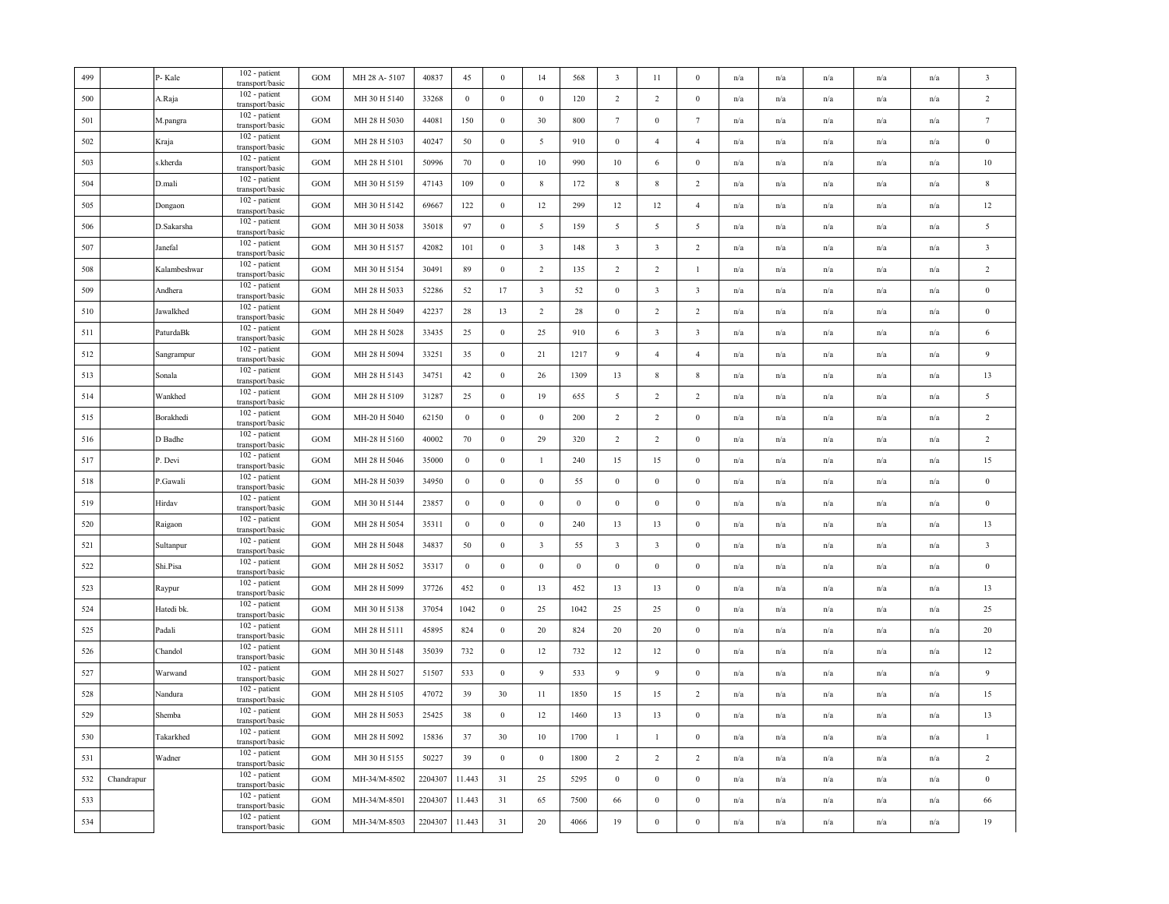| 499 |            | P-Kale                         | 102 - patient<br>transport/basic   | <b>GOM</b>        | MH 28 A-5107 | 40837   | 45               | $\boldsymbol{0}$ | 14                      | 568          | $\overline{\mathbf{3}}$ | 11                      | $\Omega$                | n/a | n/a                     | n/a                     | n/a                     | n/a                     | $\overline{\mathbf{3}}$ |
|-----|------------|--------------------------------|------------------------------------|-------------------|--------------|---------|------------------|------------------|-------------------------|--------------|-------------------------|-------------------------|-------------------------|-----|-------------------------|-------------------------|-------------------------|-------------------------|-------------------------|
| 500 |            | A.Raja                         | 102 - patient<br>transport/basic   | GOM               | MH 30 H 5140 | 33268   | $\bf{0}$         | $\boldsymbol{0}$ | $\mathbf{0}$            | 120          | $\overline{2}$          | $\sqrt{2}$              | $\boldsymbol{0}$        | n/a | n/a                     | n/a                     | n/a                     | n/a                     | $\sqrt{2}$              |
| 501 |            | M.pangra                       | 102 - patient<br>transport/basic   | <b>GOM</b>        | MH 28 H 5030 | 44081   | 150              | $\boldsymbol{0}$ | 30                      | 800          | $7\phantom{.0}$         | $\boldsymbol{0}$        | $\tau$                  | n/a | n/a                     | $\mathbf{n}/\mathbf{a}$ | $\mathrm{n}/\mathrm{a}$ | $\mathbf{n}/\mathbf{a}$ | $\tau$                  |
| 502 |            | Kraja                          | 102 - patient<br>transport/basic   | GOM               | MH 28 H 5103 | 40247   | 50               | $\boldsymbol{0}$ | 5                       | 910          | $\mathbf{0}$            | $\overline{4}$          | $\overline{4}$          | n/a | n/a                     | n/a                     | n/a                     | n/a                     | $\bf{0}$                |
| 503 |            | s.kherda                       | 102 - patient<br>transport/basic   | <b>GOM</b>        | MH 28 H 5101 | 50996   | 70               | $\bf{0}$         | 10                      | 990          | 10                      | 6                       | $\mathbf{0}$            | n/a | n/a                     | n/a                     | n/a                     | n/a                     | $10\,$                  |
| 504 |            | D.mali                         | 102 - patient<br>transport/basic   | GOM               | MH 30 H 5159 | 47143   | 109              | $\bf{0}$         | $\,$ 8 $\,$             | 172          | $\,$ 8 $\,$             | $\,$ 8 $\,$             | $\overline{c}$          | n/a | n/a                     | n/a                     | n/a                     | n/a                     | $\,$ 8 $\,$             |
| 505 |            | Dongaon                        | 102 - patient<br>transport/basic   | GOM               | MH 30 H 5142 | 69667   | 122              | $\bf{0}$         | 12                      | 299          | 12                      | 12                      | $\overline{4}$          | n/a | n/a                     | n/a                     | n/a                     | $\mathbf{n}/\mathbf{a}$ | $12\,$                  |
| 506 |            | $\mathbf{D}.\mathbf{Sakarsha}$ | 102 - patient<br>transport/basic   | GOM               | MH 30 H 5038 | 35018   | 97               | $\boldsymbol{0}$ | $\overline{5}$          | 159          | $\overline{5}$          | 5                       | 5                       | n/a | n/a                     | n/a                     | n/a                     | n/a                     | $\sqrt{5}$              |
| 507 |            | Janefal                        | 102 - patient<br>transport/basic   | <b>GOM</b>        | MH 30 H 5157 | 42082   | 101              | $\boldsymbol{0}$ | $\overline{\mathbf{3}}$ | 148          | $\sqrt{3}$              | $\sqrt{3}$              | $\overline{2}$          | n/a | n/a                     | n/a                     | n/a                     | n/a                     | $\sqrt{3}$              |
| 508 |            | Kalambeshwar                   | 102 - patient<br>transport/basic   | GOM               | MH 30 H 5154 | 30491   | 89               | $\bf{0}$         | $\overline{c}$          | 135          | $\overline{2}$          | $\overline{c}$          | -1                      | n/a | n/a                     | n/a                     | n/a                     | n/a                     | $\sqrt{2}$              |
| 509 |            | Andhera                        | 102 - patient<br>transport/basic   | GOM               | MH 28 H 5033 | 52286   | 52               | 17               | $\overline{\mathbf{3}}$ | 52           | $\bf{0}$                | $\overline{\mathbf{3}}$ | $\overline{\mathbf{3}}$ | n/a | n/a                     | n/a                     | n/a                     | n/a                     | $\bf{0}$                |
| 510 |            | Jawalkhed                      | 102 - patient<br>transport/basic   | $_{\mathrm{GOM}}$ | MH 28 H 5049 | 42237   | 28               | 13               | 2                       | 28           | $\mathbf{0}$            | $\overline{2}$          | 2                       | n/a | n/a                     | n/a                     | n/a                     | $\mathrm{n}/\mathrm{a}$ | $\bf{0}$                |
| 511 |            | PaturdaBk                      | 102 - patient<br>transport/basic   | GOM               | MH 28 H 5028 | 33435   | 25               | $\bf{0}$         | 25                      | 910          | 6                       | $\overline{\mathbf{3}}$ | $\overline{\mathbf{3}}$ | n/a | n/a                     | n/a                     | n/a                     | n/a                     | 6                       |
| 512 |            | Sangrampur                     | 102 - patient<br>transport/basic   | GOM               | MH 28 H 5094 | 33251   | 35               | $\boldsymbol{0}$ | 21                      | 1217         | 9                       | $\overline{4}$          | $\overline{4}$          | n/a | n/a                     | n/a                     | n/a                     | n/a                     | 9                       |
| 513 |            | Sonala                         | 102 - patient<br>transport/basic   | GOM               | MH 28 H 5143 | 34751   | 42               | $\boldsymbol{0}$ | 26                      | 1309         | 13                      | $\,$ 8 $\,$             | $\,$ 8 $\,$             | n/a | n/a                     | n/a                     | n/a                     | n/a                     | 13                      |
| 514 |            | Wankhed                        | 102 - patient<br>transport/basic   | GOM               | MH 28 H 5109 | 31287   | 25               | $\boldsymbol{0}$ | 19                      | 655          | $\overline{5}$          | $\sqrt{2}$              | 2                       | n/a | n/a                     | n/a                     | n/a                     | n/a                     | $\sqrt{5}$              |
| 515 |            | Borakhedi                      | 102 - patient<br>transport/basic   | GOM               | MH-20 H 5040 | 62150   | $\boldsymbol{0}$ | $\boldsymbol{0}$ | $\mathbf{0}$            | 200          | $\overline{2}$          | $\overline{2}$          | $\boldsymbol{0}$        | n/a | $\mathrm{n}/\mathrm{a}$ | $\mathrm{n}/\mathrm{a}$ | $\mathrm{n}/\mathrm{a}$ | $\mathrm{n}/\mathrm{a}$ | $\overline{2}$          |
| 516 |            | D Badhe                        | 102 - patient<br>transport/basic   | <b>GOM</b>        | MH-28 H 5160 | 40002   | 70               | $\mathbf{0}$     | 29                      | 320          | $\overline{2}$          | $\overline{c}$          | $\mathbf{0}$            | n/a | n/a                     | n/a                     | n/a                     | n/a                     | $\overline{c}$          |
| 517 |            | P. Devi                        | 102 - patient<br>transport/basic   | <b>GOM</b>        | MH 28 H 5046 | 35000   | $\bf{0}$         | $\boldsymbol{0}$ | $\mathbf{1}$            | 240          | 15                      | 15                      | $\mathbf{0}$            | n/a | n/a                     | n/a                     | n/a                     | n/a                     | 15                      |
| 518 |            | P.Gawali                       | 102 - patient<br>transport/basic   | GOM               | MH-28 H 5039 | 34950   | $\bf{0}$         | $\boldsymbol{0}$ | $\mathbf{0}$            | 55           | $\mathbf{0}$            | $\bf{0}$                | $\mathbf{0}$            | n/a | $\mathrm{n}/\mathrm{a}$ | n/a                     | $\mathrm{n}/\mathrm{a}$ | $\mathrm{n}/\mathrm{a}$ | $\bf{0}$                |
| 519 |            | Hirdav                         | 102 - patient<br>transport/basic   | GOM               | MH 30 H 5144 | 23857   | $\mathbf{0}$     | $\boldsymbol{0}$ | $\mathbf{0}$            | $\mathbf{0}$ | $\mathbf{0}$            | $\boldsymbol{0}$        | $\boldsymbol{0}$        | n/a | n/a                     | n/a                     | n/a                     | n/a                     | $\bf{0}$                |
| 520 |            | Raigaon                        | 102 - patient<br>transport/basic   | GOM               | MH 28 H 5054 | 35311   | $\boldsymbol{0}$ | $\boldsymbol{0}$ | $\boldsymbol{0}$        | 240          | 13                      | 13                      | $\boldsymbol{0}$        | n/a | n/a                     | n/a                     | n/a                     | n/a                     | 13                      |
| 521 |            | Sultanpur                      | $102$ - patient<br>transport/basic | GOM               | MH 28 H 5048 | 34837   | 50               | $\boldsymbol{0}$ | $\overline{\mathbf{3}}$ | 55           | $\overline{\mathbf{3}}$ | $\overline{\mathbf{3}}$ | $\boldsymbol{0}$        | n/a | n/a                     | n/a                     | n/a                     | n/a                     | $\overline{\mathbf{3}}$ |
| 522 |            | Shi.Pisa                       | 102 - patient<br>transport/basic   | GOM               | MH 28 H 5052 | 35317   | $\bf{0}$         | $\bf{0}$         | $\mathbf{0}$            | $\mathbf{0}$ | $\bf{0}$                | $\bf{0}$                | $\mathbf{0}$            | n/a | n/a                     | $\mathrm{n}/\mathrm{a}$ | $\mathrm{n}/\mathrm{a}$ | $\mathrm{n}/\mathrm{a}$ | $\bf{0}$                |
| 523 |            | Raypur                         | 102 - patient<br>transport/basic   | $_{\mathrm{GOM}}$ | MH 28 H 5099 | 37726   | 452              | $\boldsymbol{0}$ | 13                      | 452          | 13                      | 13                      | $\boldsymbol{0}$        | n/a | n/a                     | n/a                     | n/a                     | n/a                     | 13                      |
| 524 |            | Hatedi bk.                     | 102 - patient<br>transport/basic   | $_{\mathrm{GOM}}$ | MH 30 H 5138 | 37054   | 1042             | $\boldsymbol{0}$ | 25                      | 1042         | 25                      | 25                      | $\boldsymbol{0}$        | n/a | n/a                     | n/a                     | n/a                     | n/a                     | 25                      |
| 525 |            | Padali                         | 102 - patient<br>transport/basic   | GOM               | MH 28 H 5111 | 45895   | 824              | $\boldsymbol{0}$ | 20                      | 824          | 20                      | 20                      | $\boldsymbol{0}$        | n/a | n/a                     | n/a                     | n/a                     | n/a                     | 20                      |
| 526 |            | Chandol                        | 102 - patient<br>transport/basic   | <b>GOM</b>        | MH 30 H 5148 | 35039   | 732              | $\boldsymbol{0}$ | 12                      | 732          | 12                      | 12                      | $\mathbf{0}$            | n/a | n/a                     | n/a                     | n/a                     | n/a                     | $12\,$                  |
| 527 |            | Warwand                        | 102 - patient<br>transport/basic   | GOM               | MH 28 H 5027 | 51507   | 533              | $\bf{0}$         | 9                       | 533          | 9                       | 9                       | $\boldsymbol{0}$        | n/a | n/a                     | n/a                     | n/a                     | n/a                     | $\overline{9}$          |
| 528 |            | Nandura                        | 102 - patient<br>transport/basic   | GOM               | MH 28 H 5105 | 47072   | 39               | 30               | 11                      | 1850         | 15                      | 15                      | $\overline{2}$          | n/a | n/a                     | n/a                     | n/a                     | n/a                     | 15                      |
| 529 |            | Shemba                         | 102 - patient<br>transport/basic   | <b>GOM</b>        | MH 28 H 5053 | 25425   | 38               | $\bf{0}$         | 12                      | 1460         | 13                      | 13                      | $\mathbf{0}$            | n/a | n/a                     | n/a                     | n/a                     | n/a                     | 13                      |
| 530 |            | Takarkhed                      | 102 - patient<br>transport/basic   | <b>GOM</b>        | MH 28 H 5092 | 15836   | 37               | 30               | 10                      | 1700         | $\mathbf{1}$            | 1                       | $\mathbf{0}$            | n/a | n/a                     | n/a                     | n/a                     | n/a                     | $\mathbf{1}$            |
| 531 |            | Wadner                         | 102 - patient<br>transport/basic   | GOM               | MH 30 H 5155 | 50227   | 39               | $\bf{0}$         | $\mathbf{0}$            | 1800         | $\overline{2}$          | $\overline{2}$          | $\overline{c}$          | n/a | n/a                     | n/a                     | n/a                     | n/a                     | $\sqrt{2}$              |
| 532 | Chandrapur |                                | 102 - patient<br>transport/basic   | GOM               | MH-34/M-8502 | 2204307 | 11.443           | 31               | 25                      | 5295         | $\mathbf{0}$            | $\mathbf{0}$            | $\boldsymbol{0}$        | n/a | n/a                     | n/a                     | n/a                     | $\mathrm{n}/\mathrm{a}$ | $\bf{0}$                |
| 533 |            |                                | 102 - patient<br>transport/basic   | <b>GOM</b>        | MH-34/M-8501 | 2204307 | 11.443           | 31               | 65                      | 7500         | 66                      | $\bf{0}$                | $\mathbf{0}$            | n/a | n/a                     | n/a                     | n/a                     | n/a                     | 66                      |
| 534 |            |                                | 102 - patient<br>transport/basic   | GOM               | MH-34/M-8503 | 2204307 | 11.443           | 31               | $20\,$                  | 4066         | 19                      | $\boldsymbol{0}$        | $\boldsymbol{0}$        | n/a | n/a                     | n/a                     | n/a                     | n/a                     | 19                      |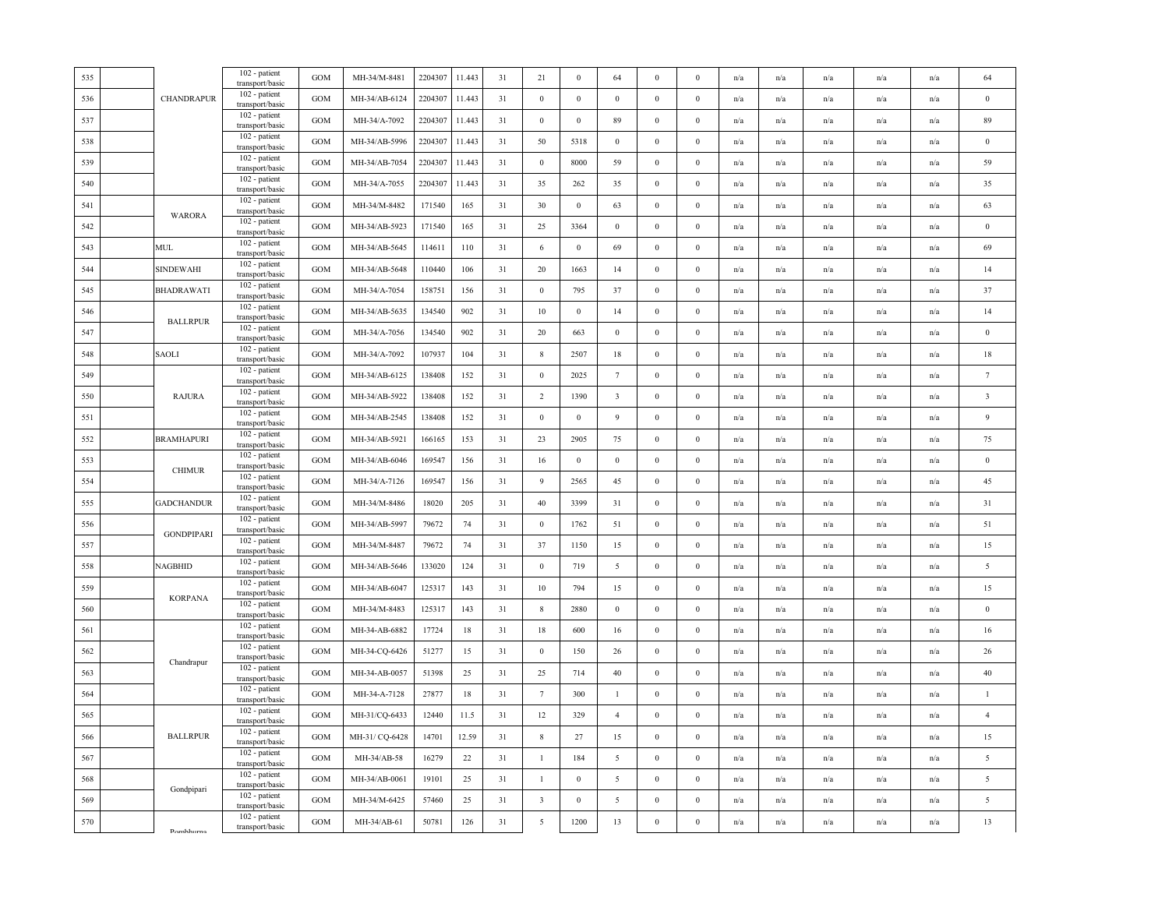| 535 |                                                                                                   | 102 - patient                                       | GOM        | MH-34/M-8481   | 2204307 | 11.443 | 31     | 21                      | $\mathbf{0}$     | 64                      | $\mathbf{0}$     | $\theta$         | n/a | n/a | n/a                     | n/a                     | n/a                     | 64                      |
|-----|---------------------------------------------------------------------------------------------------|-----------------------------------------------------|------------|----------------|---------|--------|--------|-------------------------|------------------|-------------------------|------------------|------------------|-----|-----|-------------------------|-------------------------|-------------------------|-------------------------|
| 536 | CHANDRAPUR                                                                                        | transport/basic<br>102 - patient<br>transport/basic | <b>GOM</b> | MH-34/AB-6124  | 2204307 | 11.443 | 31     | $\mathbf{0}$            | $\mathbf{0}$     | $\overline{0}$          | $\bf{0}$         | $\Omega$         | n/a | n/a | n/a                     | n/a                     | n/a                     | $\bf{0}$                |
| 537 |                                                                                                   | 102 - patient<br>transport/basic                    | GOM        | MH-34/A-7092   | 2204307 | 11.443 | 31     | $\mathbf{0}$            | $\boldsymbol{0}$ | 89                      | $\mathbf{0}$     | $\mathbf{0}$     | n/a | n/a | n/a                     | n/a                     | n/a                     | 89                      |
| 538 |                                                                                                   | 102 - patient<br>transport/basic                    | <b>GOM</b> | MH-34/AB-5996  | 2204307 | 11.443 | 31     | $50\,$                  | 5318             | $\mathbf{0}$            | $\boldsymbol{0}$ | $\boldsymbol{0}$ | n/a | n/a | n/a                     | n/a                     | n/a                     | $\bf{0}$                |
| 539 |                                                                                                   | 102 - patient<br>transport/basic                    | <b>GOM</b> | MH-34/AB-7054  | 2204307 | 11.443 | 31     | $\bf{0}$                | 8000             | 59                      | $\boldsymbol{0}$ | $\Omega$         | n/a | n/a | n/a                     | n/a                     | n/a                     | 59                      |
| 540 |                                                                                                   | 102 - patient<br>transport/basic                    | GOM        | MH-34/A-7055   | 2204307 | 11.443 | 31     | 35                      | 262              | 35                      | $\bf{0}$         | $\mathbf{0}$     | n/a | n/a | n/a                     | n/a                     | n/a                     | 35                      |
| 541 |                                                                                                   | 102 - patient<br>transport/basic                    | GOM        | MH-34/M-8482   | 171540  | 165    | 31     | 30                      | $\mathbf{0}$     | 63                      | $\mathbf{0}$     | $\mathbf{0}$     | n/a | n/a | n/a                     | n/a                     | $\mathrm{n}/\mathrm{a}$ | 63                      |
| 542 | WARORA                                                                                            | 102 - patient<br>transport/basic                    | <b>GOM</b> | MH-34/AB-5923  | 171540  | 165    | 31     | 25                      | 3364             | $\boldsymbol{0}$        | $\boldsymbol{0}$ | $\Omega$         | n/a | n/a | n/a                     | n/a                     | n/a                     | $\boldsymbol{0}$        |
| 543 | MUL                                                                                               | 102 - patient<br>transport/basic                    | GOM        | MH-34/AB-5645  | 114611  | 110    | 31     | 6                       | $\bf{0}$         | 69                      | $\bf{0}$         | $\bf{0}$         | n/a | n/a | n/a                     | n/a                     | n/a                     | 69                      |
| 544 | <b>SINDEWAHI</b>                                                                                  | 102 - patient<br>transport/basic                    | GOM        | MH-34/AB-5648  | 110440  | 106    | 31     | 20                      | 1663             | 14                      | $\mathbf{0}$     | $\boldsymbol{0}$ | n/a | n/a | $\mathrm{n}/\mathrm{a}$ | n/a                     | $\mathrm{n}/\mathrm{a}$ | 14                      |
| 545 | <b>BHADRAWATI</b>                                                                                 | 102 - patient<br>transport/basic                    | GOM        | MH-34/A-7054   | 158751  | 156    | 31     | $\boldsymbol{0}$        | 795              | $37\,$                  | $\boldsymbol{0}$ | $\bf{0}$         | n/a | n/a | n/a                     | n/a                     | n/a                     | $37\,$                  |
| 546 | <b>BALLRPUR</b>                                                                                   | 102 - patient<br>transport/basic                    | GOM        | MH-34/AB-5635  | 134540  | 902    | 31     | $10\,$                  | $\boldsymbol{0}$ | 14                      | $\boldsymbol{0}$ | $\bf{0}$         | n/a | n/a | n/a                     | n/a                     | n/a                     | 14                      |
| 547 |                                                                                                   | 102 - patient<br>transport/basic                    | GOM        | MH-34/A-7056   | 134540  | 902    | 31     | 20                      | 663              | $\mathbf{0}$            | $\bf{0}$         | $\bf{0}$         | n/a | n/a | n/a                     | n/a                     | n/a                     | $\bf{0}$                |
| 548 | <b>SAOLI</b>                                                                                      | 102 - patient<br>transport/basic                    | <b>GOM</b> | MH-34/A-7092   | 107937  | 104    | 31     | $\,$ 8 $\,$             | 2507             | 18                      | $\boldsymbol{0}$ | $\mathbf{0}$     | n/a | n/a | n/a                     | n/a                     | n/a                     | 18                      |
| 549 |                                                                                                   | 102 - patient<br>transport/basic                    | <b>GOM</b> | MH-34/AB-6125  | 138408  | 152    | 31     | $\,0\,$                 | 2025             | $7\phantom{.0}$         | $\boldsymbol{0}$ | $\Omega$         | n/a | n/a | n/a                     | n/a                     | n/a                     | $7\phantom{.0}$         |
| 550 | <b>RAJURA</b>                                                                                     | 102 - patient<br>transport/basic                    | <b>GOM</b> | MH-34/AB-5922  | 138408  | 152    | 31     | $\overline{2}$          | 1390             | $\overline{\mathbf{3}}$ | $\bf{0}$         | $\bf{0}$         | n/a | n/a | n/a                     | $\mathrm{n}/\mathrm{a}$ | $\mathrm{n}/\mathrm{a}$ | $\overline{\mathbf{3}}$ |
| 551 |                                                                                                   | 102 - patient<br>transport/basic                    | <b>GOM</b> | MH-34/AB-2545  | 138408  | 152    | 31     | $\mathbf{0}$            | $\boldsymbol{0}$ | 9                       | $\boldsymbol{0}$ | $\theta$         | n/a | n/a | n/a                     | n/a                     | n/a                     | 9                       |
| 552 | <b>BRAMHAPURI</b>                                                                                 | 102 - patient<br>transport/basic                    | <b>GOM</b> | MH-34/AB-5921  | 166165  | 153    | 31     | 23                      | 2905             | 75                      | $\boldsymbol{0}$ | $\mathbf{0}$     | n/a | n/a | n/a                     | n/a                     | n/a                     | $75\,$                  |
| 553 | <b>CHIMUR</b>                                                                                     | 102 - patient<br>transport/basic                    | <b>GOM</b> | MH-34/AB-6046  | 169547  | 156    | 31     | 16                      | $\boldsymbol{0}$ | $\boldsymbol{0}$        | $\boldsymbol{0}$ | $\bf{0}$         | n/a | n/a | n/a                     | n/a                     | n/a                     | $\boldsymbol{0}$        |
| 554 |                                                                                                   | 102 - patient<br>transport/basic                    | GOM        | MH-34/A-7126   | 169547  | 156    | 31     | 9                       | 2565             | 45                      | $\boldsymbol{0}$ | $\bf{0}$         | n/a | n/a | n/a                     | n/a                     | n/a                     | 45                      |
| 555 | <b>GADCHANDUR</b>                                                                                 | 102 - patient<br>transport/basic                    | <b>GOM</b> | MH-34/M-8486   | 18020   | 205    | 31     | 40                      | 3399             | 31                      | $\bf{0}$         | $\mathbf{0}$     | n/a | n/a | n/a                     | n/a                     | n/a                     | 31                      |
| 556 | <b>GONDPIPARI</b>                                                                                 | 102 - patient<br>transport/basic                    | GOM        | MH-34/AB-5997  | 79672   | 74     | 31     | $\boldsymbol{0}$        | 1762             | 51                      | $\boldsymbol{0}$ | $\mathbf{0}$     | n/a | n/a | n/a                     | n/a                     | n/a                     | 51                      |
| 557 |                                                                                                   | 102 - patient<br>transport/basic                    | <b>GOM</b> | MH-34/M-8487   | 79672   | 74     | 31     | 37                      | 1150             | 15                      | $\mathbf{0}$     | $\bf{0}$         | n/a | n/a | n/a                     | n/a                     | $\mathrm{n}/\mathrm{a}$ | 15                      |
| 558 | <b>NAGBHID</b>                                                                                    | 102 - patient<br>transport/basic                    | GOM        | MH-34/AB-5646  | 133020  | 124    | 31     | $\mathbf{0}$            | 719              | 5                       | $\boldsymbol{0}$ | $\theta$         | n/a | n/a | n/a                     | n/a                     | n/a                     | 5                       |
| 559 | <b>KORPANA</b>                                                                                    | 102 - patient<br>transport/basic                    | GOM        | MH-34/AB-6047  | 125317  | 143    | $31\,$ | 10                      | 794              | 15                      | $\boldsymbol{0}$ | $\mathbf{0}$     | n/a | n/a | n/a                     | n/a                     | n/a                     | 15                      |
| 560 |                                                                                                   | 102 - patient<br>transport/basic                    | GOM        | MH-34/M-8483   | 125317  | 143    | 31     | $\,$ 8 $\,$             | 2880             | $\,0\,$                 | $\boldsymbol{0}$ | $\boldsymbol{0}$ | n/a | n/a | n/a                     | n/a                     | $\mathrm{n}/\mathrm{a}$ | $\bf{0}$                |
| 561 |                                                                                                   | 102 - patient<br>transport/basic                    | GOM        | MH-34-AB-6882  | 17724   | 18     | 31     | 18                      | 600              | 16                      | $\boldsymbol{0}$ | $\mathbf{0}$     | n/a | n/a | $\mathrm{n}/\mathrm{a}$ | n/a                     | $\mathrm{n}/\mathrm{a}$ | 16                      |
| 562 | Chandrapur                                                                                        | 102 - patient<br>transport/basic                    | GOM        | MH-34-CQ-6426  | 51277   | 15     | 31     | $\,0\,$                 | 150              | 26                      | $\mathbf{0}$     | $\mathbf{0}$     | n/a | n/a | n/a                     | n/a                     | n/a                     | 26                      |
| 563 |                                                                                                   | 102 - patient<br>transport/basic                    | <b>GOM</b> | MH-34-AB-0057  | 51398   | 25     | 31     | 25                      | 714              | $40\,$                  | $\boldsymbol{0}$ | $\mathbf{0}$     | n/a | n/a | n/a                     | n/a                     | n/a                     | $40\,$                  |
| 564 |                                                                                                   | 102 - patient<br>transport/basic                    | GOM        | MH-34-A-7128   | 27877   | 18     | 31     | $7\phantom{.0}$         | 300              | $\mathbf{1}$            | $\boldsymbol{0}$ | $\mathbf{0}$     | n/a | n/a | n/a                     | n/a                     | n/a                     | $\mathbf{1}$            |
| 565 |                                                                                                   | 102 - patient<br>transport/basic                    | <b>GOM</b> | MH-31/CQ-6433  | 12440   | 11.5   | 31     | 12                      | 329              | $\overline{4}$          | $\mathbf{0}$     | $\theta$         | n/a | n/a | n/a                     | n/a                     | n/a                     | $\overline{4}$          |
| 566 | <b>BALLRPUR</b>                                                                                   | 102 - patient<br>transport/basic                    | <b>GOM</b> | MH-31/ CQ-6428 | 14701   | 12.59  | 31     | $\,$ 8 $\,$             | 27               | 15                      | $\bf{0}$         | $\Omega$         | n/a | n/a | n/a                     | n/a                     | n/a                     | 15                      |
| 567 |                                                                                                   | 102 - patient<br>transport/basic                    | GOM        | MH-34/AB-58    | 16279   | 22     | 31     | $\mathbf{1}$            | 184              | 5                       | $\boldsymbol{0}$ | $\boldsymbol{0}$ | n/a | n/a | n/a                     | n/a                     | n/a                     | $\overline{5}$          |
| 568 | Gondpipari                                                                                        | 102 - patient<br>transport/basic                    | <b>GOM</b> | MH-34/AB-0061  | 19101   | 25     | 31     | $\mathbf{1}$            | $\boldsymbol{0}$ | 5                       | $\boldsymbol{0}$ | $\bf{0}$         | n/a | n/a | $\mathrm{n}/\mathrm{a}$ | $\mathrm{n}/\mathrm{a}$ | $\mathrm{n}/\mathrm{a}$ | $\overline{5}$          |
| 569 |                                                                                                   | 102 - patient<br>transport/basic                    | <b>GOM</b> | MH-34/M-6425   | 57460   | 25     | 31     | $\overline{\mathbf{3}}$ | $\mathbf{0}$     | 5                       | $\bf{0}$         | $\bf{0}$         | n/a | n/a | n/a                     | n/a                     | n/a                     | 5                       |
| 570 | $\mathsf{p}_{\alpha\mathsf{m} \mathsf{h} \mathsf{h} \mathsf{u} \mathsf{r} \mathsf{n} \mathsf{a}}$ | 102 - patient<br>transport/basic                    | GOM        | MH-34/AB-61    | 50781   | 126    | 31     | 5                       | 1200             | 13                      | $\boldsymbol{0}$ | $\boldsymbol{0}$ | n/a | n/a | n/a                     | n/a                     | n/a                     | 13                      |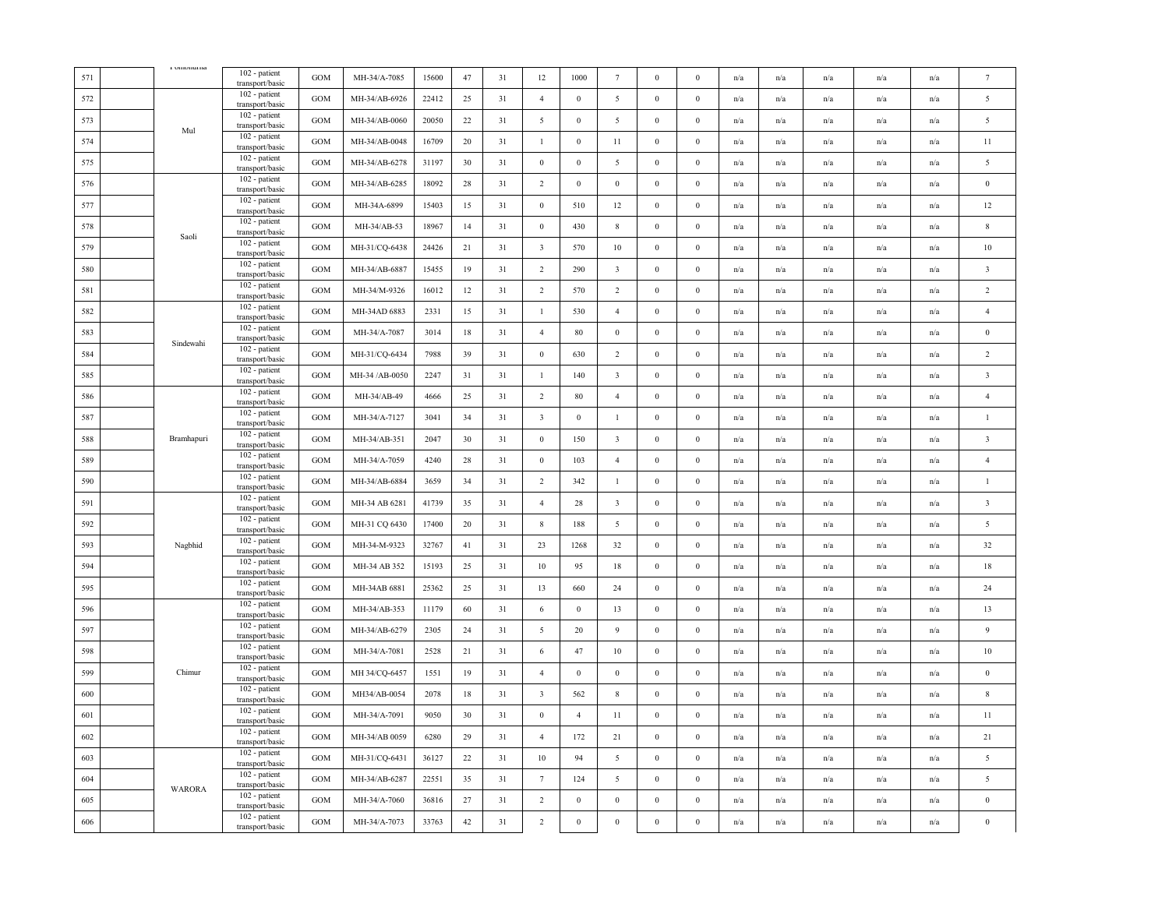| 571 | $1$ vinonuma  | 102 - patient<br>transport/basic   | <b>GOM</b> | MH-34/A-7085   | 15600 | 47     | 31 | 12                      | 1000           | $7\phantom{.0}$         | $\mathbf{0}$     | $\mathbf{0}$     | $\mathrm{n}/\mathrm{a}$ | n/a                     | $\mathrm{n}/\mathrm{a}$ | $\mathrm{n}/\mathrm{a}$ | n/a | $\tau$                  |
|-----|---------------|------------------------------------|------------|----------------|-------|--------|----|-------------------------|----------------|-------------------------|------------------|------------------|-------------------------|-------------------------|-------------------------|-------------------------|-----|-------------------------|
| 572 |               | 102 - patient<br>transport/basic   | GOM        | MH-34/AB-6926  | 22412 | 25     | 31 | $\overline{4}$          | $\mathbf{0}$   | 5                       | $\boldsymbol{0}$ | $\boldsymbol{0}$ | n/a                     | n/a                     | n/a                     | n/a                     | n/a | 5                       |
| 573 |               | 102 - patient<br>transport/basic   | GOM        | MH-34/AB-0060  | 20050 | 22     | 31 | $\overline{5}$          | $\,0\,$        | $\overline{5}$          | $\boldsymbol{0}$ | $\bf{0}$         | n/a                     | n/a                     | n/a                     | n/a                     | n/a | $\overline{5}$          |
| 574 | Mul           | 102 - patient<br>transport/basic   | GOM        | MH-34/AB-0048  | 16709 | 20     | 31 | $\mathbf{1}$            | $\,0\,$        | 11                      | $\boldsymbol{0}$ | $\boldsymbol{0}$ | n/a                     | n/a                     | n/a                     | n/a                     | n/a | $11\,$                  |
| 575 |               | 102 - patient<br>transport/basic   | GOM        | MH-34/AB-6278  | 31197 | 30     | 31 | $\mathbf{0}$            | $\mathbf{0}$   | 5                       | $\mathbf{0}$     | $\boldsymbol{0}$ | n/a                     | n/a                     | n/a                     | n/a                     | n/a | 5                       |
| 576 |               | 102 - patient<br>transport/basic   | GOM        | MH-34/AB-6285  | 18092 | 28     | 31 | $\overline{2}$          | $\,0\,$        | $\bf{0}$                | $\boldsymbol{0}$ | $\boldsymbol{0}$ | n/a                     | n/a                     | n/a                     | n/a                     | n/a | $\boldsymbol{0}$        |
| 577 |               | 102 - patient<br>transport/basic   | GOM        | MH-34A-6899    | 15403 | 15     | 31 | $\,0\,$                 | 510            | 12                      | $\,0\,$          | $\boldsymbol{0}$ | n/a                     | n/a                     | n/a                     | n/a                     | n/a | $12 \,$                 |
| 578 |               | 102 - patient<br>transport/basic   | GOM        | MH-34/AB-53    | 18967 | 14     | 31 | $\boldsymbol{0}$        | 430            | $8\,$                   | $\boldsymbol{0}$ | $\boldsymbol{0}$ | n/a                     | $\mathrm{n}/\mathrm{a}$ | $\mathrm{n}/\mathrm{a}$ | $\mathrm{n}/\mathrm{a}$ | n/a | $\,$ 8 $\,$             |
| 579 | Saoli         | 102 - patient<br>transport/basic   | GOM        | MH-31/CQ-6438  | 24426 | 21     | 31 | $\overline{3}$          | 570            | 10                      | $\bf{0}$         | $\boldsymbol{0}$ | n/a                     | n/a                     | n/a                     | n/a                     | n/a | 10                      |
| 580 |               | 102 - patient<br>transport/basic   | GOM        | MH-34/AB-6887  | 15455 | 19     | 31 | $\overline{2}$          | 290            | $\overline{\mathbf{3}}$ | $\boldsymbol{0}$ | $\bf{0}$         | n/a                     | n/a                     | n/a                     | n/a                     | n/a | $\overline{\mathbf{3}}$ |
| 581 |               | 102 - patient<br>transport/basic   | GOM        | MH-34/M-9326   | 16012 | 12     | 31 | $\overline{2}$          | 570            | $\overline{2}$          | $\boldsymbol{0}$ | $\mathbf{0}$     | n/a                     | n/a                     | n/a                     | n/a                     | n/a | $\overline{2}$          |
| 582 |               | 102 - patient<br>transport/basic   | GOM        | MH-34AD 6883   | 2331  | 15     | 31 | $\mathbf{1}$            | 530            | $\overline{4}$          | $\mathbf{0}$     | $\boldsymbol{0}$ | $\mathrm{n}/\mathrm{a}$ | $\mathrm{n}/\mathrm{a}$ | $\mathrm{n}/\mathrm{a}$ | $\mathrm{n}/\mathrm{a}$ | n/a | $\overline{4}$          |
| 583 |               | 102 - patient<br>transport/basic   | <b>GOM</b> | MH-34/A-7087   | 3014  | 18     | 31 | $\overline{4}$          | 80             | $\bf{0}$                | $\bf{0}$         | $\mathbf{0}$     | n/a                     | n/a                     | n/a                     | n/a                     | n/a | $\bf{0}$                |
| 584 | Sindewahi     | 102 - patient<br>transport/basic   | GOM        | MH-31/CQ-6434  | 7988  | 39     | 31 | $\,0\,$                 | 630            | $\overline{2}$          | $\boldsymbol{0}$ | $\boldsymbol{0}$ | n/a                     | n/a                     | n/a                     | n/a                     | n/a | $\overline{2}$          |
| 585 |               | 102 - patient<br>transport/basic   | <b>GOM</b> | MH-34 /AB-0050 | 2247  | 31     | 31 | $\mathbf{1}$            | 140            | $\overline{\mathbf{3}}$ | $\boldsymbol{0}$ | $\boldsymbol{0}$ | n/a                     | $\mathrm{n}/\mathrm{a}$ | $\mathrm{n}/\mathrm{a}$ | n/a                     | n/a | $\overline{\mathbf{3}}$ |
| 586 |               | 102 - patient<br>transport/basic   | GOM        | MH-34/AB-49    | 4666  | 25     | 31 | $\overline{2}$          | 80             | $\overline{4}$          | $\boldsymbol{0}$ | $\boldsymbol{0}$ | n/a                     | n/a                     | n/a                     | n/a                     | n/a | $\overline{4}$          |
| 587 |               | 102 - patient<br>transport/basic   | <b>GOM</b> | MH-34/A-7127   | 3041  | 34     | 31 | $\overline{\mathbf{3}}$ | $\bf{0}$       | -1                      | $\bf{0}$         | $\mathbf{0}$     | n/a                     | n/a                     | n/a                     | n/a                     | n/a | $\mathbf{1}$            |
| 588 | Bramhapuri    | 102 - patient<br>transport/basic   | GOM        | MH-34/AB-351   | 2047  | 30     | 31 | $\,0\,$                 | 150            | $\overline{\mathbf{3}}$ | $\boldsymbol{0}$ | $\boldsymbol{0}$ | n/a                     | n/a                     | n/a                     | n/a                     | n/a | $\overline{\mathbf{3}}$ |
| 589 |               | 102 - patient<br>transport/basic   | GOM        | MH-34/A-7059   | 4240  | 28     | 31 | $\,0\,$                 | 103            | $\overline{4}$          | $\mathbf{0}$     | $\boldsymbol{0}$ | $\mathrm{n}/\mathrm{a}$ | $\mathrm{n}/\mathrm{a}$ | $\mathrm{n}/\mathrm{a}$ | n/a                     | n/a | $\overline{4}$          |
| 590 |               | 102 - patient<br>transport/basic   | GOM        | MH-34/AB-6884  | 3659  | 34     | 31 | 2                       | 342            | $\mathbf{1}$            | $\,0\,$          | $\boldsymbol{0}$ | n/a                     | n/a                     | n/a                     | n/a                     | n/a | $\mathbf{1}$            |
| 591 |               | $102$ - patient<br>transport/basic | GOM        | MH-34 AB 6281  | 41739 | 35     | 31 | $\overline{4}$          | $28\,$         | $\overline{\mathbf{3}}$ | $\,0\,$          | $\boldsymbol{0}$ | n/a                     | n/a                     | n/a                     | n/a                     | n/a | $\overline{\mathbf{3}}$ |
| 592 |               | 102 - patient<br>transport/basic   | GOM        | MH-31 CQ 6430  | 17400 | 20     | 31 | $\,$ 8 $\,$             | 188            | 5                       | $\boldsymbol{0}$ | $\boldsymbol{0}$ | n/a                     | n/a                     | n/a                     | n/a                     | n/a | $\overline{5}$          |
| 593 | Nagbhid       | 102 - patient<br>transport/basic   | GOM        | MH-34-M-9323   | 32767 | 41     | 31 | 23                      | 1268           | 32                      | $\boldsymbol{0}$ | $\boldsymbol{0}$ | n/a                     | n/a                     | n/a                     | n/a                     | n/a | 32                      |
| 594 |               | 102 - patient<br>transport/basic   | GOM        | MH-34 AB 352   | 15193 | 25     | 31 | 10                      | 95             | 18                      | $\mathbf{0}$     | $\mathbf{0}$     | n/a                     | n/a                     | n/a                     | n/a                     | n/a | 18                      |
| 595 |               | 102 - patient<br>transport/basic   | GOM        | MH-34AB 6881   | 25362 | 25     | 31 | 13                      | 660            | 24                      | $\boldsymbol{0}$ | $\boldsymbol{0}$ | n/a                     | n/a                     | n/a                     | n/a                     | n/a | 24                      |
| 596 |               | 102 - patient<br>transport/basic   | GOM        | MH-34/AB-353   | 11179 | 60     | 31 | 6                       | $\mathbf{0}$   | 13                      | $\bf{0}$         | $\mathbf{0}$     | n/a                     | $\mathrm{n}/\mathrm{a}$ | $\mathrm{n}/\mathrm{a}$ | $\mathrm{n}/\mathrm{a}$ | n/a | 13                      |
| 597 |               | 102 - patient<br>transport/basic   | GOM        | MH-34/AB-6279  | 2305  | 24     | 31 | 5                       | 20             | 9                       | $\boldsymbol{0}$ | $\boldsymbol{0}$ | n/a                     | n/a                     | n/a                     | n/a                     | n/a | $\overline{9}$          |
| 598 |               | 102 - patient<br>transport/basic   | GOM        | MH-34/A-7081   | 2528  | 21     | 31 | 6                       | 47             | 10                      | $\boldsymbol{0}$ | $\boldsymbol{0}$ | n/a                     | n/a                     | n/a                     | n/a                     | n/a | $10\,$                  |
| 599 | Chimur        | 102 - patient<br>transport/basic   | GOM        | MH 34/CQ-6457  | 1551  | 19     | 31 | $\overline{4}$          | $\,0\,$        | $\bf{0}$                | $\boldsymbol{0}$ | $\boldsymbol{0}$ | n/a                     | n/a                     | n/a                     | n/a                     | n/a | $\boldsymbol{0}$        |
| 600 |               | 102 - patient<br>transport/basic   | GOM        | MH34/AB-0054   | 2078  | 18     | 31 | $\overline{\mathbf{3}}$ | 562            | $8\,$                   | $\mathbf{0}$     | $\boldsymbol{0}$ | n/a                     | n/a                     | n/a                     | n/a                     | n/a | 8                       |
| 601 |               | 102 - patient<br>transport/basic   | GOM        | MH-34/A-7091   | 9050  | 30     | 31 | $\overline{0}$          | $\overline{4}$ | 11                      | $\mathbf{0}$     | $\mathbf{0}$     | n/a                     | n/a                     | n/a                     | n/a                     | n/a | 11                      |
| 602 |               | 102 - patient<br>transport/basic   | GOM        | MH-34/AB 0059  | 6280  | 29     | 31 | $\overline{4}$          | 172            | 21                      | $\boldsymbol{0}$ | $\boldsymbol{0}$ | n/a                     | n/a                     | n/a                     | n/a                     | n/a | 21                      |
| 603 |               | 102 - patient<br>transport/basic   | <b>GOM</b> | MH-31/CQ-6431  | 36127 | 22     | 31 | 10                      | 94             | 5                       | $\boldsymbol{0}$ | $\mathbf{0}$     | n/a                     | n/a                     | $\mathrm{n}/\mathrm{a}$ | n/a                     | n/a | $\overline{5}$          |
| 604 | <b>WARORA</b> | 102 - patient<br>transport/basic   | <b>GOM</b> | MH-34/AB-6287  | 22551 | 35     | 31 | $7\phantom{.0}$         | 124            | 5                       | $\boldsymbol{0}$ | $\boldsymbol{0}$ | n/a                     | n/a                     | n/a                     | n/a                     | n/a | 5                       |
| 605 |               | 102 - patient<br>transport/basic   | GOM        | MH-34/A-7060   | 36816 | 27     | 31 | 2                       | $\,$ 0 $\,$    | $\boldsymbol{0}$        | $\boldsymbol{0}$ | $\boldsymbol{0}$ | n/a                     | n/a                     | n/a                     | n/a                     | n/a | $\bf{0}$                |
| 606 |               | 102 - patient<br>transport/basic   | GOM        | MH-34/A-7073   | 33763 | $42\,$ | 31 | $\overline{2}$          | $\,0\,$        | $\boldsymbol{0}$        | $\boldsymbol{0}$ | $\boldsymbol{0}$ | n/a                     | n/a                     | n/a                     | n/a                     | n/a | $\mathbf{0}$            |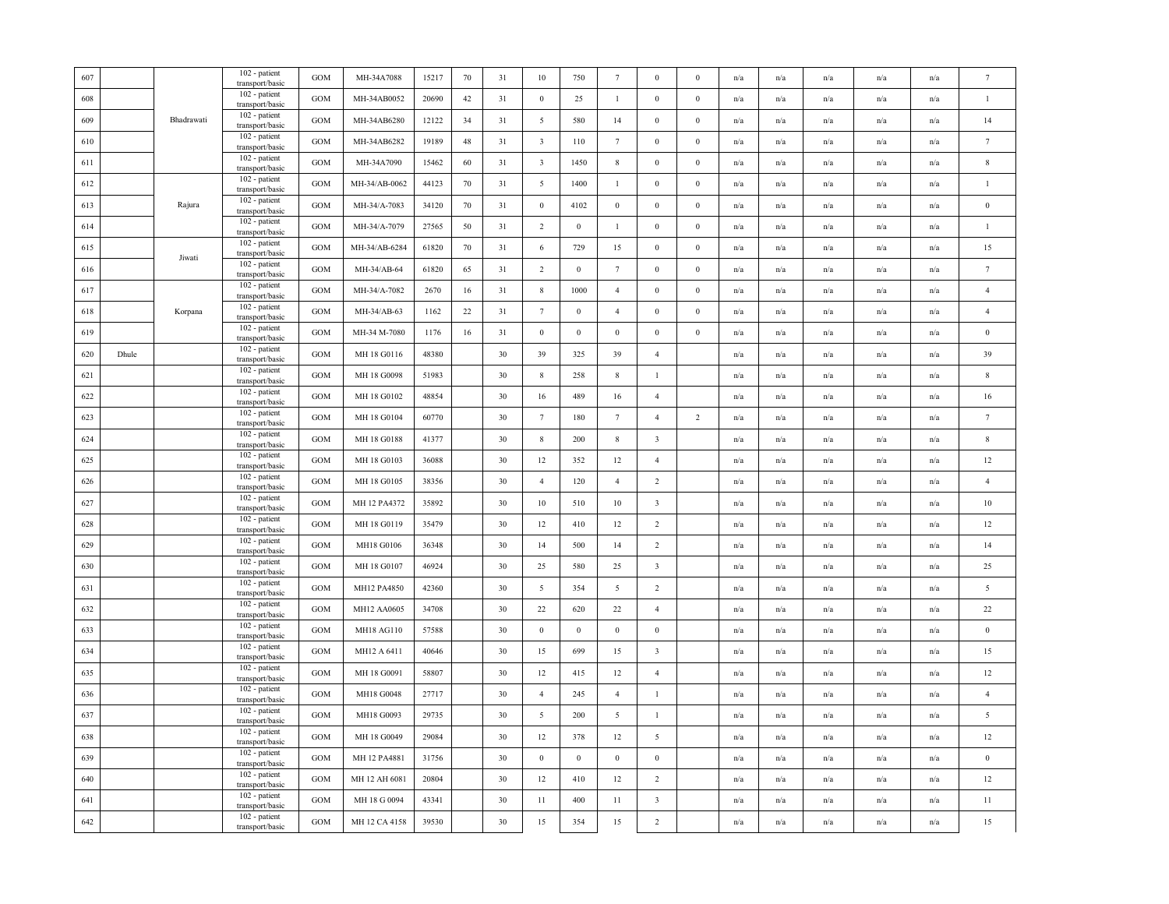|       |            | 102 - patient<br>transport/basic   | GOM                                                                                                                                                                                                                                                                                                                                                                                                         | MH-34A7088    | 15217 | 70 | 31 | $10\,$                  | 750              | $7\phantom{.0}$  | $\mathbf{0}$            | $\mathbf{0}$     | n/a                     | n/a                     | n/a                     | n/a                     | n/a                     | $\tau$           |
|-------|------------|------------------------------------|-------------------------------------------------------------------------------------------------------------------------------------------------------------------------------------------------------------------------------------------------------------------------------------------------------------------------------------------------------------------------------------------------------------|---------------|-------|----|----|-------------------------|------------------|------------------|-------------------------|------------------|-------------------------|-------------------------|-------------------------|-------------------------|-------------------------|------------------|
|       |            | 102 - patient                      | <b>GOM</b>                                                                                                                                                                                                                                                                                                                                                                                                  | MH-34AB0052   | 20690 | 42 | 31 | $\mathbf{0}$            | 25               | $\mathbf{1}$     | $\bf{0}$                | $\bf{0}$         | n/a                     | n/a                     | n/a                     | n/a                     | n/a                     | $\mathbf{1}$     |
|       | Bhadrawati | 102 - patient<br>transport/basic   | GOM                                                                                                                                                                                                                                                                                                                                                                                                         | MH-34AB6280   | 12122 | 34 | 31 | $\overline{5}$          | 580              | 14               | $\boldsymbol{0}$        | $\boldsymbol{0}$ | n/a                     | n/a                     | n/a                     | n/a                     | n/a                     | 14               |
|       |            | 102 - patient<br>transport/basic   | <b>GOM</b>                                                                                                                                                                                                                                                                                                                                                                                                  | MH-34AB6282   | 19189 | 48 | 31 | $\overline{\mathbf{3}}$ | 110              | $7\phantom{.0}$  | $\bf{0}$                | $\bf{0}$         | n/a                     | $\mathrm{n}/\mathrm{a}$ | n/a                     | $\mathrm{n}/\mathrm{a}$ | n/a                     | $\tau$           |
|       |            | 102 - patient                      | <b>GOM</b>                                                                                                                                                                                                                                                                                                                                                                                                  | MH-34A7090    | 15462 | 60 | 31 | $\overline{\mathbf{3}}$ | 1450             | 8                | $\bf{0}$                | $\mathbf{0}$     | n/a                     | n/a                     | n/a                     | n/a                     | n/a                     | $\,$ 8 $\,$      |
|       |            | 102 - patient                      | GOM                                                                                                                                                                                                                                                                                                                                                                                                         | MH-34/AB-0062 | 44123 | 70 | 31 | $5\overline{)}$         | 1400             | $\mathbf{1}$     | $\bf{0}$                | $\boldsymbol{0}$ | n/a                     | n/a                     | n/a                     | n/a                     | n/a                     | $\mathbf{1}$     |
|       | Rajura     | 102 - patient<br>transport/basic   | <b>GOM</b>                                                                                                                                                                                                                                                                                                                                                                                                  | MH-34/A-7083  | 34120 | 70 | 31 | $\,0\,$                 | 4102             | $\boldsymbol{0}$ | $\bf{0}$                | $\boldsymbol{0}$ | n/a                     | n/a                     | n/a                     | n/a                     | n/a                     | $\,0\,$          |
|       |            | 102 - patient<br>transport/basic   | <b>GOM</b>                                                                                                                                                                                                                                                                                                                                                                                                  | MH-34/A-7079  | 27565 | 50 | 31 | $\overline{2}$          | $\boldsymbol{0}$ | -1               | $\mathbf{0}$            | $\mathbf{0}$     | n/a                     | n/a                     | n/a                     | n/a                     | n/a                     | $\mathbf{1}$     |
|       |            | 102 - patient                      | GOM                                                                                                                                                                                                                                                                                                                                                                                                         | MH-34/AB-6284 | 61820 | 70 | 31 | 6                       | 729              | 15               | $\boldsymbol{0}$        | $\boldsymbol{0}$ | $\mathrm{n}/\mathrm{a}$ | n/a                     | n/a                     | $\mathbf{n}/\mathbf{a}$ | n/a                     | 15               |
|       |            | $102$ - patient                    | <b>GOM</b>                                                                                                                                                                                                                                                                                                                                                                                                  | MH-34/AB-64   | 61820 | 65 | 31 | $\overline{2}$          | $\boldsymbol{0}$ | $7\phantom{.0}$  | $\boldsymbol{0}$        | $\bf{0}$         | n/a                     | n/a                     | n/a                     | n/a                     | n/a                     | $\overline{7}$   |
|       |            | 102 - patient                      | GOM                                                                                                                                                                                                                                                                                                                                                                                                         | MH-34/A-7082  | 2670  | 16 | 31 | 8                       | 1000             | $\overline{4}$   | $\boldsymbol{0}$        | $\boldsymbol{0}$ | n/a                     | n/a                     | n/a                     | n/a                     | n/a                     | $\overline{4}$   |
|       | Korpana    | 102 - patient                      | <b>GOM</b>                                                                                                                                                                                                                                                                                                                                                                                                  | MH-34/AB-63   | 1162  | 22 | 31 | $7\phantom{.0}$         | $\bf{0}$         | $\overline{4}$   | $\bf{0}$                | $\bf{0}$         | n/a                     | n/a                     | n/a                     | n/a                     | n/a                     | $\overline{4}$   |
|       |            | 102 - patient<br>transport/basic   | GOM                                                                                                                                                                                                                                                                                                                                                                                                         | MH-34 M-7080  | 1176  | 16 | 31 | $\boldsymbol{0}$        | $\boldsymbol{0}$ | $\boldsymbol{0}$ | $\boldsymbol{0}$        | $\boldsymbol{0}$ | n/a                     | n/a                     | n/a                     | n/a                     | n/a                     | $\bf{0}$         |
| Dhule |            | 102 - patient<br>transport/basic   | GOM                                                                                                                                                                                                                                                                                                                                                                                                         | MH 18 G0116   | 48380 |    | 30 | 39                      | 325              | 39               | $\overline{4}$          |                  | $\mathrm{n}/\mathrm{a}$ | $\mathrm{n}/\mathrm{a}$ | n/a                     | $\mathbf{n}/\mathbf{a}$ | $\mathbf{n}/\mathbf{a}$ | 39               |
|       |            | 102 - patient                      | <b>GOM</b>                                                                                                                                                                                                                                                                                                                                                                                                  | MH 18 G0098   | 51983 |    | 30 | $\,$ 8 $\,$             | 258              | $\,$ 8 $\,$      | $\mathbf{1}$            |                  | n/a                     | n/a                     | n/a                     | n/a                     | n/a                     | $\,$ 8 $\,$      |
|       |            | 102 - patient                      | GOM                                                                                                                                                                                                                                                                                                                                                                                                         | MH 18 G0102   | 48854 |    | 30 | 16                      | 489              | 16               | $\overline{4}$          |                  | n/a                     | n/a                     | n/a                     | n/a                     | n/a                     | 16               |
|       |            | 102 - patient<br>transport/basic   | GOM                                                                                                                                                                                                                                                                                                                                                                                                         | MH 18 G0104   | 60770 |    | 30 | $7\phantom{.0}$         | 180              | $7\phantom{.0}$  | $\overline{4}$          | $\overline{2}$   | n/a                     | n/a                     | n/a                     | n/a                     | n/a                     | $\tau$           |
|       |            | 102 - patient<br>transport/basic   | <b>GOM</b>                                                                                                                                                                                                                                                                                                                                                                                                  | MH 18 G0188   | 41377 |    | 30 | $\,$ 8 $\,$             | 200              | $8\phantom{.0}$  | $\overline{\mathbf{3}}$ |                  | n/a                     | n/a                     | n/a                     | n/a                     | n/a                     | $\,$ 8 $\,$      |
|       |            | 102 - patient                      | GOM                                                                                                                                                                                                                                                                                                                                                                                                         | MH 18 G0103   | 36088 |    | 30 | 12                      | 352              | 12               | $\overline{4}$          |                  | n/a                     | $\mathrm{n}/\mathrm{a}$ | $\mathrm{n}/\mathrm{a}$ | $\mathbf{n}/\mathbf{a}$ | $\mathbf{n}/\mathbf{a}$ | $12\,$           |
|       |            | 102 - patient                      | GOM                                                                                                                                                                                                                                                                                                                                                                                                         | MH 18 G0105   | 38356 |    | 30 | $\overline{4}$          | 120              | $\overline{4}$   | 2                       |                  | n/a                     | n/a                     | n/a                     | n/a                     | n/a                     | $\overline{4}$   |
|       |            | 102 - patient                      | GOM                                                                                                                                                                                                                                                                                                                                                                                                         | MH 12 PA4372  | 35892 |    | 30 | 10                      | 510              | 10               | $\overline{\mathbf{3}}$ |                  | n/a                     | n/a                     | n/a                     | n/a                     | n/a                     | $10\,$           |
|       |            | 102 - patient                      | GOM                                                                                                                                                                                                                                                                                                                                                                                                         | MH 18 G0119   | 35479 |    | 30 | 12                      | 410              | 12               | $\overline{2}$          |                  | $\mathrm{n}/\mathrm{a}$ | n/a                     | n/a                     | $\mathrm{n}/\mathrm{a}$ | n/a                     | $12\,$           |
|       |            | 102 - patient<br>transport/basic   | GOM                                                                                                                                                                                                                                                                                                                                                                                                         | MH18 G0106    | 36348 |    | 30 | 14                      | 500              | 14               | $\sqrt{2}$              |                  | $\mathrm{n}/\mathrm{a}$ | n/a                     | n/a                     | n/a                     | $\mathrm{n}/\mathrm{a}$ | 14               |
|       |            | 102 - patient                      | GOM                                                                                                                                                                                                                                                                                                                                                                                                         | MH 18 G0107   | 46924 |    | 30 | 25                      | 580              | 25               | $\overline{\mathbf{3}}$ |                  | n/a                     | $\mathrm{n}/\mathrm{a}$ | n/a                     | $\mathrm{n}/\mathrm{a}$ | $\mathbf{n}/\mathbf{a}$ | 25               |
|       |            | 102 - patient                      | <b>GOM</b>                                                                                                                                                                                                                                                                                                                                                                                                  | MH12 PA4850   | 42360 |    | 30 | 5                       | 354              | 5                | 2                       |                  | n/a                     | n/a                     | n/a                     | n/a                     | n/a                     | 5                |
|       |            | 102 - patient                      | GOM                                                                                                                                                                                                                                                                                                                                                                                                         | MH12 AA0605   | 34708 |    | 30 | 22                      | 620              | $22\,$           | $\overline{4}$          |                  | n/a                     | n/a                     | n/a                     | n/a                     | n/a                     | $22\,$           |
|       |            | 102 - patient<br>transport/basic   | <b>GOM</b>                                                                                                                                                                                                                                                                                                                                                                                                  | MH18 AG110    | 57588 |    | 30 | $\mathbf{0}$            | $\boldsymbol{0}$ | $\boldsymbol{0}$ | $\mathbf{0}$            |                  | n/a                     | n/a                     | n/a                     | n/a                     | n/a                     | $\,0\,$          |
|       |            | 102 - patient<br>transport/basic   | <b>GOM</b>                                                                                                                                                                                                                                                                                                                                                                                                  | MH12 A 6411   | 40646 |    | 30 | 15                      | 699              | 15               | $\overline{\mathbf{3}}$ |                  | n/a                     | n/a                     | n/a                     | n/a                     | n/a                     | 15               |
|       |            | 102 - patient                      | GOM                                                                                                                                                                                                                                                                                                                                                                                                         | MH 18 G0091   | 58807 |    | 30 | 12                      | 415              | 12               | $\overline{4}$          |                  | n/a                     | n/a                     | n/a                     | n/a                     | n/a                     | $12\,$           |
|       |            | 102 - patient                      | GOM                                                                                                                                                                                                                                                                                                                                                                                                         | MH18 G0048    | 27717 |    | 30 | $\overline{4}$          | 245              | $\overline{4}$   | $\mathbf{1}$            |                  | n/a                     | n/a                     | n/a                     | n/a                     | n/a                     | $\overline{4}$   |
|       |            | 102 - patient                      | GOM                                                                                                                                                                                                                                                                                                                                                                                                         | MH18 G0093    | 29735 |    | 30 | 5                       | 200              | 5                | $\mathbf{1}$            |                  | n/a                     | n/a                     | n/a                     | n/a                     | n/a                     | 5                |
|       |            | 102 - patient                      | <b>GOM</b>                                                                                                                                                                                                                                                                                                                                                                                                  | MH 18 G0049   | 29084 |    | 30 | 12                      | 378              | 12               | 5                       |                  | n/a                     | n/a                     | $\mathrm{n}/\mathrm{a}$ | n/a                     | n/a                     | $12\,$           |
|       |            | 102 - patient<br>transport/basic   | GOM                                                                                                                                                                                                                                                                                                                                                                                                         | MH 12 PA4881  | 31756 |    | 30 | $\boldsymbol{0}$        | $\boldsymbol{0}$ | $\,0\,$          | $\boldsymbol{0}$        |                  | n/a                     | n/a                     | n/a                     | n/a                     | $\mathrm{n}/\mathrm{a}$ | $\boldsymbol{0}$ |
|       |            | 102 - patient<br>transport/basic   | GOM                                                                                                                                                                                                                                                                                                                                                                                                         | MH 12 AH 6081 | 20804 |    | 30 | 12                      | 410              | 12               | $\overline{2}$          |                  | $\mathrm{n}/\mathrm{a}$ | $\mathrm{n}/\mathrm{a}$ | n/a                     | $\mathrm{n}/\mathrm{a}$ | $\mathbf{n}/\mathbf{a}$ | $12\,$           |
|       |            | 102 - patient                      | <b>GOM</b>                                                                                                                                                                                                                                                                                                                                                                                                  | MH 18 G 0094  | 43341 |    | 30 | 11                      | 400              | 11               | $\overline{\mathbf{3}}$ |                  | n/a                     | n/a                     | n/a                     | n/a                     | n/a                     | $11\,$           |
|       |            | $102$ - patient<br>transport/basic | GOM                                                                                                                                                                                                                                                                                                                                                                                                         | MH 12 CA 4158 | 39530 |    | 30 | 15                      | 354              | 15               | $\overline{2}$          |                  | n/a                     | n/a                     | n/a                     | n/a                     | n/a                     | 15               |
|       |            | Jiwati                             | transport/basic<br>transport/basic<br>transport/basic<br>transport/basic<br>transport/basic<br>transport/basic<br>transport/basic<br>transport/basic<br>transport/basic<br>transport/basic<br>transport/basic<br>transport/basic<br>transport/basic<br>transport/basic<br>transport/basic<br>transport/basic<br>transport/basic<br>transport/basic<br>transport/basic<br>transport/basic<br>transport/basic |               |       |    |    |                         |                  |                  |                         |                  |                         |                         |                         |                         |                         |                  |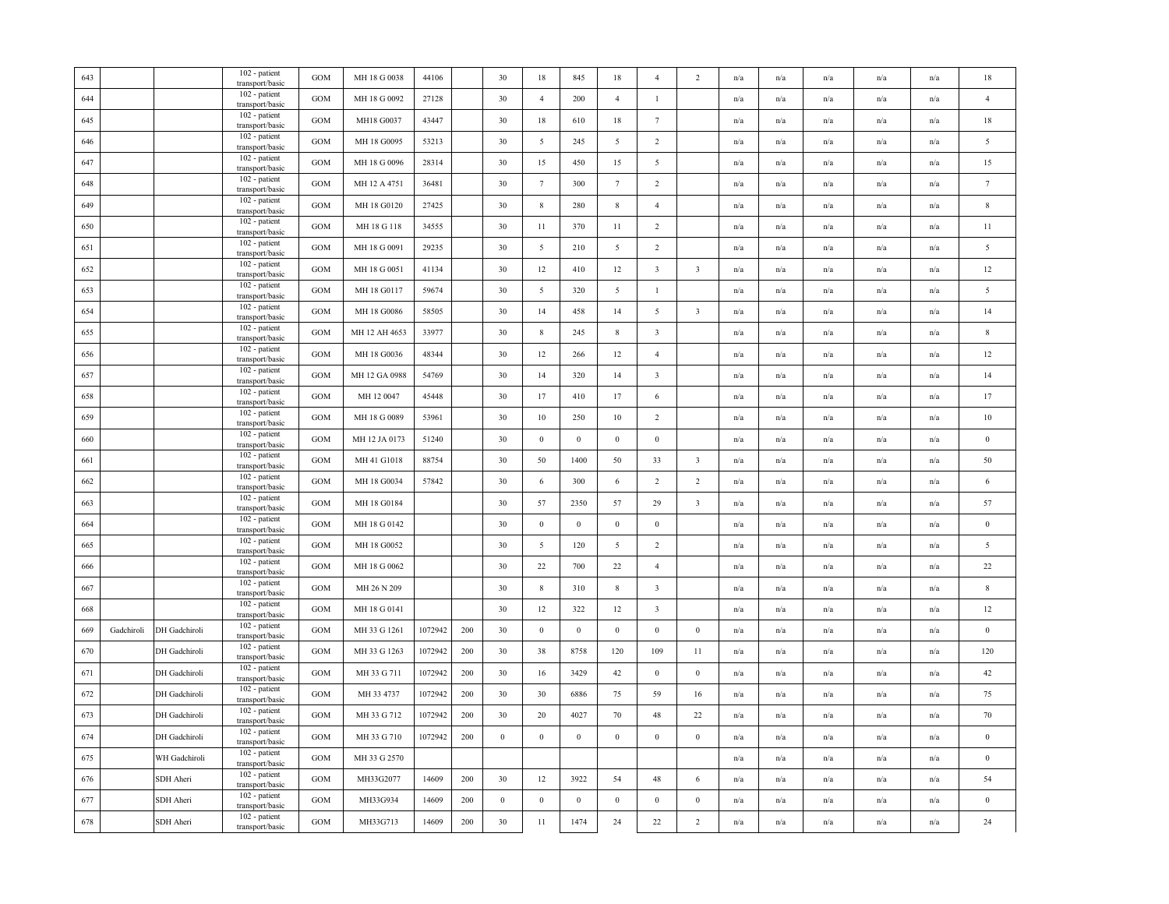| 643 |            |               | 102 - patient<br>transport/basic                    | <b>GOM</b>        | MH 18 G 0038  | 44106   |     | 30               | 18               | 845              | 18              | $\overline{4}$          | $\overline{c}$          | n/a | n/a                     | n/a                     | n/a                     | n/a                     | 18               |
|-----|------------|---------------|-----------------------------------------------------|-------------------|---------------|---------|-----|------------------|------------------|------------------|-----------------|-------------------------|-------------------------|-----|-------------------------|-------------------------|-------------------------|-------------------------|------------------|
| 644 |            |               | 102 - patient<br>transport/basic                    | <b>GOM</b>        | MH 18 G 0092  | 27128   |     | 30               | $\overline{4}$   | 200              | $\overline{4}$  | $\mathbf{1}$            |                         | n/a | n/a                     | n/a                     | n/a                     | n/a                     | $\overline{4}$   |
| 645 |            |               | 102 - patient<br>transport/basic                    | $_{\mathrm{GOM}}$ | MH18 G0037    | 43447   |     | 30               | 18               | 610              | 18              | $7\phantom{.0}$         |                         | n/a | n/a                     | n/a                     | n/a                     | n/a                     | 18               |
| 646 |            |               | 102 - patient<br>transport/basic                    | <b>GOM</b>        | MH 18 G0095   | 53213   |     | 30               | $5\overline{)}$  | 245              | 5               | $\overline{2}$          |                         | n/a | $\mathrm{n}/\mathrm{a}$ | $\mathrm{n}/\mathrm{a}$ | $\mathrm{n}/\mathrm{a}$ | n/a                     | $\sqrt{5}$       |
| 647 |            |               | 102 - patient<br>transport/basic                    | <b>GOM</b>        | MH 18 G 0096  | 28314   |     | 30               | 15               | 450              | 15              | 5                       |                         | n/a | n/a                     | n/a                     | n/a                     | n/a                     | $15\,$           |
| 648 |            |               | 102 - patient<br>transport/basic                    | <b>GOM</b>        | MH 12 A 4751  | 36481   |     | 30               | $7\phantom{.0}$  | 300              | $7\phantom{.0}$ | $\overline{2}$          |                         | n/a | n/a                     | n/a                     | n/a                     | n/a                     | $\tau$           |
| 649 |            |               | 102 - patient<br>transport/basic                    | <b>GOM</b>        | MH 18 G0120   | 27425   |     | 30               | $\,$ 8 $\,$      | 280              | $\,$ 8 $\,$     | $\overline{4}$          |                         | n/a | n/a                     | n/a                     | n/a                     | n/a                     | $\,$ 8 $\,$      |
| 650 |            |               | 102 - patient<br>transport/basic                    | <b>GOM</b>        | MH 18 G 118   | 34555   |     | 30               | 11               | 370              | 11              | 2                       |                         | n/a | n/a                     | n/a                     | n/a                     | n/a                     | 11               |
| 651 |            |               | 102 - patient<br>transport/basic                    | <b>GOM</b>        | MH 18 G 0091  | 29235   |     | 30               | $5\overline{)}$  | 210              | 5               | $\overline{2}$          |                         | n/a | $\mathrm{n}/\mathrm{a}$ | n/a                     | $\mathrm{n}/\mathrm{a}$ | $\mathrm{n}/\mathrm{a}$ | $\overline{5}$   |
| 652 |            |               | 102 - patient<br>transport/basic                    | <b>GOM</b>        | MH 18 G 0051  | 41134   |     | 30               | 12               | 410              | 12              | $\overline{\mathbf{3}}$ | $\overline{\mathbf{3}}$ | n/a | n/a                     | n/a                     | n/a                     | n/a                     | 12               |
| 653 |            |               | 102 - patient<br>transport/basic                    | <b>GOM</b>        | MH 18 G0117   | 59674   |     | 30               | 5                | 320              | 5               | $\mathbf{1}$            |                         | n/a | n/a                     | n/a                     | n/a                     | n/a                     | 5                |
| 654 |            |               | 102 - patient<br>transport/basic                    | <b>GOM</b>        | MH 18 G0086   | 58505   |     | 30               | 14               | 458              | 14              | 5                       | $\overline{\mathbf{3}}$ | n/a | n/a                     | n/a                     | n/a                     | n/a                     | 14               |
| 655 |            |               | 102 - patient<br>transport/basic                    | <b>GOM</b>        | MH 12 AH 4653 | 33977   |     | 30               | $\,$ 8 $\,$      | 245              | $\,$ 8 $\,$     | $\overline{\mathbf{3}}$ |                         | n/a | n/a                     | n/a                     | n/a                     | $\mathrm{n}/\mathrm{a}$ | $\,$ 8 $\,$      |
| 656 |            |               | 102 - patient<br>transport/basic                    | <b>GOM</b>        | MH 18 G0036   | 48344   |     | 30               | 12               | 266              | 12              | $\overline{4}$          |                         | n/a | $\mathrm{n}/\mathrm{a}$ | n/a                     | n/a                     | $\mathrm{n}/\mathrm{a}$ | 12               |
| 657 |            |               | 102 - patient<br>transport/basic                    | <b>GOM</b>        | MH 12 GA 0988 | 54769   |     | 30               | 14               | 320              | 14              | $\overline{\mathbf{3}}$ |                         | n/a | n/a                     | n/a                     | n/a                     | n/a                     | 14               |
| 658 |            |               | 102 - patient<br>transport/basic                    | <b>GOM</b>        | MH 12 0047    | 45448   |     | 30               | 17               | 410              | 17              | $\sqrt{6}$              |                         | n/a | n/a                     | n/a                     | n/a                     | n/a                     | 17               |
| 659 |            |               | 102 - patient<br>transport/basic                    | <b>GOM</b>        | MH 18 G 0089  | 53961   |     | 30               | 10               | 250              | 10              | $\overline{2}$          |                         | n/a | n/a                     | n/a                     | n/a                     | n/a                     | $10\,$           |
| 660 |            |               | 102 - patient<br>transport/basic                    | <b>GOM</b>        | MH 12 JA 0173 | 51240   |     | 30               | $\mathbf{0}$     | $\mathbf{0}$     | $\,0\,$         | $\mathbf{0}$            |                         | n/a | n/a                     | $\mathrm{n}/\mathrm{a}$ | $\mathrm{n}/\mathrm{a}$ | $\mathrm{n}/\mathrm{a}$ | $\,0\,$          |
| 661 |            |               | 102 - patient                                       | <b>GOM</b>        | MH 41 G1018   | 88754   |     | 30               | 50               | 1400             | 50              | 33                      | $\overline{\mathbf{3}}$ | n/a | n/a                     | $\mathrm{n}/\mathrm{a}$ | $\mathrm{n}/\mathrm{a}$ | n/a                     | 50               |
| 662 |            |               | transport/basic<br>102 - patient                    | <b>GOM</b>        | MH 18 G0034   | 57842   |     | 30               | 6                | 300              | 6               | 2                       | 2                       | n/a | n/a                     | n/a                     | n/a                     | n/a                     | 6                |
| 663 |            |               | transport/basic<br>102 - patient<br>transport/basic | <b>GOM</b>        | MH 18 G0184   |         |     | 30               | 57               | 2350             | 57              | 29                      | $\overline{\mathbf{3}}$ | n/a | n/a                     | $\mathrm{n}/\mathrm{a}$ | n/a                     | $\mathrm{n}/\mathrm{a}$ | 57               |
| 664 |            |               | 102 - patient<br>transport/basic                    | <b>GOM</b>        | MH 18 G 0142  |         |     | 30               | $\boldsymbol{0}$ | $\boldsymbol{0}$ | $\,0\,$         | $\boldsymbol{0}$        |                         | n/a | $\mathrm{n}/\mathrm{a}$ | $\mathrm{n}/\mathrm{a}$ | $\mathrm{n}/\mathrm{a}$ | $\mathrm{n}/\mathrm{a}$ | $\,0\,$          |
| 665 |            |               | 102 - patient<br>transport/basic                    | $_{\rm GOM}$      | MH 18 G0052   |         |     | 30               | $5\overline{)}$  | 120              | $\overline{5}$  | $\overline{2}$          |                         | n/a | n/a                     | n/a                     | n/a                     | $\mathrm{n}/\mathrm{a}$ | $\overline{5}$   |
| 666 |            |               | 102 - patient                                       | <b>GOM</b>        | MH 18 G 0062  |         |     | 30               | $22\,$           | 700              | $22\,$          | $\overline{4}$          |                         | n/a | $\mathrm{n}/\mathrm{a}$ | n/a                     | n/a                     | $\mathrm{n}/\mathrm{a}$ | $22\,$           |
| 667 |            |               | transport/basic<br>102 - patient                    | <b>GOM</b>        | MH 26 N 209   |         |     | 30               | $\,$ 8 $\,$      | 310              | 8               | $\overline{\mathbf{3}}$ |                         | n/a | n/a                     | n/a                     | n/a                     | n/a                     | $\,$ 8 $\,$      |
| 668 |            |               | transport/basic<br>102 - patient                    | <b>GOM</b>        | MH 18 G 0141  |         |     | 30               | 12               | 322              | 12              | $\overline{\mathbf{3}}$ |                         | n/a | n/a                     | n/a                     | n/a                     | n/a                     | $12\,$           |
| 669 | Gadchiroli | DH Gadchiroli | transport/basic<br>102 - patient                    | <b>GOM</b>        | MH 33 G 1261  | 1072942 | 200 | 30               | $\boldsymbol{0}$ | $\boldsymbol{0}$ | $\,0\,$         | $\bf{0}$                | $\mathbf{0}$            | n/a | n/a                     | n/a                     | n/a                     | n/a                     | $\bf{0}$         |
| 670 |            | DH Gadchiroli | transport/basic<br>102 - patient<br>transport/basic | <b>GOM</b>        | MH 33 G 1263  | 1072942 | 200 | 30               | 38               | 8758             | 120             | 109                     | 11                      | n/a | n/a                     | n/a                     | n/a                     | n/a                     | 120              |
| 671 |            | DH Gadchiroli | 102 - patient                                       | <b>GOM</b>        | MH 33 G 711   | 1072942 | 200 | 30               | 16               | 3429             | 42              | $\mathbf{0}$            | $\boldsymbol{0}$        | n/a | n/a                     | n/a                     | n/a                     | n/a                     | 42               |
| 672 |            | DH Gadchiroli | transport/basic<br>102 - patient                    | <b>GOM</b>        | MH 33 4737    | 1072942 | 200 | 30               | 30               | 6886             | 75              | 59                      | 16                      | n/a | n/a                     | n/a                     | n/a                     | n/a                     | 75               |
| 673 |            | DH Gadchiroli | transport/basic<br>102 - patient                    | <b>GOM</b>        | MH 33 G 712   | 1072942 | 200 | 30               | 20               | 4027             | 70              | 48                      | 22                      | n/a | n/a                     | n/a                     | n/a                     | n/a                     | 70               |
| 674 |            | DH Gadchiroli | transport/basic<br>102 - patient                    | <b>GOM</b>        | MH 33 G 710   | 1072942 | 200 | $\boldsymbol{0}$ | $\boldsymbol{0}$ | $\boldsymbol{0}$ | $\overline{0}$  | $\bf{0}$                | $\bf{0}$                | n/a | n/a                     | $\mathrm{n}/\mathrm{a}$ | n/a                     | $\mathrm{n}/\mathrm{a}$ | $\boldsymbol{0}$ |
| 675 |            | WH Gadchiroli | transport/basic<br>102 - patient<br>transport/basic | <b>GOM</b>        | MH 33 G 2570  |         |     |                  |                  |                  |                 |                         |                         | n/a | n/a                     | n/a                     | n/a                     | $\mathrm{n}/\mathrm{a}$ | $\boldsymbol{0}$ |
| 676 |            | SDH Aheri     | 102 - patient<br>transport/basic                    | <b>GOM</b>        | MH33G2077     | 14609   | 200 | 30               | 12               | 3922             | 54              | 48                      | 6                       | n/a | $\mathrm{n}/\mathrm{a}$ | n/a                     | $\mathrm{n}/\mathrm{a}$ | $\mathrm{n}/\mathrm{a}$ | 54               |
| 677 |            | SDH Aheri     | 102 - patient<br>transport/basic                    | <b>GOM</b>        | MH33G934      | 14609   | 200 | $\boldsymbol{0}$ | $\,0\,$          | $\bf{0}$         | $\,$ 0 $\,$     | $\bf{0}$                | $\mathbf{0}$            | n/a | n/a                     | n/a                     | n/a                     | n/a                     | $\boldsymbol{0}$ |
| 678 |            | SDH Aheri     | 102 - patient<br>transport/basic                    | GOM               | MH33G713      | 14609   | 200 | 30               | 11               | 1474             | 24              | $22\,$                  | $\overline{2}$          | n/a | n/a                     | n/a                     | n/a                     | n/a                     | 24               |
|     |            |               |                                                     |                   |               |         |     |                  |                  |                  |                 |                         |                         |     |                         |                         |                         |                         |                  |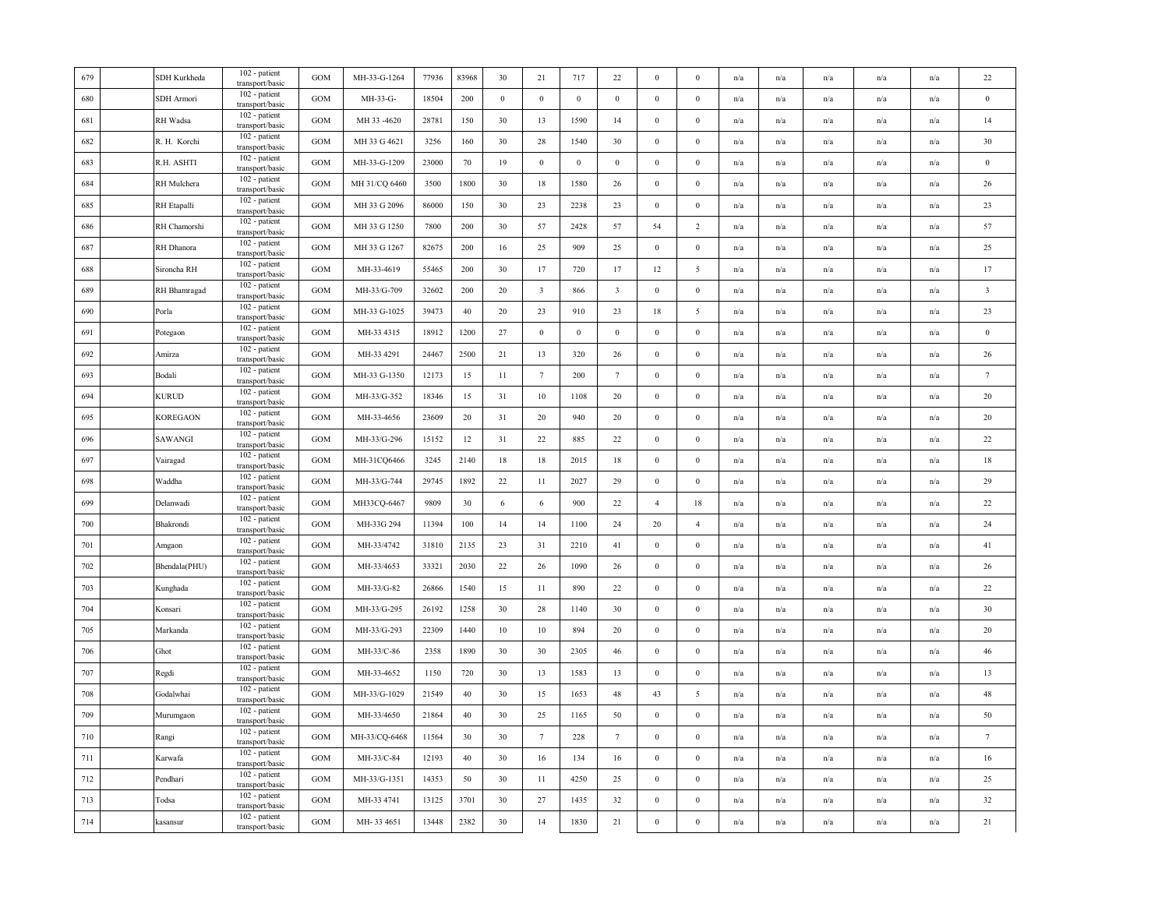| 679 | SDH Kurkheda  | 102 - patient<br>transport/basic | <b>GOM</b>   | MH-33-G-1264  | 77936 | 83968  | 30               | 21               | 717          | 22                      | $\bf{0}$         | $\Omega$         | n/a | n/a                     | n/a                     | n/a                     | n/a                     | $22\,$                  |
|-----|---------------|----------------------------------|--------------|---------------|-------|--------|------------------|------------------|--------------|-------------------------|------------------|------------------|-----|-------------------------|-------------------------|-------------------------|-------------------------|-------------------------|
| 680 | SDH Armori    | 102 - patient<br>transport/basic | <b>GOM</b>   | MH-33-G-      | 18504 | 200    | $\boldsymbol{0}$ | $\boldsymbol{0}$ | $\,0\,$      | $\,0\,$                 | $\mathbf{0}$     | $\bf{0}$         | n/a | n/a                     | n/a                     | n/a                     | n/a                     | $\,0\,$                 |
| 681 | RH Wadsa      | 102 - patient<br>transport/basic | <b>GOM</b>   | MH 33 -4620   | 28781 | 150    | 30               | 13               | 1590         | 14                      | $\boldsymbol{0}$ | $\bf{0}$         | n/a | $\mathrm{n}/\mathrm{a}$ | n/a                     | $\mathrm{n}/\mathrm{a}$ | n/a                     | 14                      |
| 682 | R. H. Korchi  | 102 - patient<br>transport/basic | <b>GOM</b>   | MH 33 G 4621  | 3256  | 160    | 30               | 28               | 1540         | 30                      | $\bf{0}$         | $\mathbf{0}$     | n/a | n/a                     | n/a                     | n/a                     | n/a                     | 30                      |
| 683 | R.H. ASHTI    | 102 - patient<br>transport/basic | <b>GOM</b>   | MH-33-G-1209  | 23000 | 70     | 19               | $\boldsymbol{0}$ | $\bf{0}$     | $\,0\,$                 | $\bf{0}$         | $\boldsymbol{0}$ | n/a | n/a                     | n/a                     | n/a                     | n/a                     | $\,0\,$                 |
| 684 | RH Mulchera   | 102 - patient<br>transport/basic | <b>GOM</b>   | MH 31/CQ 6460 | 3500  | 1800   | 30               | 18               | 1580         | 26                      | $\bf{0}$         | $\bf{0}$         | n/a | n/a                     | n/a                     | n/a                     | n/a                     | 26                      |
| 685 | RH Etapalli   | 102 - patient<br>transport/basic | <b>GOM</b>   | MH 33 G 2096  | 86000 | 150    | 30               | 23               | 2238         | 23                      | $\bf{0}$         | $\bf{0}$         | n/a | n/a                     | n/a                     | $\mathrm{n}/\mathrm{a}$ | $\mathrm{n}/\mathrm{a}$ | 23                      |
| 686 | RH Chamorshi  | 102 - patient<br>transport/basic | <b>GOM</b>   | MH 33 G 1250  | 7800  | 200    | 30               | 57               | 2428         | 57                      | 54               | $\overline{c}$   | n/a | n/a                     | n/a                     | n/a                     | n/a                     | 57                      |
| 687 | RH Dhanora    | 102 - patient<br>transport/basic | GOM          | MH 33 G 1267  | 82675 | 200    | 16               | 25               | 909          | 25                      | $\boldsymbol{0}$ | $\boldsymbol{0}$ | n/a | n/a                     | n/a                     | n/a                     | n/a                     | 25                      |
| 688 | Sironcha RH   | 102 - patient<br>transport/basic | <b>GOM</b>   | MH-33-4619    | 55465 | 200    | 30               | 17               | 720          | 17                      | 12               | 5                | n/a | n/a                     | n/a                     | n/a                     | n/a                     | 17                      |
| 689 | RH Bhamragad  | 102 - patient<br>transport/basic | <b>GOM</b>   | MH-33/G-709   | 32602 | 200    | 20               | $\overline{3}$   | 866          | $\overline{\mathbf{3}}$ | $\bf{0}$         | $\bf{0}$         | n/a | n/a                     | n/a                     | n/a                     | n/a                     | $\overline{\mathbf{3}}$ |
| 690 | Porla         | 102 - patient<br>transport/basic | GOM          | MH-33 G-1025  | 39473 | $40\,$ | 20               | 23               | 910          | $23\,$                  | $18\,$           | 5                | n/a | n/a                     | n/a                     | n/a                     | n/a                     | 23                      |
| 691 | Potegaon      | 102 - patient<br>transport/basic | <b>GOM</b>   | MH-33 4315    | 18912 | 1200   | 27               | $\boldsymbol{0}$ | $\mathbf{0}$ | $\mathbf{0}$            | $\bf{0}$         | $\bf{0}$         | n/a | $\mathrm{n}/\mathrm{a}$ | n/a                     | n/a                     | $\mathrm{n}/\mathrm{a}$ | $\bf{0}$                |
| 692 | Amirza        | 102 - patient<br>transport/basic | <b>GOM</b>   | MH-33 4291    | 24467 | 2500   | 21               | 13               | 320          | 26                      | $\mathbf{0}$     | $\mathbf{0}$     | n/a | n/a                     | n/a                     | n/a                     | n/a                     | 26                      |
| 693 | Bodali        | 102 - patient<br>transport/basic | <b>GOM</b>   | MH-33 G-1350  | 12173 | 15     | 11               | $7\phantom{.0}$  | 200          | $7\phantom{.0}$         | $\bf{0}$         | $\boldsymbol{0}$ | n/a | n/a                     | n/a                     | n/a                     | n/a                     | $\tau$                  |
| 694 | KURUD         | 102 - patient<br>transport/basic | <b>GOM</b>   | MH-33/G-352   | 18346 | 15     | 31               | $10\,$           | 1108         | 20                      | $\boldsymbol{0}$ | $\boldsymbol{0}$ | n/a | n/a                     | n/a                     | n/a                     | n/a                     | 20                      |
| 695 | KOREGAON      | 102 - patient<br>transport/basic | <b>GOM</b>   | MH-33-4656    | 23609 | 20     | 31               | $20\,$           | 940          | 20                      | $\boldsymbol{0}$ | $\boldsymbol{0}$ | n/a | n/a                     | $\mathrm{n}/\mathrm{a}$ | $\mathrm{n}/\mathrm{a}$ | n/a                     | 20                      |
| 696 | SAWANGI       | 102 - patient<br>transport/basic | <b>GOM</b>   | MH-33/G-296   | 15152 | 12     | 31               | 22               | 885          | 22                      | $\boldsymbol{0}$ | $\mathbf{0}$     | n/a | n/a                     | n/a                     | $\mathrm{n}/\mathrm{a}$ | n/a                     | 22                      |
| 697 | Vairagad      | 102 - patient<br>transport/basic | <b>GOM</b>   | MH-31CQ6466   | 3245  | 2140   | $18\,$           | 18               | 2015         | $18\,$                  | $\boldsymbol{0}$ | $\bf{0}$         | n/a | n/a                     | n/a                     | n/a                     | n/a                     | 18                      |
| 698 | Waddha        | 102 - patient<br>transport/basic | <b>GOM</b>   | MH-33/G-744   | 29745 | 1892   | 22               | 11               | 2027         | 29                      | $\bf{0}$         | $\boldsymbol{0}$ | n/a | n/a                     | n/a                     | n/a                     | n/a                     | 29                      |
| 699 | Delanwadi     | 102 - patient<br>transport/basic | <b>GOM</b>   | MH33CQ-6467   | 9809  | 30     | 6                | 6                | 900          | 22                      | $\overline{4}$   | 18               | n/a | $\mathrm{n}/\mathrm{a}$ | n/a                     | $\mathrm{n}/\mathrm{a}$ | $\mathbf{n}/\mathbf{a}$ | 22                      |
| 700 | Bhakrondi     | 102 - patient<br>transport/basic | $_{\rm GOM}$ | MH-33G 294    | 11394 | 100    | 14               | 14               | 1100         | 24                      | 20               | $\overline{4}$   | n/a | n/a                     | n/a                     | n/a                     | n/a                     | 24                      |
| 701 | Amgaon        | 102 - patient<br>transport/basic | <b>GOM</b>   | MH-33/4742    | 31810 | 2135   | 23               | 31               | 2210         | 41                      | $\boldsymbol{0}$ | $\boldsymbol{0}$ | n/a | $\mathrm{n}/\mathrm{a}$ | n/a                     | n/a                     | $\mathbf{n}/\mathbf{a}$ | 41                      |
| 702 | Bhendala(PHU) | 102 - patient<br>transport/basic | <b>GOM</b>   | MH-33/4653    | 33321 | 2030   | 22               | 26               | 1090         | 26                      | $\bf{0}$         | $\bf{0}$         | n/a | n/a                     | n/a                     | n/a                     | n/a                     | 26                      |
| 703 | Kunghada      | 102 - patient<br>transport/basic | <b>GOM</b>   | MH-33/G-82    | 26866 | 1540   | 15               | 11               | 890          | 22                      | $\boldsymbol{0}$ | $\bf{0}$         | n/a | n/a                     | n/a                     | n/a                     | n/a                     | $22\,$                  |
| 704 | Konsari       | 102 - patient<br>transport/basic | <b>GOM</b>   | MH-33/G-295   | 26192 | 1258   | 30               | 28               | 1140         | 30                      | $\bf{0}$         | $\bf{0}$         | n/a | n/a                     | n/a                     | n/a                     | n/a                     | 30                      |
| 705 | Markanda      | 102 - patient<br>transport/basic | <b>GOM</b>   | MH-33/G-293   | 22309 | 1440   | 10               | 10               | 894          | 20                      | $\bf{0}$         | $\bf{0}$         | n/a | n/a                     | n/a                     | $\mathrm{n}/\mathrm{a}$ | $\mathbf{n}/\mathbf{a}$ | 20                      |
| 706 | Ghot          | 102 - patient<br>transport/basic | <b>GOM</b>   | MH-33/C-86    | 2358  | 1890   | 30               | 30               | 2305         | $46\,$                  | $\mathbf{0}$     | $\boldsymbol{0}$ | n/a | n/a                     | n/a                     | n/a                     | n/a                     | 46                      |
| 707 | Regdi         | 102 - patient<br>transport/basic | <b>GOM</b>   | MH-33-4652    | 1150  | 720    | 30               | 13               | 1583         | 13                      | $\boldsymbol{0}$ | $\boldsymbol{0}$ | n/a | n/a                     | n/a                     | n/a                     | n/a                     | 13                      |
| 708 | Godalwhai     | 102 - patient<br>transport/basic | <b>GOM</b>   | MH-33/G-1029  | 21549 | 40     | 30               | 15               | 1653         | 48                      | 43               | 5                | n/a | n/a                     | n/a                     | n/a                     | n/a                     | 48                      |
| 709 | Murumgaon     | 102 - patient<br>transport/basic | <b>GOM</b>   | MH-33/4650    | 21864 | 40     | 30               | 25               | 1165         | 50                      | $\bf{0}$         | $\bf{0}$         | n/a | n/a                     | n/a                     | n/a                     | n/a                     | 50                      |
| 710 | Rangi         | 102 - patient<br>transport/basic | <b>GOM</b>   | MH-33/CQ-6468 | 11564 | 30     | 30               | $7\phantom{.0}$  | 228          | $7\phantom{.0}$         | $\boldsymbol{0}$ | $\mathbf{0}$     | n/a | n/a                     | n/a                     | n/a                     | n/a                     | $\tau$                  |
| 711 | Karwafa       | 102 - patient<br>transport/basic | <b>GOM</b>   | MH-33/C-84    | 12193 | 40     | 30               | 16               | 134          | 16                      | $\mathbf{0}$     | $\bf{0}$         | n/a | $\mathrm{n}/\mathrm{a}$ | n/a                     | $\mathrm{n}/\mathrm{a}$ | $\mathrm{n}/\mathrm{a}$ | $16\,$                  |
| 712 | Pendhari      | 102 - patient<br>transport/basic | <b>GOM</b>   | MH-33/G-1351  | 14353 | 50     | 30               | 11               | 4250         | 25                      | $\mathbf{0}$     | $\mathbf{0}$     | n/a | n/a                     | n/a                     | n/a                     | n/a                     | 25                      |
| 713 | Todsa         | 102 - patient<br>transport/basic | GOM          | MH-33 4741    | 13125 | 3701   | 30               | 27               | 1435         | $32\,$                  | $\boldsymbol{0}$ | $\boldsymbol{0}$ | n/a | n/a                     | n/a                     | n/a                     | n/a                     | 32                      |
| 714 | kasansur      | 102 - patient<br>transport/basic | GOM          | MH-33 4651    | 13448 | 2382   | 30               | 14               | 1830         | $21\,$                  | $\boldsymbol{0}$ | $\boldsymbol{0}$ | n/a | n/a                     | n/a                     | n/a                     | n/a                     | 21                      |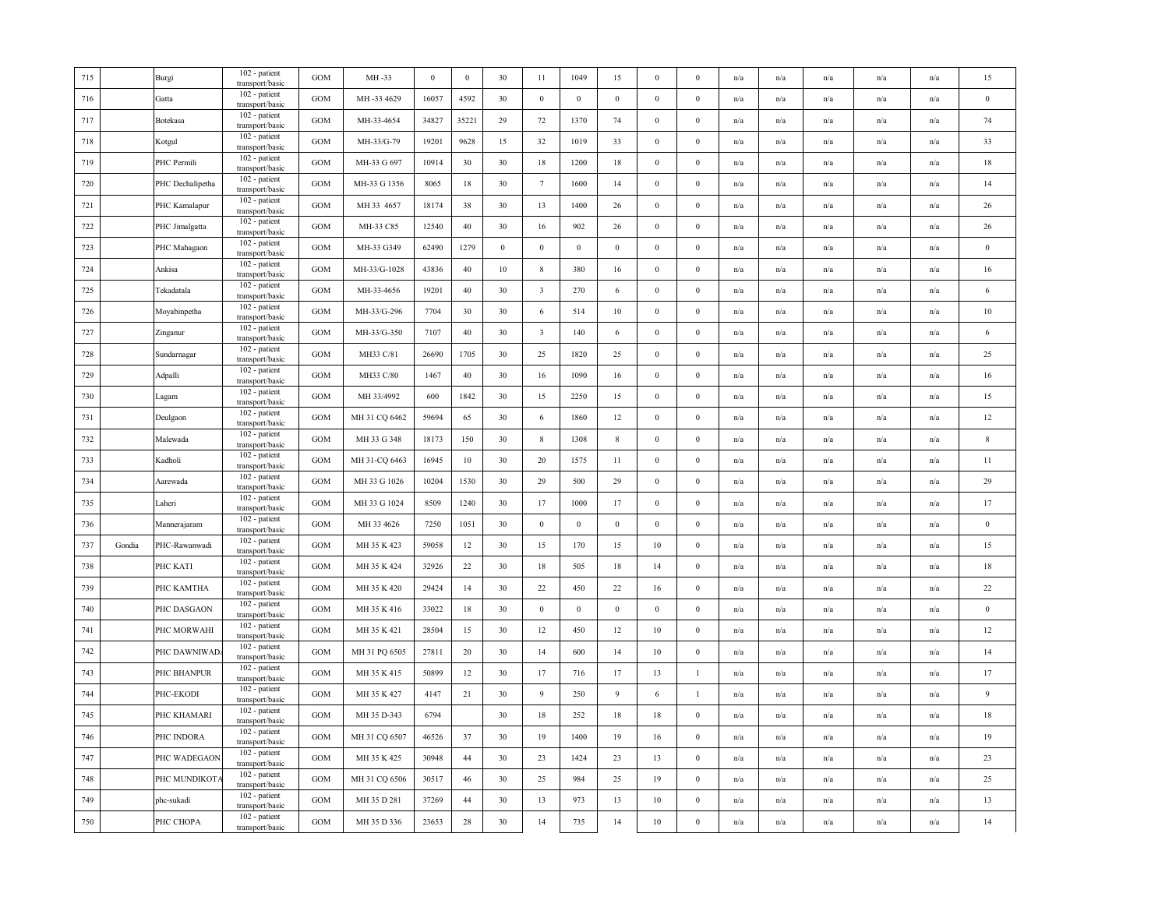| 715 |        | Burgi            | 102 - patient<br>transport/basic | <b>GOM</b>   | MH-33         | $\bf{0}$ | $\bf{0}$ | 30               | 11                      | 1049             | 15               | $\bf{0}$         | $\Omega$         | n/a | n/a                     | n/a                     | n/a                     | n/a                     | 15               |
|-----|--------|------------------|----------------------------------|--------------|---------------|----------|----------|------------------|-------------------------|------------------|------------------|------------------|------------------|-----|-------------------------|-------------------------|-------------------------|-------------------------|------------------|
| 716 |        | Gatta            | 102 - patient<br>transport/basic | <b>GOM</b>   | MH-33 4629    | 16057    | 4592     | 30               | $\boldsymbol{0}$        | $\mathbf{0}$     | $\,0\,$          | $\mathbf{0}$     | $\bf{0}$         | n/a | n/a                     | n/a                     | n/a                     | n/a                     | $\bf{0}$         |
| 717 |        | Botekasa         | 102 - patient<br>transport/basic | <b>GOM</b>   | MH-33-4654    | 34827    | 35221    | 29               | $72\,$                  | 1370             | 74               | $\bf{0}$         | $\bf{0}$         | n/a | $\mathrm{n}/\mathrm{a}$ | n/a                     | $\mathrm{n}/\mathrm{a}$ | n/a                     | 74               |
| 718 |        | Kotgul           | 102 - patient<br>transport/basic | <b>GOM</b>   | MH-33/G-79    | 19201    | 9628     | 15               | 32                      | 1019             | 33               | $\bf{0}$         | $\mathbf{0}$     | n/a | n/a                     | n/a                     | n/a                     | n/a                     | 33               |
| 719 |        | PHC Permili      | 102 - patient<br>transport/basic | <b>GOM</b>   | MH-33 G 697   | 10914    | 30       | 30               | 18                      | 1200             | 18               | $\bf{0}$         | $\mathbf{0}$     | n/a | n/a                     | n/a                     | n/a                     | n/a                     | $18\,$           |
| 720 |        | PHC Dechalipetha | 102 - patient<br>transport/basic | <b>GOM</b>   | MH-33 G 1356  | 8065     | 18       | 30               | $7\phantom{.0}$         | 1600             | 14               | $\bf{0}$         | $\bf{0}$         | n/a | n/a                     | n/a                     | n/a                     | n/a                     | 14               |
| 721 |        | PHC Kamalapur    | 102 - patient<br>transport/basic | <b>GOM</b>   | MH 33 4657    | 18174    | 38       | 30               | 13                      | 1400             | 26               | $\bf{0}$         | $\bf{0}$         | n/a | n/a                     | n/a                     | $\mathrm{n}/\mathrm{a}$ | $\mathrm{n}/\mathrm{a}$ | 26               |
| 722 |        | PHC Jimalgatta   | 102 - patient<br>transport/basic | <b>GOM</b>   | MH-33 C85     | 12540    | 40       | 30               | 16                      | 902              | 26               | $\boldsymbol{0}$ | $\boldsymbol{0}$ | n/a | n/a                     | n/a                     | n/a                     | n/a                     | 26               |
| 723 |        | PHC Mahagaon     | 102 - patient<br>transport/basic | <b>GOM</b>   | MH-33 G349    | 62490    | 1279     | $\boldsymbol{0}$ | $\boldsymbol{0}$        | $\boldsymbol{0}$ | $\boldsymbol{0}$ | $\mathbf{0}$     | $\boldsymbol{0}$ | n/a | n/a                     | n/a                     | n/a                     | n/a                     | $\boldsymbol{0}$ |
| 724 |        | Ankisa           | 102 - patient<br>transport/basic | GOM          | MH-33/G-1028  | 43836    | 40       | $10\,$           | 8                       | 380              | 16               | $\boldsymbol{0}$ | $\Omega$         | n/a | n/a                     | n/a                     | n/a                     | n/a                     | 16               |
| 725 |        | Tekadatala       | 102 - patient<br>transport/basic | <b>GOM</b>   | MH-33-4656    | 19201    | 40       | 30               | $\overline{3}$          | 270              | 6                | $\bf{0}$         | $\bf{0}$         | n/a | n/a                     | n/a                     | n/a                     | n/a                     | 6                |
| 726 |        | Moyabinpetha     | 102 - patient<br>transport/basic | <b>GOM</b>   | MH-33/G-296   | 7704     | 30       | 30               | 6                       | 514              | $10\,$           | $\boldsymbol{0}$ | $\mathbf{0}$     | n/a | n/a                     | n/a                     | n/a                     | n/a                     | $10\,$           |
| 727 |        | Zinganur         | 102 - patient<br>transport/basic | <b>GOM</b>   | MH-33/G-350   | 7107     | 40       | 30               | $\overline{\mathbf{3}}$ | 140              | 6                | $\bf{0}$         | $\bf{0}$         | n/a | n/a                     | n/a                     | n/a                     | $\mathrm{n}/\mathrm{a}$ | 6                |
| 728 |        | Sundarnagar      | 102 - patient<br>transport/basic | <b>GOM</b>   | MH33 C/81     | 26690    | 1705     | 30               | 25                      | 1820             | 25               | $\boldsymbol{0}$ | $\theta$         | n/a | n/a                     | n/a                     | n/a                     | n/a                     | 25               |
| 729 |        | Adpalli          | 102 - patient<br>transport/basic | <b>GOM</b>   | MH33 C/80     | 1467     | $40\,$   | 30               | 16                      | 1090             | 16               | $\bf{0}$         | $\mathbf{0}$     | n/a | n/a                     | n/a                     | n/a                     | n/a                     | 16               |
| 730 |        | Lagam            | 102 - patient<br>transport/basic | <b>GOM</b>   | MH 33/4992    | 600      | 1842     | 30               | 15                      | 2250             | 15               | $\boldsymbol{0}$ | $\bf{0}$         | n/a | n/a                     | n/a                     | n/a                     | n/a                     | 15               |
| 731 |        | Deulgaon         | 102 - patient<br>transport/basic | <b>GOM</b>   | MH 31 CQ 6462 | 59694    | 65       | 30               | 6                       | 1860             | 12               | $\bf{0}$         | $\mathbf{0}$     | n/a | n/a                     | $\mathrm{n}/\mathrm{a}$ | $\mathrm{n}/\mathrm{a}$ | n/a                     | 12               |
| 732 |        | Malewada         | 102 - patient<br>transport/basic | <b>GOM</b>   | MH 33 G 348   | 18173    | 150      | 30               | $\,$ 8 $\,$             | 1308             | $\,$ 8 $\,$      | $\boldsymbol{0}$ | $\mathbf{0}$     | n/a | n/a                     | n/a                     | n/a                     | n/a                     | $\,$ 8 $\,$      |
| 733 |        | Kadholi          | 102 - patient<br>transport/basic | <b>GOM</b>   | MH 31-CQ 6463 | 16945    | 10       | 30               | 20                      | 1575             | 11               | $\boldsymbol{0}$ | $\bf{0}$         | n/a | n/a                     | n/a                     | n/a                     | n/a                     | 11               |
| 734 |        | Aarewada         | 102 - patient<br>transport/basic | <b>GOM</b>   | MH 33 G 1026  | 10204    | 1530     | 30               | 29                      | 500              | 29               | $\bf{0}$         | $\mathbf{0}$     | n/a | n/a                     | n/a                     | n/a                     | n/a                     | 29               |
| 735 |        | Laheri           | 102 - patient<br>transport/basic | <b>GOM</b>   | MH 33 G 1024  | 8509     | 1240     | 30               | 17                      | 1000             | 17               | $\bf{0}$         | $\bf{0}$         | n/a | $\mathrm{n}/\mathrm{a}$ | n/a                     | $\mathrm{n}/\mathrm{a}$ | $\mathrm{n}/\mathrm{a}$ | 17               |
| 736 |        | Mannerajaram     | 102 - patient<br>transport/basic | $_{\rm GOM}$ | MH 33 4626    | 7250     | 1051     | 30               | $\boldsymbol{0}$        | $\,0\,$          | $\,0\,$          | $\boldsymbol{0}$ | $\mathbf{0}$     | n/a | n/a                     | n/a                     | n/a                     | n/a                     | $\bf{0}$         |
| 737 | Gondia | PHC-Rawanwadi    | 102 - patient<br>transport/basic | GOM          | MH 35 K 423   | 59058    | 12       | 30               | 15                      | 170              | 15               | 10               | $\mathbf{0}$     | n/a | $\mathrm{n}/\mathrm{a}$ | n/a                     | n/a                     | $\mathrm{n}/\mathrm{a}$ | 15               |
| 738 |        | PHC KATI         | 102 - patient<br>transport/basic | <b>GOM</b>   | MH 35 K 424   | 32926    | 22       | 30               | 18                      | 505              | 18               | 14               | $\mathbf{0}$     | n/a | n/a                     | n/a                     | n/a                     | n/a                     | 18               |
| 739 |        | PHC KAMTHA       | 102 - patient<br>transport/basic | GOM          | MH 35 K 420   | 29424    | 14       | 30               | $22\,$                  | 450              | $22\,$           | 16               | $\mathbf{0}$     | n/a | n/a                     | n/a                     | n/a                     | n/a                     | $22\,$           |
| 740 |        | PHC DASGAON      | 102 - patient<br>transport/basic | <b>GOM</b>   | MH 35 K 416   | 33022    | 18       | 30               | $\boldsymbol{0}$        | $\bf{0}$         | $\,0\,$          | $\bf{0}$         | $\bf{0}$         | n/a | n/a                     | n/a                     | n/a                     | n/a                     | $\bf{0}$         |
| 741 |        | PHC MORWAHI      | 102 - patient<br>transport/basic | <b>GOM</b>   | MH 35 K 421   | 28504    | 15       | 30               | 12                      | 450              | 12               | 10               | $\bf{0}$         | n/a | $\mathrm{n}/\mathrm{a}$ | n/a                     | n/a                     | n/a                     | 12               |
| 742 |        | PHC DAWNIWAD.    | 102 - patient<br>transport/basic | <b>GOM</b>   | MH 31 PQ 6505 | 27811    | 20       | 30               | 14                      | 600              | 14               | 10               | $\boldsymbol{0}$ | n/a | n/a                     | n/a                     | n/a                     | n/a                     | 14               |
| 743 |        | PHC BHANPUR      | 102 - patient<br>transport/basic | <b>GOM</b>   | MH 35 K 415   | 50899    | 12       | 30               | 17                      | 716              | 17               | 13               | 1                | n/a | n/a                     | n/a                     | n/a                     | n/a                     | 17               |
| 744 |        | PHC-EKODI        | 102 - patient<br>transport/basic | <b>GOM</b>   | MH 35 K 427   | 4147     | 21       | 30               | 9                       | 250              | 9                | 6                | $\mathbf{1}$     | n/a | n/a                     | n/a                     | n/a                     | n/a                     | 9                |
| 745 |        | PHC KHAMARI      | 102 - patient<br>transport/basic | <b>GOM</b>   | MH 35 D-343   | 6794     |          | 30               | 18                      | 252              | 18               | 18               | $\Omega$         | n/a | n/a                     | n/a                     | n/a                     | n/a                     | 18               |
| 746 |        | PHC INDORA       | 102 - patient<br>transport/basic | <b>GOM</b>   | MH 31 CQ 6507 | 46526    | 37       | 30               | 19                      | 1400             | 19               | 16               | $\mathbf{0}$     | n/a | n/a                     | n/a                     | n/a                     | n/a                     | 19               |
| 747 |        | PHC WADEGAON     | 102 - patient<br>transport/basic | <b>GOM</b>   | MH 35 K 425   | 30948    | 44       | 30               | 23                      | 1424             | 23               | 13               | $\mathbf{0}$     | n/a | $\mathrm{n}/\mathrm{a}$ | n/a                     | n/a                     | $\mathrm{n}/\mathrm{a}$ | 23               |
| 748 |        | PHC MUNDIKOT.    | 102 - patient<br>transport/basic | <b>GOM</b>   | MH 31 CQ 6506 | 30517    | 46       | 30               | 25                      | 984              | 25               | 19               | $\theta$         | n/a | n/a                     | n/a                     | n/a                     | n/a                     | 25               |
| 749 |        | phc-sukadi       | 102 - patient<br>transport/basic | GOM          | MH 35 D 281   | 37269    | 44       | 30               | 13                      | 973              | 13               | $10\,$           | $\boldsymbol{0}$ | n/a | n/a                     | n/a                     | n/a                     | n/a                     | 13               |
| 750 |        | РНС СНОРА        | 102 - patient<br>transport/basic | GOM          | MH 35 D 336   | 23653    | 28       | 30               | 14                      | 735              | 14               | $10\,$           | $\Omega$         | n/a | n/a                     | n/a                     | n/a                     | n/a                     | 14               |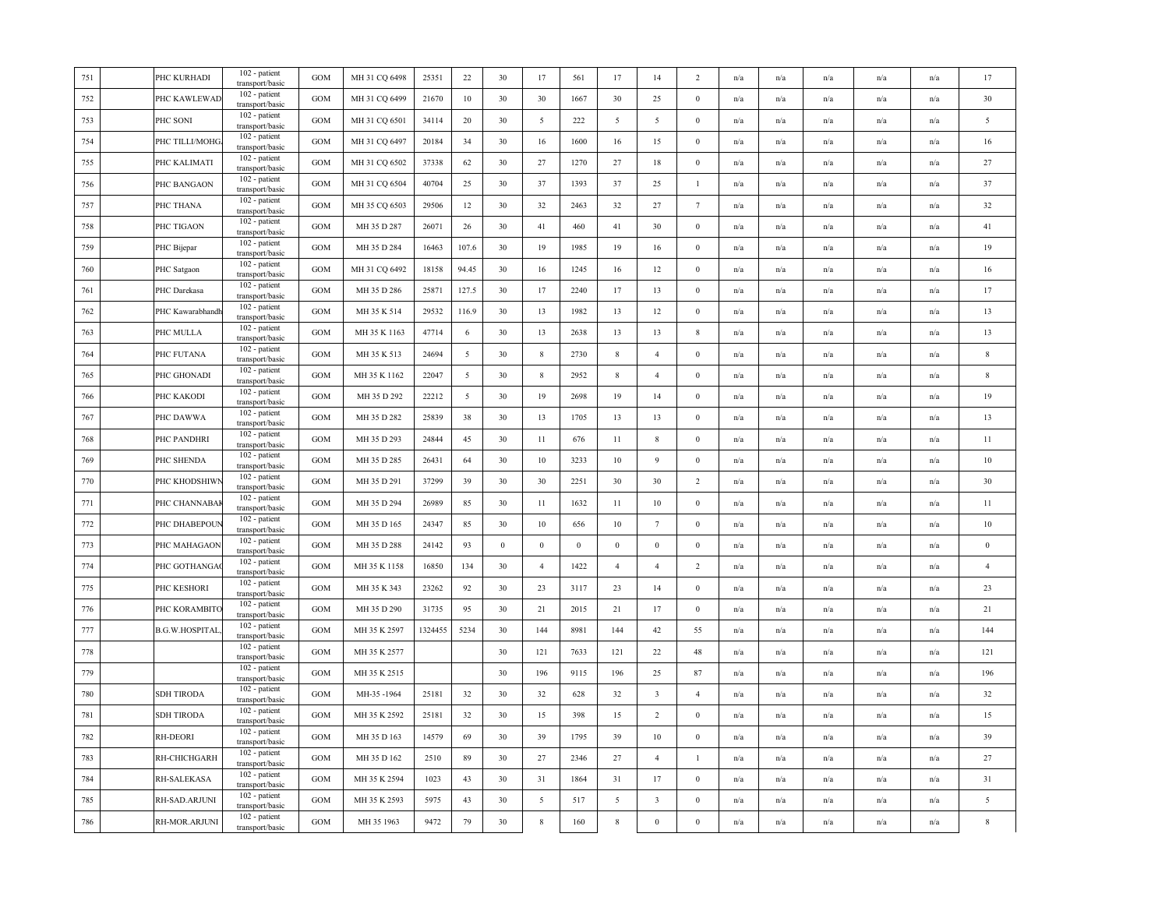| 751 | PHC KURHADI           | 102 - patient<br>transport/basic | <b>GOM</b>        | MH 31 CQ 6498 | 25351   | 22    | 30               | 17               | 561              | 17               | 14                      | $\overline{2}$   | n/a | n/a                     | n/a                     | $\mathrm{n}/\mathrm{a}$ | n/a                     | 17               |
|-----|-----------------------|----------------------------------|-------------------|---------------|---------|-------|------------------|------------------|------------------|------------------|-------------------------|------------------|-----|-------------------------|-------------------------|-------------------------|-------------------------|------------------|
| 752 | PHC KAWLEWAD          | 102 - patient<br>transport/basic | <b>GOM</b>        | MH 31 CQ 6499 | 21670   | 10    | 30               | 30               | 1667             | 30               | 25                      | $\boldsymbol{0}$ | n/a | n/a                     | n/a                     | n/a                     | n/a                     | 30               |
| 753 | PHC SONI              | 102 - patient<br>transport/basic | <b>GOM</b>        | MH 31 CQ 6501 | 34114   | 20    | 30               | $\overline{5}$   | 222              | 5                | 5                       | $\boldsymbol{0}$ | n/a | n/a                     | n/a                     | n/a                     | n/a                     | 5                |
| 754 | PHC TILLI/MOHG        | 102 - patient<br>transport/basic | <b>GOM</b>        | MH 31 CQ 6497 | 20184   | 34    | 30               | 16               | 1600             | 16               | 15                      | $\Omega$         | n/a | n/a                     | n/a                     | n/a                     | n/a                     | 16               |
| 755 | PHC KALIMATI          | 102 - patient<br>transport/basic | <b>GOM</b>        | MH 31 CQ 6502 | 37338   | 62    | 30               | 27               | 1270             | 27               | 18                      | $\mathbf{0}$     | n/a | n/a                     | n/a                     | n/a                     | n/a                     | 27               |
| 756 | PHC BANGAON           | 102 - patient<br>transport/basic | GOM               | MH 31 CQ 6504 | 40704   | 25    | 30               | 37               | 1393             | 37               | 25                      | $\mathbf{1}$     | n/a | n/a                     | n/a                     | n/a                     | n/a                     | 37               |
| 757 | PHC THANA             | 102 - patient<br>transport/basic | GOM               | MH 35 CQ 6503 | 29506   | 12    | 30               | 32               | 2463             | 32               | 27                      | $7\phantom{.0}$  | n/a | n/a                     | $\mathrm{n}/\mathrm{a}$ | n/a                     | n/a                     | 32               |
| 758 | PHC TIGAON            | 102 - patient<br>transport/basic | $_{\mathrm{GOM}}$ | MH 35 D 287   | 26071   | 26    | 30               | 41               | 460              | 41               | 30                      | $\boldsymbol{0}$ | n/a | n/a                     | n/a                     | $\mathrm{n}/\mathrm{a}$ | n/a                     | 41               |
| 759 | PHC Bijepar           | 102 - patient<br>transport/basic | <b>GOM</b>        | MH 35 D 284   | 16463   | 107.6 | 30               | 19               | 1985             | 19               | 16                      | $\boldsymbol{0}$ | n/a | n/a                     | n/a                     | n/a                     | n/a                     | 19               |
| 760 | PHC Satgaon           | 102 - patient<br>transport/basic | <b>GOM</b>        | MH 31 CQ 6492 | 18158   | 94.45 | 30               | 16               | 1245             | 16               | 12                      | $\Omega$         | n/a | n/a                     | n/a                     | n/a                     | n/a                     | 16               |
| 761 | PHC Darekasa          | 102 - patient<br>transport/basic | <b>GOM</b>        | MH 35 D 286   | 25871   | 127.5 | 30               | 17               | 2240             | 17               | 13                      | $\Omega$         | n/a | n/a                     | n/a                     | n/a                     | n/a                     | 17               |
| 762 | PHC Kawarabhandh      | 102 - patient<br>transport/basic | <b>GOM</b>        | MH 35 K 514   | 29532   | 116.9 | 30               | 13               | 1982             | 13               | 12                      | $\boldsymbol{0}$ | n/a | n/a                     | n/a                     | n/a                     | n/a                     | 13               |
| 763 | PHC MULLA             | 102 - patient<br>transport/basic | <b>GOM</b>        | MH 35 K 1163  | 47714   | 6     | 30               | 13               | 2638             | 13               | 13                      | 8                | n/a | n/a                     | n/a                     | n/a                     | n/a                     | 13               |
| 764 | PHC FUTANA            | 102 - patient<br>transport/basic | <b>GOM</b>        | MH 35 K 513   | 24694   | 5     | 30               | $\,$ 8 $\,$      | 2730             | 8                | $\overline{4}$          | $\theta$         | n/a | n/a                     | n/a                     | n/a                     | n/a                     | 8                |
| 765 | PHC GHONADI           | 102 - patient<br>transport/basic | <b>GOM</b>        | MH 35 K 1162  | 22047   | 5     | 30               | $\,$ 8 $\,$      | 2952             | $\,$ 8 $\,$      | $\overline{4}$          | $\mathbf{0}$     | n/a | n/a                     | n/a                     | n/a                     | n/a                     | 8                |
| 766 | PHC KAKODI            | 102 - patient<br>transport/basic | <b>GOM</b>        | MH 35 D 292   | 22212   | 5     | 30               | 19               | 2698             | 19               | 14                      | $\mathbf{0}$     | n/a | n/a                     | n/a                     | n/a                     | n/a                     | 19               |
| 767 | PHC DAWWA             | 102 - patient<br>transport/basic | <b>GOM</b>        | MH 35 D 282   | 25839   | 38    | 30               | 13               | 1705             | 13               | 13                      | $\mathbf{0}$     | n/a | $\mathrm{n}/\mathrm{a}$ | $\mathrm{n}/\mathrm{a}$ | $\mathrm{n}/\mathrm{a}$ | $\mathrm{n}/\mathrm{a}$ | 13               |
| 768 | PHC PANDHRI           | 102 - patient<br>transport/basic | <b>GOM</b>        | MH 35 D 293   | 24844   | 45    | 30               | 11               | 676              | 11               | $\,$ 8 $\,$             | $\boldsymbol{0}$ | n/a | n/a                     | n/a                     | n/a                     | n/a                     | 11               |
| 769 | PHC SHENDA            | 102 - patient<br>transport/basic | <b>GOM</b>        | MH 35 D 285   | 26431   | 64    | 30               | $10\,$           | 3233             | 10               | $\overline{9}$          | $\theta$         | n/a | n/a                     | n/a                     | n/a                     | n/a                     | $10\,$           |
| 770 | PHC KHODSHIWI         | 102 - patient<br>transport/basic | GOM               | MH 35 D 291   | 37299   | 39    | 30               | 30               | 2251             | 30               | 30                      | $\overline{c}$   | n/a | n/a                     | n/a                     | n/a                     | n/a                     | 30               |
| 771 | PHC CHANNABAI         | 102 - patient<br>transport/basic | GOM               | MH 35 D 294   | 26989   | 85    | 30               | 11               | 1632             | 11               | 10                      | $\Omega$         | n/a | n/a                     | n/a                     | $\mathrm{n}/\mathrm{a}$ | n/a                     | 11               |
| 772 | PHC DHABEPOUP         | 102 - patient<br>transport/basic | $_{\rm GOM}$      | MH 35 D 165   | 24347   | 85    | 30               | 10               | 656              | 10               | $7\phantom{.0}$         | $\boldsymbol{0}$ | n/a | n/a                     | n/a                     | n/a                     | n/a                     | $10\,$           |
| 773 | PHC MAHAGAON          | 102 - patient<br>transport/basic | <b>GOM</b>        | MH 35 D 288   | 24142   | 93    | $\boldsymbol{0}$ | $\boldsymbol{0}$ | $\boldsymbol{0}$ | $\boldsymbol{0}$ | $\boldsymbol{0}$        | $\boldsymbol{0}$ | n/a | n/a                     | $\mathrm{n}/\mathrm{a}$ | n/a                     | n/a                     | $\boldsymbol{0}$ |
| 774 | PHC GOTHANGA          | 102 - patient<br>transport/basic | $_{\rm GOM}$      | MH 35 K 1158  | 16850   | 134   | 30               | $\overline{4}$   | 1422             | $\overline{4}$   | $\overline{4}$          | $\overline{2}$   | n/a | n/a                     | n/a                     | n/a                     | n/a                     | $\overline{4}$   |
| 775 | PHC KESHORI           | 102 - patient<br>transport/basic | $_{\mathrm{GOM}}$ | MH 35 K 343   | 23262   | 92    | 30               | 23               | 3117             | 23               | 14                      | $\mathbf{0}$     | n/a | n/a                     | n/a                     | n/a                     | n/a                     | 23               |
| 776 | PHC KORAMBITO         | 102 - patient<br>transport/basic | GOM               | MH 35 D 290   | 31735   | 95    | 30               | 21               | 2015             | 21               | 17                      | $\mathbf{0}$     | n/a | n/a                     | n/a                     | n/a                     | n/a                     | 21               |
| 777 | <b>B.G.W.HOSPITAL</b> | 102 - patient<br>transport/basic | <b>GOM</b>        | MH 35 K 2597  | 1324455 | 5234  | 30               | 144              | 8981             | 144              | 42                      | 55               | n/a | $\mathrm{n}/\mathrm{a}$ | n/a                     | n/a                     | n/a                     | 144              |
| 778 |                       | 102 - patient<br>transport/basic | <b>GOM</b>        | MH 35 K 2577  |         |       | 30               | 121              | 7633             | 121              | 22                      | 48               | n/a | n/a                     | n/a                     | n/a                     | n/a                     | 121              |
| 779 |                       | 102 - patient<br>transport/basic | <b>GOM</b>        | MH 35 K 2515  |         |       | 30               | 196              | 9115             | 196              | 25                      | 87               | n/a | n/a                     | n/a                     | n/a                     | n/a                     | 196              |
| 780 | <b>SDH TIRODA</b>     | 102 - patient<br>transport/basic | GOM               | MH-35-1964    | 25181   | 32    | 30               | 32               | 628              | 32               | $\overline{\mathbf{3}}$ | $\overline{4}$   | n/a | n/a                     | n/a                     | n/a                     | n/a                     | 32               |
| 781 | SDH TIRODA            | 102 - patient<br>transport/basic | <b>GOM</b>        | MH 35 K 2592  | 25181   | 32    | 30               | 15               | 398              | 15               | $\overline{2}$          | $\Omega$         | n/a | n/a                     | n/a                     | n/a                     | n/a                     | 15               |
| 782 | RH-DEORI              | 102 - patient<br>transport/basic | <b>GOM</b>        | MH 35 D 163   | 14579   | 69    | 30               | 39               | 1795             | 39               | $10\,$                  | $\boldsymbol{0}$ | n/a | n/a                     | n/a                     | n/a                     | n/a                     | 39               |
| 783 | RH-CHICHGARH          | 102 - patient<br>transport/basic | <b>GOM</b>        | MH 35 D 162   | 2510    | 89    | 30               | 27               | 2346             | 27               | $\overline{4}$          | $\mathbf{I}$     | n/a | $\mathrm{n}/\mathrm{a}$ | n/a                     | n/a                     | n/a                     | 27               |
| 784 | RH-SALEKASA           | 102 - patient<br>transport/basic | <b>GOM</b>        | MH 35 K 2594  | 1023    | 43    | 30               | 31               | 1864             | 31               | 17                      | $\theta$         | n/a | n/a                     | n/a                     | n/a                     | n/a                     | 31               |
| 785 | RH-SAD.ARJUNI         | 102 - patient<br>transport/basic | $_{\mathrm{GOM}}$ | MH 35 K 2593  | 5975    | 43    | 30               | 5                | 517              | 5                | $\overline{\mathbf{3}}$ | $\boldsymbol{0}$ | n/a | n/a                     | n/a                     | n/a                     | n/a                     | $\overline{5}$   |
| 786 | RH-MOR.ARJUNI         | 102 - patient<br>transport/basic | <b>GOM</b>        | MH 35 1963    | 9472    | 79    | 30               | $\,$ 8 $\,$      | 160              | $\,$ 8 $\,$      | $\mathbf{0}$            | $\boldsymbol{0}$ | n/a | n/a                     | n/a                     | n/a                     | n/a                     | $\,$ 8 $\,$      |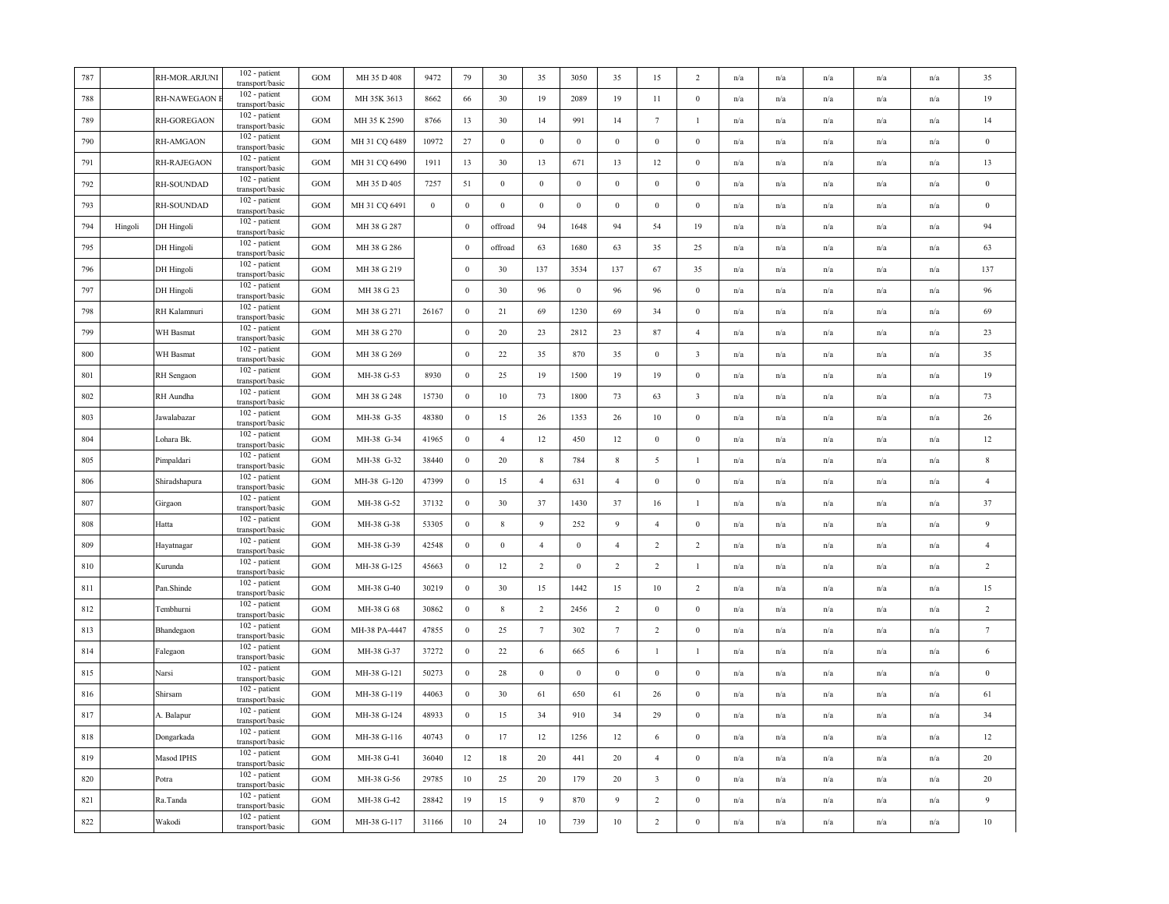| 787     |         | RH-MOR.ARJUNI              | 102 - patient<br>transport/basic              | <b>GOM</b>   | MH 35 D 408   | 9472     | 79               | 30               | 35              | 3050             | 35               | 15                      | 2                       | n/a                     | n/a                     | n/a | n/a                     | n/a                     | 35               |
|---------|---------|----------------------------|-----------------------------------------------|--------------|---------------|----------|------------------|------------------|-----------------|------------------|------------------|-------------------------|-------------------------|-------------------------|-------------------------|-----|-------------------------|-------------------------|------------------|
| 788     |         | RH-NAWEGAON                | 102 - patient<br>transport/basic              | GOM          | MH 35K 3613   | 8662     | 66               | 30               | 19              | 2089             | 19               | 11                      | $\boldsymbol{0}$        | n/a                     | n/a                     | n/a | n/a                     | n/a                     | 19               |
| 789     |         | RH-GOREGAON                | 102 - patient<br>transport/basic              | <b>GOM</b>   | MH 35 K 2590  | 8766     | 13               | 30               | 14              | 991              | 14               | $7\phantom{.0}$         | $\mathbf{1}$            | n/a                     | n/a                     | n/a | $\mathrm{n}/\mathrm{a}$ | n/a                     | 14               |
| 790     |         | RH-AMGAON                  | 102 - patient<br>transport/basic              | GOM          | MH 31 CQ 6489 | 10972    | 27               | $\bf{0}$         | $\mathbf{0}$    | $\bf{0}$         | $\mathbf{0}$     | $\bf{0}$                | $\bf{0}$                | n/a                     | n/a                     | n/a | n/a                     | n/a                     | $\bf{0}$         |
| 791     |         | RH-RAJEGAON                | 102 - patient<br>transport/basic              | GOM          | MH 31 CQ 6490 | 1911     | 13               | 30               | 13              | 671              | 13               | 12                      | $\boldsymbol{0}$        | n/a                     | n/a                     | n/a | n/a                     | n/a                     | 13               |
| 792     |         | RH-SOUNDAD                 | 102 - patient<br>transport/basic              | GOM          | MH 35 D 405   | 7257     | 51               | $\bf{0}$         | $\mathbf{0}$    | $\boldsymbol{0}$ | $\boldsymbol{0}$ | $\boldsymbol{0}$        | $\bf{0}$                | n/a                     | n/a                     | n/a | n/a                     | n/a                     | $\bf{0}$         |
| 793     |         | RH-SOUNDAD                 | 102 - patient<br>transport/basic              | GOM          | MH 31 CQ 6491 | $\bf{0}$ | $\bf{0}$         | $\bf{0}$         | $\mathbf{0}$    | $\bf{0}$         | $\mathbf{0}$     | $\bf{0}$                | $\bf{0}$                | $\mathrm{n}/\mathrm{a}$ | n/a                     | n/a | n/a                     | n/a                     | $\bf{0}$         |
| 794     | Hingoli | DH Hingoli                 | 102 - patient<br>transport/basic              | GOM          | MH 38 G 287   |          | $\mathbf{0}$     | offroad          | 94              | 1648             | 94               | 54                      | 19                      | n/a                     | n/a                     | n/a | n/a                     | n/a                     | 94               |
| 795     |         | DH Hingoli                 | $102$ - patient<br>transport/basic            | <b>GOM</b>   | MH 38 G 286   |          | $\boldsymbol{0}$ | offroad          | 63              | 1680             | 63               | 35                      | 25                      | n/a                     | n/a                     | n/a | n/a                     | n/a                     | 63               |
| 796     |         | DH Hingoli                 | 102 - patient<br>transport/basic              | GOM          | MH 38 G 219   |          | $\bf{0}$         | 30               | 137             | 3534             | 137              | 67                      | 35                      | n/a                     | n/a                     | n/a | n/a                     | n/a                     | 137              |
| 797     |         | DH Hingoli                 | 102 - patient<br>transport/basic              | <b>GOM</b>   | MH 38 G 23    |          | $\bf{0}$         | 30               | 96              | $\mathbf{0}$     | 96               | 96                      | $\bf{0}$                | n/a                     | n/a                     | n/a | n/a                     | n/a                     | 96               |
| 798     |         | RH Kalamnuri               | 102 - patient<br>transport/basic              | GOM          | MH 38 G 271   | 26167    | $\mathbf{0}$     | 21               | 69              | 1230             | 69               | 34                      | $\boldsymbol{0}$        | n/a                     | n/a                     | n/a | n/a                     | n/a                     | 69               |
| 799     |         | WH Basmat                  | 102 - patient<br>transport/basic              | GOM          | MH 38 G 270   |          | $\boldsymbol{0}$ | 20               | 23              | 2812             | 23               | 87                      | $\overline{4}$          | n/a                     | n/a                     | n/a | n/a                     | n/a                     | 23               |
| 800     |         | WH Basmat                  | 102 - patient<br>transport/basic              | GOM          | MH 38 G 269   |          | $\mathbf{0}$     | 22               | 35              | 870              | 35               | $\mathbf{0}$            | $\overline{\mathbf{3}}$ | n/a                     | n/a                     | n/a | n/a                     | n/a                     | 35               |
| 801     |         | RH Sengaon                 | 102 - patient<br>transport/basic              | <b>GOM</b>   | MH-38 G-53    | 8930     | $\bf{0}$         | 25               | 19              | 1500             | 19               | 19                      | $\mathbf{0}$            | n/a                     | n/a                     | n/a | n/a                     | n/a                     | 19               |
| 802     |         | RH Aundha                  | 102 - patient<br>transport/basic              | GOM          | MH 38 G 248   | 15730    | $\,0\,$          | $10\,$           | 73              | 1800             | 73               | 63                      | $\overline{\mathbf{3}}$ | n/a                     | n/a                     | n/a | n/a                     | n/a                     | 73               |
| 803     |         | Jawalabazar                | 102 - patient<br>transport/basic              | <b>GOM</b>   | MH-38 G-35    | 48380    | $\bf{0}$         | 15               | 26              | 1353             | 26               | 10                      | $\mathbf{0}$            | n/a                     | $\mathrm{n}/\mathrm{a}$ | n/a | $\mathrm{n}/\mathrm{a}$ | $\mathrm{n}/\mathrm{a}$ | 26               |
| 804     |         | Lohara Bk.                 | 102 - patient<br>transport/basic              | <b>GOM</b>   | MH-38 G-34    | 41965    | $\mathbf{0}$     | $\overline{4}$   | 12              | 450              | 12               | $\boldsymbol{0}$        | $\mathbf{0}$            | n/a                     | n/a                     | n/a | n/a                     | n/a                     | 12               |
| 805     |         | Pimpaldari                 | 102 - patient<br>transport/basic              | GOM          | MH-38 G-32    | 38440    | $\mathbf{0}$     | 20               | $\,$ 8 $\,$     | 784              | $\,$ 8 $\,$      | 5                       | $\mathbf{1}$            | n/a                     | n/a                     | n/a | n/a                     | n/a                     | $\,$ 8 $\,$      |
| 806     |         | Shiradshapura              | 102 - patient<br>transport/basic              | <b>GOM</b>   | MH-38 G-120   | 47399    | $\bf{0}$         | 15               | $\overline{4}$  | 631              | $\overline{4}$   | $\bf{0}$                | $\bf{0}$                | n/a                     | $\mathrm{n}/\mathrm{a}$ | n/a | $\mathrm{n}/\mathrm{a}$ | n/a                     | $\overline{4}$   |
| 807     |         | Girgaon                    | 102 - patient<br>transport/basic              | <b>GOM</b>   | MH-38 G-52    | 37132    | $\bf{0}$         | 30               | 37              | 1430             | 37               | 16                      | $\mathbf{1}$            | n/a                     | n/a                     | n/a | n/a                     | n/a                     | 37               |
| 808     |         | Hatta                      | $\overline{1}02$ - patient<br>transport/basic | $_{\rm GOM}$ | MH-38 G-38    | 53305    | $\mathbf{0}$     | $\bf 8$          | 9               | 252              | $\overline{9}$   | $\overline{4}$          | $\boldsymbol{0}$        | n/a                     | n/a                     | n/a | n/a                     | n/a                     | $\overline{9}$   |
| 809     |         | Hayatnagar                 | 102 - patient<br>transport/basic              | GOM          | MH-38 G-39    | 42548    | $\bf{0}$         | $\boldsymbol{0}$ | $\overline{4}$  | $\boldsymbol{0}$ | $\overline{4}$   | $\overline{2}$          | $\overline{2}$          | n/a                     | n/a                     | n/a | n/a                     | n/a                     | $\overline{4}$   |
| 810     |         | Kurunda                    | 102 - patient<br>transport/basic              | GOM          | MH-38 G-125   | 45663    | $\bf{0}$         | 12               | $\overline{2}$  | $\mathbf{0}$     | 2                | $\overline{2}$          | $\mathbf{1}$            | $\mathrm{n}/\mathrm{a}$ | n/a                     | n/a | n/a                     | n/a                     | $\sqrt{2}$       |
| 811     |         | Pan.Shinde                 | 102 - patient<br>transport/basic              | $_{\rm GOM}$ | MH-38 G-40    | 30219    | $\bf{0}$         | 30               | 15              | 1442             | 15               | 10                      | $\overline{2}$          | n/a                     | n/a                     | n/a | n/a                     | n/a                     | 15               |
| 812     |         | Tembhurni                  | 102 - patient<br>transport/basic              | GOM          | MH-38 G 68    | 30862    | $\mathbf{0}$     | $8\,$            | 2               | 2456             | $\overline{2}$   | $\boldsymbol{0}$        | $\mathbf{0}$            | n/a                     | n/a                     | n/a | n/a                     | n/a                     | $\overline{2}$   |
| 813     |         | Bhandegaon                 | 102 - patient<br>transport/basic              | <b>GOM</b>   | MH-38 PA-4447 | 47855    | $\bf{0}$         | 25               | $7\phantom{.0}$ | 302              | $7\phantom{.0}$  | $\overline{2}$          | $\boldsymbol{0}$        | n/a                     | n/a                     | n/a | n/a                     | n/a                     | $\boldsymbol{7}$ |
| 814     |         | $\operatorname{\sf False}$ | 102 - patient<br>transport/basic              | <b>GOM</b>   | MH-38 G-37    | 37272    | $\bf{0}$         | 22               | 6               | 665              | 6                | $\mathbf{1}$            | $\mathbf{1}$            | n/a                     | n/a                     | n/a | n/a                     | n/a                     | 6                |
| 815     |         | Narsi                      | 102 - patient<br>transport/basic              | GOM          | MH-38 G-121   | 50273    | $\mathbf{0}$     | 28               | $\,0\,$         | $\boldsymbol{0}$ | $\boldsymbol{0}$ | $\boldsymbol{0}$        | $\boldsymbol{0}$        | n/a                     | n/a                     | n/a | n/a                     | n/a                     | $\bf{0}$         |
| 816     |         | Shirsam                    | 102 - patient<br>transport/basic              | GOM          | MH-38 G-119   | 44063    | $\bf{0}$         | 30               | 61              | 650              | 61               | 26                      | $\mathbf{0}$            | n/a                     | n/a                     | n/a | n/a                     | n/a                     | 61               |
| 817     |         | A. Balapur                 | 102 - patient<br>transport/basic              | <b>GOM</b>   | MH-38 G-124   | 48933    | $\bf{0}$         | 15               | 34              | 910              | 34               | 29                      | $\bf{0}$                | n/a                     | n/a                     | n/a | n/a                     | n/a                     | 34               |
| 818     |         | Dongarkada                 | 102 - patient<br>transport/basic              | <b>GOM</b>   | MH-38 G-116   | 40743    | $\bf{0}$         | 17               | 12              | 1256             | 12               | 6                       | $\bf{0}$                | n/a                     | n/a                     | n/a | n/a                     | n/a                     | 12               |
| 819     |         | Masod IPHS                 | 102 - patient<br>transport/basic              | GOM          | MH-38 G-41    | 36040    | 12               | 18               | 20              | 441              | 20               | $\overline{4}$          | $\bf{0}$                | n/a                     | n/a                     | n/a | n/a                     | n/a                     | $20\,$           |
| 820     |         | Potra                      | 102 - patient<br>transport/basic              | <b>GOM</b>   | MH-38 G-56    | 29785    | 10               | 25               | 20              | 179              | 20               | $\overline{\mathbf{3}}$ | $\bf{0}$                | $\mathrm{n}/\mathrm{a}$ | n/a                     | n/a | $\mathrm{n}/\mathrm{a}$ | $\mathrm{n}/\mathrm{a}$ | $20\,$           |
| 821     |         | Ra.Tanda                   | 102 - patient<br>transport/basic              | <b>GOM</b>   | MH-38 G-42    | 28842    | 19               | 15               | $\overline{9}$  | 870              | $\overline{9}$   | 2                       | $\mathbf{0}$            | n/a                     | n/a                     | n/a | n/a                     | n/a                     | $\overline{9}$   |
| $822\,$ |         | Wakodi                     | 102 - patient<br>transport/basic              | GOM          | MH-38 G-117   | 31166    | $10\,$           | 24               | $10\,$          | 739              | $10\,$           | $\overline{2}$          | $\boldsymbol{0}$        | n/a                     | n/a                     | n/a | n/a                     | n/a                     | $10\,$           |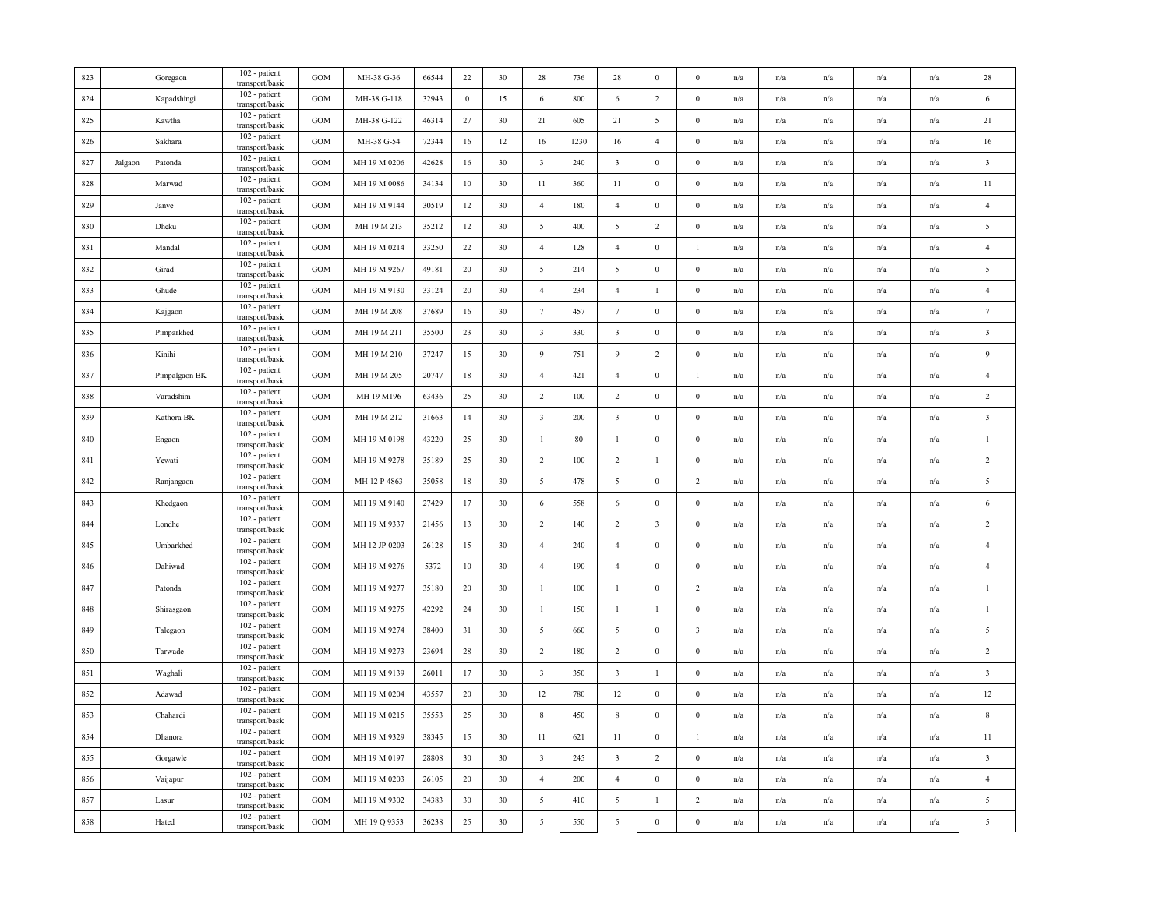| 823 |         | Goregaon      | 102 - patient<br>transport/basic   | <b>GOM</b> | MH-38 G-36    | 66544 | 22             | 30 | 28                      | 736  | 28                      | $\overline{0}$          | $\mathbf{0}$            | n/a                     | n/a | n/a                     | n/a                     | n/a | 28                      |
|-----|---------|---------------|------------------------------------|------------|---------------|-------|----------------|----|-------------------------|------|-------------------------|-------------------------|-------------------------|-------------------------|-----|-------------------------|-------------------------|-----|-------------------------|
| 824 |         | Kapadshingi   | 102 - patient<br>transport/basic   | <b>GOM</b> | MH-38 G-118   | 32943 | $\overline{0}$ | 15 | 6                       | 800  | 6                       | 2                       | $\mathbf{0}$            | n/a                     | n/a | n/a                     | n/a                     | n/a | 6                       |
| 825 |         | Kawtha        | 102 - patient<br>transport/basic   | GOM        | MH-38 G-122   | 46314 | 27             | 30 | 21                      | 605  | 21                      | $\overline{5}$          | $\boldsymbol{0}$        | n/a                     | n/a | n/a                     | n/a                     | n/a | 21                      |
| 826 |         | Sakhara       | 102 - patient<br>transport/basic   | GOM        | MH-38 G-54    | 72344 | 16             | 12 | 16                      | 1230 | 16                      | $\overline{4}$          | $\mathbf{0}$            | $\mathrm{n}/\mathrm{a}$ | n/a | $\mathrm{n}/\mathrm{a}$ | n/a                     | n/a | 16                      |
| 827 | Jalgaon | Patonda       | 102 - patient<br>transport/basic   | <b>GOM</b> | MH 19 M 0206  | 42628 | 16             | 30 | $\overline{\mathbf{3}}$ | 240  | $\overline{\mathbf{3}}$ | $\boldsymbol{0}$        | $\mathbf{0}$            | n/a                     | n/a | n/a                     | n/a                     | n/a | $\overline{\mathbf{3}}$ |
| 828 |         | Marwad        | 102 - patient<br>transport/basic   | GOM        | MH 19 M 0086  | 34134 | 10             | 30 | 11                      | 360  | 11                      | $\boldsymbol{0}$        | $\boldsymbol{0}$        | n/a                     | n/a | n/a                     | n/a                     | n/a | 11                      |
| 829 |         | Janve         | 102 - patient<br>transport/basic   | <b>GOM</b> | MH 19 M 9144  | 30519 | 12             | 30 | $\overline{4}$          | 180  | $\overline{4}$          | $\bf{0}$                | $\mathbf{0}$            | n/a                     | n/a | n/a                     | n/a                     | n/a | $\overline{4}$          |
| 830 |         | Dheku         | 102 - patient<br>transport/basic   | GOM        | MH 19 M 213   | 35212 | 12             | 30 | $\overline{5}$          | 400  | 5                       | $\overline{c}$          | $\mathbf{0}$            | n/a                     | n/a | n/a                     | n/a                     | n/a | $\overline{5}$          |
| 831 |         | Mandal        | 102 - patient<br>transport/basic   | GOM        | MH 19 M 0214  | 33250 | 22             | 30 | $\overline{4}$          | 128  | $\overline{4}$          | $\boldsymbol{0}$        | $\mathbf{1}$            | n/a                     | n/a | n/a                     | n/a                     | n/a | $\overline{4}$          |
| 832 |         | Girad         | 102 - patient<br>transport/basic   | GOM        | MH 19 M 9267  | 49181 | 20             | 30 | 5                       | 214  | 5                       | $\mathbf{0}$            | $\mathbf{0}$            | n/a                     | n/a | n/a                     | n/a                     | n/a | $\overline{5}$          |
| 833 |         | Ghude         | 102 - patient<br>transport/basic   | GOM        | MH 19 M 9130  | 33124 | 20             | 30 | $\overline{4}$          | 234  | $\overline{4}$          | $\mathbf{1}$            | $\mathbf{0}$            | n/a                     | n/a | n/a                     | n/a                     | n/a | $\overline{4}$          |
| 834 |         | Kajgaon       | 102 - patient<br>transport/basic   | GOM        | MH 19 M 208   | 37689 | 16             | 30 | $7\phantom{.0}$         | 457  | $7\phantom{.0}$         | $\boldsymbol{0}$        | $\mathbf{0}$            | n/a                     | n/a | n/a                     | n/a                     | n/a | $7\phantom{.0}$         |
| 835 |         | Pimparkhed    | 102 - patient<br>transport/basic   | GOM        | MH 19 M 211   | 35500 | 23             | 30 | $\overline{\mathbf{3}}$ | 330  | $\overline{\mathbf{3}}$ | $\mathbf{0}$            | $\mathbf{0}$            | n/a                     | n/a | n/a                     | n/a                     | n/a | $\overline{\mathbf{3}}$ |
| 836 |         | Kinihi        | 102 - patient<br>transport/basic   | <b>GOM</b> | MH 19 M 210   | 37247 | 15             | 30 | $\overline{9}$          | 751  | 9                       | 2                       | $\mathbf{0}$            | n/a                     | n/a | n/a                     | n/a                     | n/a | 9                       |
| 837 |         | Pimpalgaon BK | 102 - patient<br>transport/basic   | GOM        | MH 19 M 205   | 20747 | 18             | 30 | $\overline{4}$          | 421  | $\overline{4}$          | $\boldsymbol{0}$        | $\mathbf{1}$            | n/a                     | n/a | n/a                     | n/a                     | n/a | $\overline{4}$          |
| 838 |         | Varadshim     | 102 - patient<br>transport/basic   | GOM        | MH 19 M196    | 63436 | 25             | 30 | $\overline{2}$          | 100  | $\overline{2}$          | $\boldsymbol{0}$        | $\boldsymbol{0}$        | n/a                     | n/a | n/a                     | n/a                     | n/a | $\overline{2}$          |
| 839 |         | Kathora BK    | 102 - patient<br>transport/basic   | <b>GOM</b> | MH 19 M 212   | 31663 | 14             | 30 | $\overline{\mathbf{3}}$ | 200  | $\overline{\mathbf{3}}$ | $\boldsymbol{0}$        | $\mathbf{0}$            | n/a                     | n/a | $\mathrm{n}/\mathrm{a}$ | n/a                     | n/a | $\overline{\mathbf{3}}$ |
| 840 |         | Engaon        | 102 - patient<br>transport/basic   | GOM        | MH 19 M 0198  | 43220 | 25             | 30 | $\mathbf{1}$            | 80   | -1                      | $\boldsymbol{0}$        | $\boldsymbol{0}$        | n/a                     | n/a | n/a                     | $\mathbf{n}/\mathbf{a}$ | n/a | $\mathbf{1}$            |
| 841 |         | Yewati        | 102 - patient<br>transport/basic   | GOM        | MH 19 M 9278  | 35189 | 25             | 30 | 2                       | 100  | $\overline{2}$          | $\mathbf{1}$            | $\boldsymbol{0}$        | n/a                     | n/a | n/a                     | n/a                     | n/a | $\overline{2}$          |
| 842 |         | Ranjangaon    | 102 - patient<br>transport/basic   | <b>GOM</b> | MH 12 P 4863  | 35058 | 18             | 30 | 5                       | 478  | 5                       | $\mathbf{0}$            | 2                       | n/a                     | n/a | n/a                     | n/a                     | n/a | 5                       |
| 843 |         | Khedgaon      | 102 - patient<br>transport/basic   | GOM        | MH 19 M 9140  | 27429 | 17             | 30 | 6                       | 558  | 6                       | $\boldsymbol{0}$        | $\boldsymbol{0}$        | n/a                     | n/a | n/a                     | $\mathrm{n}/\mathrm{a}$ | n/a | 6                       |
| 844 |         | Londhe        | 102 - patient<br>transport/basic   | GOM        | MH 19 M 9337  | 21456 | 13             | 30 | $\overline{2}$          | 140  | $\overline{2}$          | $\overline{\mathbf{3}}$ | $\boldsymbol{0}$        | n/a                     | n/a | n/a                     | n/a                     | n/a | $\overline{2}$          |
| 845 |         | Umbarkhed     | 102 - patient<br>transport/basic   | GOM        | MH 12 JP 0203 | 26128 | 15             | 30 | $\overline{4}$          | 240  | $\overline{4}$          | $\boldsymbol{0}$        | $\boldsymbol{0}$        | n/a                     | n/a | n/a                     | n/a                     | n/a | $\overline{4}$          |
| 846 |         | Dahiwad       | 102 - patient<br>transport/basic   | GOM        | MH 19 M 9276  | 5372  | 10             | 30 | $\overline{4}$          | 190  | $\overline{4}$          | $\mathbf{0}$            | $\mathbf{0}$            | n/a                     | n/a | n/a                     | n/a                     | n/a | $\overline{4}$          |
| 847 |         | Patonda       | 102 - patient<br>transport/basic   | GOM        | MH 19 M 9277  | 35180 | 20             | 30 | $\mathbf{1}$            | 100  | -1                      | $\boldsymbol{0}$        | $\overline{c}$          | n/a                     | n/a | n/a                     | n/a                     | n/a | $\mathbf{1}$            |
| 848 |         | Shirasgaon    | 102 - patient<br>transport/basic   | <b>GOM</b> | MH 19 M 9275  | 42292 | 24             | 30 | $\mathbf{1}$            | 150  | -1                      | -1                      | $\boldsymbol{0}$        | n/a                     | n/a | n/a                     | n/a                     | n/a | $\mathbf{1}$            |
| 849 |         | Talegaon      | 102 - patient<br>transport/basic   | <b>GOM</b> | MH 19 M 9274  | 38400 | 31             | 30 | 5                       | 660  | 5                       | $\mathbf{0}$            | $\overline{\mathbf{3}}$ | n/a                     | n/a | n/a                     | n/a                     | n/a | 5                       |
| 850 |         | Tarwade       | 102 - patient<br>transport/basic   | GOM        | MH 19 M 9273  | 23694 | 28             | 30 | $\overline{2}$          | 180  | $\overline{2}$          | $\boldsymbol{0}$        | $\boldsymbol{0}$        | n/a                     | n/a | n/a                     | n/a                     | n/a | $\overline{2}$          |
| 851 |         | Waghali       | 102 - patient<br>transport/basic   | <b>GOM</b> | MH 19 M 9139  | 26011 | 17             | 30 | $\overline{\mathbf{3}}$ | 350  | $\overline{\mathbf{3}}$ | $\mathbf{1}$            | $\boldsymbol{0}$        | n/a                     | n/a | n/a                     | n/a                     | n/a | $\overline{\mathbf{3}}$ |
| 852 |         | Adawad        | 102 - patient<br>transport/basic   | <b>GOM</b> | MH 19 M 0204  | 43557 | 20             | 30 | 12                      | 780  | 12                      | $\boldsymbol{0}$        | $\boldsymbol{0}$        | n/a                     | n/a | n/a                     | n/a                     | n/a | 12                      |
| 853 |         | Chahardi      | $102$ - patient<br>transport/basic | GOM        | MH 19 M 0215  | 35553 | 25             | 30 | $8\phantom{.0}$         | 450  | $\,$ 8 $\,$             | $\mathbf{0}$            | $\mathbf{0}$            | n/a                     | n/a | n/a                     | $\mathrm{n}/\mathrm{a}$ | n/a | $\,$ 8                  |
| 854 |         | Dhanora       | 102 - patient<br>transport/basic   | GOM        | MH 19 M 9329  | 38345 | 15             | 30 | 11                      | 621  | 11                      | $\boldsymbol{0}$        | $\mathbf{1}$            | $\mathrm{n}/\mathrm{a}$ | n/a | n/a                     | n/a                     | n/a | 11                      |
| 855 |         | Gorgawle      | 102 - patient<br>transport/basic   | <b>GOM</b> | MH 19 M 0197  | 28808 | 30             | 30 | $\overline{\mathbf{3}}$ | 245  | $\overline{\mathbf{3}}$ | 2                       | $\mathbf{0}$            | n/a                     | n/a | n/a                     | n/a                     | n/a | $\overline{\mathbf{3}}$ |
| 856 |         | Vaijapur      | 102 - patient<br>transport/basic   | GOM        | MH 19 M 0203  | 26105 | 20             | 30 | $\overline{4}$          | 200  | $\overline{4}$          | $\boldsymbol{0}$        | $\boldsymbol{0}$        | n/a                     | n/a | n/a                     | n/a                     | n/a | $\overline{4}$          |
| 857 |         | asur          | 102 - patient<br>transport/basic   | GOM        | MH 19 M 9302  | 34383 | 30             | 30 | $\overline{5}$          | 410  | 5                       | $\mathbf{1}$            | $\overline{c}$          | n/a                     | n/a | n/a                     | n/a                     | n/a | $\overline{5}$          |
| 858 |         | Hated         | 102 - patient<br>transport/basic   | <b>GOM</b> | MH 19 Q 9353  | 36238 | 25             | 30 | 5                       | 550  | 5                       | $\boldsymbol{0}$        | $\boldsymbol{0}$        | n/a                     | n/a | $\mathrm{n}/\mathrm{a}$ | n/a                     | n/a | 5                       |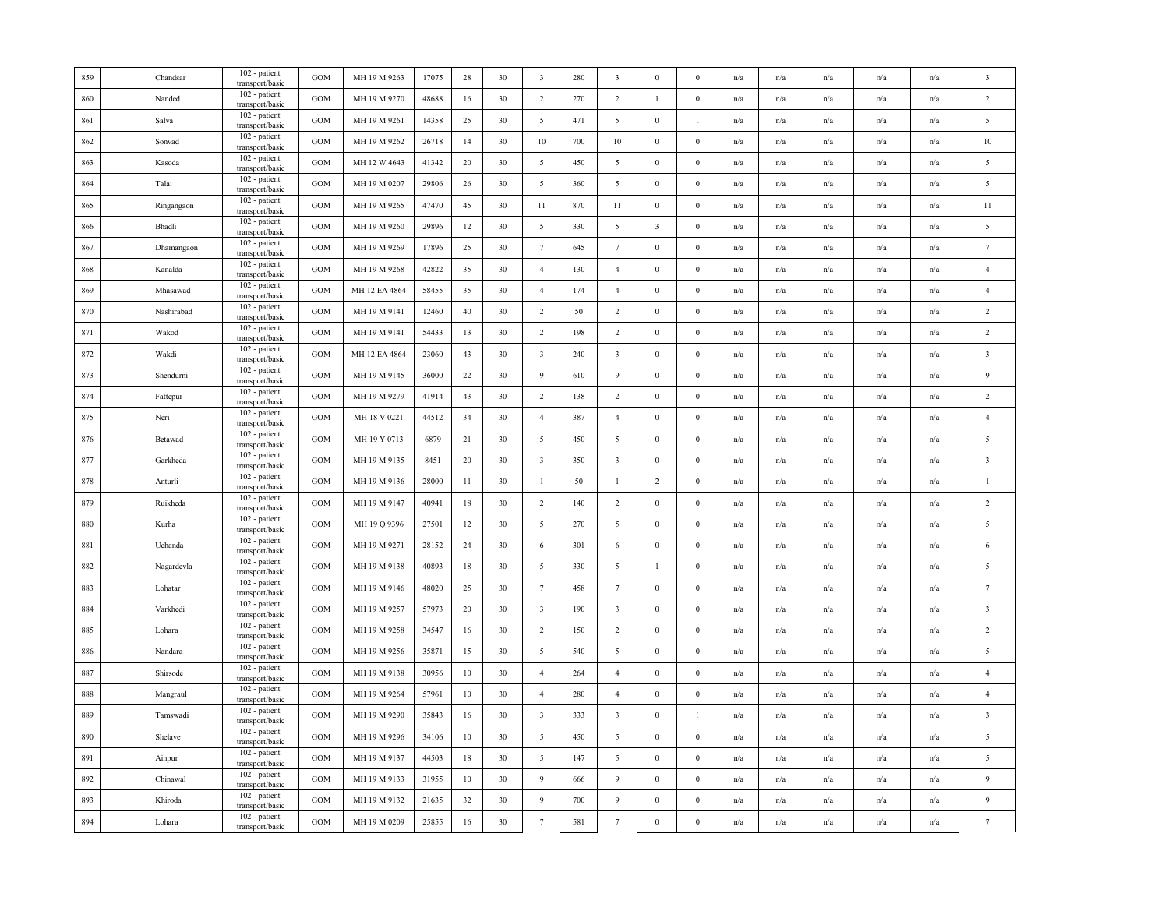| 859 | Chandsar   | 102 - patient<br>transport/basic | <b>GOM</b> | MH 19 M 9263  | 17075 | 28 | 30 | $\overline{\mathbf{3}}$ | 280 | $\overline{\mathbf{3}}$ | $\boldsymbol{0}$        | $\mathbf{0}$     | n/a                     | n/a                     | n/a                     | n/a                     | n/a | $\overline{\mathbf{3}}$ |
|-----|------------|----------------------------------|------------|---------------|-------|----|----|-------------------------|-----|-------------------------|-------------------------|------------------|-------------------------|-------------------------|-------------------------|-------------------------|-----|-------------------------|
| 860 | Nanded     | 102 - patient<br>transport/basic | <b>GOM</b> | MH 19 M 9270  | 48688 | 16 | 30 | $\overline{2}$          | 270 | $\overline{2}$          | -1                      | $\boldsymbol{0}$ | n/a                     | n/a                     | n/a                     | n/a                     | n/a | $\overline{2}$          |
| 861 | Salva      | 102 - patient<br>transport/basic | <b>GOM</b> | MH 19 M 9261  | 14358 | 25 | 30 | $\overline{5}$          | 471 | 5                       | $\boldsymbol{0}$        | $\mathbf{1}$     | n/a                     | $\mathrm{n}/\mathrm{a}$ | $\mathrm{n}/\mathrm{a}$ | n/a                     | n/a | $\overline{5}$          |
| 862 | Sonvad     | 102 - patient<br>transport/basic | GOM        | MH 19 M 9262  | 26718 | 14 | 30 | 10                      | 700 | 10                      | $\bf{0}$                | $\boldsymbol{0}$ | n/a                     | n/a                     | n/a                     | n/a                     | n/a | 10                      |
| 863 | Kasoda     | 102 - patient<br>transport/basic | GOM        | MH 12 W 4643  | 41342 | 20 | 30 | 5                       | 450 | $\overline{5}$          | $\boldsymbol{0}$        | $\boldsymbol{0}$ | n/a                     | n/a                     | n/a                     | n/a                     | n/a | $\overline{5}$          |
| 864 | Talai      | 102 - patient<br>transport/basic | <b>GOM</b> | MH 19 M 0207  | 29806 | 26 | 30 | 5                       | 360 | $\overline{5}$          | $\boldsymbol{0}$        | $\mathbf{0}$     | n/a                     | n/a                     | n/a                     | n/a                     | n/a | $\overline{5}$          |
| 865 | Ringangaon | 102 - patient<br>transport/basic | GOM        | MH 19 M 9265  | 47470 | 45 | 30 | 11                      | 870 | 11                      | $\boldsymbol{0}$        | $\mathbf{0}$     | n/a                     | n/a                     | n/a                     | n/a                     | n/a | 11                      |
| 866 | Bhadli     | 102 - patient<br>transport/basic | GOM        | MH 19 M 9260  | 29896 | 12 | 30 | 5                       | 330 | 5                       | $\overline{\mathbf{3}}$ | $\boldsymbol{0}$ | n/a                     | n/a                     | $\mathrm{n}/\mathrm{a}$ | n/a                     | n/a | $\overline{5}$          |
| 867 | Dhamangaon | 102 - patient<br>transport/basic | GOM        | MH 19 M 9269  | 17896 | 25 | 30 | $7\phantom{.0}$         | 645 | $7\phantom{.0}$         | $\boldsymbol{0}$        | $\boldsymbol{0}$ | n/a                     | n/a                     | n/a                     | n/a                     | n/a | $7\phantom{.0}$         |
| 868 | Kanalda    | 102 - patient<br>transport/basic | GOM        | MH 19 M 9268  | 42822 | 35 | 30 | $\overline{4}$          | 130 | $\overline{4}$          | $\boldsymbol{0}$        | $\boldsymbol{0}$ | n/a                     | n/a                     | n/a                     | n/a                     | n/a | $\overline{4}$          |
| 869 | Mhasawad   | 102 - patient<br>transport/basic | <b>GOM</b> | MH 12 EA 4864 | 58455 | 35 | 30 | $\overline{4}$          | 174 | $\overline{4}$          | $\mathbf{0}$            | $\mathbf{0}$     | n/a                     | n/a                     | n/a                     | n/a                     | n/a | $\overline{4}$          |
| 870 | Nashirabad | 102 - patient<br>transport/basic | GOM        | MH 19 M 9141  | 12460 | 40 | 30 | $\overline{2}$          | 50  | 2                       | $\boldsymbol{0}$        | $\mathbf{0}$     | n/a                     | n/a                     | n/a                     | n/a                     | n/a | $\overline{2}$          |
| 871 | Wakod      | 102 - patient<br>transport/basic | <b>GOM</b> | MH 19 M 9141  | 54433 | 13 | 30 | 2                       | 198 | 2                       | $\mathbf{0}$            | $\mathbf{0}$     | n/a                     | $\mathrm{n}/\mathrm{a}$ | $\mathrm{n}/\mathrm{a}$ | $\mathrm{n}/\mathrm{a}$ | n/a | $\overline{2}$          |
| 872 | Wakdi      | 102 - patient<br>transport/basic | <b>GOM</b> | MH 12 EA 4864 | 23060 | 43 | 30 | $\overline{\mathbf{3}}$ | 240 | $\overline{\mathbf{3}}$ | $\boldsymbol{0}$        | $\boldsymbol{0}$ | n/a                     | n/a                     | n/a                     | n/a                     | n/a | $\overline{\mathbf{3}}$ |
| 873 | Shendurni  | 102 - patient<br>transport/basic | GOM        | MH 19 M 9145  | 36000 | 22 | 30 | 9                       | 610 | 9                       | $\boldsymbol{0}$        | $\boldsymbol{0}$ | n/a                     | n/a                     | n/a                     | n/a                     | n/a | $\overline{9}$          |
| 874 | Fattepur   | 102 - patient<br>transport/basic | GOM        | MH 19 M 9279  | 41914 | 43 | 30 | $\overline{2}$          | 138 | $\overline{2}$          | $\boldsymbol{0}$        | $\boldsymbol{0}$ | n/a                     | n/a                     | n/a                     | n/a                     | n/a | $\overline{2}$          |
| 875 | Neri       | 102 - patient<br>transport/basic | GOM        | MH 18 V 0221  | 44512 | 34 | 30 | $\overline{4}$          | 387 | $\overline{4}$          | $\mathbf{0}$            | $\mathbf{0}$     | n/a                     | $\mathrm{n}/\mathrm{a}$ | $\mathrm{n}/\mathrm{a}$ | n/a                     | n/a | $\overline{4}$          |
| 876 | Betawad    | 102 - patient<br>transport/basic | GOM        | MH 19 Y 0713  | 6879  | 21 | 30 | 5                       | 450 | $\overline{5}$          | $\mathbf{0}$            | $\boldsymbol{0}$ | n/a                     | n/a                     | n/a                     | $\mathrm{n}/\mathrm{a}$ | n/a | 5                       |
| 877 | Garkheda   | 102 - patient<br>transport/basic | GOM        | MH 19 M 9135  | 8451  | 20 | 30 | $\overline{\mathbf{3}}$ | 350 | $\overline{\mathbf{3}}$ | $\boldsymbol{0}$        | $\boldsymbol{0}$ | n/a                     | n/a                     | n/a                     | n/a                     | n/a | $\overline{\mathbf{3}}$ |
| 878 | Anturli    | 102 - patient<br>transport/basic | GOM        | MH 19 M 9136  | 28000 | 11 | 30 | $\mathbf{1}$            | 50  | $\mathbf{1}$            | $\overline{2}$          | $\boldsymbol{0}$ | n/a                     | n/a                     | n/a                     | n/a                     | n/a | $\mathbf{1}$            |
| 879 | Ruikheda   | 102 - patient<br>transport/basic | GOM        | MH 19 M 9147  | 40941 | 18 | 30 | $\overline{2}$          | 140 | $\overline{2}$          | $\boldsymbol{0}$        | $\boldsymbol{0}$ | n/a                     | n/a                     | n/a                     | n/a                     | n/a | $\overline{2}$          |
| 880 | Kurha      | 102 - patient<br>transport/basic | GOM        | MH 19 Q 9396  | 27501 | 12 | 30 | 5                       | 270 | $\overline{5}$          | $\boldsymbol{0}$        | $\boldsymbol{0}$ | n/a                     | n/a                     | n/a                     | n/a                     | n/a | $\overline{5}$          |
| 881 | Uchanda    | 102 - patient<br>transport/basic | GOM        | MH 19 M 9271  | 28152 | 24 | 30 | 6                       | 301 | 6                       | $\boldsymbol{0}$        | $\boldsymbol{0}$ | n/a                     | $\mathrm{n}/\mathrm{a}$ | $\mathrm{n}/\mathrm{a}$ | $\mathrm{n}/\mathrm{a}$ | n/a | 6                       |
| 882 | Nagardevla | 102 - patient<br>transport/basic | GOM        | MH 19 M 9138  | 40893 | 18 | 30 | 5                       | 330 | 5                       | -1                      | $\bf{0}$         | n/a                     | n/a                     | n/a                     | n/a                     | n/a | 5                       |
| 883 | Lohatar    | 102 - patient<br>transport/basic | GOM        | MH 19 M 9146  | 48020 | 25 | 30 | $7\phantom{.0}$         | 458 | $7\phantom{.0}$         | $\boldsymbol{0}$        | $\bf{0}$         | n/a                     | n/a                     | n/a                     | n/a                     | n/a | 7                       |
| 884 | Varkhedi   | 102 - patient<br>transport/basic | <b>GOM</b> | MH 19 M 9257  | 57973 | 20 | 30 | $\overline{\mathbf{3}}$ | 190 | $\overline{\mathbf{3}}$ | $\mathbf{0}$            | $\mathbf{0}$     | n/a                     | n/a                     | n/a                     | n/a                     | n/a | $\overline{\mathbf{3}}$ |
| 885 | Lohara     | 102 - patient<br>transport/basic | GOM        | MH 19 M 9258  | 34547 | 16 | 30 | $\overline{2}$          | 150 | $\overline{2}$          | $\bf{0}$                | $\mathbf{0}$     | n/a                     | n/a                     | n/a                     | n/a                     | n/a | $\overline{2}$          |
| 886 | Nandara    | 102 - patient<br>transport/basic | GOM        | MH 19 M 9256  | 35871 | 15 | 30 | $\overline{5}$          | 540 | $\overline{5}$          | $\mathbf{0}$            | $\boldsymbol{0}$ | n/a                     | n/a                     | n/a                     | n/a                     | n/a | $\overline{5}$          |
| 887 | Shirsode   | 102 - patient<br>transport/basic | GOM        | MH 19 M 9138  | 30956 | 10 | 30 | $\overline{4}$          | 264 | $\overline{4}$          | $\boldsymbol{0}$        | $\boldsymbol{0}$ | n/a                     | n/a                     | n/a                     | n/a                     | n/a | $\overline{4}$          |
| 888 | Mangraul   | 102 - patient<br>transport/basic | GOM        | MH 19 M 9264  | 57961 | 10 | 30 | $\overline{4}$          | 280 | $\overline{4}$          | $\boldsymbol{0}$        | $\boldsymbol{0}$ | n/a                     | n/a                     | n/a                     | n/a                     | n/a | $\overline{4}$          |
| 889 | Tamswadi   | 102 - patient<br>transport/basic | <b>GOM</b> | MH 19 M 9290  | 35843 | 16 | 30 | $\overline{3}$          | 333 | $\overline{\mathbf{3}}$ | $\mathbf{0}$            | $\mathbf{1}$     | n/a                     | n/a                     | n/a                     | n/a                     | n/a | $\overline{\mathbf{3}}$ |
| 890 | Shelave    | 102 - patient<br>transport/basic | GOM        | MH 19 M 9296  | 34106 | 10 | 30 | 5                       | 450 | $5\overline{)}$         | $\boldsymbol{0}$        | $\mathbf{0}$     | n/a                     | n/a                     | n/a                     | n/a                     | n/a | $\overline{5}$          |
| 891 | Ainpur     | 102 - patient<br>transport/basic | <b>GOM</b> | MH 19 M 9137  | 44503 | 18 | 30 | 5                       | 147 | 5                       | $\mathbf{0}$            | $\mathbf{0}$     | n/a                     | $\mathrm{n}/\mathrm{a}$ | $\mathrm{n}/\mathrm{a}$ | $\mathrm{n}/\mathrm{a}$ | n/a | $\overline{5}$          |
| 892 | Chinawal   | 102 - patient<br>transport/basic | <b>GOM</b> | MH 19 M 9133  | 31955 | 10 | 30 | 9                       | 666 | 9                       | $\boldsymbol{0}$        | $\boldsymbol{0}$ | n/a                     | n/a                     | n/a                     | n/a                     | n/a | 9                       |
| 893 | Khiroda    | 102 - patient<br>transport/basic | GOM        | MH 19 M 9132  | 21635 | 32 | 30 | 9                       | 700 | 9                       | $\boldsymbol{0}$        | $\boldsymbol{0}$ | n/a                     | n/a                     | n/a                     | n/a                     | n/a | $\overline{9}$          |
| 894 | Lohara     | 102 - patient<br>transport/basic | GOM        | MH 19 M 0209  | 25855 | 16 | 30 | $\tau$                  | 581 | $\boldsymbol{7}$        | $\boldsymbol{0}$        | $\boldsymbol{0}$ | $\mathrm{n}/\mathrm{a}$ | n/a                     | n/a                     | n/a                     | n/a | $7\phantom{.0}$         |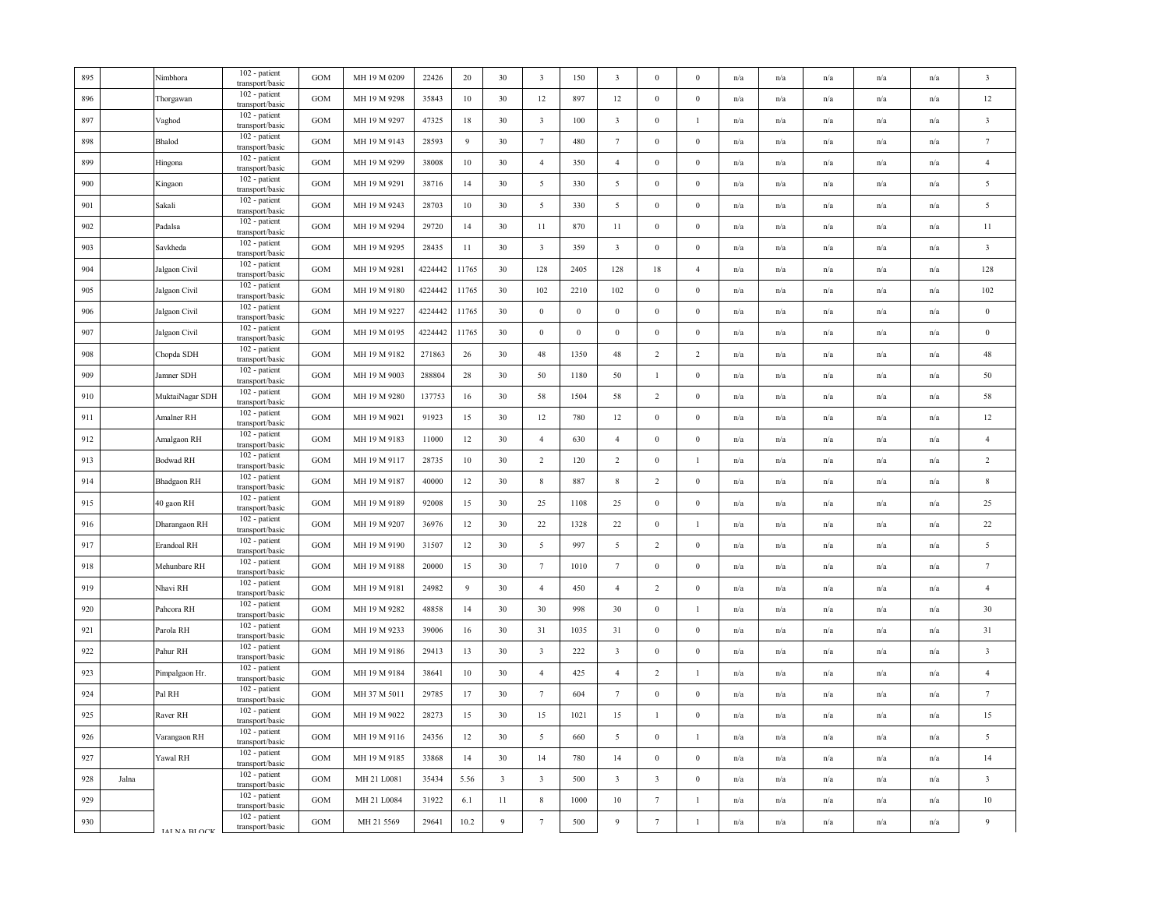| 895 |       | Nimbhora           | 102 - patient<br>transport/basic   | <b>GOM</b> | MH 19 M 0209 | 22426   | 20    | 30                      | $\overline{\mathbf{3}}$ | 150              | $\overline{\mathbf{3}}$ | $\bf{0}$                | $\overline{0}$   | n/a | n/a                     | n/a                     | n/a                     | n/a | $\overline{\mathbf{3}}$ |
|-----|-------|--------------------|------------------------------------|------------|--------------|---------|-------|-------------------------|-------------------------|------------------|-------------------------|-------------------------|------------------|-----|-------------------------|-------------------------|-------------------------|-----|-------------------------|
| 896 |       | Thorgawan          | 102 - patient<br>transport/basic   | GOM        | MH 19 M 9298 | 35843   | 10    | 30                      | 12                      | 897              | 12                      | $\mathbf{0}$            | $\boldsymbol{0}$ | n/a | n/a                     | n/a                     | n/a                     | n/a | 12                      |
| 897 |       | Vaghod             | 102 - patient<br>transport/basic   | GOM        | MH 19 M 9297 | 47325   | 18    | 30                      | $\overline{3}$          | 100              | $\overline{\mathbf{3}}$ | $\bf{0}$                |                  | n/a | n/a                     | n/a                     | n/a                     | n/a | $\overline{\mathbf{3}}$ |
| 898 |       | Bhalod             | 102 - patient<br>transport/basic   | GOM        | MH 19 M 9143 | 28593   | 9     | 30                      | $7\phantom{.0}$         | 480              | $7\phantom{.0}$         | $\bf{0}$                | $\mathbf{0}$     | n/a | n/a                     | n/a                     | n/a                     | n/a | $\,7$                   |
| 899 |       | Hingona            | 102 - patient<br>transport/basic   | GOM        | MH 19 M 9299 | 38008   | 10    | 30                      | $\overline{4}$          | 350              | $\overline{4}$          | $\mathbf{0}$            | $\mathbf{0}$     | n/a | n/a                     | n/a                     | n/a                     | n/a | $\overline{4}$          |
| 900 |       | Kingaon            | 102 - patient<br>transport/basic   | GOM        | MH 19 M 9291 | 38716   | 14    | 30                      | $\mathfrak{S}$          | 330              | $\overline{5}$          | $\bf{0}$                | $\boldsymbol{0}$ | n/a | n/a                     | n/a                     | n/a                     | n/a | $\overline{5}$          |
| 901 |       | Sakali             | 102 - patient<br>transport/basic   | GOM        | MH 19 M 9243 | 28703   | 10    | 30                      | $5\overline{)}$         | 330              | 5                       | $\bf{0}$                | $\mathbf{0}$     | n/a | n/a                     | n/a                     | n/a                     | n/a | $\overline{5}$          |
| 902 |       | Padalsa            | 102 - patient<br>transport/basic   | <b>GOM</b> | MH 19 M 9294 | 29720   | 14    | 30                      | 11                      | 870              | 11                      | $\mathbf{0}$            | $\theta$         | n/a | n/a                     | n/a                     | n/a                     | n/a | 11                      |
| 903 |       | Savkheda           | $102$ - patient<br>transport/basic | GOM        | MH 19 M 9295 | 28435   | 11    | 30                      | $\overline{\mathbf{3}}$ | 359              | $\overline{\mathbf{3}}$ | $\bf{0}$                | $\mathbf{0}$     | n/a | n/a                     | n/a                     | n/a                     | n/a | $\overline{\mathbf{3}}$ |
| 904 |       | Jalgaon Civil      | 102 - patient<br>transport/basic   | GOM        | MH 19 M 9281 | 4224442 | 11765 | 30                      | 128                     | 2405             | 128                     | $18\,$                  | $\overline{4}$   | n/a | n/a                     | n/a                     | n/a                     | n/a | 128                     |
| 905 |       | Jalgaon Civil      | 102 - patient<br>transport/basic   | GOM        | MH 19 M 9180 | 4224442 | 11765 | 30                      | 102                     | 2210             | 102                     | $\bf{0}$                | $\boldsymbol{0}$ | n/a | n/a                     | $\mathrm{n}/\mathrm{a}$ | $\mathrm{n}/\mathrm{a}$ | n/a | 102                     |
| 906 |       | Jalgaon Civil      | 102 - patient<br>transport/basic   | GOM        | MH 19 M 9227 | 4224442 | 11765 | 30                      | $\bf{0}$                | $\boldsymbol{0}$ | $\overline{0}$          | $\bf{0}$                | $\Omega$         | n/a | n/a                     | n/a                     | n/a                     | n/a | $\bf{0}$                |
| 907 |       | Jalgaon Civil      | 102 - patient<br>transport/basic   | GOM        | MH 19 M 0195 | 4224442 | 11765 | 30                      | $\boldsymbol{0}$        | $\boldsymbol{0}$ | $\mathbf{0}$            | $\bf{0}$                | $\mathbf{0}$     | n/a | n/a                     | n/a                     | n/a                     | n/a | $\bf{0}$                |
| 908 |       | Chopda SDH         | 102 - patient<br>transport/basic   | GOM        | MH 19 M 9182 | 271863  | 26    | 30                      | 48                      | 1350             | 48                      | $\sqrt{2}$              | $\overline{2}$   | n/a | n/a                     | n/a                     | n/a                     | n/a | 48                      |
| 909 |       | Jamner SDH         | 102 - patient<br>transport/basic   | GOM        | MH 19 M 9003 | 288804  | 28    | 30                      | 50                      | 1180             | 50                      | $\mathbf{1}$            | $\mathbf{0}$     | n/a | n/a                     | n/a                     | n/a                     | n/a | 50                      |
| 910 |       | MuktaiNagar SDH    | 102 - patient<br>transport/basic   | <b>GOM</b> | MH 19 M 9280 | 137753  | 16    | 30                      | 58                      | 1504             | 58                      | $\overline{2}$          | $\overline{0}$   | n/a | n/a                     | n/a                     | n/a                     | n/a | 58                      |
| 911 |       | Amalner RH         | 102 - patient<br>transport/basic   | GOM        | MH 19 M 9021 | 91923   | 15    | 30                      | 12                      | 780              | 12                      | $\mathbf{0}$            | $\boldsymbol{0}$ | n/a | $\mathrm{n}/\mathrm{a}$ | $\mathrm{n}/\mathrm{a}$ | $\mathrm{n}/\mathrm{a}$ | n/a | 12                      |
| 912 |       | Amalgaon RH        | 102 - patient<br>transport/basic   | GOM        | MH 19 M 9183 | 11000   | 12    | 30                      | $\overline{4}$          | 630              | $\overline{4}$          | $\boldsymbol{0}$        | $\boldsymbol{0}$ | n/a | n/a                     | n/a                     | n/a                     | n/a | $\overline{4}$          |
| 913 |       | <b>Bodwad RH</b>   | 102 - patient<br>transport/basic   | GOM        | MH 19 M 9117 | 28735   | 10    | 30                      | $\overline{2}$          | 120              | $\overline{2}$          | $\boldsymbol{0}$        |                  | n/a | $\mathrm{n}/\mathrm{a}$ | n/a                     | n/a                     | n/a | $\overline{2}$          |
| 914 |       | <b>Bhadgaon RH</b> | 102 - patient<br>transport/basic   | GOM        | MH 19 M 9187 | 40000   | 12    | 30                      | $\,$ 8 $\,$             | 887              | $\,$ 8 $\,$             | $\overline{2}$          | $\mathbf{0}$     | n/a | n/a                     | n/a                     | n/a                     | n/a | 8                       |
| 915 |       | 40 gaon RH         | 102 - patient<br>transport/basic   | GOM        | MH 19 M 9189 | 92008   | 15    | 30                      | 25                      | 1108             | 25                      | $\boldsymbol{0}$        | $\mathbf{0}$     | n/a | n/a                     | n/a                     | n/a                     | n/a | 25                      |
| 916 |       | Dharangaon RH      | 102 - patient<br>transport/basic   | GOM        | MH 19 M 9207 | 36976   | 12    | 30                      | 22                      | 1328             | $22\,$                  | $\boldsymbol{0}$        | $\mathbf{1}$     | n/a | n/a                     | n/a                     | n/a                     | n/a | 22                      |
| 917 |       | Erandoal RH        | 102 - patient<br>transport/basic   | GOM        | MH 19 M 9190 | 31507   | 12    | 30                      | 5                       | 997              | $\overline{5}$          | $\overline{2}$          | $\boldsymbol{0}$ | n/a | n/a                     | n/a                     | n/a                     | n/a | 5                       |
| 918 |       | Mehunbare RH       | 102 - patient<br>transport/basic   | GOM        | MH 19 M 9188 | 20000   | 15    | 30                      | $7\phantom{.0}$         | 1010             | $7\phantom{.0}$         | $\bf{0}$                | $\mathbf{0}$     | n/a | $\mathrm{n}/\mathrm{a}$ | $\mathrm{n}/\mathrm{a}$ | $\mathrm{n}/\mathrm{a}$ | n/a | $7\phantom{.0}$         |
| 919 |       | Nhavi RH           | 102 - patient<br>transport/basic   | GOM        | MH 19 M 9181 | 24982   | 9     | 30                      | $\overline{4}$          | 450              | $\overline{4}$          | $\overline{2}$          | $\boldsymbol{0}$ | n/a | n/a                     | $\mathrm{n}/\mathrm{a}$ | $\mathrm{n}/\mathrm{a}$ | n/a | $\overline{4}$          |
| 920 |       | Pahcora RH         | 102 - patient<br>transport/basic   | GOM        | MH 19 M 9282 | 48858   | 14    | 30                      | 30                      | 998              | 30                      | $\mathbf{0}$            | $\mathbf{1}$     | n/a | n/a                     | n/a                     | n/a                     | n/a | 30                      |
| 921 |       | Parola RH          | 102 - patient<br>transport/basic   | GOM        | MH 19 M 9233 | 39006   | 16    | 30                      | 31                      | 1035             | 31                      | $\boldsymbol{0}$        | $\Omega$         | n/a | n/a                     | n/a                     | n/a                     | n/a | 31                      |
| 922 |       | Pahur RH           | 102 - patient<br>transport/basic   | GOM        | MH 19 M 9186 | 29413   | 13    | 30                      | $\overline{\mathbf{3}}$ | 222              | $\overline{\mathbf{3}}$ | $\bf{0}$                | $\boldsymbol{0}$ | n/a | n/a                     | n/a                     | n/a                     | n/a | $\overline{\mathbf{3}}$ |
| 923 |       | Pimpalgaon Hr.     | 102 - patient<br>transport/basic   | GOM        | MH 19 M 9184 | 38641   | 10    | 30                      | $\overline{4}$          | 425              | $\overline{4}$          | $\overline{2}$          | $\mathbf{1}$     | n/a | n/a                     | n/a                     | n/a                     | n/a | $\overline{4}$          |
| 924 |       | Pal RH             | 102 - patient<br>transport/basic   | GOM        | MH 37 M 5011 | 29785   | 17    | 30                      | $7\phantom{.0}$         | 604              | $7\phantom{.0}$         | $\bf{0}$                | $\mathbf{0}$     | n/a | $\mathrm{n}/\mathrm{a}$ | $\mathrm{n}/\mathrm{a}$ | n/a                     | n/a | $7\phantom{.0}$         |
| 925 |       | Raver RH           | 102 - patient<br>transport/basic   | <b>GOM</b> | MH 19 M 9022 | 28273   | 15    | 30                      | 15                      | 1021             | 15                      | $\mathbf{1}$            | $\theta$         | n/a | n/a                     | n/a                     | n/a                     | n/a | 15                      |
| 926 |       | Varangaon RH       | 102 - patient<br>transport/basic   | GOM        | MH 19 M 9116 | 24356   | 12    | 30                      | $\overline{5}$          | 660              | $\overline{5}$          | $\mathbf{0}$            | $\overline{1}$   | n/a | n/a                     | n/a                     | n/a                     | n/a | 5                       |
| 927 |       | Yawal RH           | 102 - patient<br>transport/basic   | GOM        | MH 19 M 9185 | 33868   | 14    | 30                      | 14                      | 780              | 14                      | $\boldsymbol{0}$        | $\mathbf{0}$     | n/a | n/a                     | n/a                     | n/a                     | n/a | 14                      |
| 928 | Jalna |                    | 102 - patient<br>transport/basic   | <b>GOM</b> | MH 21 L0081  | 35434   | 5.56  | $\overline{\mathbf{3}}$ | $\overline{\mathbf{3}}$ | 500              | $\overline{\mathbf{3}}$ | $\overline{\mathbf{3}}$ | $\mathbf{0}$     | n/a | $\mathrm{n}/\mathrm{a}$ | $\mathrm{n}/\mathrm{a}$ | $\mathrm{n}/\mathrm{a}$ | n/a | $\overline{\mathbf{3}}$ |
| 929 |       |                    | 102 - patient<br>transport/basic   | GOM        | MH 21 L0084  | 31922   | 6.1   | 11                      | $\,$ 8 $\,$             | 1000             | 10                      | $\overline{7}$          | $\mathbf{1}$     | n/a | n/a                     | n/a                     | n/a                     | n/a | 10                      |
| 930 |       | <b>IAINA RIOCK</b> | 102 - patient<br>transport/basic   | GOM        | MH 21 5569   | 29641   | 10.2  | 9                       | $7\phantom{.0}$         | 500              | $\overline{9}$          | $\tau$                  | $\mathbf{1}$     | n/a | n/a                     | n/a                     | n/a                     | n/a | $\mathbf{Q}$            |
|     |       |                    |                                    |            |              |         |       |                         |                         |                  |                         |                         |                  |     |                         |                         |                         |     |                         |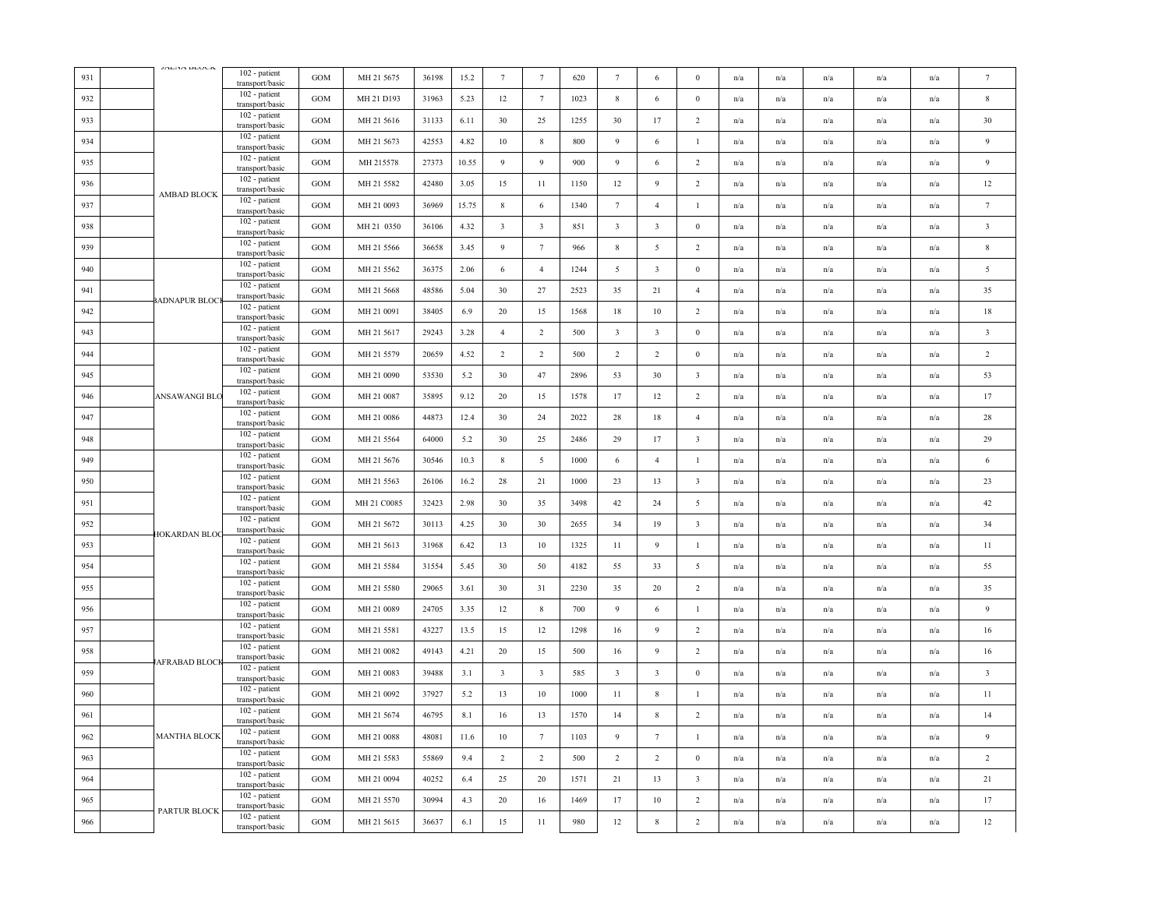| 931 | JALIMA DEOCA          | 102 - patient<br>transport/basic   | GOM               | MH 21 5675  | 36198 | 15.2  | $\tau$         | $7\phantom{.0}$         | 620  | $7\phantom{.0}$         | 6                       | $\mathbf{0}$            | n/a                     | $\mathrm{n}/\mathrm{a}$ | n/a | $\mathrm{n}/\mathrm{a}$ | $\mathrm{n}/\mathrm{a}$ | $\overline{7}$          |
|-----|-----------------------|------------------------------------|-------------------|-------------|-------|-------|----------------|-------------------------|------|-------------------------|-------------------------|-------------------------|-------------------------|-------------------------|-----|-------------------------|-------------------------|-------------------------|
| 932 |                       | 102 - patient<br>transport/basic   | GOM               | MH 21 D193  | 31963 | 5.23  | 12             | $7\phantom{.0}$         | 1023 | $8\phantom{.0}$         | 6                       | $\bf{0}$                | n/a                     | n/a                     | n/a | n/a                     | n/a                     | $\,$ 8 $\,$             |
| 933 |                       | 102 - patient<br>transport/basic   | GOM               | MH 21 5616  | 31133 | 6.11  | 30             | 25                      | 1255 | 30                      | 17                      | $\overline{c}$          | n/a                     | n/a                     | n/a | n/a                     | n/a                     | 30                      |
| 934 |                       | 102 - patient<br>transport/basic   | GOM               | MH 21 5673  | 42553 | 4.82  | 10             | $\,$ 8 $\,$             | 800  | 9                       | $\sqrt{6}$              | $\mathbf{1}$            | n/a                     | n/a                     | n/a | n/a                     | n/a                     | $\overline{9}$          |
| 935 |                       | 102 - patient<br>transport/basic   | GOM               | MH 215578   | 27373 | 10.55 | 9              | $\overline{9}$          | 900  | $\overline{9}$          | 6                       | $\overline{2}$          | n/a                     | n/a                     | n/a | n/a                     | n/a                     | $\overline{9}$          |
| 936 |                       | $102$ - patient<br>transport/basic | $_{\rm GOM}$      | MH 21 5582  | 42480 | 3.05  | 15             | 11                      | 1150 | 12                      | $\overline{9}$          | $\overline{2}$          | n/a                     | n/a                     | n/a | n/a                     | n/a                     | 12                      |
| 937 | AMBAD BLOCK           | 102 - patient<br>transport/basic   | GOM               | MH 21 0093  | 36969 | 15.75 | $\bf 8$        | 6                       | 1340 | $7\phantom{.0}$         | $\overline{4}$          | $\mathbf{1}$            | n/a                     | n/a                     | n/a | n/a                     | n/a                     | $7\phantom{.0}$         |
| 938 |                       | 102 - patient<br>transport/basic   | <b>GOM</b>        | MH 21 0350  | 36106 | 4.32  | $\mathbf{3}$   | $\overline{\mathbf{3}}$ | 851  | $\overline{\mathbf{3}}$ | $\overline{\mathbf{3}}$ | $\mathbf{0}$            | n/a                     | $\mathrm{n}/\mathrm{a}$ | n/a | $\mathbf{n}/\mathbf{a}$ | $\mathrm{n}/\mathrm{a}$ | $\overline{\mathbf{3}}$ |
| 939 |                       | 102 - patient<br>transport/basic   | GOM               | MH 21 5566  | 36658 | 3.45  | $\overline{9}$ | $7\phantom{.0}$         | 966  | 8                       | 5                       | $\overline{2}$          | n/a                     | n/a                     | n/a | n/a                     | n/a                     | $\,$ 8 $\,$             |
| 940 |                       | 102 - patient<br>transport/basic   | <b>GOM</b>        | MH 21 5562  | 36375 | 2.06  | 6              | $\overline{4}$          | 1244 | 5                       | $\overline{\mathbf{3}}$ | $\bf{0}$                | n/a                     | n/a                     | n/a | n/a                     | n/a                     | $\sqrt{5}$              |
| 941 |                       | 102 - patient<br>transport/basic   | GOM               | MH 21 5668  | 48586 | 5.04  | 30             | 27                      | 2523 | 35                      | 21                      | $\overline{4}$          | n/a                     | n/a                     | n/a | n/a                     | n/a                     | 35                      |
| 942 | <b>BADNAPUR BLOCI</b> | 102 - patient<br>transport/basic   | GOM               | MH 21 0091  | 38405 | 6.9   | 20             | 15                      | 1568 | 18                      | 10                      | $\overline{c}$          | $\mathrm{n}/\mathrm{a}$ | n/a                     | n/a | $\mathrm{n}/\mathrm{a}$ | n/a                     | $18\,$                  |
| 943 |                       | 102 - patient<br>transport/basic   | GOM               | MH 21 5617  | 29243 | 3.28  | $\overline{4}$ | $\overline{2}$          | 500  | $\overline{\mathbf{3}}$ | $\overline{\mathbf{3}}$ | $\mathbf{0}$            | n/a                     | $\mathrm{n}/\mathrm{a}$ | n/a | $\mathrm{n}/\mathrm{a}$ | n/a                     | $\overline{\mathbf{3}}$ |
| 944 |                       | 102 - patient<br>transport/basic   | GOM               | MH 21 5579  | 20659 | 4.52  | $\sqrt{2}$     | 2                       | 500  | $\overline{2}$          | $\overline{2}$          | $\boldsymbol{0}$        | n/a                     | n/a                     | n/a | n/a                     | n/a                     | $\sqrt{2}$              |
| 945 |                       | 102 - patient<br>transport/basic   | GOM               | MH 21 0090  | 53530 | 5.2   | 30             | 47                      | 2896 | 53                      | 30                      | $\overline{\mathbf{3}}$ | n/a                     | n/a                     | n/a | $\mathrm{n}/\mathrm{a}$ | n/a                     | 53                      |
| 946 | ANSAWANGI BLC         | 102 - patient<br>transport/basic   | GOM               | MH 21 0087  | 35895 | 9.12  | 20             | 15                      | 1578 | 17                      | 12                      | 2                       | n/a                     | n/a                     | n/a | n/a                     | n/a                     | 17                      |
| 947 |                       | 102 - patient<br>transport/basic   | GOM               | MH 21 0086  | 44873 | 12.4  | 30             | 24                      | 2022 | 28                      | 18                      | $\overline{4}$          | n/a                     | n/a                     | n/a | $\mathrm{n}/\mathrm{a}$ | n/a                     | 28                      |
| 948 |                       | 102 - patient<br>transport/basic   | GOM               | MH 21 5564  | 64000 | 5.2   | 30             | 25                      | 2486 | 29                      | 17                      | $\overline{\mathbf{3}}$ | n/a                     | n/a                     | n/a | n/a                     | n/a                     | 29                      |
| 949 |                       | 102 - patient<br>transport/basic   | GOM               | MH 21 5676  | 30546 | 10.3  | 8              | $5\overline{)}$         | 1000 | 6                       | $\overline{4}$          | 1                       | $\mathrm{n}/\mathrm{a}$ | $\mathrm{n}/\mathrm{a}$ | n/a | $\mathrm{n}/\mathrm{a}$ | $\mathrm{n}/\mathrm{a}$ | 6                       |
| 950 |                       | 102 - patient<br>transport/basic   | $_{\mathrm{GOM}}$ | MH 21 5563  | 26106 | 16.2  | 28             | 21                      | 1000 | 23                      | 13                      | $\sqrt{3}$              | $\mathrm{n}/\mathrm{a}$ | n/a                     | n/a | n/a                     | n/a                     | 23                      |
| 951 |                       | 102 - patient<br>transport/basic   | GOM               | MH 21 C0085 | 32423 | 2.98  | 30             | 35                      | 3498 | 42                      | 24                      | $\sqrt{5}$              | $\mathrm{n}/\mathrm{a}$ | $\mathrm{n}/\mathrm{a}$ | n/a | $\mathrm{n}/\mathrm{a}$ | $\mathrm{n}/\mathrm{a}$ | $42\,$                  |
| 952 |                       | 102 - patient<br>transport/basic   | GOM               | MH 21 5672  | 30113 | 4.25  | 30             | 30                      | 2655 | 34                      | 19                      | $\overline{\mathbf{3}}$ | n/a                     | n/a                     | n/a | n/a                     | n/a                     | 34                      |
| 953 | HOKARDAN BLOC         | 102 - patient<br>transport/basic   | <b>GOM</b>        | MH 21 5613  | 31968 | 6.42  | 13             | 10                      | 1325 | 11                      | 9                       | $\mathbf{1}$            | n/a                     | n/a                     | n/a | n/a                     | $\mathrm{n}/\mathrm{a}$ | 11                      |
| 954 |                       | 102 - patient<br>transport/basic   | GOM               | MH 21 5584  | 31554 | 5.45  | 30             | 50                      | 4182 | 55                      | 33                      | 5                       | n/a                     | n/a                     | n/a | n/a                     | n/a                     | 55                      |
| 955 |                       | 102 - patient<br>transport/basic   | <b>GOM</b>        | MH 21 5580  | 29065 | 3.61  | 30             | 31                      | 2230 | 35                      | 20                      | $\overline{2}$          | n/a                     | n/a                     | n/a | n/a                     | n/a                     | 35                      |
| 956 |                       | 102 - patient<br>transport/basic   | GOM               | MH 21 0089  | 24705 | 3.35  | 12             | $\,$ 8 $\,$             | 700  | $\overline{9}$          | 6                       | -1                      | n/a                     | n/a                     | n/a | n/a                     | n/a                     | $\overline{9}$          |
| 957 |                       | 102 - patient<br>transport/basic   | <b>GOM</b>        | MH 21 5581  | 43227 | 13.5  | 15             | 12                      | 1298 | 16                      | 9                       | $\overline{2}$          | n/a                     | n/a                     | n/a | n/a                     | n/a                     | 16                      |
| 958 | <b>JAFRABAD BLOCI</b> | 102 - patient<br>transport/basic   | GOM               | MH 21 0082  | 49143 | 4.21  | 20             | 15                      | 500  | 16                      | $\overline{9}$          | $\overline{2}$          | n/a                     | n/a                     | n/a | n/a                     | n/a                     | 16                      |
| 959 |                       | 102 - patient<br>transport/basic   | GOM               | MH 21 0083  | 39488 | 3.1   | $\mathbf{3}$   | $\overline{3}$          | 585  | $\overline{\mathbf{3}}$ | $\overline{\mathbf{3}}$ | $\boldsymbol{0}$        | $\mathrm{n}/\mathrm{a}$ | $\mathrm{n}/\mathrm{a}$ | n/a | $\mathrm{n}/\mathrm{a}$ | n/a                     | $\overline{\mathbf{3}}$ |
| 960 |                       | 102 - patient<br>transport/basic   | <b>GOM</b>        | MH 21 0092  | 37927 | 5.2   | 13             | 10                      | 1000 | 11                      | 8                       | $\mathbf{1}$            | n/a                     | n/a                     | n/a | n/a                     | n/a                     | 11                      |
| 961 |                       | 102 - patient<br>transport/basic   | GOM               | MH 21 5674  | 46795 | 8.1   | 16             | 13                      | 1570 | 14                      | $\,$ 8 $\,$             | $\overline{2}$          | n/a                     | n/a                     | n/a | n/a                     | n/a                     | 14                      |
| 962 | <b>MANTHA BLOCK</b>   | 102 - patient<br>transport/basic   | GOM               | MH 21 0088  | 48081 | 11.6  | 10             | $7\phantom{.0}$         | 1103 | $\overline{9}$          | $7\phantom{.0}$         | $\mathbf{1}$            | n/a                     | n/a                     | n/a | n/a                     | n/a                     | $\overline{9}$          |
| 963 |                       | 102 - patient<br>transport/basic   | GOM               | MH 21 5583  | 55869 | 9.4   | $\overline{2}$ | $\overline{2}$          | 500  | $\overline{2}$          | $\overline{2}$          | $\boldsymbol{0}$        | n/a                     | n/a                     | n/a | n/a                     | n/a                     | $\overline{2}$          |
| 964 |                       | $102$ - patient<br>transport/basic | GOM               | MH 21 0094  | 40252 | 6.4   | 25             | 20                      | 1571 | 21                      | 13                      | $\overline{3}$          | n/a                     | n/a                     | n/a | n/a                     | n/a                     | 21                      |
| 965 | PARTUR BLOCK          | 102 - patient<br>transport/basic   | GOM               | MH 21 5570  | 30994 | 4.3   | 20             | 16                      | 1469 | 17                      | $10\,$                  | $\overline{2}$          | n/a                     | n/a                     | n/a | n/a                     | n/a                     | 17                      |
| 966 |                       | 102 - patient<br>transport/basic   | GOM               | MH 21 5615  | 36637 | 6.1   | 15             | $11\,$                  | 980  | 12                      | $\,$ 8 $\,$             | $\overline{2}$          | n/a                     | $\mathrm{n}/\mathrm{a}$ | n/a | $\mathbf{n}/\mathbf{a}$ | $\mathrm{n}/\mathrm{a}$ | $12\,$                  |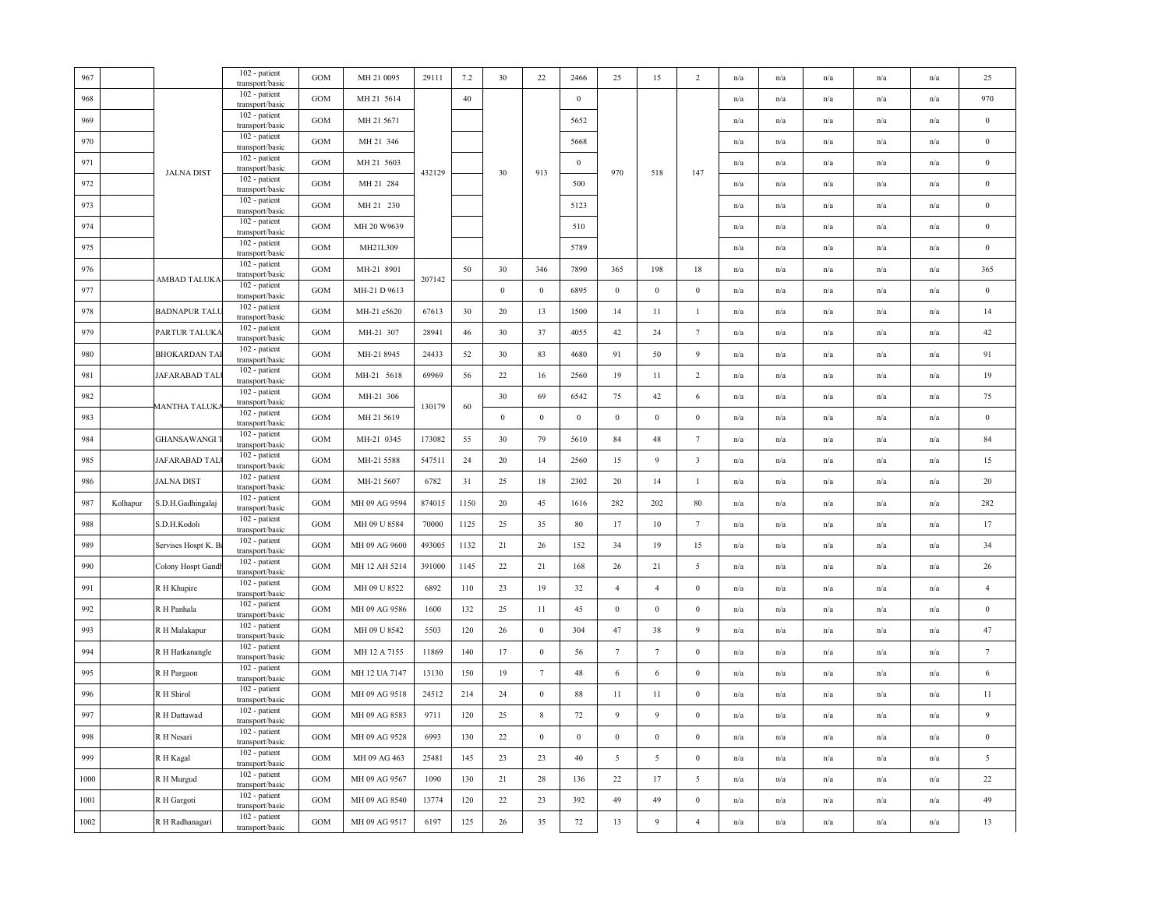| $967\,$ |          |                      | 102 - patient<br>transport/basic   | GOM          | MH 21 0095    | 29111  | 7.2  | 30               | 22              | 2466             | 25              | 15               | 2                       | n/a                     | n/a                     | n/a | n/a                     | n/a                     | 25               |
|---------|----------|----------------------|------------------------------------|--------------|---------------|--------|------|------------------|-----------------|------------------|-----------------|------------------|-------------------------|-------------------------|-------------------------|-----|-------------------------|-------------------------|------------------|
| 968     |          |                      | 102 - patient<br>transport/basic   | GOM          | MH 21 5614    |        | 40   |                  |                 | $\mathbf{0}$     |                 |                  |                         | n/a                     | n/a                     | n/a | n/a                     | n/a                     | 970              |
| 969     |          |                      | 102 - patient<br>transport/basic   | <b>GOM</b>   | MH 21 5671    |        |      |                  |                 | 5652             |                 |                  |                         | n/a                     | n/a                     | n/a | n/a                     | n/a                     | $\,0\,$          |
| 970     |          |                      | 102 - patient<br>transport/basic   | <b>GOM</b>   | MH 21 346     |        |      |                  |                 | 5668             |                 |                  |                         | n/a                     | n/a                     | n/a | n/a                     | n/a                     | $\,0\,$          |
| 971     |          |                      | 102 - patient<br>transport/basic   | GOM          | MH 21 5603    |        |      |                  |                 | $\mathbf{0}$     |                 |                  |                         | n/a                     | n/a                     | n/a | n/a                     | n/a                     | $\bf{0}$         |
| 972     |          | <b>JALNA DIST</b>    | 102 - patient<br>transport/basic   | GOM          | MH 21 284     | 432129 |      | 30               | 913             | 500              | 970             | 518              | 147                     | n/a                     | n/a                     | n/a | n/a                     | n/a                     | $\bf{0}$         |
| 973     |          |                      | 102 - patient<br>transport/basic   | <b>GOM</b>   | MH 21 230     |        |      |                  |                 | 5123             |                 |                  |                         | n/a                     | n/a                     | n/a | n/a                     | n/a                     | $\boldsymbol{0}$ |
| 974     |          |                      | 102 - patient<br>transport/basic   | GOM          | MH 20 W9639   |        |      |                  |                 | 510              |                 |                  |                         | n/a                     | n/a                     | n/a | n/a                     | n/a                     | $\boldsymbol{0}$ |
| 975     |          |                      | 102 - patient<br>transport/basic   | <b>GOM</b>   | MH21L309      |        |      |                  |                 | 5789             |                 |                  |                         | n/a                     | $\mathrm{n}/\mathrm{a}$ | n/a | $\mathbf{n}/\mathbf{a}$ | n/a                     | $\bf{0}$         |
| 976     |          |                      | 102 - patient<br>transport/basic   | GOM          | MH-21 8901    |        | 50   | 30               | 346             | 7890             | 365             | 198              | 18                      | n/a                     | n/a                     | n/a | n/a                     | n/a                     | 365              |
| 977     |          | AMBAD TALUKA         | 102 - patient<br>transport/basic   | GOM          | MH-21 D 9613  | 207142 |      | $\bf{0}$         | $\mathbf{0}$    | 6895             | $\mathbf{0}$    | $\boldsymbol{0}$ | $\mathbf{0}$            | $\mathrm{n}/\mathrm{a}$ | $\mathrm{n}/\mathrm{a}$ | n/a | $\mathbf{n}/\mathbf{a}$ | $\mathrm{n}/\mathrm{a}$ | $\bf{0}$         |
| 978     |          | <b>BADNAPUR TAL</b>  | 102 - patient<br>transport/basic   | GOM          | MH-21 c5620   | 67613  | 30   | 20               | 13              | 1500             | 14              | 11               | $\mathbf{1}$            | n/a                     | n/a                     | n/a | n/a                     | n/a                     | 14               |
| 979     |          | PARTUR TALUKA        | 102 - patient<br>transport/basic   | GOM          | MH-21 307     | 28941  | 46   | 30               | $37\,$          | 4055             | 42              | 24               | $\tau$                  | n/a                     | n/a                     | n/a | n/a                     | n/a                     | 42               |
| 980     |          | <b>BHOKARDAN TA</b>  | 102 - patient<br>transport/basic   | GOM          | MH-21 8945    | 24433  | 52   | 30               | 83              | 4680             | 91              | 50               | $\overline{9}$          | n/a                     | n/a                     | n/a | n/a                     | n/a                     | 91               |
| 981     |          | JAFARABAD TAI        | 102 - patient<br>transport/basic   | <b>GOM</b>   | MH-21 5618    | 69969  | 56   | 22               | 16              | 2560             | 19              | 11               | $\overline{2}$          | n/a                     | n/a                     | n/a | n/a                     | n/a                     | 19               |
| 982     |          |                      | 102 - patient<br>transport/basic   | GOM          | MH-21 306     |        |      | 30               | 69              | 6542             | 75              | 42               | 6                       | $\mathrm{n}/\mathrm{a}$ | n/a                     | n/a | n/a                     | n/a                     | 75               |
| 983     |          | <b>MANTHA TALUK.</b> | 102 - patient<br>transport/basic   | GOM          | MH 21 5619    | 130179 | 60   | $\boldsymbol{0}$ | $\,0\,$         | $\boldsymbol{0}$ | $\,0\,$         | $\boldsymbol{0}$ | $\mathbf{0}$            | n/a                     | n/a                     | n/a | $\mathrm{n}/\mathrm{a}$ | n/a                     | $\bf{0}$         |
| 984     |          | GHANSAWANGI          | 102 - patient<br>transport/basic   | <b>GOM</b>   | MH-21 0345    | 173082 | 55   | 30               | 79              | 5610             | 84              | 48               | $\tau$                  | n/a                     | n/a                     | n/a | n/a                     | n/a                     | 84               |
| 985     |          | JAFARABAD TAL        | 102 - patient<br>transport/basic   | GOM          | MH-21 5588    | 547511 | 24   | 20               | 14              | 2560             | 15              | 9                | $\overline{\mathbf{3}}$ | n/a                     | n/a                     | n/a | n/a                     | n/a                     | 15               |
| 986     |          | <b>JALNA DIST</b>    | 102 - patient<br>transport/basic   | GOM          | MH-21 5607    | 6782   | 31   | 25               | $18\,$          | 2302             | 20              | 14               | $\mathbf{1}$            | n/a                     | n/a                     | n/a | n/a                     | n/a                     | 20               |
| 987     | Kolhapur | S.D.H.Gadhingalaj    | 102 - patient<br>transport/basic   | <b>GOM</b>   | MH 09 AG 9594 | 874015 | 1150 | 20               | 45              | 1616             | 282             | 202              | 80                      | n/a                     | $\mathrm{n}/\mathrm{a}$ | n/a | $\mathbf{n}/\mathbf{a}$ | $\mathrm{n}/\mathrm{a}$ | 282              |
| 988     |          | S.D.H.Kodoli         | 102 - patient<br>transport/basic   | <b>GOM</b>   | MH 09 U 8584  | 70000  | 1125 | 25               | 35              | 80               | 17              | 10               | $\overline{7}$          | n/a                     | n/a                     | n/a | n/a                     | n/a                     | 17               |
| 989     |          | Servises Hospt K. B  | 102 - patient<br>transport/basic   | GOM          | MH 09 AG 9600 | 493005 | 1132 | 21               | 26              | 152              | 34              | 19               | 15                      | n/a                     | n/a                     | n/a | n/a                     | n/a                     | 34               |
| 990     |          | Colony Hospt Gand    | 102 - patient<br>transport/basic   | <b>GOM</b>   | MH 12 AH 5214 | 391000 | 1145 | 22               | 21              | 168              | 26              | 21               | 5                       | n/a                     | n/a                     | n/a | n/a                     | n/a                     | 26               |
| 991     |          | R H Khupire          | 102 - patient<br>transport/basic   | GOM          | MH 09 U 8522  | 6892   | 110  | 23               | 19              | 32               | $\overline{4}$  | $\overline{4}$   | $\bf{0}$                | n/a                     | n/a                     | n/a | n/a                     | $\mathrm{n}/\mathrm{a}$ | $\overline{4}$   |
| 992     |          | R H Panhala          | 102 - patient<br>transport/basic   | $_{\rm GOM}$ | MH 09 AG 9586 | 1600   | 132  | 25               | 11              | 45               | $\mathbf{0}$    | $\boldsymbol{0}$ | $\boldsymbol{0}$        | n/a                     | n/a                     | n/a | n/a                     | n/a                     | $\bf{0}$         |
| 993     |          | R H Malakapur        | 102 - patient<br>transport/basic   | GOM          | MH 09 U 8542  | 5503   | 120  | 26               | $\mathbf{0}$    | 304              | 47              | 38               | $\overline{9}$          | n/a                     | n/a                     | n/a | $\mathbf{n}/\mathbf{a}$ | n/a                     | 47               |
| 994     |          | R H Hatkanangle      | 102 - patient<br>transport/basic   | GOM          | MH 12 A 7155  | 11869  | 140  | 17               | $\mathbf{0}$    | 56               | $7\phantom{.0}$ | $7\phantom{.0}$  | $\mathbf{0}$            | n/a                     | n/a                     | n/a | n/a                     | n/a                     | $7\phantom{.0}$  |
| 995     |          | R H Pargaon          | 102 - patient<br>transport/basic   | GOM          | MH 12 UA 7147 | 13130  | 150  | 19               | $7\phantom{.0}$ | 48               | 6               | 6                | $\mathbf{0}$            | n/a                     | n/a                     | n/a | n/a                     | n/a                     | $\sqrt{6}$       |
| 996     |          | R H Shirol           | 102 - patient<br>transport/basic   | GOM          | MH 09 AG 9518 | 24512  | 214  | 24               | $\,0\,$         | 88               | 11              | 11               | $\boldsymbol{0}$        | n/a                     | n/a                     | n/a | n/a                     | n/a                     | 11               |
| 997     |          | R H Dattawad         | 102 - patient<br>transport/basic   | GOM          | MH 09 AG 8583 | 9711   | 120  | 25               | $8\phantom{.0}$ | 72               | 9               | 9                | $\bf{0}$                | n/a                     | n/a                     | n/a | n/a                     | n/a                     | $\overline{9}$   |
| 998     |          | R H Nesari           | 102 - patient<br>transport/basic   | <b>GOM</b>   | MH 09 AG 9528 | 6993   | 130  | 22               | $\mathbf{0}$    | $\mathbf{0}$     | $\bf{0}$        | $\bf{0}$         | $\bf{0}$                | n/a                     | n/a                     | n/a | $\mathbf{n}/\mathbf{a}$ | n/a                     | $\boldsymbol{0}$ |
| 999     |          | R H Kagal            | 102 - patient<br>transport/basic   | GOM          | MH 09 AG 463  | 25481  | 145  | 23               | 23              | 40               | 5               | 5                | $\bf{0}$                | $\mathrm{n}/\mathrm{a}$ | n/a                     | n/a | n/a                     | n/a                     | $\sqrt{5}$       |
| 1000    |          | R H Murgud           | 102 - patient<br>transport/basic   | <b>GOM</b>   | MH 09 AG 9567 | 1090   | 130  | 21               | 28              | 136              | 22              | 17               | 5                       | n/a                     | $\mathrm{n}/\mathrm{a}$ | n/a | $\mathbf{n}/\mathbf{a}$ | n/a                     | 22               |
| 1001    |          | R H Gargoti          | 102 - patient<br>transport/basic   | <b>GOM</b>   | MH 09 AG 8540 | 13774  | 120  | 22               | 23              | 392              | 49              | 49               | $\mathbf{0}$            | n/a                     | n/a                     | n/a | n/a                     | n/a                     | 49               |
| 1002    |          | R H Radhanagari      | $102$ - patient<br>transport/basic | GOM          | MH 09 AG 9517 | 6197   | 125  | 26               | 35              | 72               | 13              | 9                | $\overline{4}$          | n/a                     | n/a                     | n/a | n/a                     | n/a                     | 13               |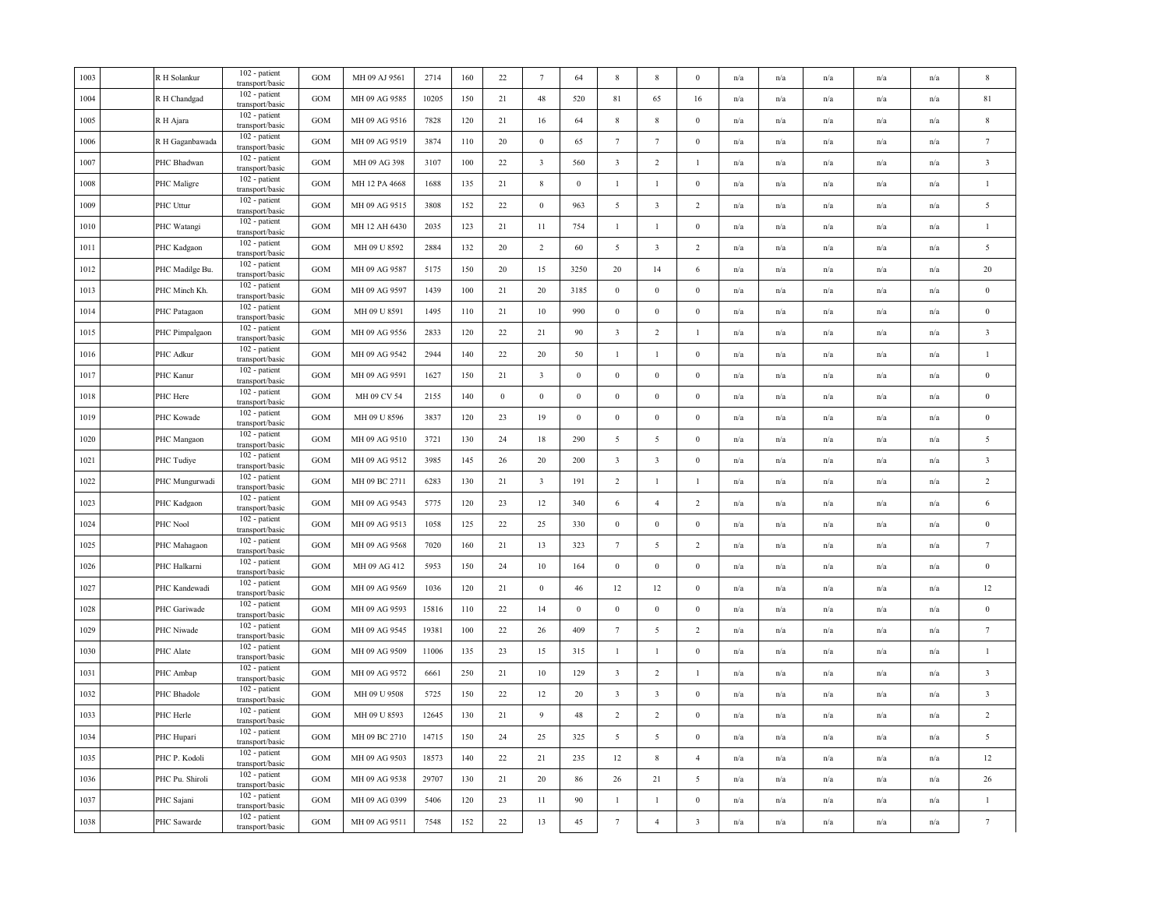| 1003 | R H Solankur    | 102 - patient<br>transport/basic   | GOM               | MH 09 AJ 9561 | 2714  | 160 | 22       | $7\phantom{.0}$         | 64               | 8                       | 8                       | $\Omega$                | n/a | n/a                     | n/a                     | n/a                     | n/a                     | $\mathbf{8}$            |
|------|-----------------|------------------------------------|-------------------|---------------|-------|-----|----------|-------------------------|------------------|-------------------------|-------------------------|-------------------------|-----|-------------------------|-------------------------|-------------------------|-------------------------|-------------------------|
| 1004 | R H Chandgad    | 102 - patient<br>transport/basic   | GOM               | MH 09 AG 9585 | 10205 | 150 | 21       | 48                      | 520              | 81                      | 65                      | 16                      | n/a | n/a                     | n/a                     | n/a                     | n/a                     | $81\,$                  |
| 1005 | R H Ajara       | 102 - patient<br>transport/basic   | <b>GOM</b>        | MH 09 AG 9516 | 7828  | 120 | 21       | 16                      | 64               | $\,$ 8 $\,$             | 8                       | $\bf{0}$                | n/a | $\mathrm{n}/\mathrm{a}$ | $\mathrm{n}/\mathrm{a}$ | n/a                     | $\mathrm{n}/\mathrm{a}$ | 8                       |
| 1006 | R H Gaganbawada | 102 - patient<br>transport/basic   | GOM               | MH 09 AG 9519 | 3874  | 110 | 20       | $\mathbf{0}$            | 65               | $7\phantom{.0}$         | $\tau$                  | $\mathbf{0}$            | n/a | n/a                     | n/a                     | n/a                     | n/a                     | $7\phantom{.0}$         |
| 1007 | PHC Bhadwan     | 102 - patient<br>transport/basic   | <b>GOM</b>        | MH 09 AG 398  | 3107  | 100 | 22       | $\overline{\mathbf{3}}$ | 560              | $\overline{\mathbf{3}}$ | $\overline{2}$          | -1                      | n/a | n/a                     | n/a                     | n/a                     | n/a                     | $\overline{\mathbf{3}}$ |
| 1008 | PHC Maligre     | 102 - patient<br>transport/basic   | <b>GOM</b>        | MH 12 PA 4668 | 1688  | 135 | 21       | $\,$ 8 $\,$             | $\boldsymbol{0}$ | -1                      | -1                      | $\boldsymbol{0}$        | n/a | n/a                     | n/a                     | n/a                     | n/a                     | $\mathbf{1}$            |
| 1009 | PHC Uttur       | 102 - patient<br>transport/basic   | GOM               | MH 09 AG 9515 | 3808  | 152 | 22       | $\mathbf{0}$            | 963              | 5                       | $\overline{\mathbf{3}}$ | $\overline{c}$          | n/a | n/a                     | n/a                     | n/a                     | n/a                     | 5                       |
| 1010 | PHC Watangi     | 102 - patient<br>transport/basic   | GOM               | MH 12 AH 6430 | 2035  | 123 | 21       | 11                      | 754              | $\mathbf{1}$            | $\mathbf{1}$            | $\mathbf{0}$            | n/a | n/a                     | n/a                     | n/a                     | n/a                     | $\mathbf{1}$            |
| 1011 | PHC Kadgaon     | 102 - patient<br>transport/basic   | GOM               | MH 09 U 8592  | 2884  | 132 | 20       | 2                       | 60               | 5                       | $\overline{\mathbf{3}}$ | $\overline{2}$          | n/a | n/a                     | n/a                     | n/a                     | $\mathrm{n}/\mathrm{a}$ | 5                       |
| 1012 | PHC Madilge Bu. | 102 - patient<br>transport/basic   | GOM               | MH 09 AG 9587 | 5175  | 150 | 20       | 15                      | 3250             | 20                      | 14                      | 6                       | n/a | n/a                     | n/a                     | n/a                     | n/a                     | 20                      |
| 1013 | PHC Minch Kh.   | 102 - patient<br>transport/basic   | <b>GOM</b>        | MH 09 AG 9597 | 1439  | 100 | 21       | 20                      | 3185             | $\bf{0}$                | $\mathbf{0}$            | $\mathbf{0}$            | n/a | n/a                     | n/a                     | n/a                     | n/a                     | $\bf{0}$                |
| 1014 | PHC Patagaon    | 102 - patient<br>transport/basic   | <b>GOM</b>        | MH 09 U 8591  | 1495  | 110 | 21       | $10\,$                  | 990              | $\boldsymbol{0}$        | $\boldsymbol{0}$        | $\mathbf{0}$            | n/a | n/a                     | n/a                     | n/a                     | n/a                     | $\overline{0}$          |
| 1015 | PHC Pimpalgaon  | 102 - patient<br>transport/basic   | <b>GOM</b>        | MH 09 AG 9556 | 2833  | 120 | 22       | 21                      | 90               | $\overline{\mathbf{3}}$ | $\overline{2}$          | -1                      | n/a | n/a                     | n/a                     | n/a                     | n/a                     | $\overline{\mathbf{3}}$ |
| 1016 | PHC Adkur       | 102 - patient<br>transport/basic   | GOM               | MH 09 AG 9542 | 2944  | 140 | 22       | 20                      | 50               | $\mathbf{1}$            | $\mathbf{1}$            | $\mathbf{0}$            | n/a | n/a                     | n/a                     | $\mathrm{n}/\mathrm{a}$ | $\mathrm{n}/\mathrm{a}$ | $\overline{1}$          |
| 1017 | PHC Kanur       | 102 - patient<br>transport/basic   | <b>GOM</b>        | MH 09 AG 9591 | 1627  | 150 | 21       | $\overline{\mathbf{3}}$ | $\boldsymbol{0}$ | $\,0\,$                 | $\boldsymbol{0}$        | $\boldsymbol{0}$        | n/a | n/a                     | n/a                     | n/a                     | n/a                     | $\boldsymbol{0}$        |
| 1018 | PHC Here        | 102 - patient<br>transport/basic   | GOM               | MH 09 CV 54   | 2155  | 140 | $\bf{0}$ | $\mathbf{0}$            | $\boldsymbol{0}$ | $\mathbf{0}$            | $\boldsymbol{0}$        | $\bf{0}$                | n/a | n/a                     | n/a                     | n/a                     | n/a                     | $\bf{0}$                |
| 1019 | PHC Kowade      | 102 - patient<br>transport/basic   | GOM               | MH 09 U 8596  | 3837  | 120 | 23       | 19                      | $\bf{0}$         | $\overline{0}$          | $\bf{0}$                | $\mathbf{0}$            | n/a | n/a                     | n/a                     | n/a                     | n/a                     | $\bf{0}$                |
| 1020 | PHC Mangaon     | 102 - patient<br>transport/basic   | GOM               | MH 09 AG 9510 | 3721  | 130 | 24       | 18                      | 290              | $\overline{5}$          | 5                       | $\bf{0}$                | n/a | n/a                     | n/a                     | n/a                     | n/a                     | $\overline{5}$          |
| 1021 | PHC Tudiye      | 102 - patient<br>transport/basic   | GOM               | MH 09 AG 9512 | 3985  | 145 | 26       | 20                      | 200              | $\overline{\mathbf{3}}$ | $\overline{\mathbf{3}}$ | $\bf{0}$                | n/a | n/a                     | n/a                     | n/a                     | n/a                     | $\overline{\mathbf{3}}$ |
| 1022 | PHC Mungurwadi  | 102 - patient<br>transport/basic   | GOM               | MH 09 BC 2711 | 6283  | 130 | 21       | $\overline{\mathbf{3}}$ | 191              | $\overline{2}$          | $\mathbf{1}$            | $\mathbf{1}$            | n/a | n/a                     | n/a                     | n/a                     | n/a                     | 2                       |
| 1023 | PHC Kadgaon     | 102 - patient<br>transport/basic   | GOM               | MH 09 AG 9543 | 5775  | 120 | 23       | 12                      | 340              | 6                       | $\overline{4}$          | $\overline{2}$          | n/a | n/a                     | $\mathrm{n}/\mathrm{a}$ | $\mathrm{n}/\mathrm{a}$ | $\mathrm{n}/\mathrm{a}$ | 6                       |
| 1024 | PHC Nool        | 102 - patient<br>transport/basic   | GOM               | MH 09 AG 9513 | 1058  | 125 | $22\,$   | 25                      | 330              | $\,0\,$                 | $\boldsymbol{0}$        | $\mathbf{0}$            | n/a | n/a                     | n/a                     | n/a                     | n/a                     | $\bf{0}$                |
| 1025 | PHC Mahagaon    | 102 - patient<br>transport/basic   | $_{\mathrm{GOM}}$ | MH 09 AG 9568 | 7020  | 160 | 21       | 13                      | 323              | $7\phantom{.0}$         | 5                       | $\overline{c}$          | n/a | n/a                     | n/a                     | n/a                     | n/a                     | $\overline{7}$          |
| 1026 | PHC Halkarni    | 102 - patient<br>transport/basic   | GOM               | MH 09 AG 412  | 5953  | 150 | 24       | 10                      | 164              | $\bf{0}$                | $\bf{0}$                | $\mathbf{0}$            | n/a | n/a                     | n/a                     | n/a                     | n/a                     | $\bf{0}$                |
| 1027 | PHC Kandewadi   | 102 - patient<br>transport/basic   | GOM               | MH 09 AG 9569 | 1036  | 120 | 21       | $\boldsymbol{0}$        | 46               | 12                      | 12                      | $\mathbf{0}$            | n/a | n/a                     | n/a                     | n/a                     | n/a                     | 12                      |
| 1028 | PHC Gariwade    | 102 - patient<br>transport/basic   | GOM               | MH 09 AG 9593 | 15816 | 110 | 22       | 14                      | $\mathbf{0}$     | $\overline{0}$          | $\bf{0}$                | $\bf{0}$                | n/a | n/a                     | n/a                     | n/a                     | $\mathrm{n}/\mathrm{a}$ | $\bf{0}$                |
| 1029 | PHC Niwade      | 102 - patient<br>transport/basic   | <b>GOM</b>        | MH 09 AG 9545 | 19381 | 100 | 22       | 26                      | 409              | $7\phantom{.0}$         | 5                       | $\sqrt{2}$              | n/a | n/a                     | n/a                     | n/a                     | n/a                     | $7\phantom{.0}$         |
| 1030 | PHC Alate       | 102 - patient<br>transport/basic   | <b>GOM</b>        | MH 09 AG 9509 | 11006 | 135 | $23\,$   | 15                      | 315              | $\mathbf{1}$            | $\mathbf{1}$            | $\bf{0}$                | n/a | n/a                     | n/a                     | n/a                     | n/a                     | $\mathbf{1}$            |
| 1031 | PHC Ambap       | 102 - patient<br>transport/basic   | <b>GOM</b>        | MH 09 AG 9572 | 6661  | 250 | 21       | 10                      | 129              | $\overline{\mathbf{3}}$ | $\overline{2}$          | $\mathbf{1}$            | n/a | n/a                     | n/a                     | n/a                     | n/a                     | $\overline{\mathbf{3}}$ |
| 1032 | PHC Bhadole     | 102 - patient<br>transport/basic   | GOM               | MH 09 U 9508  | 5725  | 150 | 22       | 12                      | 20               | $\overline{\mathbf{3}}$ | $\overline{\mathbf{3}}$ | $\bf{0}$                | n/a | n/a                     | n/a                     | n/a                     | n/a                     | $\overline{\mathbf{3}}$ |
| 1033 | PHC Herle       | 102 - patient<br>transport/basic   | GOM               | MH 09 U 8593  | 12645 | 130 | 21       | 9                       | 48               | $\overline{2}$          | $\overline{2}$          | $\mathbf{0}$            | n/a | n/a                     | $\mathrm{n}/\mathrm{a}$ | n/a                     | $\mathrm{n}/\mathrm{a}$ | $\overline{2}$          |
| 1034 | PHC Hupari      | 102 - patient<br>transport/basic   | GOM               | MH 09 BC 2710 | 14715 | 150 | 24       | 25                      | 325              | $\overline{5}$          | 5                       | $\bf{0}$                | n/a | n/a                     | n/a                     | n/a                     | n/a                     | $\overline{5}$          |
| 1035 | PHC P. Kodoli   | 102 - patient<br>transport/basic   | GOM               | MH 09 AG 9503 | 18573 | 140 | 22       | 21                      | 235              | 12                      | $\,$ 8 $\,$             | $\overline{4}$          | n/a | n/a                     | n/a                     | n/a                     | n/a                     | 12                      |
| 1036 | PHC Pu. Shiroli | $102$ - patient<br>transport/basic | GOM               | MH 09 AG 9538 | 29707 | 130 | 21       | 20                      | 86               | 26                      | 21                      | 5                       | n/a | n/a                     | n/a                     | n/a                     | n/a                     | 26                      |
| 1037 | PHC Sajani      | 102 - patient<br>transport/basic   | GOM               | MH 09 AG 0399 | 5406  | 120 | 23       | $11\,$                  | 90               | $\mathbf{1}$            | $\mathbf{1}$            | $\boldsymbol{0}$        | n/a | n/a                     | n/a                     | n/a                     | n/a                     | $\mathbf{1}$            |
| 1038 | PHC Sawarde     | 102 - patient<br>transport/basic   | GOM               | MH 09 AG 9511 | 7548  | 152 | 22       | 13                      | 45               | $7\phantom{.0}$         | $\overline{4}$          | $\overline{\mathbf{3}}$ | n/a | n/a                     | $\mathrm{n}/\mathrm{a}$ | $\mathrm{n}/\mathrm{a}$ | $\mathrm{n}/\mathrm{a}$ | $7\phantom{.0}$         |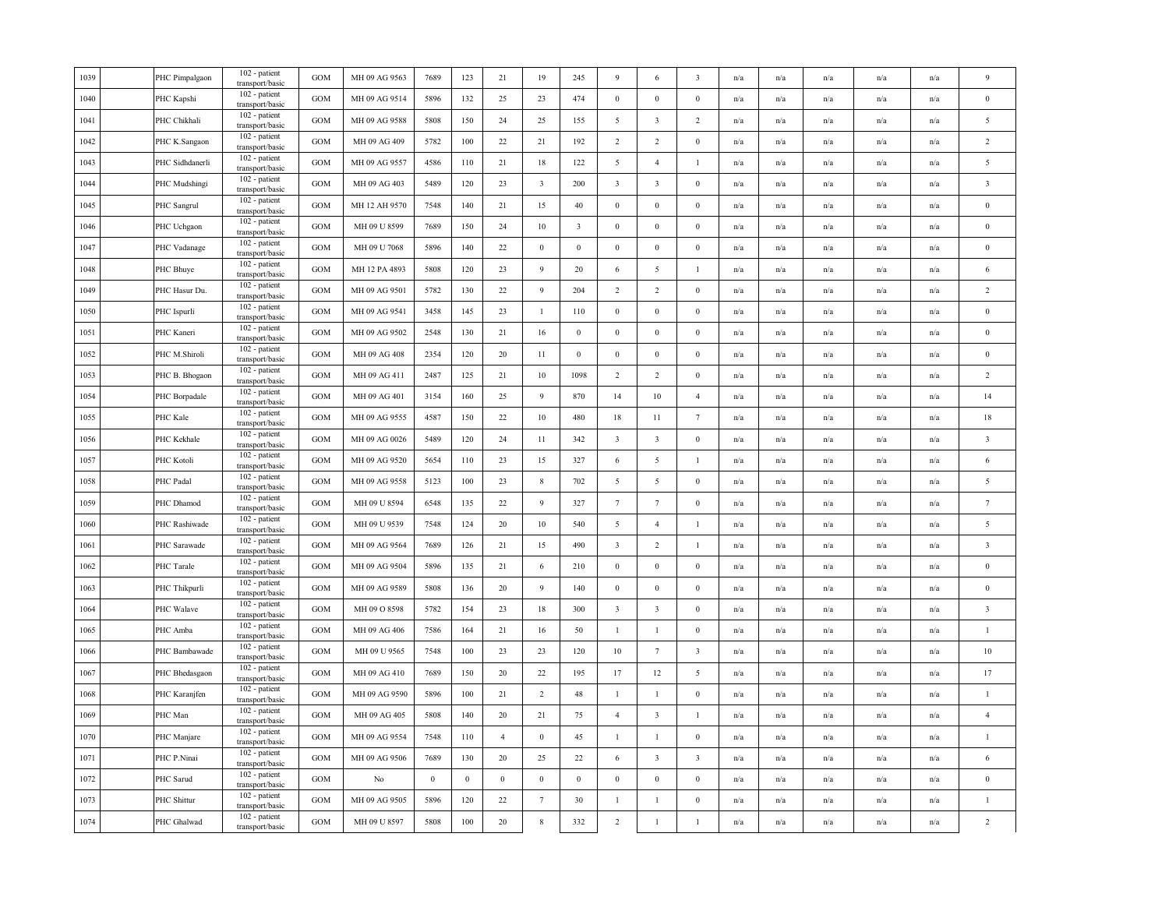| 1039 | PHC Pimpalgaon  | 102 - patient<br>transport/basic   | <b>GOM</b> | MH 09 AG 9563 | 7689     | 123          | 21             | 19                      | 245              | 9                       | 6                       | $\overline{\mathbf{3}}$ | n/a | n/a                     | n/a                     | n/a                     | n/a                     | $\mathbf{Q}$            |
|------|-----------------|------------------------------------|------------|---------------|----------|--------------|----------------|-------------------------|------------------|-------------------------|-------------------------|-------------------------|-----|-------------------------|-------------------------|-------------------------|-------------------------|-------------------------|
| 1040 | PHC Kapshi      | 102 - patient<br>transport/basic   | <b>GOM</b> | MH 09 AG 9514 | 5896     | 132          | 25             | 23                      | 474              | $\bf{0}$                | $\mathbf{0}$            | $\mathbf{0}$            | n/a | n/a                     | n/a                     | $\mathrm{n}/\mathrm{a}$ | n/a                     | $\overline{0}$          |
| 1041 | PHC Chikhali    | 102 - patient<br>transport/basic   | <b>GOM</b> | MH 09 AG 9588 | 5808     | 150          | 24             | 25                      | 155              | 5                       | $\overline{\mathbf{3}}$ | $\overline{c}$          | n/a | n/a                     | n/a                     | n/a                     | n/a                     | 5                       |
| 1042 | PHC K.Sangaon   | 102 - patient<br>transport/basic   | <b>GOM</b> | MH 09 AG 409  | 5782     | 100          | 22             | 21                      | 192              | $\overline{2}$          | $\overline{2}$          | $\bf{0}$                | n/a | $\mathrm{n}/\mathrm{a}$ | $\mathrm{n}/\mathrm{a}$ | $\mathrm{n}/\mathrm{a}$ | $\mathrm{n}/\mathrm{a}$ | $\overline{2}$          |
| 1043 | PHC Sidhdanerli | 102 - patient<br>transport/basic   | GOM        | MH 09 AG 9557 | 4586     | 110          | 21             | 18                      | 122              | 5                       | $\overline{4}$          | -1                      | n/a | n/a                     | $\mathrm{n}/\mathrm{a}$ | n/a                     | n/a                     | 5                       |
| 1044 | PHC Mudshingi   | 102 - patient<br>transport/basic   | GOM        | MH 09 AG 403  | 5489     | 120          | 23             | $\overline{\mathbf{3}}$ | 200              | $\overline{\mathbf{3}}$ | $\overline{\mathbf{3}}$ | $\bf{0}$                | n/a | n/a                     | n/a                     | n/a                     | n/a                     | $\overline{\mathbf{3}}$ |
| 1045 | PHC Sangrul     | 102 - patient<br>transport/basic   | <b>GOM</b> | MH 12 AH 9570 | 7548     | 140          | 21             | 15                      | 40               | $\bf{0}$                | $\bf{0}$                | $\bf{0}$                | n/a | n/a                     | n/a                     | n/a                     | n/a                     | $\bf{0}$                |
| 1046 | PHC Uchgaon     | 102 - patient<br>transport/basic   | GOM        | MH 09 U 8599  | 7689     | 150          | 24             | 10                      | $\overline{3}$   | $\boldsymbol{0}$        | $\boldsymbol{0}$        | $\mathbf{0}$            | n/a | n/a                     | n/a                     | n/a                     | n/a                     | $\bf{0}$                |
| 1047 | PHC Vadanage    | 102 - patient<br>transport/basic   | GOM        | MH 09 U 7068  | 5896     | 140          | 22             | $\,0\,$                 | $\boldsymbol{0}$ | $\boldsymbol{0}$        | $\boldsymbol{0}$        | $\boldsymbol{0}$        | n/a | n/a                     | n/a                     | n/a                     | n/a                     | $\boldsymbol{0}$        |
| 1048 | PHC Bhuye       | 102 - patient<br>transport/basic   | GOM        | MH 12 PA 4893 | 5808     | 120          | 23             | 9                       | 20               | 6                       | 5                       | $\mathbf{1}$            | n/a | n/a                     | n/a                     | n/a                     | $\mathrm{n}/\mathrm{a}$ | $\,6\,$                 |
| 1049 | PHC Hasur Du.   | 102 - patient<br>transport/basic   | GOM        | MH 09 AG 9501 | 5782     | 130          | 22             | 9                       | 204              | 2                       | 2                       | $\mathbf{0}$            | n/a | n/a                     | n/a                     | n/a                     | n/a                     | 2                       |
| 1050 | PHC Ispurli     | 102 - patient<br>transport/basic   | GOM        | MH 09 AG 9541 | 3458     | 145          | 23             | $\mathbf{1}$            | 110              | $\mathbf{0}$            | $\boldsymbol{0}$        | $\mathbf{0}$            | n/a | n/a                     | n/a                     | n/a                     | n/a                     | $\bf{0}$                |
| 1051 | PHC Kaneri      | 102 - patient<br>transport/basic   | GOM        | MH 09 AG 9502 | 2548     | 130          | 21             | 16                      | $\mathbf{0}$     | $\mathbf{0}$            | $\bf{0}$                | $\bf{0}$                | n/a | n/a                     | n/a                     | n/a                     | n/a                     | $\bf{0}$                |
| 1052 | PHC M.Shiroli   | 102 - patient<br>transport/basic   | GOM        | MH 09 AG 408  | 2354     | 120          | 20             | 11                      | $\mathbf{0}$     | $\bf{0}$                | $\bf{0}$                | $\mathbf{0}$            | n/a | n/a                     | n/a                     | n/a                     | n/a                     | $\overline{0}$          |
| 1053 | PHC B. Bhogaon  | $102$ - patient<br>transport/basic | GOM        | MH 09 AG 411  | 2487     | 125          | 21             | $10\,$                  | 1098             | $\overline{2}$          | $\overline{2}$          | $\boldsymbol{0}$        | n/a | n/a                     | n/a                     | n/a                     | n/a                     | $\overline{2}$          |
| 1054 | PHC Borpadale   | 102 - patient<br>transport/basic   | <b>GOM</b> | MH 09 AG 401  | 3154     | 160          | 25             | 9                       | 870              | 14                      | 10                      | $\overline{4}$          | n/a | n/a                     | n/a                     | n/a                     | n/a                     | 14                      |
| 1055 | PHC Kale        | 102 - patient<br>transport/basic   | <b>GOM</b> | MH 09 AG 9555 | 4587     | 150          | 22             | 10                      | 480              | 18                      | 11                      | $7\phantom{.0}$         | n/a | $\mathrm{n}/\mathrm{a}$ | $\mathrm{n}/\mathrm{a}$ | $\mathrm{n}/\mathrm{a}$ | $\mathrm{n}/\mathrm{a}$ | 18                      |
| 1056 | PHC Kekhale     | 102 - patient<br>transport/basic   | GOM        | MH 09 AG 0026 | 5489     | 120          | 24             | 11                      | 342              | $\overline{\mathbf{3}}$ | $\overline{\mathbf{3}}$ | $\mathbf{0}$            | n/a | n/a                     | $\mathrm{n}/\mathrm{a}$ | n/a                     | $\mathrm{n}/\mathrm{a}$ | $\overline{\mathbf{3}}$ |
| 1057 | PHC Kotoli      | 102 - patient<br>transport/basic   | GOM        | MH 09 AG 9520 | 5654     | 110          | 23             | 15                      | 327              | 6                       | 5                       | -1                      | n/a | n/a                     | n/a                     | n/a                     | n/a                     | 6                       |
| 1058 | PHC Padal       | 102 - patient<br>transport/basic   | <b>GOM</b> | MH 09 AG 9558 | 5123     | 100          | 23             | 8                       | 702              | 5                       | 5                       | $\bf{0}$                | n/a | n/a                     | n/a                     | n/a                     | n/a                     | 5                       |
| 1059 | PHC Dhamod      | $102$ - patient<br>transport/basic | GOM        | MH 09 U 8594  | 6548     | 135          | 22             | 9                       | 327              | $7\phantom{.0}$         | $\tau$                  | $\mathbf{0}$            | n/a | n/a                     | n/a                     | n/a                     | n/a                     | $7\phantom{.0}$         |
| 1060 | PHC Rashiwade   | 102 - patient<br>transport/basic   | GOM        | MH 09 U 9539  | 7548     | 124          | $20\,$         | $10\,$                  | 540              | $\overline{5}$          | $\overline{4}$          | $\mathbf{1}$            | n/a | n/a                     | n/a                     | n/a                     | n/a                     | $\overline{5}$          |
| 1061 | PHC Sarawade    | 102 - patient<br>transport/basic   | GOM        | MH 09 AG 9564 | 7689     | 126          | 21             | 15                      | 490              | $\overline{\mathbf{3}}$ | $\overline{2}$          | $\mathbf{1}$            | n/a | $\mathrm{n}/\mathrm{a}$ | $\mathrm{n}/\mathrm{a}$ | n/a                     | $\mathrm{n}/\mathrm{a}$ | $\overline{\mathbf{3}}$ |
| 1062 | PHC Tarale      | 102 - patient<br>transport/basic   | GOM        | MH 09 AG 9504 | 5896     | 135          | 21             | 6                       | 210              | $\mathbf{0}$            | $\bf{0}$                | $\mathbf{0}$            | n/a | n/a                     | n/a                     | n/a                     | n/a                     | $\bf{0}$                |
| 1063 | PHC Thikpurli   | 102 - patient<br>transport/basic   | <b>GOM</b> | MH 09 AG 9589 | 5808     | 136          | 20             | 9                       | 140              | $\mathbf{0}$            | $\boldsymbol{0}$        | $\mathbf{0}$            | n/a | n/a                     | n/a                     | n/a                     | n/a                     | $\bf{0}$                |
| 1064 | PHC Walave      | 102 - patient<br>transport/basic   | GOM        | MH 09 O 8598  | 5782     | 154          | 23             | 18                      | 300              | $\overline{\mathbf{3}}$ | $\overline{\mathbf{3}}$ | $\mathbf{0}$            | n/a | n/a                     | n/a                     | n/a                     | n/a                     | $\overline{\mathbf{3}}$ |
| 1065 | PHC Amba        | 102 - patient<br>transport/basic   | GOM        | MH 09 AG 406  | 7586     | 164          | 21             | 16                      | 50               | -1                      | $\mathbf{1}$            | $\Omega$                | n/a | n/a                     | n/a                     | n/a                     | n/a                     | $\overline{1}$          |
| 1066 | PHC Bambawade   | 102 - patient<br>transport/basic   | GOM        | MH 09 U 9565  | 7548     | 100          | 23             | 23                      | 120              | 10                      | $7\phantom{.0}$         | $\overline{\mathbf{3}}$ | n/a | n/a                     | n/a                     | n/a                     | n/a                     | $10\,$                  |
| 1067 | PHC Bhedasgaon  | 102 - patient<br>transport/basic   | <b>GOM</b> | MH 09 AG 410  | 7689     | 150          | 20             | 22                      | 195              | 17                      | 12                      | 5                       | n/a | n/a                     | n/a                     | n/a                     | n/a                     | 17                      |
| 1068 | PHC Karanjfen   | 102 - patient<br>transport/basic   | <b>GOM</b> | MH 09 AG 9590 | 5896     | 100          | 21             | $\overline{2}$          | 48               | $\mathbf{1}$            | $\mathbf{1}$            | $\bf{0}$                | n/a | n/a                     | n/a                     | n/a                     | n/a                     | $\mathbf{1}$            |
| 1069 | PHC Man         | 102 - patient<br>transport/basic   | GOM        | MH 09 AG 405  | 5808     | 140          | 20             | 21                      | 75               | $\overline{4}$          | $\overline{\mathbf{3}}$ | -1                      | n/a | n/a                     | $\mathrm{n}/\mathrm{a}$ | n/a                     | $\mathrm{n}/\mathrm{a}$ | $\overline{4}$          |
| 1070 | PHC Manjare     | 102 - patient<br>transport/basic   | GOM        | MH 09 AG 9554 | 7548     | 110          | $\overline{4}$ | $\boldsymbol{0}$        | 45               | -1                      | $\mathbf{1}$            | $\bf{0}$                | n/a | n/a                     | n/a                     | n/a                     | n/a                     | $\overline{1}$          |
| 1071 | PHC P.Ninai     | 102 - patient<br>transport/basic   | GOM        | MH 09 AG 9506 | 7689     | 130          | 20             | 25                      | 22               | 6                       | $\overline{\mathbf{3}}$ | $\overline{\mathbf{3}}$ | n/a | n/a                     | n/a                     | n/a                     | n/a                     | 6                       |
| 1072 | PHC Sarud       | $102$ - patient<br>transport/basic | GOM        | No            | $\bf{0}$ | $\mathbf{0}$ | $\bf{0}$       | $\bf{0}$                | $\boldsymbol{0}$ | $\boldsymbol{0}$        | $\bf{0}$                | $\mathbf{0}$            | n/a | n/a                     | n/a                     | n/a                     | n/a                     | $\bf{0}$                |
| 1073 | PHC Shittur     | 102 - patient<br>transport/basic   | <b>GOM</b> | MH 09 AG 9505 | 5896     | 120          | 22             | $7\phantom{.0}$         | 30               | $\mathbf{1}$            | $\mathbf{1}$            | $\boldsymbol{0}$        | n/a | n/a                     | n/a                     | n/a                     | n/a                     | $\mathbf{1}$            |
| 1074 | PHC Ghalwad     | 102 - patient<br>transport/basic   | GOM        | MH 09 U 8597  | 5808     | 100          | 20             | $\,$ 8 $\,$             | 332              | $\overline{2}$          | $\mathbf{1}$            | $\mathbf{1}$            | n/a | n/a                     | $\mathrm{n}/\mathrm{a}$ | $\mathrm{n}/\mathrm{a}$ | $\mathrm{n}/\mathrm{a}$ | 2                       |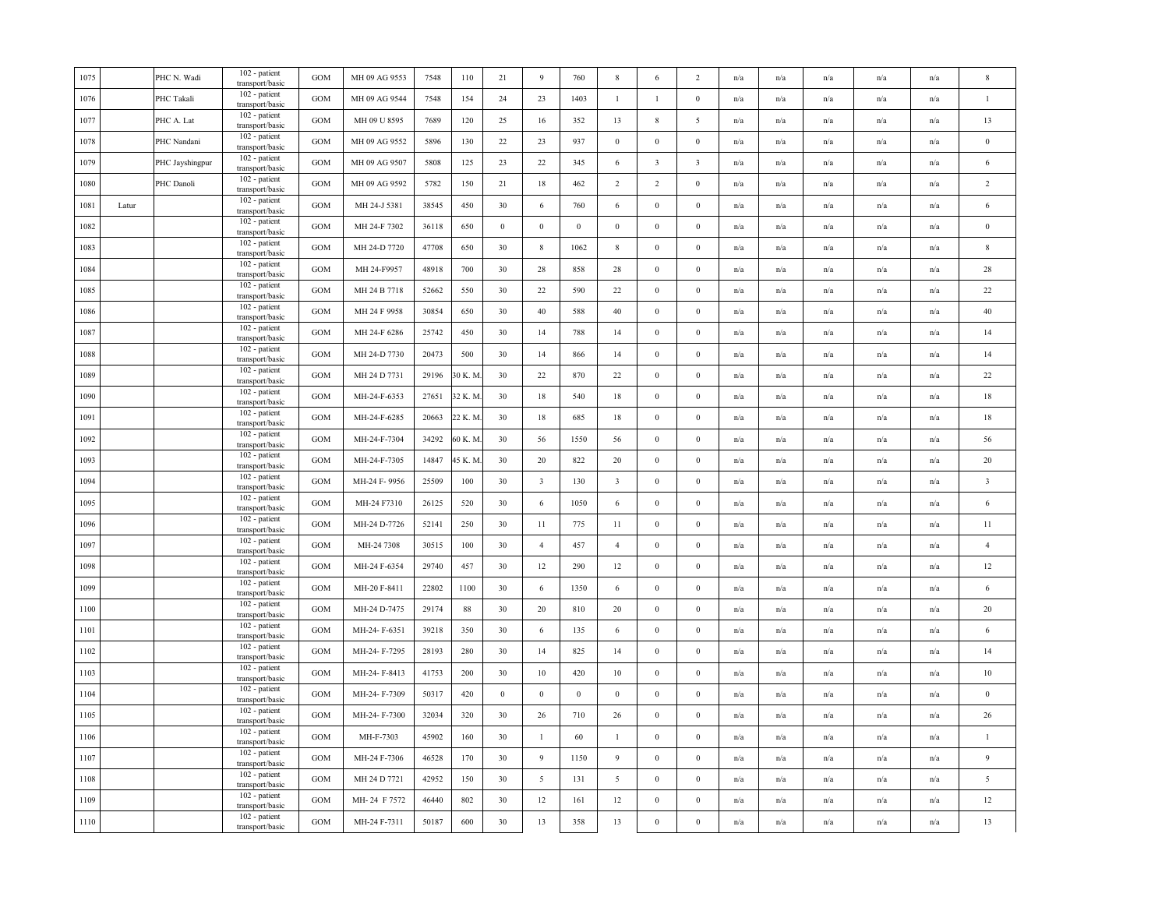| 1075 |       | PHC N. Wadi     | 102 - patient<br>transport/basic | <b>GOM</b>        | MH 09 AG 9553 | 7548  | 110     | 21               | 9                | 760          | $8\phantom{1}$          | 6                       | $\overline{c}$   | n/a | n/a                     | n/a                     | n/a                     | n/a                     | $\mathbf{\mathbf{8}}$   |
|------|-------|-----------------|----------------------------------|-------------------|---------------|-------|---------|------------------|------------------|--------------|-------------------------|-------------------------|------------------|-----|-------------------------|-------------------------|-------------------------|-------------------------|-------------------------|
| 1076 |       | PHC Takali      | 102 - patient<br>transport/basic | <b>GOM</b>        | MH 09 AG 9544 | 7548  | 154     | 24               | 23               | 1403         | $\mathbf{1}$            | $\mathbf{1}$            | $\mathbf{0}$     | n/a | n/a                     | n/a                     | n/a                     | n/a                     | $\overline{1}$          |
| 1077 |       | PHC A. Lat      | 102 - patient<br>transport/basic | GOM               | MH 09 U 8595  | 7689  | 120     | 25               | 16               | 352          | 13                      | $\,$ 8 $\,$             | 5                | n/a | n/a                     | $\mathrm{n}/\mathrm{a}$ | n/a                     | n/a                     | 13                      |
| 1078 |       | PHC Nandani     | 102 - patient<br>transport/basic | <b>GOM</b>        | MH 09 AG 9552 | 5896  | 130     | 22               | 23               | 937          | $\boldsymbol{0}$        | $\boldsymbol{0}$        | $\boldsymbol{0}$ | n/a | $\mathrm{n}/\mathrm{a}$ | $\mathrm{n}/\mathrm{a}$ | $\mathrm{n}/\mathrm{a}$ | n/a                     | $\,0\,$                 |
| 1079 |       | PHC Jayshingpur | 102 - patient<br>transport/basic | <b>GOM</b>        | MH 09 AG 9507 | 5808  | 125     | 23               | 22               | 345          | 6                       | $\overline{\mathbf{3}}$ | $\overline{3}$   | n/a | n/a                     | n/a                     | n/a                     | n/a                     | 6                       |
| 1080 |       | PHC Danoli      | 102 - patient<br>transport/basic | <b>GOM</b>        | MH 09 AG 9592 | 5782  | 150     | 21               | 18               | 462          | 2                       | $\overline{2}$          | $\boldsymbol{0}$ | n/a | n/a                     | n/a                     | n/a                     | n/a                     | $\sqrt{2}$              |
| 1081 | Latur |                 | 102 - patient<br>transport/basic | <b>GOM</b>        | MH 24-J 5381  | 38545 | 450     | 30               | 6                | 760          | 6                       | $\boldsymbol{0}$        | $\bf{0}$         | n/a | n/a                     | n/a                     | n/a                     | n/a                     | $\sqrt{6}$              |
| 1082 |       |                 | 102 - patient<br>transport/basic | GOM               | MH 24-F 7302  | 36118 | 650     | $\bf{0}$         | $\boldsymbol{0}$ | $\mathbf{0}$ | $\boldsymbol{0}$        | $\boldsymbol{0}$        | $\theta$         | n/a | $\mathrm{n}/\mathrm{a}$ | n/a                     | $\mathrm{n}/\mathrm{a}$ | $\mathrm{n}/\mathrm{a}$ | $\bf{0}$                |
| 1083 |       |                 | 102 - patient<br>transport/basic | GOM               | MH 24-D 7720  | 47708 | 650     | 30               | $\,$ 8 $\,$      | 1062         | $\,$ 8 $\,$             | $\boldsymbol{0}$        | $\boldsymbol{0}$ | n/a | n/a                     | n/a                     | $\mathrm{n}/\mathrm{a}$ | n/a                     | $\,$ 8 $\,$             |
| 1084 |       |                 | 102 - patient<br>transport/basic | GOM               | MH 24-F9957   | 48918 | 700     | 30               | 28               | 858          | 28                      | $\boldsymbol{0}$        | $\bf{0}$         | n/a | n/a                     | n/a                     | n/a                     | n/a                     | $28\,$                  |
| 1085 |       |                 | 102 - patient<br>transport/basic | GOM               | MH 24 B 7718  | 52662 | 550     | 30               | 22               | 590          | 22                      | $\boldsymbol{0}$        | $\boldsymbol{0}$ | n/a | n/a                     | n/a                     | n/a                     | n/a                     | 22                      |
| 1086 |       |                 | 102 - patient<br>transport/basic | GOM               | MH 24 F 9958  | 30854 | 650     | 30               | $40\,$           | 588          | 40                      | $\mathbf{0}$            | $\mathbf{0}$     | n/a | n/a                     | n/a                     | n/a                     | n/a                     | $40\,$                  |
| 1087 |       |                 | 102 - patient<br>transport/basic | GOM               | MH 24-F 6286  | 25742 | 450     | 30               | 14               | 788          | 14                      | $\boldsymbol{0}$        | $\boldsymbol{0}$ | n/a | n/a                     | n/a                     | n/a                     | $\mathrm{n}/\mathrm{a}$ | 14                      |
| 1088 |       |                 | 102 - patient<br>transport/basic | <b>GOM</b>        | MH 24-D 7730  | 20473 | 500     | 30               | 14               | 866          | 14                      | $\mathbf{0}$            | $\boldsymbol{0}$ | n/a | $\mathrm{n}/\mathrm{a}$ | n/a                     | $\mathrm{n}/\mathrm{a}$ | $\mathrm{n}/\mathrm{a}$ | 14                      |
| 1089 |       |                 | 102 - patient<br>transport/basic | GOM               | MH 24 D 7731  | 29196 | 80 K. M | 30               | 22               | 870          | 22                      | $\mathbf{0}$            | $\bf{0}$         | n/a | n/a                     | n/a                     | n/a                     | n/a                     | 22                      |
| 1090 |       |                 | 102 - patient<br>transport/basic | <b>GOM</b>        | MH-24-F-6353  | 27651 | 32 K. M | 30               | $18\,$           | 540          | $18\,$                  | $\boldsymbol{0}$        | $\boldsymbol{0}$ | n/a | n/a                     | n/a                     | n/a                     | n/a                     | $18\,$                  |
| 1091 |       |                 | 102 - patient<br>transport/basic | <b>GOM</b>        | MH-24-F-6285  | 20663 | 22 K. M | 30               | 18               | 685          | 18                      | $\boldsymbol{0}$        | $\boldsymbol{0}$ | n/a | n/a                     | n/a                     | n/a                     | n/a                     | $18\,$                  |
| 1092 |       |                 | 102 - patient<br>transport/basic | <b>GOM</b>        | MH-24-F-7304  | 34292 | 50 K. M | 30               | 56               | 1550         | 56                      | $\boldsymbol{0}$        | $\bf{0}$         | n/a | n/a                     | $\mathrm{n}/\mathrm{a}$ | $\mathrm{n}/\mathrm{a}$ | $\mathrm{n}/\mathrm{a}$ | 56                      |
| 1093 |       |                 | 102 - patient<br>transport/basic | <b>GOM</b>        | MH-24-F-7305  | 14847 | 15 K. M | 30               | 20               | 822          | $20\,$                  | $\boldsymbol{0}$        | $\boldsymbol{0}$ | n/a | $\mathrm{n}/\mathrm{a}$ | $\mathrm{n}/\mathrm{a}$ | $\mathrm{n}/\mathrm{a}$ | n/a                     | 20                      |
| 1094 |       |                 | 102 - patient<br>transport/basic | <b>GOM</b>        | MH-24 F-9956  | 25509 | 100     | 30               | $\overline{3}$   | 130          | $\overline{\mathbf{3}}$ | $\mathbf{0}$            | $\bf{0}$         | n/a | n/a                     | n/a                     | n/a                     | n/a                     | $\overline{\mathbf{3}}$ |
| 1095 |       |                 | 102 - patient<br>transport/basic | GOM               | MH-24 F7310   | 26125 | 520     | 30               | 6                | 1050         | 6                       | $\boldsymbol{0}$        | $\mathbf{0}$     | n/a | n/a                     | n/a                     | n/a                     | n/a                     | 6                       |
| 1096 |       |                 | 102 - patient<br>transport/basic | <b>GOM</b>        | MH-24 D-7726  | 52141 | 250     | 30               | 11               | 775          | 11                      | $\boldsymbol{0}$        | $\bf{0}$         | n/a | $\mathrm{n}/\mathrm{a}$ | n/a                     | $\mathrm{n}/\mathrm{a}$ | $\mathrm{n}/\mathrm{a}$ | 11                      |
| 1097 |       |                 | 102 - patient<br>transport/basic | $_{\mathrm{GOM}}$ | MH-24 7308    | 30515 | 100     | 30               | $\overline{4}$   | 457          | $\overline{4}$          | $\,0\,$                 | $\boldsymbol{0}$ | n/a | n/a                     | n/a                     | n/a                     | $\mathrm{n}/\mathrm{a}$ | $\overline{4}$          |
| 1098 |       |                 | 102 - patient<br>transport/basic | $_{\rm GOM}$      | MH-24 F-6354  | 29740 | 457     | 30               | 12               | 290          | 12                      | $\boldsymbol{0}$        | $\boldsymbol{0}$ | n/a | $\mathrm{n}/\mathrm{a}$ | $\mathrm{n}/\mathrm{a}$ | $\mathrm{n}/\mathrm{a}$ | $\mathrm{n}/\mathrm{a}$ | $12\,$                  |
| 1099 |       |                 | 102 - patient<br>transport/basic | <b>GOM</b>        | MH-20 F-8411  | 22802 | 1100    | 30               | 6                | 1350         | 6                       | $\mathbf{0}$            | $\mathbf{0}$     | n/a | n/a                     | n/a                     | n/a                     | n/a                     | 6                       |
| 1100 |       |                 | 102 - patient<br>transport/basic | GOM               | MH-24 D-7475  | 29174 | $88\,$  | 30               | 20               | 810          | $20\,$                  | $\boldsymbol{0}$        | $\boldsymbol{0}$ | n/a | n/a                     | n/a                     | n/a                     | n/a                     | 20                      |
| 1101 |       |                 | 102 - patient<br>transport/basic | <b>GOM</b>        | MH-24-F-6351  | 39218 | 350     | 30               | 6                | 135          | 6                       | $\boldsymbol{0}$        | $\boldsymbol{0}$ | n/a | n/a                     | n/a                     | n/a                     | n/a                     | $\sqrt{6}$              |
| 1102 |       |                 | 102 - patient<br>transport/basic | GOM               | MH-24-F-7295  | 28193 | 280     | 30               | 14               | 825          | 14                      | $\boldsymbol{0}$        | $\theta$         | n/a | n/a                     | n/a                     | n/a                     | n/a                     | 14                      |
| 1103 |       |                 | 102 - patient<br>transport/basic | <b>GOM</b>        | MH-24-F-8413  | 41753 | 200     | 30               | 10               | 420          | 10                      | $\mathbf{0}$            | $\boldsymbol{0}$ | n/a | n/a                     | n/a                     | $\mathrm{n}/\mathrm{a}$ | n/a                     | $10\,$                  |
| 1104 |       |                 | 102 - patient<br>transport/basic | <b>GOM</b>        | MH-24-F-7309  | 50317 | 420     | $\boldsymbol{0}$ | $\bf{0}$         | $\mathbf{0}$ | $\bf{0}$                | $\mathbf{0}$            | $\bf{0}$         | n/a | n/a                     | n/a                     | n/a                     | n/a                     | $\boldsymbol{0}$        |
| 1105 |       |                 | 102 - patient<br>transport/basic | <b>GOM</b>        | MH-24-F-7300  | 32034 | 320     | 30               | 26               | 710          | 26                      | $\boldsymbol{0}$        | $\mathbf{0}$     | n/a | n/a                     | n/a                     | n/a                     | n/a                     | 26                      |
| 1106 |       |                 | 102 - patient<br>transport/basic | <b>GOM</b>        | MH-F-7303     | 45902 | 160     | 30               | $\mathbf{1}$     | 60           | $\mathbf{1}$            | $\boldsymbol{0}$        | $\bf{0}$         | n/a | n/a                     | n/a                     | n/a                     | $\mathrm{n}/\mathrm{a}$ | $\mathbf{1}$            |
| 1107 |       |                 | 102 - patient<br>transport/basic | <b>GOM</b>        | MH-24 F-7306  | 46528 | 170     | 30               | $\overline{9}$   | 1150         | 9                       | $\boldsymbol{0}$        | $\bf{0}$         | n/a | n/a                     | n/a                     | n/a                     | $\mathrm{n}/\mathrm{a}$ | $\overline{9}$          |
| 1108 |       |                 | 102 - patient<br>transport/basic | <b>GOM</b>        | MH 24 D 7721  | 42952 | 150     | 30               | 5                | 131          | 5                       | $\bf{0}$                | $\bf{0}$         | n/a | $\mathrm{n}/\mathrm{a}$ | n/a                     | $\mathrm{n}/\mathrm{a}$ | $\mathrm{n}/\mathrm{a}$ | $\sqrt{5}$              |
| 1109 |       |                 | 102 - patient<br>transport/basic | GOM               | MH-24 F 7572  | 46440 | 802     | $30\,$           | 12               | 161          | 12                      | $\mathbf{0}$            | $\bf{0}$         | n/a | n/a                     | n/a                     | n/a                     | n/a                     | $12\,$                  |
| 1110 |       |                 | 102 - patient<br>transport/basic | GOM               | MH-24 F-7311  | 50187 | 600     | 30               | 13               | 358          | 13                      | $\boldsymbol{0}$        | $\boldsymbol{0}$ | n/a | n/a                     | n/a                     | n/a                     | n/a                     | 13                      |
|      |       |                 |                                  |                   |               |       |         |                  |                  |              |                         |                         |                  |     |                         |                         |                         |                         |                         |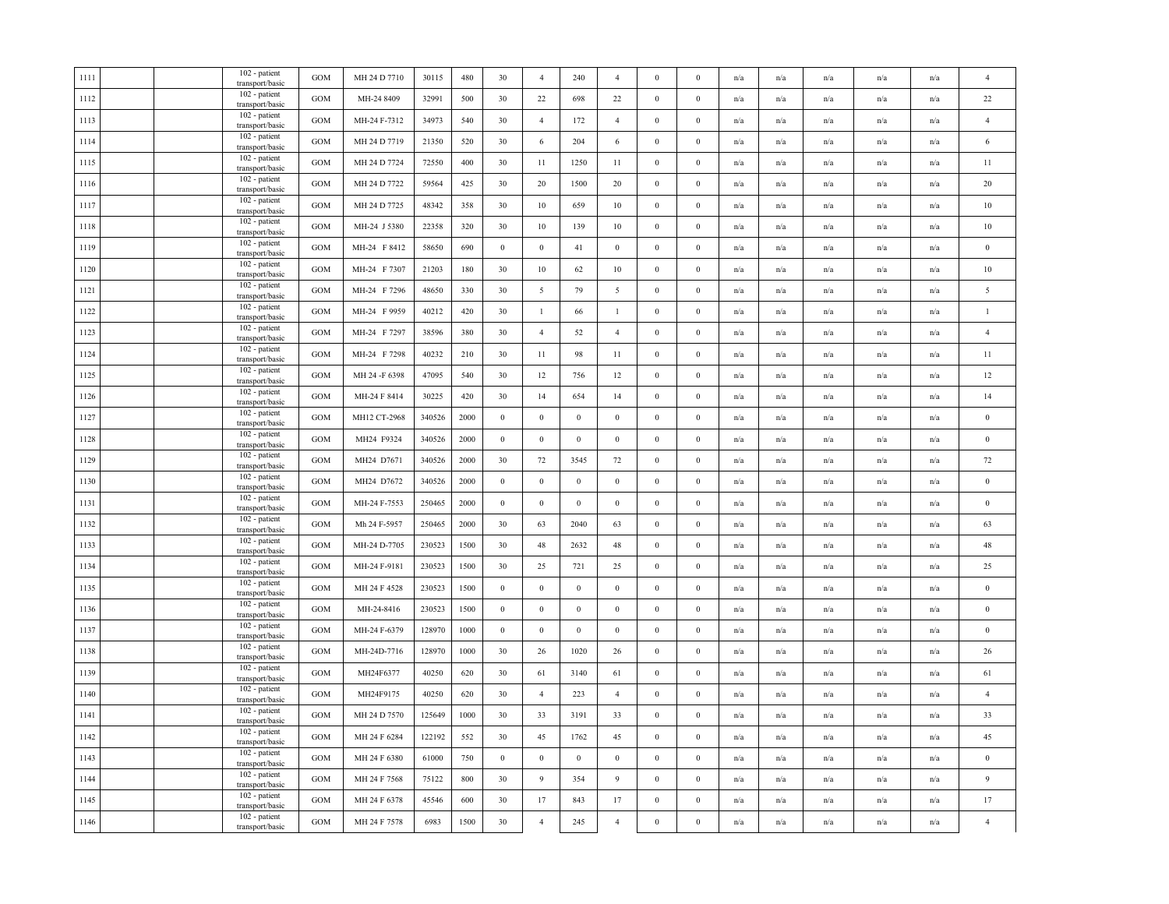|  | 102 - patient<br>transport/basic | <b>GOM</b>                                                                                                                                                                                                                                                                                                                                                                                                                                                                                                 | MH 24 D 7710  | 30115  | 480  | 30               | $\overline{4}$   | 240              | $\overline{4}$   | $\bf{0}$         | $\Omega$         | n/a | $\mathrm{n}/\mathrm{a}$ | n/a                     | n/a                     | $\mathrm{n}/\mathrm{a}$ | $\overline{4}$   |
|--|----------------------------------|------------------------------------------------------------------------------------------------------------------------------------------------------------------------------------------------------------------------------------------------------------------------------------------------------------------------------------------------------------------------------------------------------------------------------------------------------------------------------------------------------------|---------------|--------|------|------------------|------------------|------------------|------------------|------------------|------------------|-----|-------------------------|-------------------------|-------------------------|-------------------------|------------------|
|  | 102 - patient<br>transport/basic | GOM                                                                                                                                                                                                                                                                                                                                                                                                                                                                                                        | MH-24 8409    | 32991  | 500  | 30               | 22               | 698              | $22\,$           | $\boldsymbol{0}$ | $\boldsymbol{0}$ | n/a | n/a                     | n/a                     | n/a                     | n/a                     | $22\,$           |
|  | 102 - patient<br>transport/basic | <b>GOM</b>                                                                                                                                                                                                                                                                                                                                                                                                                                                                                                 | MH-24 F-7312  | 34973  | 540  | 30               | $\overline{4}$   | 172              | $\overline{4}$   | $\boldsymbol{0}$ | $\boldsymbol{0}$ | n/a | $\mathrm{n}/\mathrm{a}$ | n/a                     | $\mathrm{n}/\mathrm{a}$ | n/a                     | $\overline{4}$   |
|  | 102 - patient                    | GOM                                                                                                                                                                                                                                                                                                                                                                                                                                                                                                        | MH 24 D 7719  | 21350  | 520  | 30               | 6                | 204              | 6                | $\bf{0}$         | $\boldsymbol{0}$ | n/a | n/a                     | n/a                     | n/a                     | n/a                     | 6                |
|  | 102 - patient                    | GOM                                                                                                                                                                                                                                                                                                                                                                                                                                                                                                        | MH 24 D 7724  | 72550  | 400  | 30               | 11               | 1250             | 11               | $\bf{0}$         | $\bf{0}$         | n/a | n/a                     | n/a                     | n/a                     | n/a                     | 11               |
|  | 102 - patient                    | GOM                                                                                                                                                                                                                                                                                                                                                                                                                                                                                                        | MH 24 D 7722  | 59564  | 425  | 30               | 20               | 1500             | 20               | $\bf{0}$         | $\bf{0}$         | n/a | n/a                     | n/a                     | n/a                     | n/a                     | 20               |
|  | 102 - patient                    | GOM                                                                                                                                                                                                                                                                                                                                                                                                                                                                                                        | MH 24 D 7725  | 48342  | 358  | 30               | 10               | 659              | 10               | $\bf{0}$         | $\boldsymbol{0}$ | n/a | $\mathrm{n}/\mathrm{a}$ | n/a                     | $\mathrm{n}/\mathrm{a}$ | $\mathrm{n}/\mathrm{a}$ | $10\,$           |
|  | 102 - patient                    | GOM                                                                                                                                                                                                                                                                                                                                                                                                                                                                                                        | MH-24 J 5380  | 22358  | 320  | 30               | 10               | 139              | 10               | $\mathbf{0}$     | $\boldsymbol{0}$ | n/a | n/a                     | n/a                     | n/a                     | n/a                     | $10\,$           |
|  | 102 - patient                    | <b>GOM</b>                                                                                                                                                                                                                                                                                                                                                                                                                                                                                                 | MH-24 F 8412  | 58650  | 690  | $\boldsymbol{0}$ | $\boldsymbol{0}$ | $41\,$           | $\,0\,$          | $\boldsymbol{0}$ | $\boldsymbol{0}$ | n/a | n/a                     | n/a                     | n/a                     | n/a                     | $\boldsymbol{0}$ |
|  | 102 - patient                    | GOM                                                                                                                                                                                                                                                                                                                                                                                                                                                                                                        | MH-24 F 7307  | 21203  | 180  | 30               | $10\,$           | 62               | 10               | $\boldsymbol{0}$ | $\bf{0}$         | n/a | n/a                     | $\mathrm{n}/\mathrm{a}$ | n/a                     | n/a                     | $10\,$           |
|  | 102 - patient                    | <b>GOM</b>                                                                                                                                                                                                                                                                                                                                                                                                                                                                                                 | MH-24 F 7296  | 48650  | 330  | 30               | 5                | 79               | 5                | $\bf{0}$         | $\bf{0}$         | n/a | n/a                     | n/a                     | n/a                     | n/a                     | 5                |
|  | 102 - patient                    | $_{\rm GOM}$                                                                                                                                                                                                                                                                                                                                                                                                                                                                                               | MH-24 F 9959  | 40212  | 420  | 30               | $\mathbf{1}$     | 66               | $\mathbf{1}$     | $\boldsymbol{0}$ | $\boldsymbol{0}$ | n/a | n/a                     | n/a                     | n/a                     | n/a                     | $\mathbf{1}$     |
|  | 102 - patient                    | GOM                                                                                                                                                                                                                                                                                                                                                                                                                                                                                                        | MH-24 F 7297  | 38596  | 380  | 30               | $\overline{4}$   | 52               | $\overline{4}$   | $\bf{0}$         | $\bf{0}$         | n/a | n/a                     | n/a                     | n/a                     | n/a                     | $\overline{4}$   |
|  | 102 - patient                    | GOM                                                                                                                                                                                                                                                                                                                                                                                                                                                                                                        | MH-24 F 7298  | 40232  | 210  | 30               | 11               | 98               | 11               | $\mathbf{0}$     | $\mathbf{0}$     | n/a | n/a                     | n/a                     | n/a                     | n/a                     | 11               |
|  | 102 - patient                    | GOM                                                                                                                                                                                                                                                                                                                                                                                                                                                                                                        | MH 24 -F 6398 | 47095  | 540  | 30               | 12               | 756              | 12               | $\boldsymbol{0}$ | $\boldsymbol{0}$ | n/a | n/a                     | n/a                     | n/a                     | n/a                     | 12               |
|  | 102 - patient                    | GOM                                                                                                                                                                                                                                                                                                                                                                                                                                                                                                        | MH-24 F 8414  | 30225  | 420  | 30               | 14               | 654              | 14               | $\,0\,$          | $\boldsymbol{0}$ | n/a | n/a                     | n/a                     | n/a                     | n/a                     | 14               |
|  | 102 - patient                    | GOM                                                                                                                                                                                                                                                                                                                                                                                                                                                                                                        | MH12 CT-2968  | 340526 | 2000 | $\boldsymbol{0}$ | $\,0\,$          | $\boldsymbol{0}$ | $\boldsymbol{0}$ | $\mathbf{0}$     | $\boldsymbol{0}$ | n/a | $\mathrm{n}/\mathrm{a}$ | n/a                     | $\mathrm{n}/\mathrm{a}$ | n/a                     | $\boldsymbol{0}$ |
|  | 102 - patient                    | GOM                                                                                                                                                                                                                                                                                                                                                                                                                                                                                                        | MH24 F9324    | 340526 | 2000 | $\bf{0}$         | $\,0\,$          | $\boldsymbol{0}$ | $\overline{0}$   | $\bf{0}$         | $\mathbf{0}$     | n/a | n/a                     | n/a                     | n/a                     | n/a                     | $\boldsymbol{0}$ |
|  | 102 - patient                    | GOM                                                                                                                                                                                                                                                                                                                                                                                                                                                                                                        | MH24 D7671    | 340526 | 2000 | 30               | $72\,$           | 3545             | $72\,$           | $\boldsymbol{0}$ | $\boldsymbol{0}$ | n/a | n/a                     | n/a                     | n/a                     | n/a                     | $72\,$           |
|  | 102 - patient                    | GOM                                                                                                                                                                                                                                                                                                                                                                                                                                                                                                        | MH24 D7672    | 340526 | 2000 | $\bf{0}$         | $\mathbf{0}$     | $\boldsymbol{0}$ | $\boldsymbol{0}$ | $\mathbf{0}$     | $\boldsymbol{0}$ | n/a | $\mathrm{n}/\mathrm{a}$ | n/a                     | $\mathrm{n}/\mathrm{a}$ | $\mathrm{n}/\mathrm{a}$ | $\bf{0}$         |
|  | 102 - patient                    | <b>GOM</b>                                                                                                                                                                                                                                                                                                                                                                                                                                                                                                 | MH-24 F-7553  | 250465 | 2000 | $\bf{0}$         | $\mathbf{0}$     | $\boldsymbol{0}$ | $\bf{0}$         | $\mathbf{0}$     | $\boldsymbol{0}$ | n/a | n/a                     | n/a                     | n/a                     | n/a                     | $\bf{0}$         |
|  | $\overline{102}$ - patient       | $_{\rm GOM}$                                                                                                                                                                                                                                                                                                                                                                                                                                                                                               | Mh 24 F-5957  | 250465 | 2000 | 30               | 63               | 2040             | 63               | $\boldsymbol{0}$ | $\boldsymbol{0}$ | n/a | n/a                     | n/a                     | n/a                     | n/a                     | 63               |
|  | 102 - patient                    | GOM                                                                                                                                                                                                                                                                                                                                                                                                                                                                                                        | MH-24 D-7705  | 230523 | 1500 | 30               | 48               | 2632             | 48               | $\boldsymbol{0}$ | $\boldsymbol{0}$ | n/a | n/a                     | n/a                     | n/a                     | n/a                     | 48               |
|  | 102 - patient<br>transport/basic | GOM                                                                                                                                                                                                                                                                                                                                                                                                                                                                                                        | MH-24 F-9181  | 230523 | 1500 | 30               | 25               | 721              | 25               | $\boldsymbol{0}$ | $\bf{0}$         | n/a | $\mathrm{n}/\mathrm{a}$ | $\mathrm{n}/\mathrm{a}$ | $\mathrm{n}/\mathrm{a}$ | n/a                     | 25               |
|  | 102 - patient                    | $_{\rm GOM}$                                                                                                                                                                                                                                                                                                                                                                                                                                                                                               | MH 24 F 4528  | 230523 | 1500 | $\bf{0}$         | $\mathbf{0}$     | $\mathbf{0}$     | $\mathbf{0}$     | $\boldsymbol{0}$ | $\boldsymbol{0}$ | n/a | n/a                     | n/a                     | n/a                     | n/a                     | $\bf{0}$         |
|  | 102 - patient                    | GOM                                                                                                                                                                                                                                                                                                                                                                                                                                                                                                        | MH-24-8416    | 230523 | 1500 | $\boldsymbol{0}$ | $\boldsymbol{0}$ | $\boldsymbol{0}$ | $\boldsymbol{0}$ | $\boldsymbol{0}$ | $\boldsymbol{0}$ | n/a | n/a                     | n/a                     | n/a                     | n/a                     | $\boldsymbol{0}$ |
|  | 102 - patient<br>transport/basic | <b>GOM</b>                                                                                                                                                                                                                                                                                                                                                                                                                                                                                                 | MH-24 F-6379  | 128970 | 1000 | $\bf{0}$         | $\,0\,$          | $\boldsymbol{0}$ | $\bf{0}$         | $\bf{0}$         | $\boldsymbol{0}$ | n/a | n/a                     | n/a                     | n/a                     | n/a                     | $\boldsymbol{0}$ |
|  | 102 - patient<br>transport/basic | <b>GOM</b>                                                                                                                                                                                                                                                                                                                                                                                                                                                                                                 | MH-24D-7716   | 128970 | 1000 | 30               | 26               | 1020             | 26               | $\mathbf{0}$     | $\boldsymbol{0}$ | n/a | n/a                     | n/a                     | n/a                     | n/a                     | 26               |
|  | 102 - patient                    | GOM                                                                                                                                                                                                                                                                                                                                                                                                                                                                                                        | MH24F6377     | 40250  | 620  | 30               | 61               | 3140             | 61               | $\boldsymbol{0}$ | $\boldsymbol{0}$ | n/a | n/a                     | n/a                     | n/a                     | n/a                     | 61               |
|  | 102 - patient                    | GOM                                                                                                                                                                                                                                                                                                                                                                                                                                                                                                        | MH24F9175     | 40250  | 620  | 30               | $\overline{4}$   | 223              | $\overline{4}$   | $\boldsymbol{0}$ | $\boldsymbol{0}$ | n/a | n/a                     | n/a                     | n/a                     | n/a                     | $\overline{4}$   |
|  | 102 - patient                    | <b>GOM</b>                                                                                                                                                                                                                                                                                                                                                                                                                                                                                                 | MH 24 D 7570  | 125649 | 1000 | 30               | 33               | 3191             | 33               | $\bf{0}$         | $\bf{0}$         | n/a | n/a                     | n/a                     | n/a                     | n/a                     | 33               |
|  | 102 - patient                    | <b>GOM</b>                                                                                                                                                                                                                                                                                                                                                                                                                                                                                                 | MH 24 F 6284  | 122192 | 552  | 30               | 45               | 1762             | 45               | $\bf{0}$         | $\bf{0}$         | n/a | n/a                     | $\mathrm{n}/\mathrm{a}$ | n/a                     | n/a                     | 45               |
|  | 102 - patient<br>transport/basic | GOM                                                                                                                                                                                                                                                                                                                                                                                                                                                                                                        | MH 24 F 6380  | 61000  | 750  | $\boldsymbol{0}$ | $\,0\,$          | $\boldsymbol{0}$ | $\,0\,$          | $\mathbf{0}$     | $\boldsymbol{0}$ | n/a | n/a                     | n/a                     | n/a                     | $\mathrm{n}/\mathrm{a}$ | $\boldsymbol{0}$ |
|  | 102 - patient<br>transport/basic | GOM                                                                                                                                                                                                                                                                                                                                                                                                                                                                                                        | MH 24 F 7568  | 75122  | 800  | 30               | 9                | 354              | $\overline{9}$   | $\mathbf{0}$     | $\boldsymbol{0}$ | n/a | $\mathrm{n}/\mathrm{a}$ | n/a                     | $\mathrm{n}/\mathrm{a}$ | $\mathrm{n}/\mathrm{a}$ | $\overline{9}$   |
|  | 102 - patient<br>transport/basic | <b>GOM</b>                                                                                                                                                                                                                                                                                                                                                                                                                                                                                                 | MH 24 F 6378  | 45546  | 600  | 30               | 17               | 843              | 17               | $\bf{0}$         | $\bf{0}$         | n/a | n/a                     | n/a                     | n/a                     | n/a                     | 17               |
|  | 102 - patient<br>transport/basic | GOM                                                                                                                                                                                                                                                                                                                                                                                                                                                                                                        | MH 24 F 7578  | 6983   | 1500 | 30               | $\overline{4}$   | 245              | $\overline{4}$   | $\boldsymbol{0}$ | $\boldsymbol{0}$ | n/a | n/a                     | n/a                     | n/a                     | n/a                     | $\overline{4}$   |
|  |                                  | transport/basic<br>transport/basic<br>transport/basic<br>transport/basic<br>transport/basic<br>transport/basic<br>transport/basic<br>transport/basic<br>transport/basic<br>transport/basic<br>transport/basic<br>transport/basic<br>transport/basic<br>transport/basic<br>transport/basic<br>transport/basic<br>transport/basic<br>transport/basic<br>transport/basic<br>transport/basic<br>transport/basic<br>transport/basic<br>transport/basic<br>transport/basic<br>transport/basic<br>transport/basic |               |        |      |                  |                  |                  |                  |                  |                  |     |                         |                         |                         |                         |                  |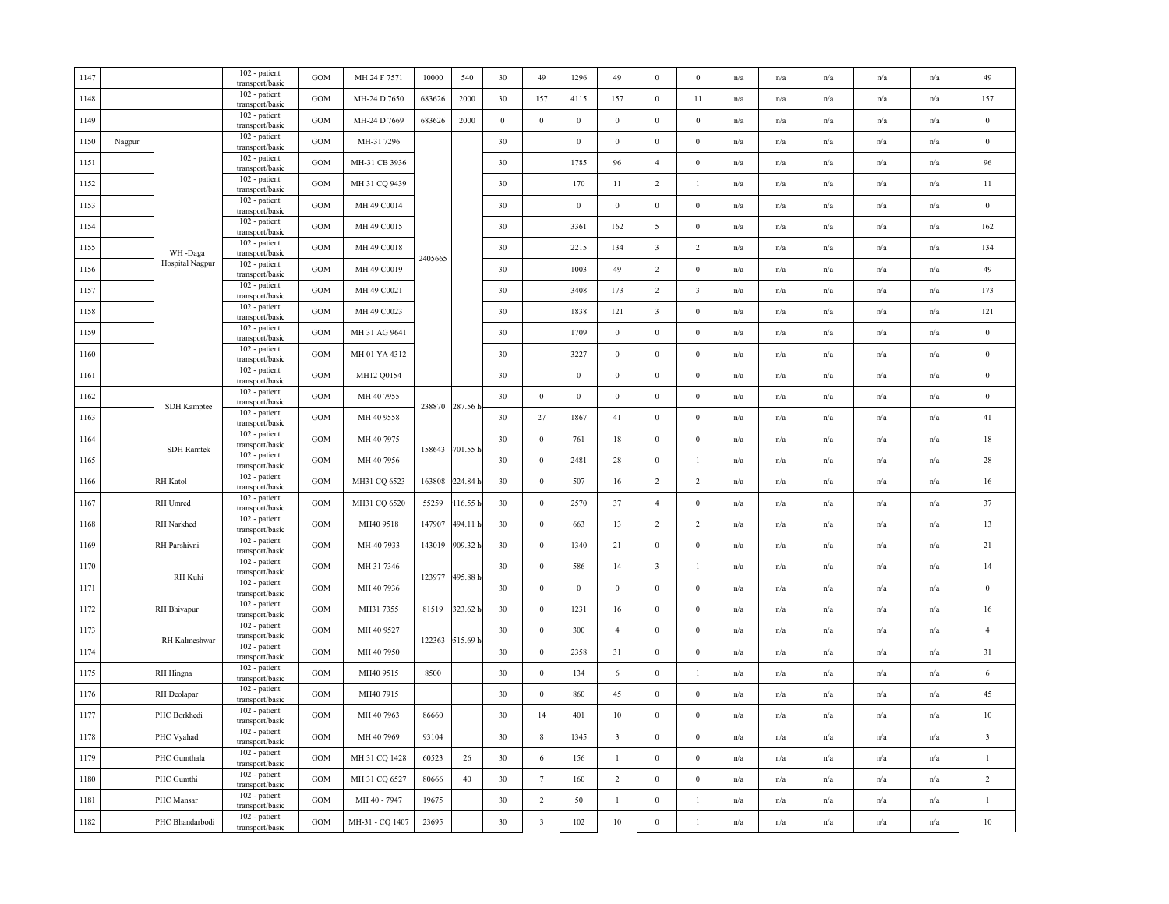| 1147 |        |                    | 102 - patient<br>transport/basic        | GOM               | MH 24 F 7571    | 10000   | 540             | 30               | 49                      | 1296             | 49                      | $\bf{0}$                | $\bf{0}$                | n/a | n/a                     | n/a                     | n/a                     | n/a                     | 49                      |
|------|--------|--------------------|-----------------------------------------|-------------------|-----------------|---------|-----------------|------------------|-------------------------|------------------|-------------------------|-------------------------|-------------------------|-----|-------------------------|-------------------------|-------------------------|-------------------------|-------------------------|
| 1148 |        |                    | 102 - patient<br>transport/basic        | GOM               | MH-24 D 7650    | 683626  | 2000            | 30               | 157                     | 4115             | 157                     | $\mathbf{0}$            | 11                      | n/a | n/a                     | n/a                     | n/a                     | n/a                     | 157                     |
| 1149 |        |                    | 102 - patient<br>transport/basic        | GOM               | MH-24 D 7669    | 683626  | 2000            | $\boldsymbol{0}$ | $\boldsymbol{0}$        | $\boldsymbol{0}$ | $\,0\,$                 | $\boldsymbol{0}$        | $\boldsymbol{0}$        | n/a | $\mathrm{n}/\mathrm{a}$ | $\mathrm{n}/\mathrm{a}$ | n/a                     | n/a                     | $\boldsymbol{0}$        |
| 1150 | Nagpur |                    | 102 - patient<br>transport/basic        | GOM               | MH-31 7296      |         |                 | 30               |                         | $\boldsymbol{0}$ | $\mathbf{0}$            | $\bf{0}$                | $\bf{0}$                | n/a | n/a                     | n/a                     | n/a                     | n/a                     | $\bf{0}$                |
| 1151 |        |                    | 102 - patient<br>transport/basic        | <b>GOM</b>        | MH-31 CB 3936   |         |                 | 30               |                         | 1785             | 96                      | $\overline{4}$          | $\bf{0}$                | n/a | n/a                     | n/a                     | n/a                     | n/a                     | 96                      |
| 1152 |        |                    | 102 - patient<br>transport/basic        | GOM               | MH 31 CQ 9439   |         |                 | 30               |                         | 170              | 11                      | $\overline{2}$          | $\mathbf{1}$            | n/a | n/a                     | n/a                     | n/a                     | n/a                     | $11\,$                  |
| 1153 |        |                    | 102 - patient<br>transport/basic        | GOM               | MH 49 C0014     |         |                 | 30               |                         | $\bf{0}$         | $\,0\,$                 | $\bf{0}$                | $\boldsymbol{0}$        | n/a | n/a                     | n/a                     | n/a                     | n/a                     | $\bf{0}$                |
| 1154 |        |                    | $102$ - patient $\,$<br>transport/basic | GOM               | MH 49 C0015     |         |                 | 30               |                         | 3361             | 162                     | 5                       | $\mathbf{0}$            | n/a | n/a                     | n/a                     | n/a                     | $\mathrm{n}/\mathrm{a}$ | 162                     |
| 1155 |        | WH-Daga            | 102 - patient<br>transport/basic        | GOM               | MH 49 C0018     |         |                 | 30               |                         | 2215             | 134                     | $\overline{\mathbf{3}}$ | 2                       | n/a | n/a                     | n/a                     | n/a                     | $\mathrm{n}/\mathrm{a}$ | 134                     |
| 1156 |        | Hospital Nagpur    | 102 - patient<br>transport/basic        | GOM               | MH 49 C0019     | 2405665 |                 | 30               |                         | 1003             | 49                      | $\overline{2}$          | $\boldsymbol{0}$        | n/a | n/a                     | n/a                     | n/a                     | n/a                     | 49                      |
| 1157 |        |                    | 102 - patient<br>transport/basic        | <b>GOM</b>        | MH 49 C0021     |         |                 | 30               |                         | 3408             | 173                     | 2                       | $\overline{\mathbf{3}}$ | n/a | n/a                     | n/a                     | n/a                     | n/a                     | 173                     |
| 1158 |        |                    | 102 - patient<br>transport/basic        | GOM               | MH 49 C0023     |         |                 | 30               |                         | 1838             | 121                     | $\mathbf{3}$            | $\mathbf{0}$            | n/a | n/a                     | n/a                     | n/a                     | n/a                     | 121                     |
| 1159 |        |                    | 102 - patient<br>transport/basic        | GOM               | MH 31 AG 9641   |         |                 | 30               |                         | 1709             | $\bf{0}$                | $\bf{0}$                | $\bf{0}$                | n/a | n/a                     | n/a                     | n/a                     | $\mathrm{n}/\mathrm{a}$ | $\bf{0}$                |
| 1160 |        |                    | 102 - patient<br>transport/basic        | GOM               | MH 01 YA 4312   |         |                 | 30               |                         | 3227             | $\boldsymbol{0}$        | $\boldsymbol{0}$        | $\mathbf{0}$            | n/a | n/a                     | $\mathrm{n}/\mathrm{a}$ | $\mathrm{n}/\mathrm{a}$ | $\mathrm{n}/\mathrm{a}$ | $\bf{0}$                |
| 1161 |        |                    | 102 - patient<br>transport/basic        | GOM               | MH12 Q0154      |         |                 | 30               |                         | $\boldsymbol{0}$ | $\,0\,$                 | $\boldsymbol{0}$        | $\boldsymbol{0}$        | n/a | n/a                     | n/a                     | n/a                     | n/a                     | $\boldsymbol{0}$        |
| 1162 |        |                    | 102 - patient<br>transport/basic        | GOM               | MH 40 7955      |         |                 | 30               | $\boldsymbol{0}$        | $\boldsymbol{0}$ | $\mathbf{0}$            | $\boldsymbol{0}$        | $\boldsymbol{0}$        | n/a | n/a                     | n/a                     | n/a                     | n/a                     | $\bf{0}$                |
| 1163 |        | SDH Kamptee        | 102 - patient<br>transport/basic        | <b>GOM</b>        | MH 40 9558      |         | 238870 287.56 h | 30               | 27                      | 1867             | 41                      | $\bf{0}$                | $\mathbf{0}$            | n/a | n/a                     | n/a                     | n/a                     | n/a                     | 41                      |
| 1164 |        |                    | $102$ - patient<br>transport/basic      | GOM               | MH 40 7975      |         |                 | 30               | $\,0\,$                 | 761              | 18                      | $\bf{0}$                | $\boldsymbol{0}$        | n/a | n/a                     | n/a                     | n/a                     | n/a                     | 18                      |
| 1165 |        | <b>SDH</b> Ramtek  | 102 - patient<br>transport/basic        | GOM               | MH 40 7956      | 158643  | 701.55 h        | 30               | $\,0\,$                 | 2481             | 28                      | $\boldsymbol{0}$        | -1                      | n/a | n/a                     | n/a                     | n/a                     | n/a                     | $28\,$                  |
| 1166 |        | <b>RH</b> Katol    | 102 - patient<br>transport/basic        | GOM               | MH31 CQ 6523    | 163808  | 224.84 h        | 30               | $\mathbf{0}$            | 507              | 16                      | $\overline{2}$          | $\overline{2}$          | n/a | n/a                     | n/a                     | n/a                     | n/a                     | 16                      |
| 1167 |        | RH Umred           | 102 - patient<br>transport/basic        | GOM               | MH31 CQ 6520    | 55259   | 116.55h         | 30               | $\,0\,$                 | 2570             | 37                      | $\overline{4}$          | $\mathbf{0}$            | n/a | n/a                     | $\mathrm{n}/\mathrm{a}$ | $\mathrm{n}/\mathrm{a}$ | $\mathrm{n}/\mathrm{a}$ | 37                      |
| 1168 |        | RH Narkhed         | 102 - patient<br>transport/basic        | GOM               | MH40 9518       | 147907  | 494.11h         | 30               | $\boldsymbol{0}$        | 663              | 13                      | $\sqrt{2}$              | $\overline{2}$          | n/a | n/a                     | n/a                     | n/a                     | n/a                     | 13                      |
| 1169 |        | RH Parshivni       | 102 - patient<br>transport/basic        | $_{\mathrm{GOM}}$ | MH-40 7933      | 143019  | 909.32 h        | 30               | $\bf{0}$                | 1340             | 21                      | $\boldsymbol{0}$        | $\boldsymbol{0}$        | n/a | $\mathrm{n}/\mathrm{a}$ | n/a                     | n/a                     | $\mathrm{n}/\mathrm{a}$ | 21                      |
| 1170 |        |                    | 102 - patient<br>transport/basic        | GOM               | MH 31 7346      |         |                 | 30               | $\mathbf{0}$            | 586              | 14                      | $\overline{\mathbf{3}}$ | $\overline{1}$          | n/a | n/a                     | n/a                     | n/a                     | n/a                     | 14                      |
| 1171 |        | RH Kuhi            | 102 - patient<br>transport/basic        | GOM               | MH 40 7936      | 123977  | 495.88 h        | 30               | $\boldsymbol{0}$        | $\boldsymbol{0}$ | $\boldsymbol{0}$        | $\boldsymbol{0}$        | $\mathbf{0}$            | n/a | n/a                     | n/a                     | n/a                     | $\mathrm{n}/\mathrm{a}$ | $\bf{0}$                |
| 1172 |        | <b>RH</b> Bhivapur | 102 - patient<br>transport/basic        | GOM               | MH31 7355       | 81519   | 323.62 h        | 30               | $\mathbf{0}$            | 1231             | 16                      | $\bf{0}$                | $\mathbf{0}$            | n/a | n/a                     | n/a                     | $\mathrm{n}/\mathrm{a}$ | $\mathrm{n}/\mathrm{a}$ | 16                      |
| 1173 |        |                    | 102 - patient<br>transport/basic        | GOM               | MH 40 9527      | 122363  |                 | 30               | $\mathbf{0}$            | 300              | $\overline{4}$          | $\boldsymbol{0}$        | $\mathbf{0}$            | n/a | n/a                     | n/a                     | n/a                     | n/a                     | $\overline{4}$          |
| 1174 |        | RH Kalmeshwar      | 102 - patient<br>transport/basic        | GOM               | MH 40 7950      |         | 515.69 h        | 30               | $\,$ 0 $\,$             | 2358             | 31                      | $\boldsymbol{0}$        | $\bf{0}$                | n/a | n/a                     | n/a                     | n/a                     | n/a                     | 31                      |
| 1175 |        | RH Hingna          | 102 - patient<br>transport/basic        | GOM               | MH40 9515       | 8500    |                 | 30               | $\,0\,$                 | 134              | 6                       | $\boldsymbol{0}$        | $\mathbf{1}$            | n/a | n/a                     | n/a                     | n/a                     | n/a                     | 6                       |
| 1176 |        | RH Deolapar        | 102 - patient<br>transport/basic        | GOM               | MH40 7915       |         |                 | 30               | $\mathbf{0}$            | 860              | 45                      | $\bf{0}$                | $\bf{0}$                | n/a | n/a                     | n/a                     | n/a                     | n/a                     | 45                      |
| 1177 |        | PHC Borkhedi       | 102 - patient<br>transport/basic        | GOM               | MH 40 7963      | 86660   |                 | 30               | 14                      | 401              | 10                      | $\boldsymbol{0}$        | $\mathbf{0}$            | n/a | n/a                     | $\mathrm{n}/\mathrm{a}$ | n/a                     | $\mathrm{n}/\mathrm{a}$ | $10\,$                  |
| 1178 |        | PHC Vyahad         | 102 - patient<br>transport/basic        | GOM               | MH 40 7969      | 93104   |                 | 30               | $\,$ 8 $\,$             | 1345             | $\overline{\mathbf{3}}$ | $\boldsymbol{0}$        | $\bf{0}$                | n/a | n/a                     | n/a                     | n/a                     | n/a                     | $\overline{\mathbf{3}}$ |
| 1179 |        | PHC Gumthala       | 102 - patient<br>transport/basic        | GOM               | MH 31 CQ 1428   | 60523   | 26              | 30               | 6                       | 156              | $\mathbf{1}$            | $\mathbf{0}$            | $\boldsymbol{0}$        | n/a | n/a                     | n/a                     | n/a                     | n/a                     | $\mathbf{1}$            |
| 1180 |        | PHC Gumthi         | $102$ - patient<br>transport/basic      | GOM               | MH 31 CQ 6527   | 80666   | 40              | 30               | $7\phantom{.0}$         | 160              | $\overline{2}$          | $\bf{0}$                | $\bf{0}$                | n/a | n/a                     | n/a                     | n/a                     | n/a                     | $\overline{2}$          |
| 1181 |        | PHC Mansar         | 102 - patient<br>transport/basic        | GOM               | MH 40 - 7947    | 19675   |                 | 30               | $\overline{2}$          | 50               | $\mathbf{1}$            | $\boldsymbol{0}$        | $\mathbf{1}$            | n/a | n/a                     | n/a                     | n/a                     | n/a                     | $\mathbf{1}$            |
| 1182 |        | PHC Bhandarbodi    | 102 - patient<br>transport/basic        | GOM               | MH-31 - CQ 1407 | 23695   |                 | 30               | $\overline{\mathbf{3}}$ | 102              | $10\,$                  | $\boldsymbol{0}$        | $\mathbf{1}$            | n/a | n/a                     | $\mathrm{n}/\mathrm{a}$ | $\mathrm{n}/\mathrm{a}$ | $\mathrm{n}/\mathrm{a}$ | $10\,$                  |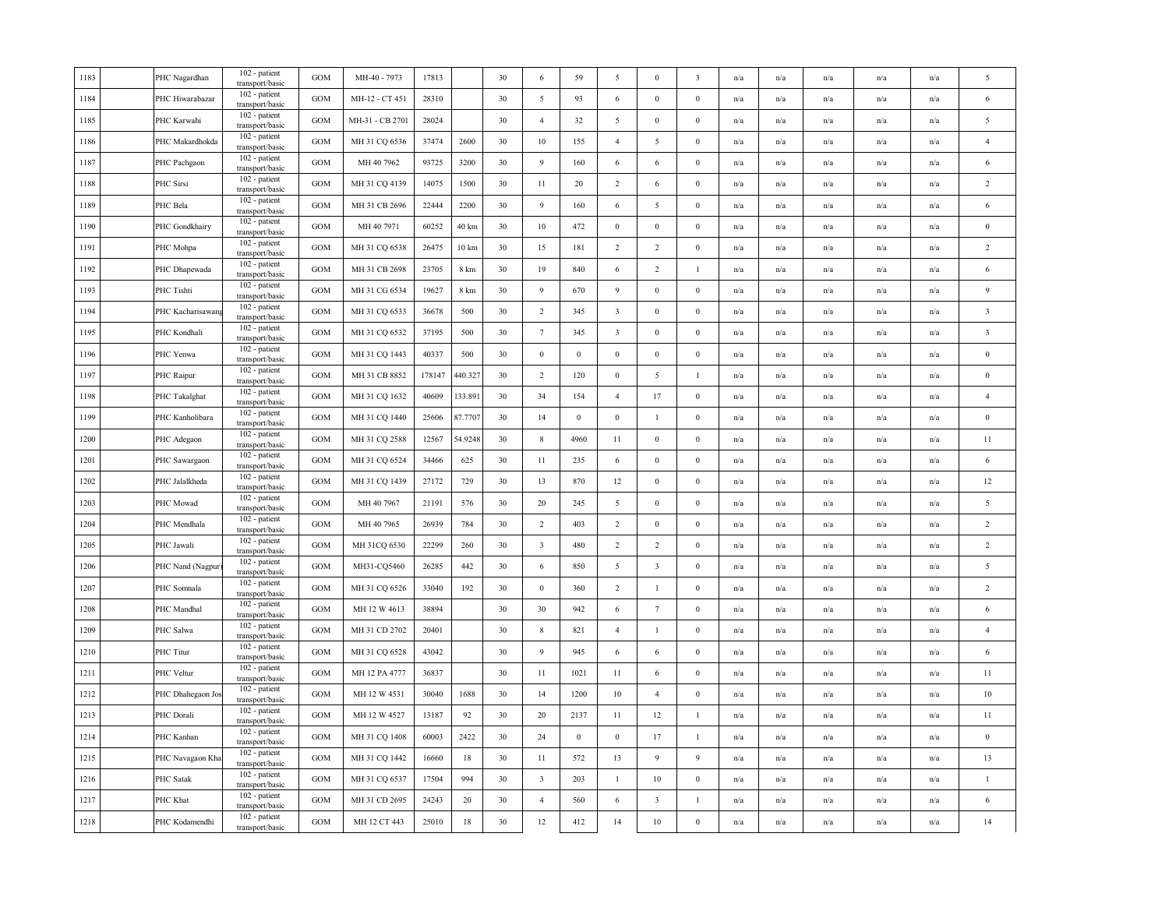| 1183 | PHC Nagardhan     | 102 - patient<br>transport/basic   | <b>GOM</b>        | MH-40 - 7973    | 17813  |                 | 30 | 6                       | 59               | 5                       | $\bf{0}$                | 3                | n/a                     | n/a                     | n/a | n/a                     | n/a | 5                       |
|------|-------------------|------------------------------------|-------------------|-----------------|--------|-----------------|----|-------------------------|------------------|-------------------------|-------------------------|------------------|-------------------------|-------------------------|-----|-------------------------|-----|-------------------------|
| 1184 | PHC Hiwarabazar   | 102 - patient<br>transport/basic   | <b>GOM</b>        | MH-12 - CT 451  | 28310  |                 | 30 | 5                       | 93               | 6                       | $\bf{0}$                | $\bf{0}$         | n/a                     | n/a                     | n/a | n/a                     | n/a | $\sqrt{6}$              |
| 1185 | PHC Karwahi       | 102 - patient<br>transport/basic   | <b>GOM</b>        | MH-31 - CB 2701 | 28024  |                 | 30 | $\overline{4}$          | 32               | 5                       | $\boldsymbol{0}$        | $\bf{0}$         | n/a                     | n/a                     | n/a | $\mathbf{n}/\mathbf{a}$ | n/a | 5                       |
| 1186 | PHC Makardhokda   | 102 - patient<br>transport/basic   | GOM               | MH 31 CQ 6536   | 37474  | 2600            | 30 | 10                      | 155              | $\overline{4}$          | 5                       | $\bf{0}$         | n/a                     | n/a                     | n/a | n/a                     | n/a | $\overline{4}$          |
| 1187 | PHC Pachgaon      | 102 - patient<br>transport/basic   | GOM               | MH 40 7962      | 93725  | 3200            | 30 | 9                       | 160              | 6                       | 6                       | $\bf{0}$         | n/a                     | n/a                     | n/a | n/a                     | n/a | 6                       |
| 1188 | PHC Sirsi         | 102 - patient<br>transport/basic   | <b>GOM</b>        | MH 31 CQ 4139   | 14075  | 1500            | 30 | 11                      | 20               | $\overline{2}$          | 6                       | $\bf{0}$         | n/a                     | n/a                     | n/a | n/a                     | n/a | $\sqrt{2}$              |
| 1189 | PHC Bela          | 102 - patient<br>transport/basic   | GOM               | MH 31 CB 2696   | 22444  | 2200            | 30 | 9                       | 160              | 6                       | 5                       | $\bf{0}$         | $\mathrm{n}/\mathrm{a}$ | n/a                     | n/a | n/a                     | n/a | 6                       |
| 1190 | PHC Gondkhairy    | 102 - patient<br>transport/basic   | GOM               | MH 40 7971      | 60252  | 40 km           | 30 | $10\,$                  | 472              | $\boldsymbol{0}$        | $\mathbf{0}$            | $\mathbf{0}$     | n/a                     | n/a                     | n/a | n/a                     | n/a | $\bf{0}$                |
| 1191 | PHC Mohpa         | 102 - patient<br>transport/basic   | <b>GOM</b>        | MH 31 CQ 6538   | 26475  | $10 \text{ km}$ | 30 | 15                      | 181              | $\overline{2}$          | $\sqrt{2}$              | $\bf{0}$         | n/a                     | n/a                     | n/a | n/a                     | n/a | $\sqrt{2}$              |
| 1192 | PHC Dhapewada     | 102 - patient<br>transport/basic   | GOM               | MH 31 CB 2698   | 23705  | 8 km            | 30 | 19                      | 840              | 6                       | $\overline{c}$          | $\mathbf{1}$     | n/a                     | n/a                     | n/a | n/a                     | n/a | 6                       |
| 1193 | PHC Tishti        | 102 - patient<br>transport/basic   | <b>GOM</b>        | MH 31 CG 6534   | 19627  | 8 km            | 30 | 9                       | 670              | 9                       | $\bf{0}$                | $\bf{0}$         | n/a                     | n/a                     | n/a | n/a                     | n/a | 9                       |
| 1194 | PHC Kacharisawang | 102 - patient<br>transport/basic   | GOM               | MH 31 CQ 6533   | 36678  | 500             | 30 | $\overline{2}$          | 345              | $\overline{\mathbf{3}}$ | $\boldsymbol{0}$        | $\boldsymbol{0}$ | n/a                     | n/a                     | n/a | n/a                     | n/a | $\overline{\mathbf{3}}$ |
| 1195 | PHC Kondhali      | 102 - patient<br>transport/basic   | <b>GOM</b>        | MH 31 CQ 6532   | 37195  | 500             | 30 | $7\phantom{.0}$         | 345              | $\overline{\mathbf{3}}$ | $\bf{0}$                | $\bf{0}$         | n/a                     | n/a                     | n/a | n/a                     | n/a | $\overline{\mathbf{3}}$ |
| 1196 | PHC Yenwa         | 102 - patient<br>transport/basic   | GOM               | MH 31 CQ 1443   | 40337  | 500             | 30 | $\bf{0}$                | $\mathbf{0}$     | $\bf{0}$                | $\mathbf{0}$            | $\mathbf{0}$     | n/a                     | n/a                     | n/a | n/a                     | n/a | $\mathbf{0}$            |
| 1197 | PHC Raipur        | 102 - patient<br>transport/basic   | GOM               | MH 31 CB 8852   | 178147 | 440.327         | 30 | $\overline{2}$          | 120              | $\boldsymbol{0}$        | 5                       | $\mathbf{1}$     | n/a                     | n/a                     | n/a | n/a                     | n/a | $\,0\,$                 |
| 1198 | PHC Takalghat     | 102 - patient<br>transport/basic   | GOM               | MH 31 CQ 1632   | 40609  | 133.891         | 30 | 34                      | 154              | $\overline{4}$          | 17                      | $\mathbf{0}$     | n/a                     | n/a                     | n/a | n/a                     | n/a | $\overline{4}$          |
| 1199 | PHC Kanholibara   | 102 - patient<br>transport/basic   | <b>GOM</b>        | MH 31 CQ 1440   | 25606  | 87.7707         | 30 | 14                      | $\boldsymbol{0}$ | $\boldsymbol{0}$        | $\mathbf{1}$            | $\mathbf{0}$     | n/a                     | $\mathrm{n}/\mathrm{a}$ | n/a | $\mathbf{n}/\mathbf{a}$ | n/a | $\bf{0}$                |
| 1200 | PHC Adegaon       | 102 - patient<br>transport/basic   | GOM               | MH 31 CQ 2588   | 12567  | 54.9248         | 30 | $8\phantom{.0}$         | 4960             | 11                      | $\boldsymbol{0}$        | $\mathbf{0}$     | n/a                     | n/a                     | n/a | n/a                     | n/a | 11                      |
| 1201 | PHC Sawargaon     | 102 - patient<br>transport/basic   | GOM               | MH 31 CQ 6524   | 34466  | 625             | 30 | 11                      | 235              | 6                       | $\boldsymbol{0}$        | $\boldsymbol{0}$ | n/a                     | n/a                     | n/a | n/a                     | n/a | $\sqrt{6}$              |
| 1202 | PHC Jalalkheda    | 102 - patient<br>transport/basic   | <b>GOM</b>        | MH 31 CQ 1439   | 27172  | 729             | 30 | 13                      | 870              | 12                      | $\bf{0}$                | $\bf{0}$         | n/a                     | $\mathrm{n}/\mathrm{a}$ | n/a | $\mathrm{n}/\mathrm{a}$ | n/a | 12                      |
| 1203 | PHC Mowad         | 102 - patient<br>transport/basic   | <b>GOM</b>        | MH 40 7967      | 21191  | 576             | 30 | 20                      | 245              | 5                       | $\boldsymbol{0}$        | $\bf{0}$         | n/a                     | n/a                     | n/a | n/a                     | n/a | 5                       |
| 1204 | PHC Mendhala      | 102 - patient<br>transport/basic   | $_{\mathrm{GOM}}$ | MH 40 7965      | 26939  | 784             | 30 | 2                       | 403              | $\overline{2}$          | $\boldsymbol{0}$        | $\boldsymbol{0}$ | n/a                     | n/a                     | n/a | n/a                     | n/a | $\overline{2}$          |
| 1205 | PHC Jawali        | 102 - patient<br>transport/basic   | GOM               | MH 31CQ 6530    | 22299  | 260             | 30 | $\overline{\mathbf{3}}$ | 480              | $\overline{2}$          | $\overline{2}$          | $\boldsymbol{0}$ | n/a                     | n/a                     | n/a | n/a                     | n/a | $\sqrt{2}$              |
| 1206 | PHC Nand (Nagpur  | 102 - patient<br>transport/basic   | GOM               | MH31-CQ5460     | 26285  | 442             | 30 | 6                       | 850              | 5                       | $\overline{\mathbf{3}}$ | $\bf{0}$         | n/a                     | n/a                     | n/a | n/a                     | n/a | $\sqrt{5}$              |
| 1207 | PHC Somnala       | 102 - patient<br>transport/basic   | $_{\mathrm{GOM}}$ | MH 31 CQ 6526   | 33040  | 192             | 30 | $\mathbf{0}$            | 360              | 2                       | $\overline{1}$          | $\mathbf{0}$     | n/a                     | n/a                     | n/a | n/a                     | n/a | $\overline{2}$          |
| 1208 | PHC Mandhal       | 102 - patient<br>transport/basic   | GOM               | MH 12 W 4613    | 38894  |                 | 30 | 30                      | 942              | 6                       | $7\phantom{.0}$         | $\mathbf{0}$     | n/a                     | n/a                     | n/a | n/a                     | n/a | 6                       |
| 1209 | PHC Salwa         | 102 - patient<br>transport/basic   | <b>GOM</b>        | MH 31 CD 2702   | 20401  |                 | 30 | 8                       | 821              | $\overline{4}$          | -1                      | $\boldsymbol{0}$ | n/a                     | n/a                     | n/a | n/a                     | n/a | $\overline{4}$          |
| 1210 | PHC Titur         | 102 - patient<br>transport/basic   | <b>GOM</b>        | MH 31 CQ 6528   | 43042  |                 | 30 | 9                       | 945              | 6                       | 6                       | $\bf{0}$         | n/a                     | n/a                     | n/a | n/a                     | n/a | 6                       |
| 1211 | PHC Veltur        | 102 - patient<br>transport/basic   | GOM               | MH 12 PA 4777   | 36837  |                 | 30 | 11                      | 1021             | 11                      | 6                       | $\boldsymbol{0}$ | n/a                     | n/a                     | n/a | n/a                     | n/a | 11                      |
| 1212 | PHC Dhahegaon Jo. | 102 - patient<br>transport/basic   | GOM               | MH 12 W 4531    | 30040  | 1688            | 30 | 14                      | 1200             | 10                      | $\overline{4}$          | $\mathbf{0}$     | n/a                     | n/a                     | n/a | n/a                     | n/a | 10                      |
| 1213 | PHC Dorali        | 102 - patient<br>transport/basic   | <b>GOM</b>        | MH 12 W 4527    | 13187  | 92              | 30 | 20                      | 2137             | 11                      | 12                      | 1                | n/a                     | n/a                     | n/a | n/a                     | n/a | 11                      |
| 1214 | PHC Kanhan        | 102 - patient<br>transport/basic   | <b>GOM</b>        | MH 31 CQ 1408   | 60003  | 2422            | 30 | 24                      | $\boldsymbol{0}$ | $\overline{0}$          | 17                      | $\mathbf{1}$     | n/a                     | n/a                     | n/a | n/a                     | n/a | $\boldsymbol{0}$        |
| 1215 | PHC Navagaon Kha  | 102 - patient<br>transport/basic   | GOM               | MH 31 CQ 1442   | 16660  | 18              | 30 | 11                      | 572              | 13                      | 9                       | 9                | n/a                     | n/a                     | n/a | n/a                     | n/a | 13                      |
| 1216 | PHC Satak         | 102 - patient<br>transport/basic   | GOM               | MH 31 CQ 6537   | 17504  | 994             | 30 | $\overline{3}$          | 203              | -1                      | $10\,$                  | $\bf{0}$         | $\mathrm{n}/\mathrm{a}$ | n/a                     | n/a | n/a                     | n/a | $\mathbf{1}$            |
| 1217 | PHC Khat          | 102 - patient<br>transport/basic   | <b>GOM</b>        | MH 31 CD 2695   | 24243  | 20              | 30 | $\overline{4}$          | 560              | 6                       | $\overline{\mathbf{3}}$ | $\mathbf{1}$     | n/a                     | n/a                     | n/a | n/a                     | n/a | 6                       |
| 1218 | PHC Kodamendhi    | $102$ - patient<br>transport/basic | GOM               | MH 12 CT 443    | 25010  | 18              | 30 | $12\,$                  | 412              | 14                      | $10\,$                  | $\boldsymbol{0}$ | n/a                     | n/a                     | n/a | n/a                     | n/a | 14                      |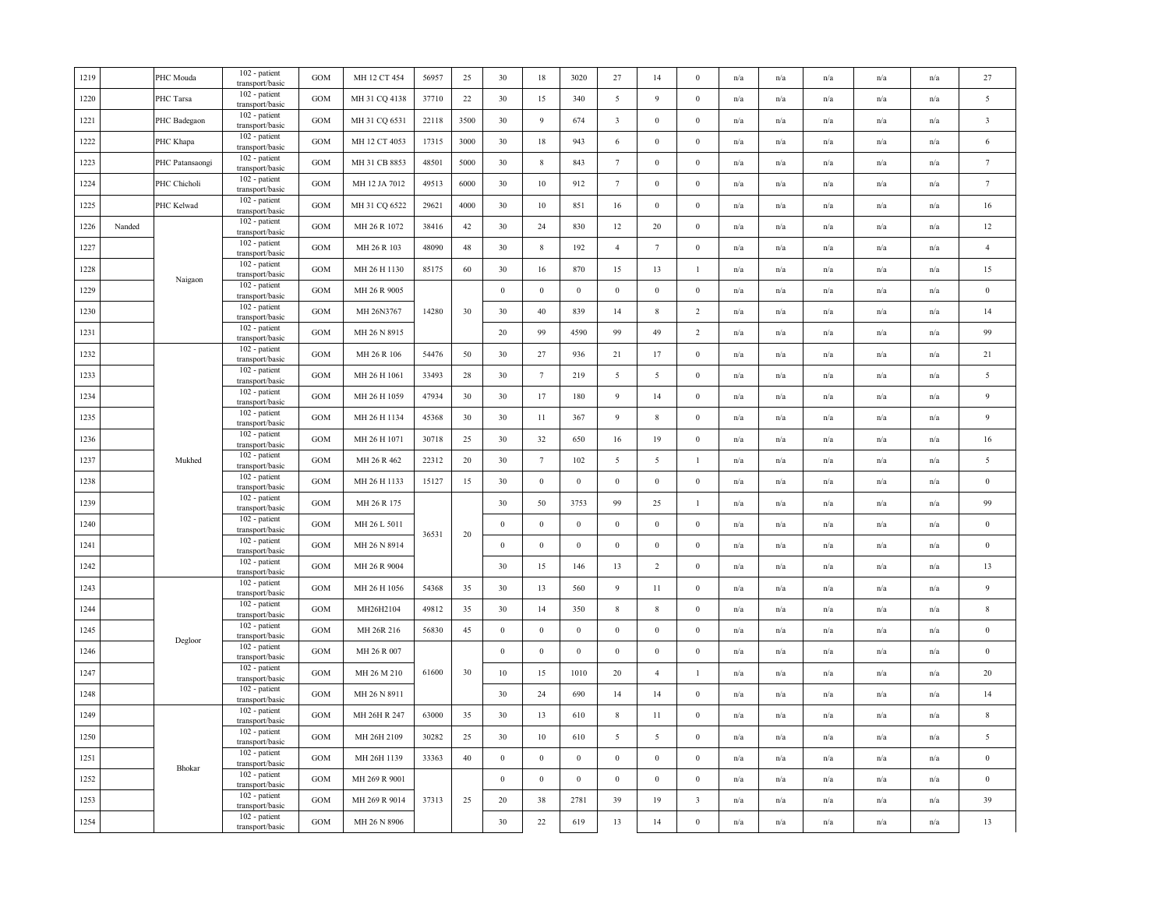| 1219 |        | PHC Mouda       | $102$ - patient<br>transport/basic | GOM               | MH 12 CT 454  | 56957 | 25   | 30               | 18               | 3020             | 27                      | 14               | $\bf{0}$                | n/a | n/a                     | n/a                     | n/a                     | n/a                     | $27\,$                  |
|------|--------|-----------------|------------------------------------|-------------------|---------------|-------|------|------------------|------------------|------------------|-------------------------|------------------|-------------------------|-----|-------------------------|-------------------------|-------------------------|-------------------------|-------------------------|
| 1220 |        | PHC Tarsa       | 102 - patient<br>transport/basic   | GOM               | MH 31 CQ 4138 | 37710 | 22   | 30               | 15               | 340              | $\overline{5}$          | 9                | $\bf{0}$                | n/a | n/a                     | n/a                     | n/a                     | n/a                     | $\overline{5}$          |
| 1221 |        | PHC Badegaon    | 102 - patient<br>transport/basic   | GOM               | MH 31 CQ 6531 | 22118 | 3500 | 30               | 9                | 674              | $\overline{\mathbf{3}}$ | $\boldsymbol{0}$ | $\bf{0}$                | n/a | $\mathrm{n}/\mathrm{a}$ | $\mathrm{n}/\mathrm{a}$ | $\mathrm{n}/\mathrm{a}$ | $\mathrm{n}/\mathrm{a}$ | $\overline{\mathbf{3}}$ |
| 1222 |        | PHC Khapa       | 102 - patient<br>transport/basic   | GOM               | MH 12 CT 4053 | 17315 | 3000 | 30               | 18               | 943              | 6                       | $\bf{0}$         | $\bf{0}$                | n/a | n/a                     | n/a                     | n/a                     | n/a                     | 6                       |
| 1223 |        | PHC Patansaongi | 102 - patient<br>transport/basic   | <b>GOM</b>        | MH 31 CB 8853 | 48501 | 5000 | 30               | $\,$ 8 $\,$      | 843              | $7\phantom{.0}$         | $\bf{0}$         | $\mathbf{0}$            | n/a | n/a                     | n/a                     | n/a                     | n/a                     | $7\phantom{.0}$         |
| 1224 |        | PHC Chicholi    | 102 - patient<br>transport/basic   | GOM               | MH 12 JA 7012 | 49513 | 6000 | 30               | 10               | 912              | $7\phantom{.0}$         | $\bf{0}$         | $\boldsymbol{0}$        | n/a | n/a                     | n/a                     | n/a                     | n/a                     | $7\phantom{.0}$         |
| 1225 |        | PHC Kelwad      | 102 - patient<br>transport/basic   | GOM               | MH 31 CQ 6522 | 29621 | 4000 | 30               | 10               | 851              | 16                      | $\bf{0}$         | $\boldsymbol{0}$        | n/a | n/a                     | n/a                     | n/a                     | n/a                     | 16                      |
| 1226 | Nanded |                 | 102 - patient<br>transport/basic   | GOM               | MH 26 R 1072  | 38416 | 42   | 30               | 24               | 830              | 12                      | 20               | $\mathbf{0}$            | n/a | n/a                     | n/a                     | n/a                     | $\mathrm{n}/\mathrm{a}$ | 12                      |
| 1227 |        |                 | 102 - patient<br>transport/basic   | GOM               | MH 26 R 103   | 48090 | 48   | 30               | $\,$ 8 $\,$      | 192              | $\overline{4}$          | $7\phantom{.0}$  | $\mathbf{0}$            | n/a | n/a                     | n/a                     | n/a                     | $\mathrm{n}/\mathrm{a}$ | $\overline{4}$          |
| 1228 |        | Naigaon         | 102 - patient<br>transport/basic   | GOM               | MH 26 H 1130  | 85175 | 60   | 30               | 16               | 870              | 15                      | 13               | -1                      | n/a | n/a                     | n/a                     | n/a                     | n/a                     | 15                      |
| 1229 |        |                 | 102 - patient<br>transport/basic   | GOM               | MH 26 R 9005  |       |      | $\bf{0}$         | $\mathbf{0}$     | $\bf{0}$         | $\bf{0}$                | $\bf{0}$         | $\mathbf{0}$            | n/a | n/a                     | n/a                     | n/a                     | n/a                     | $\bf{0}$                |
| 1230 |        |                 | 102 - patient<br>transport/basic   | GOM               | MH 26N3767    | 14280 | 30   | 30               | $40\,$           | 839              | 14                      | $\,$ 8 $\,$      | $\overline{c}$          | n/a | n/a                     | n/a                     | n/a                     | n/a                     | 14                      |
| 1231 |        |                 | 102 - patient<br>transport/basic   | GOM               | MH 26 N 8915  |       |      | 20               | 99               | 4590             | 99                      | 49               | $\overline{c}$          | n/a | $\mathrm{n}/\mathrm{a}$ | n/a                     | n/a                     | n/a                     | 99                      |
| 1232 |        |                 | 102 - patient<br>transport/basic   | GOM               | MH 26 R 106   | 54476 | 50   | 30               | 27               | 936              | 21                      | 17               | $\boldsymbol{0}$        | n/a | n/a                     | $\mathbf{n}/\mathbf{a}$ | $\mathrm{n}/\mathrm{a}$ | $\mathrm{n}/\mathrm{a}$ | $21\,$                  |
| 1233 |        |                 | 102 - patient<br>transport/basic   | GOM               | MH 26 H 1061  | 33493 | 28   | 30               | $7\phantom{.0}$  | 219              | $\overline{5}$          | 5                | $\boldsymbol{0}$        | n/a | n/a                     | n/a                     | n/a                     | n/a                     | $\overline{5}$          |
| 1234 |        |                 | 102 - patient<br>transport/basic   | GOM               | MH 26 H 1059  | 47934 | 30   | 30               | 17               | 180              | $\overline{9}$          | 14               | $\boldsymbol{0}$        | n/a | n/a                     | n/a                     | n/a                     | n/a                     | $\overline{9}$          |
| 1235 |        |                 | 102 - patient<br>transport/basic   | <b>GOM</b>        | MH 26 H 1134  | 45368 | 30   | 30               | 11               | 367              | 9                       | 8                | $\bf{0}$                | n/a | n/a                     | n/a                     | n/a                     | n/a                     | 9                       |
| 1236 |        |                 | $102$ - patient<br>transport/basic | GOM               | MH 26 H 1071  | 30718 | 25   | 30               | 32               | 650              | 16                      | 19               | $\bf{0}$                | n/a | n/a                     | n/a                     | n/a                     | n/a                     | 16                      |
| 1237 |        | Mukhed          | 102 - patient<br>transport/basic   | GOM               | MH 26 R 462   | 22312 | 20   | 30               | $7\phantom{.0}$  | 102              | $\overline{5}$          | 5                | $\mathbf{1}$            | n/a | n/a                     | n/a                     | n/a                     | n/a                     | $\overline{5}$          |
| 1238 |        |                 | 102 - patient<br>transport/basic   | GOM               | MH 26 H 1133  | 15127 | 15   | 30               | $\mathbf{0}$     | $\boldsymbol{0}$ | $\mathbf{0}$            | $\mathbf{0}$     | $\boldsymbol{0}$        | n/a | n/a                     | n/a                     | n/a                     | n/a                     | $\bf{0}$                |
| 1239 |        |                 | 102 - patient<br>transport/basic   | GOM               | MH 26 R 175   |       |      | 30               | 50               | 3753             | 99                      | 25               | $\mathbf{1}$            | n/a | n/a                     | $\mathbf{n}/\mathbf{a}$ | $\mathrm{n}/\mathrm{a}$ | $\mathrm{n}/\mathrm{a}$ | 99                      |
| 1240 |        |                 | 102 - patient<br>transport/basic   | GOM               | MH 26 L 5011  | 36531 |      | $\boldsymbol{0}$ | $\,0\,$          | $\boldsymbol{0}$ | $\,0\,$                 | $\boldsymbol{0}$ | $\mathbf{0}$            | n/a | n/a                     | n/a                     | n/a                     | n/a                     | $\bf{0}$                |
| 1241 |        |                 | 102 - patient<br>transport/basic   | $_{\mathrm{GOM}}$ | MH 26 N 8914  |       | 20   | $\bf{0}$         | $\bf{0}$         | $\boldsymbol{0}$ | $\bf{0}$                | $\boldsymbol{0}$ | $\boldsymbol{0}$        | n/a | n/a                     | n/a                     | n/a                     | n/a                     | $\boldsymbol{0}$        |
| 1242 |        |                 | 102 - patient<br>transport/basic   | GOM               | MH 26 R 9004  |       |      | 30               | 15               | 146              | 13                      | 2                | $\mathbf{0}$            | n/a | n/a                     | n/a                     | n/a                     | n/a                     | 13                      |
| 1243 |        |                 | 102 - patient<br>transport/basic   | GOM               | MH 26 H 1056  | 54368 | 35   | 30               | 13               | 560              | $\overline{9}$          | 11               | $\mathbf{0}$            | n/a | n/a                     | n/a                     | n/a                     | n/a                     | $\overline{9}$          |
| 1244 |        |                 | 102 - patient<br>transport/basic   | GOM               | MH26H2104     | 49812 | 35   | 30               | 14               | 350              | $\,$ 8 $\,$             | 8                | $\mathbf{0}$            | n/a | n/a                     | n/a                     | $\mathrm{n}/\mathrm{a}$ | $\mathrm{n}/\mathrm{a}$ | $\boldsymbol{8}$        |
| 1245 |        | Degloor         | 102 - patient<br>transport/basic   | GOM               | MH 26R 216    | 56830 | 45   | $\boldsymbol{0}$ | $\mathbf{0}$     | $\boldsymbol{0}$ | $\mathbf{0}$            | $\boldsymbol{0}$ | $\mathbf{0}$            | n/a | n/a                     | n/a                     | n/a                     | n/a                     | $\bf{0}$                |
| 1246 |        |                 | 102 - patient<br>transport/basic   | GOM               | MH 26 R 007   |       |      | $\boldsymbol{0}$ | $\boldsymbol{0}$ | $\bf{0}$         | $\boldsymbol{0}$        | $\boldsymbol{0}$ | $\bf{0}$                | n/a | n/a                     | n/a                     | n/a                     | n/a                     | $\,0\,$                 |
| 1247 |        |                 | 102 - patient<br>transport/basic   | GOM               | MH 26 M 210   | 61600 | 30   | 10               | 15               | 1010             | 20                      | $\overline{4}$   | $\mathbf{1}$            | n/a | n/a                     | n/a                     | n/a                     | n/a                     | $20\,$                  |
| 1248 |        |                 | 102 - patient<br>transport/basic   | GOM               | MH 26 N 8911  |       |      | 30               | 24               | 690              | 14                      | 14               | $\bf{0}$                | n/a | n/a                     | n/a                     | n/a                     | n/a                     | 14                      |
| 1249 |        |                 | 102 - patient<br>transport/basic   | GOM               | MH 26H R 247  | 63000 | 35   | 30               | 13               | 610              | $\,$ 8 $\,$             | 11               | $\mathbf{0}$            | n/a | n/a                     | $\mathrm{n}/\mathrm{a}$ | n/a                     | $\mathrm{n}/\mathrm{a}$ | $\,$ 8                  |
| 1250 |        |                 | 102 - patient<br>transport/basic   | GOM               | MH 26H 2109   | 30282 | 25   | 30               | $10\,$           | 610              | $\overline{5}$          | 5                | $\bf{0}$                | n/a | n/a                     | n/a                     | n/a                     | n/a                     | $\overline{5}$          |
| 1251 |        |                 | 102 - patient<br>transport/basic   | GOM               | MH 26H 1139   | 33363 | 40   | $\bf{0}$         | $\mathbf{0}$     | $\boldsymbol{0}$ | $\mathbf{0}$            | $\mathbf{0}$     | $\boldsymbol{0}$        | n/a | n/a                     | n/a                     | n/a                     | n/a                     | $\bf{0}$                |
| 1252 |        | Bhokar          | $102$ - patient<br>transport/basic | GOM               | MH 269 R 9001 |       |      | $\bf{0}$         | $\,0\,$          | $\boldsymbol{0}$ | $\,0\,$                 | $\bf{0}$         | $\bf{0}$                | n/a | n/a                     | n/a                     | n/a                     | n/a                     | $\boldsymbol{0}$        |
| 1253 |        |                 | 102 - patient<br>transport/basic   | GOM               | MH 269 R 9014 | 37313 | 25   | 20               | 38               | 2781             | 39                      | 19               | $\overline{\mathbf{3}}$ | n/a | n/a                     | n/a                     | n/a                     | n/a                     | 39                      |
| 1254 |        |                 | 102 - patient<br>transport/basic   | GOM               | MH 26 N 8906  |       |      | 30               | $22\,$           | 619              | 13                      | 14               | $\bf{0}$                | n/a | n/a                     | $\mathrm{n}/\mathrm{a}$ | $\mathrm{n}/\mathrm{a}$ | $\mathrm{n}/\mathrm{a}$ | 13                      |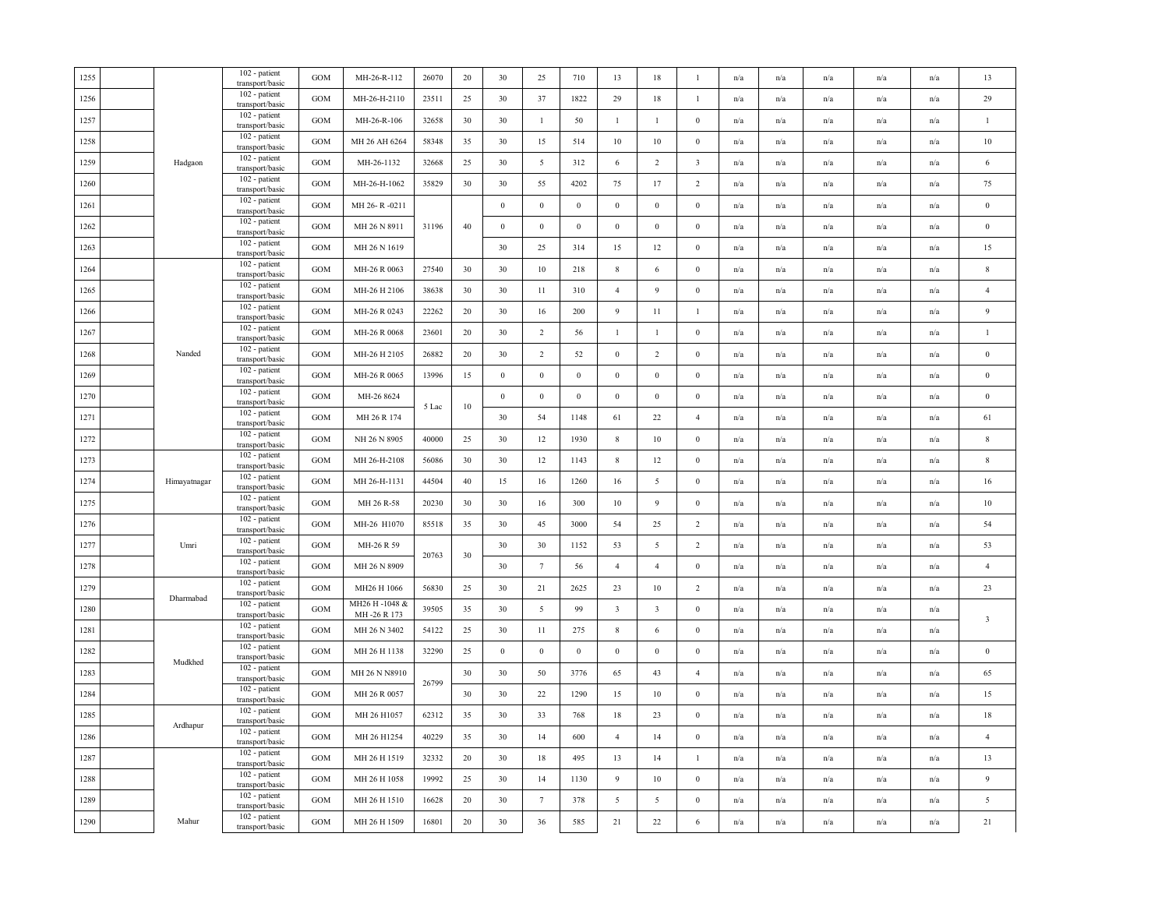|              | 102 - patient<br>transport/basic | GOM                                                                                                                                                                                                                                                                                                                                                                                                                                                                                                                           | MH-26-R-112   | 26070       | 20                      | 30               | 25               | 710              | 13                      | 18                      | $\mathbf{1}$            | n/a | n/a                     | n/a                     | n/a                     | n/a                     | 13                      |
|--------------|----------------------------------|-------------------------------------------------------------------------------------------------------------------------------------------------------------------------------------------------------------------------------------------------------------------------------------------------------------------------------------------------------------------------------------------------------------------------------------------------------------------------------------------------------------------------------|---------------|-------------|-------------------------|------------------|------------------|------------------|-------------------------|-------------------------|-------------------------|-----|-------------------------|-------------------------|-------------------------|-------------------------|-------------------------|
|              | 102 - patient<br>transport/basic | <b>GOM</b>                                                                                                                                                                                                                                                                                                                                                                                                                                                                                                                    | MH-26-H-2110  | 23511       | 25                      | 30               | 37               | 1822             | 29                      | 18                      | $\mathbf{1}$            | n/a | n/a                     | n/a                     | n/a                     | n/a                     | 29                      |
|              | 102 - patient<br>transport/basic | <b>GOM</b>                                                                                                                                                                                                                                                                                                                                                                                                                                                                                                                    | MH-26-R-106   | 32658       | 30                      | 30               | $\mathbf{1}$     | 50               | $\mathbf{1}$            | $\mathbf{1}$            | $\mathbf{0}$            | n/a | n/a                     | n/a                     | n/a                     | n/a                     | $\,1\,$                 |
|              | 102 - patient                    | <b>GOM</b>                                                                                                                                                                                                                                                                                                                                                                                                                                                                                                                    | MH 26 AH 6264 | 58348       | 35                      | 30               | 15               | 514              | 10                      | 10                      | $\bf{0}$                | n/a | $\mathrm{n}/\mathrm{a}$ | $\mathrm{n}/\mathrm{a}$ | $\mathrm{n}/\mathrm{a}$ | n/a                     | $10\,$                  |
| Hadgaon      | 102 - patient                    | <b>GOM</b>                                                                                                                                                                                                                                                                                                                                                                                                                                                                                                                    | MH-26-1132    | 32668       | 25                      | 30               | 5                | 312              | 6                       | 2                       | $\overline{\mathbf{3}}$ | n/a | n/a                     | n/a                     | n/a                     | n/a                     | 6                       |
|              | 102 - patient                    | <b>GOM</b>                                                                                                                                                                                                                                                                                                                                                                                                                                                                                                                    | MH-26-H-1062  | 35829       | 30                      | 30               | 55               | 4202             | 75                      | 17                      | $\overline{c}$          | n/a | n/a                     | n/a                     | n/a                     | n/a                     | 75                      |
|              | 102 - patient                    | <b>GOM</b>                                                                                                                                                                                                                                                                                                                                                                                                                                                                                                                    | MH 26-R-0211  |             |                         | $\boldsymbol{0}$ | $\boldsymbol{0}$ | $\boldsymbol{0}$ | $\,0\,$                 | $\bf{0}$                | $\boldsymbol{0}$        | n/a | n/a                     | n/a                     | n/a                     | n/a                     | $\,0\,$                 |
|              | 102 - patient                    | <b>GOM</b>                                                                                                                                                                                                                                                                                                                                                                                                                                                                                                                    | MH 26 N 8911  | 31196       | 40                      | $\boldsymbol{0}$ | $\boldsymbol{0}$ | $\boldsymbol{0}$ | $\mathbf{0}$            | $\mathbf{0}$            | $\boldsymbol{0}$        | n/a | n/a                     | n/a                     | n/a                     | n/a                     | $\bf{0}$                |
|              | 102 - patient                    | <b>GOM</b>                                                                                                                                                                                                                                                                                                                                                                                                                                                                                                                    | MH 26 N 1619  |             |                         | 30               | 25               | 314              | 15                      | 12                      | $\mathbf{0}$            | n/a | n/a                     | n/a                     | n/a                     | n/a                     | 15                      |
|              | 102 - patient                    | <b>GOM</b>                                                                                                                                                                                                                                                                                                                                                                                                                                                                                                                    | MH-26 R 0063  | 27540       | 30                      | 30               | 10               | 218              | 8                       | 6                       | $\bf{0}$                | n/a | n/a                     | n/a                     | n/a                     | n/a                     | $\,$ 8 $\,$             |
|              | 102 - patient                    | <b>GOM</b>                                                                                                                                                                                                                                                                                                                                                                                                                                                                                                                    | MH-26 H 2106  | 38638       | 30                      | 30               | 11               | 310              | $\overline{4}$          | 9                       | $\bf{0}$                | n/a | n/a                     | n/a                     | n/a                     | n/a                     | $\overline{4}$          |
|              | 102 - patient                    | <b>GOM</b>                                                                                                                                                                                                                                                                                                                                                                                                                                                                                                                    | MH-26 R 0243  | 22262       | 20                      | 30               | 16               | 200              | 9                       | 11                      | $\overline{1}$          | n/a | n/a                     | n/a                     | n/a                     | n/a                     | 9                       |
|              | 102 - patient                    | <b>GOM</b>                                                                                                                                                                                                                                                                                                                                                                                                                                                                                                                    | MH-26 R 0068  | 23601       | 20                      | 30               | $\overline{2}$   | 56               | $\mathbf{1}$            | 1                       | $\bf{0}$                | n/a | n/a                     | n/a                     | n/a                     | n/a                     | $\mathbf{1}$            |
| Nanded       | 102 - patient                    | <b>GOM</b>                                                                                                                                                                                                                                                                                                                                                                                                                                                                                                                    | MH-26 H 2105  | 26882       | 20                      | 30               | 2                | 52               | $\mathbf{0}$            | 2                       | $\bf{0}$                | n/a | $\mathrm{n}/\mathrm{a}$ | n/a                     | n/a                     | $\mathrm{n}/\mathrm{a}$ | $\bf{0}$                |
|              | 102 - patient                    | <b>GOM</b>                                                                                                                                                                                                                                                                                                                                                                                                                                                                                                                    | MH-26 R 0065  | 13996       | 15                      | $\bf{0}$         | $\boldsymbol{0}$ | $\bf{0}$         | $\boldsymbol{0}$        | $\bf{0}$                | $\mathbf{0}$            | n/a | n/a                     | n/a                     | n/a                     | n/a                     | $\bf{0}$                |
|              | 102 - patient                    | <b>GOM</b>                                                                                                                                                                                                                                                                                                                                                                                                                                                                                                                    | MH-26 8624    |             |                         | $\boldsymbol{0}$ | $\boldsymbol{0}$ | $\boldsymbol{0}$ | $\,0\,$                 | $\bf{0}$                | $\boldsymbol{0}$        | n/a | n/a                     | n/a                     | n/a                     | n/a                     | $\,0\,$                 |
|              | 102 - patient                    | <b>GOM</b>                                                                                                                                                                                                                                                                                                                                                                                                                                                                                                                    | MH 26 R 174   |             |                         | 30               | 54               | 1148             | 61                      | 22                      | $\overline{4}$          | n/a | n/a                     | n/a                     | n/a                     | n/a                     | 61                      |
|              | 102 - patient<br>transport/basic | GOM                                                                                                                                                                                                                                                                                                                                                                                                                                                                                                                           | NH 26 N 8905  | 40000       | 25                      | 30               | 12               | 1930             | $8\phantom{.0}$         | $10\,$                  | $\bf{0}$                | n/a | n/a                     | $\mathrm{n}/\mathrm{a}$ | $\mathrm{n}/\mathrm{a}$ | $\mathrm{n}/\mathrm{a}$ | $\,$ 8 $\,$             |
|              | 102 - patient                    | GOM                                                                                                                                                                                                                                                                                                                                                                                                                                                                                                                           | MH 26-H-2108  | 56086       | 30                      | 30               | 12               | 1143             | $\,$ 8 $\,$             | 12                      | $\mathbf{0}$            | n/a | $\mathrm{n}/\mathrm{a}$ | n/a                     | $\mathrm{n}/\mathrm{a}$ | n/a                     | $\,$ 8 $\,$             |
| Himayatnagar | 102 - patient                    | <b>GOM</b>                                                                                                                                                                                                                                                                                                                                                                                                                                                                                                                    | MH 26-H-1131  | 44504       | 40                      | 15               | 16               | 1260             | 16                      | 5                       | $\bf{0}$                | n/a | n/a                     | n/a                     | n/a                     | n/a                     | $16\,$                  |
|              | 102 - patient<br>transport/basic | <b>GOM</b>                                                                                                                                                                                                                                                                                                                                                                                                                                                                                                                    | MH 26 R-58    | 20230       | 30                      | 30               | 16               | 300              | 10                      | 9                       | $\boldsymbol{0}$        | n/a | n/a                     | n/a                     | n/a                     | n/a                     | $10\,$                  |
|              | 102 - patient                    | <b>GOM</b>                                                                                                                                                                                                                                                                                                                                                                                                                                                                                                                    | MH-26 H1070   | 85518       | 35                      | 30               | 45               | 3000             | 54                      | 25                      | 2                       | n/a | $\mathrm{n}/\mathrm{a}$ | n/a                     | $\mathrm{n}/\mathrm{a}$ | $\mathrm{n}/\mathrm{a}$ | 54                      |
| Umri         | 102 - patient<br>transport/basic | $_{\rm GOM}$                                                                                                                                                                                                                                                                                                                                                                                                                                                                                                                  | MH-26 R 59    |             |                         | 30               | 30               | 1152             | 53                      | 5                       | $\overline{c}$          | n/a | n/a                     | n/a                     | n/a                     | n/a                     | 53                      |
|              | 102 - patient                    | <b>GOM</b>                                                                                                                                                                                                                                                                                                                                                                                                                                                                                                                    | MH 26 N 8909  |             |                         | 30               | $7\phantom{.0}$  | 56               | $\overline{4}$          | $\overline{4}$          | $\boldsymbol{0}$        | n/a | $\mathrm{n}/\mathrm{a}$ | n/a                     | n/a                     | $\mathrm{n}/\mathrm{a}$ | $\overline{4}$          |
|              | 102 - patient                    | <b>GOM</b>                                                                                                                                                                                                                                                                                                                                                                                                                                                                                                                    | MH26 H 1066   | 56830       | 25                      | 30               | 21               | 2625             | 23                      | 10                      | 2                       | n/a | n/a                     | n/a                     | n/a                     | n/a                     | 23                      |
|              | 102 - patient                    | $_{\rm GOM}$                                                                                                                                                                                                                                                                                                                                                                                                                                                                                                                  | MH26 H-1048 & | 39505       | 35                      | 30               | 5                | 99               | $\overline{\mathbf{3}}$ | $\overline{\mathbf{3}}$ | $\bf{0}$                | n/a | n/a                     | n/a                     | n/a                     | n/a                     |                         |
|              | 102 - patient                    | <b>GOM</b>                                                                                                                                                                                                                                                                                                                                                                                                                                                                                                                    | MH 26 N 3402  | 54122       | 25                      | 30               | 11               | 275              | $\,$ 8 $\,$             | 6                       | $\mathbf{0}$            | n/a | n/a                     | n/a                     | n/a                     | n/a                     | $\overline{\mathbf{3}}$ |
|              | 102 - patient                    | <b>GOM</b>                                                                                                                                                                                                                                                                                                                                                                                                                                                                                                                    | MH 26 H 1138  | 32290       | 25                      | $\boldsymbol{0}$ | $\boldsymbol{0}$ | $\boldsymbol{0}$ | $\mathbf{0}$            | $\mathbf{0}$            | $\boldsymbol{0}$        | n/a | n/a                     | n/a                     | n/a                     | n/a                     | $\bf{0}$                |
|              | 102 - patient                    | GOM                                                                                                                                                                                                                                                                                                                                                                                                                                                                                                                           | MH 26 N N8910 |             | 30                      | 30               | 50               | 3776             | 65                      | 43                      | $\overline{4}$          | n/a | n/a                     | n/a                     | n/a                     | n/a                     | 65                      |
|              | 102 - patient                    | <b>GOM</b>                                                                                                                                                                                                                                                                                                                                                                                                                                                                                                                    | MH 26 R 0057  |             | 30                      | 30               | 22               | 1290             | 15                      | 10                      | $\bf{0}$                | n/a | n/a                     | n/a                     | n/a                     | n/a                     | 15                      |
|              | 102 - patient                    | <b>GOM</b>                                                                                                                                                                                                                                                                                                                                                                                                                                                                                                                    | MH 26 H1057   | 62312       | 35                      | 30               | 33               | 768              | 18                      | 23                      | $\boldsymbol{0}$        | n/a | n/a                     | n/a                     | n/a                     | n/a                     | 18                      |
|              | 102 - patient                    | <b>GOM</b>                                                                                                                                                                                                                                                                                                                                                                                                                                                                                                                    | MH 26 H1254   | 40229       | 35                      | 30               | 14               | 600              | $\overline{4}$          | 14                      | $\bf{0}$                | n/a | n/a                     | n/a                     | n/a                     | n/a                     | $\overline{4}$          |
|              | 102 - patient<br>transport/basic | <b>GOM</b>                                                                                                                                                                                                                                                                                                                                                                                                                                                                                                                    | MH 26 H 1519  | 32332       | 20                      | 30               | 18               | 495              | 13                      | 14                      | -1                      | n/a | n/a                     | n/a                     | n/a                     | n/a                     | 13                      |
|              | 102 - patient<br>transport/basic | GOM                                                                                                                                                                                                                                                                                                                                                                                                                                                                                                                           | MH 26 H 1058  | 19992       | 25                      | 30               | 14               | 1130             | 9                       | 10                      | $\bf{0}$                | n/a | $\mathrm{n}/\mathrm{a}$ | n/a                     | $\mathrm{n}/\mathrm{a}$ | $\mathrm{n}/\mathrm{a}$ | $\overline{9}$          |
|              | 102 - patient                    | <b>GOM</b>                                                                                                                                                                                                                                                                                                                                                                                                                                                                                                                    | MH 26 H 1510  | 16628       | 20                      | 30               | $7\overline{ }$  | 378              | 5                       | 5                       | $\mathbf{0}$            | n/a | n/a                     | n/a                     | n/a                     | n/a                     | $\sqrt{5}$              |
| Mahur        | 102 - patient<br>transport/basic | GOM                                                                                                                                                                                                                                                                                                                                                                                                                                                                                                                           | MH 26 H 1509  | 16801       | $20\,$                  | 30               | 36               | 585              | $21\,$                  | 22                      | 6                       | n/a | n/a                     | n/a                     | n/a                     | n/a                     | 21                      |
|              | Dharmabad<br>Mudkhed<br>Ardhapur | transport/basic<br>transport/basic<br>transport/basic<br>transport/basic<br>transport/basic<br>transport/basic<br>transport/basic<br>transport/basic<br>transport/basic<br>transport/basic<br>transport/basic<br>transport/basic<br>transport/basic<br>transport/basic<br>transport/basic<br>transport/basic<br>transport/basic<br>transport/basic<br>transport/basic<br>transport/basic<br>transport/basic<br>transport/basic<br>transport/basic<br>transport/basic<br>transport/basic<br>transport/basic<br>transport/basic |               | MH-26 R 173 | 5 Lac<br>20763<br>26799 | 10<br>30         |                  |                  |                         |                         |                         |     |                         |                         |                         |                         |                         |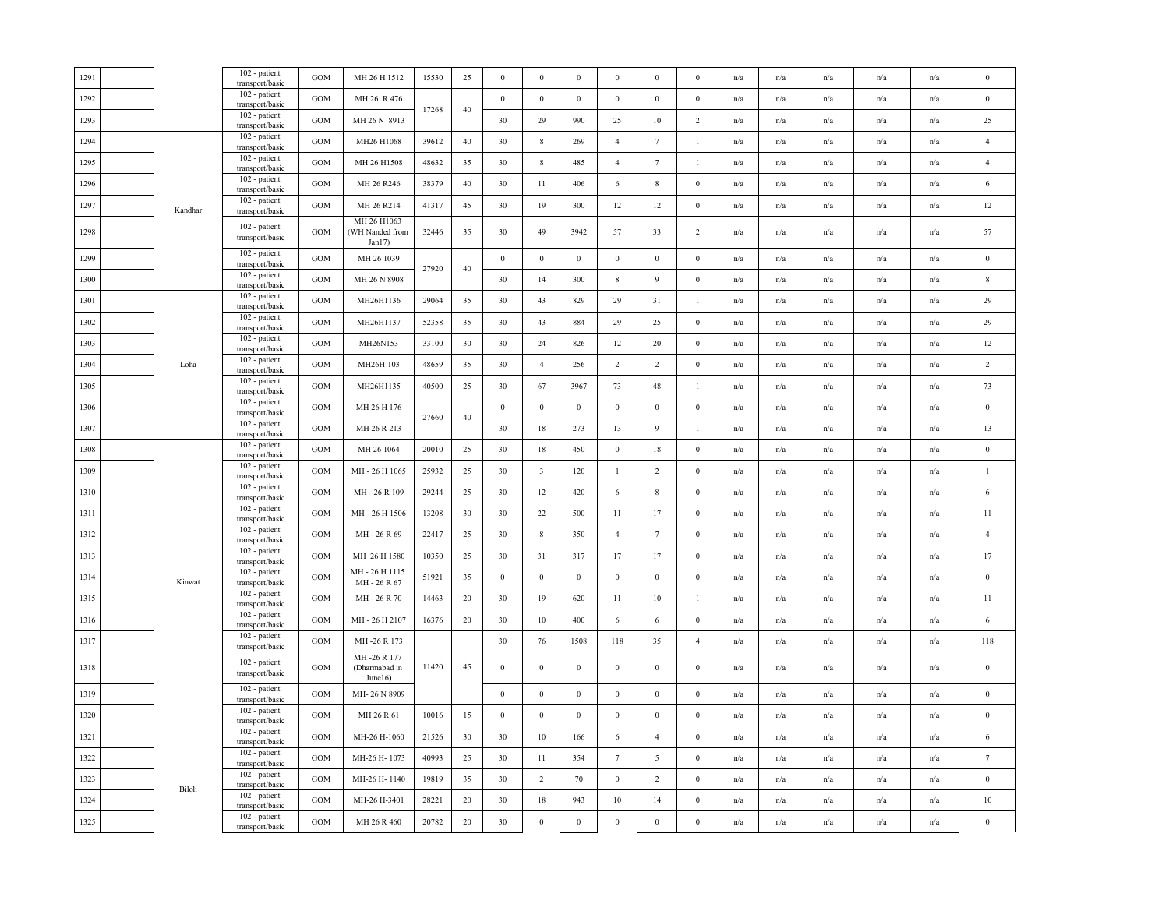|      |         | 102 - patient                    |                   |                                             |       |        |                  |                         |                  |                  |                  |                  |                         |                         |                         |                         |                         |                  |
|------|---------|----------------------------------|-------------------|---------------------------------------------|-------|--------|------------------|-------------------------|------------------|------------------|------------------|------------------|-------------------------|-------------------------|-------------------------|-------------------------|-------------------------|------------------|
| 1291 |         | transport/basic                  | <b>GOM</b>        | MH 26 H 1512                                | 15530 | 25     | $\boldsymbol{0}$ | $\boldsymbol{0}$        | $\boldsymbol{0}$ | $\boldsymbol{0}$ | $\bf{0}$         | $\mathbf{0}$     | n/a                     | n/a                     | n/a                     | n/a                     | n/a                     | $\boldsymbol{0}$ |
| 1292 |         | 102 - patient<br>transport/basic | <b>GOM</b>        | MH 26 R 476                                 | 17268 | 40     | $\boldsymbol{0}$ | $\boldsymbol{0}$        | $\boldsymbol{0}$ | $\,0\,$          | $\boldsymbol{0}$ | $\boldsymbol{0}$ | n/a                     | n/a                     | n/a                     | n/a                     | n/a                     | $\boldsymbol{0}$ |
| 1293 |         | 102 - patient<br>transport/basic | GOM               | MH 26 N 8913                                |       |        | 30               | 29                      | 990              | 25               | $10\,$           | $\overline{2}$   | $\mathrm{n}/\mathrm{a}$ | $\mathrm{n}/\mathrm{a}$ | $\mathrm{n}/\mathrm{a}$ | n/a                     | n/a                     | 25               |
| 1294 |         | 102 - patient<br>transport/basic | $_{\mathrm{GOM}}$ | MH26 H1068                                  | 39612 | 40     | 30               | $\,$ 8 $\,$             | 269              | $\overline{4}$   | $7\phantom{.0}$  | -1               | n/a                     | n/a                     | n/a                     | n/a                     | n/a                     | $\overline{4}$   |
| 1295 |         | 102 - patient<br>transport/basic | GOM               | MH 26 H1508                                 | 48632 | 35     | 30               | $8\,$                   | 485              | $\overline{4}$   | $\tau$           | $\mathbf{1}$     | n/a                     | n/a                     | n/a                     | n/a                     | n/a                     | $\overline{4}$   |
| 1296 |         | 102 - patient<br>transport/basic | GOM               | MH 26 R246                                  | 38379 | 40     | 30               | 11                      | 406              | 6                | $\,$ 8 $\,$      | $\boldsymbol{0}$ | n/a                     | n/a                     | $\mathrm{n}/\mathrm{a}$ | n/a                     | n/a                     | 6                |
| 1297 | Kandhar | 102 - patient<br>transport/basic | GOM               | MH 26 R214                                  | 41317 | 45     | 30               | 19                      | 300              | 12               | 12               | $\mathbf{0}$     | n/a                     | $\mathrm{n}/\mathrm{a}$ | $\mathrm{n}/\mathrm{a}$ | $\mathrm{n}/\mathrm{a}$ | n/a                     | 12               |
| 1298 |         | 102 - patient<br>transport/basic | GOM               | MH 26 H1063<br>(WH Nanded from<br>Jan17)    | 32446 | 35     | 30               | 49                      | 3942             | 57               | 33               | $\overline{c}$   | n/a                     | n/a                     | n/a                     | n/a                     | n/a                     | 57               |
| 1299 |         | 102 - patient<br>transport/basic | GOM               | MH 26 1039                                  |       |        | $\boldsymbol{0}$ | $\,0\,$                 | $\boldsymbol{0}$ | $\,0\,$          | $\boldsymbol{0}$ | $\boldsymbol{0}$ | n/a                     | n/a                     | $\mathrm{n}/\mathrm{a}$ | n/a                     | n/a                     | $\boldsymbol{0}$ |
| 1300 |         | 102 - patient<br>transport/basic | $_{\mathrm{GOM}}$ | MH 26 N 8908                                | 27920 | 40     | 30               | 14                      | 300              | $8\phantom{.0}$  | 9                | $\boldsymbol{0}$ | n/a                     | n/a                     | n/a                     | n/a                     | n/a                     | $\,$ 8 $\,$      |
| 1301 |         | 102 - patient<br>transport/basic | GOM               | MH26H1136                                   | 29064 | 35     | 30               | 43                      | 829              | 29               | 31               | $\mathbf{1}$     | n/a                     | n/a                     | n/a                     | n/a                     | n/a                     | 29               |
| 1302 |         | 102 - patient<br>transport/basic | GOM               | MH26H1137                                   | 52358 | 35     | 30               | 43                      | 884              | 29               | 25               | $\boldsymbol{0}$ | n/a                     | $\mathrm{n}/\mathrm{a}$ | $\mathrm{n}/\mathrm{a}$ | n/a                     | n/a                     | 29               |
| 1303 |         | 102 - patient<br>transport/basic | GOM               | MH26N153                                    | 33100 | 30     | 30               | 24                      | 826              | 12               | 20               | $\boldsymbol{0}$ | n/a                     | $\mathrm{n}/\mathrm{a}$ | $\mathrm{n}/\mathrm{a}$ | n/a                     | n/a                     | 12               |
| 1304 | Loha    | 102 - patient<br>transport/basic | GOM               | MH26H-103                                   | 48659 | 35     | 30               | $\overline{4}$          | 256              | 2                | $\overline{2}$   | $\boldsymbol{0}$ | n/a                     | n/a                     | n/a                     | n/a                     | n/a                     | $\overline{2}$   |
| 1305 |         | 102 - patient<br>transport/basic | <b>GOM</b>        | MH26H1135                                   | 40500 | 25     | 30               | 67                      | 3967             | 73               | $48\,$           | -1               | n/a                     | n/a                     | n/a                     | n/a                     | n/a                     | 73               |
| 1306 |         | 102 - patient<br>transport/basic | <b>GOM</b>        | MH 26 H 176                                 |       |        | $\boldsymbol{0}$ | $\boldsymbol{0}$        | $\bf{0}$         | $\,0\,$          | $\boldsymbol{0}$ | $\boldsymbol{0}$ | n/a                     | n/a                     | n/a                     | n/a                     | n/a                     | $\boldsymbol{0}$ |
| 1307 |         | 102 - patient<br>transport/basic | $_{\mathrm{GOM}}$ | MH 26 R 213                                 | 27660 | 40     | 30               | 18                      | 273              | 13               | 9                | $\mathbf{1}$     | n/a                     | n/a                     | n/a                     | n/a                     | n/a                     | 13               |
| 1308 |         | 102 - patient<br>transport/basic | <b>GOM</b>        | MH 26 1064                                  | 20010 | 25     | 30               | 18                      | 450              | $\,0\,$          | 18               | $\boldsymbol{0}$ | n/a                     | $\mathrm{n}/\mathrm{a}$ | $\mathrm{n}/\mathrm{a}$ | n/a                     | n/a                     | $\boldsymbol{0}$ |
| 1309 |         | 102 - patient<br>transport/basic | <b>GOM</b>        | MH-26 H 1065                                | 25932 | 25     | 30               | $\overline{\mathbf{3}}$ | 120              | $\mathbf{1}$     | $\overline{2}$   | $\boldsymbol{0}$ | n/a                     | n/a                     | n/a                     | n/a                     | n/a                     | $\,1\,$          |
| 1310 |         | 102 - patient<br>transport/basic | GOM               | MH - 26 R 109                               | 29244 | 25     | 30               | 12                      | 420              | 6                | $\,$ 8 $\,$      | $\boldsymbol{0}$ | n/a                     | n/a                     | n/a                     | n/a                     | n/a                     | 6                |
| 1311 |         | 102 - patient<br>transport/basic | <b>GOM</b>        | MH-26 H 1506                                | 13208 | 30     | 30               | 22                      | 500              | 11               | 17               | $\boldsymbol{0}$ | n/a                     | $\mathrm{n}/\mathrm{a}$ | $\mathrm{n}/\mathrm{a}$ | n/a                     | n/a                     | 11               |
| 1312 |         | 102 - patient<br>transport/basic | $_{\mathrm{GOM}}$ | MH-26 R 69                                  | 22417 | 25     | 30               | $8\,$                   | 350              | $\overline{4}$   | $7\phantom{.0}$  | $\boldsymbol{0}$ | n/a                     | n/a                     | $\mathrm{n}/\mathrm{a}$ | n/a                     | n/a                     | $\overline{4}$   |
| 1313 |         | 102 - patient<br>transport/basic | GOM               | MH 26 H 1580                                | 10350 | 25     | 30               | 31                      | 317              | 17               | 17               | $\boldsymbol{0}$ | n/a                     | n/a                     | n/a                     | n/a                     | n/a                     | 17               |
| 1314 | Kinwat  | 102 - patient<br>transport/basic | GOM               | MH-26 H 1115<br>MH-26 R67                   | 51921 | 35     | $\bf{0}$         | $\bf{0}$                | $\mathbf{0}$     | $\mathbf{0}$     | $\bf{0}$         | $\mathbf{0}$     | n/a                     | n/a                     | n/a                     | n/a                     | n/a                     | $\bf{0}$         |
| 1315 |         | 102 - patient<br>transport/basic | GOM               | MH - 26 R 70                                | 14463 | $20\,$ | 30               | 19                      | 620              | $11\,$           | 10               | $\mathbf{1}$     | n/a                     | n/a                     | n/a                     | n/a                     | n/a                     | 11               |
| 1316 |         | 102 - patient<br>transport/basic | $_{\mathrm{GOM}}$ | MH-26 H2107                                 | 16376 | 20     | 30               | 10                      | 400              | 6                | 6                | $\boldsymbol{0}$ | n/a                     | n/a                     | n/a                     | n/a                     | n/a                     | $\,6\,$          |
| 1317 |         | 102 - patient<br>transport/basic | $_{\mathrm{GOM}}$ | MH-26 R 173                                 |       |        | 30               | 76                      | 1508             | 118              | 35               | $\overline{4}$   | n/a                     | n/a                     | n/a                     | n/a                     | n/a                     | 118              |
| 1318 |         | 102 - patient<br>transport/basic | GOM               | MH-26 R 177<br>(Dharmabad in<br>June $16$ ) | 11420 | 45     | $\boldsymbol{0}$ | $\boldsymbol{0}$        | $\boldsymbol{0}$ | $\,0\,$          | $\bf{0}$         | $\boldsymbol{0}$ | n/a                     | n/a                     | n/a                     | n/a                     | n/a                     | $\boldsymbol{0}$ |
| 1319 |         | 102 - patient<br>transport/basic | GOM               | MH-26 N 8909                                |       |        | $\boldsymbol{0}$ | $\boldsymbol{0}$        | $\boldsymbol{0}$ | $\boldsymbol{0}$ | $\boldsymbol{0}$ | $\boldsymbol{0}$ | n/a                     | n/a                     | n/a                     | n/a                     | n/a                     | $\boldsymbol{0}$ |
| 1320 |         | 102 - patient<br>transport/basic | <b>GOM</b>        | MH 26 R 61                                  | 10016 | 15     | $\bf{0}$         | $\mathbf{0}$            | $\bf{0}$         | $\bf{0}$         | $\bf{0}$         | $\mathbf{0}$     | n/a                     | n/a                     | n/a                     | n/a                     | n/a                     | $\bf{0}$         |
| 1321 |         | 102 - patient<br>transport/basic | <b>GOM</b>        | MH-26 H-1060                                | 21526 | 30     | 30               | 10                      | 166              | 6                | $\overline{4}$   | $\mathbf{0}$     | n/a                     | n/a                     | n/a                     | n/a                     | n/a                     | 6                |
| 1322 |         | 102 - patient<br>transport/basic | GOM               | MH-26 H-1073                                | 40993 | 25     | 30               | 11                      | 354              | $7\phantom{.0}$  | 5                | $\boldsymbol{0}$ | n/a                     | n/a                     | $\mathrm{n}/\mathrm{a}$ | n/a                     | n/a                     | $\tau$           |
| 1323 |         | 102 - patient<br>transport/basic | GOM               | MH-26 H-1140                                | 19819 | 35     | 30               | $\overline{2}$          | 70               | $\mathbf{0}$     | $\overline{2}$   | $\mathbf{0}$     | $\mathrm{n}/\mathrm{a}$ | $\mathrm{n}/\mathrm{a}$ | $\mathrm{n}/\mathrm{a}$ | n/a                     | n/a                     | $\boldsymbol{0}$ |
| 1324 | Biloli  | 102 - patient<br>transport/basic | <b>GOM</b>        | MH-26 H-3401                                | 28221 | 20     | 30               | 18                      | 943              | 10               | 14               | $\mathbf{0}$     | n/a                     | n/a                     | n/a                     | n/a                     | n/a                     | $10\,$           |
| 1325 |         | 102 - patient<br>transport/basic | GOM               | MH 26 R 460                                 | 20782 | $20\,$ | 30               | $\,0\,$                 | $\boldsymbol{0}$ | $\,$ 0 $\,$      | $\boldsymbol{0}$ | $\boldsymbol{0}$ | n/a                     | n/a                     | n/a                     | n/a                     | $\mathrm{n}/\mathrm{a}$ | $\boldsymbol{0}$ |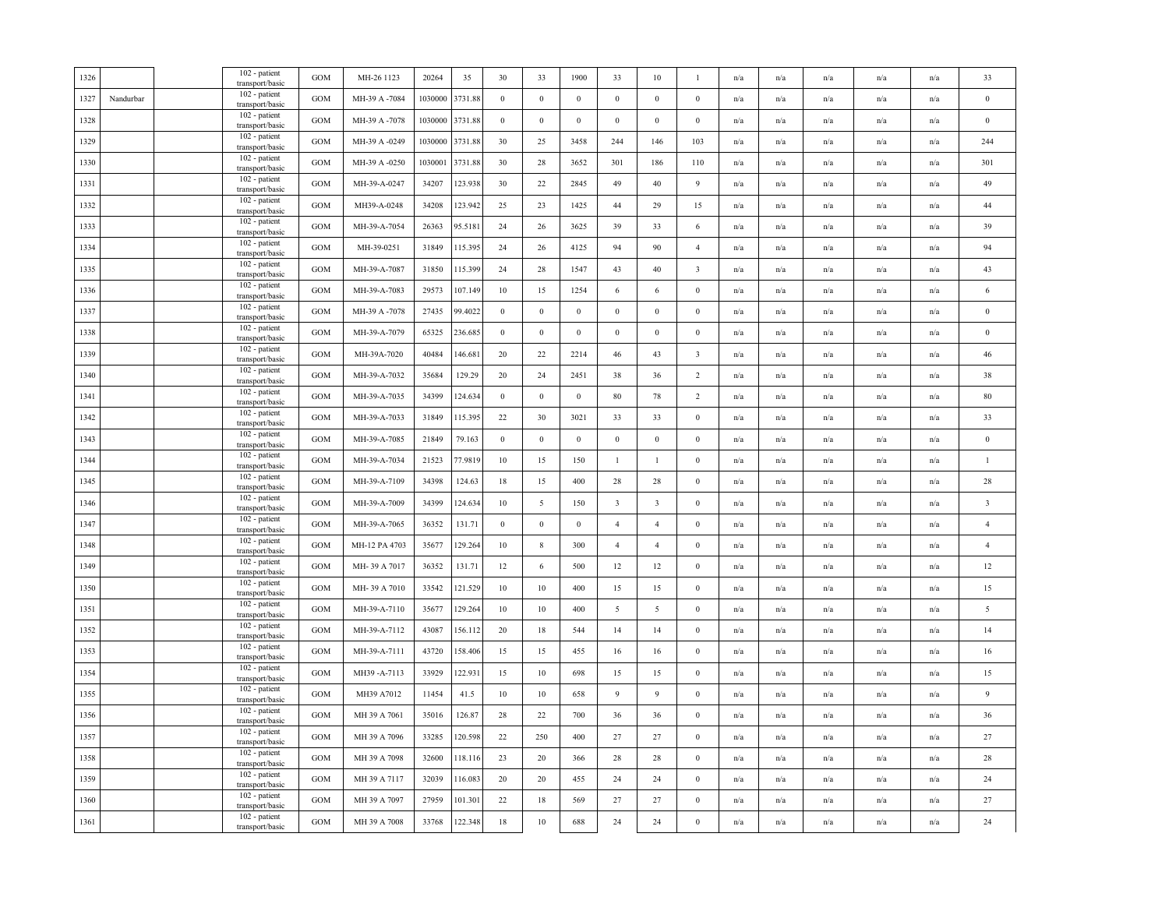| 1326 |           | 102 - patient<br>transport/basic | GOM               | MH-26 1123    | 20264   | 35      | 30               | 33               | 1900             | 33                      | 10                      | $\mathbf{1}$            | n/a                     | n/a                     | n/a                     | n/a                     | n/a                     | 33                      |
|------|-----------|----------------------------------|-------------------|---------------|---------|---------|------------------|------------------|------------------|-------------------------|-------------------------|-------------------------|-------------------------|-------------------------|-------------------------|-------------------------|-------------------------|-------------------------|
| 1327 | Nandurbar | 102 - patient<br>transport/basic | <b>GOM</b>        | MH-39 A -7084 | 1030000 | 3731.88 | $\bf{0}$         | $\bf{0}$         | $\bf{0}$         | $\bf{0}$                | $\bf{0}$                | $\mathbf{0}$            | n/a                     | n/a                     | n/a                     | n/a                     | n/a                     | $\bf{0}$                |
| 1328 |           | 102 - patient<br>transport/basic | GOM               | MH-39 A -7078 | 1030000 | 3731.88 | $\bf{0}$         | $\boldsymbol{0}$ | $\boldsymbol{0}$ | $\boldsymbol{0}$        | $\boldsymbol{0}$        | $\mathbf{0}$            | n/a                     | n/a                     | $\mathrm{n}/\mathrm{a}$ | n/a                     | n/a                     | $\,0\,$                 |
| 1329 |           | 102 - patient<br>transport/basic | GOM               | MH-39 A -0249 | 103000  | 3731.88 | 30               | 25               | 3458             | 244                     | 146                     | 103                     | n/a                     | $\mathrm{n}/\mathrm{a}$ | $\mathrm{n}/\mathrm{a}$ | $\mathrm{n}/\mathrm{a}$ | n/a                     | 244                     |
| 1330 |           | 102 - patient<br>transport/basic | GOM               | MH-39 A -0250 | 103000  | 3731.88 | 30               | 28               | 3652             | 301                     | 186                     | 110                     | n/a                     | n/a                     | n/a                     | n/a                     | n/a                     | 301                     |
| 1331 |           | 102 - patient<br>transport/basic | <b>GOM</b>        | MH-39-A-0247  | 34207   | 123.938 | 30               | 22               | 2845             | 49                      | 40                      | 9                       | n/a                     | n/a                     | n/a                     | n/a                     | n/a                     | 49                      |
| 1332 |           | 102 - patient<br>transport/basic | <b>GOM</b>        | MH39-A-0248   | 34208   | 123.942 | 25               | 23               | 1425             | 44                      | 29                      | 15                      | n/a                     | n/a                     | n/a                     | n/a                     | n/a                     | 44                      |
| 1333 |           | 102 - patient<br>transport/basic | GOM               | MH-39-A-7054  | 26363   | 95.5181 | 24               | 26               | 3625             | 39                      | 33                      | 6                       | n/a                     | n/a                     | $\mathrm{n}/\mathrm{a}$ | $\mathrm{n}/\mathrm{a}$ | $\mathrm{n}/\mathrm{a}$ | 39                      |
| 1334 |           | 102 - patient<br>transport/basic | $_{\rm GOM}$      | MH-39-0251    | 31849   | 115.395 | 24               | 26               | 4125             | 94                      | 90                      | $\overline{4}$          | n/a                     | n/a                     | n/a                     | n/a                     | n/a                     | 94                      |
| 1335 |           | 102 - patient<br>transport/basic | $_{\mathrm{GOM}}$ | MH-39-A-7087  | 31850   | 115.399 | 24               | 28               | 1547             | 43                      | 40                      | $\overline{\mathbf{3}}$ | n/a                     | $\mathrm{n}/\mathrm{a}$ | $\mathrm{n}/\mathrm{a}$ | $\mathrm{n}/\mathrm{a}$ | n/a                     | 43                      |
| 1336 |           | 102 - patient<br>transport/basic | $_{\rm GOM}$      | MH-39-A-7083  | 29573   | 107.149 | 10               | 15               | 1254             | 6                       | 6                       | $\bf{0}$                | n/a                     | n/a                     | n/a                     | n/a                     | n/a                     | 6                       |
| 1337 |           | 102 - patient<br>transport/basic | <b>GOM</b>        | MH-39 A -7078 | 27435   | 99.4022 | $\mathbf{0}$     | $\mathbf{0}$     | $\bf{0}$         | $\bf{0}$                | $\mathbf{0}$            | $\mathbf{0}$            | n/a                     | n/a                     | n/a                     | n/a                     | n/a                     | $\bf{0}$                |
| 1338 |           | 102 - patient<br>transport/basic | GOM               | MH-39-A-7079  | 65325   | 236.685 | $\bf{0}$         | $\boldsymbol{0}$ | $\boldsymbol{0}$ | $\boldsymbol{0}$        | $\boldsymbol{0}$        | $\boldsymbol{0}$        | n/a                     | n/a                     | n/a                     | n/a                     | n/a                     | $\bf{0}$                |
| 1339 |           | 102 - patient<br>transport/basic | GOM               | MH-39A-7020   | 40484   | 146.681 | 20               | 22               | 2214             | 46                      | 43                      | $\overline{\mathbf{3}}$ | n/a                     | n/a                     | n/a                     | n/a                     | n/a                     | 46                      |
| 1340 |           | 102 - patient<br>transport/basic | GOM               | MH-39-A-7032  | 35684   | 129.29  | $20\,$           | 24               | 2451             | 38                      | 36                      | $\overline{2}$          | n/a                     | n/a                     | $\mathrm{n}/\mathrm{a}$ | $\mathrm{n}/\mathrm{a}$ | n/a                     | 38                      |
| 1341 |           | 102 - patient<br>transport/basic | GOM               | MH-39-A-7035  | 34399   | 124.634 | $\boldsymbol{0}$ | $\boldsymbol{0}$ | $\boldsymbol{0}$ | $80\,$                  | 78                      | $\overline{2}$          | n/a                     | n/a                     | $\mathrm{n}/\mathrm{a}$ | n/a                     | n/a                     | $80\,$                  |
| 1342 |           | 102 - patient<br>transport/basic | GOM               | MH-39-A-7033  | 31849   | 115.395 | 22               | 30               | 3021             | 33                      | 33                      | $\boldsymbol{0}$        | n/a                     | n/a                     | n/a                     | n/a                     | n/a                     | 33                      |
| 1343 |           | 102 - patient<br>transport/basic | GOM               | MH-39-A-7085  | 21849   | 79.163  | $\mathbf{0}$     | $\mathbf{0}$     | $\boldsymbol{0}$ | $\bf{0}$                | $\bf{0}$                | $\mathbf{0}$            | n/a                     | n/a                     | n/a                     | n/a                     | n/a                     | $\boldsymbol{0}$        |
| 1344 |           | 102 - patient<br>transport/basic | GOM               | MH-39-A-7034  | 21523   | 77.9819 | $10\,$           | 15               | 150              | $\mathbf{1}$            | $\mathbf{1}$            | $\boldsymbol{0}$        | n/a                     | n/a                     | $\mathrm{n}/\mathrm{a}$ | n/a                     | n/a                     | $\mathbf{1}$            |
| 1345 |           | 102 - patient<br>transport/basic | GOM               | MH-39-A-7109  | 34398   | 124.63  | 18               | 15               | 400              | 28                      | 28                      | $\mathbf{0}$            | $\mathrm{n}/\mathrm{a}$ | n/a                     | $\mathrm{n}/\mathrm{a}$ | $\mathrm{n}/\mathrm{a}$ | n/a                     | $28\,$                  |
| 1346 |           | 102 - patient<br>transport/basic | GOM               | MH-39-A-7009  | 34399   | 124.634 | 10               | 5                | 150              | $\overline{\mathbf{3}}$ | $\overline{\mathbf{3}}$ | $\boldsymbol{0}$        | n/a                     | n/a                     | n/a                     | n/a                     | n/a                     | $\overline{\mathbf{3}}$ |
| 1347 |           | 102 - patient<br>transport/basic | <b>GOM</b>        | MH-39-A-7065  | 36352   | 131.71  | $\mathbf{0}$     | $\boldsymbol{0}$ | $\boldsymbol{0}$ | $\overline{4}$          | $\overline{4}$          | $\boldsymbol{0}$        | n/a                     | n/a                     | $\mathrm{n}/\mathrm{a}$ | $\mathrm{n}/\mathrm{a}$ | n/a                     | $\overline{4}$          |
| 1348 |           | 102 - patient<br>transport/basic | GOM               | MH-12 PA 4703 | 35677   | 129.264 | 10               | $\,$ 8 $\,$      | 300              | $\overline{4}$          | $\overline{4}$          | $\mathbf{0}$            | n/a                     | n/a                     | n/a                     | n/a                     | n/a                     | $\overline{4}$          |
| 1349 |           | 102 - patient<br>transport/basic | GOM               | MH-39 A 7017  | 36352   | 131.71  | 12               | 6                | 500              | 12                      | 12                      | $\mathbf{0}$            | n/a                     | n/a                     | n/a                     | n/a                     | n/a                     | 12                      |
| 1350 |           | 102 - patient<br>transport/basic | $_{\rm GOM}$      | MH-39 A 7010  | 33542   | 121.529 | $10\,$           | 10               | 400              | 15                      | 15                      | $\boldsymbol{0}$        | n/a                     | n/a                     | n/a                     | n/a                     | n/a                     | 15                      |
| 1351 |           | 102 - patient<br>transport/basic | <b>GOM</b>        | MH-39-A-7110  | 35677   | 129.264 | $10\,$           | 10               | 400              | 5                       | 5                       | $\boldsymbol{0}$        | n/a                     | n/a                     | n/a                     | n/a                     | n/a                     | $\sqrt{5}$              |
| 1352 |           | 102 - patient<br>transport/basic | GOM               | MH-39-A-7112  | 43087   | 156.112 | $20\,$           | 18               | 544              | 14                      | 14                      | $\mathbf{0}$            | n/a                     | n/a                     | $\mathrm{n}/\mathrm{a}$ | $\mathbf{n}/\mathbf{a}$ | $\mathbf{n}/\mathbf{a}$ | 14                      |
| 1353 |           | 102 - patient<br>transport/basic | GOM               | MH-39-A-7111  | 43720   | 158.406 | 15               | 15               | 455              | 16                      | 16                      | $\boldsymbol{0}$        | n/a                     | n/a                     | n/a                     | n/a                     | n/a                     | 16                      |
| 1354 |           | 102 - patient<br>transport/basic | <b>GOM</b>        | MH39-A-7113   | 33929   | 122.931 | $15\,$           | $10\,$           | 698              | 15                      | 15                      | $\mathbf{0}$            | n/a                     | n/a                     | n/a                     | n/a                     | n/a                     | 15                      |
| 1355 |           | 102 - patient<br>transport/basic | GOM               | MH39 A7012    | 11454   | 41.5    | 10               | 10               | 658              | 9                       | 9                       | $\mathbf{0}$            | n/a                     | n/a                     | $\mathrm{n}/\mathrm{a}$ | n/a                     | n/a                     | 9                       |
| 1356 |           | 102 - patient<br>transport/basic | <b>GOM</b>        | MH 39 A 7061  | 35016   | 126.87  | 28               | 22               | 700              | 36                      | 36                      | $\mathbf{0}$            | n/a                     | n/a                     | n/a                     | n/a                     | n/a                     | 36                      |
| 1357 |           | 102 - patient<br>transport/basic | $_{\rm GOM}$      | MH 39 A 7096  | 33285   | 120.598 | 22               | 250              | 400              | 27                      | 27                      | $\boldsymbol{0}$        | n/a                     | n/a                     | n/a                     | n/a                     | n/a                     | 27                      |
| 1358 |           | 102 - patient<br>transport/basic | GOM               | MH 39 A 7098  | 32600   | 118.116 | 23               | 20               | 366              | 28                      | 28                      | $\mathbf{0}$            | n/a                     | $\mathrm{n}/\mathrm{a}$ | $\mathrm{n}/\mathrm{a}$ | $\mathbf{n}/\mathbf{a}$ | n/a                     | $28\,$                  |
| 1359 |           | 102 - patient<br>transport/basic | GOM               | MH 39 A 7117  | 32039   | 116.083 | 20               | 20               | 455              | 24                      | 24                      | $\boldsymbol{0}$        | n/a                     | n/a                     | n/a                     | n/a                     | n/a                     | 24                      |
| 1360 |           | 102 - patient<br>transport/basic | $_{\mathrm{GOM}}$ | MH 39 A 7097  | 27959   | 101.301 | $22\,$           | 18               | 569              | 27                      | $27\,$                  | $\boldsymbol{0}$        | n/a                     | n/a                     | n/a                     | n/a                     | n/a                     | 27                      |
| 1361 |           | 102 - patient<br>transport/basic | $_{\mathrm{GOM}}$ | MH 39 A 7008  | 33768   | 122.348 | $18\,$           | $10\,$           | 688              | $24\,$                  | 24                      | $\boldsymbol{0}$        | $\mathrm{n}/\mathrm{a}$ | n/a                     | n/a                     | n/a                     | n/a                     | $24\,$                  |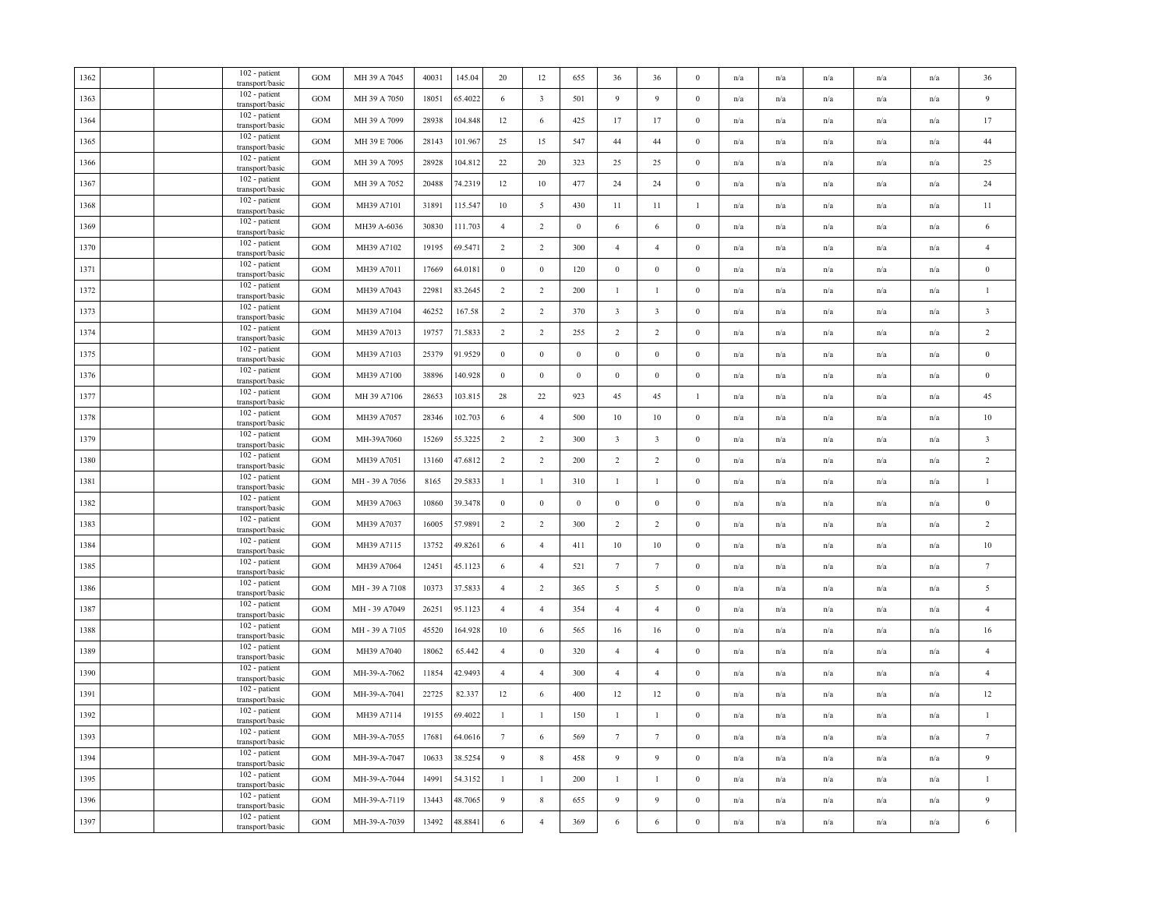| 1362 |  | 102 - patient<br>transport/basic        | GOM               | MH 39 A 7045  | 40031 | 145.04  | 20               | 12                      | 655              | 36                      | 36                      | $\bf{0}$         | n/a | n/a                     | n/a                     | n/a                     | n/a                     | 36                      |
|------|--|-----------------------------------------|-------------------|---------------|-------|---------|------------------|-------------------------|------------------|-------------------------|-------------------------|------------------|-----|-------------------------|-------------------------|-------------------------|-------------------------|-------------------------|
| 1363 |  | 102 - patient<br>transport/basic        | GOM               | MH 39 A 7050  | 18051 | 65.4022 | 6                | $\overline{\mathbf{3}}$ | 501              | 9                       | 9                       | $\mathbf{0}$     | n/a | n/a                     | n/a                     | n/a                     | n/a                     | 9                       |
| 1364 |  | 102 - patient<br>transport/basic        | <b>GOM</b>        | MH 39 A 7099  | 28938 | 104.848 | 12               | 6                       | 425              | 17                      | 17                      | $\bf{0}$         | n/a | $\mathrm{n}/\mathrm{a}$ | $\mathrm{n}/\mathrm{a}$ | $\mathrm{n}/\mathrm{a}$ | n/a                     | 17                      |
| 1365 |  | 102 - patient<br>transport/basic        | GOM               | MH 39 E 7006  | 28143 | 101.967 | 25               | 15                      | 547              | 44                      | 44                      | $\bf{0}$         | n/a | n/a                     | n/a                     | n/a                     | n/a                     | 44                      |
| 1366 |  | 102 - patient<br>transport/basic        | GOM               | MH 39 A 7095  | 28928 | 104.812 | 22               | 20                      | 323              | 25                      | 25                      | $\mathbf{0}$     | n/a | n/a                     | n/a                     | $\mathrm{n}/\mathrm{a}$ | n/a                     | 25                      |
| 1367 |  | 102 - patient<br>transport/basic        | GOM               | MH 39 A 7052  | 20488 | 74.2319 | 12               | 10                      | 477              | 24                      | 24                      | $\mathbf{0}$     | n/a | n/a                     | n/a                     | n/a                     | n/a                     | 24                      |
| 1368 |  | 102 - patient<br>transport/basic        | GOM               | MH39 A7101    | 31891 | 115.547 | 10               | $5\overline{)}$         | 430              | 11                      | 11                      | $\mathbf{1}$     | n/a | n/a                     | n/a                     | n/a                     | $\mathrm{n}/\mathrm{a}$ | 11                      |
| 1369 |  | 102 - patient<br>transport/basic        | GOM               | MH39 A-6036   | 30830 | 111.703 | $\overline{4}$   | $\overline{2}$          | $\boldsymbol{0}$ | 6                       | 6                       | $\mathbf{0}$     | n/a | $\mathrm{n}/\mathrm{a}$ | $\mathrm{n}/\mathrm{a}$ | n/a                     | $\mathrm{n}/\mathrm{a}$ | 6                       |
| 1370 |  | 102 - patient<br>transport/basic        | GOM               | MH39 A7102    | 19195 | 69.5471 | $\overline{2}$   | 2                       | 300              | $\overline{4}$          | $\overline{4}$          | $\mathbf{0}$     | n/a | n/a                     | n/a                     | n/a                     | n/a                     | $\overline{4}$          |
| 1371 |  | 102 - patient<br>transport/basic        | $_{\mathrm{GOM}}$ | MH39 A7011    | 17669 | 64.0181 | $\bf{0}$         | $\bf{0}$                | 120              | $\bf{0}$                | $\bf{0}$                | $\boldsymbol{0}$ | n/a | n/a                     | n/a                     | n/a                     | n/a                     | $\boldsymbol{0}$        |
| 1372 |  | 102 - patient<br>transport/basic        | <b>GOM</b>        | MH39 A7043    | 22981 | 83.2645 | $\overline{2}$   | $\overline{2}$          | 200              | $\mathbf{1}$            | $\mathbf{1}$            | $\mathbf{0}$     | n/a | n/a                     | n/a                     | n/a                     | $\mathrm{n}/\mathrm{a}$ | $\mathbf{1}$            |
| 1373 |  | 102 - patient<br>transport/basic        | GOM               | MH39 A7104    | 46252 | 167.58  | $\overline{2}$   | $\overline{2}$          | 370              | $\overline{\mathbf{3}}$ | $\overline{\mathbf{3}}$ | $\mathbf{0}$     | n/a | n/a                     | n/a                     | n/a                     | $\mathrm{n}/\mathrm{a}$ | $\overline{\mathbf{3}}$ |
| 1374 |  | 102 - patient<br>transport/basic        | GOM               | MH39 A7013    | 19757 | 71.5833 | $\overline{2}$   | 2                       | 255              | $\overline{2}$          | $\overline{2}$          | $\mathbf{0}$     | n/a | n/a                     | n/a                     | $\mathrm{n}/\mathrm{a}$ | $\mathrm{n}/\mathrm{a}$ | $\overline{2}$          |
| 1375 |  | 102 - patient<br>transport/basic        | GOM               | MH39 A7103    | 25379 | 91.9529 | $\boldsymbol{0}$ | $\mathbf{0}$            | $\boldsymbol{0}$ | $\mathbf{0}$            | $\mathbf{0}$            | $\boldsymbol{0}$ | n/a | n/a                     | n/a                     | n/a                     | n/a                     | $\bf{0}$                |
| 1376 |  | 102 - patient<br>transport/basic        | GOM               | MH39 A7100    | 38896 | 140.928 | $\boldsymbol{0}$ | $\,0\,$                 | $\boldsymbol{0}$ | $\boldsymbol{0}$        | $\boldsymbol{0}$        | $\bf{0}$         | n/a | n/a                     | n/a                     | n/a                     | n/a                     | $\boldsymbol{0}$        |
| 1377 |  | 102 - patient<br>transport/basic        | GOM               | MH 39 A7106   | 28653 | 103.815 | 28               | 22                      | 923              | 45                      | 45                      | $\mathbf{1}$     | n/a | n/a                     | n/a                     | n/a                     | n/a                     | 45                      |
| 1378 |  | 102 - patient<br>transport/basic        | GOM               | MH39 A7057    | 28346 | 102.703 | 6                | $\overline{4}$          | 500              | 10                      | 10                      | $\boldsymbol{0}$ | n/a | n/a                     | n/a                     | n/a                     | n/a                     | 10                      |
| 1379 |  | 102 - patient<br>transport/basic        | <b>GOM</b>        | MH-39A7060    | 15269 | 55.3225 | $\overline{2}$   | 2                       | 300              | $\overline{\mathbf{3}}$ | $\overline{\mathbf{3}}$ | $\mathbf{0}$     | n/a | n/a                     | n/a                     | n/a                     | n/a                     | $\overline{\mathbf{3}}$ |
| 1380 |  | 102 - patient<br>transport/basic        | GOM               | MH39 A7051    | 13160 | 47.6812 | $\overline{2}$   | $\overline{2}$          | 200              | $\overline{2}$          | $\overline{2}$          | $\bf{0}$         | n/a | n/a                     | n/a                     | n/a                     | n/a                     | $\overline{2}$          |
| 1381 |  | 102 - patient<br>transport/basic        | GOM               | MH-39 A 7056  | 8165  | 29.5833 | $\mathbf{1}$     | 1                       | 310              | $\mathbf{1}$            | 1                       | $\mathbf{0}$     | n/a | n/a                     | n/a                     | n/a                     | $\mathrm{n}/\mathrm{a}$ | $\mathbf{1}$            |
| 1382 |  | $102$ - patient $\,$<br>transport/basic | <b>GOM</b>        | MH39 A7063    | 10860 | 39.3478 | $\bf{0}$         | $\mathbf{0}$            | $\boldsymbol{0}$ | $\boldsymbol{0}$        | $\mathbf{0}$            | $\mathbf{0}$     | n/a | $\mathrm{n}/\mathrm{a}$ | $\mathrm{n}/\mathrm{a}$ | $\mathrm{n}/\mathrm{a}$ | n/a                     | $\bf{0}$                |
| 1383 |  | 102 - patient<br>transport/basic        | $\rm GOM$         | MH39 A7037    | 16005 | 57.9891 | $\overline{2}$   | 2                       | 300              | $\overline{2}$          | $\overline{2}$          | $\mathbf{0}$     | n/a | n/a                     | $\mathrm{n}/\mathrm{a}$ | n/a                     | n/a                     | $\overline{2}$          |
| 1384 |  | 102 - patient<br>transport/basic        | $\rm GOM$         | MH39 A7115    | 13752 | 49.8261 | 6                | $\overline{4}$          | 411              | $10\,$                  | $10\,$                  | $\mathbf{0}$     | n/a | $\mathrm{n}/\mathrm{a}$ | $\mathrm{n}/\mathrm{a}$ | $\mathrm{n}/\mathrm{a}$ | $\mathrm{n}/\mathrm{a}$ | $10\,$                  |
| 1385 |  | 102 - patient<br>transport/basic        | GOM               | MH39 A7064    | 12451 | 45.1123 | 6                | $\overline{4}$          | 521              | $7\phantom{.0}$         | $\tau$                  | $\bf{0}$         | n/a | n/a                     | n/a                     | n/a                     | n/a                     | $7\phantom{.0}$         |
| 1386 |  | 102 - patient<br>transport/basic        | GOM               | MH-39 A 7108  | 10373 | 37.5833 | $\overline{4}$   | $\overline{2}$          | 365              | 5                       | 5                       | $\bf{0}$         | n/a | n/a                     | n/a                     | n/a                     | n/a                     | $\overline{5}$          |
| 1387 |  | 102 - patient<br>transport/basic        | GOM               | MH - 39 A7049 | 26251 | 95.1123 | $\overline{4}$   | $\overline{4}$          | 354              | $\overline{4}$          | $\overline{4}$          | $\mathbf{0}$     | n/a | n/a                     | n/a                     | n/a                     | n/a                     | $\overline{4}$          |
| 1388 |  | 102 - patient<br>transport/basic        | GOM               | MH-39 A 7105  | 45520 | 164.928 | 10               | 6                       | 565              | 16                      | 16                      | $\mathbf{0}$     | n/a | $\mathrm{n}/\mathrm{a}$ | n/a                     | n/a                     | $\mathrm{n}/\mathrm{a}$ | 16                      |
| 1389 |  | 102 - patient<br>transport/basic        | GOM               | MH39 A7040    | 18062 | 65.442  | $\overline{4}$   | $\,0\,$                 | 320              | $\overline{4}$          | $\overline{4}$          | $\mathbf{0}$     | n/a | n/a                     | n/a                     | n/a                     | n/a                     | $\overline{4}$          |
| 1390 |  | 102 - patient<br>transport/basic        | GOM               | MH-39-A-7062  | 11854 | 42.9493 | $\overline{4}$   | $\overline{4}$          | 300              | $\overline{4}$          | $\overline{4}$          | $\mathbf{0}$     | n/a | n/a                     | n/a                     | n/a                     | n/a                     | $\overline{4}$          |
| 1391 |  | 102 - patient<br>transport/basic        | GOM               | MH-39-A-7041  | 22725 | 82.337  | 12               | 6                       | 400              | 12                      | 12                      | $\mathbf{0}$     | n/a | n/a                     | n/a                     | n/a                     | n/a                     | 12                      |
| 1392 |  | 102 - patient<br>transport/basic        | <b>GOM</b>        | MH39 A7114    | 19155 | 69.4022 | $\mathbf{1}$     | $\mathbf{1}$            | 150              | $\mathbf{1}$            | $\mathbf{1}$            | $\mathbf{0}$     | n/a | n/a                     | n/a                     | n/a                     | n/a                     | $\mathbf{1}$            |
| 1393 |  | 102 - patient<br>transport/basic        | GOM               | MH-39-A-7055  | 17681 | 64.0616 | $7\phantom{.0}$  | 6                       | 569              | $7\phantom{.0}$         | $7\phantom{.0}$         | $\mathbf{0}$     | n/a | n/a                     | n/a                     | n/a                     | $\mathrm{n}/\mathrm{a}$ | $7\phantom{.0}$         |
| 1394 |  | 102 - patient<br>transport/basic        | GOM               | MH-39-A-7047  | 10633 | 38.5254 | 9                | $\,$ 8 $\,$             | 458              | 9                       | 9                       | $\bf{0}$         | n/a | n/a                     | $\mathrm{n}/\mathrm{a}$ | $\mathrm{n}/\mathrm{a}$ | $\mathrm{n}/\mathrm{a}$ | $\overline{9}$          |
| 1395 |  | 102 - patient<br>transport/basic        | GOM               | MH-39-A-7044  | 14991 | 54.3152 | $\mathbf{1}$     | $\mathbf{1}$            | 200              | $\mathbf{1}$            | $\mathbf{1}$            | $\mathbf{0}$     | n/a | n/a                     | n/a                     | n/a                     | n/a                     | $\overline{1}$          |
| 1396 |  | 102 - patient<br>transport/basic        | GOM               | MH-39-A-7119  | 13443 | 48.7065 | 9                | $\,$ 8 $\,$             | 655              | 9                       | $\boldsymbol{9}$        | $\boldsymbol{0}$ | n/a | n/a                     | n/a                     | n/a                     | n/a                     | $\overline{9}$          |
| 1397 |  | 102 - patient<br>transport/basic        | GOM               | MH-39-A-7039  | 13492 | 48.8841 | 6                | $\overline{4}$          | 369              | $\sqrt{6}$              | $\sqrt{6}$              | $\boldsymbol{0}$ | n/a | n/a                     | n/a                     | n/a                     | $\mathrm{n}/\mathrm{a}$ | 6                       |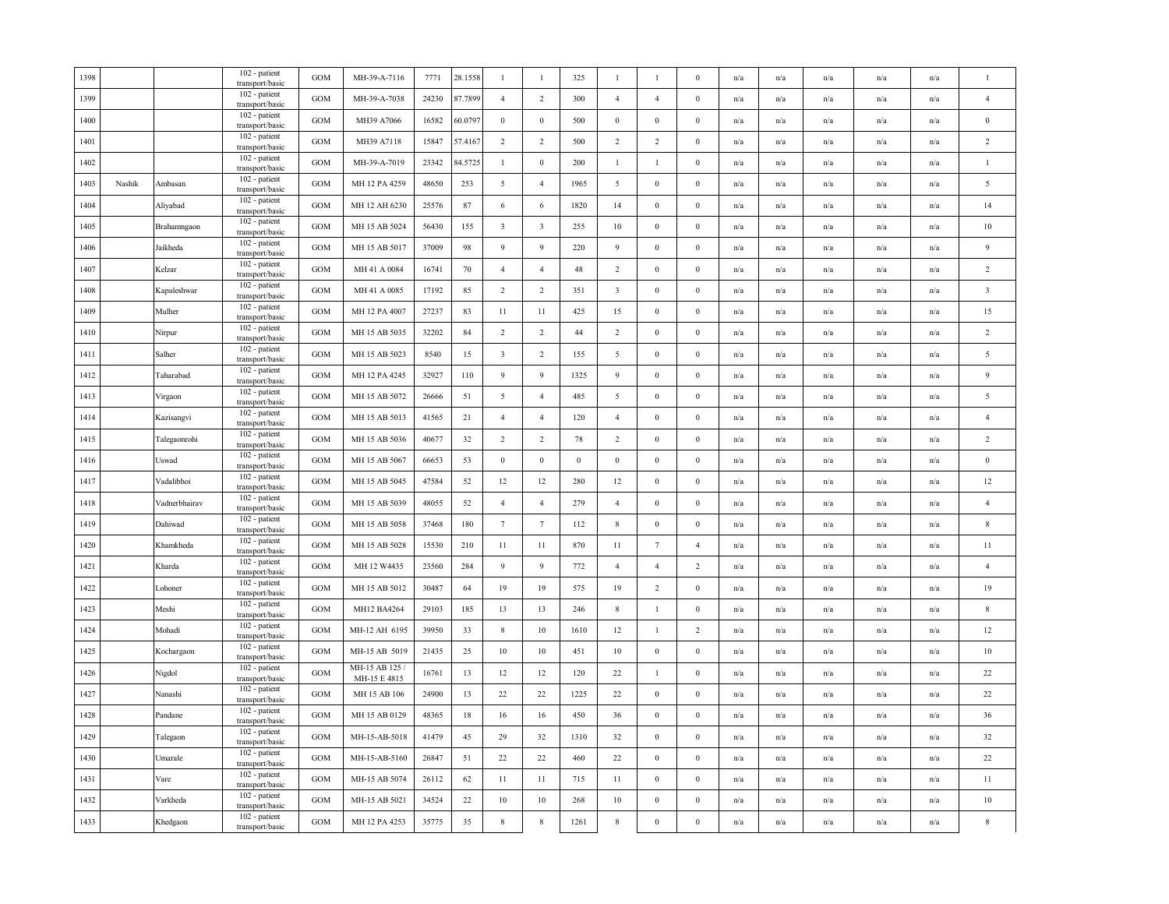| 1398 |        |               | 102 - patient<br>transport/basic | <b>GOM</b>   | MH-39-A-7116                   | 7771  | 28.1558 | $\mathbf{1}$            | $\mathbf{1}$            | 325              | 1                       | $\mathbf{1}$     | $\Omega$         | n/a | n/a                     | n/a                     | n/a                     | n/a                     | $\overline{1}$          |
|------|--------|---------------|----------------------------------|--------------|--------------------------------|-------|---------|-------------------------|-------------------------|------------------|-------------------------|------------------|------------------|-----|-------------------------|-------------------------|-------------------------|-------------------------|-------------------------|
| 1399 |        |               | 102 - patient<br>transport/basic | <b>GOM</b>   | MH-39-A-7038                   | 24230 | 87.7899 | $\overline{4}$          | $\overline{2}$          | 300              | $\overline{4}$          | $\overline{4}$   | $\boldsymbol{0}$ | n/a | n/a                     | n/a                     | n/a                     | n/a                     | $\overline{4}$          |
| 1400 |        |               | 102 - patient<br>transport/basic | <b>GOM</b>   | MH39 A7066                     | 16582 | 60.0797 | $\boldsymbol{0}$        | $\boldsymbol{0}$        | 500              | $\,0\,$                 | $\boldsymbol{0}$ | $\boldsymbol{0}$ | n/a | n/a                     | n/a                     | $\mathrm{n}/\mathrm{a}$ | n/a                     | $\bf{0}$                |
| 1401 |        |               | 102 - patient<br>transport/basic | <b>GOM</b>   | MH39 A7118                     | 15847 | 57.4167 | $\overline{2}$          | $\overline{2}$          | 500              | 2                       | 2                | $\mathbf{0}$     | n/a | n/a                     | n/a                     | n/a                     | n/a                     | $\overline{2}$          |
| 1402 |        |               | 102 - patient<br>transport/basic | <b>GOM</b>   | MH-39-A-7019                   | 23342 | 84.5725 | $\mathbf{1}$            | $\boldsymbol{0}$        | 200              | $\mathbf{1}$            | 1                | $\mathbf{0}$     | n/a | n/a                     | n/a                     | n/a                     | n/a                     | $\mathbf{1}$            |
| 1403 | Nashik | Ambasan       | 102 - patient<br>transport/basic | <b>GOM</b>   | MH 12 PA 4259                  | 48650 | 253     | 5                       | $\overline{4}$          | 1965             | 5                       | $\bf{0}$         | $\bf{0}$         | n/a | n/a                     | n/a                     | n/a                     | n/a                     | $\sqrt{5}$              |
| 1404 |        | Aliyabad      | 102 - patient<br>transport/basic | <b>GOM</b>   | MH 12 AH 6230                  | 25576 | 87      | 6                       | 6                       | 1820             | 14                      | $\bf{0}$         | $\bf{0}$         | n/a | n/a                     | n/a                     | $\mathrm{n}/\mathrm{a}$ | $\mathrm{n}/\mathrm{a}$ | 14                      |
| 1405 |        | Brahamngaon   | 102 - patient<br>transport/basic | <b>GOM</b>   | MH 15 AB 5024                  | 56430 | 155     | $\overline{\mathbf{3}}$ | $\overline{\mathbf{3}}$ | 255              | 10                      | $\boldsymbol{0}$ | $\boldsymbol{0}$ | n/a | n/a                     | n/a                     | n/a                     | n/a                     | $10\,$                  |
| 1406 |        | Jaikheda      | 102 - patient<br>transport/basic | $_{\rm GOM}$ | MH 15 AB 5017                  | 37009 | 98      | 9                       | $\overline{9}$          | 220              | $\overline{9}$          | $\boldsymbol{0}$ | $\boldsymbol{0}$ | n/a | n/a                     | n/a                     | n/a                     | n/a                     | $\overline{9}$          |
| 1407 |        | Kelzar        | 102 - patient<br>transport/basic | <b>GOM</b>   | MH 41 A 0084                   | 16741 | 70      | $\overline{4}$          | $\overline{4}$          | 48               | $\overline{2}$          | $\boldsymbol{0}$ | $\Omega$         | n/a | n/a                     | n/a                     | n/a                     | n/a                     | $\sqrt{2}$              |
| 1408 |        | Kapaleshwar   | 102 - patient<br>transport/basic | <b>GOM</b>   | MH 41 A 0085                   | 17192 | 85      | $\overline{2}$          | 2                       | 351              | $\overline{\mathbf{3}}$ | $\bf{0}$         | $\mathbf{0}$     | n/a | n/a                     | n/a                     | n/a                     | n/a                     | $\overline{\mathbf{3}}$ |
| 1409 |        | Mulher        | 102 - patient<br>transport/basic | $_{\rm GOM}$ | MH 12 PA 4007                  | 27237 | 83      | 11                      | 11                      | 425              | 15                      | $\boldsymbol{0}$ | $\mathbf{0}$     | n/a | n/a                     | n/a                     | n/a                     | n/a                     | 15                      |
| 1410 |        | Nirpur        | 102 - patient<br>transport/basic | <b>GOM</b>   | MH 15 AB 5035                  | 32202 | 84      | 2                       | $\overline{2}$          | 44               | 2                       | $\boldsymbol{0}$ | $\bf{0}$         | n/a | n/a                     | n/a                     | n/a                     | n/a                     | $\overline{2}$          |
| 1411 |        | Salher        | 102 - patient<br>transport/basic | <b>GOM</b>   | MH 15 AB 5023                  | 8540  | 15      | $\overline{\mathbf{3}}$ | $\overline{2}$          | 155              | 5                       | $\boldsymbol{0}$ | $\theta$         | n/a | n/a                     | n/a                     | n/a                     | n/a                     | 5                       |
| 1412 |        | Taharabad     | 102 - patient<br>transport/basic | <b>GOM</b>   | MH 12 PA 4245                  | 32927 | 110     | 9                       | 9                       | 1325             | 9                       | $\bf{0}$         | $\mathbf{0}$     | n/a | n/a                     | n/a                     | n/a                     | n/a                     | 9                       |
| 1413 |        | Virgaon       | 102 - patient<br>transport/basic | <b>GOM</b>   | MH 15 AB 5072                  | 26666 | 51      | 5                       | $\overline{4}$          | 485              | 5                       | $\boldsymbol{0}$ | $\bf{0}$         | n/a | n/a                     | n/a                     | n/a                     | n/a                     | $\sqrt{5}$              |
| 1414 |        | Kazisangvi    | 102 - patient<br>transport/basic | <b>GOM</b>   | MH 15 AB 5013                  | 41565 | 21      | $\overline{4}$          | $\overline{4}$          | 120              | $\overline{4}$          | $\boldsymbol{0}$ | $\bf{0}$         | n/a | n/a                     | $\mathrm{n}/\mathrm{a}$ | $\mathrm{n}/\mathrm{a}$ | n/a                     | $\overline{4}$          |
| 1415 |        | Talegaonrohi  | 102 - patient<br>transport/basic | <b>GOM</b>   | MH 15 AB 5036                  | 40677 | 32      | $\overline{2}$          | $\overline{2}$          | 78               | $\overline{2}$          | $\mathbf{0}$     | $\mathbf{0}$     | n/a | n/a                     | n/a                     | $\mathrm{n}/\mathrm{a}$ | n/a                     | $\overline{2}$          |
| 1416 |        | Uswad         | 102 - patient<br>transport/basic | GOM          | MH 15 AB 5067                  | 66653 | 53      | $\boldsymbol{0}$        | $\boldsymbol{0}$        | $\boldsymbol{0}$ | $\mathbf{0}$            | $\boldsymbol{0}$ | $\bf{0}$         | n/a | n/a                     | n/a                     | n/a                     | n/a                     | $\boldsymbol{0}$        |
| 1417 |        | Vadalibhoi    | 102 - patient<br>transport/basic | <b>GOM</b>   | MH 15 AB 5045                  | 47584 | 52      | 12                      | 12                      | 280              | 12                      | $\bf{0}$         | $\mathbf{0}$     | n/a | n/a                     | n/a                     | n/a                     | n/a                     | 12                      |
| 1418 |        | Vadnerbhairav | 102 - patient<br>transport/basic | <b>GOM</b>   | MH 15 AB 5039                  | 48055 | 52      | $\overline{4}$          | $\overline{4}$          | 279              | $\overline{4}$          | $\bf{0}$         | $\mathbf{0}$     | n/a | $\mathrm{n}/\mathrm{a}$ | n/a                     | $\mathrm{n}/\mathrm{a}$ | n/a                     | $\overline{4}$          |
| 1419 |        | Dahiwad       | 102 - patient<br>transport/basic | $_{\rm GOM}$ | MH 15 AB 5058                  | 37468 | 180     | $7\phantom{.0}$         | $7\phantom{.0}$         | 112              | $\,$ 8 $\,$             | $\boldsymbol{0}$ | $\mathbf{0}$     | n/a | n/a                     | n/a                     | n/a                     | n/a                     | $\,$ 8 $\,$             |
| 1420 |        | Khamkheda     | 102 - patient<br>transport/basic | <b>GOM</b>   | MH 15 AB 5028                  | 15530 | 210     | 11                      | 11                      | 870              | 11                      | $7\phantom{.0}$  | $\overline{4}$   | n/a | $\mathrm{n}/\mathrm{a}$ | n/a                     | n/a                     | $\mathrm{n}/\mathrm{a}$ | 11                      |
| 1421 |        | Kharda        | 102 - patient<br>transport/basic | <b>GOM</b>   | MH 12 W4435                    | 23560 | 284     | 9                       | 9                       | 772              | $\overline{4}$          | $\overline{4}$   | 2                | n/a | n/a                     | n/a                     | n/a                     | n/a                     | $\overline{4}$          |
| 1422 |        | Lohoner       | 102 - patient<br>transport/basic | <b>GOM</b>   | MH 15 AB 5012                  | 30487 | 64      | 19                      | 19                      | 575              | 19                      | $\overline{c}$   | $\mathbf{0}$     | n/a | n/a                     | n/a                     | n/a                     | n/a                     | 19                      |
| 1423 |        | Meshi         | 102 - patient<br>transport/basic | <b>GOM</b>   | MH12 BA4264                    | 29103 | 185     | 13                      | 13                      | 246              | $8\phantom{.0}$         | $\mathbf{1}$     | $\mathbf{0}$     | n/a | n/a                     | n/a                     | n/a                     | n/a                     | $\,$ 8 $\,$             |
| 1424 |        | Mohadi        | 102 - patient<br>transport/basic | <b>GOM</b>   | MH-12 AH 6195                  | 39950 | 33      | 8                       | 10                      | 1610             | 12                      | $\mathbf{1}$     | 2                | n/a | n/a                     | n/a                     | $\mathrm{n}/\mathrm{a}$ | n/a                     | 12                      |
| 1425 |        | Kochargaon    | 102 - patient<br>transport/basic | <b>GOM</b>   | MH-15 AB 5019                  | 21435 | 25      | 10                      | 10                      | 451              | 10                      | $\mathbf{0}$     | $\mathbf{0}$     | n/a | n/a                     | n/a                     | n/a                     | n/a                     | $10\,$                  |
| 1426 |        | Nigdol        | 102 - patient<br>transport/basic | <b>GOM</b>   | MH-15 AB 125 /<br>MH-15 E 4815 | 16761 | 13      | 12                      | 12                      | 120              | 22                      | $\mathbf{1}$     | $\boldsymbol{0}$ | n/a | n/a                     | n/a                     | n/a                     | n/a                     | 22                      |
| 1427 |        | Nanashi       | 102 - patient<br>transport/basic | <b>GOM</b>   | MH 15 AB 106                   | 24900 | 13      | 22                      | 22                      | 1225             | 22                      | $\bf{0}$         | $\mathbf{0}$     | n/a | n/a                     | n/a                     | n/a                     | n/a                     | $22\,$                  |
| 1428 |        | Pandane       | 102 - patient<br>transport/basic | <b>GOM</b>   | MH 15 AB 0129                  | 48365 | 18      | 16                      | 16                      | 450              | 36                      | $\bf{0}$         | $\bf{0}$         | n/a | n/a                     | n/a                     | n/a                     | n/a                     | 36                      |
| 1429 |        | Talegaon      | 102 - patient<br>transport/basic | <b>GOM</b>   | MH-15-AB-5018                  | 41479 | 45      | 29                      | 32                      | 1310             | 32                      | $\bf{0}$         | $\mathbf{0}$     | n/a | n/a                     | $\mathrm{n}/\mathrm{a}$ | n/a                     | n/a                     | 32                      |
| 1430 |        | Umarale       | 102 - patient<br>transport/basic | <b>GOM</b>   | MH-15-AB-5160                  | 26847 | 51      | 22                      | 22                      | 460              | 22                      | $\mathbf{0}$     | $\bf{0}$         | n/a | $\mathrm{n}/\mathrm{a}$ | n/a                     | n/a                     | n/a                     | $22\,$                  |
| 1431 |        | Vare          | 102 - patient<br>transport/basic | <b>GOM</b>   | MH-15 AB 5074                  | 26112 | 62      | 11                      | 11                      | 715              | 11                      | $\mathbf{0}$     | $\theta$         | n/a | n/a                     | n/a                     | n/a                     | n/a                     | 11                      |
| 1432 |        | Varkheda      | 102 - patient<br>transport/basic | <b>GOM</b>   | MH-15 AB 5021                  | 34524 | $22\,$  | $10\,$                  | 10                      | 268              | 10                      | $\boldsymbol{0}$ | $\mathbf{0}$     | n/a | n/a                     | n/a                     | n/a                     | n/a                     | $10\,$                  |
| 1433 |        | Khedgaon      | 102 - patient<br>transport/basic | GOM          | MH 12 PA 4253                  | 35775 | 35      | $\,$ 8 $\,$             | $\,$ 8 $\,$             | 1261             | $\,$ 8 $\,$             | $\boldsymbol{0}$ | $\boldsymbol{0}$ | n/a | n/a                     | n/a                     | n/a                     | $\mathrm{n}/\mathrm{a}$ | $\,$ 8 $\,$             |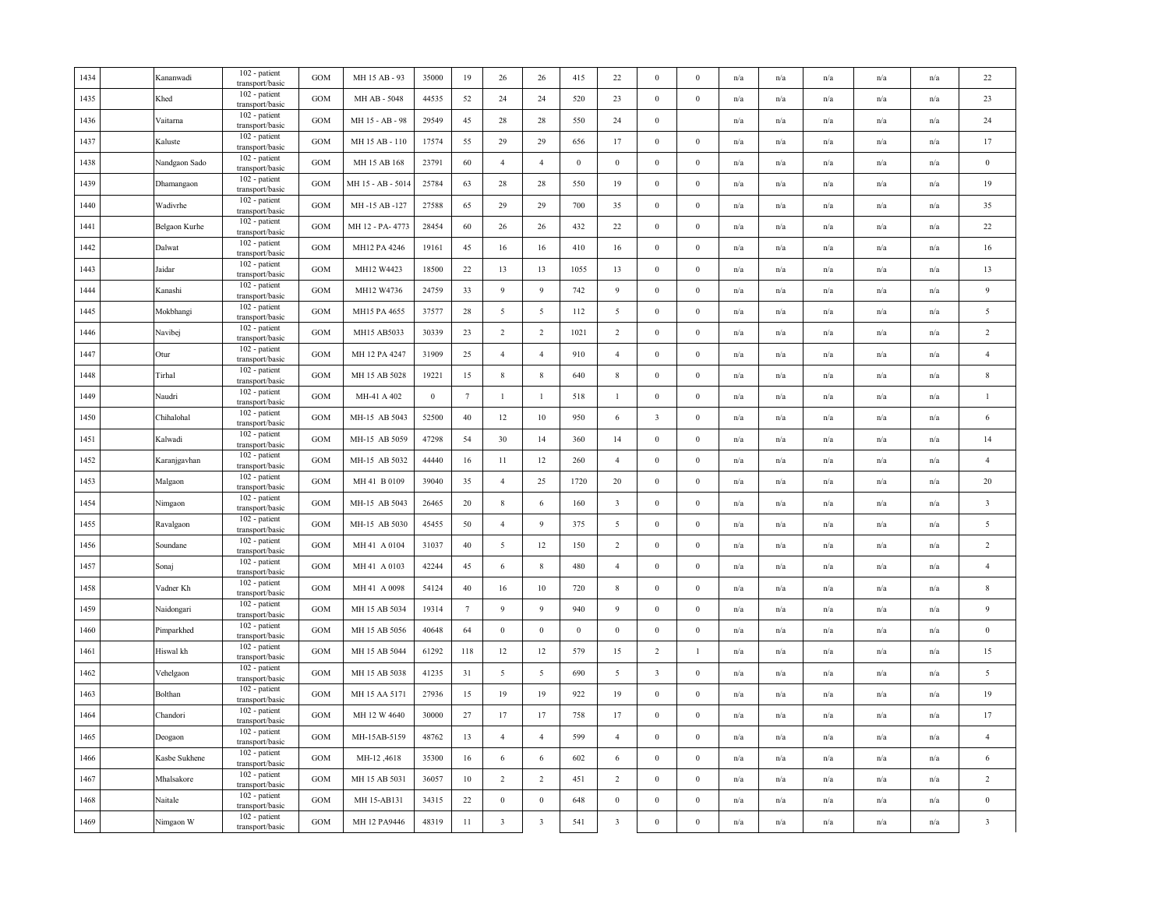| 1434     | Kananwadi     | 102 - patient<br>transport/basic | <b>GOM</b>   | MH 15 AB - 93     | 35000            | 19              | 26                      | 26                      | 415      | $22\,$                  | $\bf{0}$                | $\Omega$         | n/a | n/a                     | n/a                     | n/a                     | n/a                     | 22                      |
|----------|---------------|----------------------------------|--------------|-------------------|------------------|-----------------|-------------------------|-------------------------|----------|-------------------------|-------------------------|------------------|-----|-------------------------|-------------------------|-------------------------|-------------------------|-------------------------|
| 1435     | Khed          | 102 - patient<br>transport/basic | GOM          | MH AB - 5048      | 44535            | 52              | 24                      | 24                      | 520      | 23                      | $\mathbf{0}$            | $\boldsymbol{0}$ | n/a | n/a                     | n/a                     | n/a                     | n/a                     | 23                      |
| 1436     | Vaitarna      | 102 - patient<br>transport/basic | <b>GOM</b>   | MH 15 - AB - 98   | 29549            | 45              | 28                      | 28                      | 550      | 24                      | $\boldsymbol{0}$        |                  | n/a | $\mathrm{n}/\mathrm{a}$ | n/a                     | $\mathrm{n}/\mathrm{a}$ | n/a                     | 24                      |
| 1437     | Kaluste       | 102 - patient<br>transport/basic | GOM          | MH 15 AB - 110    | 17574            | 55              | 29                      | 29                      | 656      | 17                      | $\bf{0}$                | $\bf{0}$         | n/a | n/a                     | n/a                     | n/a                     | n/a                     | 17                      |
| 1438     | Nandgaon Sado | 102 - patient<br>transport/basic | <b>GOM</b>   | MH 15 AB 168      | 23791            | 60              | $\overline{4}$          | $\overline{4}$          | $\bf{0}$ | $\overline{0}$          | $\bf{0}$                | $\mathbf{0}$     | n/a | n/a                     | n/a                     | n/a                     | n/a                     | $\boldsymbol{0}$        |
| 1439     | Dhamangaon    | 102 - patient<br>transport/basic | <b>GOM</b>   | MH 15 - AB - 5014 | 25784            | 63              | 28                      | 28                      | 550      | 19                      | $\bf{0}$                | $\bf{0}$         | n/a | n/a                     | n/a                     | n/a                     | n/a                     | 19                      |
| 1440     | Wadivrhe      | 102 - patient<br>transport/basic | GOM          | MH-15 AB-127      | 27588            | 65              | 29                      | 29                      | 700      | 35                      | $\bf{0}$                | $\bf{0}$         | n/a | n/a                     | n/a                     | $\mathrm{n}/\mathrm{a}$ | $\mathrm{n}/\mathrm{a}$ | 35                      |
| 1441     | Belgaon Kurhe | 102 - patient<br>transport/basic | <b>GOM</b>   | MH 12 - PA- 4773  | 28454            | 60              | 26                      | 26                      | 432      | 22                      | $\boldsymbol{0}$        | $\boldsymbol{0}$ | n/a | n/a                     | n/a                     | n/a                     | n/a                     | 22                      |
| $1442\,$ | Dalwat        | 102 - patient<br>transport/basic | GOM          | MH12 PA 4246      | 19161            | 45              | 16                      | 16                      | 410      | 16                      | $\boldsymbol{0}$        | $\boldsymbol{0}$ | n/a | n/a                     | n/a                     | n/a                     | n/a                     | 16                      |
| 1443     | Jaidar        | 102 - patient<br>transport/basic | <b>GOM</b>   | MH12 W4423        | 18500            | 22              | 13                      | 13                      | 1055     | 13                      | $\boldsymbol{0}$        | $\Omega$         | n/a | n/a                     | n/a                     | n/a                     | n/a                     | 13                      |
| 1444     | Kanashi       | 102 - patient<br>transport/basic | <b>GOM</b>   | MH12 W4736        | 24759            | 33              | 9                       | 9                       | 742      | 9                       | $\bf{0}$                | $\mathbf{0}$     | n/a | n/a                     | n/a                     | n/a                     | n/a                     | 9                       |
| 1445     | Mokbhangi     | 102 - patient<br>transport/basic | $_{\rm GOM}$ | MH15 PA 4655      | 37577            | 28              | $\sqrt{5}$              | 5                       | 112      | 5                       | $\boldsymbol{0}$        | $\mathbf{0}$     | n/a | n/a                     | n/a                     | n/a                     | n/a                     | $\sqrt{5}$              |
| 1446     | Navibej       | 102 - patient<br>transport/basic | GOM          | MH15 AB5033       | 30339            | 23              | $\overline{2}$          | $\overline{2}$          | 1021     | 2                       | $\bf{0}$                | $\bf{0}$         | n/a | n/a                     | n/a                     | n/a                     | $\mathrm{n}/\mathrm{a}$ | $\overline{2}$          |
| 1447     | Otur          | 102 - patient<br>transport/basic | GOM          | MH 12 PA 4247     | 31909            | 25              | $\overline{4}$          | $\overline{4}$          | 910      | $\overline{4}$          | $\boldsymbol{0}$        | $\theta$         | n/a | n/a                     | n/a                     | n/a                     | n/a                     | $\overline{4}$          |
| 1448     | Tirhal        | 102 - patient<br>transport/basic | <b>GOM</b>   | MH 15 AB 5028     | 19221            | 15              | $\,$ 8 $\,$             | $\,$ 8 $\,$             | 640      | $\,$ 8 $\,$             | $\bf{0}$                | $\mathbf{0}$     | n/a | n/a                     | n/a                     | n/a                     | n/a                     | $\,$ 8 $\,$             |
| 1449     | Naudri        | 102 - patient<br>transport/basic | <b>GOM</b>   | MH-41 A 402       | $\boldsymbol{0}$ | $7\phantom{.0}$ | $\mathbf{1}$            | $\mathbf{1}$            | 518      | $\mathbf{1}$            | $\boldsymbol{0}$        | $\bf{0}$         | n/a | n/a                     | n/a                     | n/a                     | n/a                     | $\overline{1}$          |
| 1450     | Chihalohal    | 102 - patient<br>transport/basic | <b>GOM</b>   | MH-15 AB 5043     | 52500            | 40              | 12                      | 10                      | 950      | 6                       | $\overline{\mathbf{3}}$ | $\bf{0}$         | n/a | n/a                     | $\mathrm{n}/\mathrm{a}$ | $\mathrm{n}/\mathrm{a}$ | n/a                     | 6                       |
| 1451     | Kalwadi       | 102 - patient<br>transport/basic | GOM          | MH-15 AB 5059     | 47298            | 54              | 30                      | 14                      | 360      | 14                      | $\mathbf{0}$            | $\mathbf{0}$     | n/a | n/a                     | n/a                     | n/a                     | n/a                     | 14                      |
| 1452     | Karanjgavhan  | 102 - patient<br>transport/basic | GOM          | MH-15 AB 5032     | 44440            | 16              | 11                      | 12                      | 260      | $\overline{4}$          | $\boldsymbol{0}$        | $\bf{0}$         | n/a | n/a                     | n/a                     | n/a                     | n/a                     | $\overline{4}$          |
| 1453     | Malgaon       | 102 - patient<br>transport/basic | <b>GOM</b>   | MH 41 B 0109      | 39040            | 35              | $\overline{4}$          | 25                      | 1720     | 20                      | $\bf{0}$                | $\mathbf{0}$     | n/a | n/a                     | n/a                     | n/a                     | n/a                     | 20                      |
| 1454     | Nimgaon       | 102 - patient<br>transport/basic | <b>GOM</b>   | MH-15 AB 5043     | 26465            | 20              | $\,$ 8 $\,$             | 6                       | 160      | $\overline{\mathbf{3}}$ | $\bf{0}$                | $\bf{0}$         | n/a | $\mathrm{n}/\mathrm{a}$ | n/a                     | $\mathrm{n}/\mathrm{a}$ | $\mathrm{n}/\mathrm{a}$ | $\overline{\mathbf{3}}$ |
| 1455     | Ravalgaon     | 102 - patient<br>transport/basic | $_{\rm GOM}$ | MH-15 AB 5030     | 45455            | 50              | $\overline{4}$          | 9                       | 375      | 5                       | $\boldsymbol{0}$        | $\mathbf{0}$     | n/a | n/a                     | n/a                     | n/a                     | n/a                     | $\sqrt{5}$              |
| 1456     | Soundane      | 102 - patient<br>transport/basic | <b>GOM</b>   | MH 41 A 0104      | 31037            | 40              | $\sqrt{5}$              | 12                      | 150      | $\overline{2}$          | $\boldsymbol{0}$        | $\boldsymbol{0}$ | n/a | $\mathrm{n}/\mathrm{a}$ | n/a                     | n/a                     | $\mathrm{n}/\mathrm{a}$ | $\overline{2}$          |
| 1457     | Sonaj         | 102 - patient<br>transport/basic | <b>GOM</b>   | MH 41 A 0103      | 42244            | 45              | 6                       | $\,$ 8 $\,$             | 480      | $\overline{4}$          | $\bf{0}$                | $\bf{0}$         | n/a | n/a                     | n/a                     | n/a                     | n/a                     | $\overline{4}$          |
| 1458     | Vadner Kh     | 102 - patient<br>transport/basic | <b>GOM</b>   | MH 41 A 0098      | 54124            | 40              | 16                      | 10                      | 720      | $\,$ 8 $\,$             | $\boldsymbol{0}$        | $\mathbf{0}$     | n/a | n/a                     | n/a                     | n/a                     | n/a                     | $\,$ 8 $\,$             |
| 1459     | Naidongari    | 102 - patient<br>transport/basic | <b>GOM</b>   | MH 15 AB 5034     | 19314            | $7\phantom{.0}$ | 9                       | 9                       | 940      | 9                       | $\bf{0}$                | $\mathbf{0}$     | n/a | n/a                     | n/a                     | n/a                     | n/a                     | $\overline{9}$          |
| 1460     | Pimparkhed    | 102 - patient<br>transport/basic | <b>GOM</b>   | MH 15 AB 5056     | 40648            | 64              | $\bf{0}$                | $\boldsymbol{0}$        | $\bf{0}$ | $\bf{0}$                | $\bf{0}$                | $\bf{0}$         | n/a | $\mathrm{n}/\mathrm{a}$ | n/a                     | $\mathrm{n}/\mathrm{a}$ | n/a                     | $\bf{0}$                |
| 1461     | Hiswal kh     | 102 - patient<br>transport/basic | GOM          | MH 15 AB 5044     | 61292            | 118             | 12                      | 12                      | 579      | 15                      | 2                       | $\mathbf{1}$     | n/a | n/a                     | n/a                     | n/a                     | n/a                     | 15                      |
| 1462     | Vehelgaon     | 102 - patient<br>transport/basic | GOM          | MH 15 AB 5038     | 41235            | 31              | $\sqrt{5}$              | 5                       | 690      | $\overline{5}$          | $\overline{\mathbf{3}}$ | $\boldsymbol{0}$ | n/a | n/a                     | n/a                     | n/a                     | n/a                     | $\sqrt{5}$              |
| 1463     | Bolthan       | 102 - patient<br>transport/basic | <b>GOM</b>   | MH 15 AA 5171     | 27936            | 15              | 19                      | 19                      | 922      | 19                      | $\bf{0}$                | $\mathbf{0}$     | n/a | n/a                     | n/a                     | n/a                     | n/a                     | 19                      |
| 1464     | Chandori      | 102 - patient<br>transport/basic | <b>GOM</b>   | MH 12 W 4640      | 30000            | 27              | 17                      | 17                      | 758      | 17                      | $\bf{0}$                | $\bf{0}$         | n/a | n/a                     | $\mathbf{n}/\mathbf{a}$ | n/a                     | n/a                     | 17                      |
| 1465     | Deogaon       | 102 - patient<br>transport/basic | <b>GOM</b>   | MH-15AB-5159      | 48762            | 13              | $\overline{4}$          | $\overline{4}$          | 599      | $\overline{4}$          | $\mathbf{0}$            | $\mathbf{0}$     | n/a | n/a                     | n/a                     | n/a                     | n/a                     | $\overline{4}$          |
| 1466     | Kasbe Sukhene | 102 - patient<br>transport/basic | GOM          | MH-12,4618        | 35300            | 16              | $\sqrt{6}$              | 6                       | 602      | 6                       | $\mathbf{0}$            | $\bf{0}$         | n/a | $\mathrm{n}/\mathrm{a}$ | n/a                     | n/a                     | n/a                     | 6                       |
| 1467     | Mhalsakore    | 102 - patient<br>transport/basic | <b>GOM</b>   | MH 15 AB 5031     | 36057            | 10              | $\overline{2}$          | $\overline{2}$          | 451      | $\overline{2}$          | $\mathbf{0}$            | $\theta$         | n/a | n/a                     | n/a                     | n/a                     | n/a                     | $\overline{2}$          |
| 1468     | Naitale       | 102 - patient<br>transport/basic | <b>GOM</b>   | MH 15-AB131       | 34315            | 22              | $\boldsymbol{0}$        | $\boldsymbol{0}$        | 648      | $\,0\,$                 | $\boldsymbol{0}$        | $\mathbf{0}$     | n/a | n/a                     | n/a                     | n/a                     | n/a                     | $\,0\,$                 |
| 1469     | Nimgaon W     | 102 - patient<br>transport/basic | GOM          | MH 12 PA9446      | 48319            | $11\,$          | $\overline{\mathbf{3}}$ | $\overline{\mathbf{3}}$ | 541      | $\overline{\mathbf{3}}$ | $\boldsymbol{0}$        | $\boldsymbol{0}$ | n/a | n/a                     | n/a                     | n/a                     | n/a                     | $\overline{\mathbf{3}}$ |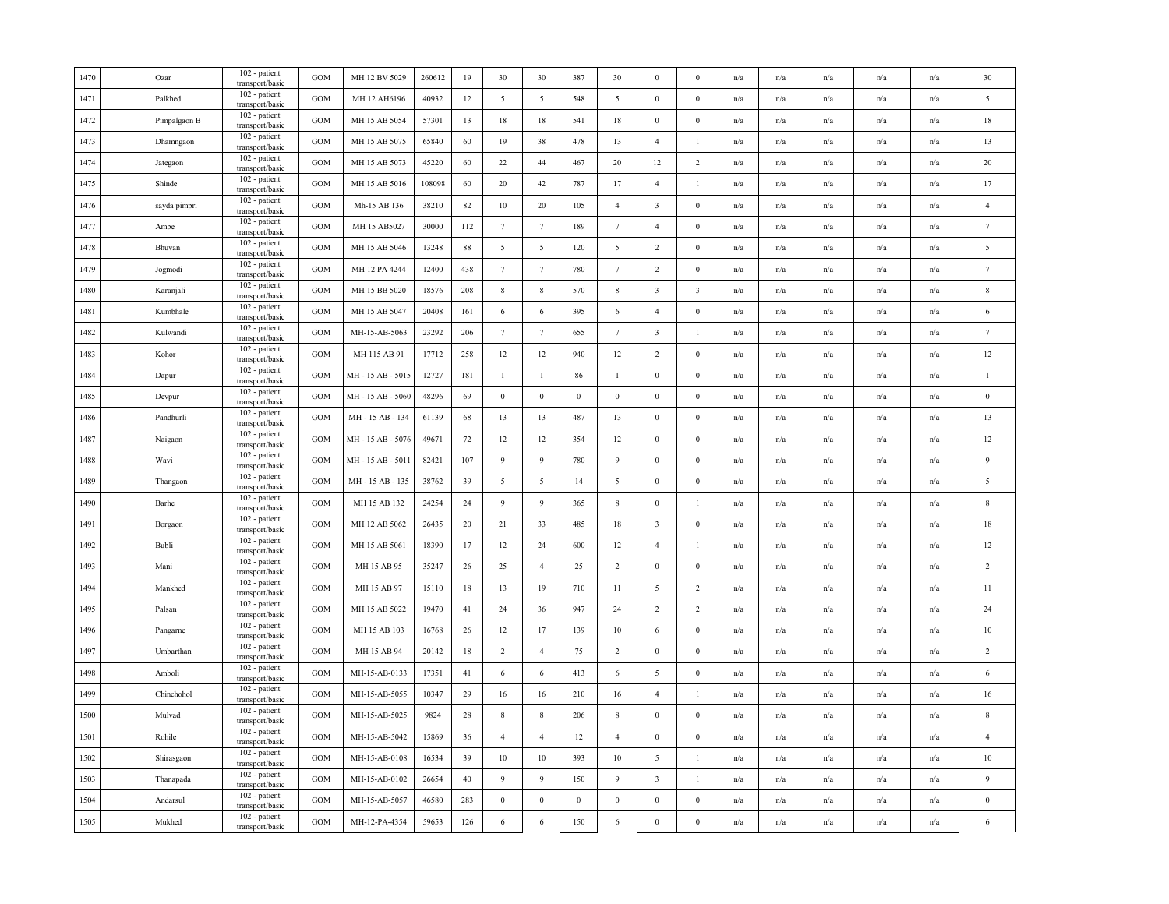| 1470 | Ozar         | 102 - patient<br>transport/basic | <b>GOM</b> | MH 12 BV 5029     | 260612 | 19     | 30               | 30              | 387              | 30                       | $\mathbf{0}$            | $\mathbf{0}$            | n/a | n/a                     | n/a                     | n/a                     | n/a | 30               |
|------|--------------|----------------------------------|------------|-------------------|--------|--------|------------------|-----------------|------------------|--------------------------|-------------------------|-------------------------|-----|-------------------------|-------------------------|-------------------------|-----|------------------|
| 1471 | Palkhed      | 102 - patient<br>transport/basic | GOM        | MH 12 AH6196      | 40932  | 12     | $\sqrt{5}$       | 5               | 548              | 5                        | $\mathbf{0}$            | $\boldsymbol{0}$        | n/a | n/a                     | n/a                     | n/a                     | n/a | $\overline{5}$   |
| 1472 | Pimpalgaon B | 102 - patient<br>transport/basic | <b>GOM</b> | MH 15 AB 5054     | 57301  | 13     | 18               | 18              | 541              | 18                       | $\boldsymbol{0}$        | $\boldsymbol{0}$        | n/a | $\mathrm{n}/\mathrm{a}$ | $\mathrm{n}/\mathrm{a}$ | n/a                     | n/a | 18               |
| 1473 | Dhamngaon    | 102 - patient<br>transport/basic | GOM        | MH 15 AB 5075     | 65840  | 60     | 19               | 38              | 478              | 13                       | $\overline{4}$          | $\mathbf{1}$            | n/a | n/a                     | n/a                     | n/a                     | n/a | 13               |
| 1474 | Jategaon     | 102 - patient<br>transport/basic | GOM        | MH 15 AB 5073     | 45220  | 60     | 22               | 44              | 467              | 20                       | 12                      | $\overline{c}$          | n/a | n/a                     | n/a                     | n/a                     | n/a | 20               |
| 1475 | Shinde       | 102 - patient<br>transport/basic | <b>GOM</b> | MH 15 AB 5016     | 108098 | 60     | 20               | 42              | 787              | 17                       | $\overline{4}$          | $\mathbf{1}$            | n/a | n/a                     | n/a                     | n/a                     | n/a | 17               |
| 1476 | sayda pimpri | 102 - patient<br>transport/basic | GOM        | Mh-15 AB 136      | 38210  | 82     | 10               | 20              | 105              | $\overline{4}$           | $\overline{\mathbf{3}}$ | $\mathbf{0}$            | n/a | n/a                     | n/a                     | n/a                     | n/a | $\overline{4}$   |
| 1477 | Ambe         | 102 - patient<br>transport/basic | GOM        | MH 15 AB5027      | 30000  | 112    | $\tau$           | $7\phantom{.0}$ | 189              | $7\phantom{.0}$          | $\overline{4}$          | $\boldsymbol{0}$        | n/a | n/a                     | $\mathrm{n}/\mathrm{a}$ | n/a                     | n/a | $7\phantom{.0}$  |
| 1478 | Bhuvan       | 102 - patient<br>transport/basic | GOM        | MH 15 AB 5046     | 13248  | 88     | $\sqrt{5}$       | $\overline{5}$  | 120              | $\overline{\phantom{0}}$ | $\sqrt{2}$              | $\boldsymbol{0}$        | n/a | n/a                     | n/a                     | n/a                     | n/a | 5                |
| 1479 | Jogmodi      | 102 - patient<br>transport/basic | GOM        | MH 12 PA 4244     | 12400  | 438    | $\tau$           | $7\phantom{.0}$ | 780              | $7\phantom{.0}$          | $\overline{c}$          | $\boldsymbol{0}$        | n/a | n/a                     | n/a                     | n/a                     | n/a | $7\phantom{.0}$  |
| 1480 | Karanjali    | 102 - patient<br>transport/basic | GOM        | MH 15 BB 5020     | 18576  | 208    | 8                | 8               | 570              | 8                        | $\overline{\mathbf{3}}$ | $\overline{\mathbf{3}}$ | n/a | n/a                     | n/a                     | n/a                     | n/a | 8                |
| 1481 | Kumbhale     | 102 - patient<br>transport/basic | GOM        | MH 15 AB 5047     | 20408  | 161    | 6                | 6               | 395              | 6                        | $\overline{4}$          | $\mathbf{0}$            | n/a | n/a                     | n/a                     | n/a                     | n/a | 6                |
| 1482 | Kulwandi     | 102 - patient<br>transport/basic | GOM        | MH-15-AB-5063     | 23292  | 206    | $7\phantom{.0}$  | $7\phantom{.0}$ | 655              | $7\phantom{.0}$          | $\overline{\mathbf{3}}$ | $\mathbf{I}$            | n/a | $\mathrm{n}/\mathrm{a}$ | $\mathrm{n}/\mathrm{a}$ | $\mathrm{n}/\mathrm{a}$ | n/a | $\overline{7}$   |
| 1483 | Kohor        | 102 - patient<br>transport/basic | GOM        | MH 115 AB 91      | 17712  | 258    | 12               | 12              | 940              | 12                       | $\overline{2}$          | $\boldsymbol{0}$        | n/a | n/a                     | n/a                     | n/a                     | n/a | 12               |
| 1484 | Dapur        | 102 - patient<br>transport/basic | GOM        | MH - 15 AB - 5015 | 12727  | 181    | $\mathbf{1}$     | $\mathbf{1}$    | 86               | $\mathbf{1}$             | $\boldsymbol{0}$        | $\boldsymbol{0}$        | n/a | n/a                     | n/a                     | n/a                     | n/a | $\overline{1}$   |
| 1485 | Devpur       | 102 - patient<br>transport/basic | <b>GOM</b> | MH - 15 AB - 5060 | 48296  | 69     | $\boldsymbol{0}$ | $\,0\,$         | $\,0\,$          | $\bf{0}$                 | $\boldsymbol{0}$        | $\boldsymbol{0}$        | n/a | n/a                     | n/a                     | n/a                     | n/a | $\boldsymbol{0}$ |
| 1486 | Pandhurli    | 102 - patient<br>transport/basic | <b>GOM</b> | MH - 15 AB - 134  | 61139  | 68     | 13               | 13              | 487              | 13                       | $\boldsymbol{0}$        | $\mathbf{0}$            | n/a | $\mathrm{n}/\mathrm{a}$ | $\mathrm{n}/\mathrm{a}$ | n/a                     | n/a | 13               |
| 1487 | Naigaon      | 102 - patient<br>transport/basic | GOM        | MH - 15 AB - 5076 | 49671  | 72     | $12 \,$          | 12              | 354              | 12                       | $\boldsymbol{0}$        | $\boldsymbol{0}$        | n/a | n/a                     | $\mathrm{n}/\mathrm{a}$ | $\mathrm{n}/\mathrm{a}$ | n/a | 12               |
| 1488 | Wavi         | 102 - patient<br>transport/basic | GOM        | MH - 15 AB - 5011 | 82421  | 107    | 9                | $\overline{9}$  | 780              | 9                        | $\boldsymbol{0}$        | $\boldsymbol{0}$        | n/a | n/a                     | n/a                     | n/a                     | n/a | $\overline{9}$   |
| 1489 | Thangaon     | 102 - patient<br>transport/basic | GOM        | MH - 15 AB - 135  | 38762  | 39     | 5                | 5               | 14               | 5                        | $\boldsymbol{0}$        | $\boldsymbol{0}$        | n/a | n/a                     | n/a                     | n/a                     | n/a | $\overline{5}$   |
| 1490 | Barhe        | 102 - patient<br>transport/basic | GOM        | MH 15 AB 132      | 24254  | 24     | 9                | 9               | 365              | 8                        | $\boldsymbol{0}$        | $\mathbf{1}$            | n/a | n/a                     | n/a                     | n/a                     | n/a | $\,$ 8           |
| 1491 | Borgaon      | 102 - patient<br>transport/basic | GOM        | MH 12 AB 5062     | 26435  | $20\,$ | 21               | 33              | 485              | 18                       | $\overline{\mathbf{3}}$ | $\boldsymbol{0}$        | n/a | n/a                     | n/a                     | n/a                     | n/a | 18               |
| 1492 | Bubli        | 102 - patient<br>transport/basic | GOM        | MH 15 AB 5061     | 18390  | 17     | $12 \,$          | 24              | 600              | 12                       | $\overline{4}$          | $\mathbf{1}$            | n/a | $\mathrm{n}/\mathrm{a}$ | $\mathrm{n}/\mathrm{a}$ | $\mathrm{n}/\mathrm{a}$ | n/a | 12               |
| 1493 | Mani         | 102 - patient<br>transport/basic | GOM        | MH 15 AB 95       | 35247  | 26     | 25               | $\overline{4}$  | 25               | 2                        | $\bf{0}$                | $\bf{0}$                | n/a | n/a                     | n/a                     | n/a                     | n/a | 2                |
| 1494 | Mankhed      | 102 - patient<br>transport/basic | GOM        | MH 15 AB 97       | 15110  | 18     | 13               | 19              | 710              | 11                       | 5                       | $\overline{c}$          | n/a | n/a                     | n/a                     | n/a                     | n/a | 11               |
| 1495 | Palsan       | 102 - patient<br>transport/basic | <b>GOM</b> | MH 15 AB 5022     | 19470  | 41     | 24               | 36              | 947              | 24                       | $\overline{2}$          | $\overline{c}$          | n/a | n/a                     | n/a                     | n/a                     | n/a | 24               |
| 1496 | Pangarne     | 102 - patient<br>transport/basic | GOM        | MH 15 AB 103      | 16768  | 26     | 12               | 17              | 139              | 10                       | 6                       | $\mathbf{0}$            | n/a | n/a                     | n/a                     | n/a                     | n/a | 10               |
| 1497 | Umbarthan    | 102 - patient<br>transport/basic | GOM        | MH 15 AB 94       | 20142  | 18     | $\overline{2}$   | $\overline{4}$  | 75               | 2                        | $\mathbf{0}$            | $\boldsymbol{0}$        | n/a | n/a                     | n/a                     | n/a                     | n/a | 2                |
| 1498 | Amboli       | 102 - patient<br>transport/basic | GOM        | MH-15-AB-0133     | 17351  | 41     | $\sqrt{6}$       | 6               | 413              | 6                        | $\overline{5}$          | $\boldsymbol{0}$        | n/a | n/a                     | n/a                     | n/a                     | n/a | $\sqrt{6}$       |
| 1499 | Chinchohol   | 102 - patient<br>transport/basic | GOM        | MH-15-AB-5055     | 10347  | 29     | 16               | 16              | 210              | 16                       | $\overline{4}$          | $\mathbf{1}$            | n/a | n/a                     | n/a                     | n/a                     | n/a | 16               |
| 1500 | Mulvad       | 102 - patient<br>transport/basic | <b>GOM</b> | MH-15-AB-5025     | 9824   | 28     | $\,$ 8 $\,$      | 8               | 206              | 8                        | $\mathbf{0}$            | $\mathbf{0}$            | n/a | n/a                     | n/a                     | n/a                     | n/a | 8                |
| 1501 | Rohile       | 102 - patient<br>transport/basic | <b>GOM</b> | MH-15-AB-5042     | 15869  | 36     | $\overline{4}$   | $\overline{4}$  | 12               | $\overline{4}$           | $\boldsymbol{0}$        | $\boldsymbol{0}$        | n/a | n/a                     | $\mathrm{n}/\mathrm{a}$ | n/a                     | n/a | $\overline{4}$   |
| 1502 | Shirasgaon   | 102 - patient<br>transport/basic | GOM        | MH-15-AB-0108     | 16534  | 39     | 10               | 10              | 393              | 10                       | 5                       | $\mathbf{I}$            | n/a | $\mathrm{n}/\mathrm{a}$ | $\mathrm{n}/\mathrm{a}$ | $\mathrm{n}/\mathrm{a}$ | n/a | $10\,$           |
| 1503 | Thanapada    | 102 - patient<br>transport/basic | GOM        | MH-15-AB-0102     | 26654  | 40     | 9                | 9               | 150              | 9                        | $\overline{\mathbf{3}}$ | $\mathbf{1}$            | n/a | n/a                     | n/a                     | n/a                     | n/a | 9                |
| 1504 | Andarsul     | 102 - patient<br>transport/basic | GOM        | MH-15-AB-5057     | 46580  | 283    | $\boldsymbol{0}$ | $\,0\,$         | $\boldsymbol{0}$ | $\boldsymbol{0}$         | $\boldsymbol{0}$        | $\boldsymbol{0}$        | n/a | n/a                     | n/a                     | n/a                     | n/a | $\boldsymbol{0}$ |
| 1505 | Mukhed       | 102 - patient<br>transport/basic | GOM        | MH-12-PA-4354     | 59653  | 126    | $\sqrt{6}$       | $\sqrt{6}$      | 150              | 6                        | $\boldsymbol{0}$        | $\boldsymbol{0}$        | n/a | n/a                     | n/a                     | n/a                     | n/a | 6                |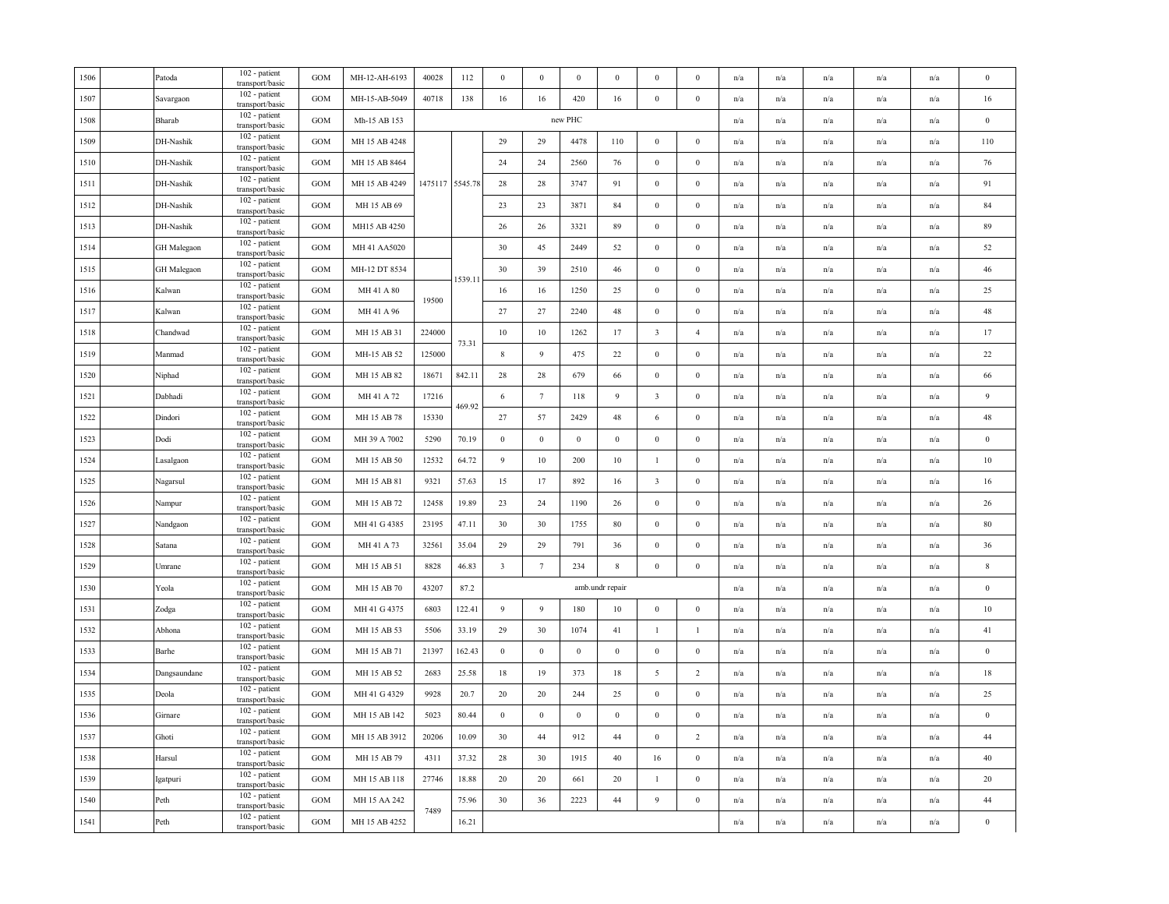| 1506 | Patoda             | 102 - patient<br>transport/basic | GOM        | MH-12-AH-6193 | 40028   | 112     | $\boldsymbol{0}$ | $\bf{0}$         | $\mathbf{0}$     | $\bf{0}$        | $\mathbf{0}$            | $\Omega$         | n/a | n/a                     | n/a                     | n/a                     | n/a                     | $\mathbf{0}$     |
|------|--------------------|----------------------------------|------------|---------------|---------|---------|------------------|------------------|------------------|-----------------|-------------------------|------------------|-----|-------------------------|-------------------------|-------------------------|-------------------------|------------------|
| 1507 | Savargaon          | 102 - patient<br>transport/basic | <b>GOM</b> | MH-15-AB-5049 | 40718   | 138     | 16               | 16               | 420              | 16              | $\bf{0}$                | $\bf{0}$         | n/a | n/a                     | n/a                     | n/a                     | n/a                     | 16               |
| 1508 | Bharab             | 102 - patient<br>transport/basic | <b>GOM</b> | Mh-15 AB 153  |         |         |                  |                  | new PHC          |                 |                         |                  | n/a | n/a                     | n/a                     | n/a                     | n/a                     | $\,0\,$          |
| 1509 | DH-Nashik          | 102 - patient<br>transport/basic | <b>GOM</b> | MH 15 AB 4248 |         |         | 29               | 29               | 4478             | 110             | $\boldsymbol{0}$        | $\boldsymbol{0}$ | n/a | n/a                     | n/a                     | n/a                     | n/a                     | 110              |
| 1510 | DH-Nashik          | 102 - patient<br>transport/basic | <b>GOM</b> | MH 15 AB 8464 |         |         | 24               | 24               | 2560             | 76              | $\bf{0}$                | $\bf{0}$         | n/a | n/a                     | n/a                     | n/a                     | n/a                     | 76               |
| 1511 | DH-Nashik          | 102 - patient<br>transport/basic | GOM        | MH 15 AB 4249 | 1475117 | 5545.78 | 28               | 28               | 3747             | 91              | $\mathbf{0}$            | $\mathbf{0}$     | n/a | n/a                     | n/a                     | $\mathrm{n}/\mathrm{a}$ | n/a                     | 91               |
| 1512 | DH-Nashik          | 102 - patient<br>transport/basic | GOM        | MH 15 AB 69   |         |         | 23               | 23               | 3871             | 84              | $\boldsymbol{0}$        | $\bf{0}$         | n/a | n/a                     | n/a                     | n/a                     | n/a                     | 84               |
| 1513 | DH-Nashik          | 102 - patient<br>transport/basic | <b>GOM</b> | MH15 AB 4250  |         |         | 26               | 26               | 3321             | 89              | $\bf{0}$                | $\bf{0}$         | n/a | n/a                     | n/a                     | $\mathrm{n}/\mathrm{a}$ | $\mathrm{n}/\mathrm{a}$ | 89               |
| 1514 | GH Malegaon        | 102 - patient<br>transport/basic | <b>GOM</b> | MH 41 AA5020  |         |         | 30               | 45               | 2449             | 52              | $\bf{0}$                | $\mathbf{0}$     | n/a | n/a                     | n/a                     | n/a                     | n/a                     | 52               |
| 1515 | <b>GH</b> Malegaon | 102 - patient<br>transport/basic | <b>GOM</b> | MH-12 DT 8534 |         | 1539.11 | 30               | 39               | 2510             | $46\,$          | $\boldsymbol{0}$        | $\boldsymbol{0}$ | n/a | n/a                     | n/a                     | n/a                     | n/a                     | $46\,$           |
| 1516 | Kalwan             | 102 - patient<br>transport/basic | <b>GOM</b> | MH 41 A 80    | 19500   |         | 16               | 16               | 1250             | 25              | $\boldsymbol{0}$        | $\Omega$         | n/a | n/a                     | n/a                     | n/a                     | n/a                     | 25               |
| 1517 | Kalwan             | 102 - patient<br>transport/basic | <b>GOM</b> | MH 41 A 96    |         |         | 27               | 27               | 2240             | 48              | $\boldsymbol{0}$        | $\mathbf{0}$     | n/a | n/a                     | n/a                     | n/a                     | n/a                     | 48               |
| 1518 | Chandwad           | 102 - patient<br>transport/basic | GOM        | MH 15 AB 31   | 224000  | 73.31   | 10               | 10               | 1262             | 17              | $\overline{\mathbf{3}}$ | $\overline{4}$   | n/a | n/a                     | n/a                     | n/a                     | n/a                     | 17               |
| 1519 | Manmad             | 102 - patient<br>transport/basic | <b>GOM</b> | MH-15 AB 52   | 125000  |         | 8                | $\overline{9}$   | 475              | 22              | $\bf{0}$                | $\mathbf{0}$     | n/a | n/a                     | n/a                     | n/a                     | n/a                     | 22               |
| 1520 | Niphad             | 102 - patient<br>transport/basic | <b>GOM</b> | MH 15 AB 82   | 18671   | 842.11  | 28               | 28               | 679              | 66              | $\bf{0}$                | $\mathbf{0}$     | n/a | n/a                     | n/a                     | n/a                     | n/a                     | 66               |
| 1521 | Dabhadi            | 102 - patient<br>transport/basic | <b>GOM</b> | MH 41 A 72    | 17216   | 469.92  | 6                | $7\phantom{.0}$  | 118              | 9               | $\overline{\mathbf{3}}$ | $\mathbf{0}$     | n/a | n/a                     | n/a                     | n/a                     | n/a                     | 9                |
| 1522 | Dindori            | 102 - patient<br>transport/basic | GOM        | MH 15 AB 78   | 15330   |         | 27               | 57               | 2429             | 48              | $\sqrt{6}$              | $\mathbf{0}$     | n/a | n/a                     | n/a                     | n/a                     | n/a                     | 48               |
| 1523 | Dodi               | 102 - patient<br>transport/basic | <b>GOM</b> | MH 39 A 7002  | 5290    | 70.19   | $\boldsymbol{0}$ | $\boldsymbol{0}$ | $\boldsymbol{0}$ | $\,0\,$         | $\boldsymbol{0}$        | $\boldsymbol{0}$ | n/a | n/a                     | n/a                     | n/a                     | n/a                     | $\,0\,$          |
| 1524 | Lasalgaon          | 102 - patient<br>transport/basic | <b>GOM</b> | MH 15 AB 50   | 12532   | 64.72   | 9                | 10               | 200              | 10              | $\mathbf{1}$            | $\bf{0}$         | n/a | $\mathrm{n}/\mathrm{a}$ | n/a                     | $\mathrm{n}/\mathrm{a}$ | n/a                     | 10               |
| 1525 | Nagarsul           | 102 - patient<br>transport/basic | GOM        | MH 15 AB 81   | 9321    | 57.63   | 15               | 17               | 892              | 16              | $\overline{\mathbf{3}}$ | $\mathbf{0}$     | n/a | n/a                     | n/a                     | n/a                     | n/a                     | 16               |
| 1526 | Nampur             | 102 - patient<br>transport/basic | <b>GOM</b> | MH 15 AB 72   | 12458   | 19.89   | 23               | 24               | 1190             | 26              | $\bf{0}$                | $\boldsymbol{0}$ | n/a | n/a                     | n/a                     | n/a                     | n/a                     | 26               |
| 1527 | Nandgaon           | 102 - patient<br>transport/basic | <b>GOM</b> | MH 41 G 4385  | 23195   | 47.11   | 30               | 30               | 1755             | 80              | $\boldsymbol{0}$        | $\bf{0}$         | n/a | n/a                     | n/a                     | n/a                     | n/a                     | 80               |
| 1528 | Satana             | 102 - patient<br>transport/basic | <b>GOM</b> | MH 41 A 73    | 32561   | 35.04   | 29               | 29               | 791              | 36              | $\boldsymbol{0}$        | $\mathbf{0}$     | n/a | n/a                     | n/a                     | n/a                     | n/a                     | 36               |
| 1529 | Umrane             | 102 - patient<br>transport/basic | <b>GOM</b> | MH 15 AB 51   | 8828    | 46.83   | $\mathbf{3}$     | $7\overline{ }$  | 234              | $\,$ 8 $\,$     | $\boldsymbol{0}$        | $\mathbf{0}$     | n/a | n/a                     | $\mathbf{n}/\mathbf{a}$ | n/a                     | n/a                     | $\,$ 8 $\,$      |
| 1530 | Yeola              | 102 - patient<br>transport/basic | <b>GOM</b> | MH 15 AB 70   | 43207   | 87.2    |                  |                  |                  | amb.undr repair |                         |                  | n/a | n/a                     | n/a                     | n/a                     | n/a                     | $\,0\,$          |
| 1531 | Zodga              | 102 - patient<br>transport/basic | <b>GOM</b> | MH 41 G 4375  | 6803    | 122.41  | 9                | $\overline{9}$   | 180              | 10              | $\mathbf{0}$            | $\boldsymbol{0}$ | n/a | $\mathrm{n}/\mathrm{a}$ | n/a                     | $\mathrm{n}/\mathrm{a}$ | $\mathrm{n}/\mathrm{a}$ | $10\,$           |
| 1532 | Abhona             | 102 - patient<br>transport/basic | <b>GOM</b> | MH 15 AB 53   | 5506    | 33.19   | 29               | 30               | 1074             | 41              | $\mathbf{1}$            | $\mathbf{1}$     | n/a | n/a                     | n/a                     | n/a                     | n/a                     | 41               |
| 1533 | Barhe              | 102 - patient<br>transport/basic | <b>GOM</b> | MH 15 AB 71   | 21397   | 162.43  | $\boldsymbol{0}$ | $\boldsymbol{0}$ | $\bf{0}$         | $\overline{0}$  | $\boldsymbol{0}$        | $\mathbf{0}$     | n/a | n/a                     | n/a                     | n/a                     | n/a                     | $\,0\,$          |
| 1534 | Dangsaundane       | 102 - patient<br>transport/basic | <b>GOM</b> | MH 15 AB 52   | 2683    | 25.58   | $18\,$           | 19               | 373              | 18              | 5                       | $\overline{c}$   | n/a | n/a                     | n/a                     | n/a                     | n/a                     | $18\,$           |
| 1535 | Deola              | 102 - patient<br>transport/basic | GOM        | MH 41 G 4329  | 9928    | 20.7    | 20               | 20               | 244              | 25              | $\mathbf{0}$            | $\mathbf{0}$     | n/a | n/a                     | n/a                     | n/a                     | n/a                     | 25               |
| 1536 | Girnare            | 102 - patient<br>transport/basic | <b>GOM</b> | MH 15 AB 142  | 5023    | 80.44   | $\boldsymbol{0}$ | $\,0\,$          | $\boldsymbol{0}$ | $\bf{0}$        | $\mathbf{0}$            | $\mathbf{0}$     | n/a | n/a                     | n/a                     | n/a                     | n/a                     | $\boldsymbol{0}$ |
| 1537 | Ghoti              | 102 - patient<br>transport/basic | GOM        | MH 15 AB 3912 | 20206   | 10.09   | 30               | 44               | 912              | 44              | $\boldsymbol{0}$        | $\overline{c}$   | n/a | n/a                     | n/a                     | n/a                     | n/a                     | $44$             |
| 1538 | Harsul             | 102 - patient<br>transport/basic | <b>GOM</b> | MH 15 AB 79   | 4311    | 37.32   | 28               | 30               | 1915             | 40              | 16                      | $\mathbf{0}$     | n/a | $\mathrm{n}/\mathrm{a}$ | n/a                     | $\mathrm{n}/\mathrm{a}$ | n/a                     | 40               |
| 1539 | Igatpuri           | 102 - patient<br>transport/basic | GOM        | MH 15 AB 118  | 27746   | 18.88   | 20               | 20               | 661              | 20              | 1                       | $\mathbf{0}$     | n/a | n/a                     | n/a                     | n/a                     | n/a                     | 20               |
| 1540 | Peth               | 102 - patient<br>transport/basic | <b>GOM</b> | MH 15 AA 242  |         | 75.96   | 30               | 36               | 2223             | 44              | 9                       | $\bf{0}$         | n/a | n/a                     | n/a                     | n/a                     | n/a                     | 44               |
| 1541 | Peth               | 102 - patient<br>transport/basic | <b>GOM</b> | MH 15 AB 4252 | 7489    | 16.21   |                  |                  |                  |                 |                         |                  | n/a | n/a                     | n/a                     | n/a                     | n/a                     | $\bf{0}$         |
|      |                    |                                  |            |               |         |         |                  |                  |                  |                 |                         |                  |     |                         |                         |                         |                         |                  |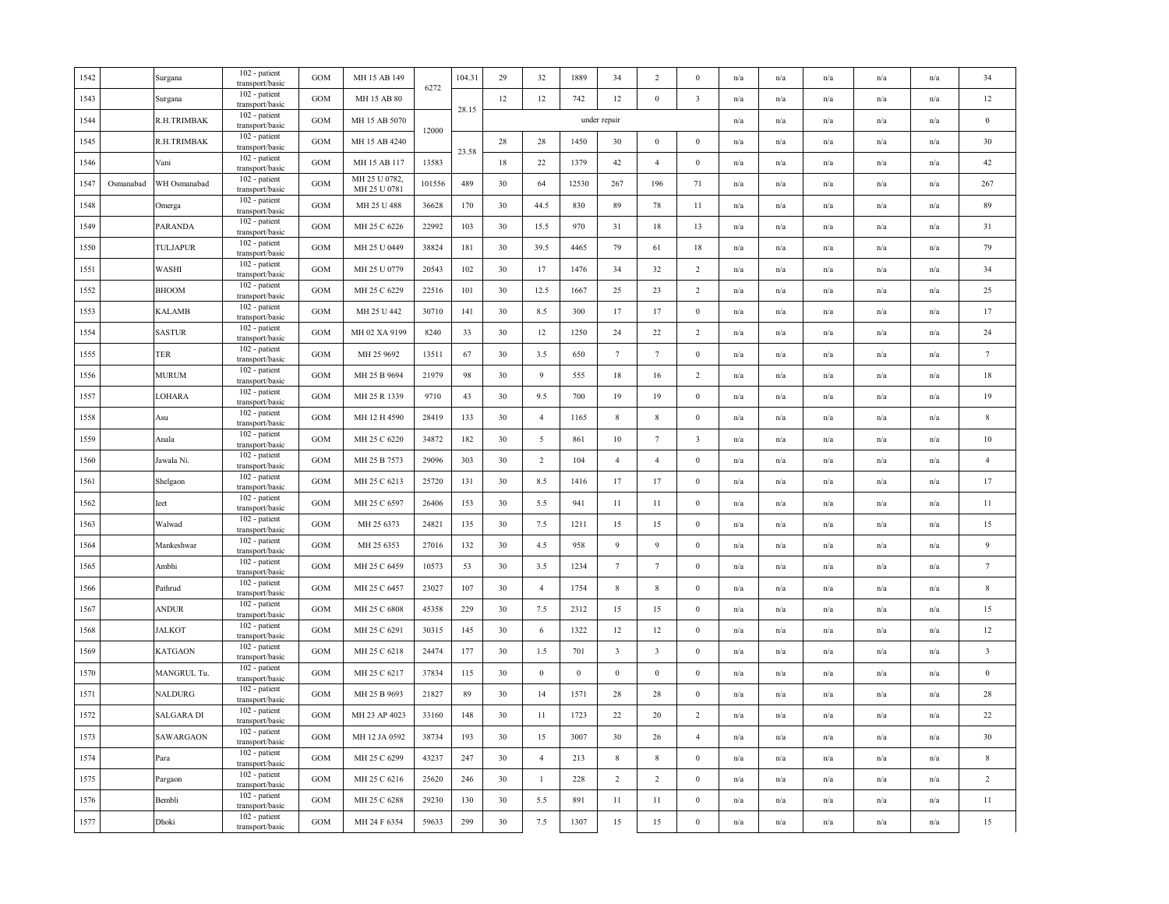| 1542 |           | Surgana        | 102 - patient<br>transport/basic | <b>GOM</b> | MH 15 AB 149                  | 6272   | 104.31 | 29     | 32             | 1889     | 34                      | 2                       | $\Omega$                | n/a | n/a                     | n/a                     | n/a                     | n/a                     | 34                      |
|------|-----------|----------------|----------------------------------|------------|-------------------------------|--------|--------|--------|----------------|----------|-------------------------|-------------------------|-------------------------|-----|-------------------------|-------------------------|-------------------------|-------------------------|-------------------------|
| 1543 |           | Surgana        | 102 - patient<br>transport/basic | <b>GOM</b> | MH 15 AB 80                   |        | 28.15  | 12     | 12             | 742      | 12                      | $\bf{0}$                | $\overline{\mathbf{3}}$ | n/a | n/a                     | n/a                     | n/a                     | n/a                     | $12\,$                  |
| 1544 |           | R.H.TRIMBAK    | 102 - patient<br>transport/basic | <b>GOM</b> | MH 15 AB 5070                 | 12000  |        |        |                |          | under repair            |                         |                         | n/a | n/a                     | n/a                     | n/a                     | n/a                     | $\,0\,$                 |
| 1545 |           | R.H.TRIMBAK    | 102 - patient<br>transport/basic | <b>GOM</b> | MH 15 AB 4240                 |        |        | $28\,$ | 28             | 1450     | 30                      | $\mathbf{0}$            | $\mathbf{0}$            | n/a | $\mathrm{n}/\mathrm{a}$ | $\mathbf{n}/\mathbf{a}$ | $\mathrm{n}/\mathrm{a}$ | n/a                     | 30                      |
| 1546 |           | Vani           | 102 - patient<br>transport/basic | GOM        | MH 15 AB 117                  | 13583  | 23.58  | 18     | 22             | 1379     | 42                      | $\overline{4}$          | $\mathbf{0}$            | n/a | n/a                     | n/a                     | $\mathrm{n}/\mathrm{a}$ | n/a                     | 42                      |
| 1547 | Osmanabad | WH Osmanabad   | 102 - patient<br>transport/basic | <b>GOM</b> | MH 25 U 0782,<br>MH 25 U 0781 | 101556 | 489    | 30     | 64             | 12530    | 267                     | 196                     | 71                      | n/a | n/a                     | n/a                     | n/a                     | n/a                     | 267                     |
| 1548 |           | Omerga         | 102 - patient<br>transport/basic | <b>GOM</b> | MH 25 U 488                   | 36628  | 170    | 30     | 44.5           | 830      | 89                      | 78                      | 11                      | n/a | n/a                     | n/a                     | n/a                     | n/a                     | 89                      |
| 1549 |           | <b>PARANDA</b> | 102 - patient<br>transport/basic | <b>GOM</b> | MH 25 C 6226                  | 22992  | 103    | 30     | 15.5           | 970      | 31                      | 18                      | 13                      | n/a | n/a                     | n/a                     | n/a                     | n/a                     | 31                      |
| 1550 |           | TULJAPUR       | 102 - patient<br>transport/basic | <b>GOM</b> | MH 25 U 0449                  | 38824  | 181    | 30     | 39.5           | 4465     | 79                      | 61                      | 18                      | n/a | n/a                     | n/a                     | n/a                     | n/a                     | 79                      |
| 1551 |           | WASHI          | 102 - patient<br>transport/basic | <b>GOM</b> | MH 25 U 0779                  | 20543  | 102    | 30     | 17             | 1476     | 34                      | 32                      | $\overline{2}$          | n/a | $\mathrm{n}/\mathrm{a}$ | n/a                     | n/a                     | $\mathrm{n}/\mathrm{a}$ | 34                      |
| 1552 |           | <b>BHOOM</b>   | 102 - patient<br>transport/basic | <b>GOM</b> | MH 25 C 6229                  | 22516  | 101    | 30     | 12.5           | 1667     | 25                      | 23                      | 2                       | n/a | n/a                     | n/a                     | n/a                     | n/a                     | 25                      |
| 1553 |           | <b>KALAMB</b>  | 102 - patient<br>transport/basic | <b>GOM</b> | MH 25 U 442                   | 30710  | 141    | 30     | 8.5            | 300      | 17                      | 17                      | $\mathbf{0}$            | n/a | n/a                     | n/a                     | n/a                     | n/a                     | 17                      |
| 1554 |           | <b>SASTUR</b>  | 102 - patient<br>transport/basic | <b>GOM</b> | MH 02 XA 9199                 | 8240   | 33     | 30     | 12             | 1250     | 24                      | 22                      | $\overline{c}$          | n/a | n/a                     | n/a                     | n/a                     | n/a                     | 24                      |
| 1555 |           | TER            | 102 - patient<br>transport/basic | <b>GOM</b> | MH 25 9692                    | 13511  | 67     | 30     | 3.5            | 650      | $7\phantom{.0}$         | $7\phantom{.0}$         | $\bf{0}$                | n/a | n/a                     | n/a                     | n/a                     | n/a                     | $7\phantom{.0}$         |
| 1556 |           | <b>MURUM</b>   | 102 - patient<br>transport/basic | GOM        | MH 25 B 9694                  | 21979  | 98     | 30     | $\overline{9}$ | 555      | 18                      | 16                      | $\overline{2}$          | n/a | n/a                     | n/a                     | n/a                     | n/a                     | 18                      |
| 1557 |           | LOHARA         | 102 - patient<br>transport/basic | GOM        | MH 25 R 1339                  | 9710   | 43     | 30     | 9.5            | 700      | 19                      | 19                      | $\boldsymbol{0}$        | n/a | n/a                     | n/a                     | n/a                     | n/a                     | 19                      |
| 1558 |           | Asu            | 102 - patient<br>transport/basic | <b>GOM</b> | MH 12 H 4590                  | 28419  | 133    | 30     | $\overline{4}$ | 1165     | $\,$ 8 $\,$             | 8                       | $\boldsymbol{0}$        | n/a | n/a                     | n/a                     | n/a                     | n/a                     | $\,$ 8 $\,$             |
| 1559 |           | Anala          | 102 - patient<br>transport/basic | <b>GOM</b> | MH 25 C 6220                  | 34872  | 182    | 30     | 5              | 861      | 10                      | $\tau$                  | $\overline{\mathbf{3}}$ | n/a | n/a                     | n/a                     | n/a                     | n/a                     | $10\,$                  |
| 1560 |           | Jawala Ni.     | 102 - patient<br>transport/basic | <b>GOM</b> | MH 25 B 7573                  | 29096  | 303    | 30     | $\overline{2}$ | 104      | $\overline{4}$          | $\overline{4}$          | $\mathbf{0}$            | n/a | n/a                     | n/a                     | n/a                     | n/a                     | $\overline{4}$          |
| 1561 |           | Shelgaon       | 102 - patient<br>transport/basic | <b>GOM</b> | MH 25 C 6213                  | 25720  | 131    | 30     | 8.5            | 1416     | 17                      | 17                      | $\bf{0}$                | n/a | $\mathrm{n}/\mathrm{a}$ | n/a                     | n/a                     | n/a                     | 17                      |
| 1562 |           | Ieet           | 102 - patient<br>transport/basic | <b>GOM</b> | MH 25 C 6597                  | 26406  | 153    | 30     | 5.5            | 941      | 11                      | 11                      | $\mathbf{0}$            | n/a | n/a                     | n/a                     | n/a                     | n/a                     | 11                      |
| 1563 |           | Walwad         | 102 - patient<br>transport/basic | <b>GOM</b> | MH 25 6373                    | 24821  | 135    | 30     | 7.5            | 1211     | 15                      | 15                      | $\boldsymbol{0}$        | n/a | $\mathrm{n}/\mathrm{a}$ | n/a                     | n/a                     | $\mathrm{n}/\mathrm{a}$ | 15                      |
| 1564 |           | Mankeshwar     | 102 - patient<br>transport/basic | <b>GOM</b> | MH 25 6353                    | 27016  | 132    | 30     | 4.5            | 958      | $\overline{9}$          | $\overline{9}$          | $\bf{0}$                | n/a | n/a                     | n/a                     | n/a                     | n/a                     | $\overline{9}$          |
| 1565 |           | Ambhi          | 102 - patient<br>transport/basic | <b>GOM</b> | MH 25 C 6459                  | 10573  | 53     | 30     | 3.5            | 1234     | $7\phantom{.0}$         | $\tau$                  | $\mathbf{0}$            | n/a | n/a                     | n/a                     | n/a                     | n/a                     | $\tau$                  |
| 1566 |           | Pathrud        | 102 - patient<br>transport/basic | <b>GOM</b> | MH 25 C 6457                  | 23027  | 107    | 30     | $\overline{4}$ | 1754     | $8\phantom{.0}$         | 8                       | $\mathbf{0}$            | n/a | n/a                     | n/a                     | n/a                     | n/a                     | $\,$ 8 $\,$             |
| 1567 |           | ANDUR          | 102 - patient<br>transport/basic | <b>GOM</b> | MH 25 C 6808                  | 45358  | 229    | 30     | 7.5            | 2312     | 15                      | 15                      | $\mathbf{0}$            | n/a | n/a                     | n/a                     | n/a                     | n/a                     | 15                      |
| 1568 |           | JALKOT         | 102 - patient<br>transport/basic | <b>GOM</b> | MH 25 C 6291                  | 30315  | 145    | 30     | 6              | 1322     | 12                      | 12                      | $\boldsymbol{0}$        | n/a | $\mathrm{n}/\mathrm{a}$ | n/a                     | n/a                     | $\mathrm{n}/\mathrm{a}$ | 12                      |
| 1569 |           | <b>KATGAON</b> | 102 - patient<br>transport/basic | GOM        | MH 25 C 6218                  | 24474  | 177    | 30     | 1.5            | 701      | $\overline{\mathbf{3}}$ | $\overline{\mathbf{3}}$ | $\mathbf{0}$            | n/a | n/a                     | n/a                     | n/a                     | n/a                     | $\overline{\mathbf{3}}$ |
| 1570 |           | MANGRUL Tu.    | 102 - patient<br>transport/basic | <b>GOM</b> | MH 25 C 6217                  | 37834  | 115    | 30     | $\mathbf{0}$   | $\bf{0}$ | $\,$ 0 $\,$             | $\bf{0}$                | $\bf{0}$                | n/a | n/a                     | n/a                     | n/a                     | n/a                     | $\boldsymbol{0}$        |
| 1571 |           | NALDURG        | 102 - patient<br>transport/basic | <b>GOM</b> | MH 25 B 9693                  | 21827  | 89     | 30     | 14             | 1571     | 28                      | 28                      | $\Omega$                | n/a | n/a                     | n/a                     | n/a                     | n/a                     | 28                      |
| 1572 |           | SALGARA DI     | 102 - patient<br>transport/basic | <b>GOM</b> | MH 23 AP 4023                 | 33160  | 148    | 30     | 11             | 1723     | 22                      | 20                      | 2                       | n/a | n/a                     | n/a                     | n/a                     | n/a                     | 22                      |
| 1573 |           | SAWARGAON      | 102 - patient<br>transport/basic | <b>GOM</b> | MH 12 JA 0592                 | 38734  | 193    | 30     | 15             | 3007     | 30                      | 26                      | $\overline{4}$          | n/a | n/a                     | n/a                     | n/a                     | n/a                     | 30                      |
| 1574 |           | Para           | 102 - patient<br>transport/basic | <b>GOM</b> | MH 25 C 6299                  | 43237  | 247    | 30     | $\overline{4}$ | 213      | $\,$ 8 $\,$             | $\,$ 8 $\,$             | $\bf{0}$                | n/a | $\mathrm{n}/\mathrm{a}$ | n/a                     | n/a                     | $\mathrm{n}/\mathrm{a}$ | $\,$ 8 $\,$             |
| 1575 |           | Pargaon        | 102 - patient<br>transport/basic | GOM        | MH 25 C 6216                  | 25620  | 246    | 30     | $\mathbf{1}$   | 228      | $\overline{2}$          | $\overline{2}$          | $\mathbf{0}$            | n/a | n/a                     | n/a                     | n/a                     | n/a                     | $\overline{2}$          |
| 1576 |           | Bembli         | 102 - patient<br>transport/basic | <b>GOM</b> | MH 25 C 6288                  | 29230  | 130    | 30     | 5.5            | 891      | $11\,$                  | 11                      | $\boldsymbol{0}$        | n/a | n/a                     | n/a                     | n/a                     | n/a                     | 11                      |
| 1577 |           | Dhoki          | 102 - patient<br>transport/basic | GOM        | MH 24 F 6354                  | 59633  | 299    | 30     | 7.5            | 1307     | 15                      | 15                      | $\boldsymbol{0}$        | n/a | n/a                     | n/a                     | n/a                     | $\mathrm{n}/\mathrm{a}$ | 15                      |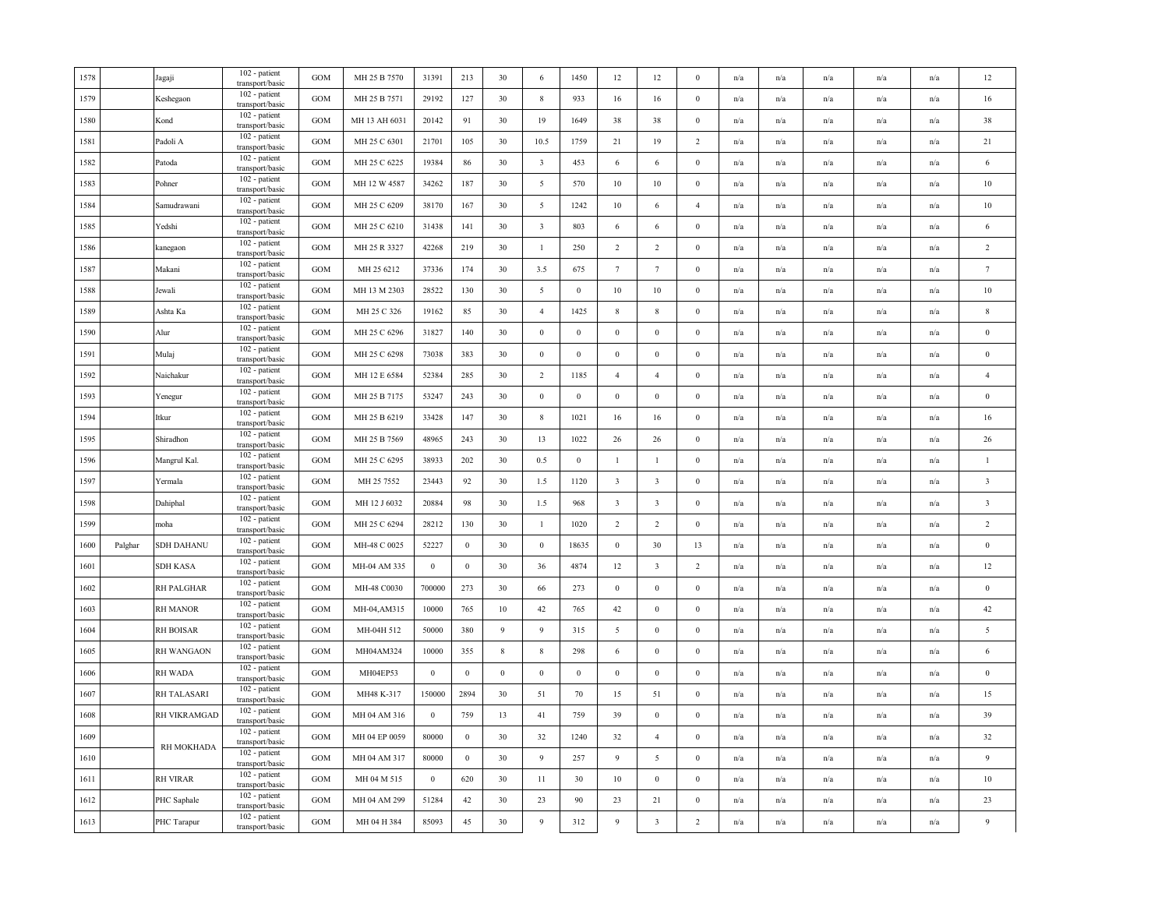| 1578 |         | Jagaji          | 102 - patient<br>transport/basic | <b>GOM</b> | MH 25 B 7570  | 31391            | 213          | 30               | 6                       | 1450             | 12                      | 12                      | $\Omega$         | n/a | n/a                     | n/a | n/a                     | n/a                     | $12\,$                  |
|------|---------|-----------------|----------------------------------|------------|---------------|------------------|--------------|------------------|-------------------------|------------------|-------------------------|-------------------------|------------------|-----|-------------------------|-----|-------------------------|-------------------------|-------------------------|
| 1579 |         | Keshegaon       | 102 - patient<br>transport/basic | GOM        | MH 25 B 7571  | 29192            | 127          | 30               | $8\,$                   | 933              | 16                      | 16                      | $\bf{0}$         | n/a | n/a                     | n/a | n/a                     | n/a                     | 16                      |
| 1580 |         | Kond            | 102 - patient<br>transport/basic | <b>GOM</b> | MH 13 AH 6031 | 20142            | 91           | 30               | 19                      | 1649             | 38                      | 38                      | $\boldsymbol{0}$ | n/a | $\mathrm{n}/\mathrm{a}$ | n/a | $\mathrm{n}/\mathrm{a}$ | n/a                     | 38                      |
| 1581 |         | Padoli A        | 102 - patient<br>transport/basic | GOM        | MH 25 C 6301  | 21701            | 105          | 30               | 10.5                    | 1759             | 21                      | 19                      | 2                | n/a | n/a                     | n/a | n/a                     | n/a                     | 21                      |
| 1582 |         | Patoda          | 102 - patient<br>transport/basic | <b>GOM</b> | MH 25 C 6225  | 19384            | 86           | 30               | $\overline{\mathbf{3}}$ | 453              | 6                       | 6                       | $\mathbf{0}$     | n/a | n/a                     | n/a | n/a                     | n/a                     | $\,6\,$                 |
| 1583 |         | Pohner          | 102 - patient<br>transport/basic | <b>GOM</b> | MH 12 W 4587  | 34262            | 187          | 30               | $5\overline{)}$         | 570              | 10                      | 10                      | $\bf{0}$         | n/a | n/a                     | n/a | n/a                     | n/a                     | $10\,$                  |
| 1584 |         | Samudrawani     | 102 - patient<br>transport/basic | GOM        | MH 25 C 6209  | 38170            | 167          | 30               | $5\overline{)}$         | 1242             | 10                      | 6                       | $\overline{4}$   | n/a | n/a                     | n/a | $\mathrm{n}/\mathrm{a}$ | $\mathrm{n}/\mathrm{a}$ | $10\,$                  |
| 1585 |         | Yedshi          | 102 - patient<br>transport/basic | <b>GOM</b> | MH 25 C 6210  | 31438            | 141          | 30               | $\overline{3}$          | 803              | 6                       | $\sqrt{6}$              | $\boldsymbol{0}$ | n/a | n/a                     | n/a | n/a                     | n/a                     | $\sqrt{6}$              |
| 1586 |         | kanegaon        | 102 - patient<br>transport/basic | GOM        | MH 25 R 3327  | 42268            | 219          | 30               | $\mathbf{1}$            | 250              | $\overline{2}$          | $\overline{2}$          | $\boldsymbol{0}$ | n/a | n/a                     | n/a | n/a                     | n/a                     | $\sqrt{2}$              |
| 1587 |         | Makani          | 102 - patient<br>transport/basic | <b>GOM</b> | MH 25 6212    | 37336            | 174          | 30               | 3.5                     | 675              | $7\phantom{.0}$         | $\tau$                  | $\mathbf{0}$     | n/a | n/a                     | n/a | n/a                     | n/a                     | $\tau$                  |
| 1588 |         | Jewali          | 102 - patient<br>transport/basic | <b>GOM</b> | MH 13 M 2303  | 28522            | 130          | 30               | 5                       | $\mathbf{0}$     | 10                      | 10                      | $\bf{0}$         | n/a | n/a                     | n/a | n/a                     | n/a                     | 10                      |
| 1589 |         | Ashta Ka        | 102 - patient<br>transport/basic | <b>GOM</b> | MH 25 C 326   | 19162            | 85           | 30               | $\overline{4}$          | 1425             | $\,$ 8 $\,$             | $\,$ 8 $\,$             | $\mathbf{0}$     | n/a | n/a                     | n/a | n/a                     | $\mathrm{n}/\mathrm{a}$ | $\,$ 8 $\,$             |
| 1590 |         | Alur            | 102 - patient<br>transport/basic | <b>GOM</b> | MH 25 C 6296  | 31827            | 140          | 30               | $\boldsymbol{0}$        | $\mathbf{0}$     | $\boldsymbol{0}$        | $\bf{0}$                | $\mathbf{0}$     | n/a | n/a                     | n/a | n/a                     | n/a                     | $\boldsymbol{0}$        |
| 1591 |         | Mulaj           | 102 - patient<br>transport/basic | <b>GOM</b> | MH 25 C 6298  | 73038            | 383          | 30               | $\bf{0}$                | $\boldsymbol{0}$ | $\bf{0}$                | $\mathbf{0}$            | $\mathbf{0}$     | n/a | n/a                     | n/a | n/a                     | n/a                     | $\boldsymbol{0}$        |
| 1592 |         | Naichakur       | 102 - patient<br>transport/basic | <b>GOM</b> | MH 12 E 6584  | 52384            | 285          | 30               | $\overline{2}$          | 1185             | $\overline{4}$          | $\overline{4}$          | $\boldsymbol{0}$ | n/a | n/a                     | n/a | n/a                     | n/a                     | $\overline{4}$          |
| 1593 |         | Yenegur         | 102 - patient<br>transport/basic | <b>GOM</b> | MH 25 B 7175  | 53247            | 243          | 30               | $\,0\,$                 | $\boldsymbol{0}$ | $\,0\,$                 | $\boldsymbol{0}$        | $\boldsymbol{0}$ | n/a | n/a                     | n/a | n/a                     | n/a                     | $\bf{0}$                |
| 1594 |         | Itkur           | 102 - patient<br>transport/basic | <b>GOM</b> | MH 25 B 6219  | 33428            | 147          | 30               | $\,$ 8 $\,$             | 1021             | 16                      | 16                      | $\boldsymbol{0}$ | n/a | $\mathrm{n}/\mathrm{a}$ | n/a | n/a                     | $\mathrm{n}/\mathrm{a}$ | 16                      |
| 1595 |         | Shiradhon       | 102 - patient<br>transport/basic | <b>GOM</b> | MH 25 B 7569  | 48965            | 243          | 30               | 13                      | 1022             | 26                      | 26                      | $\mathbf{0}$     | n/a | n/a                     | n/a | n/a                     | n/a                     | 26                      |
| 1596 |         | Mangrul Kal.    | 102 - patient<br>transport/basic | <b>GOM</b> | MH 25 C 6295  | 38933            | 202          | 30               | 0.5                     | $\,0\,$          | $\mathbf{1}$            | $\mathbf{1}$            | $\bf{0}$         | n/a | n/a                     | n/a | n/a                     | n/a                     | $\,1\,$                 |
| 1597 |         | Yermala         | 102 - patient<br>transport/basic | <b>GOM</b> | MH 25 7552    | 23443            | 92           | 30               | 1.5                     | 1120             | $\overline{\mathbf{3}}$ | $\overline{\mathbf{3}}$ | $\bf{0}$         | n/a | $\mathrm{n}/\mathrm{a}$ | n/a | n/a                     | n/a                     | $\overline{\mathbf{3}}$ |
| 1598 |         | Dahiphal        | 102 - patient<br>transport/basic | <b>GOM</b> | MH 12 J 6032  | 20884            | 98           | 30               | 1.5                     | 968              | $\overline{\mathbf{3}}$ | $\overline{\mathbf{3}}$ | $\boldsymbol{0}$ | n/a | n/a                     | n/a | n/a                     | n/a                     | $\overline{\mathbf{3}}$ |
| 1599 |         | moha            | 102 - patient<br>transport/basic | <b>GOM</b> | MH 25 C 6294  | 28212            | 130          | 30               | $\mathbf{1}$            | 1020             | $\overline{2}$          | 2                       | $\boldsymbol{0}$ | n/a | n/a                     | n/a | n/a                     | n/a                     | $\overline{2}$          |
| 1600 | Palghar | SDH DAHANU      | 102 - patient<br>transport/basic | <b>GOM</b> | MH-48 C 0025  | 52227            | $\bf{0}$     | 30               | $\boldsymbol{0}$        | 18635            | $\,0\,$                 | 30                      | 13               | n/a | n/a                     | n/a | n/a                     | n/a                     | $\,0\,$                 |
| 1601 |         | SDH KASA        | 102 - patient<br>transport/basic | GOM        | MH-04 AM 335  | $\boldsymbol{0}$ | $\bf{0}$     | 30               | 36                      | 4874             | 12                      | $\overline{\mathbf{3}}$ | $\overline{c}$   | n/a | $\mathrm{n}/\mathrm{a}$ | n/a | n/a                     | $\mathrm{n}/\mathrm{a}$ | 12                      |
| 1602 |         | RH PALGHAR      | 102 - patient<br>transport/basic | <b>GOM</b> | MH-48 C0030   | 700000           | 273          | 30               | 66                      | 273              | $\mathbf{0}$            | $\boldsymbol{0}$        | $\mathbf{0}$     | n/a | n/a                     | n/a | n/a                     | n/a                     | $\bf{0}$                |
| 1603 |         | RH MANOR        | 102 - patient<br>transport/basic | <b>GOM</b> | MH-04, AM315  | 10000            | 765          | 10               | 42                      | 765              | 42                      | $\boldsymbol{0}$        | $\theta$         | n/a | n/a                     | n/a | n/a                     | n/a                     | 42                      |
| 1604 |         | RH BOISAR       | 102 - patient<br>transport/basic | GOM        | MH-04H 512    | 50000            | 380          | 9                | 9                       | 315              | 5                       | $\bf{0}$                | $\bf{0}$         | n/a | n/a                     | n/a | n/a                     | n/a                     | $\sqrt{5}$              |
| 1605 |         | RH WANGAON      | 102 - patient<br>transport/basic | <b>GOM</b> | MH04AM324     | 10000            | 355          | $\,$ 8 $\,$      | $\,$ 8 $\,$             | 298              | 6                       | $\bf{0}$                | $\mathbf{0}$     | n/a | n/a                     | n/a | n/a                     | n/a                     | $\sqrt{6}$              |
| 1606 |         | <b>RH WADA</b>  | 102 - patient<br>transport/basic | <b>GOM</b> | MH04EP53      | $\boldsymbol{0}$ | $\mathbf{0}$ | $\boldsymbol{0}$ | $\boldsymbol{0}$        | $\mathbf{0}$     | $\,0\,$                 | $\mathbf{0}$            | $\boldsymbol{0}$ | n/a | n/a                     | n/a | n/a                     | n/a                     | $\,0\,$                 |
| 1607 |         | RH TALASARI     | 102 - patient<br>transport/basic | <b>GOM</b> | MH48 K-317    | 150000           | 2894         | 30               | 51                      | 70               | 15                      | 51                      | $\boldsymbol{0}$ | n/a | n/a                     | n/a | n/a                     | n/a                     | 15                      |
| 1608 |         | RH VIKRAMGAD    | 102 - patient<br>transport/basic | <b>GOM</b> | MH 04 AM 316  | $\bf{0}$         | 759          | 13               | 41                      | 759              | 39                      | $\bf{0}$                | $\mathbf{0}$     | n/a | n/a                     | n/a | n/a                     | n/a                     | 39                      |
| 1609 |         | RH MOKHADA      | 102 - patient<br>transport/basic | <b>GOM</b> | MH 04 EP 0059 | 80000            | $\bf{0}$     | 30               | 32                      | 1240             | 32                      | $\overline{4}$          | $\bf{0}$         | n/a | n/a                     | n/a | n/a                     | n/a                     | 32                      |
| 1610 |         |                 | 102 - patient<br>transport/basic | <b>GOM</b> | MH 04 AM 317  | 80000            | $\mathbf{0}$ | 30               | 9                       | 257              | 9                       | 5                       | $\bf{0}$         | n/a | n/a                     | n/a | n/a                     | $\mathrm{n}/\mathrm{a}$ | $\overline{9}$          |
| 1611 |         | <b>RH VIRAR</b> | 102 - patient<br>transport/basic | GOM        | MH 04 M 515   | $\bf{0}$         | 620          | 30               | 11                      | 30               | 10                      | $\bf{0}$                | $\bf{0}$         | n/a | n/a                     | n/a | n/a                     | $\mathrm{n}/\mathrm{a}$ | $10\,$                  |
| 1612 |         | PHC Saphale     | 102 - patient<br>transport/basic | <b>GOM</b> | MH 04 AM 299  | 51284            | 42           | 30               | 23                      | 90               | 23                      | 21                      | $\mathbf{0}$     | n/a | n/a                     | n/a | n/a                     | n/a                     | 23                      |
| 1613 |         | PHC Tarapur     | 102 - patient<br>transport/basic | GOM        | MH 04 H 384   | 85093            | 45           | 30               | $\boldsymbol{9}$        | 312              | $\overline{9}$          | $\overline{\mathbf{3}}$ | $\overline{c}$   | n/a | n/a                     | n/a | n/a                     | n/a                     | $\overline{9}$          |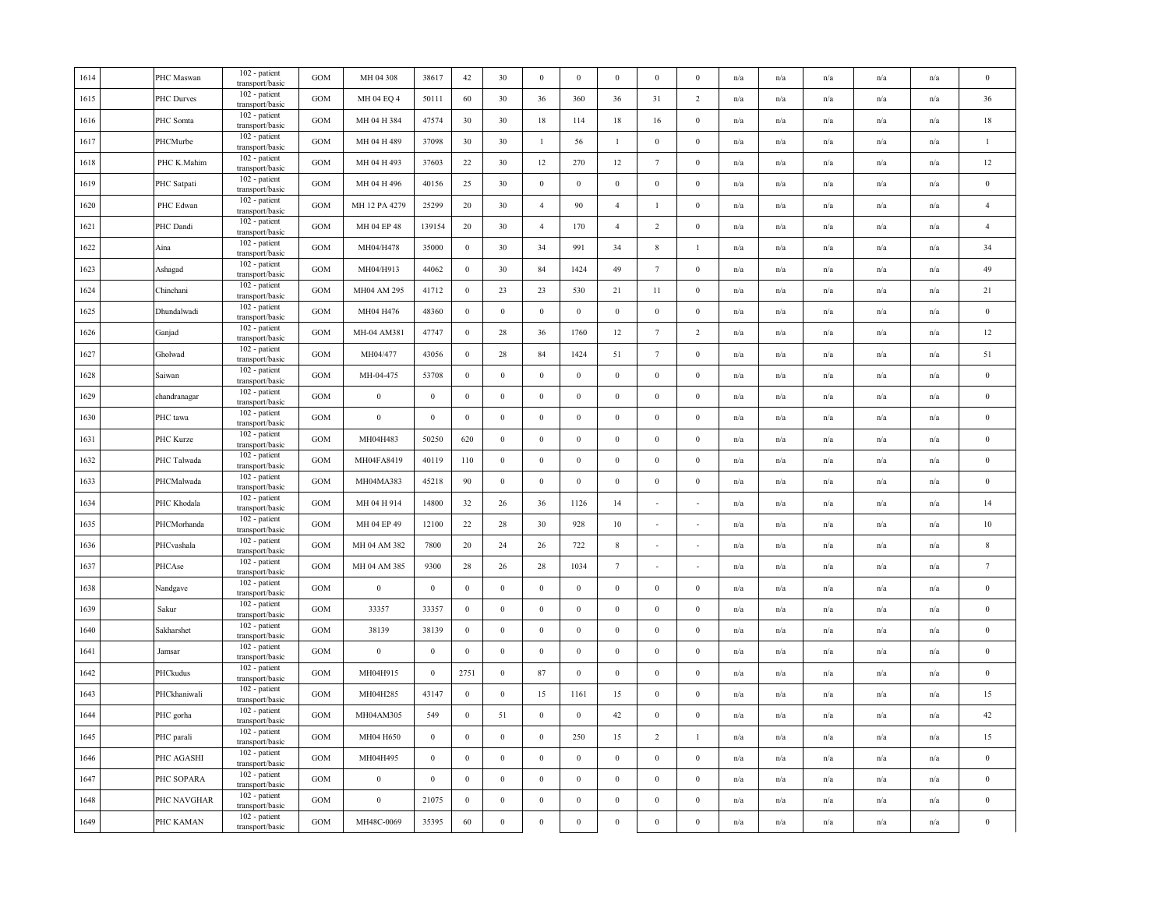| PHC Maswan        | 102 - patient<br>transport/basic              | <b>GOM</b>                                                                          | MH 04 308        | 38617            | 42           | 30               | $\bf{0}$         | $\mathbf{0}$     | $\bf{0}$         | $\bf{0}$         | $\bf{0}$         | n/a                     | n/a                     | n/a                     | n/a                     | n/a                     | $\bf{0}$         |
|-------------------|-----------------------------------------------|-------------------------------------------------------------------------------------|------------------|------------------|--------------|------------------|------------------|------------------|------------------|------------------|------------------|-------------------------|-------------------------|-------------------------|-------------------------|-------------------------|------------------|
| <b>PHC Durves</b> | 102 - patient<br>transport/basic              | GOM                                                                                 | MH 04 EQ 4       | 50111            | 60           | 30               | 36               | 360              | 36               | 31               | $\overline{2}$   | n/a                     | n/a                     | n/a                     | n/a                     | n/a                     | 36               |
| PHC Somta         | 102 - patient<br>transport/basic              | <b>GOM</b>                                                                          | MH 04 H 384      | 47574            | 30           | 30               | $18\,$           | 114              | 18               | 16               | $\bf{0}$         | n/a                     | $\mathrm{n}/\mathrm{a}$ | n/a                     | $\mathrm{n}/\mathrm{a}$ | n/a                     | $18\,$           |
| PHCMurbe          | 102 - patient                                 | GOM                                                                                 | MH 04 H 489      | 37098            | 30           | 30               | -1               | 56               | -1               | $\bf{0}$         | $\bf{0}$         | n/a                     | n/a                     | n/a                     | n/a                     | n/a                     | -1               |
| PHC K.Mahim       | 102 - patient                                 | GOM                                                                                 | MH 04 H 493      | 37603            | 22           | 30               | 12               | 270              | 12               | $\tau$           | $\boldsymbol{0}$ | n/a                     | n/a                     | n/a                     | n/a                     | n/a                     | $12\,$           |
| PHC Satpati       | 102 - patient<br>transport/basic              | GOM                                                                                 | MH 04 H 496      | 40156            | 25           | 30               | $\,0\,$          | $\boldsymbol{0}$ | $\boldsymbol{0}$ | $\bf{0}$         | $\boldsymbol{0}$ | n/a                     | n/a                     | n/a                     | n/a                     | n/a                     | $\,0\,$          |
| PHC Edwan         | 102 - patient<br>transport/basic              | GOM                                                                                 | MH 12 PA 4279    | 25299            | 20           | 30               | $\overline{4}$   | 90               | $\overline{4}$   | $\mathbf{1}$     | $\bf{0}$         | $\mathrm{n}/\mathrm{a}$ | n/a                     | n/a                     | n/a                     | $\mathrm{n}/\mathrm{a}$ | $\overline{4}$   |
| PHC Dandi         | 102 - patient<br>transport/basic              | GOM                                                                                 | MH 04 EP 48      | 139154           | 20           | 30               | $\overline{4}$   | 170              | $\overline{4}$   | $\overline{2}$   | $\mathbf{0}$     | n/a                     | n/a                     | n/a                     | n/a                     | n/a                     | $\overline{4}$   |
| Aina              | $102$ - patient<br>transport/basic            | <b>GOM</b>                                                                          | MH04/H478        | 35000            | $\bf{0}$     | 30               | 34               | 991              | 34               | $\,$ 8 $\,$      | $\mathbf{1}$     | n/a                     | n/a                     | n/a                     | n/a                     | n/a                     | 34               |
| Ashagad           | 102 - patient<br>transport/basic              | GOM                                                                                 | MH04/H913        | 44062            | $\bf{0}$     | 30               | 84               | 1424             | 49               | $\tau$           | $\boldsymbol{0}$ | n/a                     | n/a                     | n/a                     | n/a                     | n/a                     | 49               |
| Chinchani         | 102 - patient<br>transport/basic              | <b>GOM</b>                                                                          | MH04 AM 295      | 41712            | $\bf{0}$     | 23               | 23               | 530              | 21               | 11               | $\bf{0}$         | n/a                     | n/a                     | n/a                     | n/a                     | n/a                     | 21               |
| Dhundalwadi       | 102 - patient<br>transport/basic              | GOM                                                                                 | MH04 H476        | 48360            | $\mathbf{0}$ | $\bf{0}$         | $\mathbf{0}$     | $\boldsymbol{0}$ | $\mathbf{0}$     | $\boldsymbol{0}$ | $\boldsymbol{0}$ | n/a                     | n/a                     | n/a                     | $\mathbf{n}/\mathbf{a}$ | n/a                     | $\bf{0}$         |
| Ganjad            | 102 - patient<br>transport/basic              | GOM                                                                                 | MH-04 AM381      | 47747            | $\bf{0}$     | 28               | 36               | 1760             | 12               | $7\phantom{.0}$  | 2                | n/a                     | n/a                     | n/a                     | n/a                     | n/a                     | 12               |
| Gholwad           | 102 - patient<br>transport/basic              | GOM                                                                                 | MH04/477         | 43056            | $\bf{0}$     | 28               | 84               | 1424             | 51               | $\tau$           | $\boldsymbol{0}$ | n/a                     | n/a                     | n/a                     | n/a                     | n/a                     | 51               |
| Saiwan            | 102 - patient                                 | GOM                                                                                 | MH-04-475        | 53708            | $\,0\,$      | $\boldsymbol{0}$ | $\,0\,$          | $\boldsymbol{0}$ | $\boldsymbol{0}$ | $\boldsymbol{0}$ | $\boldsymbol{0}$ | n/a                     | n/a                     | n/a                     | n/a                     | n/a                     | $\,0\,$          |
| chandranagar      | 102 - patient<br>transport/basic              | GOM                                                                                 | $\,0\,$          | $\boldsymbol{0}$ | $\,0\,$      | $\boldsymbol{0}$ | $\,0\,$          | $\boldsymbol{0}$ | $\,0\,$          | $\boldsymbol{0}$ | $\mathbf{0}$     | n/a                     | n/a                     | n/a                     | n/a                     | n/a                     | $\,0\,$          |
| PHC tawa          | 102 - patient<br>transport/basic              | GOM                                                                                 | $\,0\,$          | $\bf{0}$         | $\bf{0}$     | $\bf{0}$         | $\,0\,$          | $\boldsymbol{0}$ | $\boldsymbol{0}$ | $\bf{0}$         | $\bf{0}$         | n/a                     | $\mathrm{n}/\mathrm{a}$ | n/a                     | $\mathrm{n}/\mathrm{a}$ | n/a                     | $\,0\,$          |
| PHC Kurze         | 102 - patient<br>transport/basic              | GOM                                                                                 | MH04H483         | 50250            | 620          | $\bf{0}$         | $\bf{0}$         | $\boldsymbol{0}$ | $\overline{0}$   | $\bf{0}$         | $\mathbf{0}$     | n/a                     | n/a                     | n/a                     | n/a                     | n/a                     | $\boldsymbol{0}$ |
| PHC Talwada       | 102 - patient<br>transport/basic              | GOM                                                                                 | MH04FA8419       | 40119            | 110          | $\boldsymbol{0}$ | $\,0\,$          | $\boldsymbol{0}$ | $\,0\,$          | $\bf{0}$         | $\boldsymbol{0}$ | n/a                     | n/a                     | n/a                     | n/a                     | n/a                     | $\,0\,$          |
| PHCMalwada        | 102 - patient<br>transport/basic              | <b>GOM</b>                                                                          | MH04MA383        | 45218            | 90           | $\bf{0}$         | $\mathbf{0}$     | $\boldsymbol{0}$ | $\mathbf{0}$     | $\bf{0}$         | $\bf{0}$         | n/a                     | $\mathrm{n}/\mathrm{a}$ | n/a                     | $\mathrm{n}/\mathrm{a}$ | n/a                     | $\bf{0}$         |
| PHC Khodala       | 102 - patient<br>transport/basic              | <b>GOM</b>                                                                          | MH 04 H 914      | 14800            | 32           | 26               | 36               | 1126             | 14               |                  |                  | n/a                     | n/a                     | n/a                     | n/a                     | n/a                     | 14               |
| PHCMorhanda       | transport/basic                               | GOM                                                                                 | MH 04 EP 49      | 12100            | 22           | 28               | 30               | 928              | 10               | $\sim$           |                  | n/a                     | n/a                     | n/a                     | n/a                     | n/a                     | $10\,$           |
| PHCvashala        | 102 - patient<br>transport/basic              | GOM                                                                                 | MH 04 AM 382     | 7800             | 20           | 24               | 26               | 722              | $\,$ 8 $\,$      | $\sim$           | $\sim$           | n/a                     | n/a                     | n/a                     | n/a                     | n/a                     | $\,$ 8 $\,$      |
| PHCAse            | 102 - patient<br>transport/basic              | GOM                                                                                 | MH 04 AM 385     | 9300             | 28           | 26               | 28               | 1034             | $7\phantom{.0}$  | $\sim$           |                  | $\mathrm{n}/\mathrm{a}$ | n/a                     | $\mathrm{n}/\mathrm{a}$ | n/a                     | n/a                     | $\tau$           |
| Nandgave          | 102 - patient<br>transport/basic              | $_{\rm GOM}$                                                                        | $\,0\,$          | $\bf{0}$         | $\bf{0}$     | $\bf{0}$         | $\mathbf{0}$     | $\mathbf{0}$     | $\mathbf{0}$     | $\boldsymbol{0}$ | $\boldsymbol{0}$ | n/a                     | n/a                     | n/a                     | n/a                     | n/a                     | $\bf{0}$         |
| Sakur             | 102 - patient<br>transport/basic              | GOM                                                                                 | 33357            | 33357            | $\bf{0}$     | $\bf{0}$         | $\boldsymbol{0}$ | $\boldsymbol{0}$ | $\mathbf{0}$     | $\boldsymbol{0}$ | $\mathbf{0}$     | n/a                     | n/a                     | n/a                     | n/a                     | n/a                     | $\bf{0}$         |
| Sakharshet        | 102 - patient<br>transport/basic              | <b>GOM</b>                                                                          | 38139            | 38139            | $\bf{0}$     | $\bf{0}$         | $\bf{0}$         | $\boldsymbol{0}$ | $\bf{0}$         | $\boldsymbol{0}$ | $\boldsymbol{0}$ | n/a                     | n/a                     | n/a                     | n/a                     | n/a                     | $\boldsymbol{0}$ |
| Jamsar            | 102 - patient<br>transport/basic              | <b>GOM</b>                                                                          | $\bf{0}$         | $\bf{0}$         | $\bf{0}$     | $\boldsymbol{0}$ | $\mathbf{0}$     | $\mathbf{0}$     | $\boldsymbol{0}$ | $\bf{0}$         | $\bf{0}$         | n/a                     | n/a                     | n/a                     | $\mathrm{n}/\mathrm{a}$ | n/a                     | $\bf{0}$         |
| PHCkudus          | 102 - patient<br>transport/basic              | GOM                                                                                 | MH04H915         | $\bf{0}$         | 2751         | $\boldsymbol{0}$ | 87               | $\boldsymbol{0}$ | $\boldsymbol{0}$ | $\boldsymbol{0}$ | $\boldsymbol{0}$ | n/a                     | n/a                     | n/a                     | n/a                     | n/a                     | $\,0\,$          |
| PHCkhaniwali      | 102 - patient<br>transport/basic              | GOM                                                                                 | MH04H285         | 43147            | $\bf{0}$     | $\bf{0}$         | 15               | 1161             | 15               | $\boldsymbol{0}$ | $\mathbf{0}$     | n/a                     | n/a                     | n/a                     | n/a                     | n/a                     | 15               |
| PHC gorha         | 102 - patient<br>transport/basic              | <b>GOM</b>                                                                          | MH04AM305        | 549              | $\bf{0}$     | 51               | $\bf{0}$         | $\bf{0}$         | 42               | $\bf{0}$         | $\bf{0}$         | n/a                     | n/a                     | n/a                     | n/a                     | n/a                     | 42               |
| PHC parali        | 102 - patient<br>transport/basic              | <b>GOM</b>                                                                          | MH04 H650        | $\bf{0}$         | $\bf{0}$     | $\bf{0}$         | $\bf{0}$         | 250              | 15               | $\overline{2}$   | $\mathbf{1}$     | n/a                     | n/a                     | n/a                     | n/a                     | n/a                     | 15               |
| PHC AGASHI        | 102 - patient<br>transport/basic              | GOM                                                                                 | MH04H495         | $\boldsymbol{0}$ | $\bf{0}$     | $\boldsymbol{0}$ | $\,0\,$          | $\boldsymbol{0}$ | $\,0\,$          | $\boldsymbol{0}$ | $\bf{0}$         | n/a                     | n/a                     | n/a                     | n/a                     | n/a                     | $\bf{0}$         |
| PHC SOPARA        | 102 - patient<br>transport/basic              | GOM                                                                                 | $\boldsymbol{0}$ | $\boldsymbol{0}$ | $\bf{0}$     | $\bf{0}$         | $\mathbf{0}$     | $\boldsymbol{0}$ | $\boldsymbol{0}$ | $\bf{0}$         | $\bf{0}$         | $\mathrm{n}/\mathrm{a}$ | n/a                     | n/a                     | $\mathrm{n}/\mathrm{a}$ | $\mathbf{n}/\mathbf{a}$ | $\bf{0}$         |
| PHC NAVGHAR       | 102 - patient<br>transport/basic              | <b>GOM</b>                                                                          | $\boldsymbol{0}$ | 21075            | $\bf{0}$     | $\boldsymbol{0}$ | $\boldsymbol{0}$ | $\mathbf{0}$     | $\,0\,$          | $\bf{0}$         | $\bf{0}$         | n/a                     | n/a                     | n/a                     | n/a                     | n/a                     | $\bf{0}$         |
| PHC KAMAN         | $\overline{102}$ - patient<br>transport/basic | GOM                                                                                 | MH48C-0069       | 35395            | 60           | $\boldsymbol{0}$ | $\boldsymbol{0}$ | $\boldsymbol{0}$ | $\,0\,$          | $\boldsymbol{0}$ | $\boldsymbol{0}$ | n/a                     | n/a                     | n/a                     | n/a                     | n/a                     | $\,0\,$          |
|                   |                                               | transport/basic<br>transport/basic<br>transport/basic<br>$\overline{1}02$ - patient |                  |                  |              |                  |                  |                  |                  |                  |                  |                         |                         |                         |                         |                         |                  |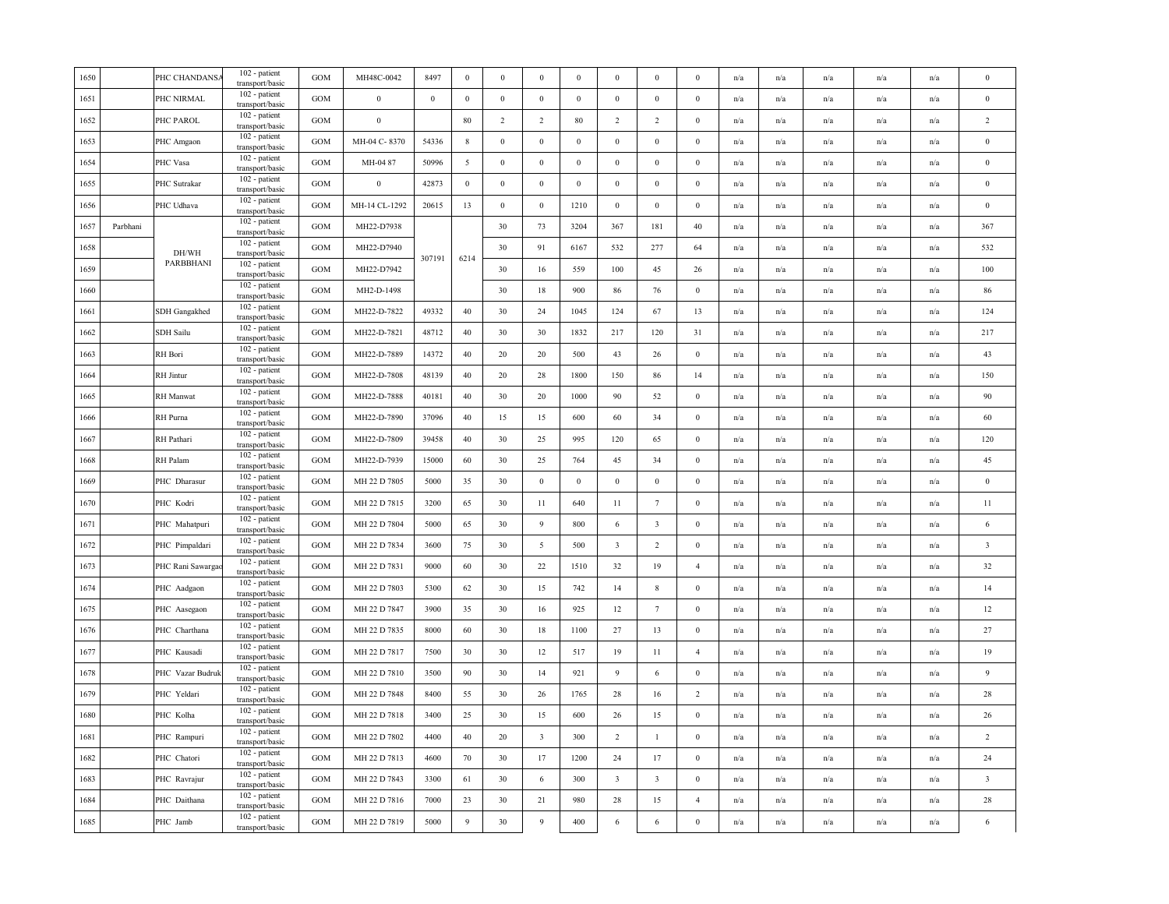| 1650 |          | PHC CHANDANS     | 102 - patient<br>transport/basic   | <b>GOM</b> | MH48C-0042       | 8497     | $\bf{0}$        | $\boldsymbol{0}$ | $\boldsymbol{0}$        | $\boldsymbol{0}$ | $\boldsymbol{0}$        | $\boldsymbol{0}$        | $\mathbf{0}$     | n/a                     | n/a                     | n/a                     | n/a                     | n/a                     | $\bf{0}$                |
|------|----------|------------------|------------------------------------|------------|------------------|----------|-----------------|------------------|-------------------------|------------------|-------------------------|-------------------------|------------------|-------------------------|-------------------------|-------------------------|-------------------------|-------------------------|-------------------------|
| 1651 |          | PHC NIRMAL       | 102 - patient<br>transport/basic   | GOM        | $\boldsymbol{0}$ | $\bf{0}$ | $\bf{0}$        | $\boldsymbol{0}$ | $\,0\,$                 | $\boldsymbol{0}$ | $\boldsymbol{0}$        | $\bf{0}$                | $\bf{0}$         | n/a                     | n/a                     | n/a                     | n/a                     | n/a                     | $\bf{0}$                |
| 1652 |          | PHC PAROL        | 102 - patient<br>transport/basic   | GOM        | $\boldsymbol{0}$ |          | 80              | $\overline{2}$   | $\overline{2}$          | 80               | $\overline{2}$          | $\overline{2}$          | $\mathbf{0}$     | n/a                     | n/a                     | n/a                     | n/a                     | n/a                     | $\sqrt{2}$              |
| 1653 |          | PHC Amgaon       | 102 - patient<br>transport/basic   | <b>GOM</b> | MH-04 C-8370     | 54336    | $8\phantom{.0}$ | $\bf{0}$         | $\mathbf{0}$            | $\bf{0}$         | $\bf{0}$                | $\bf{0}$                | $\mathbf{0}$     | n/a                     | n/a                     | n/a                     | n/a                     | n/a                     | $\bf{0}$                |
| 1654 |          | PHC Vasa         | 102 - patient<br>transport/basic   | GOM        | MH-04 87         | 50996    | 5               | $\boldsymbol{0}$ | $\,0\,$                 | $\boldsymbol{0}$ | $\boldsymbol{0}$        | $\boldsymbol{0}$        | $\boldsymbol{0}$ | n/a                     | n/a                     | n/a                     | n/a                     | n/a                     | $\,0\,$                 |
| 1655 |          | PHC Sutrakar     | 102 - patient<br>transport/basic   | GOM        | $\boldsymbol{0}$ | 42873    | $\mathbf{0}$    | $\bf{0}$         | $\mathbf{0}$            | $\bf{0}$         | $\mathbf{0}$            | $\bf{0}$                | $\bf{0}$         | $\mathrm{n}/\mathrm{a}$ | n/a                     | n/a                     | n/a                     | n/a                     | $\boldsymbol{0}$        |
| 1656 |          | PHC Udhava       | 102 - patient<br>transport/basic   | <b>GOM</b> | MH-14 CL-1292    | 20615    | 13              | $\boldsymbol{0}$ | $\mathbf{0}$            | 1210             | $\bf{0}$                | $\boldsymbol{0}$        | $\bf{0}$         | n/a                     | n/a                     | n/a                     | n/a                     | n/a                     | $\bf{0}$                |
| 1657 | Parbhani |                  | 102 - patient<br>transport/basic   | GOM        | MH22-D7938       |          |                 | 30               | 73                      | 3204             | 367                     | 181                     | $40\,$           | n/a                     | n/a                     | n/a                     | n/a                     | n/a                     | 367                     |
| 1658 |          | DH/WH            | 102 - patient<br>transport/basic   | <b>GOM</b> | MH22-D7940       |          |                 | 30               | 91                      | 6167             | 532                     | 277                     | 64               | n/a                     | n/a                     | n/a                     | n/a                     | n/a                     | 532                     |
| 1659 |          | PARBBHANI        | 102 - patient<br>transport/basic   | <b>GOM</b> | MH22-D7942       | 307191   | 6214            | 30               | 16                      | 559              | 100                     | 45                      | 26               | n/a                     | n/a                     | n/a                     | n/a                     | n/a                     | 100                     |
| 1660 |          |                  | 102 - patient<br>transport/basic   | GOM        | MH2-D-1498       |          |                 | 30               | $18\,$                  | 900              | 86                      | 76                      | $\bf{0}$         | n/a                     | n/a                     | n/a                     | n/a                     | n/a                     | 86                      |
| 1661 |          | SDH Gangakhed    | 102 - patient<br>transport/basic   | GOM        | MH22-D-7822      | 49332    | 40              | 30               | 24                      | 1045             | 124                     | 67                      | 13               | n/a                     | n/a                     | n/a                     | n/a                     | n/a                     | 124                     |
| 1662 |          | <b>SDH</b> Sailu | 102 - patient<br>transport/basic   | GOM        | MH22-D-7821      | 48712    | 40              | 30               | 30                      | 1832             | 217                     | 120                     | 31               | n/a                     | n/a                     | n/a                     | n/a                     | n/a                     | 217                     |
| 1663 |          | RH Bori          | 102 - patient<br>transport/basic   | <b>GOM</b> | MH22-D-7889      | 14372    | 40              | 20               | 20                      | 500              | 43                      | 26                      | $\bf{0}$         | n/a                     | n/a                     | n/a                     | n/a                     | n/a                     | 43                      |
| 1664 |          | <b>RH</b> Jintur | 102 - patient<br>transport/basic   | GOM        | MH22-D-7808      | 48139    | 40              | 20               | 28                      | 1800             | 150                     | 86                      | 14               | n/a                     | n/a                     | n/a                     | n/a                     | n/a                     | 150                     |
| 1665 |          | <b>RH</b> Manwat | 102 - patient<br>transport/basic   | GOM        | MH22-D-7888      | 40181    | 40              | 30               | 20                      | 1000             | 90                      | 52                      | $\mathbf{0}$     | n/a                     | $\mathrm{n}/\mathrm{a}$ | $\mathrm{n}/\mathrm{a}$ | $\mathrm{n}/\mathrm{a}$ | n/a                     | 90                      |
| 1666 |          | RH Purna         | 102 - patient<br>transport/basic   | <b>GOM</b> | MH22-D-7890      | 37096    | 40              | 15               | 15                      | 600              | 60                      | 34                      | $\bf{0}$         | n/a                     | n/a                     | n/a                     | $\mathrm{n}/\mathrm{a}$ | n/a                     | 60                      |
| 1667 |          | RH Pathari       | 102 - patient<br>transport/basic   | <b>GOM</b> | MH22-D-7809      | 39458    | 40              | 30               | 25                      | 995              | 120                     | 65                      | $\bf{0}$         | n/a                     | n/a                     | n/a                     | n/a                     | n/a                     | 120                     |
| 1668 |          | RH Palam         | 102 - patient<br>transport/basic   | GOM        | MH22-D-7939      | 15000    | 60              | 30               | 25                      | 764              | 45                      | 34                      | $\bf{0}$         | n/a                     | n/a                     | n/a                     | n/a                     | n/a                     | 45                      |
| 1669 |          | PHC Dharasur     | 102 - patient<br>transport/basic   | GOM        | MH 22 D 7805     | 5000     | 35              | 30               | $\,0\,$                 | $\boldsymbol{0}$ | $\boldsymbol{0}$        | $\bf{0}$                | $\bf{0}$         | $\mathrm{n}/\mathrm{a}$ | n/a                     | n/a                     | n/a                     | $\mathrm{n}/\mathrm{a}$ | $\boldsymbol{0}$        |
| 1670 |          | PHC Kodri        | 102 - patient<br>transport/basic   | GOM        | MH 22 D 7815     | 3200     | 65              | 30               | 11                      | 640              | $11\,$                  | $7\phantom{.0}$         | $\boldsymbol{0}$ | n/a                     | n/a                     | n/a                     | n/a                     | n/a                     | 11                      |
| 1671 |          | PHC Mahatpuri    | 102 - patient<br>transport/basic   | GOM        | MH 22 D 7804     | 5000     | 65              | 30               | $\overline{9}$          | 800              | 6                       | $\overline{\mathbf{3}}$ | $\boldsymbol{0}$ | $\mathrm{n}/\mathrm{a}$ | n/a                     | n/a                     | n/a                     | n/a                     | $\sqrt{6}$              |
| 1672 |          | PHC Pimpaldari   | 102 - patient<br>transport/basic   | GOM        | MH 22 D 7834     | 3600     | 75              | 30               | 5                       | 500              | $\overline{\mathbf{3}}$ | $\overline{2}$          | $\boldsymbol{0}$ | n/a                     | n/a                     | n/a                     | n/a                     | n/a                     | $\overline{\mathbf{3}}$ |
| 1673 |          | PHC Rani Sawarga | 102 - patient<br>transport/basic   | GOM        | MH 22 D 7831     | 9000     | 60              | 30               | 22                      | 1510             | 32                      | 19                      | $\overline{4}$   | n/a                     | n/a                     | n/a                     | n/a                     | n/a                     | 32                      |
| 1674 |          | PHC Aadgaon      | 102 - patient<br>transport/basic   | GOM        | MH 22 D 7803     | 5300     | 62              | 30               | 15                      | 742              | 14                      | $\,$ 8 $\,$             | $\boldsymbol{0}$ | n/a                     | n/a                     | n/a                     | n/a                     | n/a                     | 14                      |
| 1675 |          | PHC Aasegaon     | 102 - patient<br>transport/basic   | GOM        | MH 22 D 7847     | 3900     | 35              | 30               | 16                      | 925              | 12                      | $7\phantom{.0}$         | $\bf{0}$         | n/a                     | n/a                     | n/a                     | n/a                     | n/a                     | 12                      |
| 1676 |          | PHC Charthana    | 102 - patient<br>transport/basic   | <b>GOM</b> | MH 22 D 7835     | 8000     | 60              | 30               | $18\,$                  | 1100             | $27\,$                  | 13                      | $\mathbf{0}$     | n/a                     | n/a                     | n/a                     | $\mathbf{n}/\mathbf{a}$ | n/a                     | 27                      |
| 1677 |          | PHC Kausadi      | 102 - patient<br>transport/basic   | <b>GOM</b> | MH 22 D 7817     | 7500     | 30              | 30               | 12                      | 517              | 19                      | 11                      | $\overline{4}$   | n/a                     | n/a                     | n/a                     | n/a                     | n/a                     | 19                      |
| 1678 |          | PHC Vazar Budruk | 102 - patient<br>transport/basic   | GOM        | MH 22 D 7810     | 3500     | 90              | 30               | 14                      | 921              | 9                       | 6                       | $\bf{0}$         | n/a                     | n/a                     | n/a                     | n/a                     | n/a                     | $\overline{9}$          |
| 1679 |          | PHC Yeldari      | 102 - patient<br>transport/basic   | <b>GOM</b> | MH 22 D 7848     | 8400     | 55              | 30               | 26                      | 1765             | 28                      | 16                      | 2                | n/a                     | n/a                     | n/a                     | n/a                     | n/a                     | 28                      |
| 1680 |          | PHC Kolha        | 102 - patient<br>transport/basic   | GOM        | MH 22 D 7818     | 3400     | 25              | 30               | 15                      | 600              | 26                      | 15                      | $\bf{0}$         | n/a                     | n/a                     | n/a                     | n/a                     | n/a                     | 26                      |
| 1681 |          | PHC Rampuri      | 102 - patient<br>transport/basic   | GOM        | MH 22 D 7802     | 4400     | 40              | 20               | $\overline{\mathbf{3}}$ | 300              | $\overline{2}$          | $\mathbf{1}$            | $\bf{0}$         | n/a                     | n/a                     | n/a                     | n/a                     | n/a                     | $\overline{2}$          |
| 1682 |          | PHC Chatori      | 102 - patient<br>transport/basic   | GOM        | MH 22 D 7813     | 4600     | 70              | 30               | 17                      | 1200             | 24                      | 17                      | $\mathbf{0}$     | n/a                     | n/a                     | n/a                     | n/a                     | n/a                     | 24                      |
| 1683 |          | PHC Ravrajur     | $102$ - patient<br>transport/basic | <b>GOM</b> | MH 22 D 7843     | 3300     | 61              | 30               | 6                       | 300              | $\overline{\mathbf{3}}$ | $\overline{\mathbf{3}}$ | $\bf{0}$         | n/a                     | n/a                     | n/a                     | n/a                     | n/a                     | $\overline{\mathbf{3}}$ |
| 1684 |          | PHC Daithana     | 102 - patient<br>transport/basic   | GOM        | MH 22 D 7816     | 7000     | 23              | 30               | 21                      | 980              | 28                      | 15                      | $\overline{4}$   | n/a                     | n/a                     | n/a                     | n/a                     | n/a                     | $28\,$                  |
| 1685 |          | PHC Jamb         | 102 - patient<br>transport/basic   | <b>GOM</b> | MH 22 D 7819     | 5000     | 9               | 30               | 9                       | 400              | 6                       | 6                       | $\mathbf{0}$     | n/a                     | $\mathrm{n}/\mathrm{a}$ | n/a                     | $\mathrm{n}/\mathrm{a}$ | $\mathrm{n}/\mathrm{a}$ | 6                       |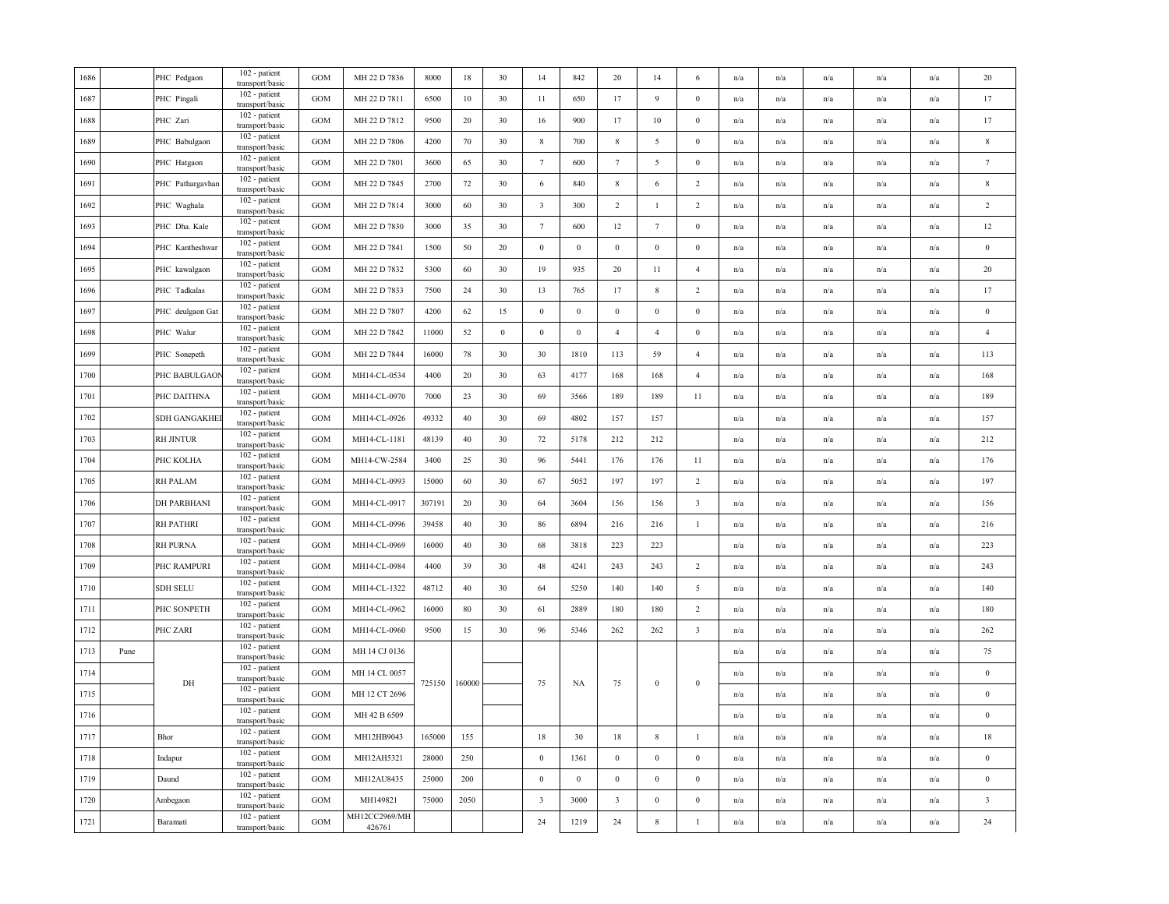|      | PHC Pedgaon         | 102 - patient                      | <b>GOM</b>                                            | MH 22 D 7836            | 8000   | 18   | 30               | 14                      | 842              | 20                      | 14               | 6                       | n/a                     | n/a                     | n/a | n/a                     | n/a                     | 20                      |
|------|---------------------|------------------------------------|-------------------------------------------------------|-------------------------|--------|------|------------------|-------------------------|------------------|-------------------------|------------------|-------------------------|-------------------------|-------------------------|-----|-------------------------|-------------------------|-------------------------|
|      | PHC Pingali         | 102 - patient<br>transport/basic   | GOM                                                   | MH 22 D 7811            | 6500   | 10   | 30               | 11                      | 650              | 17                      | 9                | $\bf{0}$                | n/a                     | n/a                     | n/a | n/a                     | n/a                     | 17                      |
|      | PHC Zari            | 102 - patient<br>transport/basic   | <b>GOM</b>                                            | MH 22 D 7812            | 9500   | 20   | 30               | 16                      | 900              | 17                      | 10               | $\bf{0}$                | n/a                     | $\mathrm{n}/\mathrm{a}$ | n/a | $\mathrm{n}/\mathrm{a}$ | n/a                     | 17                      |
|      | PHC Babulgaon       | 102 - patient<br>transport/basic   | GOM                                                   | MH 22 D 7806            | 4200   | 70   | 30               | $\,$ 8 $\,$             | 700              | $8\phantom{.0}$         | 5                | $\bf{0}$                | n/a                     | n/a                     | n/a | n/a                     | n/a                     | $\,$ 8 $\,$             |
|      | PHC Hatgaon         | 102 - patient                      | GOM                                                   | MH 22 D 7801            | 3600   | 65   | 30               | $7\phantom{.0}$         | 600              | $7\phantom{.0}$         | 5                | $\boldsymbol{0}$        | n/a                     | n/a                     | n/a | n/a                     | n/a                     | $7\phantom{.0}$         |
|      | PHC Pathargavhan    | 102 - patient<br>transport/basic   | <b>GOM</b>                                            | MH 22 D 7845            | 2700   | 72   | 30               | 6                       | 840              | $\,$ 8 $\,$             | 6                | $\overline{c}$          | n/a                     | n/a                     | n/a | n/a                     | n/a                     | $\,$ 8 $\,$             |
|      | PHC Waghala         | 102 - patient<br>transport/basic   | GOM                                                   | MH 22 D 7814            | 3000   | 60   | 30               | $\overline{\mathbf{3}}$ | 300              | $\overline{2}$          | $\mathbf{1}$     | 2                       | $\mathrm{n}/\mathrm{a}$ | n/a                     | n/a | n/a                     | n/a                     | $\sqrt{2}$              |
|      | PHC Dha. Kale       | 102 - patient<br>transport/basic   | GOM                                                   | MH 22 D 7830            | 3000   | 35   | 30               | $7\phantom{.0}$         | 600              | 12                      | $7\phantom{.0}$  | $\mathbf{0}$            | n/a                     | n/a                     | n/a | n/a                     | n/a                     | $12\,$                  |
|      | PHC Kantheshwar     | 102 - patient<br>transport/basic   | <b>GOM</b>                                            | MH 22 D 7841            | 1500   | 50   | 20               | $\boldsymbol{0}$        | $\boldsymbol{0}$ | $\boldsymbol{0}$        | $\boldsymbol{0}$ | $\boldsymbol{0}$        | n/a                     | n/a                     | n/a | n/a                     | n/a                     | $\boldsymbol{0}$        |
|      | PHC kawalgaon       | 102 - patient<br>transport/basic   | GOM                                                   | MH 22 D 7832            | 5300   | 60   | 30               | 19                      | 935              | 20                      | 11               | $\overline{4}$          | $\mathrm{n}/\mathrm{a}$ | n/a                     | n/a | n/a                     | n/a                     | 20                      |
|      | PHC Tadkalas        | 102 - patient<br>transport/basic   | <b>GOM</b>                                            | MH 22 D 7833            | 7500   | 24   | 30               | 13                      | 765              | 17                      | 8                | 2                       | n/a                     | n/a                     | n/a | n/a                     | n/a                     | 17                      |
|      | PHC deulgaon Gat    | 102 - patient<br>transport/basic   | GOM                                                   | MH 22 D 7807            | 4200   | 62   | 15               | $\mathbf{0}$            | $\boldsymbol{0}$ | $\mathbf{0}$            | $\boldsymbol{0}$ | $\boldsymbol{0}$        | n/a                     | n/a                     | n/a | n/a                     | n/a                     | $\bf{0}$                |
|      | PHC Walur           | 102 - patient<br>transport/basic   | GOM                                                   | MH 22 D 7842            | 11000  | 52   | $\bf{0}$         | $\boldsymbol{0}$        | $\mathbf{0}$     | $\overline{4}$          | $\overline{4}$   | $\bf{0}$                | n/a                     | n/a                     | n/a | n/a                     | n/a                     | $\overline{4}$          |
|      | PHC Sonepeth        | 102 - patient<br>transport/basic   | GOM                                                   | MH 22 D 7844            | 16000  | 78   | 30               | 30                      | 1810             | 113                     | 59               | $\overline{4}$          | n/a                     | n/a                     | n/a | n/a                     | n/a                     | 113                     |
|      | PHC BABULGAON       | 102 - patient                      | GOM                                                   | MH14-CL-0534            | 4400   | 20   | 30               | 63                      | 4177             | 168                     | 168              | $\overline{4}$          | n/a                     | n/a                     | n/a | n/a                     | n/a                     | 168                     |
|      | PHC DAITHNA         | 102 - patient<br>transport/basic   | GOM                                                   | MH14-CL-0970            | 7000   | 23   | 30               | 69                      | 3566             | 189                     | 189              | 11                      | n/a                     | n/a                     | n/a | n/a                     | n/a                     | 189                     |
|      | <b>SDH GANGAKHE</b> | 102 - patient<br>transport/basic   | <b>GOM</b>                                            | MH14-CL-0926            | 49332  | 40   | 30               | 69                      | 4802             | 157                     | 157              |                         | n/a                     | $\mathrm{n}/\mathrm{a}$ | n/a | $\mathbf{n}/\mathbf{a}$ | $\mathrm{n}/\mathrm{a}$ | 157                     |
|      | <b>RH JINTUR</b>    | 102 - patient<br>transport/basic   | GOM                                                   | MH14-CL-1181            | 48139  | 40   | 30               | 72                      | 5178             | 212                     | 212              |                         | n/a                     | n/a                     | n/a | n/a                     | n/a                     | 212                     |
|      | PHC KOLHA           | 102 - patient<br>transport/basic   | GOM                                                   | MH14-CW-2584            | 3400   | 25   | 30               | 96                      | 5441             | 176                     | 176              | 11                      | n/a                     | n/a                     | n/a | n/a                     | n/a                     | 176                     |
|      | RH PALAM            | 102 - patient<br>transport/basic   | <b>GOM</b>                                            | MH14-CL-0993            | 15000  | 60   | 30               | 67                      | 5052             | 197                     | 197              | 2                       | n/a                     | $\mathrm{n}/\mathrm{a}$ | n/a | $\mathbf{n}/\mathbf{a}$ | n/a                     | 197                     |
|      | <b>DH PARBHANI</b>  | 102 - patient<br>transport/basic   | <b>GOM</b>                                            | MH14-CL-0917            | 307191 | 20   | 30               | 64                      | 3604             | 156                     | 156              | 3                       | n/a                     | n/a                     | n/a | n/a                     | n/a                     | 156                     |
|      | <b>RH PATHRI</b>    | 102 - patient<br>transport/basic   | GOM                                                   | MH14-CL-0996            | 39458  | 40   | 30               | 86                      | 6894             | 216                     | 216              | $\mathbf{1}$            | n/a                     | n/a                     | n/a | n/a                     | n/a                     | 216                     |
|      | <b>RH PURNA</b>     | 102 - patient<br>transport/basic   | GOM                                                   | MH14-CL-0969            | 16000  | 40   | 30               | 68                      | 3818             | 223                     | 223              |                         | n/a                     | n/a                     | n/a | n/a                     | n/a                     | 223                     |
|      | PHC RAMPURI         | 102 - patient<br>transport/basic   | GOM                                                   | MH14-CL-0984            | 4400   | 39   | 30               | 48                      | 4241             | 243                     | 243              | $\overline{c}$          | n/a                     | n/a                     | n/a | n/a                     | n/a                     | 243                     |
|      | <b>SDH SELU</b>     | 102 - patient<br>transport/basic   | GOM                                                   | MH14-CL-1322            | 48712  | 40   | 30               | 64                      | 5250             | 140                     | 140              | $\sqrt{5}$              | n/a                     | n/a                     | n/a | n/a                     | $\mathrm{n}/\mathrm{a}$ | 140                     |
|      | PHC SONPETH         | 102 - patient<br>transport/basic   | GOM                                                   | MH14-CL-0962            | 16000  | 80   | 30               | 61                      | 2889             | 180                     | 180              | $\overline{2}$          | n/a                     | n/a                     | n/a | n/a                     | n/a                     | 180                     |
|      | PHC ZARI            | 102 - patient<br>transport/basic   | <b>GOM</b>                                            | MH14-CL-0960            | 9500   | 15   | 30               | 96                      | 5346             | 262                     | 262              | $\overline{\mathbf{3}}$ | n/a                     | n/a                     | n/a | n/a                     | n/a                     | 262                     |
| Pune |                     | 102 - patient<br>transport/basic   | <b>GOM</b>                                            | MH 14 CJ 0136           |        |      |                  |                         |                  |                         |                  |                         | n/a                     | n/a                     | n/a | $\mathrm{n}/\mathrm{a}$ | n/a                     | 75                      |
|      |                     | 102 - patient<br>transport/basic   | GOM                                                   | MH 14 CL 0057           |        |      |                  |                         |                  |                         |                  |                         | n/a                     | n/a                     | n/a | n/a                     | n/a                     | $\,0\,$                 |
|      |                     | 102 - patient<br>transport/basic   | GOM                                                   | MH 12 CT 2696           |        |      |                  |                         |                  |                         |                  |                         | n/a                     | n/a                     | n/a | n/a                     | n/a                     | $\bf{0}$                |
|      |                     | 102 - patient<br>transport/basic   | <b>GOM</b>                                            | MH 42 B 6509            |        |      |                  |                         |                  |                         |                  |                         | n/a                     | n/a                     | n/a | n/a                     | n/a                     | $\bf{0}$                |
|      | Bhor                | 102 - patient<br>transport/basic   | <b>GOM</b>                                            | MH12HB9043              | 165000 | 155  |                  | 18                      | 30               | 18                      | $\,$ 8 $\,$      | $\mathbf{1}$            | n/a                     | n/a                     | n/a | n/a                     | n/a                     | 18                      |
|      | Indapur             | 102 - patient<br>transport/basic   | GOM                                                   | MH12AH5321              | 28000  | 250  |                  | $\boldsymbol{0}$        | 1361             | $\,0\,$                 | $\boldsymbol{0}$ | $\bf{0}$                | n/a                     | n/a                     | n/a | n/a                     | n/a                     | $\bf{0}$                |
|      | Daund               | 102 - patient<br>transport/basic   | GOM                                                   | MH12AU8435              | 25000  | 200  |                  | $\boldsymbol{0}$        | $\boldsymbol{0}$ | $\mathbf{0}$            | $\bf{0}$         | $\bf{0}$                | $\mathrm{n}/\mathrm{a}$ | n/a                     | n/a | $\mathrm{n}/\mathrm{a}$ | $\mathrm{n}/\mathrm{a}$ | $\bf{0}$                |
|      | Ambegaon            | 102 - patient<br>transport/basic   | <b>GOM</b>                                            | MH149821                | 75000  | 2050 |                  | $\overline{\mathbf{3}}$ | 3000             | $\overline{\mathbf{3}}$ | $\bf{0}$         | $\mathbf{0}$            | n/a                     | n/a                     | n/a | n/a                     | n/a                     | $\overline{\mathbf{3}}$ |
|      | Baramati            | $102$ - patient<br>transport/basic | GOM                                                   | MH12CC2969/MH<br>426761 |        |      |                  | 24                      | 1219             | $24\,$                  | $\,$ 8 $\,$      | $\mathbf{1}$            | n/a                     | n/a                     | n/a | n/a                     | n/a                     | 24                      |
|      |                     | DH                                 | transport/basic<br>transport/basic<br>transport/basic |                         |        |      | 160000<br>725150 |                         | 75               | NA                      | 75               | $\boldsymbol{0}$        | $\boldsymbol{0}$        |                         |     |                         |                         |                         |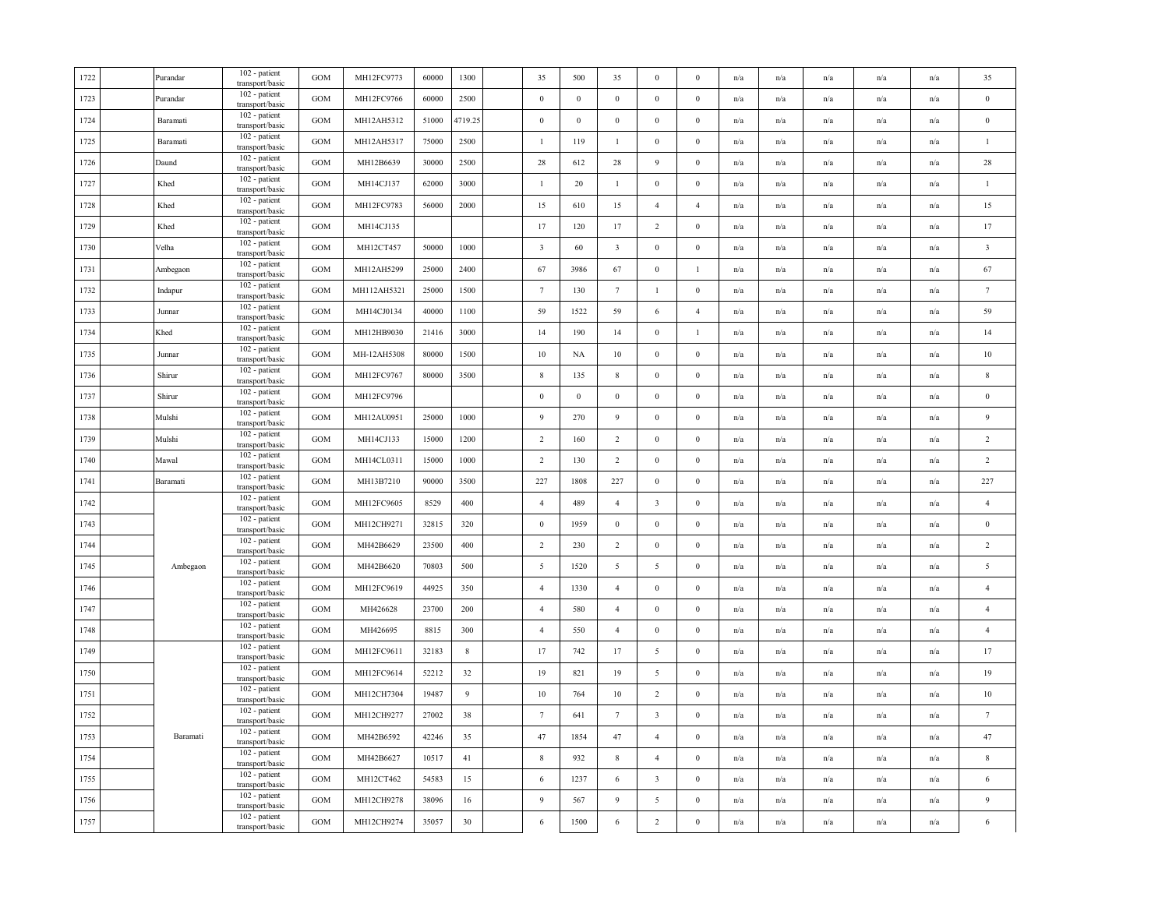| 1722 | Purandar | 102 - patient<br>transport/basic | GOM          | MH12FC9773  | 60000 | 1300        | 35                      | 500      | 35                      | $\mathbf{0}$            | $\mathbf{0}$     | n/a | n/a                     | n/a                     | n/a                     | n/a                     | 35                      |
|------|----------|----------------------------------|--------------|-------------|-------|-------------|-------------------------|----------|-------------------------|-------------------------|------------------|-----|-------------------------|-------------------------|-------------------------|-------------------------|-------------------------|
| 1723 | Purandar | 102 - patient<br>transport/basic | <b>GOM</b>   | MH12FC9766  | 60000 | 2500        | $\boldsymbol{0}$        | $\bf{0}$ | $\overline{0}$          | $\bf{0}$                | $\bf{0}$         | n/a | n/a                     | n/a                     | n/a                     | n/a                     | $\bf{0}$                |
| 1724 | Baramati | 102 - patient<br>transport/basic | <b>GOM</b>   | MH12AH5312  | 51000 | 4719.25     | $\,0\,$                 | $\,0\,$  | $\,0\,$                 | $\boldsymbol{0}$        | $\bf{0}$         | n/a | n/a                     | n/a                     | n/a                     | n/a                     | $\,0\,$                 |
| 1725 | Baramati | 102 - patient<br>transport/basic | <b>GOM</b>   | MH12AH5317  | 75000 | 2500        | $\mathbf{1}$            | 119      | $\mathbf{1}$            | $\bf{0}$                | $\bf{0}$         | n/a | $\mathrm{n}/\mathrm{a}$ | $\mathrm{n}/\mathrm{a}$ | $\mathrm{n}/\mathrm{a}$ | n/a                     | $\mathbf{1}$            |
| 1726 | Daund    | 102 - patient<br>transport/basic | <b>GOM</b>   | MH12B6639   | 30000 | 2500        | 28                      | 612      | 28                      | 9                       | $\mathbf{0}$     | n/a | n/a                     | n/a                     | n/a                     | n/a                     | 28                      |
| 1727 | Khed     | 102 - patient<br>transport/basic | <b>GOM</b>   | MH14CJ137   | 62000 | 3000        | $\mathbf{1}$            | 20       | $\mathbf{1}$            | $\bf{0}$                | $\bf{0}$         | n/a | n/a                     | n/a                     | n/a                     | n/a                     | $\mathbf{1}$            |
| 1728 | Khed     | 102 - patient<br>transport/basic | <b>GOM</b>   | MH12FC9783  | 56000 | 2000        | 15                      | 610      | 15                      | $\overline{4}$          | $\overline{4}$   | n/a | n/a                     | n/a                     | n/a                     | n/a                     | 15                      |
| 1729 | Khed     | 102 - patient<br>transport/basic | <b>GOM</b>   | MH14CJ135   |       |             | 17                      | 120      | 17                      | 2                       | $\boldsymbol{0}$ | n/a | n/a                     | n/a                     | n/a                     | n/a                     | 17                      |
| 1730 | Velha    | 102 - patient<br>transport/basic | <b>GOM</b>   | MH12CT457   | 50000 | 1000        | $\overline{\mathbf{3}}$ | 60       | $\overline{\mathbf{3}}$ | $\boldsymbol{0}$        | $\mathbf{0}$     | n/a | n/a                     | n/a                     | n/a                     | n/a                     | $\overline{\mathbf{3}}$ |
| 1731 | Ambegaon | 102 - patient<br>transport/basic | <b>GOM</b>   | MH12AH5299  | 25000 | 2400        | 67                      | 3986     | 67                      | $\bf{0}$                | -1               | n/a | n/a                     | n/a                     | n/a                     | n/a                     | 67                      |
| 1732 | Indapur  | 102 - patient<br>transport/basic | <b>GOM</b>   | MH112AH5321 | 25000 | 1500        | $\tau$                  | 130      | $7\phantom{.0}$         | $\mathbf{1}$            | $\mathbf{0}$     | n/a | n/a                     | n/a                     | n/a                     | n/a                     | $\tau$                  |
| 1733 | Junnar   | 102 - patient<br>transport/basic | <b>GOM</b>   | MH14CJ0134  | 40000 | 1100        | 59                      | 1522     | 59                      | 6                       | $\overline{4}$   | n/a | n/a                     | n/a                     | n/a                     | n/a                     | 59                      |
| 1734 | Khed     | 102 - patient<br>transport/basic | <b>GOM</b>   | MH12HB9030  | 21416 | 3000        | 14                      | 190      | 14                      | $\boldsymbol{0}$        | -1               | n/a | n/a                     | n/a                     | n/a                     | n/a                     | 14                      |
| 1735 | Junnar   | 102 - patient<br>transport/basic | GOM          | MH-12AH5308 | 80000 | 1500        | 10                      | NA       | 10                      | $\bf{0}$                | $\bf{0}$         | n/a | $\mathrm{n}/\mathrm{a}$ | n/a                     | n/a                     | $\mathrm{n}/\mathrm{a}$ | $10\,$                  |
| 1736 | Shirur   | 102 - patient<br>transport/basic | <b>GOM</b>   | MH12FC9767  | 80000 | 3500        | 8                       | 135      | $\,$ 8 $\,$             | $\bf{0}$                | $\mathbf{0}$     | n/a | n/a                     | n/a                     | n/a                     | n/a                     | $\,$ 8 $\,$             |
| 1737 | Shirur   | 102 - patient<br>transport/basic | <b>GOM</b>   | MH12FC9796  |       |             | $\boldsymbol{0}$        | $\bf{0}$ | $\,0\,$                 | $\bf{0}$                | $\boldsymbol{0}$ | n/a | n/a                     | n/a                     | n/a                     | n/a                     | $\,0\,$                 |
| 1738 | Mulshi   | 102 - patient<br>transport/basic | <b>GOM</b>   | MH12AU0951  | 25000 | 1000        | $\overline{9}$          | 270      | 9                       | $\bf{0}$                | $\boldsymbol{0}$ | n/a | n/a                     | n/a                     | n/a                     | n/a                     | $\overline{9}$          |
| 1739 | Mulshi   | 102 - patient<br>transport/basic | <b>GOM</b>   | MH14CJ133   | 15000 | 1200        | $\overline{2}$          | 160      | $\overline{2}$          | $\bf{0}$                | $\bf{0}$         | n/a | n/a                     | $\mathrm{n}/\mathrm{a}$ | $\mathrm{n}/\mathrm{a}$ | n/a                     | $\sqrt{2}$              |
| 1740 | Mawal    | 102 - patient<br>transport/basic | <b>GOM</b>   | MH14CL0311  | 15000 | 1000        | 2                       | 130      | $\overline{2}$          | $\boldsymbol{0}$        | $\mathbf{0}$     | n/a | n/a                     | $\mathrm{n}/\mathrm{a}$ | $\mathrm{n}/\mathrm{a}$ | n/a                     | $\sqrt{2}$              |
| 1741 | Baramati | 102 - patient<br>transport/basic | <b>GOM</b>   | MH13B7210   | 90000 | 3500        | 227                     | 1808     | 227                     | $\bf{0}$                | $\bf{0}$         | n/a | n/a                     | n/a                     | n/a                     | n/a                     | 227                     |
| 1742 |          | 102 - patient<br>transport/basic | <b>GOM</b>   | MH12FC9605  | 8529  | 400         | $\overline{4}$          | 489      | $\overline{4}$          | $\overline{\mathbf{3}}$ | $\boldsymbol{0}$ | n/a | n/a                     | n/a                     | n/a                     | n/a                     | $\overline{4}$          |
| 1743 |          | 102 - patient<br>transport/basic | <b>GOM</b>   | MH12CH9271  | 32815 | 320         | $\boldsymbol{0}$        | 1959     | $\,0\,$                 | $\bf{0}$                | $\mathbf{0}$     | n/a | $\mathrm{n}/\mathrm{a}$ | $\mathrm{n}/\mathrm{a}$ | $\mathrm{n}/\mathrm{a}$ | $\mathrm{n}/\mathrm{a}$ | $\,0\,$                 |
| 1744 |          | 102 - patient<br>transport/basic | $_{\rm GOM}$ | MH42B6629   | 23500 | 400         | $\overline{2}$          | 230      | $\overline{2}$          | $\boldsymbol{0}$        | $\boldsymbol{0}$ | n/a | n/a                     | n/a                     | n/a                     | n/a                     | $\sqrt{2}$              |
| 1745 | Ambegaon | 102 - patient<br>transport/basic | <b>GOM</b>   | MH42B6620   | 70803 | 500         | $\overline{5}$          | 1520     | 5                       | 5                       | $\boldsymbol{0}$ | n/a | $\mathrm{n}/\mathrm{a}$ | n/a                     | n/a                     | $\mathrm{n}/\mathrm{a}$ | $\sqrt{5}$              |
| 1746 |          | 102 - patient<br>transport/basic | <b>GOM</b>   | MH12FC9619  | 44925 | 350         | $\overline{4}$          | 1330     | $\overline{4}$          | $\bf{0}$                | $\mathbf{0}$     | n/a | n/a                     | n/a                     | n/a                     | n/a                     | $\overline{4}$          |
| 1747 |          | 102 - patient<br>transport/basic | <b>GOM</b>   | MH426628    | 23700 | 200         | $\overline{4}$          | 580      | $\overline{4}$          | $\boldsymbol{0}$        | $\bf{0}$         | n/a | n/a                     | n/a                     | n/a                     | n/a                     | $\overline{4}$          |
| 1748 |          | 102 - patient<br>transport/basic | <b>GOM</b>   | MH426695    | 8815  | 300         | $\overline{4}$          | 550      | $\overline{4}$          | $\bf{0}$                | $\mathbf{0}$     | n/a | n/a                     | n/a                     | n/a                     | n/a                     | $\overline{4}$          |
| 1749 |          | 102 - patient<br>transport/basic | <b>GOM</b>   | MH12FC9611  | 32183 | $\,$ 8 $\,$ | 17                      | 742      | 17                      | 5                       | $\bf{0}$         | n/a | n/a                     | n/a                     | n/a                     | n/a                     | 17                      |
| 1750 |          | 102 - patient<br>transport/basic | <b>GOM</b>   | MH12FC9614  | 52212 | 32          | 19                      | 821      | 19                      | 5                       | $\boldsymbol{0}$ | n/a | n/a                     | n/a                     | n/a                     | n/a                     | 19                      |
| 1751 |          | 102 - patient<br>transport/basic | <b>GOM</b>   | MH12CH7304  | 19487 | 9           | 10                      | 764      | 10                      | 2                       | $\bf{0}$         | n/a | n/a                     | n/a                     | n/a                     | n/a                     | $10\,$                  |
| 1752 |          | 102 - patient<br>transport/basic | <b>GOM</b>   | MH12CH9277  | 27002 | 38          | $7\phantom{.0}$         | 641      | $7\phantom{.0}$         | $\overline{\mathbf{3}}$ | $\bf{0}$         | n/a | n/a                     | n/a                     | n/a                     | n/a                     | $\tau$                  |
| 1753 | Baramati | 102 - patient<br>transport/basic | <b>GOM</b>   | MH42B6592   | 42246 | 35          | 47                      | 1854     | 47                      | $\overline{4}$          | $\bf{0}$         | n/a | n/a                     | n/a                     | n/a                     | n/a                     | 47                      |
| 1754 |          | 102 - patient<br>transport/basic | <b>GOM</b>   | MH42B6627   | 10517 | 41          | $\,$ 8 $\,$             | 932      | $8\,$                   | $\overline{4}$          | $\bf{0}$         | n/a | n/a                     | n/a                     | n/a                     | n/a                     | $\,$ 8 $\,$             |
| 1755 |          | 102 - patient<br>transport/basic | GOM          | MH12CT462   | 54583 | 15          | 6                       | 1237     | 6                       | $\overline{\mathbf{3}}$ | $\bf{0}$         | n/a | $\mathrm{n}/\mathrm{a}$ | n/a                     | $\mathrm{n}/\mathrm{a}$ | $\mathrm{n}/\mathrm{a}$ | $\sqrt{6}$              |
| 1756 |          | 102 - patient<br>transport/basic | <b>GOM</b>   | MH12CH9278  | 38096 | 16          | $\overline{9}$          | 567      | 9                       | 5                       | $\bf{0}$         | n/a | n/a                     | n/a                     | n/a                     | n/a                     | $\overline{9}$          |
| 1757 |          | 102 - patient<br>transport/basic | GOM          | MH12CH9274  | 35057 | 30          | $\sqrt{6}$              | 1500     | 6                       | $\sqrt{2}$              | $\boldsymbol{0}$ | n/a | n/a                     | n/a                     | n/a                     | n/a                     | $\sqrt{6}$              |
|      |          |                                  |              |             |       |             |                         |          |                         |                         |                  |     |                         |                         |                         |                         |                         |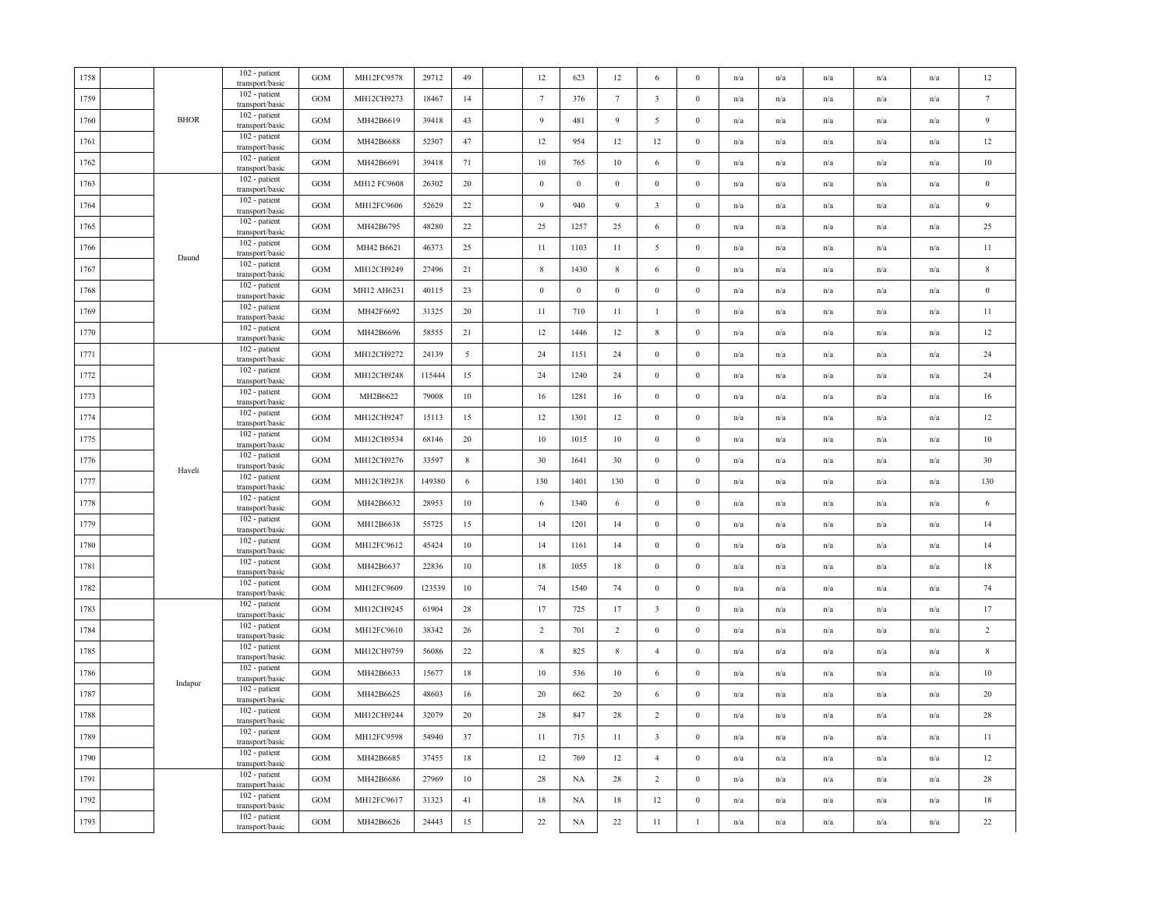| 1758 |             | 102 - patient<br>transport/basic | <b>GOM</b>   | MH12FC9578  | 29712  | 49             | 12               | 623              | 12              | 6                       | $\bf{0}$         | n/a | n/a                     | n/a                     | n/a                     | n/a                     | 12               |
|------|-------------|----------------------------------|--------------|-------------|--------|----------------|------------------|------------------|-----------------|-------------------------|------------------|-----|-------------------------|-------------------------|-------------------------|-------------------------|------------------|
| 1759 |             | 102 - patient<br>transport/basic | <b>GOM</b>   | MH12CH9273  | 18467  | 14             | $7\phantom{.0}$  | 376              | $7\phantom{.0}$ | $\overline{\mathbf{3}}$ | $\boldsymbol{0}$ | n/a | n/a                     | n/a                     | n/a                     | n/a                     | $\tau$           |
| 1760 | <b>BHOR</b> | 102 - patient<br>transport/basic | $_{\rm GOM}$ | MH42B6619   | 39418  | 43             | 9                | 481              | 9               | $\overline{5}$          | $\mathbf{0}$     | n/a | n/a                     | n/a                     | n/a                     | n/a                     | $\overline{9}$   |
| 1761 |             | 102 - patient<br>transport/basic | <b>GOM</b>   | MH42B6688   | 52307  | 47             | 12               | 954              | 12              | 12                      | $\boldsymbol{0}$ | n/a | n/a                     | n/a                     | n/a                     | n/a                     | 12               |
| 1762 |             | 102 - patient<br>transport/basic | <b>GOM</b>   | MH42B6691   | 39418  | 71             | 10               | 765              | 10              | 6                       | $\boldsymbol{0}$ | n/a | n/a                     | n/a                     | n/a                     | n/a                     | $10\,$           |
| 1763 |             | 102 - patient<br>transport/basic | <b>GOM</b>   | MH12 FC9608 | 26302  | 20             | $\mathbf{0}$     | $\mathbf{0}$     | $\mathbf{0}$    | $\boldsymbol{0}$        | $\mathbf{0}$     | n/a | n/a                     | n/a                     | n/a                     | n/a                     | $\,0\,$          |
| 1764 |             | 102 - patient<br>transport/basic | <b>GOM</b>   | MH12FC9606  | 52629  | 22             | $\overline{9}$   | 940              | 9               | $\sqrt{3}$              | $\bf{0}$         | n/a | n/a                     | n/a                     | n/a                     | n/a                     | $\overline{9}$   |
| 1765 |             | 102 - patient<br>transport/basic | <b>GOM</b>   | MH42B6795   | 48280  | 22             | 25               | 1257             | 25              | 6                       | $\boldsymbol{0}$ | n/a | n/a                     | n/a                     | n/a                     | n/a                     | 25               |
| 1766 | Daund       | 102 - patient<br>transport/basic | <b>GOM</b>   | MH42 B6621  | 46373  | 25             | 11               | 1103             | 11              | 5                       | $\boldsymbol{0}$ | n/a | $\mathrm{n}/\mathrm{a}$ | n/a                     | n/a                     | $\mathbf{n}/\mathbf{a}$ | 11               |
| 1767 |             | 102 - patient<br>transport/basic | GOM          | MH12CH9249  | 27496  | 21             | $8\,$            | 1430             | $8\,$           | 6                       | $\mathbf{0}$     | n/a | n/a                     | n/a                     | n/a                     | $\mathbf{n}/\mathbf{a}$ | $\,$ 8 $\,$      |
| 1768 |             | 102 - patient<br>transport/basic | <b>GOM</b>   | MH12 AH6231 | 40115  | 23             | $\boldsymbol{0}$ | $\boldsymbol{0}$ | $\mathbf{0}$    | $\mathbf{0}$            | $\boldsymbol{0}$ | n/a | $\mathrm{n}/\mathrm{a}$ | n/a                     | n/a                     | $\mathbf{n}/\mathbf{a}$ | $\boldsymbol{0}$ |
| 1769 |             | 102 - patient<br>transport/basic | <b>GOM</b>   | MH42F6692   | 31325  | 20             | 11               | 710              | 11              | 1                       | $\bf{0}$         | n/a | n/a                     | n/a                     | n/a                     | n/a                     | 11               |
| 1770 |             | 102 - patient<br>transport/basic | <b>GOM</b>   | MH42B6696   | 58555  | 21             | 12               | 1446             | 12              | $\,$ 8 $\,$             | $\bf{0}$         | n/a | n/a                     | n/a                     | n/a                     | n/a                     | $12\,$           |
| 1771 |             | 102 - patient<br>transport/basic | <b>GOM</b>   | MH12CH9272  | 24139  | $\overline{5}$ | 24               | 1151             | 24              | $\boldsymbol{0}$        | $\bf{0}$         | n/a | n/a                     | n/a                     | n/a                     | n/a                     | 24               |
| 1772 |             | 102 - patient<br>transport/basic | <b>GOM</b>   | MH12CH9248  | 115444 | 15             | 24               | 1240             | 24              | $\mathbf{0}$            | $\boldsymbol{0}$ | n/a | n/a                     | n/a                     | n/a                     | n/a                     | 24               |
| 1773 |             | 102 - patient<br>transport/basic | $_{\rm GOM}$ | MH2B6622    | 79008  | 10             | 16               | 1281             | 16              | $\boldsymbol{0}$        | $\mathbf{0}$     | n/a | n/a                     | n/a                     | n/a                     | n/a                     | 16               |
| 1774 |             | 102 - patient<br>transport/basic | GOM          | MH12CH9247  | 15113  | 15             | $12\,$           | 1301             | 12              | $\boldsymbol{0}$        | $\boldsymbol{0}$ | n/a | n/a                     | n/a                     | n/a                     | n/a                     | 12               |
| 1775 |             | 102 - patient<br>transport/basic | <b>GOM</b>   | MH12CH9534  | 68146  | 20             | 10               | 1015             | 10              | $\bf{0}$                | $\bf{0}$         | n/a | n/a                     | n/a                     | n/a                     | n/a                     | 10               |
| 1776 | Haveli      | 102 - patient<br>transport/basic | <b>GOM</b>   | MH12CH9276  | 33597  | $8\,$          | 30               | 1641             | 30              | $\bf{0}$                | $\mathbf{0}$     | n/a | n/a                     | n/a                     | n/a                     | n/a                     | 30               |
| 1777 |             | 102 - patient<br>transport/basic | <b>GOM</b>   | MH12CH9238  | 149380 | 6              | 130              | 1401             | 130             | $\boldsymbol{0}$        | $\bf{0}$         | n/a | $\mathrm{n}/\mathrm{a}$ | n/a                     | n/a                     | $\mathrm{n}/\mathrm{a}$ | 130              |
| 1778 |             | 102 - patient<br>transport/basic | GOM          | MH42B6632   | 28953  | 10             | 6                | 1340             | 6               | $\mathbf{0}$            | $\bf{0}$         | n/a | $\mathrm{n}/\mathrm{a}$ | n/a                     | $\mathrm{n}/\mathrm{a}$ | $\mathrm{n}/\mathrm{a}$ | $\sqrt{6}$       |
| 1779 |             | 102 - patient<br>transport/basic | <b>GOM</b>   | MH12B6638   | 55725  | 15             | 14               | 1201             | 14              | $\mathbf{0}$            | $\boldsymbol{0}$ | n/a | n/a                     | n/a                     | n/a                     | n/a                     | 14               |
| 1780 |             | 102 - patient<br>transport/basic | $_{\rm GOM}$ | MH12FC9612  | 45424  | 10             | 14               | 1161             | 14              | $\boldsymbol{0}$        | $\mathbf{0}$     | n/a | n/a                     | n/a                     | n/a                     | n/a                     | 14               |
| 1781 |             | 102 - patient<br>transport/basic | <b>GOM</b>   | MH42B6637   | 22836  | $10\,$         | 18               | 1055             | 18              | $\bf{0}$                | $\bf{0}$         | n/a | n/a                     | n/a                     | n/a                     | n/a                     | 18               |
| 1782 |             | 102 - patient<br>transport/basic | <b>GOM</b>   | MH12FC9609  | 123539 | $10\,$         | 74               | 1540             | 74              | $\bf{0}$                | $\mathbf{0}$     | n/a | n/a                     | n/a                     | n/a                     | $\mathrm{n}/\mathrm{a}$ | 74               |
| 1783 |             | 102 - patient<br>transport/basic | $_{\rm GOM}$ | MH12CH9245  | 61904  | 28             | 17               | 725              | 17              | $\overline{\mathbf{3}}$ | $\mathbf{0}$     | n/a | n/a                     | n/a                     | n/a                     | $\mathrm{n}/\mathrm{a}$ | 17               |
| 1784 |             | 102 - patient<br>transport/basic | <b>GOM</b>   | MH12FC9610  | 38342  | 26             | 2                | 701              | $\overline{2}$  | $\boldsymbol{0}$        | $\mathbf{0}$     | n/a | n/a                     | n/a                     | n/a                     | n/a                     | $\overline{2}$   |
| 1785 |             | 102 - patient<br>transport/basic | <b>GOM</b>   | MH12CH9759  | 56086  | 22             | $\,$ 8 $\,$      | 825              | $8\phantom{.0}$ | $\overline{4}$          | $\boldsymbol{0}$ | n/a | n/a                     | n/a                     | n/a                     | n/a                     | $\,$ 8 $\,$      |
| 1786 |             | 102 - patient<br>transport/basic | <b>GOM</b>   | MH42B6633   | 15677  | 18             | 10               | 536              | 10              | 6                       | $\mathbf{0}$     | n/a | n/a                     | n/a                     | n/a                     | n/a                     | $10\,$           |
| 1787 | Indapur     | 102 - patient<br>transport/basic | <b>GOM</b>   | MH42B6625   | 48603  | 16             | 20               | 662              | 20              | 6                       | $\boldsymbol{0}$ | n/a | n/a                     | n/a                     | n/a                     | n/a                     | 20               |
| 1788 |             | 102 - patient<br>transport/basic | <b>GOM</b>   | MH12CH9244  | 32079  | 20             | 28               | 847              | 28              | $\overline{2}$          | $\boldsymbol{0}$ | n/a | n/a                     | $\mathrm{n}/\mathrm{a}$ | n/a                     | n/a                     | 28               |
| 1789 |             | 102 - patient<br>transport/basic | <b>GOM</b>   | MH12FC9598  | 54940  | 37             | 11               | 715              | 11              | $\overline{\mathbf{3}}$ | $\bf{0}$         | n/a | n/a                     | $\mathrm{n}/\mathrm{a}$ | $\mathrm{n}/\mathrm{a}$ | n/a                     | 11               |
| 1790 |             | 102 - patient<br>transport/basic | $_{\rm GOM}$ | MH42B6685   | 37455  | 18             | 12               | 769              | 12              | $\overline{4}$          | $\boldsymbol{0}$ | n/a | n/a                     | n/a                     | n/a                     | $\mathrm{n}/\mathrm{a}$ | $12\,$           |
| 1791 |             | 102 - patient<br>transport/basic | <b>GOM</b>   | MH42B6686   | 27969  | 10             | 28               | NA               | 28              | $\overline{2}$          | $\boldsymbol{0}$ | n/a | $\mathrm{n}/\mathrm{a}$ | n/a                     | $\mathrm{n}/\mathrm{a}$ | $\mathrm{n}/\mathrm{a}$ | $28\,$           |
| 1792 |             | 102 - patient<br>transport/basic | <b>GOM</b>   | MH12FC9617  | 31323  | 41             | 18               | NA               | 18              | 12                      | $\bf{0}$         | n/a | n/a                     | n/a                     | n/a                     | n/a                     | $18\,$           |
| 1793 |             | 102 - patient<br>transport/basic | GOM          | MH42B6626   | 24443  | 15             | $22\,$           | NA               | $22\,$          | 11                      | $\mathbf{1}$     | n/a | n/a                     | n/a                     | n/a                     | n/a                     | $22\,$           |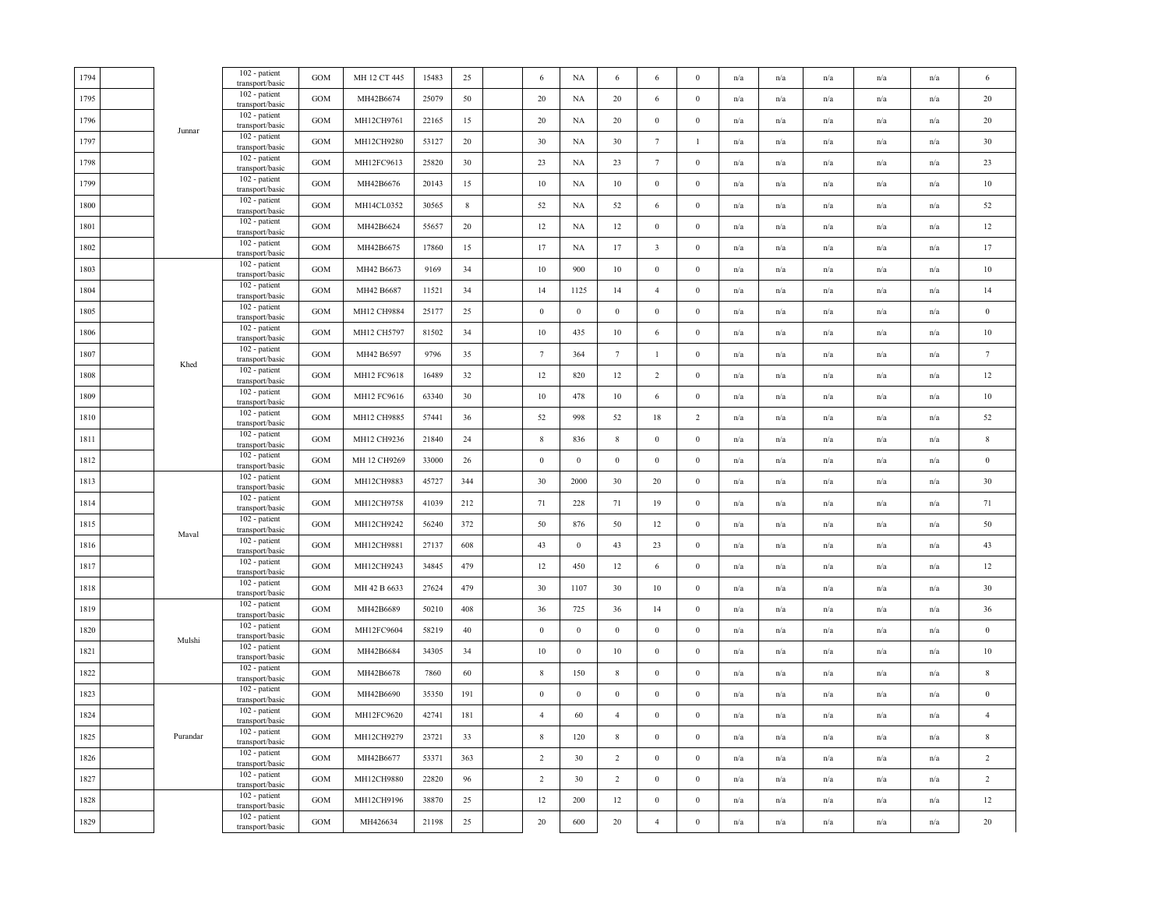| 1794 |          | 102 - patient<br>transport/basic   | GOM               | MH 12 CT 445 | 15483 | 25  | 6                | NA               | 6               | 6                | $\mathbf{0}$     | n/a                     | n/a                     | n/a                     | n/a                     | n/a                     | 6                |
|------|----------|------------------------------------|-------------------|--------------|-------|-----|------------------|------------------|-----------------|------------------|------------------|-------------------------|-------------------------|-------------------------|-------------------------|-------------------------|------------------|
| 1795 |          | 102 - patient<br>transport/basic   | <b>GOM</b>        | MH42B6674    | 25079 | 50  | 20               | NA               | 20              | 6                | $\mathbf{0}$     | n/a                     | n/a                     | n/a                     | n/a                     | n/a                     | 20               |
| 1796 |          | 102 - patient<br>transport/basic   | GOM               | MH12CH9761   | 22165 | 15  | 20               | NA               | 20              | $\boldsymbol{0}$ | $\boldsymbol{0}$ | n/a                     | n/a                     | n/a                     | n/a                     | n/a                     | 20               |
| 1797 | Junnar   | 102 - patient<br>transport/basic   | GOM               | MH12CH9280   | 53127 | 20  | 30               | NA               | 30              | $7\phantom{.0}$  | $\mathbf{1}$     | n/a                     | n/a                     | $\mathrm{n}/\mathrm{a}$ | $\mathrm{n}/\mathrm{a}$ | n/a                     | 30               |
| 1798 |          | 102 - patient<br>transport/basic   | GOM               | MH12FC9613   | 25820 | 30  | 23               | NA               | 23              | $7\phantom{.0}$  | $\bf{0}$         | n/a                     | n/a                     | $\mathrm{n}/\mathrm{a}$ | n/a                     | n/a                     | 23               |
| 1799 |          | 102 - patient<br>transport/basic   | <b>GOM</b>        | MH42B6676    | 20143 | 15  | 10               | NA               | $10\,$          | $\boldsymbol{0}$ | $\bf{0}$         | n/a                     | n/a                     | n/a                     | n/a                     | n/a                     | $10\,$           |
| 1800 |          | 102 - patient<br>transport/basic   | GOM               | MH14CL0352   | 30565 | 8   | 52               | NA               | 52              | 6                | $\bf{0}$         | n/a                     | n/a                     | n/a                     | n/a                     | n/a                     | 52               |
| 1801 |          | 102 - patient<br>transport/basic   | GOM               | MH42B6624    | 55657 | 20  | 12               | NA               | 12              | $\bf{0}$         | $\mathbf{0}$     | n/a                     | n/a                     | n/a                     | n/a                     | n/a                     | $12\,$           |
| 1802 |          | $102$ - patient<br>transport/basic | GOM               | MH42B6675    | 17860 | 15  | 17               | NA               | 17              | $\mathbf{3}$     | $\boldsymbol{0}$ | n/a                     | n/a                     | n/a                     | n/a                     | n/a                     | 17               |
| 1803 |          | 102 - patient<br>transport/basic   | GOM               | MH42 B6673   | 9169  | 34  | $10\,$           | 900              | 10              | $\boldsymbol{0}$ | $\bf{0}$         | $\mathrm{n}/\mathrm{a}$ | n/a                     | n/a                     | n/a                     | n/a                     | $10\,$           |
| 1804 |          | 102 - patient<br>transport/basic   | GOM               | MH42 B6687   | 11521 | 34  | 14               | 1125             | 14              | $\overline{4}$   | $\bf{0}$         | n/a                     | n/a                     | n/a                     | n/a                     | n/a                     | 14               |
| 1805 |          | 102 - patient<br>transport/basic   | GOM               | MH12 CH9884  | 25177 | 25  | $\boldsymbol{0}$ | $\boldsymbol{0}$ | $\mathbf{0}$    | $\boldsymbol{0}$ | $\boldsymbol{0}$ | n/a                     | n/a                     | n/a                     | n/a                     | $\mathrm{n}/\mathrm{a}$ | $\boldsymbol{0}$ |
| 1806 |          | 102 - patient<br>transport/basic   | GOM               | MH12 CH5797  | 81502 | 34  | 10               | 435              | 10              | 6                | $\bf{0}$         | n/a                     | n/a                     | n/a                     | n/a                     | n/a                     | $10\,$           |
| 1807 |          | 102 - patient<br>transport/basic   | <b>GOM</b>        | MH42 B6597   | 9796  | 35  | $7\phantom{.0}$  | 364              | $7\phantom{.0}$ | -1               | $\bf{0}$         | n/a                     | n/a                     | n/a                     | n/a                     | n/a                     | $\tau$           |
| 1808 | Khed     | 102 - patient<br>transport/basic   | GOM               | MH12 FC9618  | 16489 | 32  | 12               | 820              | 12              | $\overline{2}$   | $\boldsymbol{0}$ | n/a                     | n/a                     | n/a                     | n/a                     | n/a                     | $12\,$           |
| 1809 |          | 102 - patient<br>transport/basic   | GOM               | MH12 FC9616  | 63340 | 30  | $10\,$           | 478              | $10\,$          | 6                | $\boldsymbol{0}$ | n/a                     | n/a                     | n/a                     | n/a                     | n/a                     | 10               |
| 1810 |          | 102 - patient<br>transport/basic   | GOM               | MH12 CH9885  | 57441 | 36  | 52               | 998              | 52              | 18               | $\overline{c}$   | n/a                     | n/a                     | $\mathrm{n}/\mathrm{a}$ | $\mathrm{n}/\mathrm{a}$ | n/a                     | 52               |
| 1811 |          | 102 - patient<br>transport/basic   | GOM               | MH12 CH9236  | 21840 | 24  | $\,$ 8 $\,$      | 836              | $\,$ 8 $\,$     | $\boldsymbol{0}$ | $\boldsymbol{0}$ | n/a                     | n/a                     | $\mathrm{n}/\mathrm{a}$ | $\mathrm{n}/\mathrm{a}$ | n/a                     | $\,$ 8 $\,$      |
| 1812 |          | 102 - patient<br>transport/basic   | <b>GOM</b>        | MH 12 CH9269 | 33000 | 26  | $\boldsymbol{0}$ | $\boldsymbol{0}$ | $\,0\,$         | $\boldsymbol{0}$ | $\bf{0}$         | n/a                     | n/a                     | n/a                     | n/a                     | n/a                     | $\bf{0}$         |
| 1813 |          | 102 - patient<br>transport/basic   | <b>GOM</b>        | MH12CH9883   | 45727 | 344 | 30               | 2000             | 30              | 20               | $\bf{0}$         | n/a                     | n/a                     | n/a                     | n/a                     | n/a                     | 30               |
| 1814 |          | 102 - patient<br>transport/basic   | GOM               | MH12CH9758   | 41039 | 212 | 71               | 228              | 71              | 19               | $\boldsymbol{0}$ | n/a                     | n/a                     | $\mathrm{n}/\mathrm{a}$ | $\mathbf{n}/\mathbf{a}$ | n/a                     | 71               |
| 1815 | Maval    | 102 - patient<br>transport/basic   | GOM               | MH12CH9242   | 56240 | 372 | 50               | 876              | 50              | 12               | $\boldsymbol{0}$ | n/a                     | n/a                     | n/a                     | n/a                     | n/a                     | 50               |
| 1816 |          | 102 - patient<br>transport/basic   | GOM               | MH12CH9881   | 27137 | 608 | 43               | $\boldsymbol{0}$ | 43              | 23               | $\boldsymbol{0}$ | $\mathrm{n}/\mathrm{a}$ | n/a                     | n/a                     | $\mathrm{n}/\mathrm{a}$ | $\mathrm{n}/\mathrm{a}$ | 43               |
| 1817 |          | 102 - patient<br>transport/basic   | $_{\mathrm{GOM}}$ | MH12CH9243   | 34845 | 479 | 12               | 450              | 12              | 6                | $\bf{0}$         | n/a                     | n/a                     | n/a                     | n/a                     | n/a                     | 12               |
| 1818 |          | 102 - patient<br>transport/basic   | GOM               | MH 42 B 6633 | 27624 | 479 | 30               | 1107             | 30              | $10\,$           | $\boldsymbol{0}$ | n/a                     | n/a                     | n/a                     | n/a                     | n/a                     | 30               |
| 1819 |          | 102 - patient<br>transport/basic   | <b>GOM</b>        | MH42B6689    | 50210 | 408 | 36               | 725              | 36              | 14               | $\bf{0}$         | n/a                     | n/a                     | n/a                     | n/a                     | n/a                     | 36               |
| 1820 | Mulshi   | 102 - patient<br>transport/basic   | <b>GOM</b>        | MH12FC9604   | 58219 | 40  | $\mathbf{0}$     | $\mathbf{0}$     | $\bf{0}$        | $\bf{0}$         | $\bf{0}$         | n/a                     | n/a                     | n/a                     | n/a                     | n/a                     | $\bf{0}$         |
| 1821 |          | 102 - patient<br>transport/basic   | GOM               | MH42B6684    | 34305 | 34  | $10\,$           | $\boldsymbol{0}$ | 10              | $\boldsymbol{0}$ | $\boldsymbol{0}$ | n/a                     | n/a                     | n/a                     | n/a                     | n/a                     | $10\,$           |
| 1822 |          | 102 - patient<br>transport/basic   | GOM               | MH42B6678    | 7860  | 60  | $\,$ 8 $\,$      | 150              | $\,$ 8 $\,$     | $\boldsymbol{0}$ | $\boldsymbol{0}$ | n/a                     | n/a                     | n/a                     | n/a                     | n/a                     | $\,$ 8 $\,$      |
| 1823 |          | 102 - patient<br>transport/basic   | GOM               | MH42B6690    | 35350 | 191 | $\mathbf{0}$     | $\boldsymbol{0}$ | $\mathbf{0}$    | $\bf{0}$         | $\bf{0}$         | n/a                     | n/a                     | n/a                     | n/a                     | n/a                     | $\,0\,$          |
| 1824 |          | 102 - patient<br>transport/basic   | $_{\mathrm{GOM}}$ | MH12FC9620   | 42741 | 181 | $\overline{4}$   | 60               | $\overline{4}$  | $\boldsymbol{0}$ | $\bf{0}$         | n/a                     | n/a                     | $\mathrm{n}/\mathrm{a}$ | n/a                     | n/a                     | $\overline{4}$   |
| 1825 | Purandar | 102 - patient<br>transport/basic   | GOM               | MH12CH9279   | 23721 | 33  | $\,$ 8 $\,$      | 120              | $\,$ 8 $\,$     | $\mathbf{0}$     | $\bf{0}$         | n/a                     | n/a                     | n/a                     | n/a                     | n/a                     | $\,$ 8 $\,$      |
| 1826 |          | 102 - patient<br>transport/basic   | <b>GOM</b>        | MH42B6677    | 53371 | 363 | 2                | 30               | 2               | $\bf{0}$         | $\bf{0}$         | n/a                     | n/a                     | n/a                     | n/a                     | n/a                     | 2                |
| 1827 |          | $102$ - patient<br>transport/basic | GOM               | MH12CH9880   | 22820 | 96  | $\overline{2}$   | 30               | $\overline{2}$  | $\bf{0}$         | $\boldsymbol{0}$ | n/a                     | n/a                     | n/a                     | n/a                     | n/a                     | $\sqrt{2}$       |
| 1828 |          | 102 - patient<br>transport/basic   | GOM               | MH12CH9196   | 38870 | 25  | 12               | 200              | 12              | $\boldsymbol{0}$ | $\boldsymbol{0}$ | n/a                     | n/a                     | n/a                     | n/a                     | n/a                     | $12\,$           |
| 1829 |          | 102 - patient<br>transport/basic   | GOM               | MH426634     | 21198 | 25  | $20\,$           | 600              | $20\,$          | $\overline{4}$   | $\boldsymbol{0}$ | n/a                     | $\mathrm{n}/\mathrm{a}$ | n/a                     | $\mathrm{n}/\mathrm{a}$ | $\mathrm{n}/\mathrm{a}$ | $20\,$           |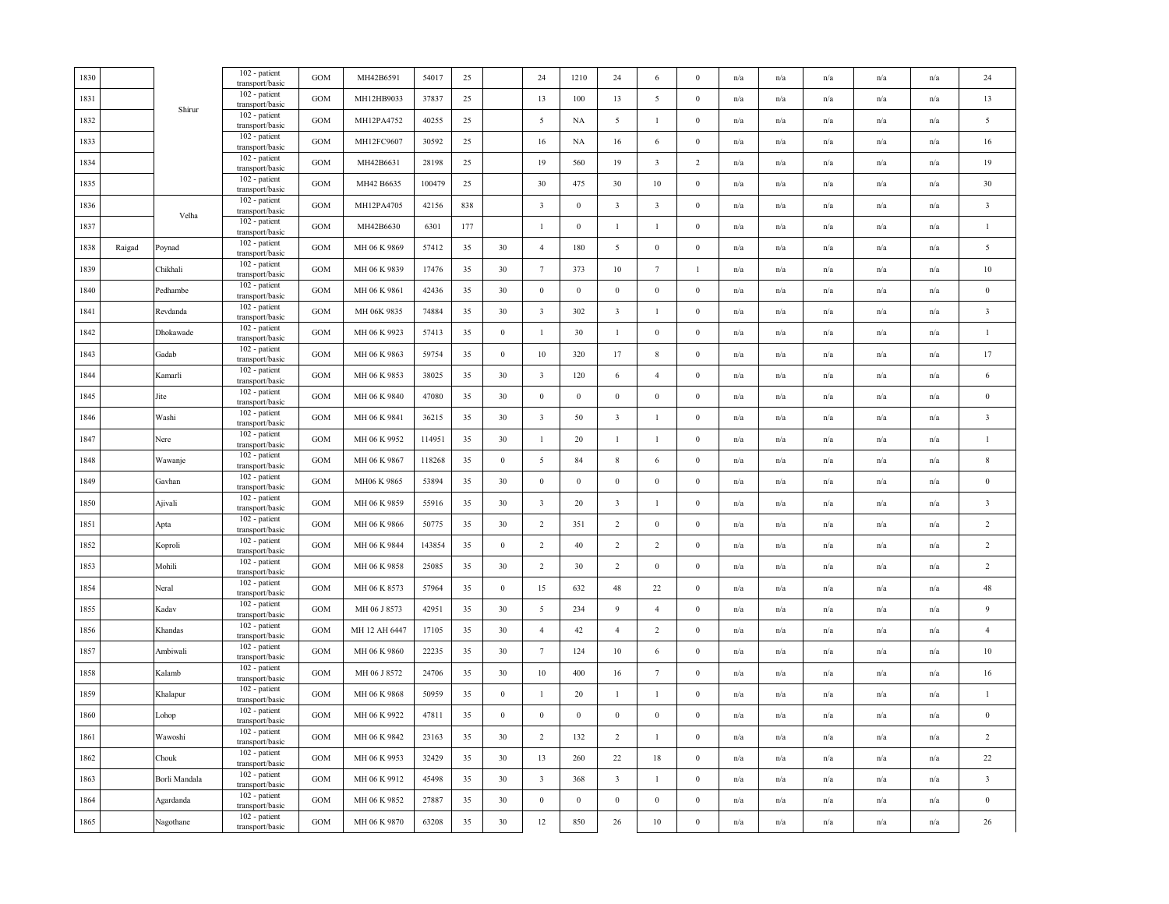| 1830     |        |               | 102 - patient<br>transport/basic | <b>GOM</b> | MH42B6591     | 54017  | 25  |                  | 24                      | 1210             | 24                      | 6                       | $\bf{0}$         | n/a                     | n/a                     | n/a                     | n/a                     | n/a | 24                      |
|----------|--------|---------------|----------------------------------|------------|---------------|--------|-----|------------------|-------------------------|------------------|-------------------------|-------------------------|------------------|-------------------------|-------------------------|-------------------------|-------------------------|-----|-------------------------|
| 1831     |        | Shirur        | 102 - patient<br>transport/basic | GOM        | MH12HB9033    | 37837  | 25  |                  | 13                      | 100              | 13                      | 5                       | $\mathbf{0}$     | n/a                     | n/a                     | n/a                     | n/a                     | n/a | 13                      |
| 1832     |        |               | 102 - patient<br>transport/basic | GOM        | MH12PA4752    | 40255  | 25  |                  | 5                       | NA               | $\overline{5}$          | $\mathbf{1}$            | $\boldsymbol{0}$ | n/a                     | n/a                     | n/a                     | n/a                     | n/a | $\overline{5}$          |
| 1833     |        |               | 102 - patient<br>transport/basic | GOM        | MH12FC9607    | 30592  | 25  |                  | 16                      | NA               | 16                      | 6                       | $\boldsymbol{0}$ | n/a                     | n/a                     | n/a                     | n/a                     | n/a | 16                      |
| 1834     |        |               | 102 - patient<br>transport/basic | GOM        | MH42B6631     | 28198  | 25  |                  | 19                      | 560              | 19                      | $\overline{\mathbf{3}}$ | $\overline{2}$   | n/a                     | n/a                     | n/a                     | $\mathrm{n}/\mathrm{a}$ | n/a | 19                      |
| 1835     |        |               | 102 - patient<br>transport/basic | GOM        | MH42 B6635    | 100479 | 25  |                  | 30                      | 475              | 30                      | $10\,$                  | $\mathbf{0}$     | n/a                     | n/a                     | $\mathrm{n}/\mathrm{a}$ | n/a                     | n/a | 30                      |
| 1836     |        |               | 102 - patient<br>transport/basic | GOM        | MH12PA4705    | 42156  | 838 |                  | $\overline{3}$          | $\,0\,$          | $\overline{\mathbf{3}}$ | $\overline{\mathbf{3}}$ | $\boldsymbol{0}$ | n/a                     | n/a                     | n/a                     | n/a                     | n/a | $\overline{\mathbf{3}}$ |
| 1837     |        | Velha         | 102 - patient<br>transport/basic | <b>GOM</b> | MH42B6630     | 6301   | 177 |                  | -1                      | $\mathbf{0}$     | $\mathbf{1}$            | 1                       | $\mathbf{0}$     | n/a                     | n/a                     | n/a                     | n/a                     | n/a | $\mathbf{1}$            |
| 1838     | Raigad | Poynad        | 102 - patient<br>transport/basic | GOM        | MH 06 K 9869  | 57412  | 35  | 30               | $\overline{4}$          | 180              | 5                       | $\boldsymbol{0}$        | $\boldsymbol{0}$ | n/a                     | n/a                     | n/a                     | n/a                     | n/a | 5                       |
| 1839     |        | Chikhali      | 102 - patient<br>transport/basic | GOM        | MH 06 K 9839  | 17476  | 35  | 30               | $7\phantom{.0}$         | 373              | 10                      | $7\phantom{.0}$         | $\mathbf{1}$     | n/a                     | n/a                     | n/a                     | n/a                     | n/a | $10\,$                  |
| 1840     |        | Pedhambe      | 102 - patient<br>transport/basic | GOM        | MH 06 K 9861  | 42436  | 35  | 30               | $\mathbf{0}$            | $\,0\,$          | $\bf{0}$                | $\boldsymbol{0}$        | $\mathbf{0}$     | n/a                     | n/a                     | n/a                     | n/a                     | n/a | $\boldsymbol{0}$        |
| 1841     |        | Revdanda      | 102 - patient<br>transport/basic | GOM        | MH 06K 9835   | 74884  | 35  | 30               | $\overline{3}$          | 302              | $\overline{\mathbf{3}}$ | 1                       | $\mathbf{0}$     | n/a                     | n/a                     | n/a                     | n/a                     | n/a | $\overline{\mathbf{3}}$ |
| 1842     |        | Dhokawade     | 102 - patient<br>transport/basic | <b>GOM</b> | MH 06 K 9923  | 57413  | 35  | $\boldsymbol{0}$ | $\mathbf{1}$            | 30               | -1                      | $\boldsymbol{0}$        | $\boldsymbol{0}$ | n/a                     | n/a                     | n/a                     | n/a                     | n/a | $\mathbf{1}$            |
| 1843     |        | Gadab         | 102 - patient<br>transport/basic | GOM        | MH 06 K 9863  | 59754  | 35  | $\bf{0}$         | 10                      | 320              | 17                      | $\,$ 8 $\,$             | $\boldsymbol{0}$ | n/a                     | n/a                     | n/a                     | n/a                     | n/a | 17                      |
| 1844     |        | Kamarli       | 102 - patient<br>transport/basic | GOM        | MH 06 K 9853  | 38025  | 35  | 30               | $\overline{\mathbf{3}}$ | 120              | 6                       | $\overline{4}$          | $\boldsymbol{0}$ | n/a                     | n/a                     | n/a                     | n/a                     | n/a | 6                       |
| 1845     |        | Jite          | 102 - patient<br>transport/basic | GOM        | MH 06 K 9840  | 47080  | 35  | 30               | $\,0\,$                 | $\,0\,$          | $\boldsymbol{0}$        | $\boldsymbol{0}$        | $\boldsymbol{0}$ | n/a                     | n/a                     | n/a                     | n/a                     | n/a | $\boldsymbol{0}$        |
| 1846     |        | Washi         | 102 - patient<br>transport/basic | GOM        | MH 06 K 9841  | 36215  | 35  | 30               | $\overline{\mathbf{3}}$ | 50               | $\overline{\mathbf{3}}$ | $\mathbf{1}$            | $\boldsymbol{0}$ | n/a                     | n/a                     | n/a                     | n/a                     | n/a | $\overline{\mathbf{3}}$ |
| 1847     |        | Nere          | 102 - patient<br>transport/basic | GOM        | MH 06 K 9952  | 114951 | 35  | 30               | $\mathbf{1}$            | 20               | -1                      | 1                       | $\boldsymbol{0}$ | n/a                     | n/a                     | $\mathrm{n}/\mathrm{a}$ | n/a                     | n/a | $\mathbf{1}$            |
| 1848     |        | Wawanje       | 102 - patient<br>transport/basic | GOM        | MH 06 K 9867  | 118268 | 35  | $\bf{0}$         | 5                       | $\rm 84$         | $\,$ 8 $\,$             | 6                       | $\mathbf{0}$     | n/a                     | n/a                     | n/a                     | n/a                     | n/a | $\,$ 8                  |
| 1849     |        | Gavhan        | 102 - patient<br>transport/basic | <b>GOM</b> | MH06 K 9865   | 53894  | 35  | 30               | $\boldsymbol{0}$        | $\boldsymbol{0}$ | $\mathbf{0}$            | $\mathbf{0}$            | $\boldsymbol{0}$ | n/a                     | n/a                     | n/a                     | n/a                     | n/a | $\bf{0}$                |
| 1850     |        | Ajivali       | 102 - patient<br>transport/basic | <b>GOM</b> | MH 06 K 9859  | 55916  | 35  | 30               | $\overline{\mathbf{3}}$ | 20               | $\overline{\mathbf{3}}$ | 1                       | $\mathbf{0}$     | n/a                     | n/a                     | n/a                     | n/a                     | n/a | $\overline{\mathbf{3}}$ |
| 1851     |        | Apta          | 102 - patient<br>transport/basic | GOM        | MH 06 K 9866  | 50775  | 35  | 30               | $\overline{2}$          | 351              | $\overline{2}$          | $\boldsymbol{0}$        | $\boldsymbol{0}$ | n/a                     | n/a                     | n/a                     | n/a                     | n/a | $\overline{2}$          |
| $1852\,$ |        | Koproli       | 102 - patient<br>transport/basic | GOM        | MH 06 K 9844  | 143854 | 35  | $\boldsymbol{0}$ | $\overline{2}$          | 40               | $\overline{2}$          | $\overline{2}$          | $\boldsymbol{0}$ | n/a                     | n/a                     | n/a                     | n/a                     | n/a | $\overline{2}$          |
| 1853     |        | Mohili        | 102 - patient<br>transport/basic | GOM        | MH 06 K 9858  | 25085  | 35  | 30               | $\overline{2}$          | 30               | $\overline{2}$          | $\boldsymbol{0}$        | $\boldsymbol{0}$ | n/a                     | n/a                     | n/a                     | n/a                     | n/a | $\overline{2}$          |
| 1854     |        | Neral         | 102 - patient<br>transport/basic | GOM        | MH 06 K 8573  | 57964  | 35  | $\boldsymbol{0}$ | 15                      | 632              | 48                      | 22                      | $\mathbf{0}$     | n/a                     | n/a                     | n/a                     | n/a                     | n/a | $48\,$                  |
| 1855     |        | Kadav         | 102 - patient<br>transport/basic | GOM        | MH 06 J 8573  | 42951  | 35  | 30               | $\overline{5}$          | 234              | 9                       | $\overline{4}$          | $\mathbf{0}$     | $\mathrm{n}/\mathrm{a}$ | $\mathrm{n}/\mathrm{a}$ | $\mathrm{n}/\mathrm{a}$ | n/a                     | n/a | 9                       |
| 1856     |        | Khandas       | 102 - patient<br>transport/basic | <b>GOM</b> | MH 12 AH 6447 | 17105  | 35  | 30               | $\overline{4}$          | 42               | $\overline{4}$          | $\overline{2}$          | $\boldsymbol{0}$ | n/a                     | n/a                     | n/a                     | n/a                     | n/a | $\overline{4}$          |
| 1857     |        | Ambiwali      | 102 - patient<br>transport/basic | GOM        | MH 06 K 9860  | 22235  | 35  | 30               | $7\phantom{.0}$         | 124              | 10                      | 6                       | $\boldsymbol{0}$ | n/a                     | n/a                     | n/a                     | n/a                     | n/a | $10\,$                  |
| 1858     |        | Kalamb        | 102 - patient<br>transport/basic | GOM        | MH 06 J 8572  | 24706  | 35  | 30               | $10\,$                  | 400              | 16                      | $7\phantom{.0}$         | $\boldsymbol{0}$ | n/a                     | n/a                     | n/a                     | n/a                     | n/a | 16                      |
| 1859     |        | Khalapur      | 102 - patient<br>transport/basic | GOM        | MH 06 K 9868  | 50959  | 35  | $\bf{0}$         | $\mathbf{1}$            | 20               | $\mathbf{1}$            | $\mathbf{1}$            | $\mathbf{0}$     | n/a                     | n/a                     | $\mathrm{n}/\mathrm{a}$ | n/a                     | n/a | $\mathbf{1}$            |
| 1860     |        | Lohop         | 102 - patient<br>transport/basic | <b>GOM</b> | MH 06 K 9922  | 47811  | 35  | $\bf{0}$         | $\bf{0}$                | $\mathbf{0}$     | $\bf{0}$                | $\mathbf{0}$            | $\mathbf{0}$     | n/a                     | n/a                     | n/a                     | n/a                     | n/a | $\bf{0}$                |
| 1861     |        | Wawoshi       | 102 - patient<br>transport/basic | GOM        | MH 06 K 9842  | 23163  | 35  | 30               | $\overline{2}$          | 132              | 2                       | $\mathbf{1}$            | $\mathbf{0}$     | n/a                     | n/a                     | n/a                     | n/a                     | n/a | 2                       |
| 1862     |        | Chouk         | 102 - patient<br>transport/basic | <b>GOM</b> | MH 06 K 9953  | 32429  | 35  | 30               | 13                      | 260              | 22                      | 18                      | $\boldsymbol{0}$ | n/a                     | n/a                     | n/a                     | n/a                     | n/a | 22                      |
| 1863     |        | Borli Mandala | 102 - patient<br>transport/basic | <b>GOM</b> | MH 06 K 9912  | 45498  | 35  | 30               | $\overline{\mathbf{3}}$ | 368              | $\overline{\mathbf{3}}$ | 1                       | $\mathbf{0}$     | n/a                     | n/a                     | n/a                     | n/a                     | n/a | $\overline{\mathbf{3}}$ |
| 1864     |        | Agardanda     | 102 - patient<br>transport/basic | GOM        | MH 06 K 9852  | 27887  | 35  | 30               | $\,0\,$                 | $\,0\,$          | $\boldsymbol{0}$        | $\boldsymbol{0}$        | $\boldsymbol{0}$ | n/a                     | n/a                     | n/a                     | n/a                     | n/a | $\boldsymbol{0}$        |
| 1865     |        | Nagothane     | 102 - patient<br>transport/basic | GOM        | MH 06 K 9870  | 63208  | 35  | 30               | $12\,$                  | 850              | 26                      | $10\,$                  | $\boldsymbol{0}$ | $\mathrm{n}/\mathrm{a}$ | n/a                     | n/a                     | n/a                     | n/a | $26\,$                  |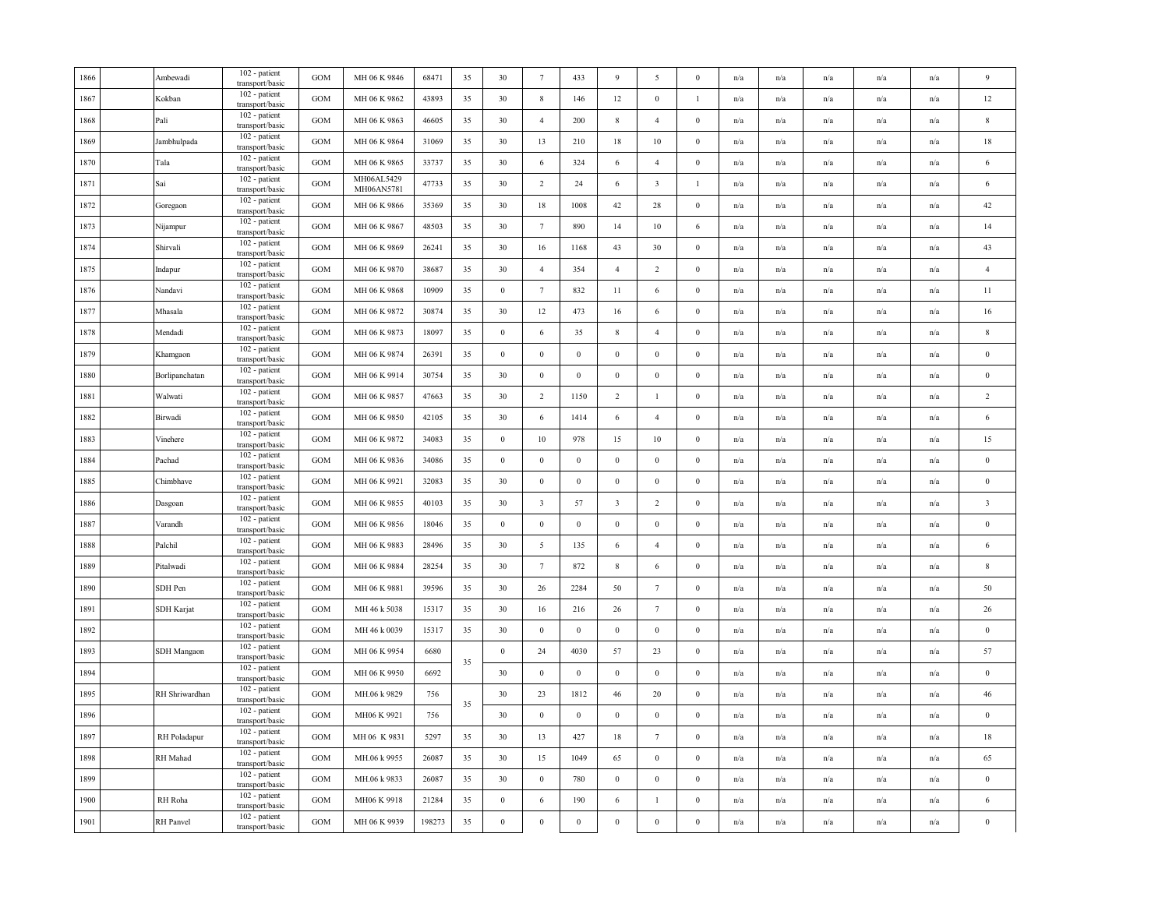| 1866 | Ambewadi       | 102 - patient<br>transport/basic | <b>GOM</b> | MH 06 K 9846             | 68471  | 35 | 30               | $7\phantom{.0}$         | 433              | 9                       | 5                       | $\mathbf{0}$     | n/a                     | n/a                     | n/a                     | n/a                     | n/a | 9                       |
|------|----------------|----------------------------------|------------|--------------------------|--------|----|------------------|-------------------------|------------------|-------------------------|-------------------------|------------------|-------------------------|-------------------------|-------------------------|-------------------------|-----|-------------------------|
| 1867 | Kokban         | 102 - patient<br>transport/basic | GOM        | MH 06 K 9862             | 43893  | 35 | 30               | $\,$ 8 $\,$             | 146              | 12                      | $\boldsymbol{0}$        | $\mathbf{1}$     | n/a                     | n/a                     | n/a                     | $\mathrm{n}/\mathrm{a}$ | n/a | 12                      |
| 1868 | Pali           | 102 - patient<br>transport/basic | GOM        | MH 06 K 9863             | 46605  | 35 | 30               | $\overline{4}$          | 200              | $\,$ 8 $\,$             | $\overline{4}$          | $\boldsymbol{0}$ | n/a                     | $\mathrm{n}/\mathrm{a}$ | $\mathrm{n}/\mathrm{a}$ | n/a                     | n/a | $\,$ 8 $\,$             |
| 1869 | Jambhulpada    | 102 - patient<br>transport/basic | GOM        | MH 06 K 9864             | 31069  | 35 | 30               | 13                      | 210              | 18                      | $10\,$                  | $\bf{0}$         | n/a                     | n/a                     | n/a                     | n/a                     | n/a | 18                      |
| 1870 | Tala           | 102 - patient<br>transport/basic | GOM        | MH 06 K 9865             | 33737  | 35 | 30               | 6                       | 324              | 6                       | $\overline{4}$          | $\boldsymbol{0}$ | n/a                     | n/a                     | n/a                     | n/a                     | n/a | $\sqrt{6}$              |
| 1871 | Sai            | 102 - patient<br>transport/basic | GOM        | MH06AL5429<br>MH06AN5781 | 47733  | 35 | 30               | $\overline{2}$          | 24               | 6                       | $\overline{\mathbf{3}}$ | $\mathbf{1}$     | n/a                     | n/a                     | n/a                     | n/a                     | n/a | 6                       |
| 1872 | Goregaon       | 102 - patient<br>transport/basic | GOM        | MH 06 K 9866             | 35369  | 35 | 30               | 18                      | 1008             | 42                      | 28                      | $\mathbf{0}$     | n/a                     | n/a                     | n/a                     | n/a                     | n/a | 42                      |
| 1873 | Nijampur       | 102 - patient<br>transport/basic | GOM        | MH 06 K 9867             | 48503  | 35 | 30               | $7\phantom{.0}$         | 890              | 14                      | $10\,$                  | $\sqrt{6}$       | n/a                     | n/a                     | $\mathrm{n}/\mathrm{a}$ | n/a                     | n/a | 14                      |
| 1874 | Shirvali       | 102 - patient<br>transport/basic | GOM        | MH 06 K 9869             | 26241  | 35 | 30               | 16                      | 1168             | 43                      | 30                      | $\boldsymbol{0}$ | n/a                     | n/a                     | n/a                     | n/a                     | n/a | 43                      |
| 1875 | Indapur        | 102 - patient<br>transport/basic | GOM        | MH 06 K 9870             | 38687  | 35 | 30               | $\overline{4}$          | 354              | $\overline{4}$          | $\overline{c}$          | $\boldsymbol{0}$ | n/a                     | n/a                     | n/a                     | n/a                     | n/a | $\overline{4}$          |
| 1876 | Nandavi        | 102 - patient<br>transport/basic | <b>GOM</b> | MH 06 K 9868             | 10909  | 35 | $\bf{0}$         | $7\phantom{.0}$         | 832              | 11                      | 6                       | $\mathbf{0}$     | n/a                     | n/a                     | n/a                     | n/a                     | n/a | 11                      |
| 1877 | Mhasala        | 102 - patient<br>transport/basic | GOM        | MH 06 K 9872             | 30874  | 35 | 30               | 12                      | 473              | 16                      | 6                       | $\mathbf{0}$     | n/a                     | n/a                     | n/a                     | n/a                     | n/a | 16                      |
| 1878 | Mendadi        | 102 - patient<br>transport/basic | GOM        | MH 06 K 9873             | 18097  | 35 | $\bf{0}$         | 6                       | 35               | $\,$ 8 $\,$             | $\overline{4}$          | $\boldsymbol{0}$ | n/a                     | $\mathrm{n}/\mathrm{a}$ | $\mathrm{n}/\mathrm{a}$ | $\mathrm{n}/\mathrm{a}$ | n/a | 8                       |
| 1879 | Khamgaon       | 102 - patient<br>transport/basic | GOM        | MH 06 K 9874             | 26391  | 35 | $\boldsymbol{0}$ | $\mathbf{0}$            | $\mathbf{0}$     | $\mathbf{0}$            | $\boldsymbol{0}$        | $\boldsymbol{0}$ | n/a                     | n/a                     | n/a                     | n/a                     | n/a | $\bf{0}$                |
| 1880 | Borlipanchatan | 102 - patient<br>transport/basic | GOM        | MH 06 K 9914             | 30754  | 35 | 30               | $\,0\,$                 | $\boldsymbol{0}$ | $\boldsymbol{0}$        | $\boldsymbol{0}$        | $\boldsymbol{0}$ | n/a                     | n/a                     | n/a                     | n/a                     | n/a | $\boldsymbol{0}$        |
| 1881 | Walwati        | 102 - patient<br>transport/basic | GOM        | MH 06 K 9857             | 47663  | 35 | 30               | $\overline{2}$          | 1150             | $\overline{2}$          | $\mathbf{1}$            | $\boldsymbol{0}$ | n/a                     | n/a                     | n/a                     | n/a                     | n/a | $\overline{2}$          |
| 1882 | Birwadi        | 102 - patient<br>transport/basic | GOM        | MH 06 K 9850             | 42105  | 35 | 30               | 6                       | 1414             | 6                       | $\overline{4}$          | $\mathbf{0}$     | $\mathrm{n}/\mathrm{a}$ | $\mathrm{n}/\mathrm{a}$ | $\mathrm{n}/\mathrm{a}$ | n/a                     | n/a | 6                       |
| 1883 | Vinehere       | 102 - patient<br>transport/basic | GOM        | MH 06 K 9872             | 34083  | 35 | $\bf{0}$         | 10                      | 978              | 15                      | $10\,$                  | $\boldsymbol{0}$ | n/a                     | n/a                     | $\mathrm{n}/\mathrm{a}$ | $\mathrm{n}/\mathrm{a}$ | n/a | 15                      |
| 1884 | Pachad         | 102 - patient<br>transport/basic | GOM        | MH 06 K 9836             | 34086  | 35 | $\bf{0}$         | $\,0\,$                 | $\boldsymbol{0}$ | $\mathbf{0}$            | $\boldsymbol{0}$        | $\boldsymbol{0}$ | n/a                     | n/a                     | n/a                     | n/a                     | n/a | $\bf{0}$                |
| 1885 | Chimbhave      | 102 - patient<br>transport/basic | GOM        | MH 06 K 9921             | 32083  | 35 | 30               | $\bf{0}$                | $\bf{0}$         | $\bf{0}$                | $\boldsymbol{0}$        | $\boldsymbol{0}$ | n/a                     | n/a                     | n/a                     | n/a                     | n/a | $\boldsymbol{0}$        |
| 1886 | Dasgoan        | 102 - patient<br>transport/basic | GOM        | MH 06 K 9855             | 40103  | 35 | 30               | $\overline{\mathbf{3}}$ | 57               | $\overline{\mathbf{3}}$ | $\overline{2}$          | $\boldsymbol{0}$ | n/a                     | n/a                     | n/a                     | n/a                     | n/a | $\overline{\mathbf{3}}$ |
| 1887 | Varandh        | 102 - patient<br>transport/basic | GOM        | MH 06 K 9856             | 18046  | 35 | $\boldsymbol{0}$ | $\,0\,$                 | $\,0\,$          | $\boldsymbol{0}$        | $\boldsymbol{0}$        | $\boldsymbol{0}$ | n/a                     | n/a                     | n/a                     | n/a                     | n/a | $\boldsymbol{0}$        |
| 1888 | Palchil        | 102 - patient<br>transport/basic | GOM        | MH 06 K 9883             | 28496  | 35 | 30               | $\overline{5}$          | 135              | 6                       | $\overline{4}$          | $\boldsymbol{0}$ | n/a                     | $\mathrm{n}/\mathrm{a}$ | $\mathrm{n}/\mathrm{a}$ | $\mathrm{n}/\mathrm{a}$ | n/a | 6                       |
| 1889 | Pitalwadi      | 102 - patient<br>transport/basic | GOM        | MH 06 K 9884             | 28254  | 35 | 30               | $7\phantom{.0}$         | 872              | $\,$ 8 $\,$             | 6                       | $\boldsymbol{0}$ | n/a                     | n/a                     | n/a                     | n/a                     | n/a | 8                       |
| 1890 | SDH Pen        | 102 - patient<br>transport/basic | GOM        | MH 06 K 9881             | 39596  | 35 | 30               | 26                      | 2284             | 50                      | 7                       | $\bf{0}$         | n/a                     | n/a                     | n/a                     | n/a                     | n/a | 50                      |
| 1891 | SDH Karjat     | 102 - patient<br>transport/basic | GOM        | MH 46 k 5038             | 15317  | 35 | 30               | 16                      | 216              | 26                      | $7\phantom{.0}$         | $\bf{0}$         | n/a                     | n/a                     | n/a                     | n/a                     | n/a | $26\,$                  |
| 1892 |                | 102 - patient<br>transport/basic | GOM        | MH 46 k 0039             | 15317  | 35 | 30               | $\bf{0}$                | $\mathbf{0}$     | $\bf{0}$                | $\bf{0}$                | $\mathbf{0}$     | n/a                     | n/a                     | n/a                     | n/a                     | n/a | $\bf{0}$                |
| 1893 | SDH Mangaon    | 102 - patient<br>transport/basic | GOM        | MH 06 K 9954             | 6680   | 35 | $\boldsymbol{0}$ | 24                      | 4030             | 57                      | 23                      | $\boldsymbol{0}$ | n/a                     | n/a                     | n/a                     | n/a                     | n/a | 57                      |
| 1894 |                | 102 - patient<br>transport/basic | GOM        | MH 06 K 9950             | 6692   |    | 30               | $\boldsymbol{0}$        | $\,0\,$          | $\boldsymbol{0}$        | $\boldsymbol{0}$        | $\boldsymbol{0}$ | n/a                     | n/a                     | n/a                     | n/a                     | n/a | $\bf{0}$                |
| 1895 | RH Shriwardhan | 102 - patient<br>transport/basic | GOM        | MH.06 k 9829             | 756    | 35 | 30               | 23                      | 1812             | 46                      | 20                      | $\boldsymbol{0}$ | n/a                     | n/a                     | n/a                     | n/a                     | n/a | 46                      |
| 1896 |                | 102 - patient<br>transport/basic | <b>GOM</b> | MH06 K 9921              | 756    |    | 30               | $\overline{0}$          | $\mathbf{0}$     | $\mathbf{0}$            | $\boldsymbol{0}$        | $\mathbf{0}$     | n/a                     | n/a                     | n/a                     | n/a                     | n/a | $\bf{0}$                |
| 1897 | RH Poladapur   | 102 - patient<br>transport/basic | GOM        | MH 06 K 9831             | 5297   | 35 | 30               | 13                      | 427              | 18                      | $7\phantom{.0}$         | $\mathbf{0}$     | n/a                     | n/a                     | $\mathrm{n}/\mathrm{a}$ | n/a                     | n/a | 18                      |
| 1898 | RH Mahad       | 102 - patient<br>transport/basic | GOM        | MH.06 k 9955             | 26087  | 35 | 30               | 15                      | 1049             | 65                      | $\mathbf{0}$            | $\mathbf{0}$     | n/a                     | $\mathrm{n}/\mathrm{a}$ | $\mathrm{n}/\mathrm{a}$ | $\mathrm{n}/\mathrm{a}$ | n/a | 65                      |
| 1899 |                | 102 - patient<br>transport/basic | GOM        | MH.06 k 9833             | 26087  | 35 | 30               | $\mathbf{0}$            | 780              | $\mathbf{0}$            | $\boldsymbol{0}$        | $\boldsymbol{0}$ | n/a                     | n/a                     | n/a                     | n/a                     | n/a | $\bf{0}$                |
| 1900 | RH Roha        | 102 - patient<br>transport/basic | GOM        | MH06 K 9918              | 21284  | 35 | $\boldsymbol{0}$ | 6                       | 190              | 6                       | $\mathbf{1}$            | $\boldsymbol{0}$ | n/a                     | n/a                     | n/a                     | n/a                     | n/a | $\sqrt{6}$              |
| 1901 | RH Panvel      | 102 - patient<br>transport/basic | GOM        | MH 06 K 9939             | 198273 | 35 | $\boldsymbol{0}$ | $\boldsymbol{0}$        | $\,0\,$          | $\boldsymbol{0}$        | $\boldsymbol{0}$        | $\boldsymbol{0}$ | n/a                     | n/a                     | n/a                     | n/a                     | n/a | $\theta$                |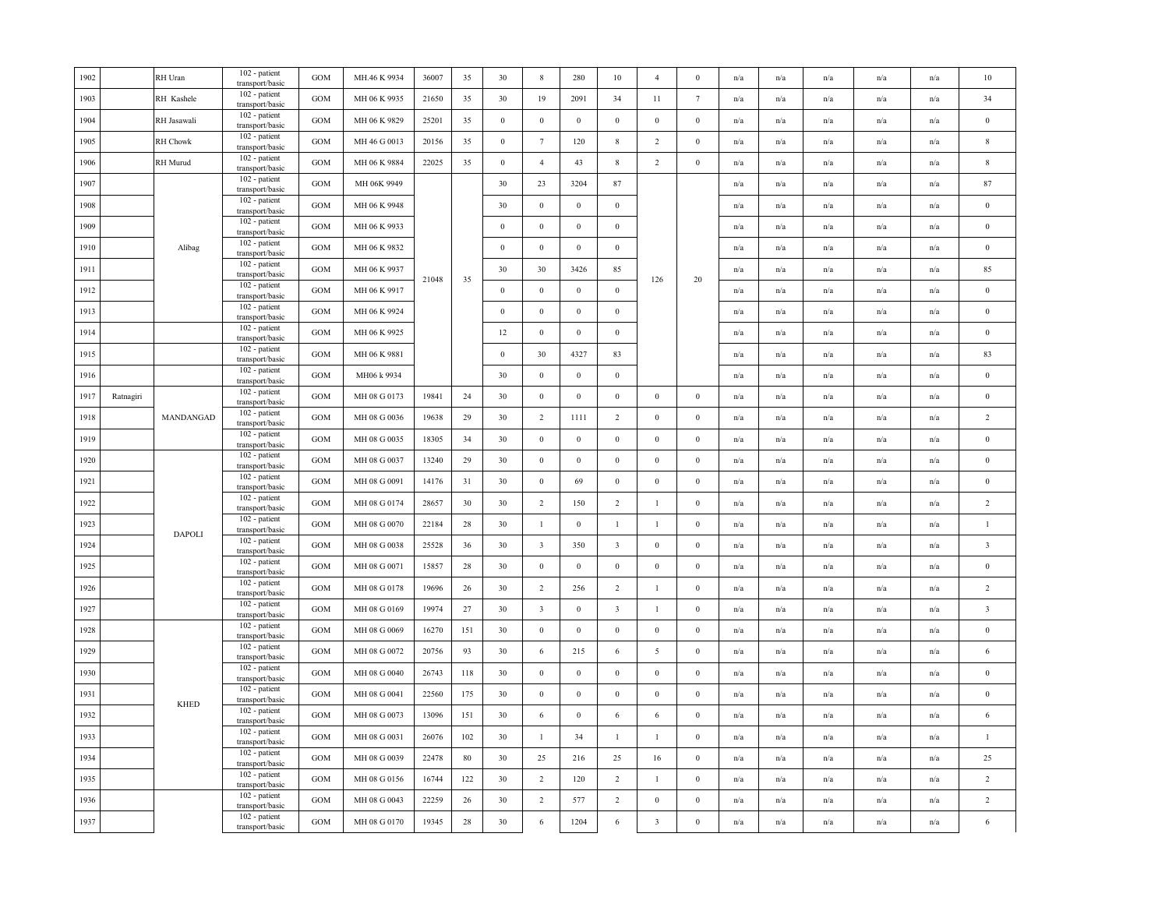|           | RH Uran<br>RH Kashele<br>RH Jasawali<br>RH Chowk | 102 - patient<br>transport/basic<br>102 - patient<br>transport/basic<br>102 - patient<br>transport/basic | GOM<br>GOM                                                                                                                                                                                                                                                                                                   | MH.46 K 9934<br>MH 06 K 9935 | 36007<br>21650 | 35    | 30               | $\,$ 8 $\,$             | 280              | 10                      | $\overline{4}$          | $\boldsymbol{0}$ | n/a | n/a                     | n/a                     | n/a                     | n/a                     | $10\,$                  |
|-----------|--------------------------------------------------|----------------------------------------------------------------------------------------------------------|--------------------------------------------------------------------------------------------------------------------------------------------------------------------------------------------------------------------------------------------------------------------------------------------------------------|------------------------------|----------------|-------|------------------|-------------------------|------------------|-------------------------|-------------------------|------------------|-----|-------------------------|-------------------------|-------------------------|-------------------------|-------------------------|
|           |                                                  |                                                                                                          |                                                                                                                                                                                                                                                                                                              |                              |                |       |                  |                         |                  |                         |                         |                  |     |                         |                         |                         |                         |                         |
|           |                                                  |                                                                                                          |                                                                                                                                                                                                                                                                                                              |                              |                | 35    | 30               | 19                      | 2091             | 34                      | 11                      | $7\phantom{.0}$  | n/a | n/a                     | n/a                     | n/a                     | n/a                     | 34                      |
|           |                                                  |                                                                                                          | GOM                                                                                                                                                                                                                                                                                                          | MH 06 K 9829                 | 25201          | 35    | $\mathbf{0}$     | $\mathbf{0}$            | $\mathbf{0}$     | $\mathbf{0}$            | $\mathbf{0}$            | $\boldsymbol{0}$ | n/a | n/a                     | n/a                     | n/a                     | n/a                     | $\boldsymbol{0}$        |
|           |                                                  | $102$ - patient<br>transport/basic                                                                       | <b>GOM</b>                                                                                                                                                                                                                                                                                                   | MH 46 G 0013                 | 20156          | 35    | $\bf{0}$         | $7\phantom{.0}$         | 120              | $8\phantom{.0}$         | $\overline{2}$          | $\mathbf{0}$     | n/a | n/a                     | $\mathbf{n}/\mathbf{a}$ | n/a                     | n/a                     | $\,$ 8 $\,$             |
|           | RH Murud                                         | 102 - patient<br>transport/basic                                                                         | <b>GOM</b>                                                                                                                                                                                                                                                                                                   | MH 06 K 9884                 | 22025          | 35    | $\boldsymbol{0}$ | $\overline{4}$          | 43               | $8\,$                   | $\overline{2}$          | $\bf{0}$         | n/a | n/a                     | n/a                     | n/a                     | n/a                     | $\,$ 8 $\,$             |
|           |                                                  | 102 - patient<br>transport/basic                                                                         | GOM                                                                                                                                                                                                                                                                                                          | MH 06K 9949                  |                |       | 30               | 23                      | 3204             | $87\,$                  |                         |                  | n/a | $\mathrm{n}/\mathrm{a}$ | n/a                     | $\mathrm{n}/\mathrm{a}$ | $\mathbf{n}/\mathbf{a}$ | 87                      |
|           |                                                  | 102 - patient                                                                                            | GOM                                                                                                                                                                                                                                                                                                          | MH 06 K 9948                 |                |       | 30               | $\boldsymbol{0}$        | $\boldsymbol{0}$ | $\mathbf{0}$            |                         |                  | n/a | n/a                     | n/a                     | n/a                     | n/a                     | $\bf{0}$                |
|           |                                                  | 102 - patient                                                                                            | $_{\rm GOM}$                                                                                                                                                                                                                                                                                                 | MH 06 K 9933                 |                |       | $\boldsymbol{0}$ | $\boldsymbol{0}$        | $\boldsymbol{0}$ | $\,0\,$                 |                         |                  | n/a | n/a                     | n/a                     | n/a                     | n/a                     | $\,0\,$                 |
|           | Alibag                                           | 102 - patient                                                                                            | GOM                                                                                                                                                                                                                                                                                                          | MH 06 K 9832                 |                |       | $\boldsymbol{0}$ | $\boldsymbol{0}$        | $\boldsymbol{0}$ | $\,0\,$                 |                         |                  | n/a | n/a                     | n/a                     | n/a                     | n/a                     | $\boldsymbol{0}$        |
|           |                                                  | 102 - patient                                                                                            | GOM                                                                                                                                                                                                                                                                                                          | MH 06 K 9937                 |                |       | 30               | 30                      | 3426             | 85                      |                         |                  | n/a | n/a                     | n/a                     | n/a                     | n/a                     | 85                      |
|           |                                                  | 102 - patient                                                                                            | <b>GOM</b>                                                                                                                                                                                                                                                                                                   | MH 06 K 9917                 |                |       | $\boldsymbol{0}$ | $\mathbf{0}$            | $\mathbf{0}$     | $\mathbf{0}$            |                         |                  | n/a | n/a                     | n/a                     | n/a                     | n/a                     | $\bf{0}$                |
|           |                                                  | 102 - patient                                                                                            | $_{\rm GOM}$                                                                                                                                                                                                                                                                                                 | MH 06 K 9924                 |                |       | $\boldsymbol{0}$ | $\boldsymbol{0}$        | $\boldsymbol{0}$ | $\,0\,$                 |                         |                  | n/a | n/a                     | n/a                     | n/a                     | n/a                     | $\,0\,$                 |
|           |                                                  | 102 - patient                                                                                            | GOM                                                                                                                                                                                                                                                                                                          | MH 06 K 9925                 |                |       | 12               | $\boldsymbol{0}$        | $\bf{0}$         | $\,0\,$                 |                         |                  | n/a | $\mathrm{n}/\mathrm{a}$ | n/a                     | n/a                     | $\mathbf{n}/\mathbf{a}$ | $\bf{0}$                |
|           |                                                  | 102 - patient                                                                                            | GOM                                                                                                                                                                                                                                                                                                          | MH 06 K 9881                 |                |       | $\boldsymbol{0}$ | 30                      | 4327             | 83                      |                         |                  | n/a | n/a                     | n/a                     | n/a                     | n/a                     | 83                      |
|           |                                                  | 102 - patient                                                                                            | <b>GOM</b>                                                                                                                                                                                                                                                                                                   | MH06 k 9934                  |                |       | 30               | $\mathbf{0}$            | $\bf{0}$         | $\,$ 0 $\,$             |                         |                  | n/a | n/a                     | n/a                     | n/a                     | n/a                     | $\boldsymbol{0}$        |
| Ratnagiri |                                                  | 102 - patient                                                                                            | <b>GOM</b>                                                                                                                                                                                                                                                                                                   | MH 08 G 0173                 | 19841          | 24    | 30               | $\,0\,$                 | $\,0\,$          | $\,0\,$                 | $\bf{0}$                | $\boldsymbol{0}$ | n/a | n/a                     | n/a                     | n/a                     | n/a                     | $\,0\,$                 |
|           | MANDANGAD                                        | 102 - patient<br>transport/basic                                                                         | <b>GOM</b>                                                                                                                                                                                                                                                                                                   | MH 08 G 0036                 | 19638          | 29    | 30               | $\overline{2}$          | 1111             | $\overline{2}$          | $\bf{0}$                | $\bf{0}$         | n/a | n/a                     | $\mathrm{n}/\mathrm{a}$ | $\mathrm{n}/\mathrm{a}$ | n/a                     | $\sqrt{2}$              |
|           |                                                  | 102 - patient                                                                                            | <b>GOM</b>                                                                                                                                                                                                                                                                                                   | MH 08 G 0035                 | 18305          | 34    | 30               | $\mathbf{0}$            | $\,0\,$          | $\,0\,$                 | $\boldsymbol{0}$        | $\mathbf{0}$     | n/a | n/a                     | n/a                     | $\mathrm{n}/\mathrm{a}$ | n/a                     | $\boldsymbol{0}$        |
|           |                                                  | 102 - patient                                                                                            | $_{\rm GOM}$                                                                                                                                                                                                                                                                                                 | MH 08 G 0037                 | 13240          | 29    | 30               | $\mathbf{0}$            | $\boldsymbol{0}$ | $\,0\,$                 | $\mathbf{0}$            | $\boldsymbol{0}$ | n/a | n/a                     | n/a                     | n/a                     | n/a                     | $\boldsymbol{0}$        |
|           |                                                  | 102 - patient<br>transport/basic                                                                         | <b>GOM</b>                                                                                                                                                                                                                                                                                                   | MH 08 G 0091                 | 14176          | 31    | 30               | $\boldsymbol{0}$        | 69               | $\,0\,$                 | $\bf{0}$                | $\bf{0}$         | n/a | $\mathrm{n}/\mathrm{a}$ | $\mathrm{n}/\mathrm{a}$ | $\mathrm{n}/\mathrm{a}$ | $\mathrm{n}/\mathrm{a}$ | $\,0\,$                 |
|           |                                                  | 102 - patient<br>transport/basic                                                                         | <b>GOM</b>                                                                                                                                                                                                                                                                                                   | MH 08 G 0174                 | 28657          | 30    | 30               | $\overline{2}$          | 150              | $\overline{2}$          | $\mathbf{1}$            | $\boldsymbol{0}$ | n/a | n/a                     | n/a                     | $\mathrm{n}/\mathrm{a}$ | n/a                     | $\overline{2}$          |
|           |                                                  | 102 - patient<br>transport/basic                                                                         | $_{\rm GOM}$                                                                                                                                                                                                                                                                                                 | MH 08 G 0070                 | 22184          | 28    | 30               | $\mathbf{1}$            | $\,0\,$          | $\mathbf{1}$            | $\mathbf{1}$            | $\mathbf{0}$     | n/a | $\mathrm{n}/\mathrm{a}$ | n/a                     | $\mathrm{n}/\mathrm{a}$ | n/a                     | $\mathbf{1}$            |
|           |                                                  | 102 - patient<br>transport/basic                                                                         | $_{\mathrm{GOM}}$                                                                                                                                                                                                                                                                                            | MH 08 G 0038                 | 25528          | 36    | 30               | $\overline{3}$          | 350              | $\overline{\mathbf{3}}$ | $\mathbf{0}$            | $\boldsymbol{0}$ | n/a | n/a                     | n/a                     | n/a                     | n/a                     | $\sqrt{3}$              |
|           |                                                  | 102 - patient                                                                                            | <b>GOM</b>                                                                                                                                                                                                                                                                                                   | MH 08 G 0071                 | 15857          | 28    | 30               | $\boldsymbol{0}$        | $\boldsymbol{0}$ | $\bf{0}$                | $\boldsymbol{0}$        | $\mathbf{0}$     | n/a | n/a                     | n/a                     | n/a                     | n/a                     | $\boldsymbol{0}$        |
|           |                                                  | 102 - patient                                                                                            | $_{\rm GOM}$                                                                                                                                                                                                                                                                                                 | MH 08 G 0178                 | 19696          | 26    | 30               | $\overline{2}$          | 256              | $\overline{2}$          | $\mathbf{1}$            | $\mathbf{0}$     | n/a | n/a                     | n/a                     | n/a                     | n/a                     | $\overline{2}$          |
|           |                                                  | 102 - patient<br>transport/basic                                                                         | <b>GOM</b>                                                                                                                                                                                                                                                                                                   | MH 08 G 0169                 | 19974          | 27    | 30               | $\overline{\mathbf{3}}$ | $\mathbf{0}$     | $\overline{\mathbf{3}}$ | $\mathbf{1}$            | $\mathbf{0}$     | n/a | n/a                     | n/a                     | n/a                     | n/a                     | $\overline{\mathbf{3}}$ |
|           |                                                  | 102 - patient<br>transport/basic                                                                         | <b>GOM</b>                                                                                                                                                                                                                                                                                                   | MH 08 G 0069                 | 16270          | 151   | 30               | $\boldsymbol{0}$        | $\boldsymbol{0}$ | $\mathbf{0}$            | $\mathbf{0}$            | $\mathbf{0}$     | n/a | n/a                     | n/a                     | n/a                     | n/a                     | $\boldsymbol{0}$        |
|           |                                                  | 102 - patient<br>transport/basic                                                                         | <b>GOM</b>                                                                                                                                                                                                                                                                                                   | MH 08 G 0072                 | 20756          | 93    | 30               | 6                       | 215              | 6                       | 5                       | $\mathbf{0}$     | n/a | n/a                     | n/a                     | n/a                     | n/a                     | 6                       |
|           |                                                  | 102 - patient<br>transport/basic                                                                         | $_{\rm GOM}$                                                                                                                                                                                                                                                                                                 | MH 08 G 0040                 | 26743          | 118   | 30               | $\bf{0}$                | $\,0\,$          | $\,0\,$                 | $\boldsymbol{0}$        | $\mathbf{0}$     | n/a | n/a                     | n/a                     | n/a                     | n/a                     | $\,0\,$                 |
|           |                                                  | 102 - patient<br>transport/basic                                                                         | <b>GOM</b>                                                                                                                                                                                                                                                                                                   | MH 08 G 0041                 | 22560          | 175   | 30               | $\mathbf{0}$            | $\boldsymbol{0}$ | $\,0\,$                 | $\mathbf{0}$            | $\boldsymbol{0}$ | n/a | $\mathrm{n}/\mathrm{a}$ | n/a                     | $\mathrm{n}/\mathrm{a}$ | n/a                     | $\boldsymbol{0}$        |
|           |                                                  | 102 - patient                                                                                            | GOM                                                                                                                                                                                                                                                                                                          | MH 08 G 0073                 | 13096          | 151   | 30               | 6                       | $\boldsymbol{0}$ | 6                       | 6                       | $\bf{0}$         | n/a | n/a                     | n/a                     | n/a                     | n/a                     | 6                       |
|           |                                                  | 102 - patient                                                                                            | <b>GOM</b>                                                                                                                                                                                                                                                                                                   | MH 08 G 0031                 | 26076          | 102   | 30               | $\mathbf{1}$            | 34               | -1                      | $\mathbf{1}$            | $\mathbf{0}$     | n/a | n/a                     | n/a                     | n/a                     | n/a                     | $\mathbf{1}$            |
|           |                                                  | 102 - patient<br>transport/basic                                                                         | <b>GOM</b>                                                                                                                                                                                                                                                                                                   | MH 08 G 0039                 | 22478          | 80    | 30               | 25                      | 216              | 25                      | 16                      | $\bf{0}$         | n/a | n/a                     | n/a                     | n/a                     | n/a                     | $25\,$                  |
|           |                                                  | 102 - patient<br>transport/basic                                                                         | <b>GOM</b>                                                                                                                                                                                                                                                                                                   | MH 08 G 0156                 | 16744          | 122   | 30               | 2                       | 120              | $\overline{2}$          | $\mathbf{1}$            | $\bf{0}$         | n/a | $\mathrm{n}/\mathrm{a}$ | n/a                     | $\mathrm{n}/\mathrm{a}$ | $\mathrm{n}/\mathrm{a}$ | $\sqrt{2}$              |
|           |                                                  | 102 - patient<br>transport/basic                                                                         | <b>GOM</b>                                                                                                                                                                                                                                                                                                   | MH 08 G 0043                 | 22259          | 26    | 30               | 2                       | 577              | $\overline{2}$          | $\mathbf{0}$            | $\boldsymbol{0}$ | n/a | n/a                     | n/a                     | n/a                     | n/a                     | $\sqrt{2}$              |
|           |                                                  | 102 - patient<br>transport/basic                                                                         | GOM                                                                                                                                                                                                                                                                                                          | MH 08 G 0170                 | 19345          | 28    | 30               | $\sqrt{6}$              | 1204             | 6                       | $\overline{\mathbf{3}}$ | $\boldsymbol{0}$ | n/a | n/a                     | n/a                     | n/a                     | n/a                     | $\sqrt{6}$              |
|           |                                                  | <b>DAPOLI</b><br><b>KHED</b>                                                                             | transport/basic<br>transport/basic<br>transport/basic<br>transport/basic<br>transport/basic<br>transport/basic<br>transport/basic<br>transport/basic<br>transport/basic<br>transport/basic<br>transport/basic<br>transport/basic<br>transport/basic<br>transport/basic<br>transport/basic<br>transport/basic |                              |                | 21048 | 35               |                         |                  |                         |                         | 126              | 20  |                         |                         |                         |                         |                         |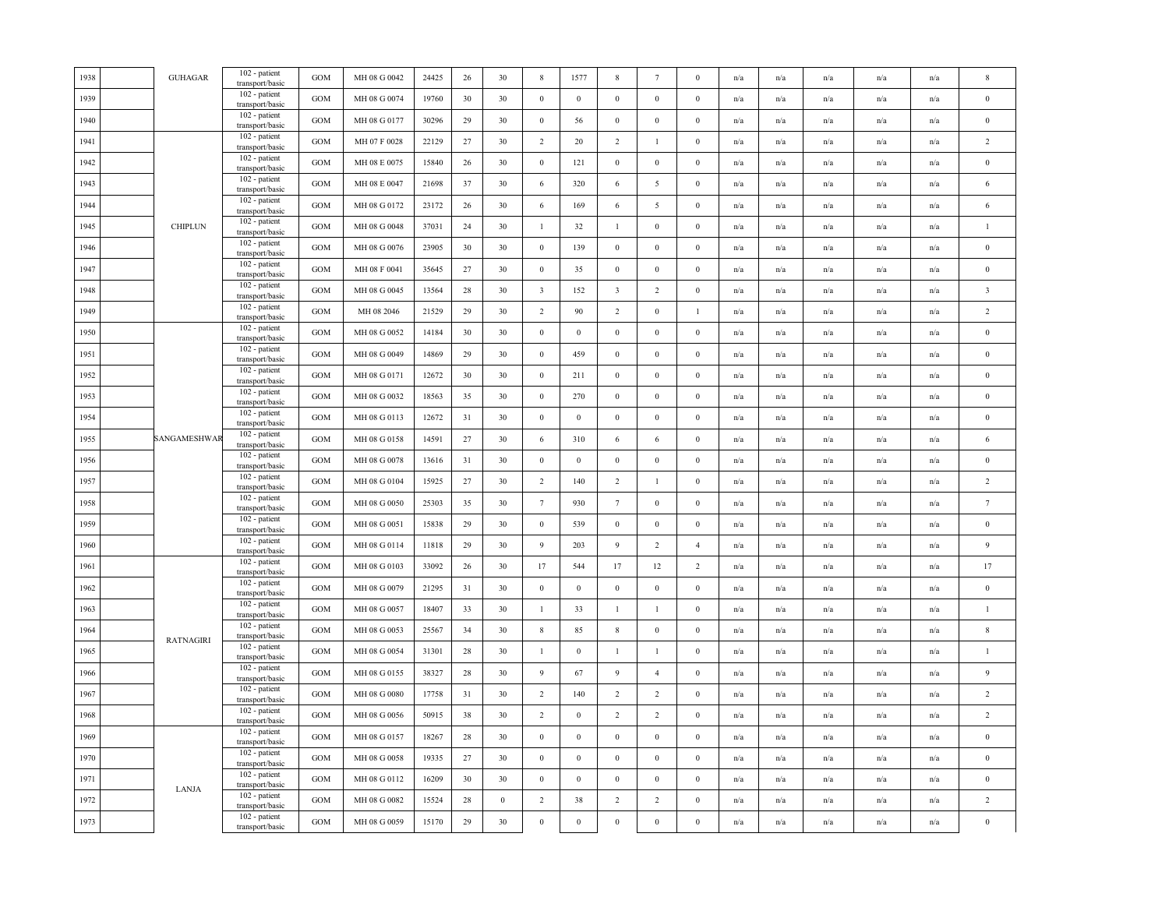| 1938 | <b>GUHAGAR</b>   | 102 - patient<br>transport/basic | <b>GOM</b>   | MH 08 G 0042 | 24425 | 26 | 30               | 8                | 1577             | 8                       | $7\phantom{.0}$  | $\mathbf{0}$     | n/a | n/a                     | n/a                     | n/a                     | n/a                     | $\,$ 8 $\,$             |
|------|------------------|----------------------------------|--------------|--------------|-------|----|------------------|------------------|------------------|-------------------------|------------------|------------------|-----|-------------------------|-------------------------|-------------------------|-------------------------|-------------------------|
| 1939 |                  | 102 - patient<br>transport/basic | <b>GOM</b>   | MH 08 G 0074 | 19760 | 30 | 30               | $\bf{0}$         | $\mathbf{0}$     | $\overline{0}$          | $\mathbf{0}$     | $\mathbf{0}$     | n/a | n/a                     | n/a                     | n/a                     | n/a                     | $\mathbf{0}$            |
| 1940 |                  | 102 - patient<br>transport/basic | $_{\rm GOM}$ | MH 08 G 0177 | 30296 | 29 | 30               | $\boldsymbol{0}$ | 56               | $\,0\,$                 | $\mathbf{0}$     | $\mathbf{0}$     | n/a | n/a                     | n/a                     | n/a                     | n/a                     | $\,0\,$                 |
| 1941 |                  | 102 - patient<br>transport/basic | GOM          | MH 07 F 0028 | 22129 | 27 | 30               | $\overline{2}$   | 20               | $\overline{2}$          | $\mathbf{1}$     | $\boldsymbol{0}$ | n/a | $\mathrm{n}/\mathrm{a}$ | n/a                     | n/a                     | n/a                     | $\sqrt{2}$              |
| 1942 |                  | 102 - patient<br>transport/basic | GOM          | MH 08 E 0075 | 15840 | 26 | 30               | $\mathbf{0}$     | 121              | $\mathbf{0}$            | $\mathbf{0}$     | $\boldsymbol{0}$ | n/a | n/a                     | n/a                     | n/a                     | n/a                     | $\bf{0}$                |
| 1943 |                  | 102 - patient<br>transport/basic | <b>GOM</b>   | MH 08 E 0047 | 21698 | 37 | 30               | 6                | 320              | 6                       | 5                | $\mathbf{0}$     | n/a | n/a                     | n/a                     | n/a                     | n/a                     | $\sqrt{6}$              |
| 1944 |                  | 102 - patient<br>transport/basic | GOM          | MH 08 G 0172 | 23172 | 26 | 30               | 6                | 169              | $\sqrt{6}$              | $\sqrt{5}$       | $\bf{0}$         | n/a | n/a                     | n/a                     | n/a                     | n/a                     | 6                       |
| 1945 | <b>CHIPLUN</b>   | 102 - patient<br>transport/basic | <b>GOM</b>   | MH 08 G 0048 | 37031 | 24 | 30               | $\mathbf{1}$     | 32               | $\mathbf{1}$            | $\bf{0}$         | $\boldsymbol{0}$ | n/a | n/a                     | n/a                     | n/a                     | n/a                     | $\mathbf{1}$            |
| 1946 |                  | 102 - patient<br>transport/basic | GOM          | MH 08 G 0076 | 23905 | 30 | 30               | $\boldsymbol{0}$ | 139              | $\mathbf{0}$            | $\mathbf{0}$     | $\boldsymbol{0}$ | n/a | $\mathrm{n}/\mathrm{a}$ | n/a                     | n/a                     | n/a                     | $\bf{0}$                |
| 1947 |                  | 102 - patient<br>transport/basic | $_{\rm GOM}$ | MH 08 F 0041 | 35645 | 27 | 30               | $\boldsymbol{0}$ | 35               | $\,0\,$                 | $\boldsymbol{0}$ | $\mathbf{0}$     | n/a | n/a                     | n/a                     | n/a                     | $\mathrm{n}/\mathrm{a}$ | $\boldsymbol{0}$        |
| 1948 |                  | 102 - patient<br>transport/basic | $_{\rm GOM}$ | MH 08 G 0045 | 13564 | 28 | 30               | $\overline{3}$   | 152              | $\overline{\mathbf{3}}$ | $\overline{2}$   | $\boldsymbol{0}$ | n/a | $\mathrm{n}/\mathrm{a}$ | n/a                     | n/a                     | $\mathrm{n}/\mathrm{a}$ | $\overline{\mathbf{3}}$ |
| 1949 |                  | 102 - patient<br>transport/basic | GOM          | MH 08 2046   | 21529 | 29 | 30               | $\overline{2}$   | 90               | 2                       | $\mathbf{0}$     | 1                | n/a | n/a                     | n/a                     | n/a                     | n/a                     | $\overline{2}$          |
| 1950 |                  | 102 - patient<br>transport/basic | $_{\rm GOM}$ | MH 08 G 0052 | 14184 | 30 | 30               | $\boldsymbol{0}$ | $\bf{0}$         | $\,0\,$                 | $\bf{0}$         | $\bf{0}$         | n/a | n/a                     | n/a                     | n/a                     | n/a                     | $\,0\,$                 |
| 1951 |                  | 102 - patient<br>transport/basic | <b>GOM</b>   | MH 08 G 0049 | 14869 | 29 | 30               | $\boldsymbol{0}$ | 459              | $\,0\,$                 | $\boldsymbol{0}$ | $\mathbf{0}$     | n/a | n/a                     | n/a                     | n/a                     | n/a                     | $\bf{0}$                |
| 1952 |                  | 102 - patient<br>transport/basic | <b>GOM</b>   | MH 08 G 0171 | 12672 | 30 | 30               | $\boldsymbol{0}$ | 211              | $\mathbf{0}$            | $\mathbf{0}$     | $\boldsymbol{0}$ | n/a | n/a                     | n/a                     | n/a                     | n/a                     | $\bf{0}$                |
| 1953 |                  | 102 - patient<br>transport/basic | <b>GOM</b>   | MH 08 G 0032 | 18563 | 35 | 30               | $\mathbf{0}$     | 270              | $\,0\,$                 | $\mathbf{0}$     | $\mathbf{0}$     | n/a | $\mathrm{n}/\mathrm{a}$ | n/a                     | $\mathrm{n}/\mathrm{a}$ | n/a                     | $\bf{0}$                |
| 1954 |                  | 102 - patient<br>transport/basic | GOM          | MH 08 G 0113 | 12672 | 31 | 30               | $\mathbf{0}$     | $\boldsymbol{0}$ | $\,0\,$                 | $\boldsymbol{0}$ | $\boldsymbol{0}$ | n/a | $\mathrm{n}/\mathrm{a}$ | n/a                     | n/a                     | n/a                     | $\boldsymbol{0}$        |
| 1955 | SANGAMESHWAR     | 102 - patient<br>transport/basic | <b>GOM</b>   | MH 08 G 0158 | 14591 | 27 | 30               | 6                | 310              | 6                       | 6                | $\bf{0}$         | n/a | n/a                     | n/a                     | n/a                     | n/a                     | 6                       |
| 1956 |                  | 102 - patient<br>transport/basic | <b>GOM</b>   | MH 08 G 0078 | 13616 | 31 | 30               | $\boldsymbol{0}$ | $\mathbf{0}$     | $\,0\,$                 | $\bf{0}$         | $\mathbf{0}$     | n/a | n/a                     | $\mathrm{n}/\mathrm{a}$ | n/a                     | $\mathrm{n}/\mathrm{a}$ | $\boldsymbol{0}$        |
| 1957 |                  | 102 - patient<br>transport/basic | <b>GOM</b>   | MH 08 G 0104 | 15925 | 27 | 30               | $\overline{2}$   | 140              | $\overline{2}$          | $\mathbf{1}$     | $\bf{0}$         | n/a | $\mathrm{n}/\mathrm{a}$ | n/a                     | n/a                     | $\mathrm{n}/\mathrm{a}$ | $\sqrt{2}$              |
| 1958 |                  | 102 - patient<br>transport/basic | GOM          | MH 08 G 0050 | 25303 | 35 | 30               | $7\phantom{.0}$  | 930              | $7\phantom{.0}$         | $\mathbf{0}$     | $\boldsymbol{0}$ | n/a | n/a                     | n/a                     | $\mathrm{n}/\mathrm{a}$ | $\mathrm{n}/\mathrm{a}$ | $\boldsymbol{7}$        |
| 1959 |                  | 102 - patient<br>transport/basic | <b>GOM</b>   | MH 08 G 0051 | 15838 | 29 | 30               | $\boldsymbol{0}$ | 539              | $\mathbf{0}$            | $\mathbf{0}$     | $\boldsymbol{0}$ | n/a | n/a                     | n/a                     | n/a                     | n/a                     | $\bf{0}$                |
| 1960 |                  | 102 - patient<br>transport/basic | $_{\rm GOM}$ | MH 08 G 0114 | 11818 | 29 | 30               | $\overline{9}$   | 203              | $\overline{9}$          | $\overline{2}$   | $\overline{4}$   | n/a | n/a                     | n/a                     | n/a                     | n/a                     | $\overline{9}$          |
| 1961 |                  | 102 - patient<br>transport/basic | <b>GOM</b>   | MH 08 G 0103 | 33092 | 26 | 30               | 17               | 544              | 17                      | 12               | $\overline{2}$   | n/a | n/a                     | n/a                     | n/a                     | n/a                     | 17                      |
| 1962 |                  | 102 - patient<br>transport/basic | <b>GOM</b>   | MH 08 G 0079 | 21295 | 31 | 30               | $\mathbf{0}$     | $\mathbf{0}$     | $\mathbf{0}$            | $\bf{0}$         | $\mathbf{0}$     | n/a | $\mathrm{n}/\mathrm{a}$ | $\mathbf{n}/\mathbf{a}$ | n/a                     | $\mathbf{n}/\mathbf{a}$ | $\,0\,$                 |
| 1963 |                  | 102 - patient<br>transport/basic | $_{\rm GOM}$ | MH 08 G 0057 | 18407 | 33 | 30               | $\mathbf{1}$     | 33               | $\mathbf{1}$            | $\mathbf{1}$     | $\mathbf{0}$     | n/a | n/a                     | n/a                     | n/a                     | $\mathbf{n}/\mathbf{a}$ | $\mathbf{1}$            |
| 1964 |                  | 102 - patient<br>transport/basic | $_{\rm GOM}$ | MH 08 G 0053 | 25567 | 34 | 30               | $\,$ 8 $\,$      | 85               | $\,$ 8 $\,$             | $\mathbf{0}$     | $\mathbf{0}$     | n/a | $\mathrm{n}/\mathrm{a}$ | n/a                     | n/a                     | $\mathrm{n}/\mathrm{a}$ | $\,$ 8 $\,$             |
| 1965 | <b>RATNAGIRI</b> | 102 - patient<br>transport/basic | <b>GOM</b>   | MH 08 G 0054 | 31301 | 28 | 30               | $\mathbf{1}$     | $\boldsymbol{0}$ | $\mathbf{1}$            | $\mathbf{1}$     | $\boldsymbol{0}$ | n/a | n/a                     | n/a                     | n/a                     | n/a                     | $\mathbf{1}$            |
| 1966 |                  | 102 - patient<br>transport/basic | <b>GOM</b>   | MH 08 G 0155 | 38327 | 28 | 30               | $\overline{9}$   | 67               | $\overline{9}$          | $\overline{4}$   | $\boldsymbol{0}$ | n/a | n/a                     | n/a                     | n/a                     | n/a                     | $\overline{9}$          |
| 1967 |                  | 102 - patient<br>transport/basic | <b>GOM</b>   | MH 08 G 0080 | 17758 | 31 | 30               | $\overline{2}$   | 140              | $\overline{2}$          | $\overline{2}$   | $\boldsymbol{0}$ | n/a | n/a                     | n/a                     | n/a                     | n/a                     | $\sqrt{2}$              |
| 1968 |                  | 102 - patient<br>transport/basic | <b>GOM</b>   | MH 08 G 0056 | 50915 | 38 | 30               | $\overline{2}$   | $\boldsymbol{0}$ | $\overline{2}$          | $\overline{c}$   | $\bf{0}$         | n/a | n/a                     | $\mathbf{n}/\mathbf{a}$ | $\mathrm{n}/\mathrm{a}$ | n/a                     | $\sqrt{2}$              |
| 1969 |                  | 102 - patient<br>transport/basic | <b>GOM</b>   | MH 08 G 0157 | 18267 | 28 | 30               | $\mathbf{0}$     | $\bf{0}$         | $\,0\,$                 | $\bf{0}$         | $\bf{0}$         | n/a | n/a                     | n/a                     | n/a                     | n/a                     | $\,0\,$                 |
| 1970 |                  | 102 - patient<br>transport/basic | $_{\rm GOM}$ | MH 08 G 0058 | 19335 | 27 | 30               | $\mathbf{0}$     | $\mathbf{0}$     | $\,0\,$                 | $\mathbf{0}$     | $\boldsymbol{0}$ | n/a | n/a                     | n/a                     | $\mathrm{n}/\mathrm{a}$ | $\mathrm{n}/\mathrm{a}$ | $\boldsymbol{0}$        |
| 1971 |                  | 102 - patient<br>transport/basic | <b>GOM</b>   | MH 08 G 0112 | 16209 | 30 | 30               | $\mathbf{0}$     | $\mathbf{0}$     | $\mathbf{0}$            | $\mathbf{0}$     | $\mathbf{0}$     | n/a | $\mathrm{n}/\mathrm{a}$ | n/a                     | $\mathrm{n}/\mathrm{a}$ | $\mathrm{n}/\mathrm{a}$ | $\boldsymbol{0}$        |
| 1972 | LANJA            | 102 - patient<br>transport/basic | <b>GOM</b>   | MH 08 G 0082 | 15524 | 28 | $\boldsymbol{0}$ | $\overline{2}$   | 38               | $\overline{2}$          | 2                | $\mathbf{0}$     | n/a | n/a                     | n/a                     | n/a                     | n/a                     | $\overline{2}$          |
| 1973 |                  | 102 - patient<br>transport/basic | GOM          | MH 08 G 0059 | 15170 | 29 | $30\,$           | $\mathbf{0}$     | $\boldsymbol{0}$ | $\,$ 0 $\,$             | $\boldsymbol{0}$ | $\boldsymbol{0}$ | n/a | n/a                     | n/a                     | n/a                     | n/a                     | $\boldsymbol{0}$        |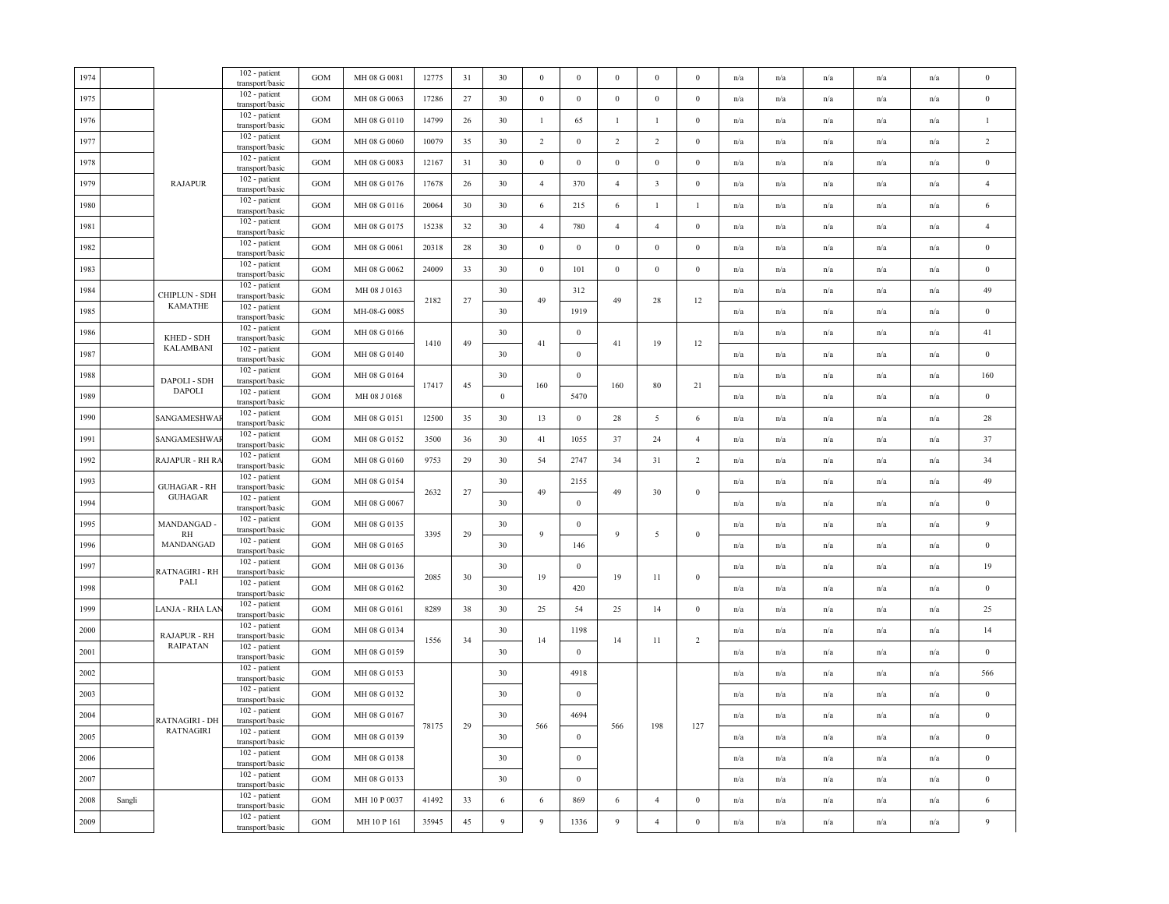|        |                     | 102 - patient<br>transport/basic                                                                | GOM                                                                                                                                                                    | MH 08 G 0081 | 12775 | 31                                                             | 30                                               | $\bf{0}$         | $\mathbf{0}$                                               | $\bf{0}$         | $\mathbf{0}$                                  | $\mathbf{0}$                                 | n/a                                                                                     | n/a                     | n/a                     | n/a                     | n/a                     | $\mathbf{0}$     |
|--------|---------------------|-------------------------------------------------------------------------------------------------|------------------------------------------------------------------------------------------------------------------------------------------------------------------------|--------------|-------|----------------------------------------------------------------|--------------------------------------------------|------------------|------------------------------------------------------------|------------------|-----------------------------------------------|----------------------------------------------|-----------------------------------------------------------------------------------------|-------------------------|-------------------------|-------------------------|-------------------------|------------------|
|        |                     | 102 - patient<br>transport/basic                                                                | <b>GOM</b>                                                                                                                                                             | MH 08 G 0063 | 17286 | 27                                                             | 30                                               | $\boldsymbol{0}$ | $\boldsymbol{0}$                                           | $\mathbf{0}$     | $\bf{0}$                                      | $\bf{0}$                                     | n/a                                                                                     | n/a                     | n/a                     | n/a                     | n/a                     | $\bf{0}$         |
|        |                     | transport/basic                                                                                 | <b>GOM</b>                                                                                                                                                             | MH 08 G 0110 | 14799 | 26                                                             | 30                                               | $\mathbf{1}$     | 65                                                         | $\mathbf{1}$     | $\mathbf{1}$                                  | $\boldsymbol{0}$                             | n/a                                                                                     | n/a                     | n/a                     | n/a                     | n/a                     | $\mathbf{1}$     |
|        |                     | 102 - patient<br>transport/basic                                                                | <b>GOM</b>                                                                                                                                                             | MH 08 G 0060 | 10079 | 35                                                             | 30                                               | $\overline{2}$   | $\mathbf{0}$                                               | $\overline{2}$   | 2                                             | $\boldsymbol{0}$                             | n/a                                                                                     | n/a                     | n/a                     | n/a                     | n/a                     | $\overline{2}$   |
|        |                     | 102 - patient                                                                                   | <b>GOM</b>                                                                                                                                                             | MH 08 G 0083 | 12167 | 31                                                             | 30                                               | $\mathbf{0}$     | $\bf{0}$                                                   | $\,0\,$          | $\bf{0}$                                      | $\bf{0}$                                     | n/a                                                                                     | n/a                     | n/a                     | n/a                     | n/a                     | $\,0\,$          |
|        | <b>RAJAPUR</b>      | 102 - patient                                                                                   | <b>GOM</b>                                                                                                                                                             | MH 08 G 0176 | 17678 | 26                                                             | 30                                               | $\overline{4}$   | 370                                                        | $\overline{4}$   | $\overline{\mathbf{3}}$                       | $\mathbf{0}$                                 | n/a                                                                                     | n/a                     | n/a                     | $\mathrm{n}/\mathrm{a}$ | n/a                     | $\overline{4}$   |
|        |                     | 102 - patient<br>transport/basic                                                                | <b>GOM</b>                                                                                                                                                             | MH 08 G 0116 | 20064 | 30                                                             | 30                                               | 6                | 215                                                        | 6                | $\mathbf{1}$                                  | -1                                           | n/a                                                                                     | n/a                     | n/a                     | n/a                     | n/a                     | $\sqrt{6}$       |
|        |                     | 102 - patient<br>transport/basic                                                                | <b>GOM</b>                                                                                                                                                             | MH 08 G 0175 | 15238 | 32                                                             | 30                                               | $\overline{4}$   | 780                                                        | $\overline{4}$   | $\overline{4}$                                | $\boldsymbol{0}$                             | n/a                                                                                     | n/a                     | n/a                     | n/a                     | n/a                     | $\overline{4}$   |
|        |                     | 102 - patient<br>transport/basic                                                                | <b>GOM</b>                                                                                                                                                             | MH 08 G 0061 | 20318 | 28                                                             | 30                                               | $\boldsymbol{0}$ | $\boldsymbol{0}$                                           | $\boldsymbol{0}$ | $\bf{0}$                                      | $\mathbf{0}$                                 | n/a                                                                                     | n/a                     | n/a                     | n/a                     | $\mathbf{n}/\mathbf{a}$ | $\,0\,$          |
|        |                     | 102 - patient<br>transport/basic                                                                | $_{\rm GOM}$                                                                                                                                                           | MH 08 G 0062 | 24009 | 33                                                             | 30                                               | $\boldsymbol{0}$ | 101                                                        | $\,0\,$          | $\boldsymbol{0}$                              | $\mathbf{0}$                                 | n/a                                                                                     | n/a                     | n/a                     | n/a                     | n/a                     | $\boldsymbol{0}$ |
|        | CHIPLUN - SDH       | 102 - patient<br>transport/basic                                                                | <b>GOM</b>                                                                                                                                                             | MH 08 J 0163 |       |                                                                | 30                                               |                  | 312                                                        |                  |                                               |                                              | n/a                                                                                     | $\mathrm{n}/\mathrm{a}$ | n/a                     | n/a                     | $\mathrm{n}/\mathrm{a}$ | 49               |
|        |                     | transport/basic                                                                                 | GOM                                                                                                                                                                    | MH-08-G 0085 |       |                                                                | 30                                               |                  | 1919                                                       |                  |                                               |                                              | n/a                                                                                     | n/a                     | n/a                     | n/a                     | n/a                     | $\bf{0}$         |
|        | KHED - SDH          | 102 - patient<br>transport/basic                                                                | $_{\rm GOM}$                                                                                                                                                           | MH 08 G 0166 |       |                                                                | 30                                               |                  | $\bf{0}$                                                   |                  |                                               |                                              | n/a                                                                                     | n/a                     | n/a                     | n/a                     | n/a                     | 41               |
|        |                     | 102 - patient<br>transport/basic                                                                | <b>GOM</b>                                                                                                                                                             | MH 08 G 0140 |       |                                                                | 30                                               |                  | $\mathbf{0}$                                               |                  |                                               |                                              | n/a                                                                                     | n/a                     | n/a                     | n/a                     | n/a                     | $\bf{0}$         |
|        | DAPOLI - SDH        | 102 - patient<br>transport/basic                                                                | <b>GOM</b>                                                                                                                                                             | MH 08 G 0164 |       |                                                                | 30                                               |                  | $\boldsymbol{0}$                                           |                  |                                               |                                              | n/a                                                                                     | n/a                     | n/a                     | n/a                     | n/a                     | 160              |
|        |                     | 102 - patient<br>transport/basic                                                                | <b>GOM</b>                                                                                                                                                             | MH 08 J 0168 |       |                                                                | $\boldsymbol{0}$                                 |                  | 5470                                                       |                  |                                               |                                              | n/a                                                                                     | n/a                     | n/a                     | n/a                     | n/a                     | $\bf{0}$         |
|        | SANGAMESHWA         | 102 - patient<br>transport/basic                                                                | <b>GOM</b>                                                                                                                                                             | MH 08 G 0151 | 12500 | 35                                                             | 30                                               | 13               | $\,0\,$                                                    | 28               | 5                                             | 6                                            | n/a                                                                                     | n/a                     | n/a                     | n/a                     | n/a                     | $28\,$           |
|        | SANGAMESHWA         | 102 - patient<br>transport/basic                                                                | <b>GOM</b>                                                                                                                                                             | MH 08 G 0152 | 3500  | 36                                                             | 30                                               | 41               | 1055                                                       | 37               | 24                                            | $\overline{4}$                               | n/a                                                                                     | $\mathrm{n}/\mathrm{a}$ | $\mathbf{n}/\mathbf{a}$ | $\mathrm{n}/\mathrm{a}$ | n/a                     | 37               |
|        | RAJAPUR - RH RA     | 102 - patient<br>transport/basic                                                                | <b>GOM</b>                                                                                                                                                             | MH 08 G 0160 | 9753  | 29                                                             | 30                                               | 54               | 2747                                                       | 34               | 31                                            | 2                                            | n/a                                                                                     | n/a                     | n/a                     | $\mathrm{n}/\mathrm{a}$ | n/a                     | 34               |
|        | <b>GUHAGAR - RH</b> | 102 - patient<br>transport/basic                                                                | <b>GOM</b>                                                                                                                                                             | MH 08 G 0154 |       |                                                                | 30                                               |                  | 2155                                                       |                  |                                               |                                              | n/a                                                                                     | n/a                     | n/a                     | n/a                     | n/a                     | 49               |
|        |                     | 102 - patient<br>transport/basic                                                                | <b>GOM</b>                                                                                                                                                             | MH 08 G 0067 |       |                                                                | 30                                               |                  | $\,0\,$                                                    |                  |                                               |                                              | n/a                                                                                     | n/a                     | n/a                     | n/a                     | n/a                     | $\mathbf{0}$     |
|        | MANDANGAD-          | 102 - patient<br>transport/basic                                                                | GOM                                                                                                                                                                    | MH 08 G 0135 |       |                                                                | 30                                               |                  | $\boldsymbol{0}$                                           |                  |                                               |                                              | n/a                                                                                     | $\mathrm{n}/\mathrm{a}$ | n/a                     | $\mathrm{n}/\mathrm{a}$ | $\mathrm{n}/\mathrm{a}$ | 9                |
|        | MANDANGAD           | transport/basic                                                                                 | $_{\rm GOM}$                                                                                                                                                           | MH 08 G 0165 |       |                                                                | 30                                               |                  | 146                                                        |                  |                                               |                                              | n/a                                                                                     | $\mathrm{n}/\mathrm{a}$ | n/a                     | n/a                     | $\mathrm{n}/\mathrm{a}$ | $\bf{0}$         |
|        | RATNAGIRI - RH      | transport/basic                                                                                 | $_{\rm GOM}$                                                                                                                                                           | MH 08 G 0136 |       |                                                                | 30                                               |                  | $\boldsymbol{0}$                                           |                  |                                               |                                              | n/a                                                                                     | n/a                     | n/a                     | n/a                     | n/a                     | 19               |
|        |                     | transport/basic                                                                                 | <b>GOM</b>                                                                                                                                                             | MH 08 G 0162 |       |                                                                | 30                                               |                  | 420                                                        |                  |                                               |                                              | n/a                                                                                     | n/a                     | n/a                     | n/a                     | n/a                     | $\boldsymbol{0}$ |
|        | LANJA - RHA LAN     | transport/basic                                                                                 | GOM                                                                                                                                                                    | MH 08 G 0161 | 8289  | 38                                                             | 30                                               | 25               | 54                                                         | 25               | 14                                            | $\bf{0}$                                     | n/a                                                                                     | n/a                     | n/a                     | n/a                     | n/a                     | 25               |
|        | <b>RAJAPUR - RH</b> | transport/basic                                                                                 | $_{\rm GOM}$                                                                                                                                                           | MH 08 G 0134 |       |                                                                | 30                                               |                  | 1198                                                       |                  |                                               |                                              | n/a                                                                                     | $\mathrm{n}/\mathrm{a}$ | n/a                     | n/a                     | $\mathrm{n}/\mathrm{a}$ | 14               |
|        |                     | 102 - patient<br>transport/basic                                                                | <b>GOM</b>                                                                                                                                                             | MH 08 G 0159 |       |                                                                | 30                                               |                  | $\mathbf{0}$                                               |                  |                                               |                                              | n/a                                                                                     | n/a                     | n/a                     | n/a                     | n/a                     | $\boldsymbol{0}$ |
|        |                     | 102 - patient<br>transport/basic                                                                | <b>GOM</b>                                                                                                                                                             | MH 08 G 0153 |       |                                                                | 30                                               |                  | 4918                                                       |                  |                                               |                                              | n/a                                                                                     | n/a                     | n/a                     | n/a                     | n/a                     | 566              |
|        |                     | 102 - patient<br>transport/basic                                                                | $_{\rm GOM}$                                                                                                                                                           | MH 08 G 0132 |       |                                                                | 30                                               |                  | $\mathbf{0}$                                               |                  |                                               |                                              | n/a                                                                                     | n/a                     | n/a                     | n/a                     | n/a                     | $\,0\,$          |
|        | RATNAGIRI - DH      | 102 - patient<br>transport/basic                                                                | <b>GOM</b>                                                                                                                                                             | MH 08 G 0167 |       |                                                                | 30                                               |                  | 4694                                                       |                  |                                               |                                              | n/a                                                                                     | n/a                     | n/a                     | n/a                     | n/a                     | $\boldsymbol{0}$ |
|        | RATNAGIRI           | 102 - patient<br>transport/basic                                                                | <b>GOM</b>                                                                                                                                                             | MH 08 G 0139 |       |                                                                | 30                                               |                  | $\mathbf{0}$                                               |                  |                                               |                                              | n/a                                                                                     | n/a                     | n/a                     | n/a                     | n/a                     | $\boldsymbol{0}$ |
|        |                     | 102 - patient<br>transport/basic                                                                | <b>GOM</b>                                                                                                                                                             | MH 08 G 0138 |       |                                                                | 30                                               |                  | $\mathbf{0}$                                               |                  |                                               |                                              | n/a                                                                                     | n/a                     | $\mathrm{n}/\mathrm{a}$ | n/a                     | n/a                     | $\boldsymbol{0}$ |
|        |                     | 102 - patient<br>transport/basic                                                                | <b>GOM</b>                                                                                                                                                             | MH 08 G 0133 |       |                                                                | 30                                               |                  | $\mathbf{0}$                                               |                  |                                               |                                              | n/a                                                                                     | n/a                     | $\mathrm{n}/\mathrm{a}$ | n/a                     | n/a                     | $\bf{0}$         |
| Sangli |                     | 102 - patient<br>transport/basic                                                                | GOM                                                                                                                                                                    | MH 10 P 0037 | 41492 | 33                                                             | $\sqrt{6}$                                       | 6                | 869                                                        | 6                | $\overline{4}$                                | $\boldsymbol{0}$                             | n/a                                                                                     | $\mathrm{n}/\mathrm{a}$ | n/a                     | n/a                     | $\mathrm{n}/\mathrm{a}$ | $\sqrt{6}$       |
|        |                     | 102 - patient<br>transport/basic                                                                | <b>GOM</b>                                                                                                                                                             | MH 10 P 161  | 35945 | 45                                                             | 9                                                | $\overline{9}$   | 1336                                                       | $\overline{9}$   | $\overline{4}$                                | $\theta$                                     | n/a                                                                                     | n/a                     | n/a                     | n/a                     | n/a                     | $\overline{9}$   |
|        |                     | KAMATHE<br><b>KALAMBANI</b><br><b>DAPOLI</b><br><b>GUHAGAR</b><br>RH<br>PALI<br><b>RAIPATAN</b> | 102 - patient<br>transport/basic<br>transport/basic<br>102 - patient<br>102 - patient<br>$\overline{102}$ - patient<br>102 - patient<br>102 - patient<br>102 - patient |              |       | 2182<br>1410<br>17417<br>2632<br>3395<br>2085<br>1556<br>78175 | 27<br>49<br>45<br>$27\,$<br>29<br>30<br>34<br>29 |                  | 49<br>41<br>160<br>49<br>$\overline{9}$<br>19<br>14<br>566 |                  | 49<br>41<br>160<br>49<br>9<br>19<br>14<br>566 | 28<br>19<br>80<br>30<br>5<br>11<br>11<br>198 | 12<br>12<br>21<br>$\mathbf{0}$<br>$\boldsymbol{0}$<br>$\bf{0}$<br>$\overline{c}$<br>127 |                         |                         |                         |                         |                  |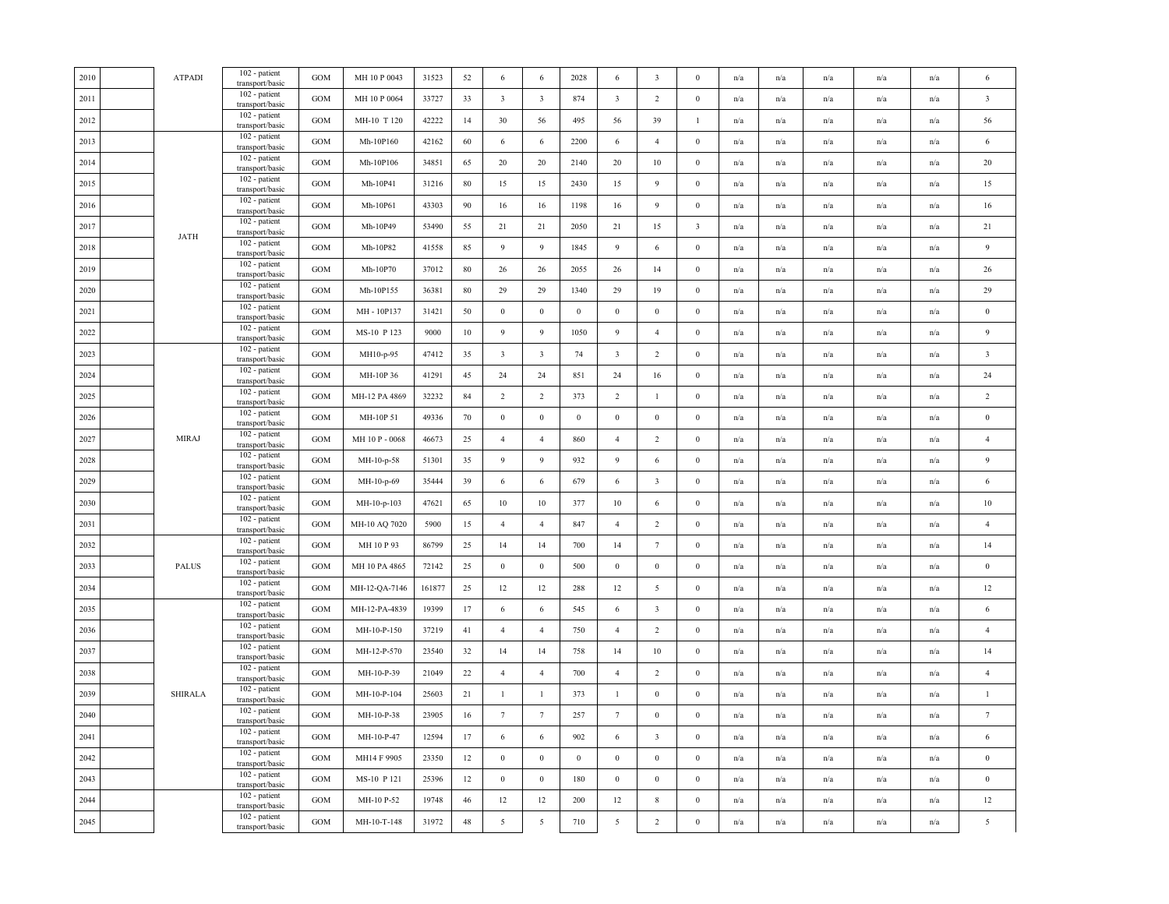| 2010 | <b>ATPADI</b>  | 102 - patient<br>transport/basic | <b>GOM</b>   | MH 10 P 0043   | 31523  | 52 | 6                       | 6                       | 2028             | 6                       | $\overline{\mathbf{3}}$ | $\mathbf{0}$            | n/a                     | n/a                     | n/a                     | n/a                     | n/a                     | 6                       |
|------|----------------|----------------------------------|--------------|----------------|--------|----|-------------------------|-------------------------|------------------|-------------------------|-------------------------|-------------------------|-------------------------|-------------------------|-------------------------|-------------------------|-------------------------|-------------------------|
| 2011 |                | 102 - patient<br>transport/basic | <b>GOM</b>   | MH 10 P 0064   | 33727  | 33 | $\overline{\mathbf{3}}$ | $\overline{\mathbf{3}}$ | 874              | $\overline{\mathbf{3}}$ | 2                       | $\mathbf{0}$            | n/a                     | n/a                     | n/a                     | n/a                     | n/a                     | $\overline{\mathbf{3}}$ |
| 2012 |                | 102 - patient<br>transport/basic | GOM          | MH-10 T 120    | 42222  | 14 | 30                      | 56                      | 495              | 56                      | 39                      | $\mathbf{1}$            | n/a                     | n/a                     | n/a                     | n/a                     | n/a                     | 56                      |
| 2013 |                | 102 - patient<br>transport/basic | GOM          | Mh-10P160      | 42162  | 60 | 6                       | 6                       | 2200             | 6                       | $\overline{4}$          | $\boldsymbol{0}$        | n/a                     | n/a                     | n/a                     | n/a                     | n/a                     | $\sqrt{6}$              |
| 2014 |                | 102 - patient<br>transport/basic | GOM          | Mh-10P106      | 34851  | 65 | 20                      | 20                      | 2140             | 20                      | $10\,$                  | $\boldsymbol{0}$        | n/a                     | n/a                     | n/a                     | $\mathrm{n}/\mathrm{a}$ | n/a                     | $20\,$                  |
| 2015 |                | 102 - patient<br>transport/basic | GOM          | Mh-10P41       | 31216  | 80 | 15                      | 15                      | 2430             | 15                      | 9                       | $\mathbf{0}$            | n/a                     | n/a                     | n/a                     | n/a                     | n/a                     | 15                      |
| 2016 |                | 102 - patient<br>transport/basic | $_{\rm GOM}$ | Mh-10P61       | 43303  | 90 | 16                      | 16                      | 1198             | 16                      | $\overline{9}$          | $\mathbf{0}$            | n/a                     | n/a                     | $\mathrm{n}/\mathrm{a}$ | n/a                     | $\mathrm{n}/\mathrm{a}$ | $16\,$                  |
| 2017 |                | 102 - patient<br>transport/basic | GOM          | Mh-10P49       | 53490  | 55 | 21                      | 21                      | 2050             | 21                      | 15                      | $\overline{\mathbf{3}}$ | n/a                     | n/a                     | n/a                     | n/a                     | n/a                     | 21                      |
| 2018 | <b>JATH</b>    | 102 - patient<br>transport/basic | <b>GOM</b>   | Mh-10P82       | 41558  | 85 | 9                       | $\overline{9}$          | 1845             | 9                       | 6                       | $\boldsymbol{0}$        | n/a                     | n/a                     | n/a                     | n/a                     | n/a                     | $\overline{9}$          |
| 2019 |                | 102 - patient<br>transport/basic | GOM          | Mh-10P70       | 37012  | 80 | 26                      | 26                      | 2055             | 26                      | 14                      | $\boldsymbol{0}$        | n/a                     | n/a                     | n/a                     | n/a                     | n/a                     | 26                      |
| 2020 |                | 102 - patient<br>transport/basic | GOM          | Mh-10P155      | 36381  | 80 | 29                      | 29                      | 1340             | 29                      | 19                      | $\mathbf{0}$            | n/a                     | n/a                     | n/a                     | n/a                     | n/a                     | 29                      |
| 2021 |                | 102 - patient<br>transport/basic | <b>GOM</b>   | MH - 10P137    | 31421  | 50 | $\bf{0}$                | $\mathbf{0}$            | $\boldsymbol{0}$ | $\mathbf{0}$            | $\boldsymbol{0}$        | $\mathbf{0}$            | n/a                     | n/a                     | n/a                     | n/a                     | n/a                     | $\boldsymbol{0}$        |
| 2022 |                | 102 - patient<br>transport/basic | GOM          | MS-10 P 123    | 9000   | 10 | 9                       | 9                       | 1050             | 9                       | $\overline{4}$          | $\mathbf{0}$            | n/a                     | n/a                     | n/a                     | n/a                     | n/a                     | $\overline{9}$          |
| 2023 |                | 102 - patient<br>transport/basic | <b>GOM</b>   | MH10-p-95      | 47412  | 35 | $\overline{\mathbf{3}}$ | $\overline{\mathbf{3}}$ | 74               | $\overline{\mathbf{3}}$ | 2                       | $\boldsymbol{0}$        | n/a                     | n/a                     | $\mathrm{n}/\mathrm{a}$ | $\mathrm{n}/\mathrm{a}$ | $\mathrm{n}/\mathrm{a}$ | $\overline{\mathbf{3}}$ |
| 2024 |                | 102 - patient<br>transport/basic | GOM          | MH-10P 36      | 41291  | 45 | 24                      | 24                      | 851              | 24                      | 16                      | $\boldsymbol{0}$        | n/a                     | n/a                     | n/a                     | n/a                     | n/a                     | 24                      |
| 2025 |                | 102 - patient<br>transport/basic | <b>GOM</b>   | MH-12 PA 4869  | 32232  | 84 | $\overline{2}$          | 2                       | 373              | $\overline{2}$          | $\mathbf{1}$            | $\boldsymbol{0}$        | n/a                     | n/a                     | n/a                     | n/a                     | n/a                     | $\sqrt{2}$              |
| 2026 |                | 102 - patient<br>transport/basic | <b>GOM</b>   | MH-10P 51      | 49336  | 70 | $\boldsymbol{0}$        | $\mathbf{0}$            | $\mathbf{0}$     | $\mathbf{0}$            | $\bf{0}$                | $\mathbf{0}$            | n/a                     | n/a                     | n/a                     | n/a                     | n/a                     | $\boldsymbol{0}$        |
| 2027 | <b>MIRAJ</b>   | 102 - patient<br>transport/basic | <b>GOM</b>   | MH 10 P - 0068 | 46673  | 25 | $\overline{4}$          | $\overline{4}$          | 860              | $\overline{4}$          | $\overline{2}$          | $\mathbf{0}$            | n/a                     | n/a                     | $\mathrm{n}/\mathrm{a}$ | n/a                     | n/a                     | $\overline{4}$          |
| 2028 |                | 102 - patient<br>transport/basic | GOM          | MH-10-p-58     | 51301  | 35 | 9                       | 9                       | 932              | 9                       | 6                       | $\boldsymbol{0}$        | n/a                     | n/a                     | $\mathrm{n}/\mathrm{a}$ | n/a                     | n/a                     | $\overline{9}$          |
| 2029 |                | 102 - patient<br>transport/basic | GOM          | MH-10-p-69     | 35444  | 39 | 6                       | 6                       | 679              | 6                       | $\overline{\mathbf{3}}$ | $\mathbf{0}$            | n/a                     | $\mathrm{n}/\mathrm{a}$ | $\mathbf{n}/\mathbf{a}$ | $\mathrm{n}/\mathrm{a}$ | $\mathbf{n}/\mathbf{a}$ | $\sqrt{6}$              |
| 2030 |                | 102 - patient<br>transport/basic | GOM          | MH-10-p-103    | 47621  | 65 | $10\,$                  | $10\,$                  | 377              | 10                      | 6                       | $\boldsymbol{0}$        | n/a                     | n/a                     | n/a                     | n/a                     | n/a                     | $10\,$                  |
| 2031 |                | 102 - patient<br>transport/basic | GOM          | MH-10 AQ 7020  | 5900   | 15 | $\overline{4}$          | $\overline{4}$          | 847              | $\overline{4}$          | $\overline{2}$          | $\boldsymbol{0}$        | n/a                     | $\mathrm{n}/\mathrm{a}$ | $\mathbf{n}/\mathbf{a}$ | $\mathrm{n}/\mathrm{a}$ | $\mathbf{n}/\mathbf{a}$ | $\overline{4}$          |
| 2032 |                | 102 - patient<br>transport/basic | GOM          | MH 10 P 93     | 86799  | 25 | 14                      | 14                      | 700              | 14                      | $7\phantom{.0}$         | $\boldsymbol{0}$        | n/a                     | n/a                     | n/a                     | n/a                     | n/a                     | 14                      |
| 2033 | <b>PALUS</b>   | 102 - patient<br>transport/basic | GOM          | MH 10 PA 4865  | 72142  | 25 | $\bf{0}$                | $\mathbf{0}$            | 500              | $\mathbf{0}$            | $\boldsymbol{0}$        | $\boldsymbol{0}$        | n/a                     | n/a                     | n/a                     | n/a                     | n/a                     | $\bf{0}$                |
| 2034 |                | 102 - patient<br>transport/basic | GOM          | MH-12-QA-7146  | 161877 | 25 | 12                      | 12                      | 288              | 12                      | 5                       | $\boldsymbol{0}$        | n/a                     | n/a                     | n/a                     | n/a                     | n/a                     | $12\,$                  |
| 2035 |                | 102 - patient<br>transport/basic | GOM          | MH-12-PA-4839  | 19399  | 17 | 6                       | 6                       | 545              | 6                       | $\overline{\mathbf{3}}$ | $\boldsymbol{0}$        | n/a                     | n/a                     | n/a                     | n/a                     | n/a                     | $\sqrt{6}$              |
| 2036 |                | 102 - patient<br>transport/basic | GOM          | MH-10-P-150    | 37219  | 41 | $\overline{4}$          | $\overline{4}$          | 750              | $\overline{4}$          | $\overline{2}$          | $\mathbf{0}$            | n/a                     | n/a                     | n/a                     | n/a                     | n/a                     | $\overline{4}$          |
| 2037 |                | 102 - patient<br>transport/basic | GOM          | MH-12-P-570    | 23540  | 32 | 14                      | 14                      | 758              | 14                      | $10\,$                  | $\boldsymbol{0}$        | n/a                     | n/a                     | n/a                     | n/a                     | n/a                     | 14                      |
| 2038 |                | 102 - patient<br>transport/basic | GOM          | MH-10-P-39     | 21049  | 22 | $\overline{4}$          | $\overline{4}$          | 700              | $\overline{4}$          | $\overline{2}$          | $\boldsymbol{0}$        | n/a                     | n/a                     | n/a                     | n/a                     | n/a                     | $\sqrt{4}$              |
| 2039 | <b>SHIRALA</b> | 102 - patient<br>transport/basic | GOM          | MH-10-P-104    | 25603  | 21 | $\mathbf{1}$            | $\mathbf{1}$            | 373              | $\mathbf{1}$            | $\mathbf{0}$            | $\boldsymbol{0}$        | n/a                     | n/a                     | n/a                     | n/a                     | n/a                     | $\mathbf{1}$            |
| 2040 |                | 102 - patient<br>transport/basic | GOM          | MH-10-P-38     | 23905  | 16 | $7\phantom{.0}$         | $7\phantom{.0}$         | 257              | $7\phantom{.0}$         | $\boldsymbol{0}$        | $\mathbf{0}$            | n/a                     | n/a                     | n/a                     | n/a                     | n/a                     | $\tau$                  |
| 2041 |                | 102 - patient<br>transport/basic | GOM          | MH-10-P-47     | 12594  | 17 | 6                       | 6                       | 902              | 6                       | $\overline{\mathbf{3}}$ | $\mathbf{0}$            | n/a                     | n/a                     | n/a                     | n/a                     | n/a                     | $\,$ 6 $\,$             |
| 2042 |                | 102 - patient<br>transport/basic | GOM          | MH14 F 9905    | 23350  | 12 | $\bf{0}$                | $\overline{0}$          | $\bf{0}$         | $\bf{0}$                | $\boldsymbol{0}$        | $\boldsymbol{0}$        | n/a                     | n/a                     | n/a                     | n/a                     | n/a                     | $\boldsymbol{0}$        |
| 2043 |                | 102 - patient<br>transport/basic | <b>GOM</b>   | MS-10 P 121    | 25396  | 12 | $\boldsymbol{0}$        | $\overline{0}$          | 180              | $\overline{0}$          | $\boldsymbol{0}$        | $\boldsymbol{0}$        | n/a                     | n/a                     | $\mathrm{n}/\mathrm{a}$ | $\mathbf{n}/\mathbf{a}$ | $\mathrm{n}/\mathrm{a}$ | $\,0\,$                 |
| 2044 |                | 102 - patient<br>transport/basic | GOM          | MH-10 P-52     | 19748  | 46 | $12\,$                  | 12                      | 200              | 12                      | $\,$ 8 $\,$             | $\boldsymbol{0}$        | $\mathrm{n}/\mathrm{a}$ | n/a                     | n/a                     | n/a                     | n/a                     | $12\,$                  |
| 2045 |                | 102 - patient<br>transport/basic | GOM          | MH-10-T-148    | 31972  | 48 | $\sqrt{5}$              | 5                       | 710              | 5                       | $\sqrt{2}$              | $\boldsymbol{0}$        | n/a                     | n/a                     | $\mathrm{n}/\mathrm{a}$ | n/a                     | $\mathrm{n}/\mathrm{a}$ | $\sqrt{5}$              |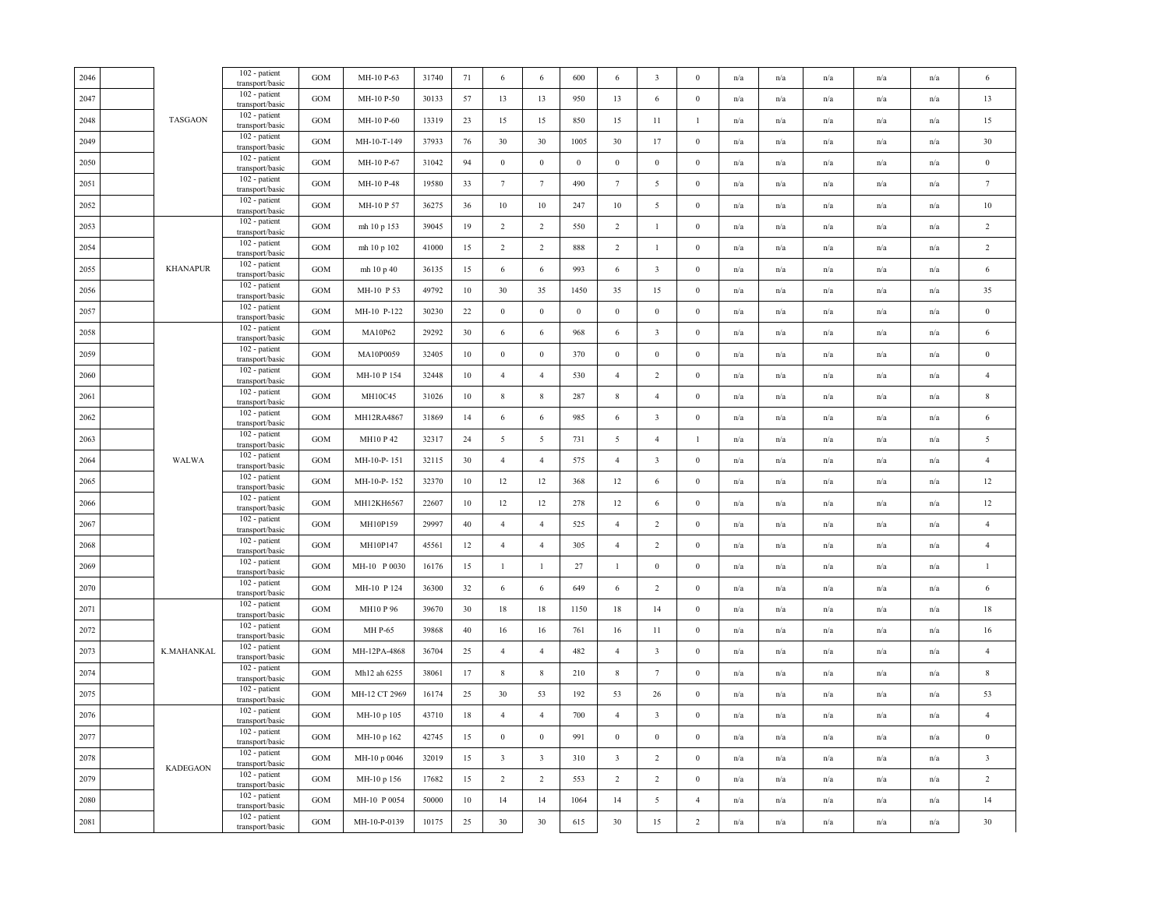| 2046 |                 | $102$ - patient<br>transport/basic            | GOM               | MH-10 P-63    | 31740 | 71     | 6                       | 6                       | 600          | 6                       | $\overline{\mathbf{3}}$ | $\mathbf{0}$     | n/a | n/a                     | n/a                     | n/a                     | n/a                     | 6                       |
|------|-----------------|-----------------------------------------------|-------------------|---------------|-------|--------|-------------------------|-------------------------|--------------|-------------------------|-------------------------|------------------|-----|-------------------------|-------------------------|-------------------------|-------------------------|-------------------------|
| 2047 |                 | 102 - patient<br>transport/basic              | <b>GOM</b>        | MH-10 P-50    | 30133 | 57     | 13                      | 13                      | 950          | 13                      | 6                       | $\mathbf{0}$     | n/a | n/a                     | n/a                     | n/a                     | n/a                     | 13                      |
| 2048 | <b>TASGAON</b>  | 102 - patient<br>transport/basic              | GOM               | MH-10 P-60    | 13319 | 23     | 15                      | 15                      | 850          | 15                      | 11                      | $\mathbf{1}$     | n/a | n/a                     | n/a                     | n/a                     | n/a                     | 15                      |
| 2049 |                 | 102 - patient<br>transport/basic              | GOM               | MH-10-T-149   | 37933 | 76     | 30                      | 30                      | 1005         | 30                      | 17                      | $\boldsymbol{0}$ | n/a | $\mathrm{n}/\mathrm{a}$ | $\mathrm{n}/\mathrm{a}$ | $\mathrm{n}/\mathrm{a}$ | $\mathrm{n}/\mathrm{a}$ | 30                      |
| 2050 |                 | 102 - patient<br>transport/basic              | <b>GOM</b>        | MH-10 P-67    | 31042 | 94     | $\bf{0}$                | $\overline{0}$          | $\mathbf{0}$ | $\mathbf{0}$            | $\bf{0}$                | $\mathbf{0}$     | n/a | n/a                     | n/a                     | n/a                     | n/a                     | $\bf{0}$                |
| 2051 |                 | 102 - patient<br>transport/basic              | GOM               | MH-10 P-48    | 19580 | 33     | $7\phantom{.0}$         | $7\phantom{.0}$         | 490          | $7\phantom{.0}$         | $\overline{5}$          | $\boldsymbol{0}$ | n/a | n/a                     | n/a                     | n/a                     | n/a                     | $7\phantom{.0}$         |
| 2052 |                 | 102 - patient<br>transport/basic              | GOM               | MH-10 P 57    | 36275 | 36     | 10                      | 10                      | 247          | $10\,$                  | $\overline{5}$          | $\boldsymbol{0}$ | n/a | n/a                     | n/a                     | n/a                     | n/a                     | $10\,$                  |
| 2053 |                 | 102 - patient<br>transport/basic              | <b>GOM</b>        | mh 10 p 153   | 39045 | 19     | $\overline{2}$          | $\overline{2}$          | 550          | $\overline{2}$          | $\mathbf{1}$            | $\boldsymbol{0}$ | n/a | n/a                     | n/a                     | n/a                     | n/a                     | $\overline{2}$          |
| 2054 |                 | $102$ - patient $\,$<br>transport/basic       | $_{\rm GOM}$      | mh 10 p 102   | 41000 | 15     | $\overline{2}$          | 2                       | 888          | $\overline{2}$          | $\mathbf{1}$            | $\boldsymbol{0}$ | n/a | $\mathrm{n}/\mathrm{a}$ | $\mathrm{n}/\mathrm{a}$ | $\mathrm{n}/\mathrm{a}$ | $\mathrm{n}/\mathrm{a}$ | $\sqrt{2}$              |
| 2055 | <b>KHANAPUR</b> | 102 - patient<br>transport/basic              | <b>GOM</b>        | mh 10 p 40    | 36135 | 15     | 6                       | 6                       | 993          | 6                       | $\overline{\mathbf{3}}$ | $\mathbf{0}$     | n/a | n/a                     | n/a                     | n/a                     | n/a                     | $\sqrt{6}$              |
| 2056 |                 | 102 - patient<br>transport/basic              | GOM               | MH-10 P 53    | 49792 | 10     | 30                      | 35                      | 1450         | 35                      | 15                      | $\mathbf{0}$     | n/a | n/a                     | n/a                     | n/a                     | n/a                     | 35                      |
| 2057 |                 | 102 - patient<br>transport/basic              | GOM               | MH-10 P-122   | 30230 | 22     | $\bf{0}$                | $\mathbf{0}$            | $\bf{0}$     | $\bf{0}$                | $\bf{0}$                | $\mathbf{0}$     | n/a | n/a                     | n/a                     | n/a                     | n/a                     | $\boldsymbol{0}$        |
| 2058 |                 | 102 - patient<br>transport/basic              | GOM               | MA10P62       | 29292 | 30     | $\sqrt{6}$              | 6                       | 968          | 6                       | $\overline{\mathbf{3}}$ | $\boldsymbol{0}$ | n/a | n/a                     | $\mathrm{n}/\mathrm{a}$ | n/a                     | n/a                     | $\sqrt{6}$              |
| 2059 |                 | 102 - patient<br>transport/basic              | <b>GOM</b>        | MA10P0059     | 32405 | 10     | $\boldsymbol{0}$        | $\mathbf{0}$            | 370          | $\mathbf{0}$            | $\mathbf{0}$            | $\boldsymbol{0}$ | n/a | n/a                     | n/a                     | n/a                     | $\mathrm{n}/\mathrm{a}$ | $\boldsymbol{0}$        |
| 2060 |                 | 102 - patient<br>transport/basic              | <b>GOM</b>        | MH-10 P 154   | 32448 | 10     | $\overline{4}$          | $\overline{4}$          | 530          | $\overline{4}$          | 2                       | $\mathbf{0}$     | n/a | n/a                     | n/a                     | n/a                     | n/a                     | $\overline{4}$          |
| 2061 |                 | 102 - patient<br>transport/basic              | GOM               | MH10C45       | 31026 | 10     | $\,$ 8 $\,$             | $\,$ 8 $\,$             | 287          | $\,$ 8 $\,$             | $\overline{4}$          | $\boldsymbol{0}$ | n/a | n/a                     | n/a                     | n/a                     | n/a                     | $\,$ 8 $\,$             |
| 2062 |                 | 102 - patient<br>transport/basic              | GOM               | MH12RA4867    | 31869 | 14     | 6                       | 6                       | 985          | 6                       | $\overline{\mathbf{3}}$ | $\boldsymbol{0}$ | n/a | n/a                     | n/a                     | n/a                     | n/a                     | $\sqrt{6}$              |
| 2063 |                 | 102 - patient<br>transport/basic              | GOM               | MH10 P 42     | 32317 | 24     | $\mathfrak{S}$          | 5                       | 731          | 5                       | $\overline{4}$          | $\mathbf{1}$     | n/a | n/a                     | $\mathrm{n}/\mathrm{a}$ | $\mathrm{n}/\mathrm{a}$ | n/a                     | $\sqrt{5}$              |
| 2064 | <b>WALWA</b>    | 102 - patient<br>transport/basic              | GOM               | MH-10-P-151   | 32115 | 30     | $\overline{4}$          | $\overline{4}$          | 575          | $\overline{4}$          | $\overline{\mathbf{3}}$ | $\boldsymbol{0}$ | n/a | $\mathrm{n}/\mathrm{a}$ | n/a                     | $\mathrm{n}/\mathrm{a}$ | n/a                     | $\overline{4}$          |
| 2065 |                 | 102 - patient<br>transport/basic              | GOM               | MH-10-P-152   | 32370 | 10     | 12                      | 12                      | 368          | 12                      | 6                       | $\mathbf{0}$     | n/a | n/a                     | n/a                     | n/a                     | n/a                     | 12                      |
| 2066 |                 | 102 - patient<br>transport/basic              | GOM               | MH12KH6567    | 22607 | 10     | 12                      | 12                      | 278          | 12                      | 6                       | $\mathbf{0}$     | n/a | n/a                     | n/a                     | n/a                     | n/a                     | 12                      |
| 2067 |                 | 102 - patient<br>transport/basic              | GOM               | MH10P159      | 29997 | $40\,$ | $\overline{4}$          | $\overline{4}$          | 525          | $\overline{4}$          | $\overline{2}$          | $\boldsymbol{0}$ | n/a | $\mathrm{n}/\mathrm{a}$ | $\mathrm{n}/\mathrm{a}$ | $\mathrm{n}/\mathrm{a}$ | $\mathrm{n}/\mathrm{a}$ | $\overline{4}$          |
| 2068 |                 | 102 - patient<br>transport/basic              | $_{\mathrm{GOM}}$ | MH10P147      | 45561 | 12     | $\overline{4}$          | $\overline{4}$          | 305          | $\overline{4}$          | $\overline{2}$          | $\boldsymbol{0}$ | n/a | n/a                     | n/a                     | n/a                     | n/a                     | $\sqrt{4}$              |
| 2069 |                 | 102 - patient<br>transport/basic              | GOM               | MH-10 P 0030  | 16176 | 15     | $\mathbf{1}$            | $\mathbf{1}$            | 27           | $\mathbf{1}$            | $\boldsymbol{0}$        | $\boldsymbol{0}$ | n/a | n/a                     | n/a                     | n/a                     | $\mathrm{n}/\mathrm{a}$ | $\mathbf{1}$            |
| 2070 |                 | 102 - patient<br>transport/basic              | GOM               | MH-10 P 124   | 36300 | 32     | 6                       | 6                       | 649          | 6                       | 2                       | $\mathbf{0}$     | n/a | n/a                     | n/a                     | n/a                     | n/a                     | 6                       |
| 2071 |                 | 102 - patient<br>transport/basic              | GOM               | MH10 P 96     | 39670 | 30     | $18\,$                  | 18                      | 1150         | 18                      | 14                      | $\boldsymbol{0}$ | n/a | n/a                     | n/a                     | n/a                     | n/a                     | $18\,$                  |
| 2072 |                 | 102 - patient<br>transport/basic              | GOM               | MH P-65       | 39868 | 40     | 16                      | 16                      | 761          | 16                      | 11                      | $\mathbf{0}$     | n/a | n/a                     | n/a                     | n/a                     | n/a                     | $16\,$                  |
| 2073 | K.MAHANKAL      | 102 - patient<br>transport/basic              | <b>GOM</b>        | MH-12PA-4868  | 36704 | 25     | $\overline{4}$          | $\overline{4}$          | 482          | $\overline{4}$          | $\overline{\mathbf{3}}$ | $\theta$         | n/a | n/a                     | n/a                     | $\mathbf{n}/\mathbf{a}$ | n/a                     | $\overline{4}$          |
| 2074 |                 | $\overline{1}02$ - patient<br>transport/basic | GOM               | Mh12 ah 6255  | 38061 | 17     | $\,$ 8 $\,$             | $\,$ 8 $\,$             | 210          | $\,$ 8 $\,$             | $7\phantom{.0}$         | $\boldsymbol{0}$ | n/a | n/a                     | n/a                     | n/a                     | n/a                     | $\,$ 8 $\,$             |
| 2075 |                 | 102 - patient<br>transport/basic              | <b>GOM</b>        | MH-12 CT 2969 | 16174 | 25     | 30                      | 53                      | 192          | 53                      | 26                      | $\mathbf{0}$     | n/a | n/a                     | n/a                     | n/a                     | n/a                     | 53                      |
| 2076 |                 | 102 - patient<br>transport/basic              | GOM               | MH-10 p 105   | 43710 | 18     | $\overline{4}$          | $\overline{4}$          | 700          | $\overline{4}$          | $\overline{\mathbf{3}}$ | $\boldsymbol{0}$ | n/a | n/a                     | n/a                     | n/a                     | n/a                     | $\overline{4}$          |
| 2077 |                 | 102 - patient<br>transport/basic              | GOM               | MH-10 p 162   | 42745 | 15     | $\bf{0}$                | $\bf{0}$                | 991          | $\mathbf{0}$            | $\bf{0}$                | $\mathbf{0}$     | n/a | n/a                     | n/a                     | n/a                     | n/a                     | $\,0\,$                 |
| 2078 | <b>KADEGAON</b> | 102 - patient<br>transport/basic              | GOM               | MH-10 p 0046  | 32019 | 15     | $\overline{\mathbf{3}}$ | $\overline{\mathbf{3}}$ | 310          | $\overline{\mathbf{3}}$ | $\overline{2}$          | $\boldsymbol{0}$ | n/a | n/a                     | n/a                     | n/a                     | $\mathrm{n}/\mathrm{a}$ | $\overline{\mathbf{3}}$ |
| 2079 |                 | 102 - patient<br>transport/basic              | GOM               | MH-10 p 156   | 17682 | 15     | $\overline{2}$          | 2                       | 553          | 2                       | $\overline{2}$          | $\boldsymbol{0}$ | n/a | $\mathrm{n}/\mathrm{a}$ | n/a                     | $\mathrm{n}/\mathrm{a}$ | $\mathrm{n}/\mathrm{a}$ | $\sqrt{2}$              |
| 2080 |                 | 102 - patient<br>transport/basic              | <b>GOM</b>        | MH-10 P 0054  | 50000 | 10     | 14                      | 14                      | 1064         | 14                      | 5                       | $\overline{4}$   | n/a | n/a                     | n/a                     | n/a                     | n/a                     | 14                      |
| 2081 |                 | $102$ - patient<br>transport/basic            | GOM               | MH-10-P-0139  | 10175 | 25     | 30                      | 30                      | 615          | 30                      | 15                      | $\sqrt{2}$       | n/a | n/a                     | n/a                     | n/a                     | n/a                     | 30                      |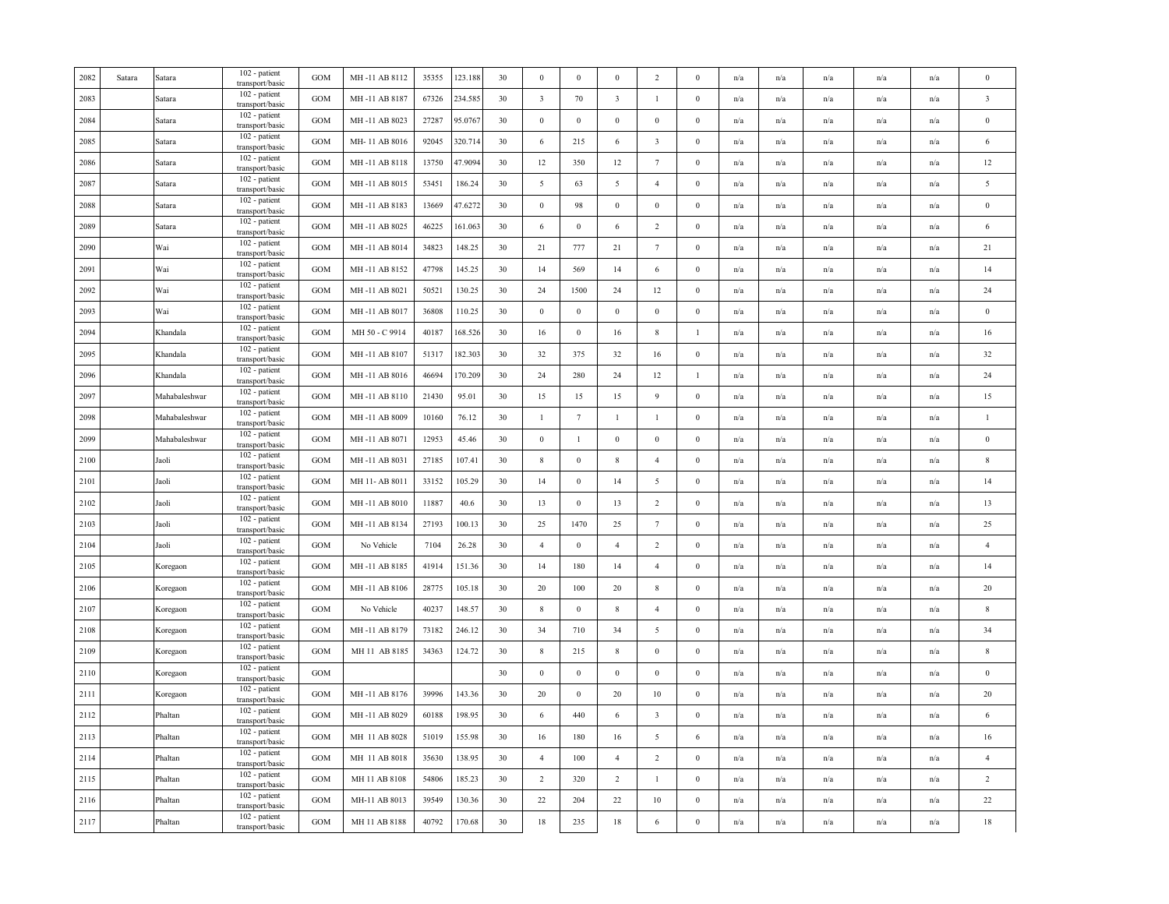| 2082 | Satara | Satara        | 102 - patient<br>transport/basic   | <b>GOM</b>        | MH-11 AB 8112  | 35355 | 123.188 | 30 | $\mathbf{0}$            | $\mathbf{0}$     | $\mathbf{0}$            | $\overline{2}$          | $\Omega$         | n/a | n/a                     | n/a                     | n/a                     | n/a                     | $\bf{0}$                |
|------|--------|---------------|------------------------------------|-------------------|----------------|-------|---------|----|-------------------------|------------------|-------------------------|-------------------------|------------------|-----|-------------------------|-------------------------|-------------------------|-------------------------|-------------------------|
| 2083 |        | Satara        | 102 - patient<br>transport/basic   | <b>GOM</b>        | MH-11 AB 8187  | 67326 | 234.585 | 30 | $\overline{\mathbf{3}}$ | 70               | $\overline{\mathbf{3}}$ | $\mathbf{1}$            | $\mathbf{0}$     | n/a | n/a                     | n/a                     | $\mathbf{n}/\mathbf{a}$ | n/a                     | $\overline{\mathbf{3}}$ |
| 2084 |        | Satara        | 102 - patient<br>transport/basic   | <b>GOM</b>        | MH-11 AB 8023  | 27287 | 95.0767 | 30 | $\,0\,$                 | $\mathbf{0}$     | $\mathbf{0}$            | $\bf{0}$                | $\boldsymbol{0}$ | n/a | $\mathrm{n}/\mathrm{a}$ | $\mathbf{n}/\mathbf{a}$ | $\mathrm{n}/\mathrm{a}$ | n/a                     | $\bf{0}$                |
| 2085 |        | Satara        | 102 - patient<br>transport/basic   | GOM               | MH-11 AB 8016  | 92045 | 320.714 | 30 | 6                       | 215              | 6                       | $\overline{\mathbf{3}}$ | $\bf{0}$         | n/a | n/a                     | n/a                     | n/a                     | n/a                     | 6                       |
| 2086 |        | Satara        | 102 - patient<br>transport/basic   | GOM               | MH-11 AB 8118  | 13750 | 47.9094 | 30 | 12                      | 350              | 12                      | $7\phantom{.0}$         | $\mathbf{0}$     | n/a | n/a                     | n/a                     | n/a                     | n/a                     | 12                      |
| 2087 |        | Satara        | 102 - patient<br>transport/basic   | <b>GOM</b>        | MH-11 AB 8015  | 53451 | 186.24  | 30 | 5                       | 63               | 5                       | $\overline{4}$          | $\mathbf{0}$     | n/a | n/a                     | n/a                     | n/a                     | n/a                     | $\sqrt{5}$              |
| 2088 |        | Satara        | 102 - patient<br>transport/basic   | GOM               | MH-11 AB 8183  | 13669 | 47.6272 | 30 | $\bf{0}$                | 98               | $\mathbf{0}$            | $\bf{0}$                | $\mathbf{0}$     | n/a | n/a                     | n/a                     | n/a                     | $\mathrm{n}/\mathrm{a}$ | $\bf{0}$                |
| 2089 |        | Satara        | 102 - patient<br>transport/basic   | GOM               | MH-11 AB 8025  | 46225 | 161.063 | 30 | 6                       | $\boldsymbol{0}$ | 6                       | $\overline{2}$          | $\boldsymbol{0}$ | n/a | n/a                     | n/a                     | n/a                     | n/a                     | $\sqrt{6}$              |
| 2090 |        | Wai           | 102 - patient<br>transport/basic   | <b>GOM</b>        | MH-11 AB 8014  | 34823 | 148.25  | 30 | 21                      | 777              | 21                      | $\tau$                  | $\boldsymbol{0}$ | n/a | n/a                     | n/a                     | n/a                     | n/a                     | 21                      |
| 2091 |        | Wai           | 102 - patient<br>transport/basic   | GOM               | MH-11 AB 8152  | 47798 | 145.25  | 30 | 14                      | 569              | 14                      | 6                       | $\overline{0}$   | n/a | n/a                     | n/a                     | n/a                     | n/a                     | 14                      |
| 2092 |        | Wai           | 102 - patient<br>transport/basic   | GOM               | MH-11 AB 8021  | 50521 | 130.25  | 30 | 24                      | 1500             | 24                      | 12                      | $\mathbf{0}$     | n/a | n/a                     | n/a                     | n/a                     | n/a                     | 24                      |
| 2093 |        | Wai           | 102 - patient<br>transport/basic   | $_{\mathrm{GOM}}$ | MH-11 AB 8017  | 36808 | 110.25  | 30 | $\mathbf{0}$            | $\mathbf{0}$     | $\mathbf{0}$            | $\boldsymbol{0}$        | $\boldsymbol{0}$ | n/a | n/a                     | n/a                     | n/a                     | n/a                     | $\bf{0}$                |
| 2094 |        | Khandala      | 102 - patient<br>transport/basic   | GOM               | MH 50 - C 9914 | 40187 | 168.526 | 30 | 16                      | $\mathbf{0}$     | 16                      | 8                       | $\mathbf{1}$     | n/a | n/a                     | n/a                     | n/a                     | n/a                     | 16                      |
| 2095 |        | Khandala      | 102 - patient<br>transport/basic   | GOM               | MH-11 AB 8107  | 51317 | 182.303 | 30 | 32                      | 375              | 32                      | 16                      | $\mathbf{0}$     | n/a | n/a                     | n/a                     | n/a                     | n/a                     | 32                      |
| 2096 |        | Khandala      | 102 - patient<br>transport/basic   | <b>GOM</b>        | MH-11 AB 8016  | 46694 | 170.209 | 30 | 24                      | 280              | 24                      | 12                      | $\mathbf{1}$     | n/a | n/a                     | n/a                     | n/a                     | n/a                     | 24                      |
| 2097 |        | Mahabaleshwar | 102 - patient<br>transport/basic   | <b>GOM</b>        | MH-11 AB 8110  | 21430 | 95.01   | 30 | 15                      | 15               | 15                      | $\overline{9}$          | $\boldsymbol{0}$ | n/a | n/a                     | n/a                     | n/a                     | n/a                     | 15                      |
| 2098 |        | Mahabaleshwar | 102 - patient<br>transport/basic   | <b>GOM</b>        | MH-11 AB 8009  | 10160 | 76.12   | 30 | $\mathbf{1}$            | $7\phantom{.0}$  | $\mathbf{1}$            | 1                       | $\boldsymbol{0}$ | n/a | $\mathrm{n}/\mathrm{a}$ | $\mathrm{n}/\mathrm{a}$ | $\mathrm{n}/\mathrm{a}$ | $\mathrm{n}/\mathrm{a}$ | $\mathbf{1}$            |
| 2099 |        | Mahabaleshwar | 102 - patient<br>transport/basic   | <b>GOM</b>        | MH-11 AB 8071  | 12953 | 45.46   | 30 | $\bf{0}$                | $\mathbf{1}$     | $\boldsymbol{0}$        | $\bf{0}$                | $\mathbf{0}$     | n/a | n/a                     | n/a                     | n/a                     | n/a                     | $\boldsymbol{0}$        |
| 2100 |        | Jaoli         | 102 - patient<br>transport/basic   | GOM               | MH-11 AB 8031  | 27185 | 107.41  | 30 | $\,$ 8 $\,$             | $\,0\,$          | $\,$ 8 $\,$             | $\overline{4}$          | $\mathbf{0}$     | n/a | n/a                     | n/a                     | n/a                     | n/a                     | $\,$ 8 $\,$             |
| 2101 |        | Jaoli         | 102 - patient<br>transport/basic   | GOM               | MH 11-AB 8011  | 33152 | 105.29  | 30 | 14                      | $\mathbf{0}$     | 14                      | $\overline{5}$          | $\mathbf{0}$     | n/a | $\mathrm{n}/\mathrm{a}$ | n/a                     | $\mathrm{n}/\mathrm{a}$ | $\mathrm{n}/\mathrm{a}$ | 14                      |
| 2102 |        | Jaoli         | 102 - patient<br>transport/basic   | <b>GOM</b>        | MH-11 AB 8010  | 11887 | 40.6    | 30 | 13                      | $\mathbf{0}$     | 13                      | $\overline{2}$          | $\boldsymbol{0}$ | n/a | n/a                     | n/a                     | n/a                     | n/a                     | 13                      |
| 2103 |        | Jaoli         | 102 - patient<br>transport/basic   | GOM               | MH-11 AB 8134  | 27193 | 100.13  | 30 | 25                      | 1470             | 25                      | $7\phantom{.0}$         | $\boldsymbol{0}$ | n/a | n/a                     | n/a                     | n/a                     | n/a                     | 25                      |
| 2104 |        | Jaoli         | $102$ - patient<br>transport/basic | GOM               | No Vehicle     | 7104  | 26.28   | 30 | $\overline{4}$          | $\,0\,$          | $\overline{4}$          | $\sqrt{2}$              | $\boldsymbol{0}$ | n/a | n/a                     | n/a                     | n/a                     | n/a                     | $\overline{4}$          |
| 2105 |        | Koregaon      | 102 - patient<br>transport/basic   | GOM               | MH-11 AB 8185  | 41914 | 151.36  | 30 | 14                      | 180              | 14                      | $\overline{4}$          | $\mathbf{0}$     | n/a | $\mathrm{n}/\mathrm{a}$ | $\mathbf{n}/\mathbf{a}$ | n/a                     | $\mathbf{n}/\mathbf{a}$ | 14                      |
| 2106 |        | Koregaon      | 102 - patient<br>transport/basic   | $_{\mathrm{GOM}}$ | MH-11 AB 8106  | 28775 | 105.18  | 30 | 20                      | 100              | 20                      | $\,$ 8 $\,$             | $\boldsymbol{0}$ | n/a | n/a                     | n/a                     | n/a                     | n/a                     | 20                      |
| 2107 |        | Koregaon      | 102 - patient<br>transport/basic   | $_{\mathrm{GOM}}$ | No Vehicle     | 40237 | 148.57  | 30 | $\,$ 8 $\,$             | $\mathbf{0}$     | $\,$ 8 $\,$             | $\overline{4}$          | $\mathbf{0}$     | n/a | n/a                     | n/a                     | n/a                     | n/a                     | $\,$ 8 $\,$             |
| 2108 |        | Koregaon      | 102 - patient<br>transport/basic   | GOM               | MH-11 AB 8179  | 73182 | 246.12  | 30 | 34                      | 710              | 34                      | 5                       | $\boldsymbol{0}$ | n/a | n/a                     | n/a                     | n/a                     | n/a                     | 34                      |
| 2109 |        | Koregaon      | 102 - patient<br>transport/basic   | <b>GOM</b>        | MH 11 AB 8185  | 34363 | 124.72  | 30 | $8\phantom{.0}$         | 215              | 8                       | $\bf{0}$                | $\mathbf{0}$     | n/a | n/a                     | n/a                     | n/a                     | n/a                     | $\,$ 8 $\,$             |
| 2110 |        | Koregaon      | 102 - patient<br>transport/basic   | <b>GOM</b>        |                |       |         | 30 | $\,0\,$                 | $\,0\,$          | $\,0\,$                 | $\boldsymbol{0}$        | $\boldsymbol{0}$ | n/a | n/a                     | n/a                     | n/a                     | n/a                     | $\,0\,$                 |
| 2111 |        | Koregaon      | 102 - patient<br>transport/basic   | GOM               | MH-11 AB 8176  | 39996 | 143.36  | 30 | 20                      | $\mathbf{0}$     | 20                      | $10\,$                  | $\boldsymbol{0}$ | n/a | n/a                     | n/a                     | n/a                     | n/a                     | 20                      |
| 2112 |        | Phaltan       | 102 - patient<br>transport/basic   | <b>GOM</b>        | MH-11 AB 8029  | 60188 | 198.95  | 30 | 6                       | 440              | 6                       | $\overline{\mathbf{3}}$ | $\bf{0}$         | n/a | n/a                     | n/a                     | n/a                     | n/a                     | 6                       |
| 2113 |        | Phaltan       | 102 - patient<br>transport/basic   | <b>GOM</b>        | MH 11 AB 8028  | 51019 | 155.98  | 30 | 16                      | 180              | 16                      | 5                       | 6                | n/a | n/a                     | n/a                     | n/a                     | n/a                     | 16                      |
| 2114 |        | Phaltan       | 102 - patient<br>transport/basic   | GOM               | MH 11 AB 8018  | 35630 | 138.95  | 30 | $\overline{4}$          | 100              | $\overline{4}$          | $\overline{2}$          | $\mathbf{0}$     | n/a | n/a                     | n/a                     | n/a                     | n/a                     | $\overline{4}$          |
| 2115 |        | Phaltan       | 102 - patient<br>transport/basic   | GOM               | MH 11 AB 8108  | 54806 | 185.23  | 30 | $\overline{2}$          | 320              | $\overline{2}$          | $\mathbf{1}$            | $\mathbf{0}$     | n/a | n/a                     | n/a                     | n/a                     | $\mathbf{n}/\mathbf{a}$ | $\sqrt{2}$              |
| 2116 |        | Phaltan       | 102 - patient<br>transport/basic   | <b>GOM</b>        | MH-11 AB 8013  | 39549 | 130.36  | 30 | 22                      | 204              | 22                      | 10                      | $\mathbf{0}$     | n/a | n/a                     | n/a                     | n/a                     | n/a                     | 22                      |
| 2117 |        | Phaltan       | 102 - patient<br>transport/basic   | GOM               | MH 11 AB 8188  | 40792 | 170.68  | 30 | 18                      | 235              | $18\,$                  | 6                       | $\boldsymbol{0}$ | n/a | n/a                     | n/a                     | n/a                     | n/a                     | $18\,$                  |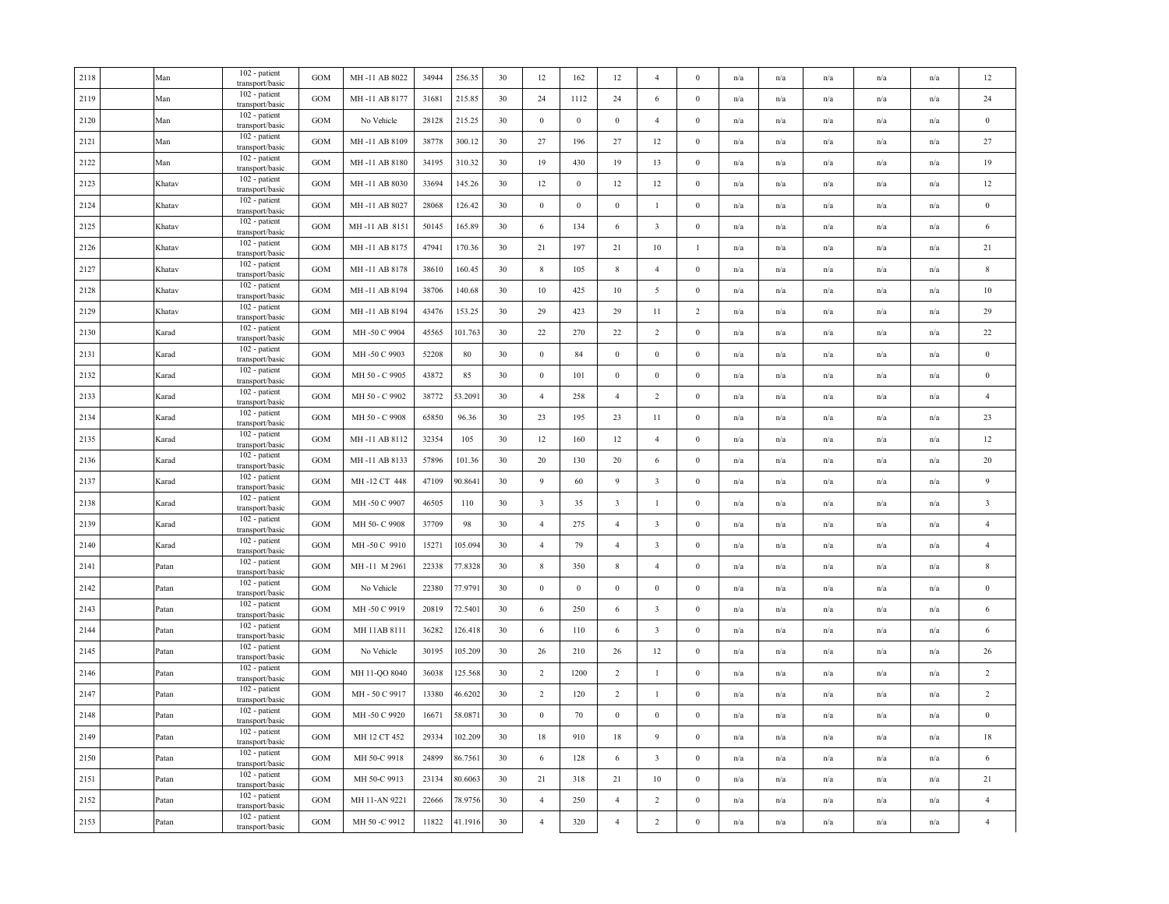| 2118 | Man    | $102$ - patient<br>transport/basic            | GOM               | MH-11 AB 8022  | 34944 | 256.35  | 30 | 12               | 162              | 12                      | $\overline{4}$          | $\mathbf{0}$     | n/a                     | n/a                     | n/a                     | n/a                     | n/a | 12                      |
|------|--------|-----------------------------------------------|-------------------|----------------|-------|---------|----|------------------|------------------|-------------------------|-------------------------|------------------|-------------------------|-------------------------|-------------------------|-------------------------|-----|-------------------------|
| 2119 | Man    | 102 - patient<br>transport/basic              | <b>GOM</b>        | MH-11 AB 8177  | 31681 | 215.85  | 30 | 24               | 1112             | 24                      | 6                       | $\bf{0}$         | n/a                     | n/a                     | n/a                     | n/a                     | n/a | 24                      |
| 2120 | Man    | $102$ - patient<br>transport/basic            | <b>GOM</b>        | No Vehicle     | 28128 | 215.25  | 30 | $\boldsymbol{0}$ | $\boldsymbol{0}$ | $\,0\,$                 | $\overline{4}$          | $\boldsymbol{0}$ | n/a                     | n/a                     | n/a                     | n/a                     | n/a | $\boldsymbol{0}$        |
| 2121 | Man    | 102 - patient<br>transport/basic              | <b>GOM</b>        | MH-11 AB 8109  | 38778 | 300.12  | 30 | 27               | 196              | 27                      | 12                      | $\mathbf{0}$     | $\mathrm{n}/\mathrm{a}$ | n/a                     | n/a                     | n/a                     | n/a | 27                      |
| 2122 | Man    | 102 - patient<br>transport/basic              | <b>GOM</b>        | MH-11 AB 8180  | 34195 | 310.32  | 30 | 19               | 430              | 19                      | 13                      | $\bf{0}$         | n/a                     | n/a                     | n/a                     | $\mathrm{n}/\mathrm{a}$ | n/a | 19                      |
| 2123 | Khatav | 102 - patient<br>transport/basic              | <b>GOM</b>        | MH-11 AB 8030  | 33694 | 145.26  | 30 | 12               | $\boldsymbol{0}$ | 12                      | 12                      | $\boldsymbol{0}$ | n/a                     | n/a                     | n/a                     | n/a                     | n/a | 12                      |
| 2124 | Khatav | 102 - patient<br>transport/basic              | GOM               | MH-11 AB 8027  | 28068 | 126.42  | 30 | $\boldsymbol{0}$ | $\boldsymbol{0}$ | $\overline{0}$          | $\mathbf{1}$            | $\boldsymbol{0}$ | n/a                     | n/a                     | n/a                     | n/a                     | n/a | $\,0\,$                 |
| 2125 | Khatav | 102 - patient<br>transport/basic              | GOM               | MH-11 AB 8151  | 50145 | 165.89  | 30 | 6                | 134              | 6                       | $\overline{\mathbf{3}}$ | $\mathbf{0}$     | n/a                     | n/a                     | n/a                     | n/a                     | n/a | 6                       |
| 2126 | Khatav | $\overline{1}02$ - patient<br>transport/basic | $_{\mathrm{GOM}}$ | MH-11 AB 8175  | 47941 | 170.36  | 30 | 21               | 197              | 21                      | 10                      | $\mathbf{1}$     | n/a                     | n/a                     | n/a                     | n/a                     | n/a | 21                      |
| 2127 | Khatav | 102 - patient<br>transport/basic              | <b>GOM</b>        | MH-11 AB 8178  | 38610 | 160.45  | 30 | 8                | 105              | 8                       | $\overline{4}$          | $\bf{0}$         | n/a                     | n/a                     | n/a                     | n/a                     | n/a | $\,$ 8 $\,$             |
| 2128 | Khatav | 102 - patient<br>transport/basic              | GOM               | MH-11 AB 8194  | 38706 | 140.68  | 30 | $10\,$           | 425              | 10                      | 5                       | $\boldsymbol{0}$ | n/a                     | n/a                     | n/a                     | n/a                     | n/a | 10                      |
| 2129 | Khatav | 102 - patient<br>transport/basic              | GOM               | MH-11 AB 8194  | 43476 | 153.25  | 30 | 29               | 423              | 29                      | 11                      | $\overline{c}$   | n/a                     | n/a                     | n/a                     | n/a                     | n/a | 29                      |
| 2130 | Karad  | 102 - patient<br>transport/basic              | GOM               | MH-50 C 9904   | 45565 | 101.763 | 30 | 22               | 270              | 22                      | $\overline{2}$          | $\bf{0}$         | n/a                     | n/a                     | n/a                     | n/a                     | n/a | $22\,$                  |
| 2131 | Karad  | 102 - patient<br>transport/basic              | GOM               | MH-50 C 9903   | 52208 | 80      | 30 | $\mathbf{0}$     | 84               | $\bf{0}$                | $\boldsymbol{0}$        | $\mathbf{0}$     | n/a                     | $\mathrm{n}/\mathrm{a}$ | n/a                     | $\mathrm{n}/\mathrm{a}$ | n/a | $\bf{0}$                |
| 2132 | Karad  | 102 - patient<br>transport/basic              | <b>GOM</b>        | MH 50 - C 9905 | 43872 | 85      | 30 | $\mathbf{0}$     | 101              | $\mathbf{0}$            | $\mathbf{0}$            | $\bf{0}$         | n/a                     | $\mathbf{n}/\mathbf{a}$ | n/a                     | $\mathbf{n}/\mathbf{a}$ | n/a | $\bf{0}$                |
| 2133 | Karad  | 102 - patient<br>transport/basic              | GOM               | MH 50 - C 9902 | 38772 | 53.2091 | 30 | $\overline{4}$   | 258              | $\overline{4}$          | $\overline{2}$          | $\boldsymbol{0}$ | n/a                     | n/a                     | n/a                     | n/a                     | n/a | $\overline{4}$          |
| 2134 | Karad  | 102 - patient<br>transport/basic              | GOM               | MH 50 - C 9908 | 65850 | 96.36   | 30 | 23               | 195              | 23                      | 11                      | $\boldsymbol{0}$ | n/a                     | n/a                     | n/a                     | n/a                     | n/a | 23                      |
| 2135 | Karad  | 102 - patient<br>transport/basic              | <b>GOM</b>        | MH-11 AB 8112  | 32354 | 105     | 30 | 12               | 160              | 12                      | $\overline{4}$          | $\bf{0}$         | n/a                     | n/a                     | n/a                     | $\mathrm{n}/\mathrm{a}$ | n/a | 12                      |
| 2136 | Karad  | 102 - patient<br>transport/basic              | <b>GOM</b>        | MH-11 AB 8133  | 57896 | 101.36  | 30 | 20               | 130              | 20                      | 6                       | $\mathbf{0}$     | n/a                     | n/a                     | n/a                     | $\mathrm{n}/\mathrm{a}$ | n/a | 20                      |
| 2137 | Karad  | 102 - patient<br>transport/basic              | GOM               | MH-12 CT 448   | 47109 | 90.8641 | 30 | 9                | 60               | $\overline{9}$          | $\overline{\mathbf{3}}$ | $\bf{0}$         | n/a                     | n/a                     | n/a                     | n/a                     | n/a | 9                       |
| 2138 | Karad  | 102 - patient<br>transport/basic              | GOM               | MH-50 C 9907   | 46505 | 110     | 30 | $\overline{3}$   | 35               | $\overline{\mathbf{3}}$ | $\mathbf{1}$            | $\boldsymbol{0}$ | n/a                     | n/a                     | n/a                     | n/a                     | n/a | $\overline{\mathbf{3}}$ |
| 2139 | Karad  | 102 - patient<br>transport/basic              | GOM               | MH 50- C 9908  | 37709 | 98      | 30 | $\overline{4}$   | 275              | $\overline{4}$          | $\overline{\mathbf{3}}$ | $\bf{0}$         | n/a                     | n/a                     | n/a                     | $\mathrm{n}/\mathrm{a}$ | n/a | $\overline{4}$          |
| 2140 | Karad  | 102 - patient<br>transport/basic              | $_{\mathrm{GOM}}$ | MH-50 C 9910   | 15271 | 105.094 | 30 | $\overline{4}$   | 79               | $\overline{4}$          | $\overline{\mathbf{3}}$ | $\boldsymbol{0}$ | n/a                     | n/a                     | n/a                     | n/a                     | n/a | $\overline{4}$          |
| 2141 | Patan  | 102 - patient<br>transport/basic              | GOM               | MH-11 M 2961   | 22338 | 77.8328 | 30 | $\,$ 8 $\,$      | 350              | 8                       | $\overline{4}$          | $\mathbf{0}$     | n/a                     | $\mathrm{n}/\mathrm{a}$ | $\mathrm{n}/\mathrm{a}$ | n/a                     | n/a | $\boldsymbol{8}$        |
| 2142 | Patan  | 102 - patient<br>transport/basic              | GOM               | No Vehicle     | 22380 | 77.9791 | 30 | $\overline{0}$   | $\bf{0}$         | $\mathbf{0}$            | $\mathbf{0}$            | $\overline{0}$   | n/a                     | n/a                     | n/a                     | n/a                     | n/a | $\bf{0}$                |
| 2143 | Patan  | 102 - patient<br>transport/basic              | GOM               | MH-50 C 9919   | 20819 | 72.5401 | 30 | 6                | 250              | 6                       | $\overline{\mathbf{3}}$ | $\bf{0}$         | n/a                     | n/a                     | n/a                     | n/a                     | n/a | 6                       |
| 2144 | Patan  | 102 - patient<br>transport/basic              | GOM               | MH 11AB 8111   | 36282 | 126.418 | 30 | 6                | 110              | 6                       | $\overline{\mathbf{3}}$ | $\bf{0}$         | n/a                     | n/a                     | n/a                     | n/a                     | n/a | 6                       |
| 2145 | Patan  | 102 - patient<br>transport/basic              | <b>GOM</b>        | No Vehicle     | 30195 | 105.209 | 30 | 26               | 210              | 26                      | 12                      | $\mathbf{0}$     | n/a                     | n/a                     | n/a                     | n/a                     | n/a | $26\,$                  |
| 2146 | Patan  | 102 - patient<br>transport/basic              | GOM               | MH 11-QO 8040  | 36038 | 125.568 | 30 | $\overline{2}$   | 1200             | $\overline{2}$          | $\mathbf{1}$            | $\mathbf{0}$     | n/a                     | n/a                     | n/a                     | n/a                     | n/a | $\overline{2}$          |
| 2147 | Patan  | 102 - patient<br>transport/basic              | GOM               | MH-50 C 9917   | 13380 | 46.6202 | 30 | 2                | 120              | $\overline{2}$          | 1                       | $\bf{0}$         | n/a                     | n/a                     | n/a                     | n/a                     | n/a | $\overline{2}$          |
| 2148 | Patan  | 102 - patient<br>transport/basic              | GOM               | MH-50 C 9920   | 16671 | 58.087  | 30 | $\bf{0}$         | 70               | $\bf{0}$                | $\boldsymbol{0}$        | $\boldsymbol{0}$ | n/a                     | n/a                     | n/a                     | n/a                     | n/a | $\bf{0}$                |
| 2149 | Patan  | 102 - patient<br>transport/basic              | GOM               | MH 12 CT 452   | 29334 | 102.209 | 30 | 18               | 910              | 18                      | 9                       | $\bf{0}$         | n/a                     | n/a                     | n/a                     | n/a                     | n/a | 18                      |
| 2150 | Patan  | 102 - patient<br>transport/basic              | GOM               | MH 50-C 9918   | 24899 | 86.7561 | 30 | 6                | 128              | 6                       | $\overline{\mathbf{3}}$ | $\mathbf{0}$     | n/a                     | n/a                     | n/a                     | n/a                     | n/a | 6                       |
| 2151 | Patan  | 102 - patient<br>transport/basic              | GOM               | MH 50-C 9913   | 23134 | 80.6063 | 30 | 21               | 318              | 21                      | 10                      | $\bf{0}$         | n/a                     | n/a                     | $\mathrm{n}/\mathrm{a}$ | n/a                     | n/a | 21                      |
| 2152 | Patan  | 102 - patient<br>transport/basic              | GOM               | MH 11-AN 9221  | 22666 | 78.9756 | 30 | $\overline{4}$   | 250              | $\overline{4}$          | 2                       | $\bf{0}$         | n/a                     | n/a                     | n/a                     | $\mathrm{n}/\mathrm{a}$ | n/a | $\sqrt{4}$              |
| 2153 | Patan  | 102 - patient<br>transport/basic              | GOM               | MH 50 -C 9912  | 11822 | 41.1916 | 30 | $\overline{4}$   | 320              | $\overline{4}$          | $\overline{2}$          | $\boldsymbol{0}$ | n/a                     | n/a                     | n/a                     | n/a                     | n/a | $\overline{4}$          |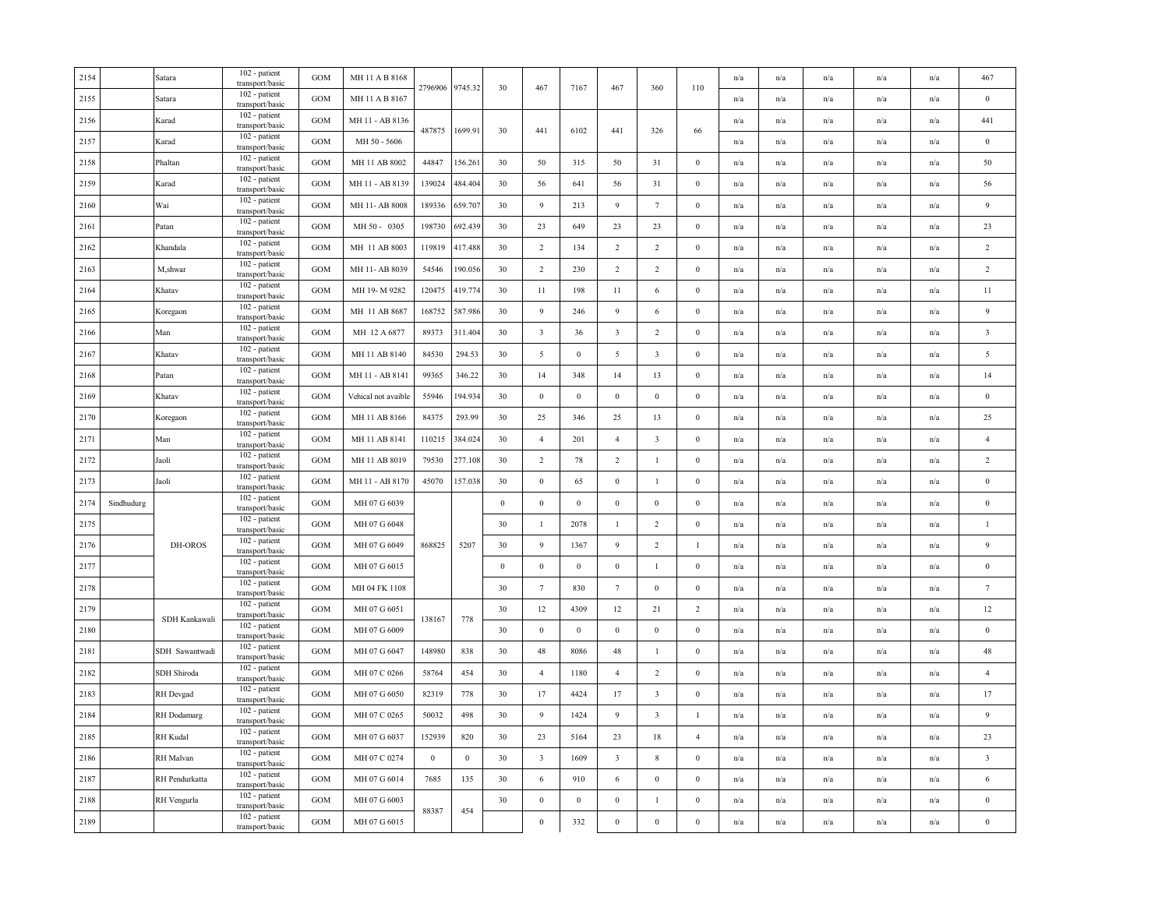| 2154 |            | Satara         | 102 - patient<br>transport/basic | <b>GOM</b> | MH 11 A B 8168      | 2796906  | 9745.32          | 30               | 467                     | 7167             | 467                     | 360                     | 110              | n/a | n/a                     | n/a                     | n/a                     | n/a | 467                     |
|------|------------|----------------|----------------------------------|------------|---------------------|----------|------------------|------------------|-------------------------|------------------|-------------------------|-------------------------|------------------|-----|-------------------------|-------------------------|-------------------------|-----|-------------------------|
| 2155 |            | Satara         | 102 - patient<br>transport/basic | <b>GOM</b> | MH 11 A B 8167      |          |                  |                  |                         |                  |                         |                         |                  | n/a | n/a                     | n/a                     | n/a                     | n/a | $\boldsymbol{0}$        |
| 2156 |            | Karad          | 102 - patient<br>transport/basic | <b>GOM</b> | MH 11 - AB 8136     | 487875   | 1699.91          | 30               | 441                     | 6102             | 441                     | 326                     | 66               | n/a | n/a                     | n/a                     | n/a                     | n/a | 441                     |
| 2157 |            | Karad          | 102 - patient<br>transport/basic | GOM        | MH 50 - 5606        |          |                  |                  |                         |                  |                         |                         |                  | n/a | $\mathrm{n}/\mathrm{a}$ | $\mathrm{n}/\mathrm{a}$ | n/a                     | n/a | $\boldsymbol{0}$        |
| 2158 |            | Phaltan        | 102 - patient<br>transport/basic | <b>GOM</b> | MH 11 AB 8002       | 44847    | 156.261          | 30               | 50                      | 315              | 50                      | 31                      | $\mathbf{0}$     | n/a | n/a                     | n/a                     | n/a                     | n/a | 50                      |
| 2159 |            | Karad          | 102 - patient<br>transport/basic | GOM        | MH 11 - AB 8139     | 139024   | 484.404          | 30               | 56                      | 641              | 56                      | 31                      | $\boldsymbol{0}$ | n/a | n/a                     | n/a                     | n/a                     | n/a | 56                      |
| 2160 |            | Wai            | 102 - patient<br>transport/basic | <b>GOM</b> | MH 11-AB 8008       | 189336   | 659.707          | 30               | 9                       | 213              | 9                       | $7\phantom{.0}$         | $\boldsymbol{0}$ | n/a | n/a                     | n/a                     | n/a                     | n/a | $\overline{9}$          |
| 2161 |            | Patan          | 102 - patient<br>transport/basic | GOM        | MH 50 - 0305        | 198730   | 692.439          | 30               | 23                      | 649              | 23                      | 23                      | $\boldsymbol{0}$ | n/a | n/a                     | n/a                     | $\mathbf{n}/\mathbf{a}$ | n/a | $23\,$                  |
| 2162 |            | Khandala       | 102 - patient<br>transport/basic | GOM        | MH 11 AB 8003       | 119819   | 417.488          | 30               | 2                       | 134              | 2                       | $\overline{2}$          | $\boldsymbol{0}$ | n/a | n/a                     | n/a                     | n/a                     | n/a | $\overline{2}$          |
| 2163 |            | M,shwar        | 102 - patient<br>transport/basic | <b>GOM</b> | MH 11- AB 8039      | 54546    | 190.056          | 30               | 2                       | 230              | 2                       | $\overline{2}$          | $\mathbf{0}$     | n/a | n/a                     | n/a                     | n/a                     | n/a | $\overline{2}$          |
| 2164 |            | Khatav         | 102 - patient<br>transport/basic | GOM        | MH 19-M 9282        | 120475   | 419.774          | 30               | 11                      | 198              | 11                      | 6                       | $\boldsymbol{0}$ | n/a | n/a                     | n/a                     | n/a                     | n/a | 11                      |
| 2165 |            | Koregaon       | 102 - patient<br>transport/basic | GOM        | MH 11 AB 8687       | 168752   | 587.986          | 30               | 9                       | 246              | 9                       | 6                       | $\mathbf{0}$     | n/a | n/a                     | n/a                     | n/a                     | n/a | 9                       |
| 2166 |            | Man            | 102 - patient<br>transport/basic | GOM        | MH 12 A 6877        | 89373    | 311.404          | 30               | $\overline{\mathbf{3}}$ | 36               | $\overline{\mathbf{3}}$ | $\sqrt{2}$              | $\mathbf{0}$     | n/a | n/a                     | n/a                     | n/a                     | n/a | $\overline{\mathbf{3}}$ |
| 2167 |            | Khatav         | 102 - patient<br>transport/basic | GOM        | MH 11 AB 8140       | 84530    | 294.53           | 30               | 5                       | $\mathbf{0}$     | 5                       | $\overline{\mathbf{3}}$ | $\boldsymbol{0}$ | n/a | $\mathrm{n}/\mathrm{a}$ | $\mathrm{n}/\mathrm{a}$ | $\mathrm{n}/\mathrm{a}$ | n/a | $\overline{5}$          |
| 2168 |            | Patan          | 102 - patient<br>transport/basic | <b>GOM</b> | MH 11 - AB 8141     | 99365    | 346.22           | 30               | 14                      | 348              | 14                      | 13                      | $\mathbf{0}$     | n/a | n/a                     | n/a                     | n/a                     | n/a | 14                      |
| 2169 |            | Khatav         | 102 - patient<br>transport/basic | <b>GOM</b> | Vehical not avaible | 55946    | 194.934          | 30               | $\,0\,$                 | $\,0\,$          | $\bf{0}$                | $\,0\,$                 | $\boldsymbol{0}$ | n/a | n/a                     | n/a                     | n/a                     | n/a | $\boldsymbol{0}$        |
| 2170 |            | Koregaon       | 102 - patient<br>transport/basic | <b>GOM</b> | MH 11 AB 8166       | 84375    | 293.99           | 30               | 25                      | 346              | 25                      | 13                      | $\boldsymbol{0}$ | n/a | n/a                     | n/a                     | n/a                     | n/a | 25                      |
| 2171 |            | Man            | 102 - patient<br>transport/basic | <b>GOM</b> | MH 11 AB 8141       | 110215   | 384.024          | 30               | $\overline{4}$          | 201              | $\overline{4}$          | $\overline{\mathbf{3}}$ | $\mathbf{0}$     | n/a | n/a                     | n/a                     | n/a                     | n/a | $\overline{4}$          |
| 2172 |            | Jaoli          | 102 - patient<br>transport/basic | GOM        | MH 11 AB 8019       | 79530    | 277.108          | 30               | $\overline{2}$          | 78               | 2                       | $\mathbf{1}$            | $\mathbf{0}$     | n/a | n/a                     | n/a                     | n/a                     | n/a | $\overline{2}$          |
| 2173 |            | Jaoli          | 102 - patient<br>transport/basic | <b>GOM</b> | MH 11 - AB 8170     | 45070    | 157.038          | 30               | $\boldsymbol{0}$        | 65               | $\bf{0}$                | 1                       | $\mathbf{0}$     | n/a | n/a                     | n/a                     | n/a                     | n/a | $\bf{0}$                |
| 2174 | Sindhudurg |                | 102 - patient<br>transport/basic | GOM        | MH 07 G 6039        |          |                  | $\boldsymbol{0}$ | $\bf{0}$                | $\bf{0}$         | $\bf{0}$                | $\boldsymbol{0}$        | $\boldsymbol{0}$ | n/a | n/a                     | n/a                     | n/a                     | n/a | $\bf{0}$                |
| 2175 |            |                | 102 - patient<br>transport/basic | GOM        | MH 07 G 6048        |          |                  | 30               | $\mathbf{1}$            | 2078             | -1                      | $\overline{c}$          | $\boldsymbol{0}$ | n/a | n/a                     | n/a                     | n/a                     | n/a | $\mathbf{1}$            |
| 2176 |            | DH-OROS        | 102 - patient<br>transport/basic | GOM        | MH 07 G 6049        | 868825   | 5207             | 30               | 9                       | 1367             | 9                       | $\overline{c}$          | $\mathbf{1}$     | n/a | n/a                     | n/a                     | n/a                     | n/a | $\overline{9}$          |
| 2177 |            |                | 102 - patient<br>transport/basic | GOM        | MH 07 G 6015        |          |                  | $\bf{0}$         | $\boldsymbol{0}$        | $\mathbf{0}$     | $\mathbf{0}$            | $\mathbf{1}$            | $\boldsymbol{0}$ | n/a | $\mathrm{n}/\mathrm{a}$ | $\mathrm{n}/\mathrm{a}$ | $\mathrm{n}/\mathrm{a}$ | n/a | $\bf{0}$                |
| 2178 |            |                | 102 - patient<br>transport/basic | <b>GOM</b> | MH 04 FK 1108       |          |                  | 30               | $7\overline{ }$         | 830              | $7\phantom{.0}$         | $\mathbf{0}$            | $\mathbf{0}$     | n/a | n/a                     | n/a                     | n/a                     | n/a | $7\phantom{.0}$         |
| 2179 |            | SDH Kankawali  | 102 - patient<br>transport/basic | GOM        | MH 07 G 6051        | 138167   | 778              | 30               | 12                      | 4309             | 12                      | 21                      | $\overline{c}$   | n/a | n/a                     | n/a                     | n/a                     | n/a | 12                      |
| 2180 |            |                | 102 - patient<br>transport/basic | <b>GOM</b> | MH 07 G 6009        |          |                  | 30               | $\bf{0}$                | $\bf{0}$         | $\bf{0}$                | $\boldsymbol{0}$        | $\bf{0}$         | n/a | n/a                     | n/a                     | n/a                     | n/a | $\bf{0}$                |
| 2181 |            | SDH Sawantwadi | 102 - patient<br>transport/basic | <b>GOM</b> | MH 07 G 6047        | 148980   | 838              | 30               | 48                      | 8086             | 48                      | 1                       | $\boldsymbol{0}$ | n/a | n/a                     | n/a                     | n/a                     | n/a | $48\,$                  |
| 2182 |            | SDH Shiroda    | 102 - patient<br>transport/basic | GOM        | MH 07 C 0266        | 58764    | 454              | 30               | $\overline{4}$          | 1180             | $\overline{4}$          | $\sqrt{2}$              | $\boldsymbol{0}$ | n/a | n/a                     | n/a                     | n/a                     | n/a | $\overline{4}$          |
| 2183 |            | RH Devgad      | 102 - patient<br>transport/basic | <b>GOM</b> | MH 07 G 6050        | 82319    | 778              | 30               | 17                      | 4424             | 17                      | $\overline{\mathbf{3}}$ | $\mathbf{0}$     | n/a | n/a                     | n/a                     | n/a                     | n/a | 17                      |
| 2184 |            | RH Dodamarg    | 102 - patient<br>transport/basic | GOM        | MH 07 C 0265        | 50032    | 498              | 30               | 9                       | 1424             | 9                       | $\overline{\mathbf{3}}$ | -1               | n/a | n/a                     | n/a                     | n/a                     | n/a | $\overline{9}$          |
| 2185 |            | RH Kudal       | 102 - patient<br>transport/basic | <b>GOM</b> | MH 07 G 6037        | 152939   | 820              | 30               | 23                      | 5164             | 23                      | 18                      | $\overline{4}$   | n/a | n/a                     | n/a                     | n/a                     | n/a | 23                      |
| 2186 |            | RH Malvan      | 102 - patient<br>transport/basic | GOM        | MH 07 C 0274        | $\bf{0}$ | $\boldsymbol{0}$ | 30               | $\overline{\mathbf{3}}$ | 1609             | $\overline{\mathbf{3}}$ | $\,$ 8 $\,$             | $\boldsymbol{0}$ | n/a | n/a                     | n/a                     | n/a                     | n/a | $\overline{\mathbf{3}}$ |
| 2187 |            | RH Pendurkatta | 102 - patient<br>transport/basic | GOM        | MH 07 G 6014        | 7685     | 135              | 30               | 6                       | 910              | 6                       | $\mathbf{0}$            | $\boldsymbol{0}$ | n/a | n/a                     | $\mathrm{n}/\mathrm{a}$ | n/a                     | n/a | 6                       |
| 2188 |            | RH Vengurla    | 102 - patient<br>transport/basic | <b>GOM</b> | MH 07 G 6003        | 88387    | 454              | 30               | $\boldsymbol{0}$        | $\boldsymbol{0}$ | $\bf{0}$                | 1                       | $\mathbf{0}$     | n/a | n/a                     | n/a                     | $\mathbf{n}/\mathbf{a}$ | n/a | $\boldsymbol{0}$        |
| 2189 |            |                | 102 - patient<br>transport/basic | GOM        | MH 07 G 6015        |          |                  |                  | $\,0\,$                 | 332              | $\boldsymbol{0}$        | $\boldsymbol{0}$        | $\boldsymbol{0}$ | n/a | n/a                     | n/a                     | n/a                     | n/a | $\mathbf{0}$            |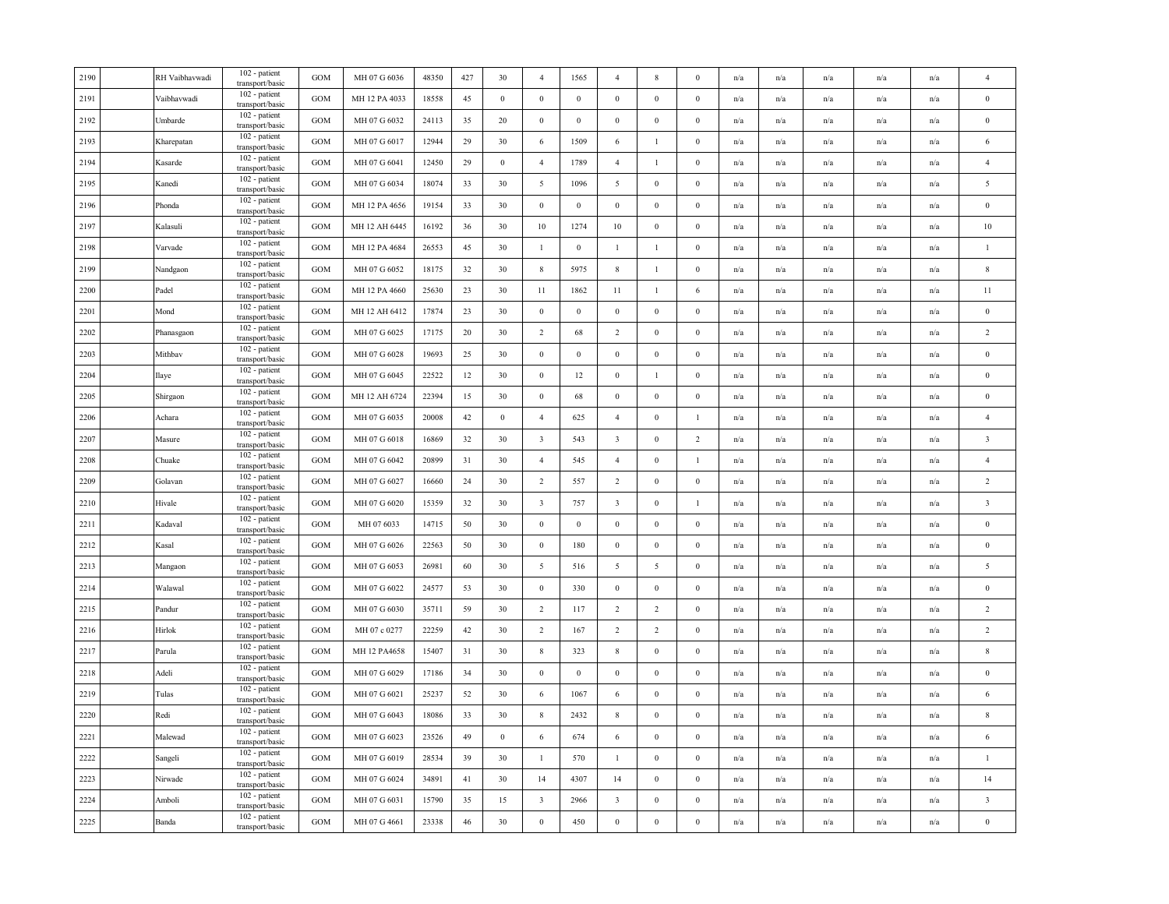| RH Vaibhavwadi | 102 - patient                    | <b>GOM</b>                                          | MH 07 G 6036  | 48350 | 427 | 30               | $\overline{4}$          | 1565             | $\overline{4}$          | 8                | $\mathbf{0}$     | n/a | n/a                     | n/a | n/a                     | n/a                     | $\overline{4}$          |
|----------------|----------------------------------|-----------------------------------------------------|---------------|-------|-----|------------------|-------------------------|------------------|-------------------------|------------------|------------------|-----|-------------------------|-----|-------------------------|-------------------------|-------------------------|
| Vaibhavwadi    | 102 - patient<br>transport/basic | <b>GOM</b>                                          | MH 12 PA 4033 | 18558 | 45  | $\bf{0}$         | $\boldsymbol{0}$        | $\mathbf{0}$     | $\mathbf{0}$            | $\bf{0}$         | $\bf{0}$         | n/a | n/a                     | n/a | n/a                     | n/a                     | $\bf{0}$                |
| Umbarde        | 102 - patient<br>transport/basic | <b>GOM</b>                                          | MH 07 G 6032  | 24113 | 35  | 20               | $\boldsymbol{0}$        | $\boldsymbol{0}$ | $\,0\,$                 | $\boldsymbol{0}$ | $\boldsymbol{0}$ | n/a | n/a                     | n/a | n/a                     | n/a                     | $\boldsymbol{0}$        |
| Kharepatan     | 102 - patient<br>transport/basic | <b>GOM</b>                                          | MH 07 G 6017  | 12944 | 29  | 30               | 6                       | 1509             | 6                       | $\mathbf{1}$     | $\boldsymbol{0}$ | n/a | n/a                     | n/a | n/a                     | n/a                     | $\sqrt{6}$              |
| Kasarde        | 102 - patient<br>transport/basic | <b>GOM</b>                                          | MH 07 G 6041  | 12450 | 29  | $\boldsymbol{0}$ | $\overline{4}$          | 1789             | $\overline{4}$          | $\mathbf{1}$     | $\bf{0}$         | n/a | n/a                     | n/a | n/a                     | n/a                     | $\overline{4}$          |
| Kanedi         | 102 - patient<br>transport/basic | $_{\rm GOM}$                                        | MH 07 G 6034  | 18074 | 33  | 30               | $5\overline{)}$         | 1096             | $\overline{5}$          | $\bf{0}$         | $\mathbf{0}$     | n/a | n/a                     | n/a | n/a                     | n/a                     | $\sqrt{5}$              |
| Phonda         | 102 - patient<br>transport/basic | <b>GOM</b>                                          | MH 12 PA 4656 | 19154 | 33  | 30               | $\boldsymbol{0}$        | $\bf{0}$         | $\,0\,$                 | $\bf{0}$         | $\bf{0}$         | n/a | n/a                     | n/a | n/a                     | n/a                     | $\bf{0}$                |
| Kalasuli       | 102 - patient<br>transport/basic | <b>GOM</b>                                          | MH 12 AH 6445 | 16192 | 36  | 30               | 10                      | 1274             | $10\,$                  | $\mathbf{0}$     | $\boldsymbol{0}$ | n/a | n/a                     | n/a | n/a                     | n/a                     | 10                      |
| Varvade        | transport/basic                  | <b>GOM</b>                                          | MH 12 PA 4684 | 26553 | 45  | 30               | $\mathbf{1}$            | $\bf{0}$         | -1                      | $\mathbf{1}$     | $\mathbf{0}$     | n/a | n/a                     | n/a | n/a                     | $\mathrm{n}/\mathrm{a}$ | $\mathbf{1}$            |
| Nandgaon       | 102 - patient<br>transport/basic | $_{\rm GOM}$                                        | MH 07 G 6052  | 18175 | 32  | 30               | $\,$ 8 $\,$             | 5975             | $\,$ 8 $\,$             | $\mathbf{1}$     | $\mathbf{0}$     | n/a | n/a                     | n/a | n/a                     | n/a                     | $\,$ 8 $\,$             |
| Padel          | 102 - patient<br>transport/basic | <b>GOM</b>                                          | MH 12 PA 4660 | 25630 | 23  | 30               | 11                      | 1862             | 11                      | $\mathbf{1}$     | 6                | n/a | $\mathrm{n}/\mathrm{a}$ | n/a | n/a                     | $\mathrm{n}/\mathrm{a}$ | 11                      |
| Mond           | 102 - patient<br>transport/basic | <b>GOM</b>                                          | MH 12 AH 6412 | 17874 | 23  | 30               | $\mathbf{0}$            | $\bf{0}$         | $\mathbf{0}$            | $\bf{0}$         | $\bf{0}$         | n/a | n/a                     | n/a | n/a                     | n/a                     | $\bf{0}$                |
| Phanasgaon     | 102 - patient<br>transport/basic | <b>GOM</b>                                          | MH 07 G 6025  | 17175 | 20  | 30               | 2                       | 68               | $\overline{2}$          | $\bf{0}$         | $\Omega$         | n/a | n/a                     | n/a | n/a                     | n/a                     | $\overline{2}$          |
| Mithbav        | 102 - patient<br>transport/basic | <b>GOM</b>                                          | MH 07 G 6028  | 19693 | 25  | 30               | $\boldsymbol{0}$        | $\bf{0}$         | $\boldsymbol{0}$        | $\bf{0}$         | $\bf{0}$         | n/a | n/a                     | n/a | n/a                     | n/a                     | $\bf{0}$                |
| Ilaye          | 102 - patient<br>transport/basic | <b>GOM</b>                                          | MH 07 G 6045  | 22522 | 12  | 30               | $\boldsymbol{0}$        | 12               | $\mathbf{0}$            | $\mathbf{1}$     | $\mathbf{0}$     | n/a | n/a                     | n/a | n/a                     | n/a                     | $\bf{0}$                |
| Shirgaon       | 102 - patient<br>transport/basic | <b>GOM</b>                                          | MH 12 AH 6724 | 22394 | 15  | 30               | $\boldsymbol{0}$        | 68               | $\mathbf{0}$            | $\boldsymbol{0}$ | $\boldsymbol{0}$ | n/a | n/a                     | n/a | n/a                     | n/a                     | $\boldsymbol{0}$        |
| Achara         | 102 - patient<br>transport/basic | <b>GOM</b>                                          | MH 07 G 6035  | 20008 | 42  | $\boldsymbol{0}$ | $\overline{4}$          | 625              | $\overline{4}$          | $\,0\,$          | $\overline{1}$   | n/a | n/a                     | n/a | n/a                     | n/a                     | $\sqrt{4}$              |
| Masure         | 102 - patient<br>transport/basic | <b>GOM</b>                                          | MH 07 G 6018  | 16869 | 32  | 30               | $\overline{\mathbf{3}}$ | 543              | $\overline{\mathbf{3}}$ | $\bf{0}$         | $\overline{c}$   | n/a | n/a                     | n/a | n/a                     | n/a                     | $\overline{\mathbf{3}}$ |
| Chuake         | 102 - patient                    | <b>GOM</b>                                          | MH 07 G 6042  | 20899 | 31  | 30               | $\overline{4}$          | 545              | $\overline{4}$          | $\bf{0}$         | 1                | n/a | n/a                     | n/a | $\mathrm{n}/\mathrm{a}$ | n/a                     | $\overline{4}$          |
| Golavan        | 102 - patient<br>transport/basic | GOM                                                 | MH 07 G 6027  | 16660 | 24  | 30               | $\overline{2}$          | 557              | $\overline{2}$          | $\boldsymbol{0}$ | $\mathbf{0}$     | n/a | n/a                     | n/a | n/a                     | n/a                     | $\sqrt{2}$              |
| Hivale         | 102 - patient<br>transport/basic | <b>GOM</b>                                          | MH 07 G 6020  | 15359 | 32  | 30               | $\overline{\mathbf{3}}$ | 757              | $\overline{\mathbf{3}}$ | $\bf{0}$         | $\mathbf{1}$     | n/a | n/a                     | n/a | n/a                     | n/a                     | $\overline{\mathbf{3}}$ |
| Kadaval        | 102 - patient<br>transport/basic | <b>GOM</b>                                          | MH 07 6033    | 14715 | 50  | 30               | $\boldsymbol{0}$        | $\bf{0}$         | $\,0\,$                 | $\bf{0}$         | $\bf{0}$         | n/a | n/a                     | n/a | n/a                     | $\mathrm{n}/\mathrm{a}$ | $\bf{0}$                |
| Kasal          | 102 - patient<br>transport/basic | $_{\rm GOM}$                                        | MH 07 G 6026  | 22563 | 50  | 30               | $\boldsymbol{0}$        | 180              | $\,0\,$                 | $\boldsymbol{0}$ | $\mathbf{0}$     | n/a | n/a                     | n/a | n/a                     | $\mathrm{n}/\mathrm{a}$ | $\bf{0}$                |
| Mangaon        | 102 - patient<br>transport/basic | $_{\rm GOM}$                                        | MH 07 G 6053  | 26981 | 60  | 30               | 5                       | 516              | 5                       | $\overline{5}$   | $\mathbf{0}$     | n/a | n/a                     | n/a | n/a                     | n/a                     | $\mathfrak{s}$          |
| Walawal        | 102 - patient<br>transport/basic | <b>GOM</b>                                          | MH 07 G 6022  | 24577 | 53  | 30               | $\bf{0}$                | 330              | $\bf{0}$                | $\boldsymbol{0}$ | $\Omega$         | n/a | n/a                     | n/a | n/a                     | n/a                     | $\boldsymbol{0}$        |
| Pandur         | 102 - patient<br>transport/basic | <b>GOM</b>                                          | MH 07 G 6030  | 35711 | 59  | 30               | 2                       | 117              | 2                       | 2                | $\mathbf{0}$     | n/a | n/a                     | n/a | n/a                     | n/a                     | $\sqrt{2}$              |
| Hirlok         | 102 - patient<br>transport/basic | $_{\rm GOM}$                                        | MH 07 c 0277  | 22259 | 42  | 30               | $\overline{2}$          | 167              | $\overline{2}$          | $\overline{2}$   | $\mathbf{0}$     | n/a | n/a                     | n/a | n/a                     | $\mathrm{n}/\mathrm{a}$ | $\overline{2}$          |
| Parula         | 102 - patient<br>transport/basic | <b>GOM</b>                                          | MH 12 PA4658  | 15407 | 31  | 30               | $\,$ 8 $\,$             | 323              | $8\phantom{1}$          | $\mathbf{0}$     | $\mathbf{0}$     | n/a | n/a                     | n/a | n/a                     | n/a                     | $\,$ 8 $\,$             |
| Adeli          | 102 - patient<br>transport/basic | <b>GOM</b>                                          | MH 07 G 6029  | 17186 | 34  | 30               | $\bf{0}$                | $\mathbf{0}$     | $\bf{0}$                | $\mathbf{0}$     | $\Omega$         | n/a | n/a                     | n/a | n/a                     | n/a                     | $\boldsymbol{0}$        |
| Tulas          | 102 - patient<br>transport/basic | $_{\rm GOM}$                                        | MH 07 G 6021  | 25237 | 52  | 30               | 6                       | 1067             | 6                       | $\boldsymbol{0}$ | $\mathbf{0}$     | n/a | n/a                     | n/a | n/a                     | n/a                     | $\sqrt{6}$              |
| Redi           | 102 - patient<br>transport/basic | <b>GOM</b>                                          | MH 07 G 6043  | 18086 | 33  | 30               | $\,$ 8 $\,$             | 2432             | $\,$ 8 $\,$             | $\boldsymbol{0}$ | $\boldsymbol{0}$ | n/a | n/a                     | n/a | n/a                     | n/a                     | $\,$ 8 $\,$             |
| Malewad        | 102 - patient<br>transport/basic | <b>GOM</b>                                          | MH 07 G 6023  | 23526 | 49  | $\bf{0}$         | 6                       | 674              | 6                       | $\bf{0}$         | $\bf{0}$         | n/a | n/a                     | n/a | $\mathrm{n}/\mathrm{a}$ | n/a                     | $\sqrt{6}$              |
| Sangeli        | 102 - patient<br>transport/basic | <b>GOM</b>                                          | MH 07 G 6019  | 28534 | 39  | 30               | $\mathbf{1}$            | 570              | -1                      | $\mathbf{0}$     | $\mathbf{0}$     | n/a | n/a                     | n/a | n/a                     | n/a                     | $\mathbf{1}$            |
| Nirwade        | 102 - patient<br>transport/basic | GOM                                                 | MH 07 G 6024  | 34891 | 41  | 30               | 14                      | 4307             | 14                      | $\bf{0}$         | $\mathbf{0}$     | n/a | n/a                     | n/a | n/a                     | n/a                     | 14                      |
| Amboli         | 102 - patient<br>transport/basic | GOM                                                 | MH 07 G 6031  | 15790 | 35  | 15               | $\overline{\mathbf{3}}$ | 2966             | $\overline{3}$          | $\mathbf{0}$     | $\mathbf{0}$     | n/a | $\mathrm{n}/\mathrm{a}$ | n/a | n/a                     | n/a                     | $\overline{\mathbf{3}}$ |
| Banda          | 102 - patient<br>transport/basic | <b>GOM</b>                                          | MH 07 G 4661  | 23338 | 46  | 30               | $\boldsymbol{0}$        | 450              | $\mathbf{0}$            | $\mathbf{0}$     | $\theta$         | n/a | n/a                     | n/a | n/a                     | n/a                     | $\boldsymbol{0}$        |
|                |                                  | transport/basic<br>102 - patient<br>transport/basic |               |       |     |                  |                         |                  |                         |                  |                  |     |                         |     |                         |                         |                         |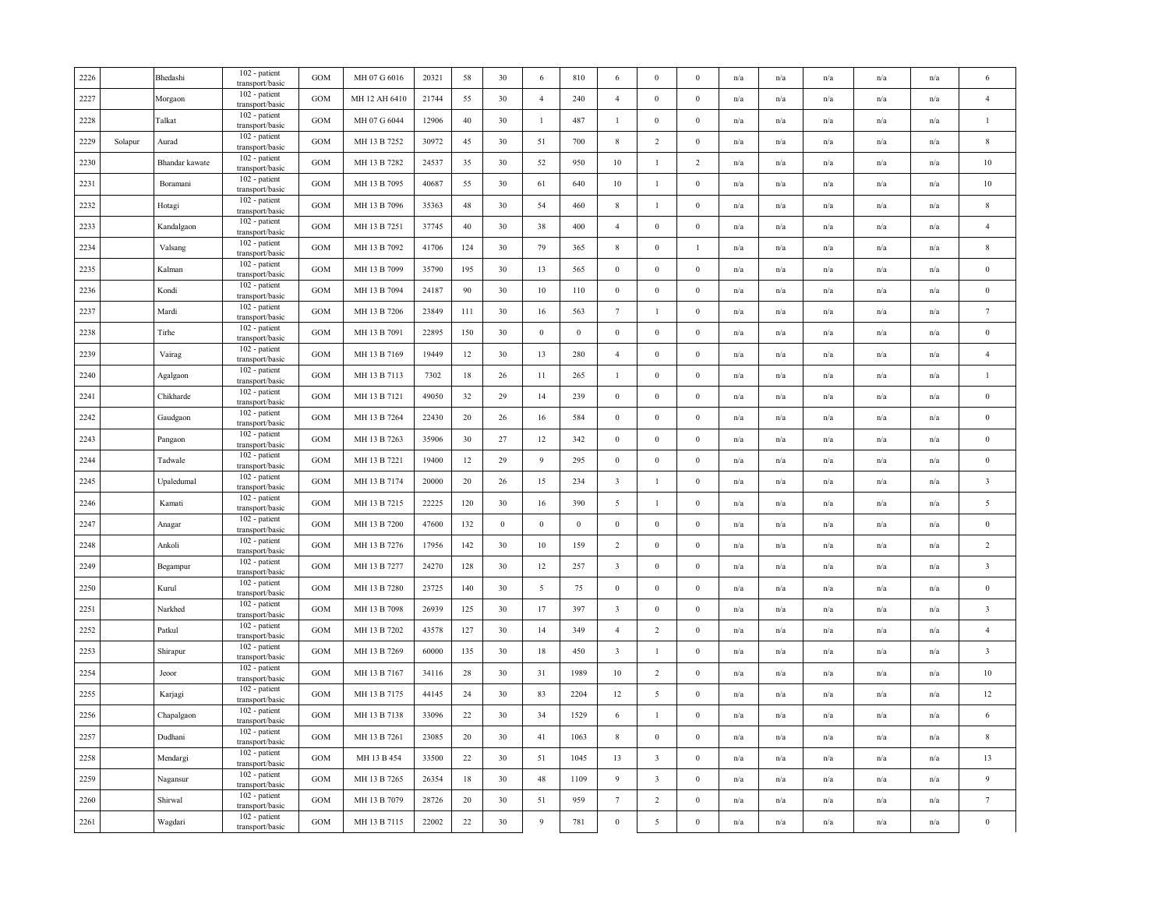| 2226 |         | Bhedashi       | 102 - patient<br>transport/basic | <b>GOM</b> | MH 07 G 6016  | 20321 | 58     | 30               | 6                | 810          | 6                       | $\mathbf{0}$            | $\mathbf{0}$     | n/a | n/a                     | n/a                     | n/a                     | n/a | 6                       |
|------|---------|----------------|----------------------------------|------------|---------------|-------|--------|------------------|------------------|--------------|-------------------------|-------------------------|------------------|-----|-------------------------|-------------------------|-------------------------|-----|-------------------------|
| 2227 |         | Morgaon        | 102 - patient<br>transport/basic | <b>GOM</b> | MH 12 AH 6410 | 21744 | 55     | 30               | $\overline{4}$   | 240          | $\overline{4}$          | $\boldsymbol{0}$        | $\boldsymbol{0}$ | n/a | n/a                     | n/a                     | n/a                     | n/a | $\overline{4}$          |
| 2228 |         | Talkat         | 102 - patient<br>transport/basic | <b>GOM</b> | MH 07 G 6044  | 12906 | 40     | 30               | $\mathbf{1}$     | 487          | $\mathbf{1}$            | $\boldsymbol{0}$        | $\boldsymbol{0}$ | n/a | $\mathrm{n}/\mathrm{a}$ | $\mathrm{n}/\mathrm{a}$ | n/a                     | n/a | $\mathbf{1}$            |
| 2229 | Solapur | Aurad          | 102 - patient<br>transport/basic | GOM        | MH 13 B 7252  | 30972 | 45     | 30               | 51               | 700          | $\,$ 8 $\,$             | $\overline{2}$          | $\bf{0}$         | n/a | n/a                     | n/a                     | n/a                     | n/a | 8                       |
| 2230 |         | Bhandar kawate | 102 - patient<br>transport/basic | GOM        | MH 13 B 7282  | 24537 | 35     | 30               | 52               | 950          | 10                      | -1                      | $\overline{c}$   | n/a | n/a                     | n/a                     | n/a                     | n/a | 10                      |
| 2231 |         | Boramani       | 102 - patient<br>transport/basic | GOM        | MH 13 B 7095  | 40687 | 55     | 30               | 61               | 640          | 10                      | $\mathbf{1}$            | $\mathbf{0}$     | n/a | n/a                     | n/a                     | n/a                     | n/a | $10\,$                  |
| 2232 |         | Hotagi         | 102 - patient<br>transport/basic | GOM        | MH 13 B 7096  | 35363 | 48     | 30               | 54               | 460          | 8                       | 1                       | $\mathbf{0}$     | n/a | n/a                     | $\mathrm{n}/\mathrm{a}$ | n/a                     | n/a | $\,$ 8                  |
| 2233 |         | Kandalgaon     | 102 - patient<br>transport/basic | GOM        | MH 13 B 7251  | 37745 | 40     | 30               | 38               | 400          | $\overline{4}$          | $\boldsymbol{0}$        | $\boldsymbol{0}$ | n/a | n/a                     | n/a                     | n/a                     | n/a | $\overline{4}$          |
| 2234 |         | Valsang        | 102 - patient<br>transport/basic | <b>GOM</b> | MH 13 B 7092  | 41706 | 124    | 30               | 79               | 365          | $\,$ 8 $\,$             | $\boldsymbol{0}$        | $\mathbf{I}$     | n/a | n/a                     | n/a                     | n/a                     | n/a | $\,$ 8 $\,$             |
| 2235 |         | Kalman         | 102 - patient<br>transport/basic | GOM        | MH 13 B 7099  | 35790 | 195    | 30               | 13               | 565          | $\bf{0}$                | $\boldsymbol{0}$        | $\boldsymbol{0}$ | n/a | n/a                     | n/a                     | n/a                     | n/a | $\boldsymbol{0}$        |
| 2236 |         | Kondi          | 102 - patient<br>transport/basic | <b>GOM</b> | MH 13 B 7094  | 24187 | 90     | 30               | 10               | 110          | $\bf{0}$                | $\mathbf{0}$            | $\mathbf{0}$     | n/a | n/a                     | n/a                     | n/a                     | n/a | $\bf{0}$                |
| 2237 |         | Mardi          | 102 - patient<br>transport/basic | GOM        | MH 13 B 7206  | 23849 | 111    | 30               | 16               | 563          | $7\phantom{.0}$         | 1                       | $\mathbf{0}$     | n/a | n/a                     | n/a                     | n/a                     | n/a | $7\phantom{.0}$         |
| 2238 |         | Tirhe          | 102 - patient<br>transport/basic | <b>GOM</b> | MH 13 B 7091  | 22895 | 150    | 30               | $\bf{0}$         | $\mathbf{0}$ | $\bf{0}$                | $\mathbf{0}$            | $\mathbf{0}$     | n/a | n/a                     | n/a                     | n/a                     | n/a | $\overline{0}$          |
| 2239 |         | Vairag         | 102 - patient<br>transport/basic | <b>GOM</b> | MH 13 B 7169  | 19449 | 12     | 30               | 13               | 280          | $\overline{4}$          | $\mathbf{0}$            | $\mathbf{0}$     | n/a | n/a                     | n/a                     | n/a                     | n/a | $\overline{4}$          |
| 2240 |         | Agalgaon       | 102 - patient<br>transport/basic | GOM        | MH 13 B 7113  | 7302  | 18     | 26               | 11               | 265          | $\mathbf{1}$            | $\boldsymbol{0}$        | $\boldsymbol{0}$ | n/a | n/a                     | n/a                     | n/a                     | n/a | $\mathbf{1}$            |
| 2241 |         | Chikharde      | 102 - patient<br>transport/basic | GOM        | MH 13 B 7121  | 49050 | 32     | 29               | 14               | 239          | $\boldsymbol{0}$        | $\boldsymbol{0}$        | $\boldsymbol{0}$ | n/a | n/a                     | n/a                     | n/a                     | n/a | $\boldsymbol{0}$        |
| 2242 |         | Gaudgaon       | 102 - patient<br>transport/basic | <b>GOM</b> | MH 13 B 7264  | 22430 | 20     | 26               | 16               | 584          | $\boldsymbol{0}$        | $\boldsymbol{0}$        | $\boldsymbol{0}$ | n/a | $\mathrm{n}/\mathrm{a}$ | $\mathrm{n}/\mathrm{a}$ | $\mathrm{n}/\mathrm{a}$ | n/a | $\bf{0}$                |
| 2243 |         | Pangaon        | 102 - patient<br>transport/basic | <b>GOM</b> | MH 13 B 7263  | 35906 | 30     | 27               | 12               | 342          | $\bf{0}$                | $\boldsymbol{0}$        | $\mathbf{0}$     | n/a | n/a                     | n/a                     | n/a                     | n/a | $\bf{0}$                |
| 2244 |         | Tadwale        | 102 - patient<br>transport/basic | GOM        | MH 13 B 7221  | 19400 | 12     | 29               | 9                | 295          | $\boldsymbol{0}$        | $\boldsymbol{0}$        | $\bf{0}$         | n/a | n/a                     | n/a                     | n/a                     | n/a | $\boldsymbol{0}$        |
| 2245 |         | Upaledumal     | 102 - patient<br>transport/basic | <b>GOM</b> | MH 13 B 7174  | 20000 | 20     | 26               | 15               | 234          | $\overline{\mathbf{3}}$ | 1                       | $\mathbf{0}$     | n/a | $\mathrm{n}/\mathrm{a}$ | $\mathrm{n}/\mathrm{a}$ | $\mathrm{n}/\mathrm{a}$ | n/a | $\overline{\mathbf{3}}$ |
| 2246 |         | Kamati         | 102 - patient<br>transport/basic | <b>GOM</b> | MH 13 B 7215  | 22225 | 120    | 30               | 16               | 390          | 5                       | 1                       | $\boldsymbol{0}$ | n/a | n/a                     | n/a                     | n/a                     | n/a | 5                       |
| 2247 |         | Anagar         | 102 - patient<br>transport/basic | GOM        | MH 13 B 7200  | 47600 | 132    | $\boldsymbol{0}$ | $\boldsymbol{0}$ | $\mathbf{0}$ | $\boldsymbol{0}$        | $\boldsymbol{0}$        | $\boldsymbol{0}$ | n/a | n/a                     | n/a                     | n/a                     | n/a | $\bf{0}$                |
| 2248 |         | Ankoli         | 102 - patient<br>transport/basic | GOM        | MH 13 B 7276  | 17956 | 142    | 30               | 10               | 159          | $\overline{2}$          | $\boldsymbol{0}$        | $\boldsymbol{0}$ | n/a | n/a                     | n/a                     | n/a                     | n/a | $\overline{2}$          |
| 2249 |         | Begampur       | 102 - patient<br>transport/basic | GOM        | MH 13 B 7277  | 24270 | 128    | 30               | 12               | 257          | $\overline{\mathbf{3}}$ | $\boldsymbol{0}$        | $\mathbf{0}$     | n/a | n/a                     | n/a                     | n/a                     | n/a | $\overline{\mathbf{3}}$ |
| 2250 |         | Kurul          | 102 - patient<br>transport/basic | GOM        | MH 13 B 7280  | 23725 | 140    | 30               | 5                | 75           | $\boldsymbol{0}$        | $\boldsymbol{0}$        | $\mathbf{0}$     | n/a | n/a                     | n/a                     | n/a                     | n/a | $\bf{0}$                |
| 2251 |         | Narkhed        | 102 - patient<br>transport/basic | GOM        | MH 13 B 7098  | 26939 | 125    | 30               | 17               | 397          | $\overline{\mathbf{3}}$ | $\boldsymbol{0}$        | $\boldsymbol{0}$ | n/a | n/a                     | n/a                     | n/a                     | n/a | $\overline{\mathbf{3}}$ |
| 2252 |         | Patkul         | 102 - patient<br>transport/basic | <b>GOM</b> | MH 13 B 7202  | 43578 | 127    | 30               | 14               | 349          | $\overline{4}$          | $\overline{2}$          | $\boldsymbol{0}$ | n/a | n/a                     | n/a                     | n/a                     | n/a | $\overline{4}$          |
| 2253 |         | Shirapur       | 102 - patient<br>transport/basic | <b>GOM</b> | MH 13 B 7269  | 60000 | 135    | 30               | 18               | 450          | $\overline{\mathbf{3}}$ | 1                       | $\mathbf{0}$     | n/a | n/a                     | n/a                     | n/a                     | n/a | $\overline{\mathbf{3}}$ |
| 2254 |         | Jeoor          | 102 - patient<br>transport/basic | GOM        | MH 13 B 7167  | 34116 | 28     | 30               | 31               | 1989         | 10                      | $\overline{2}$          | $\boldsymbol{0}$ | n/a | n/a                     | n/a                     | n/a                     | n/a | 10                      |
| 2255 |         | Karjagi        | 102 - patient<br>transport/basic | <b>GOM</b> | MH 13 B 7175  | 44145 | 24     | 30               | 83               | 2204         | 12                      | 5                       | $\boldsymbol{0}$ | n/a | n/a                     | n/a                     | n/a                     | n/a | 12                      |
| 2256 |         | Chapalgaon     | 102 - patient<br>transport/basic | <b>GOM</b> | MH 13 B 7138  | 33096 | 22     | 30               | 34               | 1529         | 6                       | -1                      | $\mathbf{0}$     | n/a | n/a                     | n/a                     | n/a                     | n/a | 6                       |
| 2257 |         | Dudhani        | 102 - patient<br>transport/basic | <b>GOM</b> | MH 13 B 7261  | 23085 | 20     | 30               | 41               | 1063         | 8                       | $\boldsymbol{0}$        | $\mathbf{0}$     | n/a | n/a                     | n/a                     | n/a                     | n/a | 8                       |
| 2258 |         | Mendargi       | 102 - patient<br>transport/basic | GOM        | MH 13 B 454   | 33500 | 22     | 30               | 51               | 1045         | 13                      | $\overline{\mathbf{3}}$ | $\mathbf{0}$     | n/a | n/a                     | n/a                     | n/a                     | n/a | 13                      |
| 2259 |         | Nagansur       | 102 - patient<br>transport/basic | GOM        | MH 13 B 7265  | 26354 | 18     | 30               | 48               | 1109         | 9                       | $\overline{\mathbf{3}}$ | $\mathbf{0}$     | n/a | n/a                     | $\mathrm{n}/\mathrm{a}$ | n/a                     | n/a | 9                       |
| 2260 |         | Shirwal        | 102 - patient<br>transport/basic | <b>GOM</b> | MH 13 B 7079  | 28726 | 20     | 30               | 51               | 959          | $7\phantom{.0}$         | 2                       | $\mathbf{0}$     | n/a | n/a                     | n/a                     | $\mathbf{n}/\mathbf{a}$ | n/a | $\tau$                  |
| 2261 |         | Wagdari        | 102 - patient<br>transport/basic | GOM        | MH 13 B 7115  | 22002 | $22\,$ | 30               | $\overline{9}$   | 781          | $\boldsymbol{0}$        | $\overline{5}$          | $\boldsymbol{0}$ | n/a | n/a                     | n/a                     | n/a                     | n/a | $\theta$                |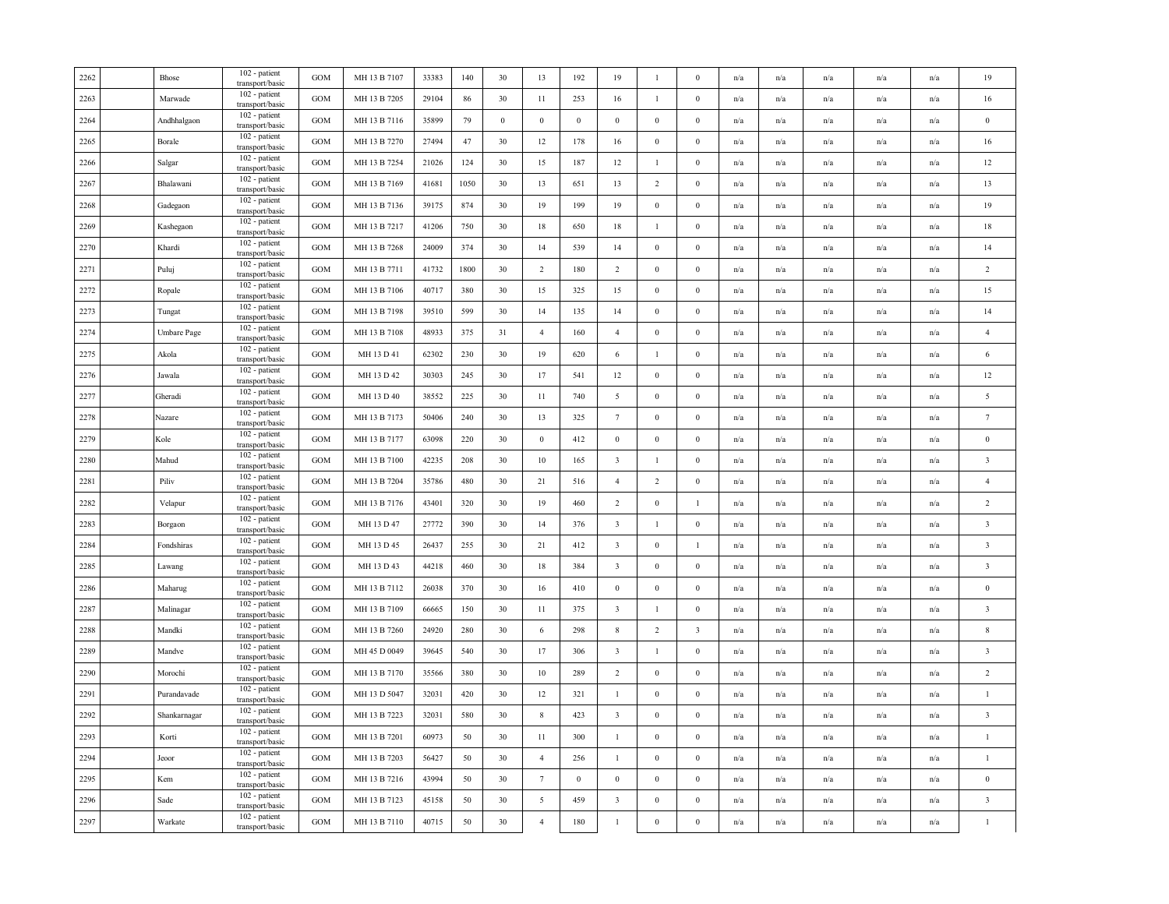| 2262 | Bhose        | 102 - patient<br>transport/basic | <b>GOM</b>   | MH 13 B 7107 | 33383 | 140  | 30       | 13              | 192              | 19                      | $\mathbf{1}$     | $\Omega$                | n/a | n/a                     | n/a                     | n/a                     | n/a                     | 19                      |
|------|--------------|----------------------------------|--------------|--------------|-------|------|----------|-----------------|------------------|-------------------------|------------------|-------------------------|-----|-------------------------|-------------------------|-------------------------|-------------------------|-------------------------|
| 2263 | Marwade      | 102 - patient<br>transport/basic | <b>GOM</b>   | MH 13 B 7205 | 29104 | 86   | 30       | 11              | 253              | 16                      | $\mathbf{1}$     | $\mathbf{0}$            | n/a | n/a                     | n/a                     | n/a                     | n/a                     | 16                      |
| 2264 | Andhhalgaon  | 102 - patient<br>transport/basic | <b>GOM</b>   | MH 13 B 7116 | 35899 | 79   | $\bf{0}$ | $\mathbf{0}$    | $\boldsymbol{0}$ | $\,0\,$                 | $\boldsymbol{0}$ | $\bf{0}$                | n/a | n/a                     | n/a                     | $\mathrm{n}/\mathrm{a}$ | n/a                     | $\bf{0}$                |
| 2265 | Borale       | 102 - patient<br>transport/basic | <b>GOM</b>   | MH 13 B 7270 | 27494 | 47   | 30       | 12              | 178              | 16                      | $\bf{0}$         | $\mathbf{0}$            | n/a | n/a                     | n/a                     | n/a                     | n/a                     | 16                      |
| 2266 | Salgar       | 102 - patient<br>transport/basic | <b>GOM</b>   | MH 13 B 7254 | 21026 | 124  | 30       | 15              | 187              | 12                      | 1                | $\theta$                | n/a | n/a                     | n/a                     | n/a                     | n/a                     | 12                      |
| 2267 | Bhalawani    | 102 - patient<br>transport/basic | <b>GOM</b>   | MH 13 B 7169 | 41681 | 1050 | 30       | 13              | 651              | 13                      | $\overline{2}$   | $\bf{0}$                | n/a | n/a                     | n/a                     | n/a                     | n/a                     | 13                      |
| 2268 | Gadegaon     | 102 - patient<br>transport/basic | <b>GOM</b>   | MH 13 B 7136 | 39175 | 874  | 30       | 19              | 199              | 19                      | $\bf{0}$         | $\bf{0}$                | n/a | n/a                     | n/a                     | $\mathrm{n}/\mathrm{a}$ | $\mathrm{n}/\mathrm{a}$ | 19                      |
| 2269 | Kashegaon    | 102 - patient<br>transport/basic | $_{\rm GOM}$ | MH 13 B 7217 | 41206 | 750  | 30       | 18              | 650              | 18                      | $\mathbf{1}$     | $\boldsymbol{0}$        | n/a | n/a                     | n/a                     | n/a                     | n/a                     | 18                      |
| 2270 | Khardi       | 102 - patient<br>transport/basic | GOM          | MH 13 B 7268 | 24009 | 374  | 30       | 14              | 539              | 14                      | $\boldsymbol{0}$ | $\boldsymbol{0}$        | n/a | n/a                     | n/a                     | n/a                     | n/a                     | 14                      |
| 2271 | Puluj        | 102 - patient<br>transport/basic | <b>GOM</b>   | MH 13 B 7711 | 41732 | 1800 | 30       | 2               | 180              | $\overline{2}$          | $\boldsymbol{0}$ | $\Omega$                | n/a | n/a                     | n/a                     | n/a                     | n/a                     | $\overline{c}$          |
| 2272 | Ropale       | 102 - patient<br>transport/basic | <b>GOM</b>   | MH 13 B 7106 | 40717 | 380  | 30       | 15              | 325              | 15                      | $\bf{0}$         | $\mathbf{0}$            | n/a | n/a                     | n/a                     | n/a                     | n/a                     | 15                      |
| 2273 | Tungat       | 102 - patient<br>transport/basic | $_{\rm GOM}$ | MH 13 B 7198 | 39510 | 599  | 30       | 14              | 135              | 14                      | $\boldsymbol{0}$ | $\mathbf{0}$            | n/a | n/a                     | n/a                     | n/a                     | n/a                     | 14                      |
| 2274 | Umbare Page  | 102 - patient<br>transport/basic | <b>GOM</b>   | MH 13 B 7108 | 48933 | 375  | 31       | $\overline{4}$  | 160              | $\overline{4}$          | $\boldsymbol{0}$ | $\bf{0}$                | n/a | n/a                     | n/a                     | n/a                     | $\mathrm{n}/\mathrm{a}$ | $\overline{4}$          |
| 2275 | Akola        | 102 - patient<br>transport/basic | <b>GOM</b>   | MH 13 D 41   | 62302 | 230  | 30       | 19              | 620              | 6                       | $\mathbf{1}$     | $\theta$                | n/a | n/a                     | n/a                     | n/a                     | n/a                     | 6                       |
| 2276 | Jawala       | 102 - patient<br>transport/basic | <b>GOM</b>   | MH 13 D 42   | 30303 | 245  | 30       | 17              | 541              | 12                      | $\boldsymbol{0}$ | $\mathbf{0}$            | n/a | n/a                     | n/a                     | n/a                     | n/a                     | 12                      |
| 2277 | Gheradi      | 102 - patient<br>transport/basic | <b>GOM</b>   | MH 13 D 40   | 38552 | 225  | 30       | 11              | 740              | 5                       | $\boldsymbol{0}$ | $\bf{0}$                | n/a | n/a                     | n/a                     | n/a                     | n/a                     | $\sqrt{5}$              |
| 2278 | Nazare       | 102 - patient<br>transport/basic | <b>GOM</b>   | MH 13 B 7173 | 50406 | 240  | 30       | 13              | 325              | $7\phantom{.0}$         | $\boldsymbol{0}$ | $\mathbf{0}$            | n/a | n/a                     | $\mathrm{n}/\mathrm{a}$ | $\mathrm{n}/\mathrm{a}$ | n/a                     | $\boldsymbol{7}$        |
| 2279 | Kole         | 102 - patient<br>transport/basic | <b>GOM</b>   | MH 13 B 7177 | 63098 | 220  | 30       | $\mathbf{0}$    | 412              | $\,0\,$                 | $\mathbf{0}$     | $\mathbf{0}$            | n/a | n/a                     | n/a                     | n/a                     | n/a                     | $\bf{0}$                |
| 2280 | Mahud        | 102 - patient<br>transport/basic | GOM          | MH 13 B 7100 | 42235 | 208  | 30       | 10              | 165              | $\overline{\mathbf{3}}$ | 1                | $\bf{0}$                | n/a | n/a                     | n/a                     | n/a                     | n/a                     | $\overline{\mathbf{3}}$ |
| 2281 | Piliv        | 102 - patient<br>transport/basic | <b>GOM</b>   | MH 13 B 7204 | 35786 | 480  | 30       | 21              | 516              | $\overline{4}$          | $\overline{2}$   | $\mathbf{0}$            | n/a | n/a                     | n/a                     | n/a                     | n/a                     | $\overline{4}$          |
| 2282 | Velapur      | 102 - patient<br>transport/basic | <b>GOM</b>   | MH 13 B 7176 | 43401 | 320  | 30       | 19              | 460              | $\overline{2}$          | $\bf{0}$         | $\mathbf{1}$            | n/a | n/a                     | n/a                     | n/a                     | $\mathrm{n}/\mathrm{a}$ | $\sqrt{2}$              |
| 2283 | Borgaon      | 102 - patient<br>transport/basic | $_{\rm GOM}$ | MH 13 D 47   | 27772 | 390  | 30       | 14              | 376              | $\overline{\mathbf{3}}$ | $\mathbf{1}$     | $\mathbf{0}$            | n/a | n/a                     | n/a                     | n/a                     | n/a                     | $\overline{\mathbf{3}}$ |
| 2284 | Fondshiras   | 102 - patient<br>transport/basic | <b>GOM</b>   | MH 13 D 45   | 26437 | 255  | 30       | 21              | 412              | $\overline{\mathbf{3}}$ | $\boldsymbol{0}$ | $\mathbf{1}$            | n/a | $\mathrm{n}/\mathrm{a}$ | n/a                     | n/a                     | $\mathrm{n}/\mathrm{a}$ | $\overline{\mathbf{3}}$ |
| 2285 | Lawang       | 102 - patient<br>transport/basic | <b>GOM</b>   | MH 13 D 43   | 44218 | 460  | 30       | 18              | 384              | $\overline{\mathbf{3}}$ | $\bf{0}$         | $\bf{0}$                | n/a | n/a                     | n/a                     | n/a                     | n/a                     | $\overline{\mathbf{3}}$ |
| 2286 | Maharug      | 102 - patient<br>transport/basic | <b>GOM</b>   | MH 13 B 7112 | 26038 | 370  | 30       | 16              | 410              | $\overline{0}$          | $\boldsymbol{0}$ | $\mathbf{0}$            | n/a | n/a                     | n/a                     | n/a                     | n/a                     | $\,0\,$                 |
| 2287 | Malinagar    | 102 - patient<br>transport/basic | <b>GOM</b>   | MH 13 B 7109 | 66665 | 150  | 30       | 11              | 375              | $\overline{\mathbf{3}}$ | $\mathbf{1}$     | $\Omega$                | n/a | n/a                     | n/a                     | n/a                     | n/a                     | $\overline{\mathbf{3}}$ |
| 2288 | Mandki       | 102 - patient<br>transport/basic | <b>GOM</b>   | MH 13 B 7260 | 24920 | 280  | 30       | 6               | 298              | $8\phantom{.0}$         | 2                | $\overline{\mathbf{3}}$ | n/a | n/a                     | n/a                     | $\mathrm{n}/\mathrm{a}$ | n/a                     | $\,$ 8 $\,$             |
| 2289 | Mandve       | 102 - patient<br>transport/basic | GOM          | MH 45 D 0049 | 39645 | 540  | 30       | 17              | 306              | $\overline{\mathbf{3}}$ | $\mathbf{1}$     | $\mathbf{0}$            | n/a | n/a                     | n/a                     | n/a                     | n/a                     | $\overline{\mathbf{3}}$ |
| 2290 | Morochi      | 102 - patient<br>transport/basic | GOM          | MH 13 B 7170 | 35566 | 380  | 30       | 10              | 289              | $\overline{2}$          | $\mathbf{0}$     | $\boldsymbol{0}$        | n/a | n/a                     | n/a                     | n/a                     | n/a                     | $\overline{2}$          |
| 2291 | Purandavade  | 102 - patient<br>transport/basic | <b>GOM</b>   | MH 13 D 5047 | 32031 | 420  | 30       | 12              | 321              | $\mathbf{1}$            | $\bf{0}$         | $\boldsymbol{0}$        | n/a | n/a                     | n/a                     | n/a                     | n/a                     | $\mathbf{1}$            |
| 2292 | Shankarnagar | 102 - patient<br>transport/basic | <b>GOM</b>   | MH 13 B 7223 | 32031 | 580  | 30       | 8               | 423              | $\overline{\mathbf{3}}$ | $\bf{0}$         | $\bf{0}$                | n/a | n/a                     | n/a                     | n/a                     | n/a                     | $\overline{\mathbf{3}}$ |
| 2293 | Korti        | 102 - patient<br>transport/basic | <b>GOM</b>   | MH 13 B 7201 | 60973 | 50   | 30       | 11              | 300              | $\mathbf{1}$            | $\boldsymbol{0}$ | $\mathbf{0}$            | n/a | n/a                     | n/a                     | n/a                     | n/a                     | $\mathbf{1}$            |
| 2294 | Jeoor        | 102 - patient<br>transport/basic | <b>GOM</b>   | MH 13 B 7203 | 56427 | 50   | 30       | $\overline{4}$  | 256              | $\mathbf{1}$            | $\mathbf{0}$     | $\bf{0}$                | n/a | $\mathrm{n}/\mathrm{a}$ | n/a                     | n/a                     | n/a                     | $\mathbf{1}$            |
| 2295 | Kem          | 102 - patient<br>transport/basic | <b>GOM</b>   | MH 13 B 7216 | 43994 | 50   | 30       | $7\phantom{.0}$ | $\boldsymbol{0}$ | $\mathbf{0}$            | $\boldsymbol{0}$ | $\mathbf{0}$            | n/a | n/a                     | n/a                     | n/a                     | n/a                     | $\bf{0}$                |
| 2296 | Sade         | 102 - patient<br>transport/basic | <b>GOM</b>   | MH 13 B 7123 | 45158 | 50   | 30       | 5               | 459              | $\mathbf{3}$            | $\boldsymbol{0}$ | $\boldsymbol{0}$        | n/a | n/a                     | n/a                     | n/a                     | n/a                     | $\mathbf{3}$            |
| 2297 | Warkate      | 102 - patient<br>transport/basic | GOM          | MH 13 B 7110 | 40715 | 50   | 30       | $\sqrt{4}$      | 180              | $\mathbf{1}$            | $\boldsymbol{0}$ | $\boldsymbol{0}$        | n/a | n/a                     | n/a                     | n/a                     | n/a                     |                         |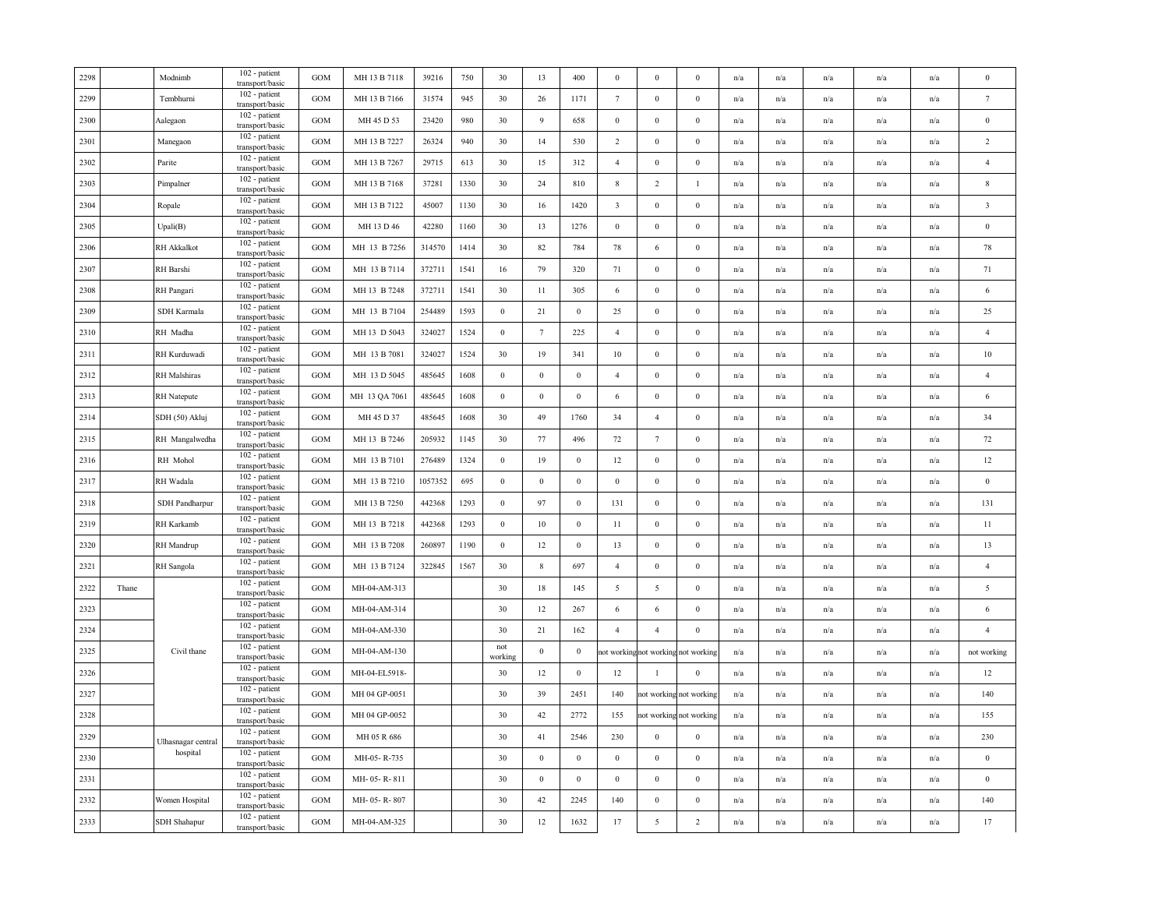| 2298 |       | Modnimb             | 102 - patient<br>transport/basic        | <b>GOM</b>   | MH 13 B 7118  | 39216   | 750  | 30                                               | 13               | 400              | $\bf{0}$                | $\bf{0}$                            | $\Omega$                | n/a | n/a                     | n/a | n/a                     | n/a                     | $\bf{0}$                |
|------|-------|---------------------|-----------------------------------------|--------------|---------------|---------|------|--------------------------------------------------|------------------|------------------|-------------------------|-------------------------------------|-------------------------|-----|-------------------------|-----|-------------------------|-------------------------|-------------------------|
| 2299 |       | Tembhurni           | 102 - patient<br>transport/basic        | GOM          | MH 13 B 7166  | 31574   | 945  | 30                                               | 26               | 1171             | $7\phantom{.0}$         | $\mathbf{0}$                        | $\bf{0}$                | n/a | n/a                     | n/a | n/a                     | n/a                     | $7\phantom{.0}$         |
| 2300 |       | Aalegaon            | 102 - patient<br>transport/basic        | <b>GOM</b>   | MH 45 D 53    | 23420   | 980  | 30                                               | $\overline{9}$   | 658              | $\mathbf{0}$            | $\boldsymbol{0}$                    | $\boldsymbol{0}$        | n/a | n/a                     | n/a | n/a                     | n/a                     | $\boldsymbol{0}$        |
| 2301 |       | Manegaon            | 102 - patient<br>transport/basic        | <b>GOM</b>   | MH 13 B 7227  | 26324   | 940  | 30                                               | 14               | 530              | $\overline{2}$          | $\bf{0}$                            | $\Omega$                | n/a | n/a                     | n/a | n/a                     | n/a                     | $\overline{c}$          |
| 2302 |       | Parite              | 102 - patient<br>transport/basic        | <b>GOM</b>   | MH 13 B 7267  | 29715   | 613  | 30                                               | 15               | 312              | $\overline{4}$          | $\bf{0}$                            | $\mathbf{0}$            | n/a | n/a                     | n/a | n/a                     | n/a                     | $\overline{4}$          |
| 2303 |       | Pimpalner           | 102 - patient<br>transport/basic        | <b>GOM</b>   | MH 13 B 7168  | 37281   | 1330 | 30                                               | 24               | 810              | $\,$ 8 $\,$             | $\overline{2}$                      | 1                       | n/a | n/a                     | n/a | n/a                     | n/a                     | $\,$ 8 $\,$             |
| 2304 |       | Ropale              | 102 - patient<br>transport/basic        | GOM          | MH 13 B 7122  | 45007   | 1130 | 30                                               | 16               | 1420             | $\overline{\mathbf{3}}$ | $\mathbf{0}$                        | $\boldsymbol{0}$        | n/a | n/a                     | n/a | n/a                     | n/a                     | $\overline{\mathbf{3}}$ |
| 2305 |       | Upali(B)            | 102 - patient<br>transport/basic        | <b>GOM</b>   | MH 13 D 46    | 42280   | 1160 | 30                                               | 13               | 1276             | $\bf{0}$                | $\bf{0}$                            | $\bf{0}$                | n/a | n/a                     | n/a | n/a                     | n/a                     | $\,0\,$                 |
| 2306 |       | RH Akkalkot         | 102 - patient<br>transport/basic        | $_{\rm GOM}$ | MH 13 B 7256  | 314570  | 1414 | 30                                               | 82               | 784              | $78\,$                  | 6                                   | $\mathbf{0}$            | n/a | n/a                     | n/a | n/a                     | n/a                     | 78                      |
| 2307 |       | RH Barshi           | 102 - patient<br>transport/basic        | <b>GOM</b>   | MH 13 B 7114  | 372711  | 1541 | 16                                               | 79               | 320              | 71                      | $\boldsymbol{0}$                    | $\mathbf{0}$            | n/a | $\mathrm{n}/\mathrm{a}$ | n/a | n/a                     | $\mathrm{n}/\mathrm{a}$ | 71                      |
| 2308 |       | RH Pangari          | 102 - patient<br>transport/basic        | GOM          | MH 13 B 7248  | 372711  | 1541 | 30                                               | 11               | 305              | 6                       | $\bf{0}$                            | $\Omega$                | n/a | n/a                     | n/a | n/a                     | n/a                     | 6                       |
| 2309 |       | SDH Karmala         | 102 - patient<br>transport/basic        | <b>GOM</b>   | MH 13 B 7104  | 254489  | 1593 | $\boldsymbol{0}$                                 | 21               | $\bf{0}$         | 25                      | $\bf{0}$                            | $\mathbf{0}$            | n/a | n/a                     | n/a | n/a                     | n/a                     | 25                      |
| 2310 |       | RH Madha            | 102 - patient<br>transport/basic        | <b>GOM</b>   | MH 13 D 5043  | 324027  | 1524 | $\boldsymbol{0}$                                 | $7\phantom{.0}$  | 225              | $\overline{4}$          | $\bf{0}$                            | $\bf{0}$                | n/a | n/a                     | n/a | n/a                     | n/a                     | $\overline{4}$          |
| 2311 |       | RH Kurduwadi        | 102 - patient<br>transport/basic        | <b>GOM</b>   | MH 13 B 7081  | 324027  | 1524 | 30                                               | 19               | 341              | 10                      | $\bf{0}$                            | $\bf{0}$                | n/a | n/a                     | n/a | n/a                     | n/a                     | $10\,$                  |
| 2312 |       | <b>RH</b> Malshiras | 102 - patient<br>transport/basic        | <b>GOM</b>   | MH 13 D 5045  | 485645  | 1608 | $\boldsymbol{0}$                                 | $\boldsymbol{0}$ | $\boldsymbol{0}$ | $\overline{4}$          | $\mathbf{0}$                        | $\mathbf{0}$            | n/a | n/a                     | n/a | n/a                     | n/a                     | $\overline{4}$          |
| 2313 |       | <b>RH</b> Natepute  | 102 - patient<br>transport/basic        | <b>GOM</b>   | MH 13 QA 7061 | 485645  | 1608 | $\boldsymbol{0}$                                 | $\boldsymbol{0}$ | $\,0\,$          | 6                       | $\boldsymbol{0}$                    | $\boldsymbol{0}$        | n/a | n/a                     | n/a | n/a                     | n/a                     | $\sqrt{6}$              |
| 2314 |       | SDH (50) Akluj      | 102 - patient<br>transport/basic        | <b>GOM</b>   | MH 45 D 37    | 485645  | 1608 | 30                                               | 49               | 1760             | 34                      | $\overline{4}$                      | $\boldsymbol{0}$        | n/a | n/a                     | n/a | n/a                     | n/a                     | 34                      |
| 2315 |       | RH Mangalwedha      | 102 - patient<br>transport/basic        | GOM          | MH 13 B 7246  | 205932  | 1145 | 30                                               | 77               | 496              | $72\,$                  | $\tau$                              | $\boldsymbol{0}$        | n/a | n/a                     | n/a | n/a                     | n/a                     | 72                      |
| 2316 |       | RH Mohol            | 102 - patient<br>transport/basic        | <b>GOM</b>   | MH 13 B 7101  | 276489  | 1324 | $\boldsymbol{0}$                                 | 19               | $\boldsymbol{0}$ | 12                      | $\bf{0}$                            | $\bf{0}$                | n/a | n/a                     | n/a | n/a                     | $\mathrm{n}/\mathrm{a}$ | 12                      |
| 2317 |       | RH Wadala           | 102 - patient<br>transport/basic        | <b>GOM</b>   | MH 13 B 7210  | 1057352 | 695  | $\boldsymbol{0}$                                 | $\boldsymbol{0}$ | $\mathbf{0}$     | $\,0\,$                 | $\boldsymbol{0}$                    | $\bf{0}$                | n/a | n/a                     | n/a | n/a                     | $\mathrm{n}/\mathrm{a}$ | $\bf{0}$                |
| 2318 |       | SDH Pandharpur      | 102 - patient<br>transport/basic        | GOM          | MH 13 B 7250  | 442368  | 1293 | $\boldsymbol{0}$                                 | 97               | $\mathbf{0}$     | 131                     | $\mathbf{0}$                        | $\bf{0}$                | n/a | $\mathrm{n}/\mathrm{a}$ | n/a | n/a                     | $\mathrm{n}/\mathrm{a}$ | 131                     |
| 2319 |       | RH Karkamb          | 102 - patient<br>transport/basic        | <b>GOM</b>   | MH 13 B 7218  | 442368  | 1293 | $\bf{0}$                                         | 10               | $\bf{0}$         | 11                      | $\bf{0}$                            | $\mathbf{0}$            | n/a | n/a                     | n/a | n/a                     | n/a                     | 11                      |
| 2320 |       | RH Mandrup          | $102$ - patient $\,$<br>transport/basic | <b>GOM</b>   | MH 13 B 7208  | 260897  | 1190 | $\boldsymbol{0}$                                 | 12               | $\boldsymbol{0}$ | 13                      | $\bf{0}$                            | $\mathbf{0}$            | n/a | n/a                     | n/a | n/a                     | n/a                     | 13                      |
| 2321 |       | RH Sangola          | 102 - patient<br>transport/basic        | GOM          | MH 13 B 7124  | 322845  | 1567 | 30                                               | $\,$ 8 $\,$      | 697              | $\overline{4}$          | $\boldsymbol{0}$                    | $\boldsymbol{0}$        | n/a | n/a                     | n/a | n/a                     | n/a                     | $\overline{4}$          |
| 2322 | Thane |                     | 102 - patient<br>transport/basic        | GOM          | MH-04-AM-313  |         |      | 30                                               | 18               | 145              | 5                       | 5                                   | $\boldsymbol{0}$        | n/a | n/a                     | n/a | n/a                     | n/a                     | $\mathfrak{s}$          |
| 2323 |       |                     | 102 - patient<br>transport/basic        | <b>GOM</b>   | MH-04-AM-314  |         |      | 30                                               | 12               | 267              | 6                       | 6                                   | $\mathbf{0}$            | n/a | n/a                     | n/a | n/a                     | n/a                     | 6                       |
| 2324 |       |                     | 102 - patient<br>transport/basic        | <b>GOM</b>   | MH-04-AM-330  |         |      | 30                                               | 21               | 162              | $\overline{4}$          | $\overline{4}$                      | $\bf{0}$                | n/a | n/a                     | n/a | n/a                     | n/a                     | $\overline{4}$          |
| 2325 |       | Civil thane         | 102 - patient<br>transport/basic        | GOM          | MH-04-AM-130  |         |      | $\operatorname*{not}% \mathcal{M}(n)$<br>working | $\boldsymbol{0}$ | $\mathbf{0}$     |                         | not working not working not working |                         | n/a | n/a                     | n/a | n/a                     | n/a                     | not working             |
| 2326 |       |                     | 102 - patient<br>transport/basic        | <b>GOM</b>   | MH-04-EL5918- |         |      | 30                                               | 12               | $\boldsymbol{0}$ | 12                      | $\overline{1}$                      | $\theta$                | n/a | n/a                     | n/a | n/a                     | n/a                     | 12                      |
| 2327 |       |                     | 102 - patient<br>transport/basic        | <b>GOM</b>   | MH 04 GP-0051 |         |      | 30                                               | 39               | 2451             | 140                     |                                     | not working not working | n/a | n/a                     | n/a | n/a                     | n/a                     | 140                     |
| 2328 |       |                     | 102 - patient<br>transport/basic        | <b>GOM</b>   | MH 04 GP-0052 |         |      | 30                                               | 42               | 2772             | 155                     |                                     | not working not workin  | n/a | n/a                     | n/a | n/a                     | n/a                     | 155                     |
| 2329 |       | Ulhasnagar central  | 102 - patient<br>transport/basic        | <b>GOM</b>   | MH 05 R 686   |         |      | 30                                               | 41               | 2546             | 230                     | $\bf{0}$                            | $\bf{0}$                | n/a | $\mathrm{n}/\mathrm{a}$ | n/a | $\mathrm{n}/\mathrm{a}$ | n/a                     | 230                     |
| 2330 |       | hospital            | 102 - patient<br>transport/basic        | <b>GOM</b>   | MH-05-R-735   |         |      | 30                                               | $\overline{0}$   | $\boldsymbol{0}$ | $\overline{0}$          | $\bf{0}$                            | $\mathbf{0}$            | n/a | n/a                     | n/a | n/a                     | n/a                     | $\boldsymbol{0}$        |
| 2331 |       |                     | 102 - patient<br>transport/basic        | <b>GOM</b>   | MH-05-R-811   |         |      | 30                                               | $\mathbf{0}$     | $\bf{0}$         | $\,0\,$                 | $\bf{0}$                            | $\mathbf{0}$            | n/a | n/a                     | n/a | n/a                     | n/a                     | $\bf{0}$                |
| 2332 |       | Women Hospital      | 102 - patient<br>transport/basic        | <b>GOM</b>   | MH-05-R-807   |         |      | 30                                               | 42               | 2245             | 140                     | $\mathbf{0}$                        | $\mathbf{0}$            | n/a | n/a                     | n/a | n/a                     | $\mathrm{n}/\mathrm{a}$ | 140                     |
| 2333 |       | SDH Shahapur        | 102 - patient<br>transport/basic        | <b>GOM</b>   | MH-04-AM-325  |         |      | 30                                               | 12               | 1632             | 17                      | 5                                   | $\sqrt{2}$              | n/a | n/a                     | n/a | n/a                     | n/a                     | 17                      |
|      |       |                     |                                         |              |               |         |      |                                                  |                  |                  |                         |                                     |                         |     |                         |     |                         |                         |                         |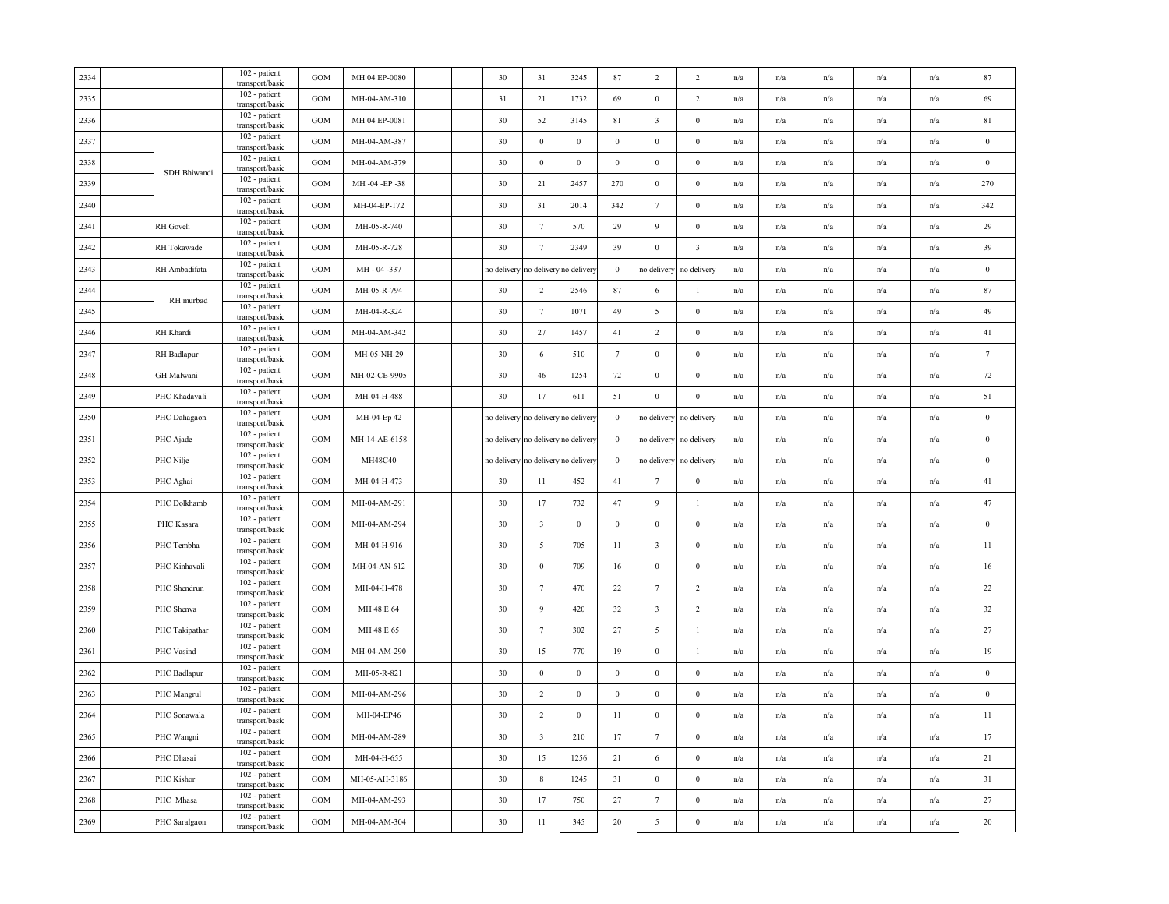| 2334 |                  | 102 - patient<br>transport/basic   | <b>GOM</b>        | MH 04 EP-0080 |  | 30          | 31                      | 3245                   | 87               | 2                       | 2                       | n/a                     | n/a                     | n/a                     | n/a                     | n/a                     | 87       |
|------|------------------|------------------------------------|-------------------|---------------|--|-------------|-------------------------|------------------------|------------------|-------------------------|-------------------------|-------------------------|-------------------------|-------------------------|-------------------------|-------------------------|----------|
| 2335 |                  | 102 - patient<br>transport/basic   | <b>GOM</b>        | MH-04-AM-310  |  | 31          | 21                      | 1732                   | 69               | $\mathbf{0}$            | 2                       | n/a                     | n/a                     | n/a                     | n/a                     | n/a                     | 69       |
| 2336 |                  | 102 - patient<br>transport/basic   | GOM               | MH 04 EP-0081 |  | 30          | 52                      | 3145                   | 81               | $\overline{\mathbf{3}}$ | $\boldsymbol{0}$        | n/a                     | n/a                     | $\mathrm{n}/\mathrm{a}$ | n/a                     | n/a                     | 81       |
| 2337 |                  | 102 - patient<br>transport/basic   | <b>GOM</b>        | MH-04-AM-387  |  | 30          | $\boldsymbol{0}$        | $\bf{0}$               | $\boldsymbol{0}$ | $\boldsymbol{0}$        | $\mathbf{0}$            | $\mathrm{n}/\mathrm{a}$ | $\mathrm{n}/\mathrm{a}$ | $\mathrm{n}/\mathrm{a}$ | $\mathrm{n}/\mathrm{a}$ | n/a                     | $\,0\,$  |
| 2338 |                  | 102 - patient<br>transport/basic   | GOM               | MH-04-AM-379  |  | 30          | $\mathbf{0}$            | $\mathbf{0}$           | $\boldsymbol{0}$ | $\boldsymbol{0}$        | $\boldsymbol{0}$        | n/a                     | n/a                     | $\mathrm{n}/\mathrm{a}$ | n/a                     | n/a                     | $\,0\,$  |
| 2339 | SDH Bhiwandi     | 102 - patient<br>transport/basic   | GOM               | MH-04-EP-38   |  | 30          | 21                      | 2457                   | 270              | $\boldsymbol{0}$        | $\boldsymbol{0}$        | n/a                     | n/a                     | n/a                     | n/a                     | n/a                     | 270      |
| 2340 |                  | 102 - patient<br>transport/basic   | <b>GOM</b>        | MH-04-EP-172  |  | 30          | 31                      | 2014                   | 342              | $7\phantom{.0}$         | $\mathbf{0}$            | n/a                     | n/a                     | n/a                     | n/a                     | n/a                     | 342      |
| 2341 | <b>RH</b> Goveli | 102 - patient<br>transport/basic   | GOM               | MH-05-R-740   |  | 30          | $7\phantom{.0}$         | 570                    | 29               | 9                       | $\mathbf{0}$            | $\mathrm{n}/\mathrm{a}$ | n/a                     | $\mathrm{n}/\mathrm{a}$ | $\mathrm{n}/\mathrm{a}$ | $\mathbf{n}/\mathbf{a}$ | 29       |
| 2342 | RH Tokawade      | 102 - patient<br>transport/basic   | $_{\rm GOM}$      | MH-05-R-728   |  | 30          | $7\phantom{.0}$         | 2349                   | 39               | $\boldsymbol{0}$        | $\overline{\mathbf{3}}$ | n/a                     | n/a                     | n/a                     | n/a                     | n/a                     | 39       |
| 2343 | RH Ambadifata    | 102 - patient<br>transport/basic   | GOM               | MH - 04 -337  |  | no delivery | to delivery             | no deliver             | $\boldsymbol{0}$ | no delivery             | no delivery             | $\mathrm{n}/\mathrm{a}$ | n/a                     | $\mathrm{n}/\mathrm{a}$ | n/a                     | n/a                     | $\,0\,$  |
| 2344 |                  | 102 - patient<br>transport/basic   | GOM               | MH-05-R-794   |  | 30          | 2                       | 2546                   | 87               | 6                       | -1                      | n/a                     | n/a                     | n/a                     | n/a                     | n/a                     | 87       |
| 2345 | RH murbad        | 102 - patient<br>transport/basic   | <b>GOM</b>        | MH-04-R-324   |  | 30          | $7\phantom{.0}$         | 1071                   | 49               | 5                       | $\boldsymbol{0}$        | n/a                     | n/a                     | n/a                     | $\mathbf{n}/\mathbf{a}$ | $\mathbf{n}/\mathbf{a}$ | 49       |
| 2346 | RH Khardi        | 102 - patient<br>transport/basic   | GOM               | MH-04-AM-342  |  | 30          | 27                      | 1457                   | 41               | 2                       | $\mathbf{0}$            | n/a                     | n/a                     | n/a                     | n/a                     | n/a                     | 41       |
| 2347 | RH Badlapur      | 102 - patient<br>transport/basic   | <b>GOM</b>        | MH-05-NH-29   |  | 30          | 6                       | 510                    | $7\phantom{.0}$  | $\bf{0}$                | $\mathbf{0}$            | n/a                     | n/a                     | n/a                     | n/a                     | n/a                     | $\tau$   |
| 2348 | GH Malwani       | 102 - patient<br>transport/basic   | <b>GOM</b>        | MH-02-CE-9905 |  | 30          | 46                      | 1254                   | $72\,$           | $\boldsymbol{0}$        | $\boldsymbol{0}$        | n/a                     | n/a                     | n/a                     | n/a                     | n/a                     | 72       |
| 2349 | PHC Khadavali    | 102 - patient<br>transport/basic   | GOM               | MH-04-H-488   |  | 30          | 17                      | 611                    | 51               | $\boldsymbol{0}$        | $\boldsymbol{0}$        | n/a                     | n/a                     | n/a                     | n/a                     | n/a                     | 51       |
| 2350 | PHC Dahagaon     | 102 - patient<br>transport/basic   | <b>GOM</b>        | MH-04-Ep 42   |  | no delivery | to delivery             | no deliver             | $\boldsymbol{0}$ | no delivery             | no delivery             | $\mathrm{n}/\mathrm{a}$ | n/a                     | $\mathrm{n}/\mathrm{a}$ | $\mathrm{n}/\mathrm{a}$ | n/a                     | $\,0\,$  |
| 2351 | PHC Ajade        | 102 - patient<br>transport/basic   | <b>GOM</b>        | MH-14-AE-6158 |  | no delivery |                         | no delivery no deliver | $\mathbf{0}$     | no delivery             | no delivery             | n/a                     | n/a                     | n/a                     | $\mathrm{n}/\mathrm{a}$ | n/a                     | $\,0\,$  |
| 2352 | PHC Nilje        | 102 - patient<br>transport/basic   | GOM               | MH48C40       |  | no delivery |                         | no delivery no deliver | $\boldsymbol{0}$ | no delivery             | no delivery             | n/a                     | n/a                     | n/a                     | n/a                     | n/a                     | $\bf{0}$ |
| 2353 | PHC Aghai        | 102 - patient<br>transport/basic   | <b>GOM</b>        | MH-04-H-473   |  | 30          | 11                      | 452                    | 41               | $7\phantom{.0}$         | $\mathbf{0}$            | n/a                     | n/a                     | n/a                     | n/a                     | n/a                     | 41       |
| 2354 | PHC Dolkhamb     | 102 - patient<br>transport/basic   | <b>GOM</b>        | MH-04-AM-291  |  | 30          | 17                      | 732                    | 47               | 9                       | $\mathbf{1}$            | $\mathrm{n}/\mathrm{a}$ | n/a                     | $\mathrm{n}/\mathrm{a}$ | $\mathrm{n}/\mathrm{a}$ | $\mathrm{n}/\mathrm{a}$ | 47       |
| 2355 | PHC Kasara       | 102 - patient<br>transport/basic   | $_{\rm GOM}$      | MH-04-AM-294  |  | 30          | $\overline{\mathbf{3}}$ | $\,0\,$                | $\boldsymbol{0}$ | $\boldsymbol{0}$        | $\boldsymbol{0}$        | n/a                     | n/a                     | n/a                     | n/a                     | n/a                     | $\,0\,$  |
| 2356 | PHC Tembha       | 102 - patient<br>transport/basic   | GOM               | MH-04-H-916   |  | 30          | 5                       | 705                    | 11               | $\overline{\mathbf{3}}$ | $\mathbf{0}$            | $\mathrm{n}/\mathrm{a}$ | n/a                     | $\mathrm{n}/\mathrm{a}$ | $\mathrm{n}/\mathrm{a}$ | $\mathrm{n}/\mathrm{a}$ | $11\,$   |
| 2357 | PHC Kinhavali    | 102 - patient<br>transport/basic   | GOM               | MH-04-AN-612  |  | 30          | $\boldsymbol{0}$        | 709                    | 16               | $\mathbf{0}$            | $\mathbf{0}$            | n/a                     | n/a                     | n/a                     | n/a                     | n/a                     | 16       |
| 2358 | PHC Shendrun     | 102 - patient<br>transport/basic   | $_{\mathrm{GOM}}$ | MH-04-H-478   |  | 30          | $7\phantom{.0}$         | 470                    | 22               | $7\phantom{.0}$         | $\overline{2}$          | n/a                     | n/a                     | n/a                     | n/a                     | n/a                     | 22       |
| 2359 | PHC Shenva       | 102 - patient<br>transport/basic   | GOM               | MH 48 E 64    |  | 30          | $\overline{9}$          | 420                    | 32               | $\overline{\mathbf{3}}$ | $\overline{2}$          | n/a                     | n/a                     | n/a                     | n/a                     | n/a                     | 32       |
| 2360 | PHC Takipathar   | 102 - patient<br>transport/basic   | <b>GOM</b>        | MH 48 E 65    |  | 30          | $7\phantom{.0}$         | 302                    | 27               | 5                       | $\mathbf{1}$            | n/a                     | n/a                     | n/a                     | n/a                     | n/a                     | 27       |
| 2361 | PHC Vasind       | 102 - patient<br>transport/basic   | GOM               | MH-04-AM-290  |  | 30          | 15                      | 770                    | 19               | $\boldsymbol{0}$        | $\mathbf{1}$            | n/a                     | n/a                     | n/a                     | n/a                     | n/a                     | 19       |
| 2362 | PHC Badlapur     | 102 - patient<br>transport/basic   | GOM               | MH-05-R-821   |  | 30          | $\boldsymbol{0}$        | $\boldsymbol{0}$       | $\boldsymbol{0}$ | $\boldsymbol{0}$        | $\boldsymbol{0}$        | n/a                     | n/a                     | n/a                     | n/a                     | n/a                     | $\,0\,$  |
| 2363 | PHC Mangrul      | 102 - patient<br>transport/basic   | <b>GOM</b>        | MH-04-AM-296  |  | 30          | $\overline{2}$          | $\mathbf{0}$           | $\boldsymbol{0}$ | $\mathbf{0}$            | $\boldsymbol{0}$        | n/a                     | n/a                     | n/a                     | n/a                     | n/a                     | $\,0\,$  |
| 2364 | PHC Sonawala     | 102 - patient<br>transport/basic   | <b>GOM</b>        | MH-04-EP46    |  | 30          | $\overline{2}$          | $\mathbf{0}$           | 11               | $\boldsymbol{0}$        | $\boldsymbol{0}$        | n/a                     | $\mathrm{n}/\mathrm{a}$ | n/a                     | $\mathrm{n}/\mathrm{a}$ | n/a                     | $11\,$   |
| 2365 | PHC Wangni       | 102 - patient<br>transport/basic   | <b>GOM</b>        | MH-04-AM-289  |  | 30          | $\overline{\mathbf{3}}$ | 210                    | 17               | $\tau$                  | $\boldsymbol{0}$        | $\mathrm{n}/\mathrm{a}$ | n/a                     | $\mathrm{n}/\mathrm{a}$ | $\mathrm{n}/\mathrm{a}$ | n/a                     | 17       |
| 2366 | PHC Dhasai       | 102 - patient<br>transport/basic   | GOM               | MH-04-H-655   |  | 30          | 15                      | 1256                   | 21               | 6                       | $\mathbf{0}$            | n/a                     | n/a                     | n/a                     | n/a                     | n/a                     | 21       |
| 2367 | PHC Kishor       | $102$ - patient<br>transport/basic | GOM               | MH-05-AH-3186 |  | 30          | $\,$ 8 $\,$             | 1245                   | 31               | $\boldsymbol{0}$        | $\boldsymbol{0}$        | $\mathrm{n}/\mathrm{a}$ | n/a                     | $\mathrm{n}/\mathrm{a}$ | n/a                     | n/a                     | 31       |
| 2368 | PHC Mhasa        | 102 - patient<br>transport/basic   | <b>GOM</b>        | MH-04-AM-293  |  | 30          | 17                      | 750                    | 27               | $\tau$                  | $\boldsymbol{0}$        | n/a                     | n/a                     | n/a                     | n/a                     | n/a                     | 27       |
| 2369 | PHC Saralgaon    | 102 - patient<br>transport/basic   | GOM               | MH-04-AM-304  |  | 30          | 11                      | 345                    | $20\,$           | 5                       | $\boldsymbol{0}$        | n/a                     | $\mathrm{n}/\mathrm{a}$ | $\mathrm{n}/\mathrm{a}$ | $\mathrm{n}/\mathrm{a}$ | $\mathrm{n}/\mathrm{a}$ | $20\,$   |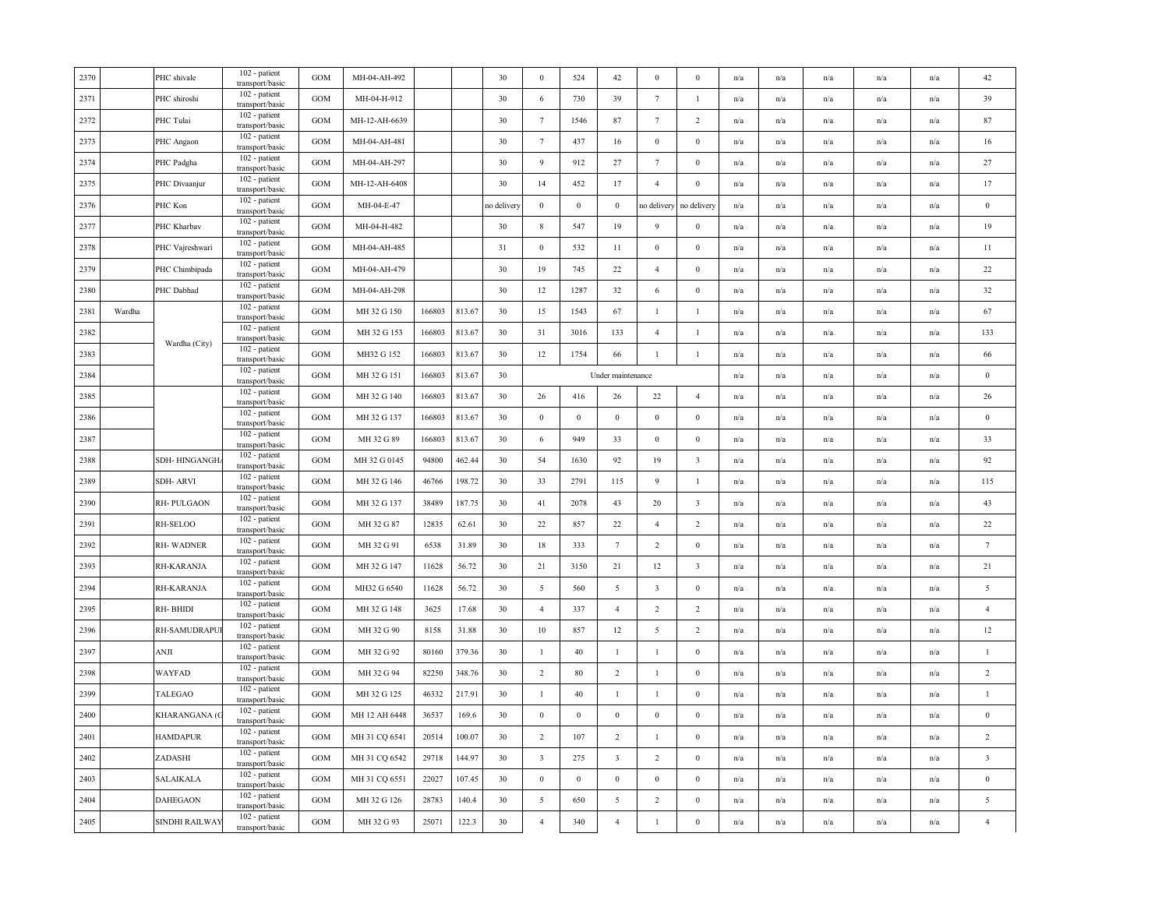| 2370 |        | PHC shivale       | 102 - patient<br>transport/basic   | <b>GOM</b> | MH-04-AH-492  |        |        | 30          | $\bf{0}$         | 524              | 42                      | $\bf{0}$                | $\bf{0}$                | n/a                     | n/a                     | n/a | n/a                     | n/a                     | 42                      |
|------|--------|-------------------|------------------------------------|------------|---------------|--------|--------|-------------|------------------|------------------|-------------------------|-------------------------|-------------------------|-------------------------|-------------------------|-----|-------------------------|-------------------------|-------------------------|
| 2371 |        | PHC shiroshi      | 102 - patient<br>transport/basic   | <b>GOM</b> | MH-04-H-912   |        |        | 30          | 6                | 730              | 39                      | $7\phantom{.0}$         | $\mathbf{1}$            | n/a                     | n/a                     | n/a | n/a                     | n/a                     | 39                      |
| 2372 |        | PHC Tulai         | 102 - patient<br>transport/basic   | GOM        | MH-12-AH-6639 |        |        | 30          | $7\phantom{.0}$  | 1546             | $87\,$                  | $7\phantom{.0}$         | $\overline{c}$          | $\mathrm{n}/\mathrm{a}$ | n/a                     | n/a | $\mathrm{n}/\mathrm{a}$ | n/a                     | 87                      |
| 2373 |        | PHC Angaon        | 102 - patient<br>transport/basic   | GOM        | MH-04-AH-481  |        |        | 30          | $7\phantom{.0}$  | 437              | 16                      | $\bf{0}$                | $\bf{0}$                | n/a                     | n/a                     | n/a | n/a                     | n/a                     | $16\,$                  |
| 2374 |        | PHC Padgha        | 102 - patient<br>transport/basic   | GOM        | MH-04-AH-297  |        |        | 30          | 9                | 912              | 27                      | $\tau$                  | $\bf{0}$                | n/a                     | n/a                     | n/a | n/a                     | n/a                     | 27                      |
| 2375 |        | PHC Divaanjur     | 102 - patient<br>transport/basic   | <b>GOM</b> | MH-12-AH-6408 |        |        | 30          | 14               | 452              | 17                      | $\overline{4}$          | $\bf{0}$                | n/a                     | n/a                     | n/a | n/a                     | n/a                     | 17                      |
| 2376 |        | PHC Kon           | 102 - patient<br>transport/basic   | GOM        | MH-04-E-47    |        |        | no delivery | $\mathbf{0}$     | $\boldsymbol{0}$ | $\bf{0}$                | no delivery             | no delivery             | n/a                     | n/a                     | n/a | n/a                     | n/a                     | $\boldsymbol{0}$        |
| 2377 |        | PHC Kharbav       | 102 - patient<br>transport/basic   | GOM        | MH-04-H-482   |        |        | 30          | $\,$ 8 $\,$      | 547              | 19                      | 9                       | $\boldsymbol{0}$        | n/a                     | n/a                     | n/a | n/a                     | n/a                     | 19                      |
| 2378 |        | PHC Vajreshwari   | 102 - patient<br>transport/basic   | GOM        | MH-04-AH-485  |        |        | 31          | $\boldsymbol{0}$ | 532              | $11\,$                  | $\boldsymbol{0}$        | $\mathbf{0}$            | n/a                     | n/a                     | n/a | n/a                     | n/a                     | 11                      |
| 2379 |        | PHC Chimbipada    | 102 - patient<br>transport/basic   | GOM        | MH-04-AH-479  |        |        | 30          | 19               | 745              | 22                      | $\overline{4}$          | $\mathbf{0}$            | n/a                     | n/a                     | n/a | n/a                     | n/a                     | 22                      |
| 2380 |        | PHC Dabhad        | 102 - patient<br>transport/basic   | <b>GOM</b> | MH-04-AH-298  |        |        | 30          | 12               | 1287             | 32                      | 6                       | $\mathbf{0}$            | n/a                     | n/a                     | n/a | n/a                     | n/a                     | 32                      |
| 2381 | Wardha |                   | 102 - patient<br>transport/basic   | GOM        | MH 32 G 150   | 166803 | 813.67 | 30          | 15               | 1543             | 67                      | $\overline{1}$          | $\mathbf{1}$            | n/a                     | n/a                     | n/a | n/a                     | n/a                     | 67                      |
| 2382 |        | Wardha (City)     | 102 - patient<br>transport/basic   | GOM        | MH 32 G 153   | 166803 | 813.67 | 30          | 31               | 3016             | 133                     | $\overline{4}$          | $\mathbf{1}$            | $\mathrm{n}/\mathrm{a}$ | n/a                     | n/a | $\mathrm{n}/\mathrm{a}$ | n/a                     | 133                     |
| 2383 |        |                   | 102 - patient<br>transport/basic   | <b>GOM</b> | MH32 G 152    | 166803 | 813.67 | 30          | 12               | 1754             | 66                      | $\mathbf{1}$            | $\mathbf{1}$            | n/a                     | n/a                     | n/a | n/a                     | n/a                     | 66                      |
| 2384 |        |                   | 102 - patient<br>transport/basic   | GOM        | MH 32 G 151   | 166803 | 813.67 | 30          |                  |                  | Under maintenance       |                         |                         | n/a                     | n/a                     | n/a | n/a                     | n/a                     | $\,0\,$                 |
| 2385 |        |                   | 102 - patient<br>transport/basic   | GOM        | MH 32 G 140   | 166803 | 813.67 | 30          | 26               | 416              | 26                      | 22                      | $\overline{4}$          | n/a                     | n/a                     | n/a | n/a                     | n/a                     | 26                      |
| 2386 |        |                   | 102 - patient<br>transport/basic   | <b>GOM</b> | MH 32 G 137   | 166803 | 813.67 | 30          | $\mathbf{0}$     | $\mathbf{0}$     | $\mathbf{0}$            | $\bf{0}$                | $\bf{0}$                | n/a                     | n/a                     | n/a | n/a                     | n/a                     | $\bf{0}$                |
| 2387 |        |                   | 102 - patient<br>transport/basic   | GOM        | MH 32 G 89    | 166803 | 813.67 | 30          | 6                | 949              | 33                      | $\bf{0}$                | $\boldsymbol{0}$        | n/a                     | n/a                     | n/a | n/a                     | n/a                     | 33                      |
| 2388 |        | SDH-HINGANGH.     | 102 - patient<br>transport/basic   | GOM        | MH 32 G 0145  | 94800  | 462.44 | 30          | 54               | 1630             | 92                      | 19                      | $\overline{\mathbf{3}}$ | n/a                     | n/a                     | n/a | $\mathrm{n}/\mathrm{a}$ | n/a                     | 92                      |
| 2389 |        | <b>SDH-ARVI</b>   | 102 - patient<br>transport/basic   | <b>GOM</b> | MH 32 G 146   | 46766  | 198.72 | 30          | 33               | 2791             | 115                     | 9                       | $\mathbf{1}$            | n/a                     | n/a                     | n/a | n/a                     | n/a                     | 115                     |
| 2390 |        | <b>RH-PULGAON</b> | 102 - patient<br>transport/basic   | GOM        | MH 32 G 137   | 38489  | 187.75 | 30          | 41               | 2078             | 43                      | 20                      | $\overline{\mathbf{3}}$ | $\mathrm{n}/\mathrm{a}$ | n/a                     | n/a | $\mathrm{n}/\mathrm{a}$ | $\mathbf{n}/\mathbf{a}$ | 43                      |
| 2391 |        | RH-SELOO          | $102$ - patient<br>transport/basic | GOM        | MH 32 G 87    | 12835  | 62.61  | 30          | 22               | 857              | 22                      | $\overline{4}$          | $\overline{2}$          | n/a                     | n/a                     | n/a | n/a                     | n/a                     | 22                      |
| 2392 |        | RH-WADNER         | 102 - patient<br>transport/basic   | GOM        | MH 32 G 91    | 6538   | 31.89  | 30          | 18               | 333              | $7\phantom{.0}$         | $\overline{c}$          | $\boldsymbol{0}$        | n/a                     | n/a                     | n/a | n/a                     | n/a                     | $\tau$                  |
| 2393 |        | RH-KARANJA        | 102 - patient<br>transport/basic   | GOM        | MH 32 G 147   | 11628  | 56.72  | 30          | 21               | 3150             | 21                      | 12                      | $\overline{\mathbf{3}}$ | n/a                     | n/a                     | n/a | n/a                     | n/a                     | 21                      |
| 2394 |        | RH-KARANJA        | 102 - patient<br>transport/basic   | GOM        | MH32 G 6540   | 11628  | 56.72  | 30          | 5                | 560              | 5                       | $\overline{\mathbf{3}}$ | $\boldsymbol{0}$        | n/a                     | n/a                     | n/a | n/a                     | n/a                     | $\sqrt{5}$              |
| 2395 |        | RH-BHIDI          | 102 - patient<br>transport/basic   | GOM        | MH 32 G 148   | 3625   | 17.68  | 30          | $\overline{4}$   | 337              | $\overline{4}$          | $\overline{2}$          | $\overline{2}$          | $\mathrm{n}/\mathrm{a}$ | n/a                     | n/a | $\mathrm{n}/\mathrm{a}$ | n/a                     | $\overline{4}$          |
| 2396 |        | RH-SAMUDRAPL      | 102 - patient<br>transport/basic   | <b>GOM</b> | MH 32 G 90    | 8158   | 31.88  | 30          | $10\,$           | 857              | 12                      | 5                       | $\overline{2}$          | n/a                     | n/a                     | n/a | n/a                     | n/a                     | 12                      |
| 2397 |        | ANJI              | 102 - patient<br>transport/basic   | <b>GOM</b> | MH 32 G 92    | 80160  | 379.36 | 30          | $\mathbf{1}$     | $40\,$           | $\mathbf{1}$            | $\mathbf{1}$            | $\bf{0}$                | n/a                     | n/a                     | n/a | n/a                     | n/a                     | $\mathbf{1}$            |
| 2398 |        | WAYFAD            | 102 - patient<br>transport/basic   | GOM        | MH 32 G 94    | 82250  | 348.76 | 30          | $\overline{2}$   | $80\,$           | $\overline{2}$          | $\mathbf{1}$            | $\boldsymbol{0}$        | n/a                     | n/a                     | n/a | n/a                     | n/a                     | $\sqrt{2}$              |
| 2399 |        | TALEGAO           | 102 - patient<br>transport/basic   | <b>GOM</b> | MH 32 G 125   | 46332  | 217.91 | 30          | $\mathbf{1}$     | 40               | $\mathbf{1}$            | $\mathbf{1}$            | $\bf{0}$                | n/a                     | n/a                     | n/a | n/a                     | n/a                     | $\mathbf{1}$            |
| 2400 |        | KHARANGANA (C     | 102 - patient<br>transport/basic   | GOM        | MH 12 AH 6448 | 36537  | 169.6  | 30          | $\boldsymbol{0}$ | $\mathbf{0}$     | $\,0\,$                 | $\mathbf{0}$            | $\boldsymbol{0}$        | n/a                     | n/a                     | n/a | n/a                     | n/a                     | $\boldsymbol{0}$        |
| 2401 |        | <b>HAMDAPUR</b>   | 102 - patient<br>transport/basic   | GOM        | MH 31 CQ 6541 | 20514  | 100.07 | 30          | $\overline{2}$   | 107              | $\overline{2}$          | $\mathbf{1}$            | $\bf{0}$                | n/a                     | n/a                     | n/a | n/a                     | n/a                     | $\sqrt{2}$              |
| 2402 |        | ZADASHI           | 102 - patient<br>transport/basic   | GOM        | MH 31 CQ 6542 | 29718  | 144.97 | 30          | $\overline{3}$   | 275              | $\overline{\mathbf{3}}$ | $\overline{2}$          | $\mathbf{0}$            | n/a                     | n/a                     | n/a | n/a                     | n/a                     | $\overline{\mathbf{3}}$ |
| 2403 |        | SALAIKALA         | 102 - patient<br>transport/basic   | GOM        | MH 31 CQ 6551 | 22027  | 107.45 | 30          | $\,0\,$          | $\boldsymbol{0}$ | $\,0\,$                 | $\bf{0}$                | $\mathbf{0}$            | n/a                     | n/a                     | n/a | n/a                     | n/a                     | $\boldsymbol{0}$        |
| 2404 |        | <b>DAHEGAON</b>   | 102 - patient<br>transport/basic   | GOM        | MH 32 G 126   | 28783  | 140.4  | 30          | $\overline{5}$   | 650              | $\overline{5}$          | $\overline{2}$          | $\boldsymbol{0}$        | n/a                     | n/a                     | n/a | n/a                     | n/a                     | $\sqrt{5}$              |
| 2405 |        | SINDHI RAILWAY    | 102 - patient<br>transport/basic   | <b>GOM</b> | MH 32 G 93    | 25071  | 122.3  | 30          | $\overline{4}$   | 340              | $\overline{4}$          | $\mathbf{1}$            | $\bf{0}$                | n/a                     | $\mathrm{n}/\mathrm{a}$ | n/a | $\mathrm{n}/\mathrm{a}$ | $\mathrm{n}/\mathrm{a}$ | $\overline{4}$          |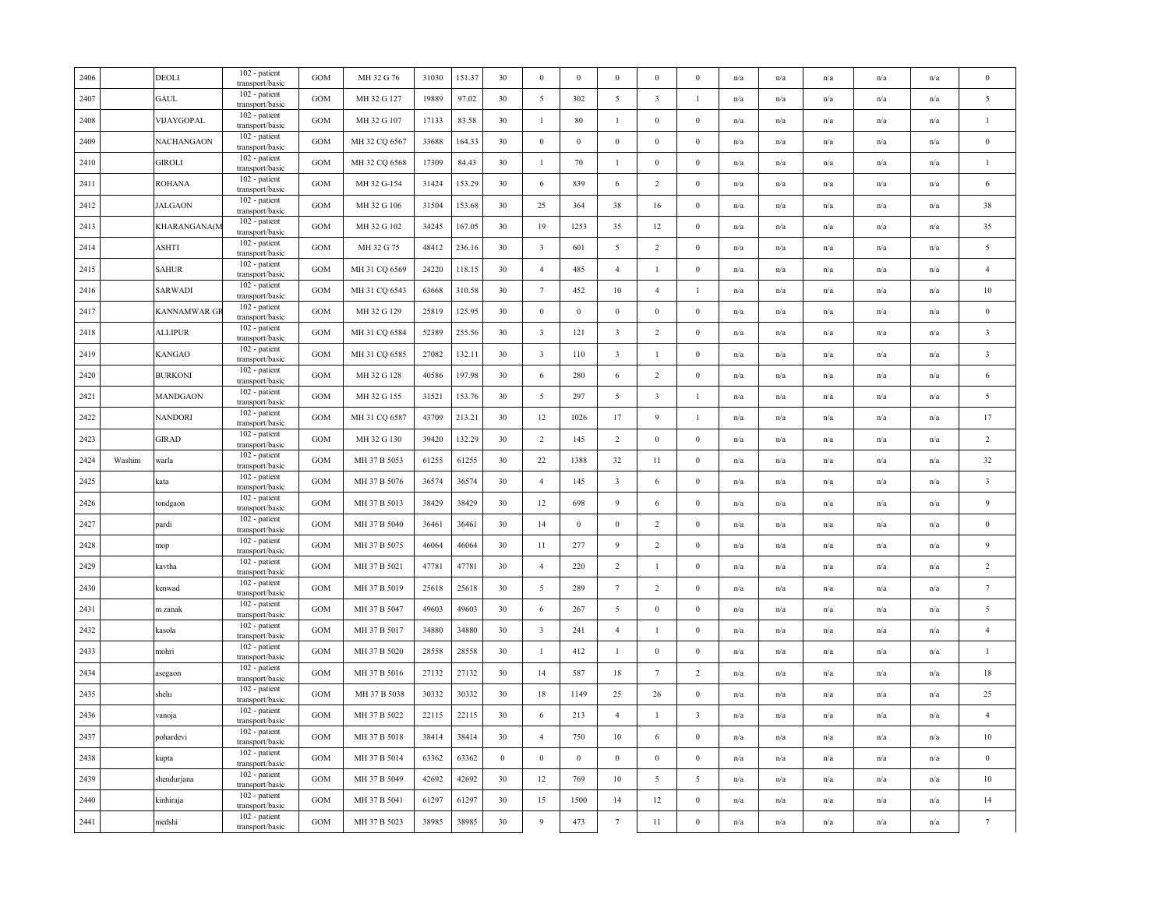|        | <b>DEOLI</b>    | $102$ - patient<br>transport/basic | GOM                                                                                                                                                                                                                                                 | MH 32 G 76    | 31030 | 151.37 | 30       | $\bf{0}$                | $\mathbf{0}$ | $\mathbf{0}$            | $\mathbf{0}$            | $\mathbf{0}$            | n/a | n/a                     | n/a                     | n/a                     | n/a                     | $\mathbf{0}$            |
|--------|-----------------|------------------------------------|-----------------------------------------------------------------------------------------------------------------------------------------------------------------------------------------------------------------------------------------------------|---------------|-------|--------|----------|-------------------------|--------------|-------------------------|-------------------------|-------------------------|-----|-------------------------|-------------------------|-------------------------|-------------------------|-------------------------|
|        | GAUL            | 102 - patient<br>transport/basic   | <b>GOM</b>                                                                                                                                                                                                                                          | MH 32 G 127   | 19889 | 97.02  | 30       | 5                       | 302          | 5                       | $\overline{\mathbf{3}}$ | $\overline{1}$          | n/a | n/a                     | n/a                     | n/a                     | n/a                     | 5                       |
|        | VIJAYGOPAL      | 102 - patient<br>transport/basic   | <b>GOM</b>                                                                                                                                                                                                                                          | MH 32 G 107   | 17133 | 83.58  | 30       | $\mathbf{1}$            | $80\,$       | $\mathbf{1}$            | $\boldsymbol{0}$        | $\mathbf{0}$            | n/a | n/a                     | n/a                     | n/a                     | n/a                     | $\mathbf{1}$            |
|        | NACHANGAON      | 102 - patient<br>transport/basic   | <b>GOM</b>                                                                                                                                                                                                                                          | MH 32 CQ 6567 | 33688 | 164.33 | 30       | $\,0\,$                 | $\mathbf{0}$ | $\boldsymbol{0}$        | $\bf{0}$                | $\mathbf{0}$            | n/a | $\mathrm{n}/\mathrm{a}$ | $\mathrm{n}/\mathrm{a}$ | $\mathrm{n}/\mathrm{a}$ | n/a                     | $\boldsymbol{0}$        |
|        | GIROLI          | 102 - patient<br>transport/basic   | <b>GOM</b>                                                                                                                                                                                                                                          | MH 32 CQ 6568 | 17309 | 84.43  | 30       | -1                      | 70           | -1                      | $\bf{0}$                | $\mathbf{0}$            | n/a | n/a                     | n/a                     | n/a                     | n/a                     | $\mathbf{1}$            |
|        | <b>ROHANA</b>   | 102 - patient                      | GOM                                                                                                                                                                                                                                                 | MH 32 G-154   | 31424 | 153.29 | 30       | 6                       | 839          | 6                       | $\overline{2}$          | $\mathbf{0}$            | n/a | n/a                     | n/a                     | n/a                     | n/a                     | $\sqrt{6}$              |
|        | <b>JALGAON</b>  | 102 - patient<br>transport/basic   | GOM                                                                                                                                                                                                                                                 | MH 32 G 106   | 31504 | 153.68 | 30       | 25                      | 364          | 38                      | 16                      | $\mathbf{0}$            | n/a | n/a                     | n/a                     | n/a                     | n/a                     | 38                      |
|        | KHARANGANA(M    | 102 - patient<br>transport/basic   | <b>GOM</b>                                                                                                                                                                                                                                          | MH 32 G 102   | 34245 | 167.05 | 30       | 19                      | 1253         | 35                      | 12                      | $\overline{0}$          | n/a | n/a                     | n/a                     | n/a                     | n/a                     | 35                      |
|        | <b>ASHTI</b>    | $\overline{1}02$ - patient         | $_{\rm GOM}$                                                                                                                                                                                                                                        | MH 32 G 75    | 48412 | 236.16 | 30       | $\overline{\mathbf{3}}$ | 601          | $\overline{5}$          | $\overline{2}$          | $\boldsymbol{0}$        | n/a | n/a                     | $\mathbf{n}/\mathbf{a}$ | n/a                     | n/a                     | $\sqrt{5}$              |
|        | <b>SAHUR</b>    | 102 - patient                      | <b>GOM</b>                                                                                                                                                                                                                                          | MH 31 CQ 6569 | 24220 | 118.15 | 30       | $\overline{4}$          | 485          | $\overline{4}$          | 1                       | $\mathbf{0}$            | n/a | n/a                     | n/a                     | n/a                     | n/a                     | $\overline{4}$          |
|        | SARWADI         | 102 - patient<br>transport/basic   | GOM                                                                                                                                                                                                                                                 | MH 31 CQ 6543 | 63668 | 310.58 | 30       | $7\phantom{.0}$         | 452          | $10\,$                  | $\overline{4}$          | $\mathbf{1}$            | n/a | n/a                     | n/a                     | n/a                     | n/a                     | $10\,$                  |
|        | KANNAMWAR GR    | 102 - patient                      | GOM                                                                                                                                                                                                                                                 | MH 32 G 129   | 25819 | 125.95 | 30       | $\bf{0}$                | $\mathbf{0}$ | $\bf{0}$                | $\bf{0}$                | $\mathbf{0}$            | n/a | n/a                     | n/a                     | n/a                     | n/a                     | $\boldsymbol{0}$        |
|        | ALLIPUR         | 102 - patient<br>transport/basic   | GOM                                                                                                                                                                                                                                                 | MH 31 CQ 6584 | 52389 | 255.56 | 30       | $\overline{\mathbf{3}}$ | 121          | $\overline{\mathbf{3}}$ | $\overline{c}$          | $\mathbf{0}$            | n/a | n/a                     | n/a                     | n/a                     | n/a                     | $\overline{\mathbf{3}}$ |
|        | KANGAO          | 102 - patient<br>transport/basic   | <b>GOM</b>                                                                                                                                                                                                                                          | MH 31 CQ 6585 | 27082 | 132.11 | 30       | $\overline{3}$          | 110          | $\overline{\mathbf{3}}$ | 1                       | $\mathbf{0}$            | n/a | n/a                     | n/a                     | n/a                     | n/a                     | $\overline{\mathbf{3}}$ |
|        | <b>BURKONI</b>  | 102 - patient<br>transport/basic   | <b>GOM</b>                                                                                                                                                                                                                                          | MH 32 G 128   | 40586 | 197.98 | 30       | 6                       | 280          | 6                       | 2                       | $\mathbf{0}$            | n/a | n/a                     | n/a                     | n/a                     | n/a                     | 6                       |
|        | <b>MANDGAON</b> | 102 - patient<br>transport/basic   | <b>GOM</b>                                                                                                                                                                                                                                          | MH 32 G 155   | 31521 | 153.76 | 30       | $\overline{5}$          | 297          | $\overline{5}$          | $\overline{\mathbf{3}}$ | $\mathbf{1}$            | n/a | n/a                     | n/a                     | n/a                     | n/a                     | $\sqrt{5}$              |
|        | <b>NANDORI</b>  | 102 - patient<br>transport/basic   | GOM                                                                                                                                                                                                                                                 | MH 31 CQ 6587 | 43709 | 213.21 | 30       | 12                      | 1026         | 17                      | 9                       | $\mathbf{1}$            | n/a | n/a                     | n/a                     | n/a                     | n/a                     | 17                      |
|        | GIRAD           | 102 - patient<br>transport/basic   | <b>GOM</b>                                                                                                                                                                                                                                          | MH 32 G 130   | 39420 | 132.29 | 30       | $\overline{2}$          | 145          | $\overline{2}$          | $\bf{0}$                | $\mathbf{0}$            | n/a | n/a                     | n/a                     | n/a                     | n/a                     | $\sqrt{2}$              |
| Washim | warla           | 102 - patient                      | GOM                                                                                                                                                                                                                                                 | MH 37 B 5053  | 61255 | 61255  | 30       | 22                      | 1388         | 32                      | 11                      | $\boldsymbol{0}$        | n/a | n/a                     | n/a                     | n/a                     | n/a                     | 32                      |
|        | kata            | 102 - patient                      | GOM                                                                                                                                                                                                                                                 | MH 37 B 5076  | 36574 | 36574  | 30       | $\overline{4}$          | 145          | $\overline{\mathbf{3}}$ | 6                       | $\mathbf{0}$            | n/a | n/a                     | n/a                     | n/a                     | n/a                     | $\overline{\mathbf{3}}$ |
|        | tondgaon        | 102 - patient<br>transport/basic   | GOM                                                                                                                                                                                                                                                 | MH 37 B 5013  | 38429 | 38429  | 30       | 12                      | 698          | 9                       | 6                       | $\mathbf{0}$            | n/a | n/a                     | n/a                     | n/a                     | n/a                     | 9                       |
|        | pardi           | 102 - patient                      | GOM                                                                                                                                                                                                                                                 | MH 37 B 5040  | 36461 | 36461  | 30       | 14                      | $\mathbf{0}$ | $\bf{0}$                | 2                       | $\mathbf{0}$            | n/a | $\mathrm{n}/\mathrm{a}$ | $\mathrm{n}/\mathrm{a}$ | $\mathrm{n}/\mathrm{a}$ | n/a                     | $\bf{0}$                |
|        | mop             | 102 - patient<br>transport/basic   | $_{\mathrm{GOM}}$                                                                                                                                                                                                                                   | MH 37 B 5075  | 46064 | 46064  | 30       | 11                      | 277          | $\overline{9}$          | $\overline{2}$          | $\boldsymbol{0}$        | n/a | n/a                     | n/a                     | n/a                     | n/a                     | $\overline{9}$          |
|        | kavtha          | 102 - patient                      | <b>GOM</b>                                                                                                                                                                                                                                          | MH 37 B 5021  | 47781 | 47781  | 30       | $\overline{4}$          | 220          | $\overline{2}$          | 1                       | $\boldsymbol{0}$        | n/a | n/a                     | n/a                     | n/a                     | $\mathrm{n}/\mathrm{a}$ | $\sqrt{2}$              |
|        | kenwad          | 102 - patient<br>transport/basic   | GOM                                                                                                                                                                                                                                                 | MH 37 B 5019  | 25618 | 25618  | 30       | 5                       | 289          | $7\overline{ }$         | 2                       | $\mathbf{0}$            | n/a | n/a                     | n/a                     | n/a                     | n/a                     | $\tau$                  |
|        | m zanak         | 102 - patient                      | GOM                                                                                                                                                                                                                                                 | MH 37 B 5047  | 49603 | 49603  | 30       | 6                       | 267          | 5                       | $\bf{0}$                | $\mathbf{0}$            | n/a | n/a                     | n/a                     | n/a                     | n/a                     | $\sqrt{5}$              |
|        | kasola          | 102 - patient<br>transport/basic   | GOM                                                                                                                                                                                                                                                 | MH 37 B 5017  | 34880 | 34880  | 30       | $\overline{\mathbf{3}}$ | 241          | $\overline{4}$          | $\overline{1}$          | $\mathbf{0}$            | n/a | n/a                     | n/a                     | n/a                     | n/a                     | $\overline{4}$          |
|        | mohri           | 102 - patient<br>transport/basic   | <b>GOM</b>                                                                                                                                                                                                                                          | MH 37 B 5020  | 28558 | 28558  | 30       | $\mathbf{1}$            | 412          | $\mathbf{1}$            | $\bf{0}$                | $\overline{0}$          | n/a | n/a                     | n/a                     | n/a                     | n/a                     | $\mathbf{1}$            |
|        | asegaon         | 102 - patient                      | GOM                                                                                                                                                                                                                                                 | MH 37 B 5016  | 27132 | 27132  | 30       | 14                      | 587          | 18                      | $7\phantom{.0}$         | $\overline{2}$          | n/a | n/a                     | n/a                     | n/a                     | n/a                     | $18\,$                  |
|        | shelu           | 102 - patient                      | GOM                                                                                                                                                                                                                                                 | MH 37 B 5038  | 30332 | 30332  | 30       | 18                      | 1149         | 25                      | 26                      | $\mathbf{0}$            | n/a | n/a                     | n/a                     | n/a                     | n/a                     | 25                      |
|        | vanoja          | 102 - patient                      | GOM                                                                                                                                                                                                                                                 | MH 37 B 5022  | 22115 | 22115  | 30       | 6                       | 213          | $\overline{4}$          | -1                      | $\overline{\mathbf{3}}$ | n/a | n/a                     | n/a                     | n/a                     | n/a                     | $\overline{4}$          |
|        | pohardevi       | 102 - patient<br>transport/basic   | <b>GOM</b>                                                                                                                                                                                                                                          | MH 37 B 5018  | 38414 | 38414  | 30       | $\overline{4}$          | 750          | 10                      | 6                       | $\mathbf{0}$            | n/a | n/a                     | n/a                     | n/a                     | n/a                     | $10\,$                  |
|        | kupta           | 102 - patient<br>transport/basic   | GOM                                                                                                                                                                                                                                                 | MH 37 B 5014  | 63362 | 63362  | $\bf{0}$ | $\mathbf{0}$            | $\mathbf{0}$ | $\mathbf{0}$            | $\boldsymbol{0}$        | $\mathbf{0}$            | n/a | n/a                     | n/a                     | n/a                     | $\mathrm{n}/\mathrm{a}$ | $\bf{0}$                |
|        | shendurjana     | 102 - patient<br>transport/basic   | GOM                                                                                                                                                                                                                                                 | MH 37 B 5049  | 42692 | 42692  | 30       | 12                      | 769          | 10                      | 5                       | 5                       | n/a | n/a                     | n/a                     | $\mathrm{n}/\mathrm{a}$ | $\mathrm{n}/\mathrm{a}$ | $10\,$                  |
|        | kinhiraja       | 102 - patient                      | <b>GOM</b>                                                                                                                                                                                                                                          | MH 37 B 5041  | 61297 | 61297  | 30       | 15                      | 1500         | 14                      | 12                      | $\mathbf{0}$            | n/a | n/a                     | n/a                     | n/a                     | n/a                     | 14                      |
|        | medshi          | 102 - patient<br>transport/basic   | GOM                                                                                                                                                                                                                                                 | MH 37 B 5023  | 38985 | 38985  | 30       | $\overline{9}$          | 473          | $\overline{7}$          | 11                      | $\boldsymbol{0}$        | n/a | n/a                     | n/a                     | n/a                     | n/a                     | $\overline{7}$          |
|        |                 |                                    | transport/basic<br>transport/basic<br>transport/basic<br>transport/basic<br>transport/basic<br>transport/basic<br>transport/basic<br>transport/basic<br>transport/basic<br>transport/basic<br>transport/basic<br>transport/basic<br>transport/basic |               |       |        |          |                         |              |                         |                         |                         |     |                         |                         |                         |                         |                         |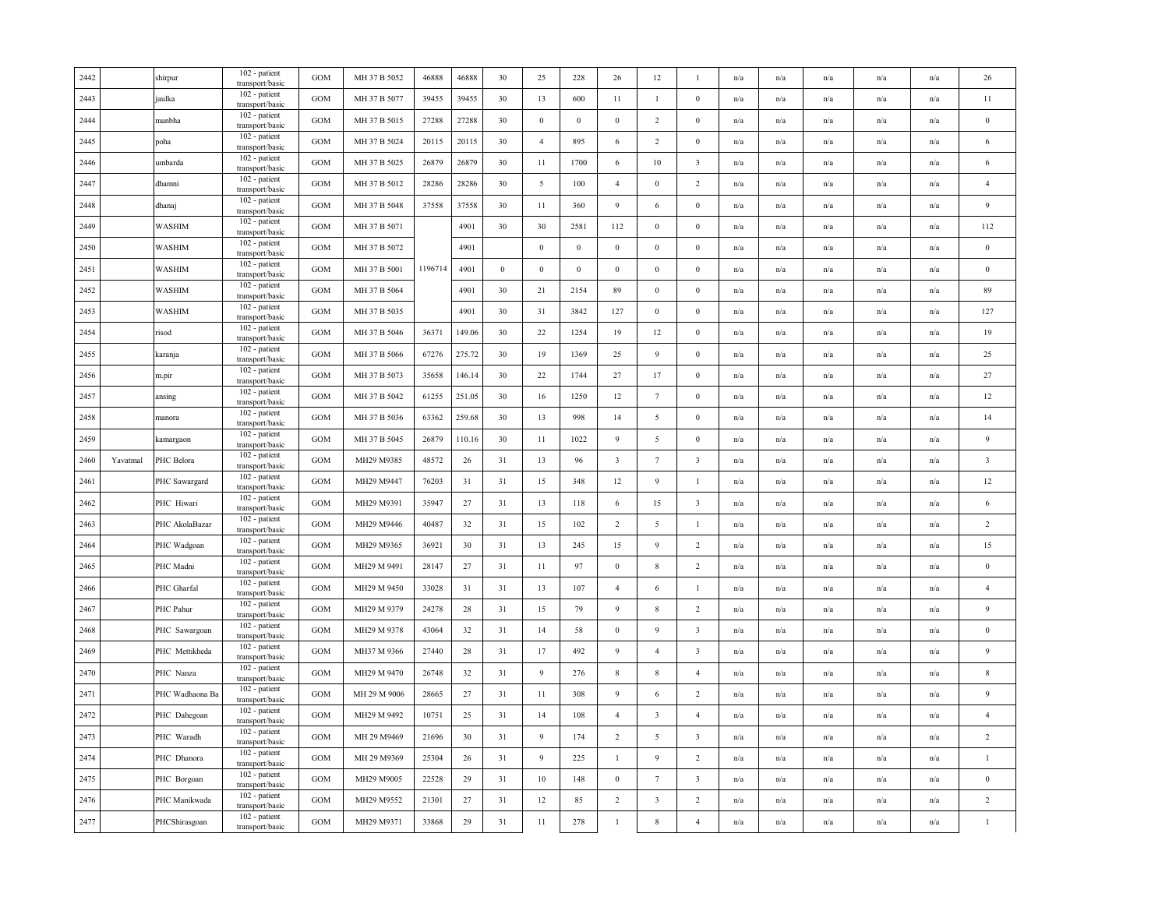| 2442 |          | shirpur         | 102 - patient<br>transport/basic              | <b>GOM</b>        | MH 37 B 5052 | 46888   | 46888  | 30               | 25               | 228              | 26                      | 12                      | $\mathbf{1}$            | n/a                     | n/a                     | n/a                     | n/a                     | n/a | 26                      |
|------|----------|-----------------|-----------------------------------------------|-------------------|--------------|---------|--------|------------------|------------------|------------------|-------------------------|-------------------------|-------------------------|-------------------------|-------------------------|-------------------------|-------------------------|-----|-------------------------|
| 2443 |          | jaulka          | 102 - patient<br>transport/basic              | GOM               | MH 37 B 5077 | 39455   | 39455  | 30               | 13               | 600              | 11                      | $\mathbf{1}$            | $\boldsymbol{0}$        | n/a                     | n/a                     | n/a                     | $\mathrm{n}/\mathrm{a}$ | n/a | $11\,$                  |
| 2444 |          | manbha          | 102 - patient<br>transport/basic              | GOM               | MH 37 B 5015 | 27288   | 27288  | 30               | $\boldsymbol{0}$ | $\boldsymbol{0}$ | $\bf{0}$                | $\overline{2}$          | $\bf{0}$                | n/a                     | n/a                     | n/a                     | n/a                     | n/a | $\boldsymbol{0}$        |
| 2445 |          | poha            | 102 - patient<br>transport/basic              | $_{\rm GOM}$      | MH 37 B 5024 | 20115   | 20115  | 30               | $\overline{4}$   | 895              | 6                       | $\overline{2}$          | $\bf{0}$                | n/a                     | n/a                     | n/a                     | n/a                     | n/a | 6                       |
| 2446 |          | umbarda         | 102 - patient<br>transport/basic              | GOM               | MH 37 B 5025 | 26879   | 26879  | 30               | 11               | 1700             | 6                       | $10\,$                  | $\overline{\mathbf{3}}$ | n/a                     | n/a                     | n/a                     | n/a                     | n/a | 6                       |
| 2447 |          | dhamni          | 102 - patient<br>transport/basic              | GOM               | MH 37 B 5012 | 28286   | 28286  | 30               | $5\overline{)}$  | 100              | $\overline{4}$          | $\bf{0}$                | $\overline{c}$          | n/a                     | n/a                     | n/a                     | n/a                     | n/a | $\overline{4}$          |
| 2448 |          | dhanaj          | 102 - patient<br>transport/basic              | GOM               | MH 37 B 5048 | 37558   | 37558  | 30               | 11               | 360              | 9                       | 6                       | $\boldsymbol{0}$        | n/a                     | n/a                     | n/a                     | n/a                     | n/a | 9                       |
| 2449 |          | <b>WASHIM</b>   | 102 - patient<br>transport/basic              | <b>GOM</b>        | MH 37 B 5071 |         | 4901   | 30               | 30               | 2581             | 112                     | $\boldsymbol{0}$        | $\boldsymbol{0}$        | n/a                     | n/a                     | n/a                     | n/a                     | n/a | 112                     |
| 2450 |          | WASHIM          | 102 - patient<br>transport/basic              | $_{\mathrm{GOM}}$ | MH 37 B 5072 |         | 4901   |                  | $\mathbf{0}$     | $\,0\,$          | $\mathbf{0}$            | $\boldsymbol{0}$        | $\boldsymbol{0}$        | n/a                     | n/a                     | n/a                     | n/a                     | n/a | $\,0\,$                 |
| 2451 |          | <b>WASHIM</b>   | 102 - patient<br>transport/basic              | $_{\rm GOM}$      | MH 37 B 5001 | 1196714 | 4901   | $\boldsymbol{0}$ | $\mathbf{0}$     | $\boldsymbol{0}$ | $\mathbf{0}$            | $\boldsymbol{0}$        | $\mathbf{0}$            | n/a                     | n/a                     | n/a                     | n/a                     | n/a | $\bf{0}$                |
| 2452 |          | WASHIM          | 102 - patient<br>transport/basic              | GOM               | MH 37 B 5064 |         | 4901   | 30               | 21               | 2154             | 89                      | $\mathbf{0}$            | $\bf{0}$                | n/a                     | n/a                     | n/a                     | n/a                     | n/a | 89                      |
| 2453 |          | WASHIM          | 102 - patient<br>transport/basic              | GOM               | MH 37 B 5035 |         | 4901   | 30               | 31               | 3842             | 127                     | $\boldsymbol{0}$        | $\boldsymbol{0}$        | n/a                     | n/a                     | n/a                     | n/a                     | n/a | 127                     |
| 2454 |          | risod           | 102 - patient<br>transport/basic              | GOM               | MH 37 B 5046 | 36371   | 149.06 | 30               | 22               | 1254             | 19                      | 12                      | $\boldsymbol{0}$        | n/a                     | n/a                     | n/a                     | n/a                     | n/a | 19                      |
| 2455 |          | karanja         | 102 - patient<br>transport/basic              | <b>GOM</b>        | MH 37 B 5066 | 67276   | 275.72 | 30               | 19               | 1369             | 25                      | 9                       | $\bf{0}$                | n/a                     | $\mathbf{n}/\mathbf{a}$ | n/a                     | n/a                     | n/a | 25                      |
| 2456 |          | m.pir           | 102 - patient<br>transport/basic              | GOM               | MH 37 B 5073 | 35658   | 146.14 | 30               | 22               | 1744             | $27\,$                  | 17                      | $\boldsymbol{0}$        | n/a                     | n/a                     | n/a                     | n/a                     | n/a | 27                      |
| 2457 |          | ansing          | 102 - patient<br>transport/basic              | GOM               | MH 37 B 5042 | 61255   | 251.05 | 30               | 16               | 1250             | 12                      | $7\phantom{.0}$         | $\mathbf{0}$            | n/a                     | n/a                     | n/a                     | n/a                     | n/a | 12                      |
| 2458 |          | manora          | 102 - patient<br>transport/basic              | GOM               | MH 37 B 5036 | 63362   | 259.68 | 30               | 13               | 998              | 14                      | 5                       | $\bf{0}$                | n/a                     | n/a                     | n/a                     | n/a                     | n/a | 14                      |
| 2459 |          | kamargaon       | 102 - patient<br>transport/basic              | GOM               | MH 37 B 5045 | 26879   | 110.16 | 30               | 11               | 1022             | 9                       | 5                       | $\boldsymbol{0}$        | n/a                     | n/a                     | n/a                     | n/a                     | n/a | $\overline{9}$          |
| 2460 | Yavatmal | PHC Belora      | 102 - patient<br>transport/basic              | GOM               | MH29 M9385   | 48572   | 26     | 31               | 13               | 96               | $\overline{\mathbf{3}}$ | $7\phantom{.0}$         | $\overline{\mathbf{3}}$ | n/a                     | n/a                     | n/a                     | n/a                     | n/a | $\overline{\mathbf{3}}$ |
| 2461 |          | PHC Sawargard   | 102 - patient<br>transport/basic              | GOM               | MH29 M9447   | 76203   | 31     | 31               | 15               | 348              | 12                      | 9                       | $\mathbf{1}$            | n/a                     | $\mathbf{n}/\mathbf{a}$ | n/a                     | $\mathrm{n}/\mathrm{a}$ | n/a | 12                      |
| 2462 |          | PHC Hiwari      | 102 - patient<br>transport/basic              | $_{\rm GOM}$      | MH29 M9391   | 35947   | 27     | 31               | 13               | 118              | 6                       | 15                      | $\overline{\mathbf{3}}$ | n/a                     | n/a                     | n/a                     | $\mathbf{n}/\mathbf{a}$ | n/a | 6                       |
| 2463 |          | PHC AkolaBazar  | 102 - patient<br>transport/basic              | $_{\rm GOM}$      | MH29 M9446   | 40487   | 32     | 31               | 15               | 102              | $\overline{2}$          | 5                       | $\mathbf{1}$            | n/a                     | n/a                     | n/a                     | n/a                     | n/a | $\overline{2}$          |
| 2464 |          | PHC Wadgoan     | 102 - patient<br>transport/basic              | GOM               | MH29 M9365   | 36921   | 30     | 31               | 13               | 245              | 15                      | 9                       | $\overline{c}$          | n/a                     | n/a                     | n/a                     | n/a                     | n/a | 15                      |
| 2465 |          | PHC Madni       | 102 - patient<br>transport/basic              | GOM               | MH29 M 9491  | 28147   | 27     | 31               | 11               | 97               | $\bf{0}$                | 8                       | $\overline{c}$          | n/a                     | n/a                     | n/a                     | n/a                     | n/a | $\bf{0}$                |
| 2466 |          | PHC Gharfal     | 102 - patient<br>transport/basic              | GOM               | MH29 M 9450  | 33028   | 31     | 31               | 13               | 107              | $\overline{4}$          | 6                       | -1                      | n/a                     | n/a                     | n/a                     | n/a                     | n/a | $\overline{4}$          |
| 2467 |          | PHC Pahur       | 102 - patient<br>transport/basic              | GOM               | MH29 M 9379  | 24278   | 28     | 31               | 15               | 79               | 9                       | 8                       | $\overline{2}$          | n/a                     | n/a                     | n/a                     | n/a                     | n/a | $\overline{9}$          |
| 2468 |          | PHC Sawargoan   | 102 - patient<br>transport/basic              | GOM               | MH29 M 9378  | 43064   | 32     | 31               | 14               | 58               | $\mathbf{0}$            | 9                       | $\overline{\mathbf{3}}$ | n/a                     | n/a                     | n/a                     | n/a                     | n/a | $\bf{0}$                |
| 2469 |          | PHC Mettikheda  | 102 - patient<br>transport/basic              | GOM               | MH37 M 9366  | 27440   | 28     | 31               | 17               | 492              | 9                       | $\overline{4}$          | $\overline{\mathbf{3}}$ | n/a                     | n/a                     | n/a                     | n/a                     | n/a | $\overline{9}$          |
| 2470 |          | PHC Nanza       | 102 - patient<br>transport/basic              | GOM               | MH29 M 9470  | 26748   | 32     | 31               | 9                | 276              | $8\phantom{.0}$         | 8                       | $\overline{4}$          | n/a                     | n/a                     | n/a                     | n/a                     | n/a | $\,$ 8                  |
| 2471 |          | PHC Wadhaona Ba | 102 - patient<br>transport/basic              | GOM               | MH 29 M 9006 | 28665   | 27     | 31               | 11               | 308              | 9                       | 6                       | $\overline{c}$          | n/a                     | n/a                     | n/a                     | n/a                     | n/a | 9                       |
| 2472 |          | PHC Dahegoan    | 102 - patient<br>transport/basic              | $_{\rm GOM}$      | MH29 M 9492  | 10751   | 25     | 31               | 14               | 108              | $\overline{4}$          | $\overline{\mathbf{3}}$ | $\overline{4}$          | n/a                     | n/a                     | n/a                     | n/a                     | n/a | $\overline{4}$          |
| 2473 |          | PHC Waradh      | 102 - patient<br>transport/basic              | GOM               | MH 29 M9469  | 21696   | 30     | 31               | 9                | 174              | $\overline{2}$          | 5                       | $\overline{\mathbf{3}}$ | n/a                     | n/a                     | n/a                     | n/a                     | n/a | 2                       |
| 2474 |          | PHC Dhanora     | 102 - patient<br>transport/basic              | $_{\rm GOM}$      | MH 29 M9369  | 25304   | 26     | 31               | 9                | 225              | $\mathbf{1}$            | 9                       | $\overline{c}$          | n/a                     | n/a                     | n/a                     | n/a                     | n/a | $\mathbf{1}$            |
| 2475 |          | PHC Borgoan     | $\overline{1}02$ - patient<br>transport/basic | GOM               | MH29 M9005   | 22528   | 29     | 31               | 10               | 148              | $\bf{0}$                | $\tau$                  | $\overline{\mathbf{3}}$ | n/a                     | n/a                     | n/a                     | n/a                     | n/a | $\bf{0}$                |
| 2476 |          | PHC Manikwada   | 102 - patient<br>transport/basic              | GOM               | MH29 M9552   | 21301   | 27     | 31               | $12\,$           | 85               | $\overline{2}$          | $\overline{\mathbf{3}}$ | $\sqrt{2}$              | n/a                     | n/a                     | n/a                     | n/a                     | n/a | $\overline{2}$          |
| 2477 |          | PHCShirasgoan   | 102 - patient<br>transport/basic              | <b>GOM</b>        | MH29 M9371   | 33868   | 29     | 31               | $11\,$           | 278              | $\mathbf{1}$            | 8                       | $\sqrt{4}$              | $\mathrm{n}/\mathrm{a}$ | $\mathrm{n}/\mathrm{a}$ | $\mathrm{n}/\mathrm{a}$ | $\mathrm{n}/\mathrm{a}$ | n/a | $\mathbf{1}$            |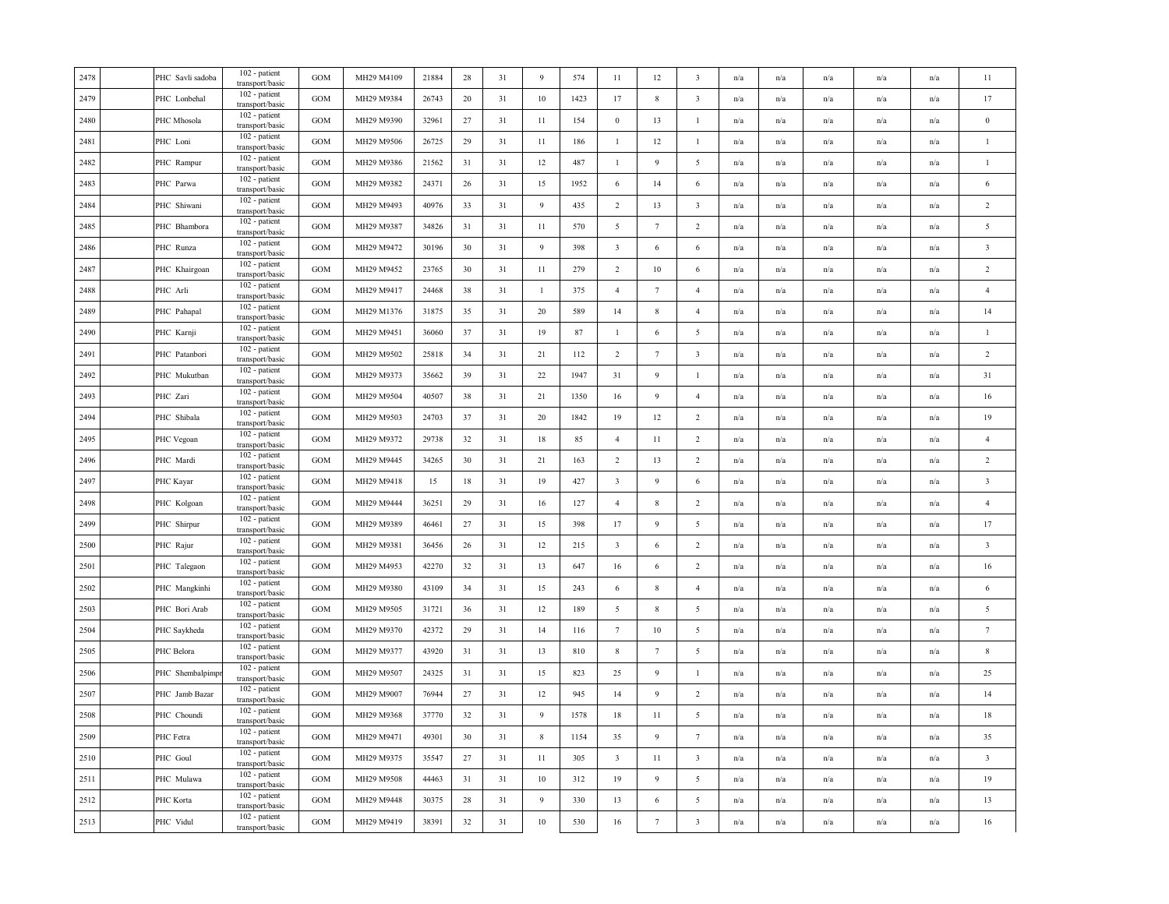| 2478 | PHC Savli sadoba | 102 - patient<br>transport/basic | <b>GOM</b> | MH29 M4109 | 21884 | 28     | 31 | 9            | 574  | 11                      | 12               | 3                       | n/a                     | n/a                     | n/a                     | n/a                     | n/a                     | 11                      |
|------|------------------|----------------------------------|------------|------------|-------|--------|----|--------------|------|-------------------------|------------------|-------------------------|-------------------------|-------------------------|-------------------------|-------------------------|-------------------------|-------------------------|
| 2479 | PHC Lonbehal     | 102 - patient<br>transport/basic | <b>GOM</b> | MH29 M9384 | 26743 | 20     | 31 | $10\,$       | 1423 | 17                      | 8                | $\mathbf{3}$            | n/a                     | n/a                     | n/a                     | n/a                     | n/a                     | 17                      |
| 2480 | PHC Mhosola      | 102 - patient<br>transport/basic | <b>GOM</b> | MH29 M9390 | 32961 | 27     | 31 | $11\,$       | 154  | $\boldsymbol{0}$        | 13               | $\mathbf{1}$            | n/a                     | n/a                     | n/a                     | $\mathrm{n}/\mathrm{a}$ | n/a                     | $\bf{0}$                |
| 2481 | PHC Loni         | 102 - patient<br>transport/basic | GOM        | MH29 M9506 | 26725 | 29     | 31 | 11           | 186  | -1                      | 12               | 1                       | n/a                     | n/a                     | n/a                     | n/a                     | n/a                     | -1                      |
| 2482 | PHC Rampur       | 102 - patient<br>transport/basic | GOM        | MH29 M9386 | 21562 | 31     | 31 | 12           | 487  | -1                      | 9                | 5                       | n/a                     | n/a                     | n/a                     | n/a                     | n/a                     | $\mathbf{1}$            |
| 2483 | PHC Parwa        | 102 - patient<br>transport/basic | <b>GOM</b> | MH29 M9382 | 24371 | 26     | 31 | 15           | 1952 | 6                       | 14               | 6                       | n/a                     | n/a                     | n/a                     | n/a                     | n/a                     | 6                       |
| 2484 | PHC Shiwani      | 102 - patient<br>transport/basic | GOM        | MH29 M9493 | 40976 | 33     | 31 | 9            | 435  | $\overline{2}$          | 13               | $\overline{\mathbf{3}}$ | n/a                     | n/a                     | n/a                     | n/a                     | n/a                     | $\overline{c}$          |
| 2485 | PHC Bhambora     | 102 - patient<br>transport/basic | GOM        | MH29 M9387 | 34826 | 31     | 31 | 11           | 570  | 5                       | $7\phantom{.0}$  | $\overline{2}$          | $\mathrm{n}/\mathrm{a}$ | n/a                     | n/a                     | n/a                     | n/a                     | $\sqrt{5}$              |
| 2486 | PHC Runza        | 102 - patient<br>transport/basic | GOM        | MH29 M9472 | 30196 | 30     | 31 | 9            | 398  | $\overline{\mathbf{3}}$ | $\sqrt{6}$       | $\sqrt{6}$              | n/a                     | n/a                     | n/a                     | n/a                     | n/a                     | $\overline{\mathbf{3}}$ |
| 2487 | PHC Khairgoan    | 102 - patient<br>transport/basic | GOM        | MH29 M9452 | 23765 | 30     | 31 | 11           | 279  | $\overline{2}$          | $10\,$           | 6                       | n/a                     | n/a                     | n/a                     | n/a                     | n/a                     | $\overline{c}$          |
| 2488 | PHC Arli         | 102 - patient<br>transport/basic | <b>GOM</b> | MH29 M9417 | 24468 | 38     | 31 | $\mathbf{1}$ | 375  | $\overline{4}$          | $\tau$           | $\overline{4}$          | n/a                     | n/a                     | n/a                     | n/a                     | n/a                     | $\overline{4}$          |
| 2489 | PHC Pahapal      | 102 - patient<br>transport/basic | GOM        | MH29 M1376 | 31875 | 35     | 31 | 20           | 589  | 14                      | $\,$ 8 $\,$      | $\overline{4}$          | n/a                     | n/a                     | n/a                     | n/a                     | n/a                     | 14                      |
| 2490 | PHC Karnji       | 102 - patient<br>transport/basic | <b>GOM</b> | MH29 M9451 | 36060 | 37     | 31 | 19           | 87   | 1                       | 6                | 5                       | $\mathrm{n}/\mathrm{a}$ | $\mathrm{n}/\mathrm{a}$ | n/a                     | $\mathrm{n}/\mathrm{a}$ | n/a                     | $\mathbf{1}$            |
| 2491 | PHC Patanbori    | 102 - patient<br>transport/basic | GOM        | MH29 M9502 | 25818 | 34     | 31 | 21           | 112  | $\overline{2}$          | $7\phantom{.0}$  | $\overline{3}$          | n/a                     | n/a                     | n/a                     | n/a                     | n/a                     | $\overline{2}$          |
| 2492 | PHC Mukutban     | 102 - patient<br>transport/basic | GOM        | MH29 M9373 | 35662 | 39     | 31 | $22\,$       | 1947 | 31                      | 9                | $\mathbf{1}$            | n/a                     | n/a                     | n/a                     | n/a                     | n/a                     | 31                      |
| 2493 | PHC Zari         | 102 - patient<br>transport/basic | GOM        | MH29 M9504 | 40507 | 38     | 31 | 21           | 1350 | 16                      | 9                | $\overline{4}$          | n/a                     | n/a                     | n/a                     | n/a                     | n/a                     | 16                      |
| 2494 | PHC Shibala      | 102 - patient<br>transport/basic | GOM        | MH29 M9503 | 24703 | 37     | 31 | 20           | 1842 | 19                      | 12               | $\overline{c}$          | n/a                     | $\mathrm{n}/\mathrm{a}$ | $\mathrm{n}/\mathrm{a}$ | $\mathrm{n}/\mathrm{a}$ | n/a                     | 19                      |
| 2495 | PHC Vegoan       | 102 - patient<br>transport/basic | GOM        | MH29 M9372 | 29738 | 32     | 31 | $18\,$       | 85   | $\overline{4}$          | 11               | $\overline{2}$          | n/a                     | n/a                     | n/a                     | n/a                     | n/a                     | $\overline{4}$          |
| 2496 | PHC Mardi        | 102 - patient<br>transport/basic | <b>GOM</b> | MH29 M9445 | 34265 | 30     | 31 | 21           | 163  | $\overline{2}$          | 13               | $\overline{2}$          | n/a                     | n/a                     | n/a                     | n/a                     | n/a                     | $\sqrt{2}$              |
| 2497 | PHC Kayar        | 102 - patient<br>transport/basic | GOM        | MH29 M9418 | 15    | 18     | 31 | 19           | 427  | $\overline{\mathbf{3}}$ | 9                | 6                       | n/a                     | n/a                     | n/a                     | n/a                     | n/a                     | $\overline{\mathbf{3}}$ |
| 2498 | PHC Kolgoan      | 102 - patient<br>transport/basic | GOM        | MH29 M9444 | 36251 | 29     | 31 | 16           | 127  | $\overline{4}$          | 8                | $\overline{c}$          | $\mathrm{n}/\mathrm{a}$ | n/a                     | n/a                     | $\mathrm{n}/\mathrm{a}$ | n/a                     | $\overline{4}$          |
| 2499 | PHC Shirpur      | 102 - patient<br>transport/basic | GOM        | MH29 M9389 | 46461 | $27\,$ | 31 | 15           | 398  | 17                      | 9                | 5                       | n/a                     | n/a                     | n/a                     | n/a                     | n/a                     | 17                      |
| 2500 | PHC Rajur        | 102 - patient<br>transport/basic | GOM        | MH29 M9381 | 36456 | 26     | 31 | 12           | 215  | $\overline{\mathbf{3}}$ | 6                | $\overline{2}$          | n/a                     | $\mathrm{n}/\mathrm{a}$ | n/a                     | $\mathrm{n}/\mathrm{a}$ | $\mathrm{n}/\mathrm{a}$ | $\mathbf{3}$            |
| 2501 | PHC Talegaon     | 102 - patient<br>transport/basic | GOM        | MH29 M4953 | 42270 | 32     | 31 | 13           | 647  | 16                      | 6                | $\overline{2}$          | n/a                     | n/a                     | n/a                     | n/a                     | n/a                     | 16                      |
| 2502 | PHC Mangkinhi    | 102 - patient<br>transport/basic | GOM        | MH29 M9380 | 43109 | 34     | 31 | 15           | 243  | 6                       | $\,$ 8 $\,$      | $\overline{4}$          | n/a                     | n/a                     | n/a                     | n/a                     | n/a                     | 6                       |
| 2503 | PHC Bori Arab    | 102 - patient<br>transport/basic | <b>GOM</b> | MH29 M9505 | 31721 | 36     | 31 | 12           | 189  | 5                       | $\,$ 8 $\,$      | 5                       | n/a                     | n/a                     | n/a                     | n/a                     | n/a                     | $\sqrt{5}$              |
| 2504 | PHC Saykheda     | 102 - patient<br>transport/basic | GOM        | MH29 M9370 | 42372 | 29     | 31 | 14           | 116  | $7\phantom{.0}$         | 10               | 5                       | n/a                     | n/a                     | n/a                     | n/a                     | n/a                     | $7\phantom{.0}$         |
| 2505 | PHC Belora       | 102 - patient<br>transport/basic | GOM        | MH29 M9377 | 43920 | 31     | 31 | 13           | 810  | $\,$ 8 $\,$             | $7\phantom{.0}$  | 5                       | n/a                     | n/a                     | n/a                     | n/a                     | n/a                     | $\,$ 8 $\,$             |
| 2506 | PHC Shembalpimpi | 102 - patient<br>transport/basic | GOM        | MH29 M9507 | 24325 | 31     | 31 | 15           | 823  | 25                      | $\overline{9}$   | 1                       | n/a                     | n/a                     | n/a                     | n/a                     | n/a                     | 25                      |
| 2507 | PHC Jamb Bazar   | 102 - patient<br>transport/basic | GOM        | MH29 M9007 | 76944 | 27     | 31 | 12           | 945  | 14                      | 9                | $\overline{c}$          | n/a                     | n/a                     | n/a                     | n/a                     | n/a                     | 14                      |
| 2508 | PHC Choundi      | 102 - patient<br>transport/basic | <b>GOM</b> | MH29 M9368 | 37770 | 32     | 31 | 9            | 1578 | 18                      | 11               | 5                       | n/a                     | n/a                     | n/a                     | n/a                     | n/a                     | 18                      |
| 2509 | PHC Fetra        | 102 - patient<br>transport/basic | GOM        | MH29 M9471 | 49301 | 30     | 31 | $\,$ 8 $\,$  | 1154 | 35                      | $\boldsymbol{9}$ | $7\phantom{.0}$         | n/a                     | n/a                     | n/a                     | n/a                     | n/a                     | 35                      |
| 2510 | PHC Goul         | 102 - patient<br>transport/basic | <b>GOM</b> | MH29 M9375 | 35547 | 27     | 31 | 11           | 305  | $\overline{\mathbf{3}}$ | 11               | $\overline{\mathbf{3}}$ | $\mathrm{n}/\mathrm{a}$ | n/a                     | n/a                     | $\mathrm{n}/\mathrm{a}$ | n/a                     | $\overline{\mathbf{3}}$ |
| 2511 | PHC Mulawa       | 102 - patient<br>transport/basic | GOM        | MH29 M9508 | 44463 | 31     | 31 | $10\,$       | 312  | 19                      | 9                | 5                       | n/a                     | n/a                     | n/a                     | n/a                     | n/a                     | 19                      |
| 2512 | PHC Korta        | 102 - patient<br>transport/basic | GOM        | MH29 M9448 | 30375 | 28     | 31 | 9            | 330  | 13                      | 6                | $\sqrt{5}$              | n/a                     | n/a                     | n/a                     | n/a                     | n/a                     | $13\,$                  |
| 2513 | PHC Vidul        | 102 - patient<br>transport/basic | GOM        | MH29 M9419 | 38391 | 32     | 31 | $10\,$       | 530  | 16                      | $\tau$           | $\overline{\mathbf{3}}$ | n/a                     | n/a                     | n/a                     | n/a                     | n/a                     | $16\,$                  |